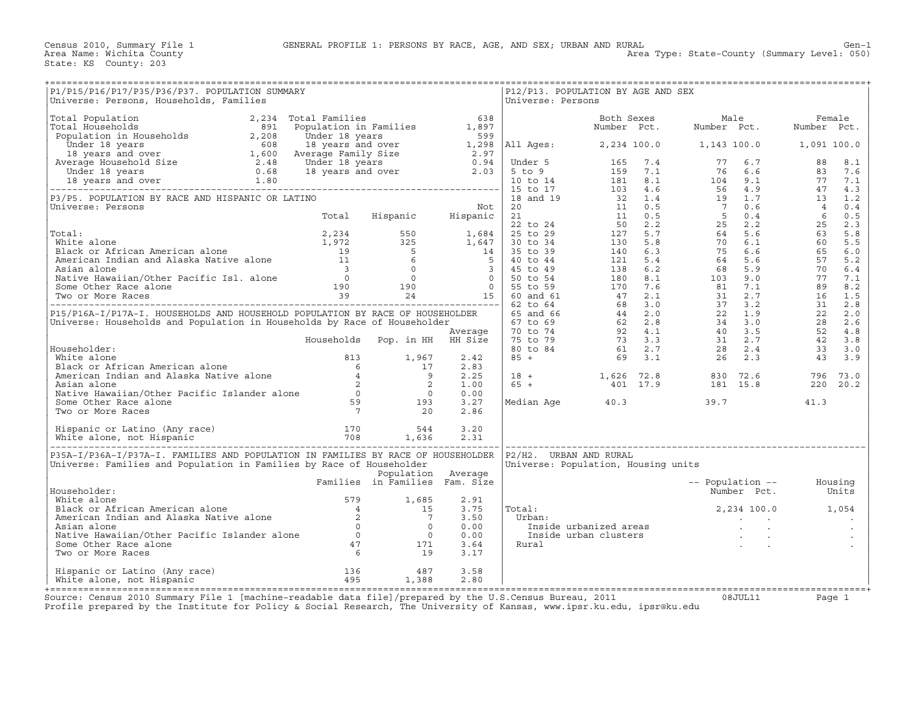| P1/P15/P16/P17/P35/P36/P37. POPULATION SUMMARY<br>Universe: Persons, Households, Families                                                                                                                                                        |                                |                    |              | Universe: Persons      | P12/P13. POPULATION BY AGE AND SEX                                                                                                                       |  |      |         |
|--------------------------------------------------------------------------------------------------------------------------------------------------------------------------------------------------------------------------------------------------|--------------------------------|--------------------|--------------|------------------------|----------------------------------------------------------------------------------------------------------------------------------------------------------|--|------|---------|
|                                                                                                                                                                                                                                                  |                                |                    |              |                        |                                                                                                                                                          |  |      |         |
|                                                                                                                                                                                                                                                  |                                |                    |              |                        |                                                                                                                                                          |  |      |         |
|                                                                                                                                                                                                                                                  |                                |                    |              |                        |                                                                                                                                                          |  |      |         |
|                                                                                                                                                                                                                                                  |                                |                    |              |                        |                                                                                                                                                          |  |      |         |
|                                                                                                                                                                                                                                                  |                                |                    |              |                        |                                                                                                                                                          |  |      |         |
|                                                                                                                                                                                                                                                  |                                |                    |              |                        |                                                                                                                                                          |  |      |         |
|                                                                                                                                                                                                                                                  |                                |                    |              |                        |                                                                                                                                                          |  |      |         |
|                                                                                                                                                                                                                                                  |                                |                    |              |                        |                                                                                                                                                          |  |      |         |
|                                                                                                                                                                                                                                                  |                                |                    |              |                        |                                                                                                                                                          |  |      |         |
|                                                                                                                                                                                                                                                  |                                |                    |              |                        |                                                                                                                                                          |  |      |         |
|                                                                                                                                                                                                                                                  |                                |                    |              |                        |                                                                                                                                                          |  |      |         |
|                                                                                                                                                                                                                                                  |                                |                    |              |                        |                                                                                                                                                          |  |      |         |
|                                                                                                                                                                                                                                                  |                                |                    |              |                        |                                                                                                                                                          |  |      |         |
|                                                                                                                                                                                                                                                  |                                |                    |              |                        |                                                                                                                                                          |  |      |         |
|                                                                                                                                                                                                                                                  |                                |                    | 2.83         |                        |                                                                                                                                                          |  |      |         |
|                                                                                                                                                                                                                                                  |                                |                    | 2.25<br>1.00 |                        | $\begin{array}{cccccccc} 18 & + & & & 1,626 & 72.8 & & 830 & 72.6 & & 796 & 73.0 \\ 65 & + & & & 401 & 17.9 & & & 181 & 15.8 & & 220 & 20.2 \end{array}$ |  |      |         |
|                                                                                                                                                                                                                                                  |                                |                    | 0.00         |                        |                                                                                                                                                          |  |      |         |
| Householder:<br>White alone 813 1,967<br>Black or African American alone 6 17<br>American Indian and Alaska Native alone 6 17<br>Asian alone 2 2<br>Native Hawaiian/Other Pacific Islander alone 0 0<br>Some Other Race alone 59 193<br>Two      |                                |                    | 3.27<br>2.86 |                        | Median Age $40.3$ 39.7                                                                                                                                   |  | 41.3 |         |
|                                                                                                                                                                                                                                                  |                                |                    | 3.20<br>2.31 |                        |                                                                                                                                                          |  |      |         |
| P35A-I/P36A-I/P37A-I. FAMILIES AND POPULATION IN FAMILIES BY RACE OF HOUSEHOLDER<br>Universe: Families and Population in Families by Race of Householder                                                                                         |                                | Population Average |              | P2/H2. URBAN AND RURAL | Universe: Population, Housing units                                                                                                                      |  |      |         |
| Householder:                                                                                                                                                                                                                                     | Families in Families Fam. Size |                    |              |                        | -- Population -- Housing<br>Number Pct. Units                                                                                                            |  |      |         |
|                                                                                                                                                                                                                                                  |                                |                    | 2.91<br>3.75 | Total:                 | $2,234$ 100.0 1,054                                                                                                                                      |  |      |         |
|                                                                                                                                                                                                                                                  |                                |                    | 3.50<br>0.00 | Urban:                 | ar:<br>rban: Inside urbanized areas<br>Inside urban clusters<br>ural inside urban clusters<br>ural                                                       |  |      |         |
|                                                                                                                                                                                                                                                  |                                |                    | 0.00         |                        |                                                                                                                                                          |  |      | $\cdot$ |
| Housenbourer:<br>White alone<br>Black or African American alone<br>American Indian and Alaska Native alone<br>Asian alone<br>Asian alone<br>Mative Hawaiian/Other Pacific Islander alone<br>Some Other Race alone<br>Some Other Race alone<br>Tw |                                |                    | 3.64<br>3.17 | Rural                  |                                                                                                                                                          |  |      |         |
|                                                                                                                                                                                                                                                  |                                |                    |              |                        |                                                                                                                                                          |  |      |         |

Source: Census 2010 Summary File 1 [machine−readable data file]/prepared by the U.S.Census Bureau, 2011 08JUL11 Page 1 Profile prepared by the Institute for Policy & Social Research, The University of Kansas, www.ipsr.ku.edu, ipsr@ku.edu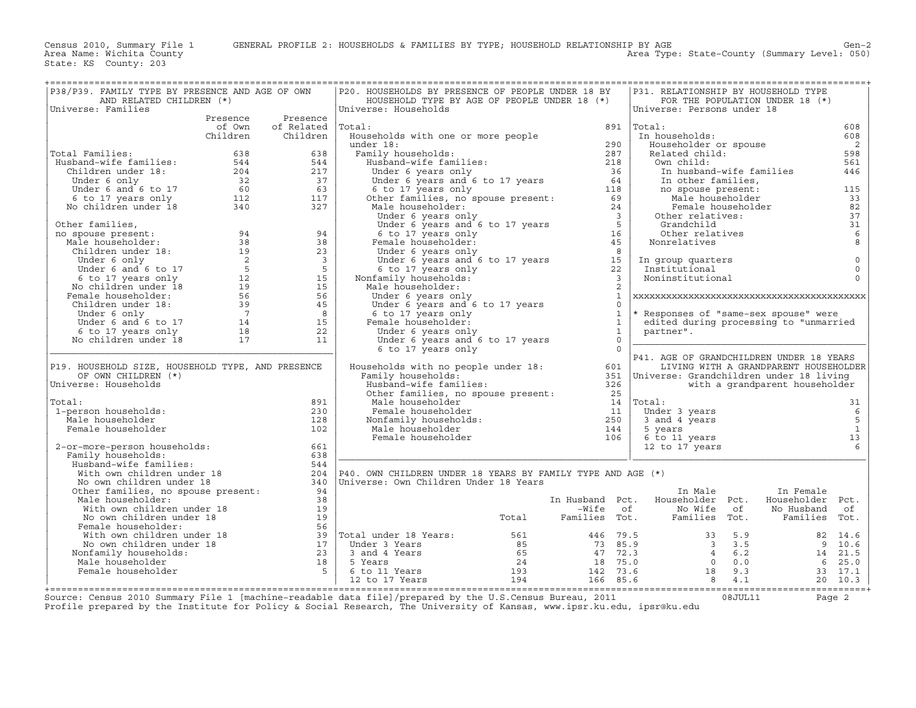| P38/P39. FAMILY TYPE BY PRESENCE AND AGE OF OWN                                                                                                                                                                                                                                 |          |                                        | P20. HOUSEHOLDS BY PRESENCE OF PEOPLE UNDER 18 BY                                                                                                                                                                                                                                                                                                                                              |                |              | P31. RELATIONSHIP BY HOUSEHOLD TYPE                                                                                                                                                                                            |                                       |                                       |
|---------------------------------------------------------------------------------------------------------------------------------------------------------------------------------------------------------------------------------------------------------------------------------|----------|----------------------------------------|------------------------------------------------------------------------------------------------------------------------------------------------------------------------------------------------------------------------------------------------------------------------------------------------------------------------------------------------------------------------------------------------|----------------|--------------|--------------------------------------------------------------------------------------------------------------------------------------------------------------------------------------------------------------------------------|---------------------------------------|---------------------------------------|
| AND RELATED CHILDREN (*)                                                                                                                                                                                                                                                        |          |                                        | HOUSEHOLD TYPE BY AGE OF PEOPLE UNDER 18 (*)                                                                                                                                                                                                                                                                                                                                                   |                |              |                                                                                                                                                                                                                                | FOR THE POPULATION UNDER 18 (*)       |                                       |
| Universe: Families                                                                                                                                                                                                                                                              |          |                                        | Universe: Households                                                                                                                                                                                                                                                                                                                                                                           |                |              | Universe: Persons under 18                                                                                                                                                                                                     |                                       |                                       |
|                                                                                                                                                                                                                                                                                 | of Own   | Presence Presence<br>of Related Total: |                                                                                                                                                                                                                                                                                                                                                                                                |                |              | $891$ Total:                                                                                                                                                                                                                   |                                       |                                       |
|                                                                                                                                                                                                                                                                                 | Children | Children                               | Cotal:<br>Households with one or more people<br>under 18:<br>The maily households:<br>Husband-wife families:<br>287<br>Husband-wife families:<br>287<br>Under 6 years and 6 to 17 years<br>64<br>6 to 17 years and 6 to 17 years<br>24<br>Other famili                                                                                                                                         |                |              | In households:                                                                                                                                                                                                                 |                                       | 608<br>608                            |
|                                                                                                                                                                                                                                                                                 |          |                                        |                                                                                                                                                                                                                                                                                                                                                                                                |                |              |                                                                                                                                                                                                                                |                                       | $\overline{\phantom{a}}$              |
| Total Families:                                                                                                                                                                                                                                                                 |          |                                        |                                                                                                                                                                                                                                                                                                                                                                                                |                |              | Householder or spouse<br>Related child:                                                                                                                                                                                        |                                       | 598                                   |
| Total Families: 638<br>Husband-wife families: 544<br>Children under 18: 544<br>Under 6 only 32<br>Under 6 and 6 to 17<br>60<br>63<br>6 to 17 years only 112<br>No children under 18<br>8 340<br>8 32<br>7                                                                       |          |                                        |                                                                                                                                                                                                                                                                                                                                                                                                |                |              |                                                                                                                                                                                                                                |                                       | 561                                   |
|                                                                                                                                                                                                                                                                                 |          |                                        |                                                                                                                                                                                                                                                                                                                                                                                                |                |              |                                                                                                                                                                                                                                |                                       | 446                                   |
|                                                                                                                                                                                                                                                                                 |          |                                        |                                                                                                                                                                                                                                                                                                                                                                                                |                |              |                                                                                                                                                                                                                                |                                       |                                       |
|                                                                                                                                                                                                                                                                                 |          |                                        |                                                                                                                                                                                                                                                                                                                                                                                                |                |              |                                                                                                                                                                                                                                |                                       | 115                                   |
|                                                                                                                                                                                                                                                                                 |          |                                        |                                                                                                                                                                                                                                                                                                                                                                                                |                |              |                                                                                                                                                                                                                                |                                       | 33                                    |
|                                                                                                                                                                                                                                                                                 |          |                                        |                                                                                                                                                                                                                                                                                                                                                                                                |                |              |                                                                                                                                                                                                                                |                                       | 82                                    |
|                                                                                                                                                                                                                                                                                 |          |                                        |                                                                                                                                                                                                                                                                                                                                                                                                |                |              |                                                                                                                                                                                                                                |                                       | 37                                    |
|                                                                                                                                                                                                                                                                                 |          |                                        |                                                                                                                                                                                                                                                                                                                                                                                                |                |              | Neard Common Common Common Common Common Common Common Common Common Common Common Common Common Common Common Common Common Common Common Common Common Common Common Common Common Common Common Common Common Common Common |                                       | 31                                    |
|                                                                                                                                                                                                                                                                                 |          |                                        |                                                                                                                                                                                                                                                                                                                                                                                                |                |              |                                                                                                                                                                                                                                |                                       | $6\atop 8$                            |
|                                                                                                                                                                                                                                                                                 |          |                                        |                                                                                                                                                                                                                                                                                                                                                                                                |                |              |                                                                                                                                                                                                                                |                                       |                                       |
|                                                                                                                                                                                                                                                                                 |          |                                        |                                                                                                                                                                                                                                                                                                                                                                                                |                |              |                                                                                                                                                                                                                                |                                       | $\circ$                               |
|                                                                                                                                                                                                                                                                                 |          |                                        |                                                                                                                                                                                                                                                                                                                                                                                                |                |              | In group quarters<br>Institutional                                                                                                                                                                                             |                                       | $\circ$                               |
|                                                                                                                                                                                                                                                                                 |          |                                        |                                                                                                                                                                                                                                                                                                                                                                                                |                |              | Noninstitutional                                                                                                                                                                                                               |                                       | $\Omega$                              |
|                                                                                                                                                                                                                                                                                 |          |                                        | Male householder:                                                                                                                                                                                                                                                                                                                                                                              |                |              |                                                                                                                                                                                                                                |                                       |                                       |
|                                                                                                                                                                                                                                                                                 |          |                                        | under 6 years only<br>Under 6 years only<br>Under 6 years and 6 to 17 years                                                                                                                                                                                                                                                                                                                    |                | $\mathbf{1}$ |                                                                                                                                                                                                                                |                                       |                                       |
|                                                                                                                                                                                                                                                                                 |          |                                        |                                                                                                                                                                                                                                                                                                                                                                                                |                | $\Omega$     |                                                                                                                                                                                                                                |                                       |                                       |
|                                                                                                                                                                                                                                                                                 |          |                                        | 6 to 17 years only<br>e to 17 years only<br>'emale householder:<br>Under 6 years only<br>Hoder 6 years                                                                                                                                                                                                                                                                                         |                | $\mathbf{1}$ | * Responses of "same-sex spouse" were                                                                                                                                                                                          |                                       |                                       |
|                                                                                                                                                                                                                                                                                 |          |                                        | Female householder:                                                                                                                                                                                                                                                                                                                                                                            | $\overline{1}$ |              | edited during processing to "unmarried                                                                                                                                                                                         |                                       |                                       |
|                                                                                                                                                                                                                                                                                 |          |                                        |                                                                                                                                                                                                                                                                                                                                                                                                | $\overline{1}$ |              | partner".                                                                                                                                                                                                                      |                                       |                                       |
| No children under 18<br>No spouse present:<br>Male householder:<br>Male householder:<br>Male householder:<br>Male householder:<br>Male householder:<br>19<br>Under 6 only<br>19<br>19<br>Under 6 and 6 to 17<br>5<br>5<br>5<br>5<br>5<br>5<br>5<br>5<br>7<br>19<br>19<br>19<br> |          |                                        | Under 6 years only<br>Under 6 years and 6 to 17 years                                                                                                                                                                                                                                                                                                                                          | $\overline{0}$ |              |                                                                                                                                                                                                                                |                                       |                                       |
|                                                                                                                                                                                                                                                                                 |          |                                        | $\begin{tabular}{l c c c c c c c c} \multicolumn{3}{c c c c} \multicolumn{3}{c c c} \multicolumn{3}{c c c} \multicolumn{3}{c c c} \multicolumn{3}{c c c} \multicolumn{3}{c c c} \multicolumn{3}{c c c} \multicolumn{3}{c c c} \multicolumn{3}{c c c} \multicolumn{3}{c c c} \multicolumn{3}{c c c} \multicolumn{3}{c c c} \multicolumn{3}{c c c} \multicolumn{3}{c c c} \multicolumn{3}{c c c$ |                |              |                                                                                                                                                                                                                                |                                       |                                       |
| P19. HOUSEHOLD SIZE, HOUSEHOLD TYPE, AND PRESENCE                                                                                                                                                                                                                               |          |                                        |                                                                                                                                                                                                                                                                                                                                                                                                |                |              |                                                                                                                                                                                                                                | LIVING WITH A GRANDPARENT HOUSEHOLDER |                                       |
| OF OWN CHILDREN (*)                                                                                                                                                                                                                                                             |          |                                        |                                                                                                                                                                                                                                                                                                                                                                                                |                |              |                                                                                                                                                                                                                                |                                       |                                       |
| Universe: Households                                                                                                                                                                                                                                                            |          |                                        |                                                                                                                                                                                                                                                                                                                                                                                                |                |              |                                                                                                                                                                                                                                |                                       |                                       |
|                                                                                                                                                                                                                                                                                 |          |                                        |                                                                                                                                                                                                                                                                                                                                                                                                |                |              |                                                                                                                                                                                                                                |                                       |                                       |
| Total:                                                                                                                                                                                                                                                                          |          | 891                                    |                                                                                                                                                                                                                                                                                                                                                                                                |                |              |                                                                                                                                                                                                                                |                                       | 31                                    |
| 1-person households:                                                                                                                                                                                                                                                            |          | 230                                    |                                                                                                                                                                                                                                                                                                                                                                                                |                |              |                                                                                                                                                                                                                                |                                       | 6                                     |
| Male householder                                                                                                                                                                                                                                                                |          | 128                                    |                                                                                                                                                                                                                                                                                                                                                                                                |                |              |                                                                                                                                                                                                                                |                                       | $\begin{array}{c} 5 \\ 1 \end{array}$ |
| Female householder                                                                                                                                                                                                                                                              |          | 102                                    |                                                                                                                                                                                                                                                                                                                                                                                                |                |              |                                                                                                                                                                                                                                |                                       |                                       |
|                                                                                                                                                                                                                                                                                 |          |                                        |                                                                                                                                                                                                                                                                                                                                                                                                |                |              |                                                                                                                                                                                                                                |                                       | 13                                    |
| 2-or-more-person households:<br>Family households:                                                                                                                                                                                                                              |          | 661<br>638                             |                                                                                                                                                                                                                                                                                                                                                                                                |                |              |                                                                                                                                                                                                                                |                                       | 6                                     |
|                                                                                                                                                                                                                                                                                 |          |                                        |                                                                                                                                                                                                                                                                                                                                                                                                |                |              |                                                                                                                                                                                                                                |                                       |                                       |
|                                                                                                                                                                                                                                                                                 |          |                                        | 204   P40. OWN CHILDREN UNDER 18 YEARS BY FAMILY TYPE AND AGE $(*)$                                                                                                                                                                                                                                                                                                                            |                |              |                                                                                                                                                                                                                                |                                       |                                       |
|                                                                                                                                                                                                                                                                                 |          | 340                                    | Universe: Own Children Under 18 Years                                                                                                                                                                                                                                                                                                                                                          |                |              |                                                                                                                                                                                                                                |                                       |                                       |
|                                                                                                                                                                                                                                                                                 |          |                                        |                                                                                                                                                                                                                                                                                                                                                                                                |                |              | In Male                                                                                                                                                                                                                        | In Female                             |                                       |
| Male householder:                                                                                                                                                                                                                                                               |          | 38                                     |                                                                                                                                                                                                                                                                                                                                                                                                |                |              | In Husband Pct. Householder Pct.                                                                                                                                                                                               | Householder Pct.                      |                                       |
|                                                                                                                                                                                                                                                                                 |          |                                        |                                                                                                                                                                                                                                                                                                                                                                                                |                |              |                                                                                                                                                                                                                                |                                       |                                       |
|                                                                                                                                                                                                                                                                                 |          |                                        |                                                                                                                                                                                                                                                                                                                                                                                                |                |              |                                                                                                                                                                                                                                |                                       |                                       |
|                                                                                                                                                                                                                                                                                 |          |                                        |                                                                                                                                                                                                                                                                                                                                                                                                |                |              |                                                                                                                                                                                                                                |                                       |                                       |
|                                                                                                                                                                                                                                                                                 |          |                                        |                                                                                                                                                                                                                                                                                                                                                                                                |                |              |                                                                                                                                                                                                                                |                                       |                                       |
|                                                                                                                                                                                                                                                                                 |          |                                        |                                                                                                                                                                                                                                                                                                                                                                                                |                |              |                                                                                                                                                                                                                                |                                       |                                       |
|                                                                                                                                                                                                                                                                                 |          |                                        |                                                                                                                                                                                                                                                                                                                                                                                                |                |              |                                                                                                                                                                                                                                |                                       |                                       |
|                                                                                                                                                                                                                                                                                 |          |                                        |                                                                                                                                                                                                                                                                                                                                                                                                |                |              |                                                                                                                                                                                                                                |                                       |                                       |
| Male householder:<br>Male householder:<br>Male householder:<br>Male householder:<br>Male householder:<br>Male householder:<br>Male householder:<br>Male householder:<br>Male householder:<br>Male householder:<br>Male householder:<br>Male househol                            |          |                                        |                                                                                                                                                                                                                                                                                                                                                                                                |                |              |                                                                                                                                                                                                                                |                                       |                                       |
|                                                                                                                                                                                                                                                                                 |          |                                        |                                                                                                                                                                                                                                                                                                                                                                                                |                |              |                                                                                                                                                                                                                                |                                       |                                       |

Source: Census 2010 Summary File 1 [machine−readable data file]/prepared by the U.S.Census Bureau, 2011 08JUL11 Page 2 Profile prepared by the Institute for Policy & Social Research, The University of Kansas, www.ipsr.ku.edu, ipsr@ku.edu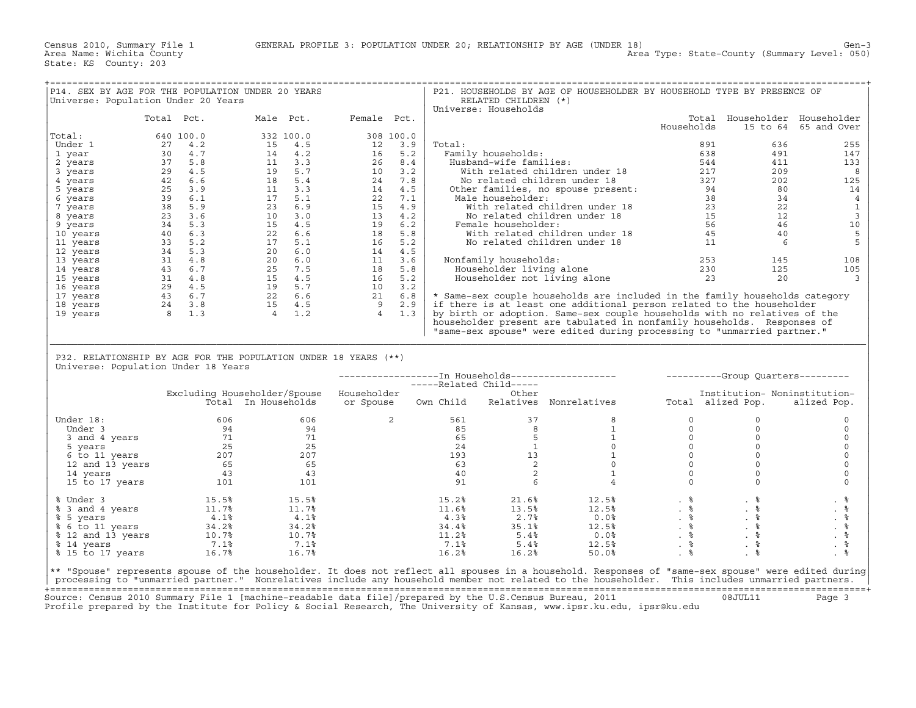| P14. SEX BY AGE FOR THE POPULATION UNDER 20 YEARS<br>Universe: Population Under 20 Years                                                                                                                               |            |  |       |                                                                                                                                                                                                                                                                                      |                |       | RELATED CHILDREN (*)                                    | P21. HOUSEHOLDS BY AGE OF HOUSEHOLDER BY HOUSEHOLD TYPE BY PRESENCE OF                                                                                                                                                                                                                                |                                                                                                                                                                                                                                                                                                                                                                                                                       |                               |                      |
|------------------------------------------------------------------------------------------------------------------------------------------------------------------------------------------------------------------------|------------|--|-------|--------------------------------------------------------------------------------------------------------------------------------------------------------------------------------------------------------------------------------------------------------------------------------------|----------------|-------|---------------------------------------------------------|-------------------------------------------------------------------------------------------------------------------------------------------------------------------------------------------------------------------------------------------------------------------------------------------------------|-----------------------------------------------------------------------------------------------------------------------------------------------------------------------------------------------------------------------------------------------------------------------------------------------------------------------------------------------------------------------------------------------------------------------|-------------------------------|----------------------|
|                                                                                                                                                                                                                        |            |  |       |                                                                                                                                                                                                                                                                                      |                |       | Universe: Households                                    |                                                                                                                                                                                                                                                                                                       |                                                                                                                                                                                                                                                                                                                                                                                                                       |                               |                      |
|                                                                                                                                                                                                                        | Total Pct. |  |       | Male Pct. Female Pct.                                                                                                                                                                                                                                                                |                |       |                                                         |                                                                                                                                                                                                                                                                                                       |                                                                                                                                                                                                                                                                                                                                                                                                                       | Total Householder Householder |                      |
|                                                                                                                                                                                                                        |            |  |       | 640 100.0<br>27 4.2<br>30 4.7<br>30 4.7<br>29 4.5<br>29 4.5<br>11 4.2<br>29 4.5<br>11 3.3<br>26 6.4<br>29 4.5<br>11 3.3<br>26 6.4<br>29 6.6<br>11 3.1<br>21 4.2<br>25 42<br>26 6.9<br>11 5.1<br>17 5.1<br>22 7.1<br>22 7.1<br>22 7.1<br>23 4.5<br>39 6.1<br>17 5.1<br>22 7.1<br>22 7 |                |       |                                                         |                                                                                                                                                                                                                                                                                                       | Households                                                                                                                                                                                                                                                                                                                                                                                                            |                               | 15 to 64 65 and Over |
| Total:                                                                                                                                                                                                                 |            |  |       |                                                                                                                                                                                                                                                                                      |                |       |                                                         |                                                                                                                                                                                                                                                                                                       |                                                                                                                                                                                                                                                                                                                                                                                                                       |                               |                      |
| Under 1                                                                                                                                                                                                                |            |  |       |                                                                                                                                                                                                                                                                                      |                |       |                                                         |                                                                                                                                                                                                                                                                                                       |                                                                                                                                                                                                                                                                                                                                                                                                                       |                               | 255                  |
|                                                                                                                                                                                                                        |            |  |       |                                                                                                                                                                                                                                                                                      |                |       |                                                         |                                                                                                                                                                                                                                                                                                       |                                                                                                                                                                                                                                                                                                                                                                                                                       |                               | 147                  |
| 1 year                                                                                                                                                                                                                 |            |  |       |                                                                                                                                                                                                                                                                                      |                |       |                                                         |                                                                                                                                                                                                                                                                                                       |                                                                                                                                                                                                                                                                                                                                                                                                                       |                               |                      |
| 2 years                                                                                                                                                                                                                |            |  |       |                                                                                                                                                                                                                                                                                      |                |       |                                                         |                                                                                                                                                                                                                                                                                                       |                                                                                                                                                                                                                                                                                                                                                                                                                       |                               | 133                  |
| 3 years                                                                                                                                                                                                                |            |  |       |                                                                                                                                                                                                                                                                                      |                |       |                                                         |                                                                                                                                                                                                                                                                                                       |                                                                                                                                                                                                                                                                                                                                                                                                                       |                               | 8                    |
| 4 years                                                                                                                                                                                                                |            |  |       |                                                                                                                                                                                                                                                                                      |                |       |                                                         |                                                                                                                                                                                                                                                                                                       |                                                                                                                                                                                                                                                                                                                                                                                                                       |                               | 125                  |
| 5 years                                                                                                                                                                                                                |            |  |       |                                                                                                                                                                                                                                                                                      |                |       |                                                         |                                                                                                                                                                                                                                                                                                       |                                                                                                                                                                                                                                                                                                                                                                                                                       |                               | 14                   |
| 6 years                                                                                                                                                                                                                |            |  |       |                                                                                                                                                                                                                                                                                      |                |       |                                                         |                                                                                                                                                                                                                                                                                                       |                                                                                                                                                                                                                                                                                                                                                                                                                       |                               | $\overline{4}$       |
| 7 years                                                                                                                                                                                                                |            |  |       |                                                                                                                                                                                                                                                                                      |                |       |                                                         |                                                                                                                                                                                                                                                                                                       |                                                                                                                                                                                                                                                                                                                                                                                                                       |                               | $\mathbf{1}$         |
|                                                                                                                                                                                                                        |            |  |       |                                                                                                                                                                                                                                                                                      |                |       |                                                         |                                                                                                                                                                                                                                                                                                       |                                                                                                                                                                                                                                                                                                                                                                                                                       |                               |                      |
| 8 years                                                                                                                                                                                                                |            |  |       |                                                                                                                                                                                                                                                                                      |                |       |                                                         |                                                                                                                                                                                                                                                                                                       |                                                                                                                                                                                                                                                                                                                                                                                                                       |                               | $\mathbf{3}$         |
| 9 years                                                                                                                                                                                                                |            |  |       |                                                                                                                                                                                                                                                                                      |                |       |                                                         |                                                                                                                                                                                                                                                                                                       |                                                                                                                                                                                                                                                                                                                                                                                                                       |                               | 10                   |
| 10 years                                                                                                                                                                                                               |            |  |       |                                                                                                                                                                                                                                                                                      |                |       |                                                         |                                                                                                                                                                                                                                                                                                       |                                                                                                                                                                                                                                                                                                                                                                                                                       |                               | 5                    |
| 11 years                                                                                                                                                                                                               |            |  |       |                                                                                                                                                                                                                                                                                      |                |       |                                                         |                                                                                                                                                                                                                                                                                                       |                                                                                                                                                                                                                                                                                                                                                                                                                       |                               | 5                    |
| 12 years                                                                                                                                                                                                               |            |  |       |                                                                                                                                                                                                                                                                                      |                |       |                                                         |                                                                                                                                                                                                                                                                                                       |                                                                                                                                                                                                                                                                                                                                                                                                                       |                               |                      |
|                                                                                                                                                                                                                        |            |  |       |                                                                                                                                                                                                                                                                                      |                |       | Nonfamily households:                                   |                                                                                                                                                                                                                                                                                                       |                                                                                                                                                                                                                                                                                                                                                                                                                       |                               | 108                  |
| 13 years                                                                                                                                                                                                               |            |  |       |                                                                                                                                                                                                                                                                                      |                |       |                                                         |                                                                                                                                                                                                                                                                                                       |                                                                                                                                                                                                                                                                                                                                                                                                                       |                               |                      |
| 14 years                                                                                                                                                                                                               |            |  |       |                                                                                                                                                                                                                                                                                      |                |       |                                                         |                                                                                                                                                                                                                                                                                                       |                                                                                                                                                                                                                                                                                                                                                                                                                       |                               | 105                  |
| 15 years                                                                                                                                                                                                               |            |  |       |                                                                                                                                                                                                                                                                                      |                |       |                                                         |                                                                                                                                                                                                                                                                                                       |                                                                                                                                                                                                                                                                                                                                                                                                                       |                               | $\overline{3}$       |
| 16 years                                                                                                                                                                                                               |            |  |       |                                                                                                                                                                                                                                                                                      |                |       |                                                         |                                                                                                                                                                                                                                                                                                       |                                                                                                                                                                                                                                                                                                                                                                                                                       |                               |                      |
| 17 years                                                                                                                                                                                                               |            |  |       |                                                                                                                                                                                                                                                                                      |                |       |                                                         | * Same-sex couple households are included in the family households category                                                                                                                                                                                                                           |                                                                                                                                                                                                                                                                                                                                                                                                                       |                               |                      |
| 18 years                                                                                                                                                                                                               |            |  |       |                                                                                                                                                                                                                                                                                      |                |       |                                                         | if there is at least one additional person related to the householder                                                                                                                                                                                                                                 |                                                                                                                                                                                                                                                                                                                                                                                                                       |                               |                      |
|                                                                                                                                                                                                                        |            |  |       |                                                                                                                                                                                                                                                                                      |                |       |                                                         |                                                                                                                                                                                                                                                                                                       |                                                                                                                                                                                                                                                                                                                                                                                                                       |                               |                      |
| 19 years                                                                                                                                                                                                               |            |  |       |                                                                                                                                                                                                                                                                                      |                |       |                                                         | by birth or adoption. Same-sex couple households with no relatives of the                                                                                                                                                                                                                             |                                                                                                                                                                                                                                                                                                                                                                                                                       |                               |                      |
|                                                                                                                                                                                                                        |            |  |       |                                                                                                                                                                                                                                                                                      |                |       |                                                         | householder present are tabulated in nonfamily households. Responses of                                                                                                                                                                                                                               |                                                                                                                                                                                                                                                                                                                                                                                                                       |                               |                      |
|                                                                                                                                                                                                                        |            |  |       |                                                                                                                                                                                                                                                                                      |                |       |                                                         |                                                                                                                                                                                                                                                                                                       |                                                                                                                                                                                                                                                                                                                                                                                                                       |                               |                      |
|                                                                                                                                                                                                                        |            |  |       |                                                                                                                                                                                                                                                                                      |                |       |                                                         |                                                                                                                                                                                                                                                                                                       | "same-sex spouse" were edited during processing to "unmarried partner."                                                                                                                                                                                                                                                                                                                                               |                               |                      |
|                                                                                                                                                                                                                        |            |  |       |                                                                                                                                                                                                                                                                                      |                |       |                                                         |                                                                                                                                                                                                                                                                                                       |                                                                                                                                                                                                                                                                                                                                                                                                                       |                               |                      |
|                                                                                                                                                                                                                        |            |  |       |                                                                                                                                                                                                                                                                                      |                |       |                                                         |                                                                                                                                                                                                                                                                                                       |                                                                                                                                                                                                                                                                                                                                                                                                                       |                               |                      |
|                                                                                                                                                                                                                        |            |  |       |                                                                                                                                                                                                                                                                                      |                |       |                                                         |                                                                                                                                                                                                                                                                                                       |                                                                                                                                                                                                                                                                                                                                                                                                                       |                               |                      |
| P32. RELATIONSHIP BY AGE FOR THE POPULATION UNDER 18 YEARS (**)                                                                                                                                                        |            |  |       |                                                                                                                                                                                                                                                                                      |                |       |                                                         |                                                                                                                                                                                                                                                                                                       |                                                                                                                                                                                                                                                                                                                                                                                                                       |                               |                      |
| Universe: Population Under 18 Years                                                                                                                                                                                    |            |  |       |                                                                                                                                                                                                                                                                                      |                |       |                                                         |                                                                                                                                                                                                                                                                                                       |                                                                                                                                                                                                                                                                                                                                                                                                                       |                               |                      |
|                                                                                                                                                                                                                        |            |  |       |                                                                                                                                                                                                                                                                                      |                |       |                                                         |                                                                                                                                                                                                                                                                                                       |                                                                                                                                                                                                                                                                                                                                                                                                                       |                               |                      |
|                                                                                                                                                                                                                        |            |  |       |                                                                                                                                                                                                                                                                                      |                |       |                                                         |                                                                                                                                                                                                                                                                                                       |                                                                                                                                                                                                                                                                                                                                                                                                                       |                               |                      |
|                                                                                                                                                                                                                        |            |  |       | Excluding Householder/Spouse Householder                                                                                                                                                                                                                                             |                |       |                                                         |                                                                                                                                                                                                                                                                                                       |                                                                                                                                                                                                                                                                                                                                                                                                                       | Institution- Noninstitution-  |                      |
|                                                                                                                                                                                                                        |            |  |       |                                                                                                                                                                                                                                                                                      |                |       | ------In Households<br>-----Related Child-----<br>Other |                                                                                                                                                                                                                                                                                                       |                                                                                                                                                                                                                                                                                                                                                                                                                       |                               |                      |
|                                                                                                                                                                                                                        |            |  |       |                                                                                                                                                                                                                                                                                      |                |       |                                                         |                                                                                                                                                                                                                                                                                                       |                                                                                                                                                                                                                                                                                                                                                                                                                       |                               |                      |
|                                                                                                                                                                                                                        |            |  |       |                                                                                                                                                                                                                                                                                      |                |       |                                                         |                                                                                                                                                                                                                                                                                                       |                                                                                                                                                                                                                                                                                                                                                                                                                       |                               |                      |
| Under 18:                                                                                                                                                                                                              |            |  | 606   |                                                                                                                                                                                                                                                                                      | $\overline{2}$ |       |                                                         |                                                                                                                                                                                                                                                                                                       | $\circ$                                                                                                                                                                                                                                                                                                                                                                                                               | $\circ$                       | $\circ$              |
|                                                                                                                                                                                                                        |            |  |       |                                                                                                                                                                                                                                                                                      |                |       |                                                         |                                                                                                                                                                                                                                                                                                       | $\circ$                                                                                                                                                                                                                                                                                                                                                                                                               | $\circ$                       | $\circ$              |
|                                                                                                                                                                                                                        |            |  |       |                                                                                                                                                                                                                                                                                      |                |       |                                                         |                                                                                                                                                                                                                                                                                                       | $\circ$                                                                                                                                                                                                                                                                                                                                                                                                               | $\circ$                       | $\circ$              |
|                                                                                                                                                                                                                        |            |  |       |                                                                                                                                                                                                                                                                                      |                |       |                                                         |                                                                                                                                                                                                                                                                                                       | $\circ$                                                                                                                                                                                                                                                                                                                                                                                                               | $\circ$                       | $\mathbf 0$          |
|                                                                                                                                                                                                                        |            |  |       |                                                                                                                                                                                                                                                                                      |                |       |                                                         |                                                                                                                                                                                                                                                                                                       |                                                                                                                                                                                                                                                                                                                                                                                                                       |                               |                      |
|                                                                                                                                                                                                                        |            |  |       |                                                                                                                                                                                                                                                                                      |                |       |                                                         |                                                                                                                                                                                                                                                                                                       | $\circ$                                                                                                                                                                                                                                                                                                                                                                                                               | $\circ$                       | $\mathbf 0$          |
|                                                                                                                                                                                                                        |            |  |       |                                                                                                                                                                                                                                                                                      |                |       |                                                         |                                                                                                                                                                                                                                                                                                       | $\circ$                                                                                                                                                                                                                                                                                                                                                                                                               | $\circ$                       | $\mathsf O$          |
|                                                                                                                                                                                                                        |            |  |       |                                                                                                                                                                                                                                                                                      |                |       |                                                         |                                                                                                                                                                                                                                                                                                       | $\circ$                                                                                                                                                                                                                                                                                                                                                                                                               | $\circ$                       | $\mathbf 0$          |
|                                                                                                                                                                                                                        |            |  |       |                                                                                                                                                                                                                                                                                      |                | 91    | 6                                                       | $\begin{array}{cccc} 561 & & & 37 & & & 8 \\ 85 & & 8 & & & 1 \\ 65 & & 8 & & & 1 \\ 24 & & 1 & & & 0 \\ 193 & & 13 & & 1 \\ 63 & & 2 & & 0 \\ 40 & & 2 & & 1 \\ 91 & & & ^\mathsf{c} & & 1 \end{array}$                                                                                              | $\Omega$                                                                                                                                                                                                                                                                                                                                                                                                              | $\circ$                       | $\Omega$             |
| 94 18:<br>94 5 94 5<br>94 94 94 94 95<br>5 years 71 71 71<br>5 years 71 25 25<br>12 and 13 years 65 65<br>14 years 43 43<br>15 to 17 years 101 101<br>101                                                              |            |  |       |                                                                                                                                                                                                                                                                                      |                |       |                                                         |                                                                                                                                                                                                                                                                                                       |                                                                                                                                                                                                                                                                                                                                                                                                                       |                               |                      |
|                                                                                                                                                                                                                        |            |  |       |                                                                                                                                                                                                                                                                                      |                | 15.2% | 21.6%                                                   |                                                                                                                                                                                                                                                                                                       |                                                                                                                                                                                                                                                                                                                                                                                                                       |                               | . 응                  |
|                                                                                                                                                                                                                        |            |  |       |                                                                                                                                                                                                                                                                                      |                |       |                                                         |                                                                                                                                                                                                                                                                                                       |                                                                                                                                                                                                                                                                                                                                                                                                                       |                               |                      |
|                                                                                                                                                                                                                        |            |  |       |                                                                                                                                                                                                                                                                                      |                | 11.6% | 13.5%                                                   | 12.5%                                                                                                                                                                                                                                                                                                 |                                                                                                                                                                                                                                                                                                                                                                                                                       |                               | $. \circ$            |
|                                                                                                                                                                                                                        |            |  |       |                                                                                                                                                                                                                                                                                      |                |       |                                                         |                                                                                                                                                                                                                                                                                                       |                                                                                                                                                                                                                                                                                                                                                                                                                       |                               |                      |
|                                                                                                                                                                                                                        |            |  |       |                                                                                                                                                                                                                                                                                      |                |       |                                                         |                                                                                                                                                                                                                                                                                                       |                                                                                                                                                                                                                                                                                                                                                                                                                       |                               | $. \circ$            |
|                                                                                                                                                                                                                        |            |  |       |                                                                                                                                                                                                                                                                                      |                |       |                                                         |                                                                                                                                                                                                                                                                                                       |                                                                                                                                                                                                                                                                                                                                                                                                                       |                               | $\frac{8}{3}$        |
|                                                                                                                                                                                                                        |            |  |       |                                                                                                                                                                                                                                                                                      |                | 7.1%  | 5.4%                                                    |                                                                                                                                                                                                                                                                                                       |                                                                                                                                                                                                                                                                                                                                                                                                                       | $\frac{1}{2}$                 |                      |
| % Under 3<br>% 3 and 4 years<br>% 5 years<br>% 5 years<br>% 6 to 11 years<br>% 12 and 13 years<br>% 14 years<br>% 14 years<br>% 14 years<br>% 14 years<br>% 14 years<br>% 7.1%<br>% 7.1%<br>% 7.1%<br>% 7.1%<br>% 7.1% |            |  |       |                                                                                                                                                                                                                                                                                      |                |       |                                                         | $\begin{array}{cccc} 4.3\frac{8}{6} & 2.7\frac{8}{6} & 0.0\frac{8}{6} \\ 34.4\frac{8}{6} & 35.1\frac{8}{6} & 12.5\frac{8}{6} \\ 11.2\frac{8}{6} & 5.4\frac{8}{6} & 0.0\frac{8}{6} \\ 7.1\frac{8}{6} & 5.4\frac{8}{6} & 12.5\frac{8}{6} \\ \end{array}$<br>12.5%                                       | $\begin{array}{cccccc} 12.5\frac{8}{5} & . & \frac{8}{5} & . & \frac{8}{5} & . & \frac{8}{5} & . & \frac{8}{5} & . & \frac{8}{5} & . & \frac{8}{5} & . & \frac{8}{5} & . & \frac{8}{5} & . & \frac{8}{5} & . & \frac{8}{5} & . & \frac{8}{5} & . & \frac{8}{5} & . & \frac{8}{5} & . & \frac{8}{5} & . & \frac{8}{5} & . & \frac{8}{5} & . & \frac{8}{5} & . & \frac{8}{5} & . & \frac{8}{5} & . & \frac{8}{5}$<br>.8 | . %                           | $. \circ$            |
| % 15 to 17 years 16.7%                                                                                                                                                                                                 |            |  | 16.7% |                                                                                                                                                                                                                                                                                      |                | 16.2% | 16.2%                                                   | 50.0%                                                                                                                                                                                                                                                                                                 | . $\frac{6}{6}$                                                                                                                                                                                                                                                                                                                                                                                                       | . $\frac{6}{9}$               | . 응                  |
|                                                                                                                                                                                                                        |            |  |       |                                                                                                                                                                                                                                                                                      |                |       |                                                         |                                                                                                                                                                                                                                                                                                       |                                                                                                                                                                                                                                                                                                                                                                                                                       |                               |                      |
|                                                                                                                                                                                                                        |            |  |       |                                                                                                                                                                                                                                                                                      |                |       |                                                         | ** "Spouse" represents spouse of the householder. It does not reflect all spouses in a household. Responses of "same-sex spouse" were edited during<br>processing to "unmarried partner." Nonrelatives include any household member not related to the householder. This includes unmarried partners. |                                                                                                                                                                                                                                                                                                                                                                                                                       |                               |                      |

|                   |       |                              |             |                         | -In Households-- | ------------------ |     |                   | ----------Group Ouarters--------- |
|-------------------|-------|------------------------------|-------------|-------------------------|------------------|--------------------|-----|-------------------|-----------------------------------|
|                   |       |                              |             | -----Related Child----- |                  |                    |     |                   |                                   |
|                   |       | Excluding Householder/Spouse | Householder |                         | Other            |                    |     |                   | Institution- Noninstitution-      |
|                   |       | Total In Households          | or Spouse   | Own Child               | Relatives        | Nonrelatives       |     | Total alized Pop. | alized Pop.                       |
| Under 18:         | 606   | 606                          |             | 561                     | 37               |                    |     |                   |                                   |
| Under 3           | 94    | 94                           |             | 85                      |                  |                    |     |                   |                                   |
| 3 and 4 years     | 71    | 71                           |             | 65                      |                  |                    |     |                   |                                   |
| 5 years           | 25    | 25                           |             | 24                      |                  |                    |     |                   |                                   |
| 6 to 11 years     | 207   | 207                          |             | 193                     |                  |                    |     |                   |                                   |
| 12 and 13 years   | 65    | 65                           |             | 63                      |                  |                    |     |                   |                                   |
| 14 years          | 43    | 43                           |             | 40                      |                  |                    |     |                   |                                   |
| 15 to 17 years    | 101   | 101                          |             | 91                      |                  |                    |     |                   |                                   |
| % Under 3         | 15.5% | 15.5%                        |             | 15.2%                   | 21.6%            | 12.5%              | . 응 | . 응               | . .                               |
| % 3 and 4 years   | 11.7% | 11.7%                        |             | 11.6%                   | 13.5%            | 12.5%              | . 응 | . *               | . 응                               |
| % 5 years         | 4.1%  | 4.1%                         |             | 4.3%                    | 2.7%             | 0.0%               | . ಕ | . ह               | . ∈                               |
| % 6 to 11 years   | 34.2% | 34.2%                        |             | 34.4%                   | 35.1%            | 12.5%              | . 응 | . る               | . 응                               |
| % 12 and 13 years | 10.7% | 10.7%                        |             | 11.2%                   | 5.4%             | 0.0%               | . 응 | . 응               | . る                               |
| % 14 years        | 7.1%  | 7.1%                         |             | 7.1%                    | 5.4%             | 12.5%              | . 응 | . 응               |                                   |
| % 15 to 17 years  | 16.7% | 16.7%                        |             | 16.2%                   | 16.2%            | 50.0%              |     |                   |                                   |

+===================================================================================================================================================+ Source: Census 2010 Summary File 1 [machine−readable data file]/prepared by the U.S.Census Bureau, 2011 08JUL11 Page 3 Profile prepared by the Institute for Policy & Social Research, The University of Kansas, www.ipsr.ku.edu, ipsr@ku.edu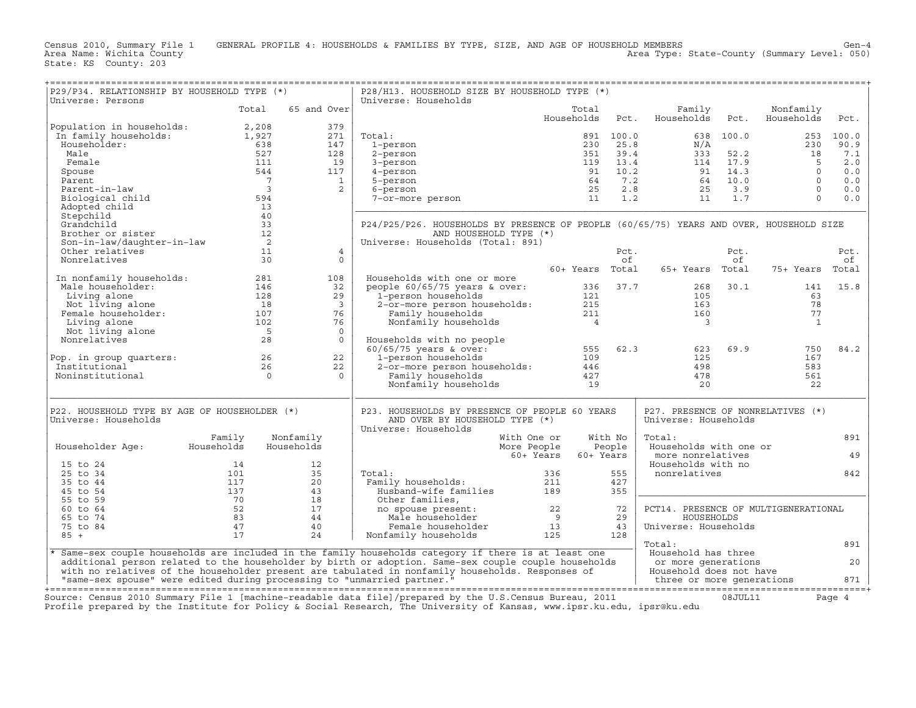Census 2010, Summary File 1 GENERAL PROFILE 4: HOUSEHOLDS & FAMILIES BY TYPE, SIZE, AND AGE OF HOUSEHOLD MEMBERS Gen−4<br>Area Name: Wichita County Level: 050) Area Type: State-County (Summary Level: 050) Area Type: State−County (Summary Level: 050)

|P29/P34. RELATIONSHIP BY HOUSEHOLD TYPE (\*) | P28/H13. HOUSEHOLD SIZE BY HOUSEHOLD TYPE (\*) | |Universe: Persons | Universe: Households | | Total 65 and Over| Total Family Nonfamily | | | Households Pct. Households Pct. Households Pct. | |Population in households: 2,208 379 | | | In family households: 1,927 271 | Total: 891 100.0 638 100.0 253 100.0 | | Householder: 638 147 | 1−person 230 25.8 N/A 230 90.9 | | Male 527 128 | 2−person 351 39.4 333 52.2 18 7.1 | | Female 111 19 | 3−person 119 13.4 114 17.9 5 2.0 | | Spouse 544 117 | 4−person 91 10.2 91 14.3 0 0.0 | | Parent 7 1 | 5−person 64 7.2 64 10.0 0 0.0 | | Parent−in−law 3 2 | 6−person 25 2.8 25 3.9 0 0.0 | | Biological child 594 | 7−or−more person 11 1.2 11 1.7 0 0.0 | | Adopted child 13 |\_\_\_\_\_\_\_\_\_\_\_\_\_\_\_\_\_\_\_\_\_\_\_\_\_\_\_\_\_\_\_\_\_\_\_\_\_\_\_\_\_\_\_\_\_\_\_\_\_\_\_\_\_\_\_\_\_\_\_\_\_\_\_\_\_\_\_\_\_\_\_\_\_\_\_\_\_\_\_\_\_\_\_\_\_\_\_\_\_\_\_\_| | Stepchild 40 | | | Grandchild 33 | P24/P25/P26. HOUSEHOLDS BY PRESENCE OF PEOPLE (60/65/75) YEARS AND OVER, HOUSEHOLD SIZE | | Brother or sister 12 | AND HOUSEHOLD TYPE (\*) | | Son−in−law/daughter−in−law 2 | Universe: Households (Total: 891) | | Other relatives 11 4 | Pct. Pct. Pct. | | Nonrelatives 30 0 | of of of | | | 60+ Years Total 65+ Years Total 75+ Years Total | | In nonfamily households: 281 108 | Households with one or more | | Male householder: 146 32 | people 60/65/75 years & over: 336 37.7 268 30.1 141 15.8 | | Living alone 128 29 | 1−person households 121 105 63 | | Not living alone 18 3 | 2−or−more person households: 215 163 78 | | Female householder: 107 76 | Family households 211 160 77 | | Living alone 102 76 | Nonfamily households 4 3 1 | | Not living alone 5 0 | | | Nonrelatives 28 0 | Households with no people | | | 60/65/75 years & over: 555 62.3 623 69.9 750 84.2 | |Pop. in group quarters: 26 22 | 1−person households 109 125 167 | | Institutional 26 22 | 2−or−more person households: 446 498 583 | | Noninstitutional 0 0 | Family households 427 478 561 | | | Nonfamily households 19 20 22 | |\_\_\_\_\_\_\_\_\_\_\_\_\_\_\_\_\_\_\_\_\_\_\_\_\_\_\_\_\_\_\_\_\_\_\_\_\_\_\_\_\_\_\_\_\_\_\_\_\_\_\_\_\_\_|\_\_\_\_\_\_\_\_\_\_\_\_\_\_\_\_\_\_\_\_\_\_\_\_\_\_\_\_\_\_\_\_\_\_\_\_\_\_\_\_\_\_\_\_\_\_\_\_\_\_\_\_\_\_\_\_\_\_\_\_\_\_\_\_\_\_\_\_\_\_\_\_\_\_\_\_\_\_\_\_\_\_\_\_\_\_\_\_\_\_\_\_| | | | | |P22. HOUSEHOLD TYPE BY AGE OF HOUSEHOLDER (\*) | P23. HOUSEHOLDS BY PRESENCE OF PEOPLE 60 YEARS | P27. PRESENCE OF NONRELATIVES (\*) | |Universe: Households | AND OVER BY HOUSEHOLD TYPE (\*) | Universe: Households | | | Universe: Households | | | Family Nonfamily | With One or With No | Total: 891 | | Householder Age: Households Households | More People People | Households with one or | | | 60+ Years 60+ Years | more nonrelatives 49 | | 15 to 24 14 12 | | Households with no | | 25 to 34 101 35 | Total: 336 555 | nonrelatives 842 | | 35 to 44 117 20 | Family households: 211 427 | | | 45 to 54 137 43 | Husband−wife families 189 355 |\_\_\_\_\_\_\_\_\_\_\_\_\_\_\_\_\_\_\_\_\_\_\_\_\_\_\_\_\_\_\_\_\_\_\_\_\_\_\_\_\_| | 55 to 59 70 18 | Other families, | | | 60 to 64 52 17 | no spouse present: 22 72 | PCT14. PRESENCE OF MULTIGENERATIONAL | | 65 to 74 83 44 | Male householder 9 29 | HOUSEHOLDS | | 75 to 84 47 40 | Female householder 13 43 | Universe: Households | | 85 + 17 24 | Nonfamily households 125 128 | | |\_\_\_\_\_\_\_\_\_\_\_\_\_\_\_\_\_\_\_\_\_\_\_\_\_\_\_\_\_\_\_\_\_\_\_\_\_\_\_\_\_\_\_\_\_\_\_\_\_\_\_\_\_\_\_\_\_\_\_\_\_\_\_\_\_\_\_\_\_\_\_\_\_\_\_\_\_\_\_\_\_\_\_\_\_\_\_\_\_\_\_\_\_\_\_\_\_\_\_\_\_\_\_\_\_| Total: 891 | |\* Same−sex couple households are included in the family households category if there is at least one | Household has three | | additional person related to the householder by birth or adoption. Same−sex couple couple households | or more generations 20 | | with no relatives of the householder present are tabulated in nonfamily households. Responses of | Household does not have | | "same−sex spouse" were edited during processing to "unmarried partner." | three or more generations 871 | +===================================================================================================================================================+Source: Census 2010 Summary File 1 [machine−readable data file]/prepared by the U.S.Census Bureau, 2011 08JUL11 Page 4

+===================================================================================================================================================+

Profile prepared by the Institute for Policy & Social Research, The University of Kansas, www.ipsr.ku.edu, ipsr@ku.edu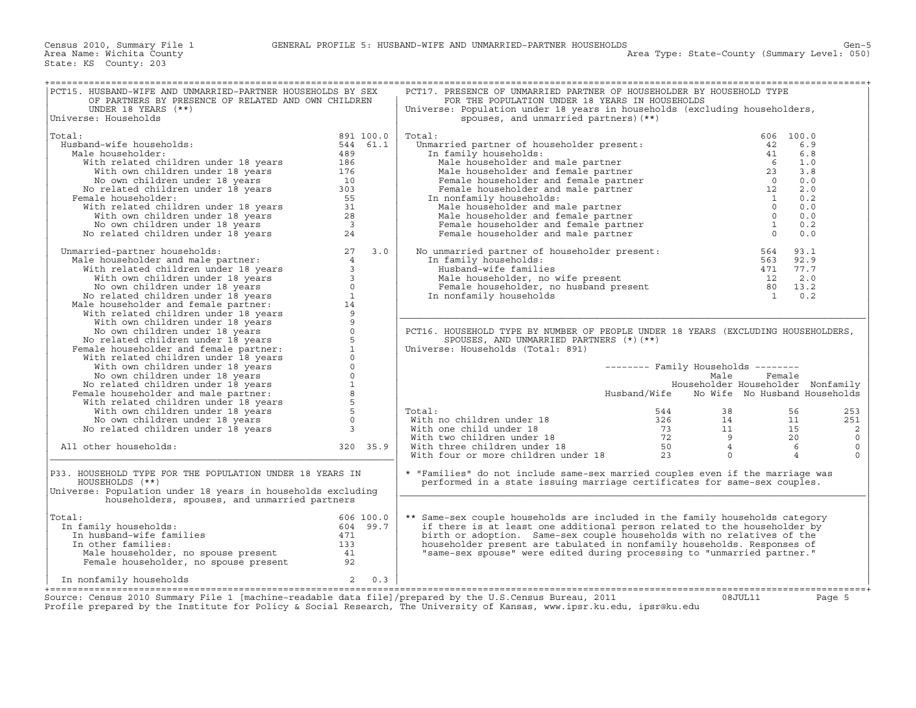| PCT15. HUSBAND-WIFE AND UNMARRIED-PARTNER HOUSEHOLDS BY SEX<br>OF PARTNERS BY PRESENCE OF RELATED AND OWN CHILDREN                                                                                                                                                          |           | PCT17. PRESENCE OF UNMARRIED PARTNER OF HOUSEHOLDER BY HOUSEHOLD TYPE<br>FOR THE POPULATION UNDER 18 YEARS IN HOUSEHOLDS                                                                                                                                   |              |                                     |                |             |
|-----------------------------------------------------------------------------------------------------------------------------------------------------------------------------------------------------------------------------------------------------------------------------|-----------|------------------------------------------------------------------------------------------------------------------------------------------------------------------------------------------------------------------------------------------------------------|--------------|-------------------------------------|----------------|-------------|
| UNDER 18 YEARS (**)                                                                                                                                                                                                                                                         |           | Universe: Population under 18 years in households (excluding householders,                                                                                                                                                                                 |              |                                     |                |             |
| Universe: Households                                                                                                                                                                                                                                                        |           | spouses, and unmarried partners) (**)                                                                                                                                                                                                                      |              |                                     |                |             |
|                                                                                                                                                                                                                                                                             |           |                                                                                                                                                                                                                                                            |              |                                     |                |             |
| Total:                                                                                                                                                                                                                                                                      | 891 100.0 | Total:<br>otal:<br>Unmarried partner of householder present:<br>12<br>In family households:<br>Male householder and male partner<br>12<br>Male householder and female partner<br>Pemale householder and female partner<br>12<br>Pemale householder and mal |              |                                     | 606 100.0      |             |
| Husband-wife households:                                                                                                                                                                                                                                                    | 544 61.1  |                                                                                                                                                                                                                                                            |              |                                     | 6.9            |             |
| Male householder:                                                                                                                                                                                                                                                           | 489       |                                                                                                                                                                                                                                                            |              |                                     | 6.8            |             |
|                                                                                                                                                                                                                                                                             |           |                                                                                                                                                                                                                                                            |              |                                     | 1.0            |             |
|                                                                                                                                                                                                                                                                             |           |                                                                                                                                                                                                                                                            |              |                                     | 3.8            |             |
|                                                                                                                                                                                                                                                                             |           |                                                                                                                                                                                                                                                            |              |                                     | 0.0            |             |
|                                                                                                                                                                                                                                                                             |           |                                                                                                                                                                                                                                                            |              |                                     | 2.0            |             |
| Female householder:                                                                                                                                                                                                                                                         |           | In nonfamily households:                                                                                                                                                                                                                                   |              | $\mathbf{1}$                        | 0.2            |             |
|                                                                                                                                                                                                                                                                             |           | Male householder and male partner                                                                                                                                                                                                                          |              | $\overline{0}$                      | 0.0            |             |
|                                                                                                                                                                                                                                                                             |           | Male householder and female partner                                                                                                                                                                                                                        |              | $\overline{0}$                      | 0.0            |             |
|                                                                                                                                                                                                                                                                             |           | Female householder and female partner                                                                                                                                                                                                                      |              | $\overline{1}$                      | 0.2            |             |
| ale householder:<br>With related children under 18 years<br>With own children under 18 years<br>No with own children under 18 years<br>No related children under 18 years<br>10<br>No related children under 18 years<br>With related childr                                |           | Female householder and male partner                                                                                                                                                                                                                        |              | $\overline{0}$                      | 0.0            |             |
| Montride partner households:<br>Manarried-partner households:<br>Male householder and male partner:<br>With related children under 18 years<br>With own children under 18 years<br>No related children under 18 years<br>No related childr<br>Unmarried-partner households: | 3.0       | No unmarried partner of householder present:                                                                                                                                                                                                               |              | 564                                 | 93.1           |             |
|                                                                                                                                                                                                                                                                             |           | In family households:                                                                                                                                                                                                                                      |              |                                     |                |             |
|                                                                                                                                                                                                                                                                             |           |                                                                                                                                                                                                                                                            |              |                                     |                |             |
|                                                                                                                                                                                                                                                                             |           | n maily households:<br>Husband-wife families<br>Male householder, no wife present<br>Female householder, no husband present<br>The same state of the second of the second of the second of the second of the second of the second of t                     |              |                                     |                |             |
|                                                                                                                                                                                                                                                                             |           |                                                                                                                                                                                                                                                            |              |                                     |                |             |
|                                                                                                                                                                                                                                                                             |           |                                                                                                                                                                                                                                                            |              |                                     |                |             |
|                                                                                                                                                                                                                                                                             |           | In nonfamily households                                                                                                                                                                                                                                    |              |                                     |                |             |
|                                                                                                                                                                                                                                                                             |           |                                                                                                                                                                                                                                                            |              |                                     |                |             |
|                                                                                                                                                                                                                                                                             |           |                                                                                                                                                                                                                                                            |              |                                     |                |             |
|                                                                                                                                                                                                                                                                             |           |                                                                                                                                                                                                                                                            |              |                                     |                |             |
|                                                                                                                                                                                                                                                                             |           | PCT16. HOUSEHOLD TYPE BY NUMBER OF PEOPLE UNDER 18 YEARS (EXCLUDING HOUSEHOLDERS,                                                                                                                                                                          |              |                                     |                |             |
|                                                                                                                                                                                                                                                                             |           | SPOUSES, AND UNMARRIED PARTNERS (*) (**)                                                                                                                                                                                                                   |              |                                     |                |             |
|                                                                                                                                                                                                                                                                             |           | Universe: Households (Total: 891)                                                                                                                                                                                                                          |              |                                     |                |             |
|                                                                                                                                                                                                                                                                             |           |                                                                                                                                                                                                                                                            |              |                                     |                |             |
|                                                                                                                                                                                                                                                                             |           |                                                                                                                                                                                                                                                            |              | $------$ Family Households $------$ |                |             |
|                                                                                                                                                                                                                                                                             |           |                                                                                                                                                                                                                                                            |              | Male                                | Female         |             |
|                                                                                                                                                                                                                                                                             |           |                                                                                                                                                                                                                                                            |              | Householder Householder Nonfamily   |                |             |
|                                                                                                                                                                                                                                                                             |           |                                                                                                                                                                                                                                                            | Husband/Wife | No Wife No Husband Households       |                |             |
|                                                                                                                                                                                                                                                                             |           |                                                                                                                                                                                                                                                            |              |                                     |                |             |
|                                                                                                                                                                                                                                                                             |           | Total:                                                                                                                                                                                                                                                     | 544          | 38                                  | 56             | 253         |
|                                                                                                                                                                                                                                                                             |           |                                                                                                                                                                                                                                                            |              |                                     |                | 251         |
|                                                                                                                                                                                                                                                                             |           |                                                                                                                                                                                                                                                            |              |                                     |                | 2           |
|                                                                                                                                                                                                                                                                             |           |                                                                                                                                                                                                                                                            |              |                                     |                | $\mathbf 0$ |
| All other households:                                                                                                                                                                                                                                                       | 320 35.9  |                                                                                                                                                                                                                                                            |              |                                     |                | $\circ$     |
|                                                                                                                                                                                                                                                                             |           | 544<br>With no children under 18<br>With one child under 18<br>With two children under 18<br>The Vietnam of the Children under 18<br>With four or more children under 18<br>23                                                                             |              | $\Omega$                            | $\overline{4}$ | $\Omega$    |
| P33. HOUSEHOLD TYPE FOR THE POPULATION UNDER 18 YEARS IN                                                                                                                                                                                                                    |           | * "Families" do not include same-sex married couples even if the marriage was                                                                                                                                                                              |              |                                     |                |             |
| HOUSEHOLDS (**)                                                                                                                                                                                                                                                             |           | performed in a state issuing marriage certificates for same-sex couples.                                                                                                                                                                                   |              |                                     |                |             |
| Universe: Population under 18 years in households excluding                                                                                                                                                                                                                 |           |                                                                                                                                                                                                                                                            |              |                                     |                |             |
| householders, spouses, and unmarried partners                                                                                                                                                                                                                               |           |                                                                                                                                                                                                                                                            |              |                                     |                |             |
| Total:                                                                                                                                                                                                                                                                      | 606 100.0 |                                                                                                                                                                                                                                                            |              |                                     |                |             |
|                                                                                                                                                                                                                                                                             |           | ** Same-sex couple households are included in the family households category                                                                                                                                                                               |              |                                     |                |             |
| In family households:                                                                                                                                                                                                                                                       | 604 99.7  | if there is at least one additional person related to the householder by                                                                                                                                                                                   |              |                                     |                |             |
| In husband-wife families                                                                                                                                                                                                                                                    | 471       | birth or adoption. Same-sex couple households with no relatives of the                                                                                                                                                                                     |              |                                     |                |             |
| In other families:                                                                                                                                                                                                                                                          | 133       | householder present are tabulated in nonfamily households. Responses of                                                                                                                                                                                    |              |                                     |                |             |
| n other ramilles:<br>Male householder, no spouse present all<br>Female householder, no spouse present 92                                                                                                                                                                    |           | "same-sex spouse" were edited during processing to "unmarried partner."                                                                                                                                                                                    |              |                                     |                |             |
|                                                                                                                                                                                                                                                                             |           |                                                                                                                                                                                                                                                            |              |                                     |                |             |
| In nonfamily households                                                                                                                                                                                                                                                     | 2<br>0.3  |                                                                                                                                                                                                                                                            |              |                                     |                |             |
| Source: Census 2010 Summary File 1 [machine-readable data file]/prepared by the U.S.Census Bureau, 2011                                                                                                                                                                     |           |                                                                                                                                                                                                                                                            |              | 08JUL11                             |                | Page 5      |
| Profile prepared by the Institute for Policy & Social Research, The University of Kansas, www.ipsr.ku.edu, ipsr@ku.edu                                                                                                                                                      |           |                                                                                                                                                                                                                                                            |              |                                     |                |             |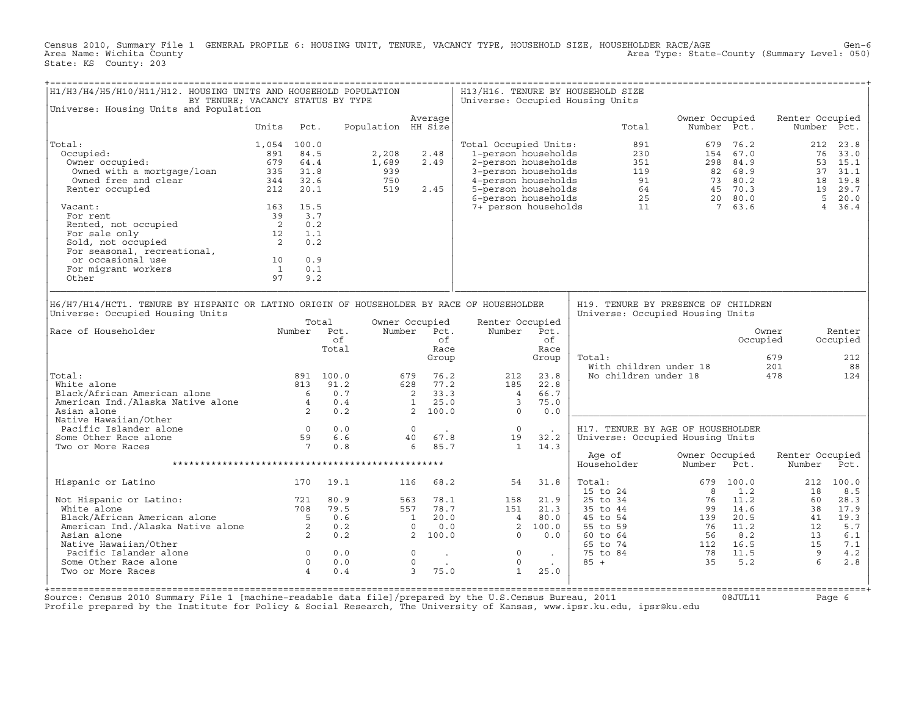Census 2010, Summary File 1 GENERAL PROFILE 6: HOUSING UNIT, TENURE, VACANCY TYPE, HOUSEHOLD SIZE, HOUSEHOLDER RACE/AGE Gen−6<br>Area Name: Wichita County Level: 050) Area Type: State-County (Summary Level: 050) State: KS County: 203

| H1/H3/H4/H5/H10/H11/H12. HOUSING UNITS AND HOUSEHOLD POPULATION<br>BY TENURE; VACANCY STATUS BY TYPE                                                                       |                            |                                        |                                                                               |                    |                                                                            |                                              | Universe: Occupied Housing Units                                                                        |                                                                    | H13/H16. TENURE BY HOUSEHOLD SIZE                                                            |                                                                                                                                    |              |                                        |                                        |
|----------------------------------------------------------------------------------------------------------------------------------------------------------------------------|----------------------------|----------------------------------------|-------------------------------------------------------------------------------|--------------------|----------------------------------------------------------------------------|----------------------------------------------|---------------------------------------------------------------------------------------------------------|--------------------------------------------------------------------|----------------------------------------------------------------------------------------------|------------------------------------------------------------------------------------------------------------------------------------|--------------|----------------------------------------|----------------------------------------|
| Universe: Housing Units and Population                                                                                                                                     |                            |                                        |                                                                               |                    |                                                                            |                                              |                                                                                                         |                                                                    |                                                                                              |                                                                                                                                    |              |                                        |                                        |
|                                                                                                                                                                            | Units                      | Pct.                                   |                                                                               | Population HH Size | Average                                                                    |                                              |                                                                                                         |                                                                    | Total                                                                                        | Owner Occupied<br>Number Pct.                                                                                                      |              | Renter Occupied                        | Number Pct.                            |
| Total:                                                                                                                                                                     | 1,054 100.0                |                                        |                                                                               |                    |                                                                            |                                              | Total Occupied Units:                                                                                   |                                                                    | 891                                                                                          | 679                                                                                                                                | 76.2         | 212                                    | 23.8                                   |
| Occupied:                                                                                                                                                                  | 891                        | 84.5                                   |                                                                               | 2,208              | 2.48                                                                       |                                              | 1-person households                                                                                     |                                                                    | 230                                                                                          |                                                                                                                                    | 154 67.0     |                                        | 76<br>33.0                             |
| Owner occupied:                                                                                                                                                            | 679 64.4                   |                                        |                                                                               | 1,689              | 2.49                                                                       |                                              | 2-person households                                                                                     |                                                                    | 351                                                                                          |                                                                                                                                    | 298 84.9     |                                        | 53 15.1                                |
| Owned with a mortgage/loan                                                                                                                                                 | 335 31.8                   |                                        |                                                                               | 939                |                                                                            |                                              | 3-person households                                                                                     |                                                                    |                                                                                              |                                                                                                                                    |              |                                        | 37<br>31.1                             |
| Owned free and clear                                                                                                                                                       | 344 32.6                   |                                        |                                                                               | 750                |                                                                            |                                              | 4-person households                                                                                     |                                                                    |                                                                                              |                                                                                                                                    |              |                                        | 18 19.8                                |
| Renter occupied                                                                                                                                                            | 212 20.1                   |                                        |                                                                               | 519                | 2.45                                                                       |                                              | 5-person households                                                                                     |                                                                    |                                                                                              |                                                                                                                                    |              |                                        | 19 29.7                                |
|                                                                                                                                                                            |                            |                                        |                                                                               |                    |                                                                            |                                              | 6-person households                                                                                     |                                                                    |                                                                                              | $\begin{array}{cccc} 119 & & 82 & 68.9 \\ 91 & & 73 & 80.2 \\ 64 & & 45 & 70.3 \\ 25 & & 20 & 80.0 \\ 11 & & 7 & 63.6 \end{array}$ |              |                                        | 5<br>20.0                              |
| Vacant:                                                                                                                                                                    | 163 15.5                   |                                        |                                                                               |                    |                                                                            |                                              | 7+ person households                                                                                    |                                                                    |                                                                                              |                                                                                                                                    |              |                                        | $4\overline{ }$<br>36.4                |
| For rent                                                                                                                                                                   | 39 3.7                     |                                        |                                                                               |                    |                                                                            |                                              |                                                                                                         |                                                                    |                                                                                              |                                                                                                                                    |              |                                        |                                        |
| Rented, not occupied                                                                                                                                                       | $\overline{\mathbf{c}}$    | 0.2                                    |                                                                               |                    |                                                                            |                                              |                                                                                                         |                                                                    |                                                                                              |                                                                                                                                    |              |                                        |                                        |
| For sale only                                                                                                                                                              | 12                         | 1.1                                    |                                                                               |                    |                                                                            |                                              |                                                                                                         |                                                                    |                                                                                              |                                                                                                                                    |              |                                        |                                        |
| ror saie only<br>Sold, not occupied<br>For seasonal, recreational,                                                                                                         | $\overline{\phantom{a}}$ 2 | 0.2                                    |                                                                               |                    |                                                                            |                                              |                                                                                                         |                                                                    |                                                                                              |                                                                                                                                    |              |                                        |                                        |
|                                                                                                                                                                            |                            |                                        |                                                                               |                    |                                                                            |                                              |                                                                                                         |                                                                    |                                                                                              |                                                                                                                                    |              |                                        |                                        |
| or occasional use                                                                                                                                                          | 10                         | 0.9                                    |                                                                               |                    |                                                                            |                                              |                                                                                                         |                                                                    |                                                                                              |                                                                                                                                    |              |                                        |                                        |
| For migrant workers                                                                                                                                                        | $\mathbf{1}$               | 0.1                                    |                                                                               |                    |                                                                            |                                              |                                                                                                         |                                                                    |                                                                                              |                                                                                                                                    |              |                                        |                                        |
| Other                                                                                                                                                                      | 97                         | 9.2                                    |                                                                               |                    |                                                                            |                                              |                                                                                                         |                                                                    |                                                                                              |                                                                                                                                    |              |                                        |                                        |
| Universe: Occupied Housing Units<br>Race of Householder<br>Total:<br>White alone<br>Black/African American alone 6<br>American Ind./Alaska Native alone 4<br>Asian alone 2 |                            | 813                                    | Total<br>Number Pct.<br>of<br>Total<br>891 100.0<br>91.2<br>0.7<br>0.4<br>0.2 |                    | Owner Occupied<br>Number Pct.<br>679<br>628<br>2<br>$1 \t 25.0$<br>2 100.0 | of.<br>Race<br>Group<br>76.2<br>77.2<br>33.3 | Renter Occupied<br>Number<br>212<br>185<br>$\overline{4}$<br>$\overline{\phantom{a}}$<br>$\overline{0}$ | Pct.<br>of<br>Race<br>Group<br>23.8<br>22.8<br>66.7<br>75.0<br>0.0 | Universe: Occupied Housing Units<br>Total:<br>With children under 18<br>No children under 18 |                                                                                                                                    |              | Owner<br>Occupied<br>679<br>201<br>478 | Renter<br>Occupied<br>212<br>88<br>124 |
| Native Hawaiian/Other<br>Pacific Islander alone                                                                                                                            |                            |                                        | 0.0                                                                           |                    | $\Omega$                                                                   |                                              | $\overline{0}$                                                                                          |                                                                    | H17. TENURE BY AGE OF HOUSEHOLDER                                                            |                                                                                                                                    |              |                                        |                                        |
| Some Other Race alone                                                                                                                                                      |                            | $\begin{array}{c} 0 \\ 59 \end{array}$ | 6.6                                                                           |                    | 40                                                                         | 67.8                                         | 19                                                                                                      | 32.2                                                               | Universe: Occupied Housing Units                                                             |                                                                                                                                    |              |                                        |                                        |
| Two or More Races                                                                                                                                                          |                            | $7\overline{ }$                        | 0.8                                                                           |                    | 6                                                                          | 85.7                                         | $\mathbf{1}$                                                                                            | 14.3                                                               |                                                                                              |                                                                                                                                    |              |                                        |                                        |
|                                                                                                                                                                            |                            |                                        |                                                                               |                    |                                                                            |                                              |                                                                                                         |                                                                    | Age of<br>Householder                                                                        | Owner Occupied<br>Number                                                                                                           | Pct.         | Renter Occupied<br>Number              | Pct.                                   |
|                                                                                                                                                                            |                            |                                        |                                                                               |                    |                                                                            |                                              |                                                                                                         |                                                                    |                                                                                              |                                                                                                                                    |              |                                        |                                        |
| Hispanic or Latino                                                                                                                                                         |                            | 170                                    | 19.1                                                                          |                    | 116                                                                        | 68.2                                         | 54                                                                                                      | 31.8                                                               | Total:<br>15 to 24                                                                           | 679<br>8                                                                                                                           | 100.0<br>1.2 | 212<br>18                              | 100.0<br>8.5                           |
| Not Hispanic or Latino:                                                                                                                                                    |                            | 721                                    | 80.9                                                                          |                    | 563                                                                        | 78.1                                         | 158                                                                                                     | 21.9                                                               | 25 to 34                                                                                     | 76                                                                                                                                 | 11.2         | 60                                     | 28.3                                   |
| White alone                                                                                                                                                                |                            |                                        | 79.5                                                                          |                    | 557                                                                        | 78.7                                         | 151                                                                                                     | 21.3                                                               | 35 to 44                                                                                     | 99                                                                                                                                 | 14.6         | 38                                     | 17.9                                   |
|                                                                                                                                                                            |                            |                                        | 0.6                                                                           |                    | $\mathbf{1}$                                                               | 20.0                                         | $\frac{4}{3}$                                                                                           | 80.0                                                               | 45 to 54                                                                                     | 139                                                                                                                                | 20.5         | 41                                     | 19.3                                   |
|                                                                                                                                                                            |                            |                                        | 0.2                                                                           |                    | $\Omega$                                                                   | 0.0                                          | 2                                                                                                       | 100.0                                                              | 55 to 59                                                                                     | 76                                                                                                                                 | 11.2         | 12                                     | 5.7                                    |
| White alone<br>Black/African American alone 5<br>American Ind./Alaska Native alone 2<br>2                                                                                  |                            |                                        | 0.2                                                                           |                    | 2, 100.0                                                                   |                                              | $\Omega$                                                                                                | 0.0                                                                | 60 to 64                                                                                     | 56                                                                                                                                 | 8.2          | 13                                     | 6.1                                    |
| Native Hawaiian/Other                                                                                                                                                      |                            |                                        |                                                                               |                    |                                                                            |                                              |                                                                                                         |                                                                    | 65 to 74                                                                                     | 112 16.5                                                                                                                           |              | 15                                     | 7.1                                    |
| Pacific Islander alone                                                                                                                                                     |                            | $\overline{\phantom{a}}$               | 0.0                                                                           |                    | $\Omega$                                                                   | $\sim$                                       | $\Omega$                                                                                                | $\sim 100$ km s $^{-1}$                                            | 75 to 84                                                                                     | $78$ 11.5<br>35 5.2                                                                                                                |              | $\overline{9}$<br>$6^{\circ}$          | 4.2                                    |
| Some Other Race alone                                                                                                                                                      |                            | $\overline{0}$                         | 0.0                                                                           |                    | $\mathbb O$                                                                |                                              | $\circ$                                                                                                 | $\sim 100$                                                         | $85 +$                                                                                       | 3.5                                                                                                                                | 5.2          |                                        | 2.8                                    |
| Two or More Races                                                                                                                                                          |                            | $\overline{4}$                         | 0.4                                                                           |                    | 3                                                                          | 75.0                                         | $\mathbf{1}$                                                                                            | 25.0                                                               |                                                                                              |                                                                                                                                    |              |                                        |                                        |

+===================================================================================================================================================+ Source: Census 2010 Summary File 1 [machine−readable data file]/prepared by the U.S.Census Bureau, 2011 08JUL11 Page 6 Profile prepared by the Institute for Policy & Social Research, The University of Kansas, www.ipsr.ku.edu, ipsr@ku.edu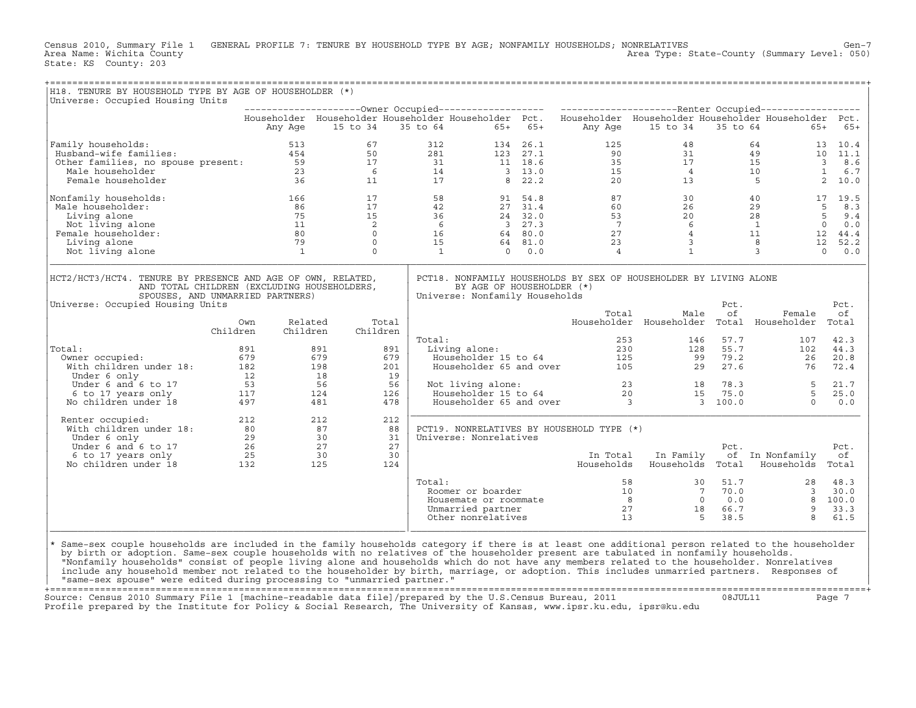Census 2010, Summary File 1 GENERAL PROFILE 7: TENURE BY HOUSEHOLD TYPE BY AGE; NONFAMILY HOUSEHOLDS; NONRELATIVES<br>Area Name: Wichita County Level: 050) Area Type: State-County (Summary Level: 050) Area Type: State-County (Summary Level: 050) State: KS County: 203

| H18. TENURE BY HOUSEHOLD TYPE BY AGE OF HOUSEHOLDER (*)                                                                                                                                                                                                                                    |                                                          |                          |                   |                                                                                                                                                                                           |                                                             |           |                                                                                                        |                                                                                                                                                                                                                                                                                                                        |                            |                                                                                                                                         |                   |
|--------------------------------------------------------------------------------------------------------------------------------------------------------------------------------------------------------------------------------------------------------------------------------------------|----------------------------------------------------------|--------------------------|-------------------|-------------------------------------------------------------------------------------------------------------------------------------------------------------------------------------------|-------------------------------------------------------------|-----------|--------------------------------------------------------------------------------------------------------|------------------------------------------------------------------------------------------------------------------------------------------------------------------------------------------------------------------------------------------------------------------------------------------------------------------------|----------------------------|-----------------------------------------------------------------------------------------------------------------------------------------|-------------------|
| Universe: Occupied Housing Units                                                                                                                                                                                                                                                           |                                                          |                          |                   |                                                                                                                                                                                           |                                                             |           |                                                                                                        |                                                                                                                                                                                                                                                                                                                        |                            |                                                                                                                                         |                   |
|                                                                                                                                                                                                                                                                                            |                                                          |                          |                   |                                                                                                                                                                                           |                                                             |           |                                                                                                        | Householder Householder Householder Householder Pct. Householder Householder Householder Householder Pct.                                                                                                                                                                                                              |                            |                                                                                                                                         |                   |
|                                                                                                                                                                                                                                                                                            | Any Age                                                  | 15 to 34                 |                   | 35 to 64                                                                                                                                                                                  |                                                             | $65+ 65+$ | Any Age                                                                                                | 15 to 34                                                                                                                                                                                                                                                                                                               |                            | 35 to 64                                                                                                                                | $65+ 65+$         |
|                                                                                                                                                                                                                                                                                            |                                                          |                          |                   |                                                                                                                                                                                           |                                                             |           |                                                                                                        |                                                                                                                                                                                                                                                                                                                        |                            |                                                                                                                                         |                   |
| Family households:<br>Family households: 513<br>Husband-wife families: 454<br>Other families, no spouse present: 59<br>Male householder 23<br>Female householder 36                                                                                                                        |                                                          | 67                       |                   |                                                                                                                                                                                           | 312                                                         |           | $\begin{array}{cccc} 134 & 26.1 & & & 125 \\ 123 & 27.1 & & & 90 \\ 11 & 18.6 & & & 35 \\ \end{array}$ | 48                                                                                                                                                                                                                                                                                                                     |                            |                                                                                                                                         |                   |
|                                                                                                                                                                                                                                                                                            |                                                          | 50                       |                   |                                                                                                                                                                                           |                                                             |           |                                                                                                        |                                                                                                                                                                                                                                                                                                                        |                            |                                                                                                                                         |                   |
|                                                                                                                                                                                                                                                                                            |                                                          | 17                       |                   | $281$<br>$31$<br>$14$<br>$17$                                                                                                                                                             |                                                             |           |                                                                                                        |                                                                                                                                                                                                                                                                                                                        | $\frac{31}{17}$<br>4<br>13 |                                                                                                                                         |                   |
|                                                                                                                                                                                                                                                                                            |                                                          | $6^{\circ}$              |                   |                                                                                                                                                                                           | $\begin{array}{c} 14 \\ 17 \end{array}$                     |           | $3 \t 13.0$<br>8 22.2                                                                                  | $\frac{15}{20}$                                                                                                                                                                                                                                                                                                        |                            |                                                                                                                                         |                   |
|                                                                                                                                                                                                                                                                                            |                                                          | 11                       |                   |                                                                                                                                                                                           |                                                             |           |                                                                                                        |                                                                                                                                                                                                                                                                                                                        |                            | $\begin{array}{ccccc} 64 & & & 13 & 10.4 \\ 49 & & & 10 & 11.1 \\ 15 & & & 3 & 8.6 \\ 10 & & & 1 & 6.7 \\ 5 & & & 2 & 10.0 \end{array}$ |                   |
| Nonfamily households:                                                                                                                                                                                                                                                                      | 166                                                      |                          |                   | $\begin{array}{cc} 17 & \phantom{0}58 \\ 17 & \phantom{0}42 \\ 15 & \phantom{0}36 \\ 2 & \phantom{0}6 \\ 0 & \phantom{0}16 \\ 0 & \phantom{0}5 \\ 0 & \phantom{0}1 \\ 0 \\ 1 \end{array}$ |                                                             |           |                                                                                                        | $\begin{array}{cccccc} 91 & 54.8 & & 87 & & 30 & & 40 & & 17 & 19.5 \\ 27 & 31.4 & & 60 & & 26 & & 29 & & 5 & 8.3 \\ 24 & 32.0 & & 53 & & 20 & & 28 & & 5 & 9.4 \\ 3 & 27.3 & & 7 & & 6 & & 1 & & 0 & 0.0 \\ 64 & 80.0 & & 27 & & 4 & & 11 & & 12 & 44.4 \\ 64 & 81.0 & & 23 & & 3 & & 8 & & 12 & 52.2 \\ 0 & 0.0 & &$ |                            |                                                                                                                                         |                   |
| Male householder:                                                                                                                                                                                                                                                                          |                                                          | 86                       |                   |                                                                                                                                                                                           |                                                             |           |                                                                                                        |                                                                                                                                                                                                                                                                                                                        |                            |                                                                                                                                         |                   |
| Living alone                                                                                                                                                                                                                                                                               | $\begin{array}{l} 75 \\ 11 \\ 80 \\ 79 \\ 1 \end{array}$ | $\frac{50}{75}$          |                   |                                                                                                                                                                                           |                                                             |           |                                                                                                        |                                                                                                                                                                                                                                                                                                                        |                            |                                                                                                                                         |                   |
| Not living alone                                                                                                                                                                                                                                                                           |                                                          | $\overline{\phantom{a}}$ |                   |                                                                                                                                                                                           |                                                             |           |                                                                                                        |                                                                                                                                                                                                                                                                                                                        |                            |                                                                                                                                         |                   |
| Female householder:                                                                                                                                                                                                                                                                        |                                                          | $\overline{0}$           |                   |                                                                                                                                                                                           |                                                             |           |                                                                                                        |                                                                                                                                                                                                                                                                                                                        |                            |                                                                                                                                         |                   |
| Living alone                                                                                                                                                                                                                                                                               |                                                          | $\overline{0}$           |                   |                                                                                                                                                                                           |                                                             |           |                                                                                                        |                                                                                                                                                                                                                                                                                                                        |                            |                                                                                                                                         |                   |
| Not living alone                                                                                                                                                                                                                                                                           |                                                          |                          |                   |                                                                                                                                                                                           | $0 \quad 0.0$                                               |           | $\overline{4}$                                                                                         | $\mathbf{1}$                                                                                                                                                                                                                                                                                                           |                            | $3^{\circ}$                                                                                                                             | $\bigcirc$<br>0.0 |
| HCT2/HCT3/HCT4. TENURE BY PRESENCE AND AGE OF OWN, RELATED,<br>AND TOTAL CHILDREN (EXCLUDING HOUSEHOLDERS,<br>SPOUSES, AND UNMARRIED PARTNERS)                                                                                                                                             |                                                          |                          |                   |                                                                                                                                                                                           | BY AGE OF HOUSEHOLDER (*)<br>Universe: Nonfamily Households |           |                                                                                                        | PCT18. NONFAMILY HOUSEHOLDS BY SEX OF HOUSEHOLDER BY LIVING ALONE                                                                                                                                                                                                                                                      | Pct.                       |                                                                                                                                         |                   |
| Universe: Occupied Housing Units                                                                                                                                                                                                                                                           |                                                          |                          |                   |                                                                                                                                                                                           |                                                             |           | Total                                                                                                  | Male                                                                                                                                                                                                                                                                                                                   | of                         | Female                                                                                                                                  | Pct.<br>of        |
|                                                                                                                                                                                                                                                                                            | Own<br>Children                                          | Related<br>Children      | Total<br>Children |                                                                                                                                                                                           |                                                             |           |                                                                                                        | Householder Householder Total Householder Total                                                                                                                                                                                                                                                                        |                            |                                                                                                                                         |                   |
|                                                                                                                                                                                                                                                                                            |                                                          |                          |                   | Total:                                                                                                                                                                                    |                                                             |           | 253                                                                                                    |                                                                                                                                                                                                                                                                                                                        | 146 57.7                   | 107                                                                                                                                     | 42.3              |
| Total:                                                                                                                                                                                                                                                                                     | 891                                                      | 891                      | 891               |                                                                                                                                                                                           | Living alone:                                               |           | ar:<br>hiving alone: 230<br>Householder 15 to 64 125<br>Householder 65 and over 105                    | 128                                                                                                                                                                                                                                                                                                                    | 55.7                       | 102                                                                                                                                     | 44.3              |
| Owner occupied:                                                                                                                                                                                                                                                                            |                                                          | 679                      | 679               |                                                                                                                                                                                           |                                                             |           |                                                                                                        | 99                                                                                                                                                                                                                                                                                                                     | 79.2                       | 26                                                                                                                                      | 20.8              |
| tal: 891<br>Owner occupied: 679<br>With children under 18: 182<br>Under 6 only 12<br>Under 6 and 6 to 17 53<br>6 to 17 years only 117<br>No children under 18 497                                                                                                                          |                                                          | 198                      | 201               |                                                                                                                                                                                           |                                                             |           |                                                                                                        | 29                                                                                                                                                                                                                                                                                                                     | 27.6                       | 76                                                                                                                                      | 72.4              |
|                                                                                                                                                                                                                                                                                            |                                                          | 18                       | 19                |                                                                                                                                                                                           |                                                             |           |                                                                                                        |                                                                                                                                                                                                                                                                                                                        |                            |                                                                                                                                         |                   |
|                                                                                                                                                                                                                                                                                            |                                                          | 56                       | 56                |                                                                                                                                                                                           | Not living alone:                                           |           |                                                                                                        | Not living alone:<br>Householder 15 to 64 20 15 75.0 5<br>Householder 65 and over 3 3 100.0 0                                                                                                                                                                                                                          |                            |                                                                                                                                         | 21.7              |
|                                                                                                                                                                                                                                                                                            |                                                          | 124                      | 126               |                                                                                                                                                                                           |                                                             |           |                                                                                                        |                                                                                                                                                                                                                                                                                                                        |                            |                                                                                                                                         | 25.0              |
|                                                                                                                                                                                                                                                                                            |                                                          | 481                      | 478               |                                                                                                                                                                                           |                                                             |           |                                                                                                        |                                                                                                                                                                                                                                                                                                                        |                            |                                                                                                                                         | 0.0               |
| Renter occupied:                                                                                                                                                                                                                                                                           |                                                          |                          | 212               |                                                                                                                                                                                           |                                                             |           |                                                                                                        |                                                                                                                                                                                                                                                                                                                        |                            |                                                                                                                                         |                   |
|                                                                                                                                                                                                                                                                                            |                                                          |                          | 88                |                                                                                                                                                                                           |                                                             |           | PCT19. NONRELATIVES BY HOUSEHOLD TYPE (*)                                                              |                                                                                                                                                                                                                                                                                                                        |                            |                                                                                                                                         |                   |
|                                                                                                                                                                                                                                                                                            |                                                          |                          | 31                |                                                                                                                                                                                           | Universe: Nonrelatives                                      |           |                                                                                                        |                                                                                                                                                                                                                                                                                                                        |                            |                                                                                                                                         |                   |
|                                                                                                                                                                                                                                                                                            |                                                          |                          | 27<br>30          |                                                                                                                                                                                           |                                                             |           | In Total                                                                                               | In Family                                                                                                                                                                                                                                                                                                              | Pct.                       | of In Nonfamily                                                                                                                         | Pct.<br>оf        |
|                                                                                                                                                                                                                                                                                            |                                                          |                          | 124               |                                                                                                                                                                                           |                                                             |           | Households                                                                                             | Households Total                                                                                                                                                                                                                                                                                                       |                            | Households Total                                                                                                                        |                   |
|                                                                                                                                                                                                                                                                                            |                                                          |                          |                   |                                                                                                                                                                                           |                                                             |           |                                                                                                        |                                                                                                                                                                                                                                                                                                                        |                            |                                                                                                                                         |                   |
|                                                                                                                                                                                                                                                                                            |                                                          |                          |                   | Total:                                                                                                                                                                                    | Roomer or boarder                                           |           |                                                                                                        |                                                                                                                                                                                                                                                                                                                        |                            |                                                                                                                                         |                   |
|                                                                                                                                                                                                                                                                                            |                                                          |                          |                   |                                                                                                                                                                                           | Housemate or roommate                                       |           |                                                                                                        |                                                                                                                                                                                                                                                                                                                        |                            |                                                                                                                                         |                   |
|                                                                                                                                                                                                                                                                                            |                                                          |                          |                   |                                                                                                                                                                                           | Unmarried partner                                           |           |                                                                                                        |                                                                                                                                                                                                                                                                                                                        |                            |                                                                                                                                         |                   |
|                                                                                                                                                                                                                                                                                            |                                                          |                          |                   |                                                                                                                                                                                           | Other nonrelatives                                          |           |                                                                                                        | 58 $\begin{array}{cccccc} 58 & & & 30 & 51.7 & & & 28 & 48.3 \\ 10 & & & 7 & 70.0 & & & 3 & 30.0 \\ 8 & & & 0 & 0.0 & & 8 & 100.0 \\ 27 & & & 18 & 66.7 & & 9 & 33.3 \\ 13 & & & 5 & 38.5 & & 8 & 61.5 \end{array}$                                                                                                    |                            |                                                                                                                                         |                   |
| $\star$                                                                                                                                                                                                                                                                                    |                                                          |                          |                   |                                                                                                                                                                                           |                                                             |           |                                                                                                        |                                                                                                                                                                                                                                                                                                                        |                            |                                                                                                                                         |                   |
| Same-sex couple households are included in the family households category if there is at least one additional person related to the householder<br>by birth or adoption. Same-sex couple households with no relatives of the householder present are tabulated in nonfamily households.    |                                                          |                          |                   |                                                                                                                                                                                           |                                                             |           |                                                                                                        |                                                                                                                                                                                                                                                                                                                        |                            |                                                                                                                                         |                   |
| "Nonfamily households" consist of people living alone and households which do not have any members related to the householder. Nonrelatives<br>include any household member not related to the householder by birth, marriage, or adoption. This includes unmarried partners. Responses of |                                                          |                          |                   |                                                                                                                                                                                           |                                                             |           |                                                                                                        |                                                                                                                                                                                                                                                                                                                        |                            |                                                                                                                                         |                   |
| "same-sex spouse" were edited during processing to "unmarried partner."                                                                                                                                                                                                                    |                                                          |                          |                   |                                                                                                                                                                                           |                                                             |           |                                                                                                        |                                                                                                                                                                                                                                                                                                                        |                            |                                                                                                                                         |                   |

+===================================================================================================================================================+Source: Census 2010 Summary File 1 [machine−readable data file]/prepared by the U.S.Census Bureau, 2011 08JUL11 Page 7 Profile prepared by the Institute for Policy & Social Research, The University of Kansas, www.ipsr.ku.edu, ipsr@ku.edu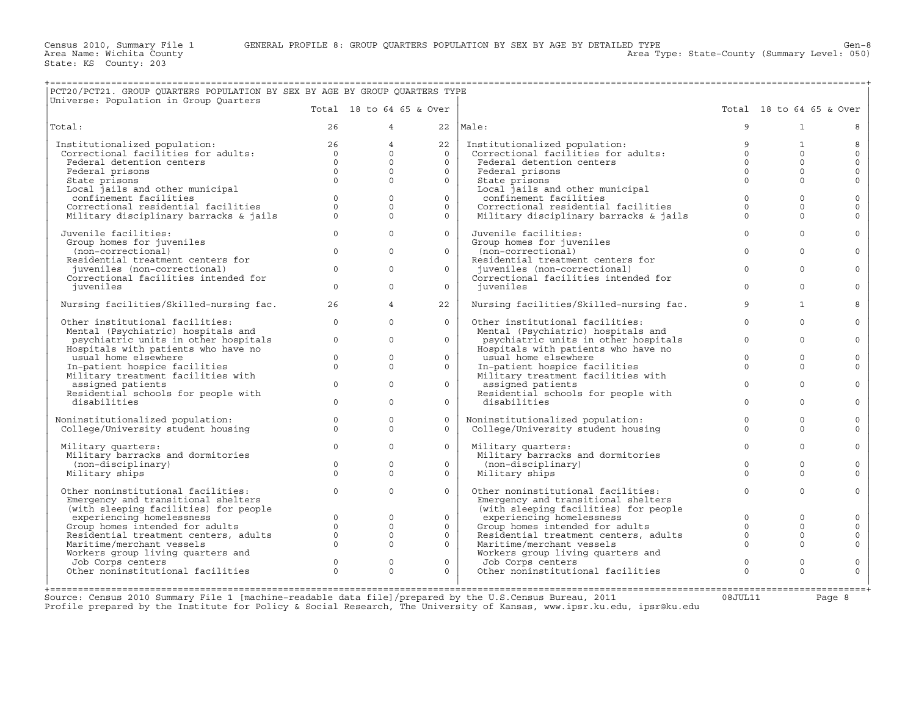+===================================================================================================================================================+

Area Type: State-County (Summary Level: 050)

| PCT20/PCT21. GROUP QUARTERS POPULATION BY SEX BY AGE BY GROUP QUARTERS TYPE<br>Universe: Population in Group Quarters |                                        |                                                            |                          |                                                                        |              |                          |                     |
|-----------------------------------------------------------------------------------------------------------------------|----------------------------------------|------------------------------------------------------------|--------------------------|------------------------------------------------------------------------|--------------|--------------------------|---------------------|
|                                                                                                                       |                                        |                                                            | Total 18 to 64 65 & Over |                                                                        |              | Total 18 to 64 65 & Over |                     |
| Total:                                                                                                                | 26                                     |                                                            | $4 \quad$                | $22$  Male:                                                            | 9            | $\mathbf{1}$             |                     |
| Institutionalized population:                                                                                         | $\begin{array}{c} 26 \\ 0 \end{array}$ | $\overline{4}$                                             | 22                       | Institutionalized population:                                          | 9            | $\mathbf{1}$             | 8                   |
| Correctional facilities for adults:                                                                                   |                                        | $\Omega$                                                   | $\Omega$                 | Institutionalized population:<br>Correctional facilities for adults:   | $\circ$      | $\Omega$                 | $\mathsf{O}\xspace$ |
| Federal detention centers                                                                                             | $\Omega$                               | $\Omega$                                                   | $\Omega$                 | Federal detention centers                                              | $\circ$      | $\mathbf{0}$             | $\mathbf{0}$        |
| Federal prisons                                                                                                       | $\Omega$                               | $\Omega$                                                   | $\Omega$                 | Federal prisons                                                        | $\Omega$     | $\Omega$                 | $\mathbf 0$         |
| State prisons                                                                                                         | $\Omega$                               | $\Omega$                                                   | $\Omega$                 | State prisons                                                          | $\Omega$     | $\Omega$                 | $\mathbf{0}$        |
| Local jails and other municipal                                                                                       |                                        |                                                            |                          | Local jails and other municipal                                        |              |                          |                     |
| confinement facilities                                                                                                | $\Omega$                               | $\Omega$                                                   | $\Omega$                 | confinement facilities                                                 | $\Omega$     | $\Omega$                 | $\mathbf 0$         |
| Correctional residential facilities                                                                                   | $\Omega$                               | $\Omega$                                                   | $\Omega$                 | Correctional residential facilities                                    | $\Omega$     | $\mathbf 0$              | $\mathsf{O}\xspace$ |
| Military disciplinary barracks & jails                                                                                | $\Omega$                               | $\Omega$                                                   | $\Omega$                 | Military disciplinary barracks & jails                                 | $\Omega$     | $\Omega$                 | $\Omega$            |
| Juvenile facilities:                                                                                                  | $\overline{0}$                         | $\Omega$                                                   | $\Omega$                 | Juvenile facilities:                                                   | $\Omega$     | $\Omega$                 | $\Omega$            |
| Group homes for juveniles                                                                                             |                                        |                                                            |                          | Group homes for juveniles                                              |              |                          |                     |
| (non-correctional)                                                                                                    | $\circ$                                | $\mathbf{0}$                                               | $\overline{0}$           | (non-correctional)                                                     | $\mathbf{0}$ | $\Omega$                 | $\mathbf 0$         |
| Residential treatment centers for                                                                                     |                                        |                                                            |                          | Residential treatment centers for                                      |              |                          |                     |
| juveniles (non-correctional)                                                                                          | $\Omega$                               | $\Omega$                                                   | $\Omega$                 | juveniles (non-correctional)                                           | $\Omega$     | $\Omega$                 | $\Omega$            |
| Correctional facilities intended for                                                                                  |                                        |                                                            |                          | Correctional facilities intended for                                   |              |                          |                     |
| juveniles                                                                                                             | $\circ$                                | $\Omega$                                                   | $\Omega$                 | juveniles                                                              | $\Omega$     | $\Omega$                 | $\Omega$            |
| Nursing facilities/Skilled-nursing fac.                                                                               | 26                                     | $\overline{4}$                                             | 22                       | Nursing facilities/Skilled-nursing fac.                                | 9            | $\mathbf{1}$             | 8                   |
| Other institutional facilities:                                                                                       | $\circ$                                | $\circ$                                                    | $\Omega$                 | Other institutional facilities:                                        | $\mathbf{0}$ | $\Omega$                 | $\mathbf 0$         |
| Mental (Psychiatric) hospitals and                                                                                    |                                        |                                                            |                          | Mental (Psychiatric) hospitals and                                     |              |                          |                     |
| psychiatric units in other hospitals                                                                                  | $\Omega$                               | $\Omega$                                                   | $\Omega$                 | psychiatric units in other hospitals                                   | $\Omega$     | $\Omega$                 | $\Omega$            |
| Hospitals with patients who have no                                                                                   |                                        |                                                            |                          | Hospitals with patients who have no                                    |              |                          |                     |
| usual home elsewhere                                                                                                  | $\circ$                                | $\Omega$                                                   | $\Omega$                 | usual home elsewhere                                                   | $\Omega$     | $\mathbf{0}$             | $\mathbf 0$         |
| In-patient hospice facilities                                                                                         | $\Omega$                               | $\Omega$                                                   | $\Omega$                 | In-patient hospice facilities                                          | $\Omega$     | $\Omega$                 | $\Omega$            |
| Military treatment facilities with                                                                                    |                                        |                                                            |                          | Military treatment facilities with                                     |              |                          |                     |
| assigned patients                                                                                                     | $\Omega$                               | $\Omega$                                                   | $\Omega$                 | assigned patients                                                      | $\Omega$     | $\Omega$                 | $\Omega$            |
| Residential schools for people with                                                                                   |                                        |                                                            |                          | Residential schools for people with                                    |              |                          |                     |
| disabilities                                                                                                          | $\Omega$                               | $\Omega$                                                   | $\Omega$                 | disabilities                                                           | $\Omega$     | $\Omega$                 | $\mathbf 0$         |
| Noninstitutionalized population:<br>College/University student housing                                                | $\circ$                                | $\mathbf{0}$                                               | $\circ$                  | Noninstitutionalized population:<br>College/University student housing | $\circ$      | $\mathbf 0$              | $\mathbf 0$         |
|                                                                                                                       | $\Omega$                               | $\Omega$                                                   | $\Omega$                 |                                                                        | $\Omega$     | $\Omega$                 | $\Omega$            |
| Military quarters:                                                                                                    | $\circ$                                | $\mathbf{0}$                                               | $\circ$                  | Military quarters:                                                     | $\circ$      | $\Omega$                 | $\circ$             |
| Military barracks and dormitories                                                                                     |                                        |                                                            |                          | Military barracks and dormitories                                      |              |                          |                     |
| (non-disciplinary)                                                                                                    | $\Omega$                               | $\Omega$                                                   | $\Omega$                 | (non-disciplinary)                                                     | $\Omega$     | $\Omega$                 | $\Omega$            |
| Military ships                                                                                                        | $\Omega$                               | $\Omega$                                                   | $\circ$                  | Military ships                                                         | $\Omega$     | $\Omega$                 | $\Omega$            |
| Other noninstitutional facilities:                                                                                    | $\circ$                                | $\mathbf{0}$                                               | $\Omega$                 | Other noninstitutional facilities:                                     | $\Omega$     | $\circ$                  | $\circ$             |
| Emergency and transitional shelters                                                                                   |                                        |                                                            |                          | Emergency and transitional shelters                                    |              |                          |                     |
| (with sleeping facilities) for people                                                                                 |                                        |                                                            |                          | (with sleeping facilities) for people                                  |              |                          |                     |
| experiencing homelessness                                                                                             |                                        | $\mathbf{0}$                                               | $\circ$                  | experiencing homelessness                                              | $\Omega$     | $\Omega$                 | $\mathbf 0$         |
| Group homes intended for adults                                                                                       |                                        | $\begin{array}{c} 0 \\ 0 \\ 0 \\ 0 \end{array}$<br>$\circ$ | $\Omega$                 | Group homes intended for adults                                        | $\Omega$     | $\mathsf{O}\xspace$      | $\mathbf 0$         |
| Residential treatment centers, adults                                                                                 |                                        | $\Omega$                                                   | $\Omega$                 | Residential treatment centers, adults                                  | $\Omega$     | $\Omega$                 | $\mathbf 0$         |
| Maritime/merchant vessels                                                                                             |                                        | $\Omega$                                                   | $\Omega$                 | Maritime/merchant vessels                                              | $\mathbf 0$  | $\Omega$                 | $\mathbf 0$         |
| Workers group living quarters and                                                                                     |                                        |                                                            |                          | Workers group living quarters and                                      |              |                          |                     |
| Job Corps centers                                                                                                     | $\Omega$                               | $\Omega$                                                   | $\Omega$                 | Job Corps centers                                                      | $\Omega$     | $\Omega$                 | $\mathbf 0$         |
| Other noninstitutional facilities                                                                                     | $\Omega$                               | $\Omega$                                                   | $\Omega$                 | Other noninstitutional facilities                                      | $\Omega$     | $\Omega$                 | $\mathbf 0$         |
|                                                                                                                       |                                        |                                                            |                          |                                                                        |              |                          |                     |
|                                                                                                                       |                                        |                                                            |                          |                                                                        |              |                          |                     |

Source: Census 2010 Summary File 1 [machine−readable data file]/prepared by the U.S.Census Bureau, 2011 08JUL11 Page 8 Profile prepared by the Institute for Policy & Social Research, The University of Kansas, www.ipsr.ku.edu, ipsr@ku.edu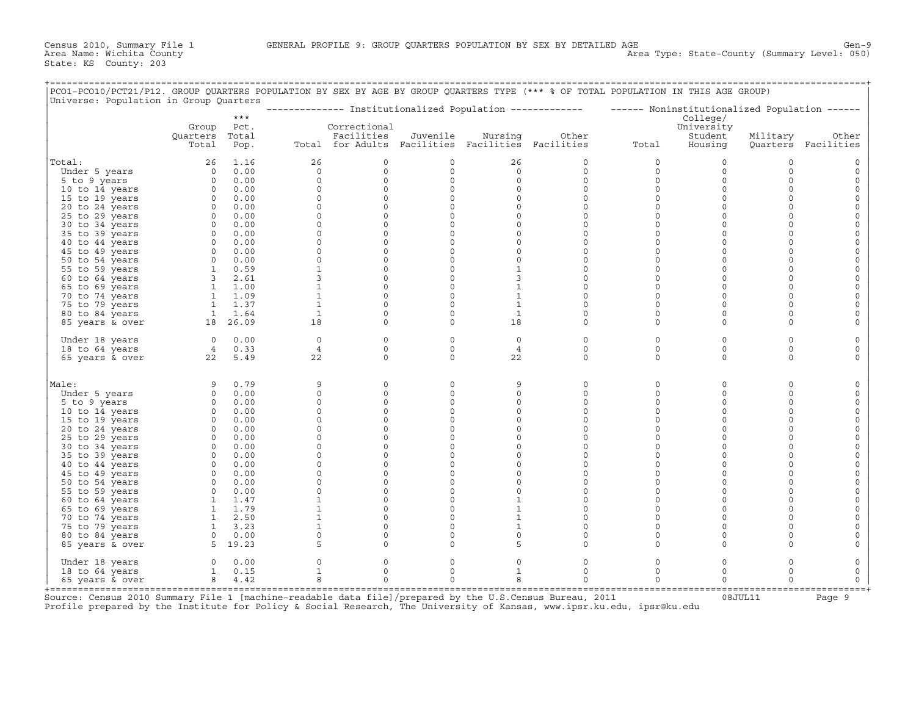+===================================================================================================================================================+

| Universe: Population in Group Quarters |                            | $***$                 |                              |                                                                                 |                        |                              | ------------- Institutionalized Population ------------- | ------ Noninstitutionalized Population ------ | College/                         |                     |                              |
|----------------------------------------|----------------------------|-----------------------|------------------------------|---------------------------------------------------------------------------------|------------------------|------------------------------|----------------------------------------------------------|-----------------------------------------------|----------------------------------|---------------------|------------------------------|
|                                        | Group<br>Quarters<br>Total | Pct.<br>Total<br>Pop. |                              | Correctional<br>Facilities<br>Total for Adults Facilities Facilities Facilities | Juvenile               | Nursing                      | Other                                                    | Total                                         | University<br>Student<br>Housing | Military            | Other<br>Quarters Facilities |
|                                        |                            |                       |                              |                                                                                 |                        |                              |                                                          |                                               |                                  |                     |                              |
| Total:                                 | 26<br>$\Omega$             | 1.16                  | 26                           | 0                                                                               | 0<br>$\circ$           | 26                           | $\circ$                                                  | $\mathbf 0$                                   | 0                                | 0                   | $\circ$                      |
| Under 5 years<br>5 to 9 years          | $\circ$                    | 0.00<br>0.00          | $\circ$<br>$\circ$           | $\mathbf 0$<br>$\mathbf 0$                                                      | $\circ$                | $\circ$<br>$\circ$           | $\circ$<br>$\circ$                                       | $\mathbf 0$<br>$\mathbf 0$                    | $\circ$<br>$\mathbf 0$           | $\circ$<br>$\circ$  | $\mathsf{O}$<br>$\circ$      |
| 10 to 14 years                         | $\circ$                    | 0.00                  | 0                            | $\mathbf 0$                                                                     | 0                      | $\circ$                      | $\circ$                                                  | $\mathbf 0$                                   | $\mathbf 0$                      | $\circ$             | $\circ$                      |
| 15 to 19 years                         | $\circ$                    | 0.00                  | $\Omega$                     | $\mathbf 0$                                                                     | $\circ$                | $\circ$                      | $\circ$                                                  | $\mathbf 0$                                   | $\circ$                          | $\Omega$            | $\mathsf{O}$                 |
| 20 to 24 years                         | $\circ$                    | 0.00                  | $\circ$                      | $\Omega$                                                                        | $\mathbf 0$            | $\Omega$                     | $\Omega$                                                 | $\Omega$                                      | $\circ$                          | $\Omega$            | $\mathsf{O}$                 |
| 25 to 29 years                         | $\circ$                    | 0.00                  | $\circ$                      | $\mathbf 0$                                                                     | $\mathbf 0$            | $\circ$                      | $\circ$                                                  | $\mathbf 0$                                   | $\circ$                          | $\circ$             | $\mathsf{O}$                 |
| 30 to 34 years                         | $\circ$                    | 0.00                  | $\Omega$                     | $\mathbf 0$                                                                     | $\mathbf 0$            | $\circ$                      | $\circ$                                                  | $\Omega$                                      | $\circ$                          | $\circ$             | $\mathsf O$                  |
| 35 to 39 years                         | $\circ$                    | 0.00                  | $\circ$                      | $\mathbf 0$                                                                     | $\mathsf{O}\xspace$    | $\circ$                      | $\circ$                                                  | $\mathbf 0$                                   | $\circ$                          | $\circ$             | $\mathsf{O}\xspace$          |
| 40 to 44 years                         | $\circ$                    | 0.00                  | $\circ$                      | $\mathsf{O}\xspace$                                                             | $\circ$                | $\circ$                      | $\mathsf{O}\xspace$                                      | $\mathbf 0$                                   | $\circ$                          | $\circ$             | $\mathbb O$                  |
| 45 to 49 years                         | $\circ$                    | 0.00                  | $\Omega$                     | $\mathbf 0$                                                                     | $\mathbf 0$            | $\circ$                      | $\circ$                                                  | $\mathbf 0$                                   | $\circ$                          | $\circ$             | $\mathsf{O}\xspace$          |
| 50 to 54 years                         | $\circ$                    | 0.00                  | $\circ$                      | $\mathbf 0$                                                                     | $\circ$                | $\circ$                      | $\circ$                                                  | $\mathbf 0$                                   | $\circ$                          | $\circ$             | $\mathsf{O}\xspace$          |
| 55 to 59 years                         | $\mathbf{1}$               | 0.59                  | $\mathbf{1}$                 | $\mathbf 0$                                                                     | $\mathsf{O}$           | $\mathbf{1}$                 | $\circ$                                                  | $\mathbf 0$                                   | $\circ$                          | $\circ$             | $\mathsf{O}$                 |
| 60 to 64 years                         | 3                          | 2.61                  | 3                            | $\circ$                                                                         | 0                      | 3                            | $\Omega$                                                 | $\Omega$                                      | $\circ$                          | $\circ$             | $\circ$                      |
| 65 to 69 years                         | $\mathbf{1}$               | 1.00                  | $\mathbf{1}$                 | $\mathbf 0$                                                                     | $\mathbf 0$            | $\mathbf{1}$                 | $\circ$                                                  | $\mathbf 0$                                   | $\circ$                          | $\circ$             | $\mathsf{O}$                 |
| 70 to 74 years                         | $\mathbf{1}$               | 1.09                  | $\mathbf{1}$                 | $\mathbf 0$                                                                     | $\mathbf 0$            | $\mathbf{1}$                 | $\circ$                                                  | $\mathbf 0$                                   | $\circ$                          | $\circ$             | $\mathsf{O}$                 |
| 75 to 79 years                         | $\mathbf{1}$               | 1.37                  | $\mathbf{1}$                 | $\circ$                                                                         | $\mathbf 0$            | $\mathbf{1}$                 | $\circ$                                                  | $\Omega$                                      | $\circ$                          | $\Omega$            | $\mathsf{O}$                 |
| 80 to 84 years                         | 1                          | 1.64                  | $\mathbf{1}$                 | $\mathbf 0$                                                                     | $\mathbf 0$            | $\mathbf{1}$                 | $\circ$                                                  | $\mathbf 0$                                   | $\circ$                          | $\circ$             | $\mathsf{O}$                 |
| 85 years & over                        |                            | 18 26.09              | 18                           | $\mathbf 0$                                                                     | $\mathbf 0$            | 18                           | $\circ$                                                  | $\mathbf 0$                                   | $\circ$                          | $\Omega$            | $\mathsf{O}$                 |
| Under 18 years                         | $\circ$                    | 0.00                  | $\circ$                      | $\mathbf 0$                                                                     | 0                      | $\circ$                      | $\circ$                                                  | $\mathbf 0$                                   | $\circ$                          | $\circ$             | $\mathsf{O}$                 |
| 18 to 64 years                         | $4\overline{ }$            | 0.33                  | $\overline{4}$               | $\Omega$                                                                        | $\Omega$               | $\overline{4}$               | $\Omega$                                                 | $\mathbf 0$<br>$\Omega$                       | $\mathbf 0$                      | $\circ$             | $\circ$                      |
| 65 years & over                        | 22                         | 5.49                  | 22                           | $\Omega$                                                                        | $\circ$                | 22                           | $\Omega$                                                 |                                               | $\circ$                          | $\circ$             | $\circ$                      |
| Male:                                  | 9                          | 0.79                  | 9                            | 0                                                                               | $\mathsf{O}$           | 9                            | $\circ$                                                  | $\mathsf{O}$                                  | $\circ$                          | $\circ$             | $\mathsf{O}$                 |
| Under 5 years                          | $\circ$                    | 0.00                  | 0                            | 0                                                                               | $\mathsf{O}\xspace$    | 0                            | $\mathsf{O}\xspace$                                      | $\mathsf{O}$                                  | $\circ$                          | $\mathsf{O}\xspace$ | $\circ$                      |
| 5 to 9 years                           | $\circ$                    | 0.00                  | $\circ$                      | $\mathbf 0$                                                                     | $\circ$                | $\circ$                      | $\circ$                                                  | $\mathbf 0$                                   | $\circ$                          | $\circ$             | $\mathbb O$                  |
| 10 to 14 years                         | $\circ$                    | 0.00                  | $\mathbf 0$                  | $\mathsf{O}\xspace$                                                             | 0                      | 0                            | $\mathsf{O}\xspace$                                      | $\mathbf 0$                                   | $\mathbf 0$                      | $\mathsf{O}\xspace$ | $\mathsf{O}\xspace$          |
| 15 to 19 years                         | $\circ$                    | 0.00                  | 0                            | 0                                                                               | $\mathsf{O}\xspace$    | 0                            | $\mathsf{O}\xspace$                                      | $\mathbf 0$                                   | $\circ$                          | $\mathsf{O}\xspace$ | $\mathsf{O}\xspace$          |
| 20 to 24 years                         | $\circ$                    | 0.00                  | $\Omega$                     | $\Omega$                                                                        | $\circ$                | $\circ$                      | $\Omega$                                                 | $\mathbf 0$                                   | $\circ$                          | $\circ$             | $\mathsf{O}\xspace$          |
| 25 to 29 years                         | $\circ$                    | 0.00                  | $\mathbf 0$                  | 0                                                                               | $\circ$                | 0                            | $\circ$                                                  | $\mathbf 0$                                   | $\circ$                          | $\circ$             | $\circ$                      |
| 30 to 34 years                         | $\circ$                    | 0.00                  | $\Omega$                     | $\mathbf 0$                                                                     | $\circ$                | $\circ$                      | $\circ$                                                  | $\mathbf 0$                                   | $\circ$                          | $\circ$             | $\circ$                      |
| 35 to 39 years                         | $\circ$                    | 0.00                  | $\Omega$                     | $\mathbf 0$                                                                     | $\mathbf 0$            | $\circ$                      | $\circ$                                                  | $\mathbf 0$                                   | $\circ$                          | $\circ$             | $\circ$                      |
| 40 to 44 years                         | $\circ$                    | 0.00                  | $\Omega$                     | $\mathbf 0$                                                                     | $\circ$                | $\circ$                      | $\circ$                                                  | $\mathbf 0$                                   | $\circ$                          | $\circ$             | $\circ$                      |
| 45 to 49 years                         | $\circ$                    | 0.00                  | $\Omega$                     | $\mathbf 0$                                                                     | $\circ$                | $\circ$                      | $\circ$                                                  | $\mathsf{O}$                                  | $\circ$                          | $\circ$             | $\circ$                      |
| 50 to 54 years                         | $\Omega$                   | 0.00                  | $\Omega$                     | $\Omega$                                                                        | $\Omega$               | $\Omega$                     | $\Omega$                                                 | $\Omega$                                      | $\circ$                          | $\Omega$            | $\circ$                      |
| 55 to 59 years                         | $\circ$                    | 0.00                  | $\Omega$                     | $\mathbf 0$                                                                     | $\circ$                | $\circ$                      | $\circ$                                                  | $\mathbf 0$                                   | $\circ$                          | $\circ$             | $\circ$                      |
| 60 to 64 years                         | $\mathbf{1}$               | 1.47                  | $\mathbf{1}$<br>$\mathbf{1}$ | $\mathbf 0$<br>$\Omega$                                                         | $\circ$<br>$\Omega$    | $\mathbf{1}$                 | $\circ$<br>$\Omega$                                      | $\Omega$<br>$\Omega$                          | $\circ$<br>$\Omega$              | $\circ$<br>$\Omega$ | $\mathsf{O}\xspace$          |
| 65 to 69 years                         | 1                          | 1.79                  |                              |                                                                                 |                        | $\mathbf{1}$                 |                                                          |                                               |                                  |                     | $\circ$                      |
| 70 to 74 years                         | $\mathbf{1}$<br>1          | 2.50<br>3.23          | $\mathbf{1}$<br>$\mathbf 1$  | $\mathbf 0$<br>$\circ$                                                          | $\circ$<br>$\mathbf 0$ | $\mathbf{1}$<br>$\mathbf{1}$ | $\circ$<br>$\circ$                                       | $\mathbf 0$<br>$\mathbf 0$                    | $\circ$<br>$\circ$               | $\circ$<br>$\circ$  | $\mathsf{O}$<br>$\mathsf{O}$ |
| 75 to 79 years                         | $\circ$                    | 0.00                  | $\Omega$                     | $\Omega$                                                                        | $\Omega$               | $\Omega$                     | $\Omega$                                                 | $\Omega$                                      | $\circ$                          | $\circ$             | $\circ$                      |
| 80 to 84 years<br>85 years & over      |                            | 5 19.23               | 5                            | $\mathbf 0$                                                                     | $\mathbf 0$            | 5                            | $\circ$                                                  | $\mathbf 0$                                   | $\circ$                          | $\circ$             | $\circ$                      |
| Under 18 years                         | $\circ$                    | 0.00                  | $\Omega$                     | 0                                                                               | 0                      | 0                            | 0                                                        | $\mathsf{O}$                                  | $\circ$                          | 0                   | $\mathsf{O}$                 |
| 18 to 64 years                         | $\mathbf{1}$               | 0.15                  | $\mathbf{1}$                 | $\mathbf 0$                                                                     | $\circ$                | $\mathbf{1}$                 | $\circ$                                                  | $\mathbf 0$                                   | $\circ$                          | $\circ$             | $\mathsf{O}$                 |
| 65 years & over                        | 8                          | 4.42                  | 8                            | $\Omega$                                                                        | $\Omega$               | 8                            | $\Omega$                                                 | $\Omega$                                      | $\Omega$                         | $\Omega$            | $\circ$                      |

+===================================================================================================================================================+Source: Census 2010 Summary File 1 [machine−readable data file]/prepared by the U.S.Census Bureau, 2011 08JUL11 Page 9 Profile prepared by the Institute for Policy & Social Research, The University of Kansas, www.ipsr.ku.edu, ipsr@ku.edu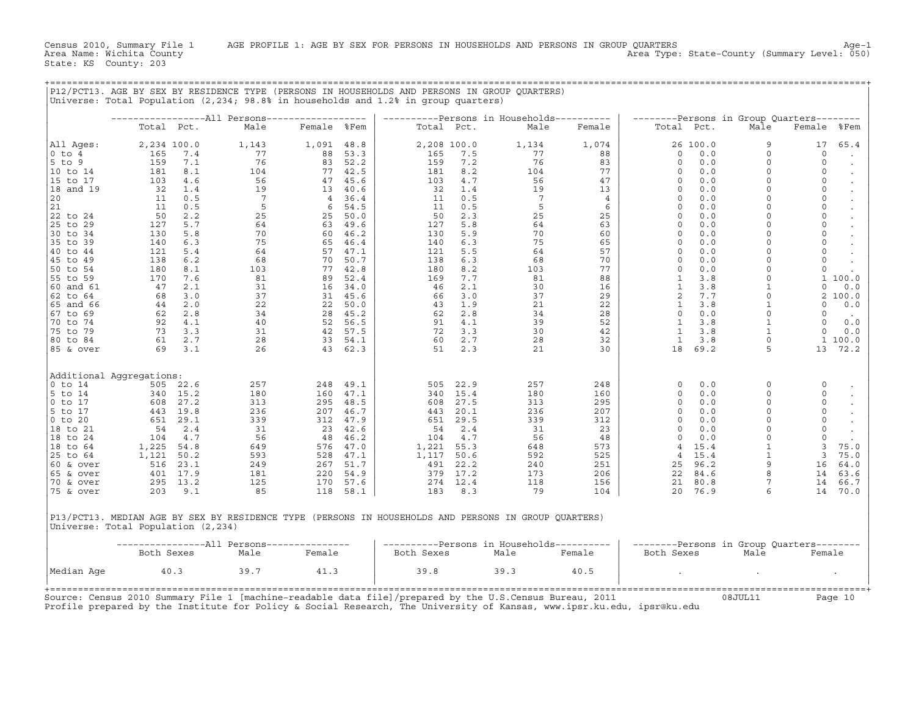Census 2010, Summary File 1 AGE PROFILE 1: AGE BY SEX FOR PERSONS IN HOUSEHOLDS AND PERSONS IN GROUP QUARTERS<br>Area Name: Wichita County Level: 050) Area Type: State-County (Summary Level: 050) Area Type: State-County (Summary Level: 050)

+===================================================================================================================================================+

|                                    |                |              | P12/PCT13. AGE BY SEX BY RESIDENCE TYPE (PERSONS IN HOUSEHOLDS AND PERSONS IN GROUP QUARTERS)<br>Universe: Total Population $(2,234; 98.88)$ in households and 1.2% in group quarters) |                |                  |                |              |                                           |                |                                  |              |                          |                                                             |
|------------------------------------|----------------|--------------|----------------------------------------------------------------------------------------------------------------------------------------------------------------------------------------|----------------|------------------|----------------|--------------|-------------------------------------------|----------------|----------------------------------|--------------|--------------------------|-------------------------------------------------------------|
|                                    |                |              | ------------------All Persons------------------                                                                                                                                        |                |                  |                |              | ----------Persons in Households---------- |                |                                  |              |                          |                                                             |
|                                    | Total Pct.     |              | Male                                                                                                                                                                                   | Female %Fem    |                  |                | Total Pct.   | Male                                      | Female         | Total Pct.                       |              | Male                     | --------Persons in Group Quarters--------<br>Female<br>%Fem |
| All Ages:                          | 2,234 100.0    |              | 1,143                                                                                                                                                                                  | 1,091 48.8     |                  |                | 2,208 100.0  | 1,134                                     | 1,074          |                                  | 26 100.0     | 9                        | 17<br>65.4                                                  |
| $0$ to $4$                         | 165            | 7.4          | 77                                                                                                                                                                                     | 88             | 53.3             | 165            | 7.5          | 77                                        | 88             | $\circ$                          | 0.0          | $\Omega$                 | $\mathbf 0$                                                 |
| 5 to 9                             | 159            | 7.1          | 76                                                                                                                                                                                     | 83             | 52.2             | 159            | 7.2          | 76                                        | 83             | $\Omega$                         | 0.0          | $\Omega$                 | $\mathbf 0$                                                 |
| 10 to 14                           | 181            | 8.1          | 104                                                                                                                                                                                    |                | 77 42.5          | 181            | 8.2          | 104                                       | 77             | $\Omega$                         | 0.0          | $\Omega$                 | $\Omega$                                                    |
| 15 to 17                           | 103            | 4.6          | 56                                                                                                                                                                                     | 47             | 45.6             | 103            | 4.7          | 56                                        | 47             | $\Omega$                         | 0.0          | $\Omega$                 | $\mathsf O$                                                 |
| 18 and 19                          | 32             | 1.4          | 19                                                                                                                                                                                     | 13             | 40.6             | 32             | 1.4          | 19                                        | 13             | $\Omega$                         | 0.0          | $\Omega$                 | $\mathsf{O}$                                                |
| 20                                 | 11             | 0.5          | $7\overline{ }$                                                                                                                                                                        | $\overline{4}$ | 36.4             | 11             | 0.5          | $7\overline{ }$                           | $\overline{4}$ | $\circ$                          | 0.0          | $\Omega$                 | $\mathsf O$                                                 |
| 21                                 | 11             | 0.5          | 5                                                                                                                                                                                      | 6              | 54.5             | 11             | 0.5          | 5                                         | 6              | $\Omega$                         | 0.0          |                          | $\mathsf{O}\xspace$                                         |
| 22 to 24                           | 50             | 2.2          | 25                                                                                                                                                                                     | 25             | 50.0             | 50             | 2.3          | 25                                        | 25             | $\Omega$                         | 0.0          | $\Omega$                 | $\mathsf{O}$                                                |
| 25 to 29                           | 127            | 5.7          | 64                                                                                                                                                                                     |                | 63 49.6          | 127            | 5.8          | 64<br>70                                  | 63<br>60       | $\circ$<br>$\Omega$              | 0.0<br>0.0   | $\Omega$<br>$\Omega$     | $\mathsf{O}\xspace$<br>$\mathsf O$                          |
| 30 to 34                           | 130            | 5.8          | 70                                                                                                                                                                                     | 60             | 46.2             | 130            | 5.9<br>6.3   |                                           | 65             | $\circ$                          |              | $\Omega$                 | $\mathsf O$                                                 |
| 35 to 39<br>40 to 44               | 140<br>121     | 6.3<br>5.4   | 75<br>64                                                                                                                                                                               | 65             | 46.4<br>57 47.1  | 140<br>121     | 5.5          | 75<br>64                                  | 57             | $\Omega$                         | 0.0<br>0.0   | $\Omega$                 | $\mathsf{O}\xspace$                                         |
| 45 to 49                           | 138            | 6.2          | 68                                                                                                                                                                                     | 70             | 50.7             | 138            | 6.3          | 68                                        | 70             | $\Omega$                         | 0.0          | $\Omega$                 | $\mathbf 0$                                                 |
| 50 to 54                           | 180            | 8.1          | 103                                                                                                                                                                                    | 77             | 42.8             | 180            | 8.2          | 103                                       | 77             | $\circ$                          | 0.0          | $\Omega$                 | $\mathsf O$                                                 |
| 55 to 59                           | 170            | 7.6          | 81                                                                                                                                                                                     | 89             | 52.4             | 169            | 7.7          | 81                                        | 88             | $\mathbf{1}$                     | 3.8          | $\Omega$                 | 1 100.0                                                     |
| 60 and 61                          | 47             | 2.1          | 31                                                                                                                                                                                     | 16             | 34.0             | 46             | 2.1          | 30                                        | 16             | $\mathbf{1}$                     | 3.8          | $\mathbf{1}$             | $\circ$<br>0.0                                              |
| 62 to 64                           | 68             | 3.0          | 37                                                                                                                                                                                     | 31             | 45.6             | 66             | 3.0          | 37                                        | 29             | 2                                | 7.7          | $\Omega$                 | 2100.0                                                      |
| 65 and 66                          | 44             | 2.0          | 22                                                                                                                                                                                     | 22             | 50.0             | 43             | 1.9          | 21                                        | 22             | $\mathbf{1}$                     | 3.8          |                          | 0.0<br>$\Omega$                                             |
| 67 to 69                           | 62             | 2.8          | 34                                                                                                                                                                                     | 28             | 45.2             | 62             | 2.8          | 34                                        | 28             | $\Omega$                         | 0.0          | $\Omega$                 | $\Omega$                                                    |
| 70 to 74                           | 92             | 4.1          | 40                                                                                                                                                                                     | 52             | 56.5             | 91             | 4.1          | 39                                        | 52             | $\mathbf{1}$                     | 3.8          | $\mathbf{1}$             | $\circ$<br>0.0                                              |
| 75 to 79                           | 73             | 3.3          | 31                                                                                                                                                                                     | 42             | 57.5             | 72             | 3.3          | 30                                        | 42             | 1                                | 3.8          |                          | $\Omega$<br>0.0                                             |
| 80 to 84                           | 61             | 2.7          | 28                                                                                                                                                                                     | 33             | 54.1             | 60             | 2.7          | 28                                        | 32             | $\mathbf{1}$                     | 3.8          |                          | 1 100.0                                                     |
| 85 & over                          | 69             | 3.1          | 26                                                                                                                                                                                     |                | 43 62.3          | 51             | 2.3          | 21                                        | 30             | 18                               | 69.2         | 5                        | 13<br>72.2                                                  |
| Additional Aggregations:           |                |              |                                                                                                                                                                                        |                |                  |                |              |                                           |                |                                  |              |                          |                                                             |
| $0$ to $14$                        |                | 505 22.6     | 257                                                                                                                                                                                    | 248            | 49.1             | 505            | 22.9         | 257                                       | 248            | $\circ$                          | 0.0          | $\Omega$                 | $\mathsf{O}$                                                |
| 5 to 14                            |                | 340 15.2     | 180                                                                                                                                                                                    | 160            | 47.1             | 340            | 15.4         | 180                                       | 160            | $\Omega$                         | 0.0          | $\Omega$                 | $\circ$                                                     |
| $0$ to $17$                        | 608            | 27.2         | 313                                                                                                                                                                                    | 295            | 48.5             | 608            | 27.5         | 313                                       | 295            | $\circ$                          | 0.0          | $\Omega$                 | $\mathsf O$                                                 |
| 5 to 17                            | 443            | 19.8         | 236                                                                                                                                                                                    | 207            | 46.7             | 443            | 20.1         | 236                                       | 207            | $\Omega$                         | 0.0          | $\Omega$                 | $\mathsf O$                                                 |
| $0$ to $20$                        | 651            | 29.1         | 339                                                                                                                                                                                    |                | 312 47.9         | 651            | 29.5         | 339                                       | 312            | $\Omega$                         | 0.0          | $\Omega$                 | $\circ$                                                     |
| 18 to 21                           | 54             | 2.4          | 31                                                                                                                                                                                     | 23             | 42.6             | 54             | 2.4          | 31                                        | 23             | $\Omega$                         | 0.0          |                          | $\mathsf{O}\xspace$                                         |
| 18 to 24                           | 104            | 4.7          | 56                                                                                                                                                                                     | 48             | 46.2             | 104            | 4.7          | 56                                        | 48             | $\Omega$                         | 0.0          | $\Omega$<br>$\mathbf{1}$ | $\circ$                                                     |
| 18 to 64                           | 1,225<br>1,121 | 54.8<br>50.2 | 649<br>593                                                                                                                                                                             | 528            | 576 47.0<br>47.1 | 1,221<br>1,117 | 55.3<br>50.6 | 648<br>592                                | 573<br>525     | $\overline{4}$<br>$\overline{4}$ | 15.4<br>15.4 | $\mathbf{1}$             | 3<br>75.0<br>3<br>75.0                                      |
| 25 to 64<br>60 & over              | 516            | 23.1         | 249                                                                                                                                                                                    | 267            | 51.7             | 491            | 22.2         | 240                                       | 251            | 25                               | 96.2         | 9                        | 16<br>64.0                                                  |
| 65 & over                          | 401            | 17.9         | 181                                                                                                                                                                                    | 220            | 54.9             | 379            | 17.2         | 173                                       | 206            | 22                               | 84.6         |                          | 14<br>63.6                                                  |
| 70 & over                          | 295            | 13.2         | 125                                                                                                                                                                                    | 170            | 57.6             | 274            | 12.4         | 118                                       | 156            | 21                               | 80.8         |                          | 66.7<br>14                                                  |
| 75 & over                          | 203            | 9.1          | 85                                                                                                                                                                                     | 118            | 58.1             | 183            | 8.3          | 79                                        | 104            | 20                               | 76.9         | 6                        | 14<br>70.0                                                  |
|                                    |                |              |                                                                                                                                                                                        |                |                  |                |              |                                           |                |                                  |              |                          |                                                             |
| Universe: Total Population (2,234) |                |              | P13/PCT13. MEDIAN AGE BY SEX BY RESIDENCE TYPE (PERSONS IN HOUSEHOLDS AND PERSONS IN GROUP OUARTERS)                                                                                   |                |                  |                |              |                                           |                |                                  |              |                          |                                                             |
|                                    |                |              | -----------------All Persons---------------                                                                                                                                            |                |                  |                |              | ----------Persons in Households---------- |                |                                  |              |                          | --------Persons in Group Quarters--------                   |
|                                    | Both Sexes     |              | Male                                                                                                                                                                                   | Female         |                  | Both Sexes     |              | Male                                      | Female         | Both Sexes                       |              | Male                     | Female                                                      |
| Median Age                         |                | 40.3         | 39.7                                                                                                                                                                                   | 41.3           |                  | 39.8           |              | 39.3                                      | 40.5           |                                  |              |                          |                                                             |
|                                    |                |              |                                                                                                                                                                                        |                |                  |                |              |                                           |                |                                  |              |                          |                                                             |

Source: Census 2010 Summary File 1 [machine−readable data file]/prepared by the U.S.Census Bureau, 2011 08JUL11 Page 10 Profile prepared by the Institute for Policy & Social Research, The University of Kansas, www.ipsr.ku.edu, ipsr@ku.edu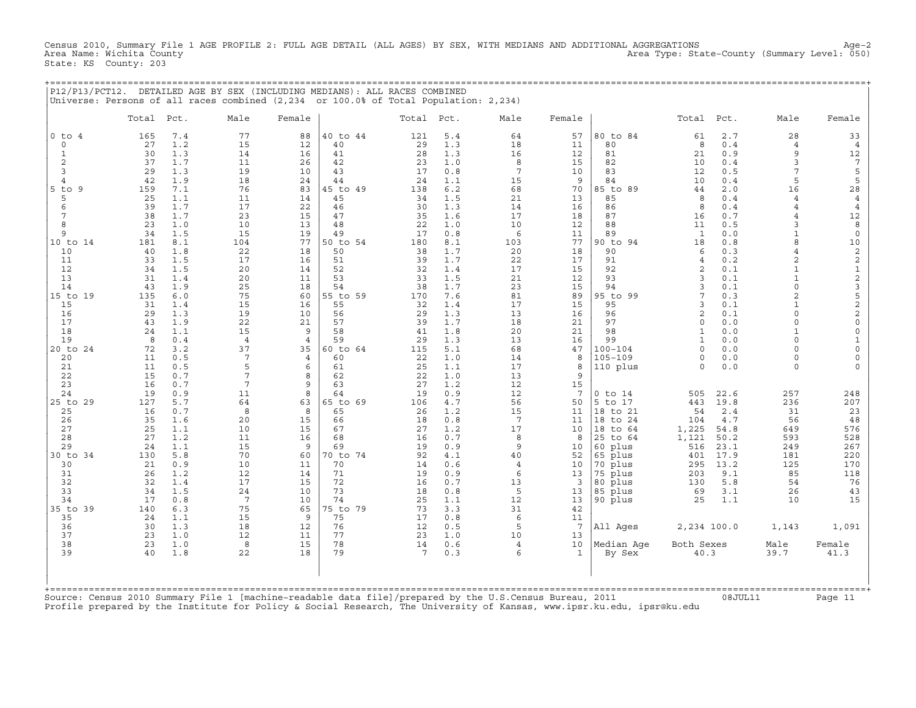Census 2010, Summary File 1 AGE PROFILE 2: FULL AGE DETAIL (ALL AGES) BY SEX, WITH MEDIANS AND ADDITIONAL AGGREGATIONS Age−2 Area Type: State-County (Summary Level: 050) State: KS County: 203

+===================================================================================================================================================+

|                                                                                                                                                                                                                          |                                                                                                                                                                   |                                                                                                                                                                                           | Universe: Persons of all races combined (2,234 or 100.0% of Total Population: 2,234)                                                                                                    |                                                                                                                                                                                      | P12/P13/PCT12. DETAILED AGE BY SEX (INCLUDING MEDIANS): ALL RACES COMBINED                                                                                                                   |                                                                                                                                                                     |                                                                                                                                                                                             |                                                                                                                                                                            |                                                                                                                                                                            |                                                                                                                                                                                                                |                                                                                                                                                                                                                                   |                                                                                                                                                                                           |                                                                                                                                                                                                                                                                                                                        |                                                                                                                                                                                                                                                                                                                                                                                           |
|--------------------------------------------------------------------------------------------------------------------------------------------------------------------------------------------------------------------------|-------------------------------------------------------------------------------------------------------------------------------------------------------------------|-------------------------------------------------------------------------------------------------------------------------------------------------------------------------------------------|-----------------------------------------------------------------------------------------------------------------------------------------------------------------------------------------|--------------------------------------------------------------------------------------------------------------------------------------------------------------------------------------|----------------------------------------------------------------------------------------------------------------------------------------------------------------------------------------------|---------------------------------------------------------------------------------------------------------------------------------------------------------------------|---------------------------------------------------------------------------------------------------------------------------------------------------------------------------------------------|----------------------------------------------------------------------------------------------------------------------------------------------------------------------------|----------------------------------------------------------------------------------------------------------------------------------------------------------------------------|----------------------------------------------------------------------------------------------------------------------------------------------------------------------------------------------------------------|-----------------------------------------------------------------------------------------------------------------------------------------------------------------------------------------------------------------------------------|-------------------------------------------------------------------------------------------------------------------------------------------------------------------------------------------|------------------------------------------------------------------------------------------------------------------------------------------------------------------------------------------------------------------------------------------------------------------------------------------------------------------------|-------------------------------------------------------------------------------------------------------------------------------------------------------------------------------------------------------------------------------------------------------------------------------------------------------------------------------------------------------------------------------------------|
|                                                                                                                                                                                                                          | Total                                                                                                                                                             | Pct.                                                                                                                                                                                      | Male                                                                                                                                                                                    | Female                                                                                                                                                                               |                                                                                                                                                                                              | Total                                                                                                                                                               | Pct.                                                                                                                                                                                        | Male                                                                                                                                                                       | Female                                                                                                                                                                     |                                                                                                                                                                                                                | Total                                                                                                                                                                                                                             | Pct.                                                                                                                                                                                      | Male                                                                                                                                                                                                                                                                                                                   | Female                                                                                                                                                                                                                                                                                                                                                                                    |
| $0$ to $4$<br>$\mathbf 0$<br>$\mathbf{1}$<br>2<br>3<br>$\overline{4}$<br>$5$ to $9$<br>5<br>6<br>7<br>8<br>9<br>10 to 14<br>10<br>11<br>12<br>13<br>14<br>15 to 19<br>15<br>16<br>17<br>18<br>19<br>20 to 24<br>20<br>21 | 165<br>27<br>30<br>37<br>29<br>42<br>159<br>25<br>39<br>38<br>23<br>34<br>181<br>40<br>33<br>34<br>31<br>43<br>135<br>31<br>29<br>43<br>24<br>8<br>72<br>11<br>11 | 7.4<br>1.2<br>1.3<br>1.7<br>1.3<br>1.9<br>7.1<br>1.1<br>1.7<br>1.7<br>1.0<br>1.5<br>8.1<br>1.8<br>1.5<br>1.5<br>1.4<br>1.9<br>6.0<br>1.4<br>1.3<br>1.9<br>1.1<br>0.4<br>3.2<br>0.5<br>0.5 | 77<br>15<br>14<br>11<br>19<br>18<br>76<br>11<br>17<br>23<br>10<br>15<br>104<br>22<br>17<br>20<br>20<br>25<br>75<br>15<br>19<br>22<br>15<br>$\overline{4}$<br>37<br>$7\phantom{.0}$<br>5 | 88<br>12<br>16<br>26<br>10<br>24<br>83<br>14<br>22<br>15<br>13<br>19<br>77<br>18<br>16<br>14<br>11<br>18<br>60<br>16<br>10<br>21<br>9<br>$\overline{4}$<br>35<br>$\overline{4}$<br>6 | 40 to 44<br>40<br>41<br>42<br>43<br>44<br>45 to 49<br>45<br>46<br>47<br>48<br>49<br>50 to 54<br>50<br>51<br>52<br>53<br>54<br>55 to 59<br>55<br>56<br>57<br>58<br>59<br>60 to 64<br>60<br>61 | 121<br>29<br>28<br>23<br>17<br>24<br>138<br>34<br>30<br>35<br>22<br>17<br>180<br>38<br>39<br>32<br>33<br>38<br>170<br>32<br>29<br>39<br>41<br>29<br>115<br>22<br>25 | 5.4<br>1.3<br>1.3<br>1.0<br>0.8<br>1.1<br>6.2<br>1.5<br>1.3<br>1.6<br>1.0<br>$0.8$<br>8.1<br>1.7<br>1.7<br>1.4<br>1.5<br>1.7<br>7.6<br>1.4<br>1.3<br>1.7<br>1.8<br>1.3<br>5.1<br>1.0<br>1.1 | 64<br>18<br>16<br>8<br>$7\phantom{.0}$<br>15<br>68<br>21<br>14<br>17<br>10<br>6<br>103<br>20<br>22<br>17<br>21<br>23<br>81<br>17<br>13<br>18<br>20<br>13<br>68<br>14<br>17 | 57<br>11<br>$12 \overline{ }$<br>15<br>10<br>9<br>70<br>13<br>16<br>18<br>12<br>11<br>77<br>18<br>17<br>15<br>12<br>15<br>89<br>15<br>16<br>21<br>21<br>16<br>47<br>8<br>8 | 80 to 84<br>80<br>81<br>82<br>83<br>84<br>85 to 89<br>85<br>86<br>87<br>88<br>89<br>90 to 94<br>90<br>91<br>92<br>93<br>94<br>95 to 99<br>95<br>96<br>97<br>98<br>99<br>$100 - 104$<br>$105 - 109$<br>110 plus | 61<br>8<br>21<br>10<br>12<br>10<br>44<br>8<br>8<br>16<br>11<br>$\mathbf{1}$<br>18<br>6<br>$\overline{4}$<br>2<br>3<br>3<br>7<br>$\overline{3}$<br>2<br>$\circ$<br>$\mathbf{1}$<br>$\mathbf{1}$<br>$\Omega$<br>$\Omega$<br>$\circ$ | 2.7<br>0.4<br>0.9<br>0.4<br>0.5<br>0.4<br>2.0<br>0.4<br>0.4<br>0.7<br>0.5<br>0.0<br>0.8<br>0.3<br>0.2<br>0.1<br>0.1<br>0.1<br>0.3<br>0.1<br>0.1<br>0.0<br>0.0<br>0.0<br>0.0<br>0.0<br>0.0 | 28<br>$\overline{4}$<br>9<br>3<br>7<br>5<br>16<br>$\overline{4}$<br>$\overline{4}$<br>$\overline{4}$<br>3<br>$\mathbf{1}$<br>8<br>$\overline{4}$<br>$\overline{c}$<br>$\mathbf{1}$<br>$\mathbf{1}$<br>$\circ$<br>2<br>$\mathbf{1}$<br>$\circ$<br>$\circ$<br>$\mathbf{1}$<br>$\circ$<br>$\Omega$<br>$\Omega$<br>$\circ$ | 33<br>$\overline{4}$<br>12<br>$7\phantom{.0}$<br>5<br>5<br>28<br>$\overline{4}$<br>$\overline{4}$<br>12<br>8<br>$\mathbb O$<br>10<br>$\overline{c}$<br>$\begin{smallmatrix}2\\1\end{smallmatrix}$<br>$\mathbf{2}$<br>$\mathbf{3}$<br>5<br>$\mathbf{2}$<br>$\mathbf{2}$<br>$\mathsf{O}\xspace$<br>$\mathsf{O}\xspace$<br>$\mathbf{1}$<br>$\mathsf{O}\xspace$<br>$\mathbf 0$<br>$\mathbf 0$ |
| 22<br>23<br>24<br>25 to 29<br>25<br>26<br>27<br>28<br>29<br>30 to 34<br>30<br>31<br>32<br>33<br>34<br>35 to 39<br>35<br>36<br>37<br>38<br>39                                                                             | 15<br>16<br>19<br>127<br>16<br>35<br>25<br>27<br>24<br>130<br>21<br>26<br>32<br>34<br>17<br>140<br>24<br>30<br>23<br>23<br>40                                     | 0.7<br>0.7<br>0.9<br>5.7<br>0.7<br>1.6<br>1.1<br>1.2<br>1.1<br>5.8<br>0.9<br>1.2<br>1.4<br>1.5<br>0.8<br>6.3<br>1.1<br>1.3<br>1.0<br>1.0<br>1.8                                           | 7<br>7<br>11<br>64<br>8<br>20<br>10<br>11<br>15<br>70<br>10<br>12<br>17<br>24<br>$7\phantom{.0}$<br>75<br>15<br>18<br>12<br>8<br>22                                                     | 8<br>9<br>8<br>63<br>8<br>15<br>15<br>16<br>9<br>60<br>11<br>14<br>15<br>10<br>10<br>65<br>9<br>12<br>11<br>15<br>18                                                                 | 62<br>63<br>64<br>65 to 69<br>65<br>66<br>67<br>68<br>69<br>70 to 74<br>70<br>71<br>72<br>73<br>74<br>75 to 79<br>75<br>76<br>77<br>78<br>79                                                 | 22<br>27<br>19<br>106<br>26<br>18<br>27<br>16<br>19<br>92<br>14<br>19<br>16<br>18<br>25<br>73<br>17<br>12<br>23<br>14<br>$7\phantom{.0}$                            | 1.0<br>1.2<br>0.9<br>$4.7$<br>1.2<br>0.8<br>1.2<br>0.7<br>0.9<br>4.1<br>0.6<br>0.9<br>0.7<br>0.8<br>1.1<br>3.3<br>0.8<br>0.5<br>1.0<br>0.6<br>0.3                                           | 13<br>12<br>12<br>56<br>15<br>$7\phantom{.0}$<br>17<br>8<br>9<br>40<br>$\overline{4}$<br>6<br>13<br>5<br>12<br>31<br>6<br>5<br>10<br>$\overline{4}$<br>$\epsilon$          | 9<br>15<br>$7\overline{ }$<br>50<br>11<br>11<br>10<br>8<br>10<br>52<br>10<br>13<br>$\overline{3}$<br>13<br>13<br>42<br>11<br>7<br>13<br>10<br>1                            | $0$ to $14$<br>5 to 17<br>18 to 21<br>18 to 24<br>18 to 64<br>25 to 64<br>60 plus<br>65 plus<br>70 plus<br>75 plus<br>80 plus<br>85 plus<br>90 plus<br>All Ages<br>Median Aqe<br>By Sex                        | 505<br>443<br>54<br>104<br>1,225<br>1,121<br>516<br>401<br>295<br>203<br>130<br>69<br>25<br>2,234 100.0<br>Both Sexes<br>40.3                                                                                                     | 22.6<br>19.8<br>2.4<br>4.7<br>54.8<br>50.2<br>23.1<br>17.9<br>13.2<br>9.1<br>5.8<br>3.1<br>1.1                                                                                            | 257<br>236<br>31<br>56<br>649<br>593<br>249<br>181<br>125<br>85<br>54<br>26<br>10<br>1,143<br>Male<br>39.7                                                                                                                                                                                                             | 248<br>207<br>23<br>48<br>576<br>528<br>267<br>220<br>170<br>118<br>76<br>43<br>15<br>1,091<br>Female<br>41.3                                                                                                                                                                                                                                                                             |

+===================================================================================================================================================+ Source: Census 2010 Summary File 1 [machine−readable data file]/prepared by the U.S.Census Bureau, 2011 08JUL11 Page 11 Profile prepared by the Institute for Policy & Social Research, The University of Kansas, www.ipsr.ku.edu, ipsr@ku.edu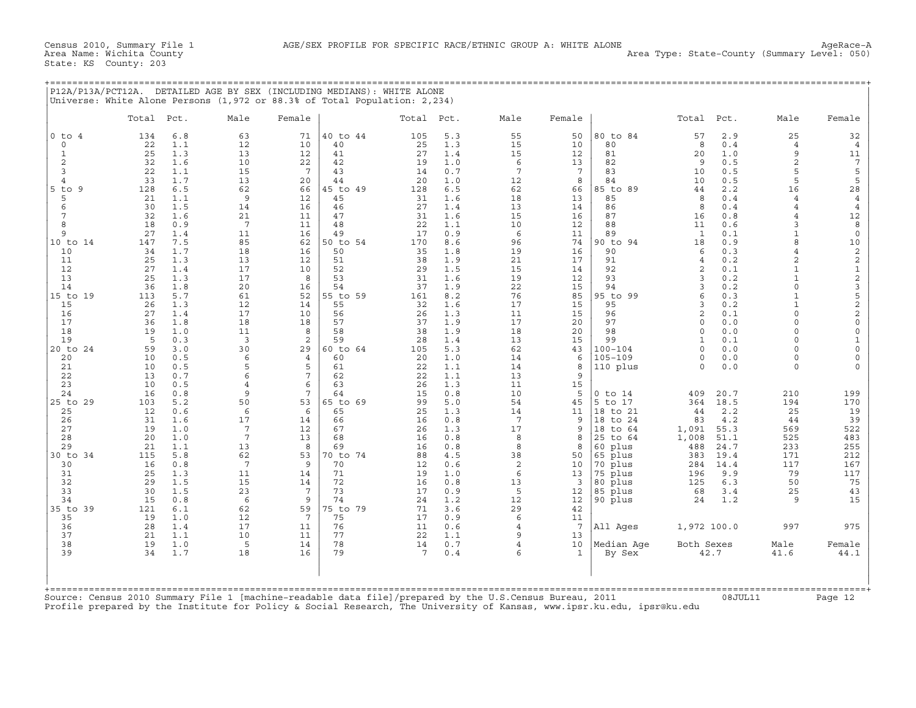|  | P12A/P13A/PCT12A. DETAILED AGE BY SEX (INCLUDING MEDIANS): WHITE ALONE    |  |  |  |
|--|---------------------------------------------------------------------------|--|--|--|
|  | Universe: White Alone Persons (1,972 or 88.3% of Total Population: 2,234) |  |  |  |

|                         | Total Pct. |            | Male                  | Female          |                | Total Pct. |            | Male                | Female                |                        | Total               | Pct.         | Male                             | Female                                          |
|-------------------------|------------|------------|-----------------------|-----------------|----------------|------------|------------|---------------------|-----------------------|------------------------|---------------------|--------------|----------------------------------|-------------------------------------------------|
| $0$ to $4$              | 134        | 6.8        | 63                    | 71              | 40 to 44       | 105        | 5.3        | 55                  | 50                    | 80 to 84               | 57                  | 2.9          | 25                               | 32                                              |
| $\circ$<br>$\mathbf{1}$ | 22<br>25   | 1.1<br>1.3 | 12<br>13              | 10<br>12        | 40<br>41       | 25<br>27   | 1.3<br>1.4 | 15<br>15            | 10<br>12              | 80<br>81               | 8<br>20             | 0.4<br>1.0   | $\overline{4}$<br>9              | 4                                               |
| 2                       | 32         | 1.6        | 10                    | 22              | 42             | 19         | 1.0        | 6                   | 13                    | 82                     | 9                   | 0.5          | 2                                | 11<br>$7\phantom{.0}$                           |
| 3                       | 22         | 1.1        | 15                    | $7\phantom{.0}$ | 43             | 14         | 0.7        | 7                   | $7\phantom{.0}$       | 83                     | 10                  | 0.5          | 5                                |                                                 |
| $\overline{4}$          | 33         | 1.7        | 13                    | 20              | 44             | 20         | 1.0        | 12                  | 8                     | 84                     | 10                  | 0.5          | 5                                | $\frac{5}{5}$                                   |
| $5$ to<br>9             | 128        | 6.5        | 62                    | 66              | 45 to 49       | 128        | 6.5        | 62                  | 66                    | 85 to 89               | 44                  | 2.2          | 16                               | 28                                              |
| 5                       | 21         | 1.1        | 9                     | 12              | 45             | 31         | 1.6        | 18                  | 13                    | 85                     | 8                   | 0.4          | $\overline{4}$                   | $\overline{4}$                                  |
| 6<br>7                  | 30<br>32   | 1.5<br>1.6 | 14<br>21              | 16<br>11        | 46<br>47       | 27<br>31   | 1.4<br>1.6 | 13<br>15            | 14<br>16              | 86<br>87               | 8<br>16             | 0.4<br>0.8   | $\overline{4}$<br>$\overline{4}$ | $\bf{4}$<br>12                                  |
| 8                       | 18         | 0.9        | $7\phantom{.0}$       | 11              | 48             | 22         | 1.1        | 10                  | 12                    | 88                     | 11                  | 0.6          | $\mathbf{z}$                     | 8                                               |
| 9                       | 27         | 1.4        | 11                    | 16              | 49             | 17         | 0.9        | 6                   | 11                    | 89                     | $\mathbf{1}$        | 0.1          | $\mathbf{1}$                     | $\mathsf{O}\xspace$                             |
| 10 to 14                | 147        | 7.5        | 85                    | 62              | 50 to 54       | 170        | 8.6        | 96                  | 74                    | 90 to 94               | 18                  | 0.9          | $\mathsf{R}$                     | 10                                              |
| 10                      | 34         | 1.7        | 18                    | 16              | 50             | 35         | 1.8        | 19                  | 16                    | 90                     | 6                   | 0.3          | $\overline{4}$                   | $\mathbf 2$                                     |
| 11                      | 25         | 1.3        | 13                    | 12              | 51             | 38         | 1.9        | 21                  | 17                    | 91                     | $\overline{4}$      | 0.2          | 2                                | $\mathbf 2$                                     |
| 12<br>13                | 27<br>25   | 1.4<br>1.3 | 17<br>17              | 10<br>8         | 52<br>53       | 29<br>31   | 1.5        | 15<br>19            | 14                    | 92<br>93               | $\overline{2}$<br>3 | 0.1          | $\mathbf{1}$<br>$\mathbf{1}$     | $\frac{1}{2}$                                   |
| 14                      | 36         | 1.8        | 20                    | 16              | 54             | 37         | 1.6<br>1.9 | 22                  | 12<br>15              | 94                     | 3                   | 0.2<br>0.2   | $\Omega$                         |                                                 |
| 15 to 19                | 113        | 5.7        | 61                    | 52              | 55 to 59       | 161        | 8.2        | 76                  | 85                    | 95 to 99               | 6                   | 0.3          | $\mathbf{1}$                     | $\begin{array}{c} 3 \\ 5 \\ 2 \\ 2 \end{array}$ |
| 15                      | 26         | 1.3        | 12                    | 14              | 55             | 32         | 1.6        | 17                  | 15                    | 95                     | 3                   | 0.2          | $\mathbf{1}$                     |                                                 |
| 16                      | 27         | 1.4        | 17                    | 10              | 56             | 26         | 1.3        | 11                  | 15                    | 96                     | $\overline{2}$      | 0.1          | $\Omega$                         |                                                 |
| 17                      | 36         | 1.8        | 18                    | 18              | 57             | 37         | 1.9        | 17                  | 20                    | 97                     | $\Omega$            | 0.0          | $\Omega$                         | $\mathsf{O}\xspace$                             |
| 18                      | 19         | 1.0        | 11                    | 8               | 58             | 38         | 1.9        | 18                  | 20                    | 98                     | $\Omega$            | 0.0          | $\Omega$<br>$\Omega$             | $\mathsf{O}\xspace$                             |
| 19<br>20 to 24          | 5<br>59    | 0.3<br>3.0 | 3<br>30               | 2<br>29         | 59<br>60 to 64 | 28<br>105  | 1.4<br>5.3 | 13<br>62            | 15<br>43              | 99<br>$100 - 104$      | 1<br>$\Omega$       | 0.1<br>0.0   | $\Omega$                         | $\mathbf{1}$<br>$\mathsf{O}\xspace$             |
| 20                      | 10         | 0.5        | 6                     | 4               | 60             | 20         | 1.0        | 14                  | 6                     | $105 - 109$            | $\Omega$            | 0.0          | $\Omega$                         | $\mathsf{O}\xspace$                             |
| 21                      | 10         | 0.5        | 5                     | 5               | 61             | 22         | 1.1        | 14                  | 8                     | 110 plus               | $\Omega$            | 0.0          | $\Omega$                         | $\Omega$                                        |
| 22                      | 13         | 0.7        | 6                     | 7               | 62             | 22         | 1.1        | 13                  | 9                     |                        |                     |              |                                  |                                                 |
| 23                      | 10         | 0.5        | 4                     | 6               | 63             | 26         | 1.3        | 11                  | 15                    |                        |                     |              |                                  |                                                 |
| 24<br>25 to 29          | 16<br>103  | 0.8<br>5.2 | 9<br>50               | 7<br>53         | 64<br>65 to 69 | 15<br>99   | 0.8<br>5.0 | 10<br>54            | 5<br>45               | $0$ to $14$<br>5 to 17 | 409<br>364          | 20.7<br>18.5 | 210<br>194                       | 199<br>170                                      |
| 25                      | 12         | 0.6        | 6                     | 6               | 65             | 25         | 1.3        | 14                  | 11                    | 18 to 21               | 44                  | 2.2          | 25                               | 19                                              |
| 26                      | 31         | 1.6        | 17                    | 14              | 66             | 16         | 0.8        | 7                   | 9                     | 18 to 24               | 83                  | 4.2          | 44                               | 39                                              |
| 27                      | 19         | 1.0        | 7                     | 12              | 67             | 26         | 1.3        | 17                  | 9                     | 18 to 64               | 1,091               | 55.3         | 569                              | 522                                             |
| 28                      | 20         | 1.0        | $7\phantom{.0}$       | 13              | 68             | 16         | 0.8        | 8                   | 8                     | 25 to 64               | 1,008               | 51.1         | 525                              | 483                                             |
| 29                      | 21         | 1.1        | 13                    | 8               | 69             | 16         | 0.8        | 8                   | 8                     | 60 plus                | 488                 | 24.7         | 233                              | 255                                             |
| 30 to 34<br>30          | 115<br>16  | 5.8<br>0.8 | 62<br>$7\phantom{.0}$ | 53<br>9         | 70 to 74<br>70 | 88<br>12   | 4.5<br>0.6 | 38<br>$\sqrt{2}$    | 50<br>10              | 65 plus<br>70 plus     | 383<br>284          | 19.4<br>14.4 | 171<br>117                       | 212<br>167                                      |
| 31                      | 25         | 1.3        | 11                    | 14              | 71             | 19         | 1.0        | 6                   | 13                    | 75 plus                | 196                 | 9.9          | 79                               | 117                                             |
| 32                      | 29         | 1.5        | 15                    | 14              | 72             | 16         | 0.8        | 13                  | 3                     | 80 plus                | 125                 | 6.3          | 50                               | 75                                              |
| 33                      | 30         | 1.5        | 23                    | 7               | 73             | 17         | 0.9        | 5                   | 12                    | 85 plus                | 68                  | 3.4          | 25                               | 43                                              |
| 34                      | 15         | 0.8        | 6                     | 9               | 74             | 24         | 1.2        | 12                  | 12                    | 90 plus                | 24                  | 1.2          | 9                                | 15                                              |
| 35 to 39                | 121        | 6.1        | 62                    | 59              | 75 to 79       | 71         | 3.6        | 29                  | 42                    |                        |                     |              |                                  |                                                 |
| 35<br>36                | 19<br>28   | 1.0<br>1.4 | 12<br>17              | 7<br>11         | 75<br>76       | 17<br>11   | 0.9<br>0.6 | 6<br>$\overline{4}$ | 11<br>$7\phantom{.0}$ | All Ages               | 1,972 100.0         |              | 997                              | 975                                             |
| 37                      | 21         | 1.1        | 10                    | 11              | 77             | 22         | 1.1        | 9                   | 13                    |                        |                     |              |                                  |                                                 |
| 38                      | 19         | 1.0        | 5                     | 14              | 78             | 14         | 0.7        | 4                   | 10                    | Median Age             | Both Sexes          |              | Male                             | Female                                          |
| 39                      | 34         | 1.7        | 18                    | 16              | 79             | 7          | 0.4        | 6                   | $\mathbf{1}$          | By Sex                 |                     | 42.7         | 41.6                             | 44.1                                            |
|                         |            |            |                       |                 |                |            |            |                     |                       |                        |                     |              |                                  |                                                 |
|                         |            |            |                       |                 |                |            |            |                     |                       |                        |                     |              |                                  |                                                 |

Profile prepared by the Institute for Policy & Social Research, The University of Kansas, www.ipsr.ku.edu, ipsr@ku.edu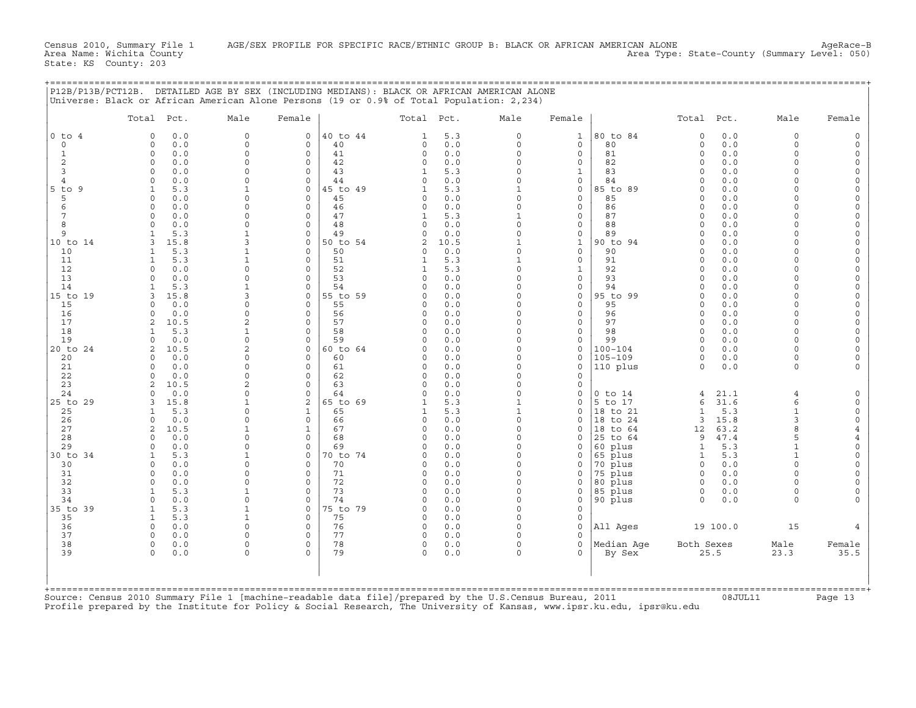| Universe: Black or African American Alone Persons (19 or 0.9% of Total Population: 2,234)                                                                                                                                                                                                                                                                                                                                                                                                                                                                                                                                                                                                                                                                                                                                                                    |                                                                                                                                                                                                                                                                                                                                                                                                                                                                                                                                                                                                                                                                                                                                         | P12B/P13B/PCT12B. DETAILED AGE BY SEX (INCLUDING MEDIANS): BLACK OR AFRICAN AMERICAN ALONE                                                                                                                                                                                                                                                                                                                                                                                                                                                                   |                                                                                                                                                                                                                                                                                                                                                                                                                                                                                                                                                                                                                                                                     |                                                                                                                                                                                                                                                                                                                                                                                                                           |                                                                                                                                                                                                                                                                  |                                                                                                                                                                                                                                                                                                                                                                                                                                                                                                                                                                                         |                                                                                                                                                                                                                                                                                                                                                                                                                                                                                                                                                                                                                                                                                            |
|--------------------------------------------------------------------------------------------------------------------------------------------------------------------------------------------------------------------------------------------------------------------------------------------------------------------------------------------------------------------------------------------------------------------------------------------------------------------------------------------------------------------------------------------------------------------------------------------------------------------------------------------------------------------------------------------------------------------------------------------------------------------------------------------------------------------------------------------------------------|-----------------------------------------------------------------------------------------------------------------------------------------------------------------------------------------------------------------------------------------------------------------------------------------------------------------------------------------------------------------------------------------------------------------------------------------------------------------------------------------------------------------------------------------------------------------------------------------------------------------------------------------------------------------------------------------------------------------------------------------|--------------------------------------------------------------------------------------------------------------------------------------------------------------------------------------------------------------------------------------------------------------------------------------------------------------------------------------------------------------------------------------------------------------------------------------------------------------------------------------------------------------------------------------------------------------|---------------------------------------------------------------------------------------------------------------------------------------------------------------------------------------------------------------------------------------------------------------------------------------------------------------------------------------------------------------------------------------------------------------------------------------------------------------------------------------------------------------------------------------------------------------------------------------------------------------------------------------------------------------------|---------------------------------------------------------------------------------------------------------------------------------------------------------------------------------------------------------------------------------------------------------------------------------------------------------------------------------------------------------------------------------------------------------------------------|------------------------------------------------------------------------------------------------------------------------------------------------------------------------------------------------------------------------------------------------------------------|-----------------------------------------------------------------------------------------------------------------------------------------------------------------------------------------------------------------------------------------------------------------------------------------------------------------------------------------------------------------------------------------------------------------------------------------------------------------------------------------------------------------------------------------------------------------------------------------|--------------------------------------------------------------------------------------------------------------------------------------------------------------------------------------------------------------------------------------------------------------------------------------------------------------------------------------------------------------------------------------------------------------------------------------------------------------------------------------------------------------------------------------------------------------------------------------------------------------------------------------------------------------------------------------------|
| Total Pct.                                                                                                                                                                                                                                                                                                                                                                                                                                                                                                                                                                                                                                                                                                                                                                                                                                                   | Male<br>Female                                                                                                                                                                                                                                                                                                                                                                                                                                                                                                                                                                                                                                                                                                                          | Total Pct.                                                                                                                                                                                                                                                                                                                                                                                                                                                                                                                                                   | Male                                                                                                                                                                                                                                                                                                                                                                                                                                                                                                                                                                                                                                                                | Female                                                                                                                                                                                                                                                                                                                                                                                                                    |                                                                                                                                                                                                                                                                  | Total Pct.                                                                                                                                                                                                                                                                                                                                                                                                                                                                                                                                                                              | Male<br>Female                                                                                                                                                                                                                                                                                                                                                                                                                                                                                                                                                                                                                                                                             |
| $0$ to $4$<br>0.0<br>$\Omega$<br>$\circ$<br>0.0<br>$\Omega$<br>$\Omega$<br>0.0<br>1<br>2<br>$\Omega$<br>0.0<br>3<br>0.0<br>$\Omega$<br>0.0<br>$\Omega$<br>$\overline{4}$<br>5.3<br>$5$ to $9$<br>1<br>5<br>0.0<br>$\Omega$<br>0.0<br>6<br>$\Omega$<br>7<br>$\circ$<br>0.0<br>0.0<br>8<br>$\Omega$<br>5.3<br>9<br>$\mathbf{1}$<br>10 to 14<br>3<br>15.8<br>10<br>5.3<br>1<br>5.3<br>11<br>$\mathbf{1}$<br>12<br>0.0<br>$\circ$<br>13<br>0.0<br>$\Omega$<br>5.3<br>14<br>1<br>15 to 19<br>15.8<br>3<br>15<br>0.0<br>$\cap$<br>16<br>0.0<br>$\Omega$<br>17<br>10.5<br>2<br>18<br>5.3<br>$\mathbf{1}$<br>19<br>0.0<br>$\Omega$<br>20 to 24<br>10.5<br>$\mathfrak{D}$<br>0.0<br>20<br>$\Omega$<br>0.0<br>21<br>$\Omega$<br>22<br>0.0<br>$\Omega$<br>23<br>2<br>10.5<br>24<br>0.0<br>$\Omega$<br>25 to 29<br>15.8<br>3<br>25<br>5.3<br>-1<br>26<br>$\Omega$<br>0.0 | $\Omega$<br>$\mathbf 0$<br>$\circ$<br>$\mathbf 0$<br>$\Omega$<br>$\Omega$<br>$\Omega$<br>$\Omega$<br>$\Omega$<br>$\Omega$<br>$\circ$<br>$\Omega$<br>$\Omega$<br>1<br>$\Omega$<br>$\mathbf 0$<br>$\Omega$<br>$\Omega$<br>$\mathbf 0$<br>$\Omega$<br>$\Omega$<br>$\Omega$<br>$\Omega$<br>$\mathbf 0$<br>3<br>$\mathbf 0$<br>$\Omega$<br>$\Omega$<br>$\Omega$<br>$\Omega$<br>$\Omega$<br>$\circ$<br>$\mathbf 0$<br>$\mathbf{z}$<br>$\mathbf 0$<br>$\Omega$<br>$\mathbf 0$<br>$\Omega$<br>$\Omega$<br>$\Omega$<br>$\Omega$<br>$\Omega$<br>$\Omega$<br>$\Omega$<br>$\Omega$<br>$\Omega$<br>$\Omega$<br>$\Omega$<br>$\Omega$<br>$\overline{a}$<br>$\circ$<br>$\Omega$<br>$\Omega$<br>2<br>$\Omega$<br>$\mathbf{1}$<br>$\mathbf 0$<br>$\Omega$ | 40 to 44<br>1<br>40<br>$\mathsf{O}$<br>41<br>$\Omega$<br>42<br>0<br>43<br>1<br>44<br>$\Omega$<br>45 to 49<br>1<br>45<br>0<br>46<br>$\Omega$<br>47<br>1<br>48<br>$\Omega$<br>49<br>$\Omega$<br>50 to 54<br>2<br>50<br>$\Omega$<br>51<br>1<br>52<br>1<br>53<br>$\Omega$<br>54<br>$\Omega$<br>55 to 59<br>$\Omega$<br>55<br>$\Omega$<br>56<br>$\Omega$<br>57<br>$\Omega$<br>58<br>$\Omega$<br>59<br>$\Omega$<br>60 to 64<br>$\Omega$<br>60<br>$\Omega$<br>61<br>$\Omega$<br>62<br>$\Omega$<br>63<br>$\circ$<br>64<br>$\Omega$<br>65 to 69<br>65<br>1<br>66<br>0 | 5.3<br>0<br>0.0<br>$\circ$<br>0.0<br>$\Omega$<br>0.0<br>$\Omega$<br>5.3<br>$\Omega$<br>0.0<br>$\Omega$<br>5.3<br>$\mathbf{1}$<br>0.0<br>$\Omega$<br>0.0<br>$\Omega$<br>5.3<br>$\mathbf{1}$<br>0.0<br>$\Omega$<br>0.0<br>$\Omega$<br>$\mathbf{1}$<br>10.5<br>$\Omega$<br>0.0<br>5.3<br>$\mathbf{1}$<br>5.3<br>$\mathbf 0$<br>0.0<br>$\Omega$<br>0.0<br>$\Omega$<br>0.0<br>$\Omega$<br>0.0<br>$\Omega$<br>0.0<br>$\Omega$<br>0.0<br>$\Omega$<br>0.0<br>$\Omega$<br>0.0<br>$\Omega$<br>0.0<br>$\Omega$<br>0.0<br>$\Omega$<br>0.0<br>$\Omega$<br>0.0<br>$\Omega$<br>0.0<br>$\Omega$<br>0.0<br>$\Omega$<br>5.3<br>$\mathbf{1}$<br>5.3<br>$\mathbf{1}$<br>0.0<br>$\Omega$ | $\mathbf{1}$<br>$\mathbf{0}$<br>$\mathsf{O}$<br>0<br>$\mathbf{1}$<br>$\mathbf{0}$<br>0<br>$\mathsf{O}$<br>$\mathsf{O}$<br>$\mathbf{0}$<br>0<br>$\mathsf{O}$<br>$\mathbf{1}$<br>$\mathbf 0$<br>$\mathbf{0}$<br>$\mathbf{1}$<br>$\mathbf 0$<br>$\mathbf{0}$<br>$\circ$<br>$\mathbf 0$<br>$\circ$<br>$\mathbf 0$<br>$\mathbf 0$<br>0<br>$\circ$<br>$\mathbf 0$<br>0<br>$\mathbf 0$<br>$\mathbf 0$<br>0<br>$\Omega$<br>0<br>0 | 80 to 84<br>80<br>81<br>82<br>83<br>84<br>85 to 89<br>85<br>86<br>87<br>88<br>89<br>90 to 94<br>90<br>91<br>92<br>93<br>94<br>95 to 99<br>95<br>96<br>97<br>98<br>99<br>$100 - 104$<br>$105 - 109$<br>110 plus<br>$0$ to $14$<br>5 to 17<br>18 to 21<br>18 to 24 | $\circ$<br>0.0<br>$\circ$<br>0.0<br>0.0<br>$\Omega$<br>$\circ$<br>0.0<br>0.0<br>$\Omega$<br>0.0<br>$\Omega$<br>$\Omega$<br>0.0<br>$0.0$<br>$\Omega$<br>$\Omega$<br>0.0<br>0.0<br>$\circ$<br>0.0<br>$\Omega$<br>0.0<br>$\Omega$<br>$\Omega$<br>0.0<br>0.0<br>$\Omega$<br>0.0<br>$\cap$<br>$\Omega$<br>0.0<br>$\Omega$<br>0.0<br>0.0<br>$\Omega$<br>0.0<br>$\Omega$<br>$\Omega$<br>0.0<br>0.0<br>$\Omega$<br>0.0<br>$\Omega$<br>0.0<br>$\Omega$<br>$\Omega$<br>0.0<br>$\Omega$<br>0.0<br>$\Omega$<br>0.0<br>0.0<br>$\Omega$<br>21.1<br>4<br>31.6<br>6<br>$\mathbf{1}$<br>5.3<br>15.8<br>3 | $\circ$<br>$\Omega$<br>$\Omega$<br>$\Omega$<br>$\Omega$<br>$\Omega$<br>$\Omega$<br>$\Omega$<br>$\Omega$<br>$\Omega$<br>$\cap$<br>$\Omega$<br>$\Omega$<br>$\Omega$<br>$\cap$<br>$\Omega$<br>$\Omega$<br>$\Omega$<br>$\Omega$<br>$\Omega$<br>$\Omega$<br>$\Omega$<br>$\Omega$<br>$\Omega$<br>$\Omega$<br>$\Omega$<br>$\Omega$<br>$\Omega$<br>$\Omega$<br>$\Omega$<br>$\Omega$<br>$\Omega$<br>$\Omega$<br>$\Omega$<br>$\Omega$<br>$\Omega$<br>$\Omega$<br>$\Omega$<br>$\Omega$<br>$\Omega$<br>$\Omega$<br>$\Omega$<br>$\Omega$<br>$\Omega$<br>$\Omega$<br>$\Omega$<br>$\Omega$<br>$\Omega$<br>$\Omega$<br>$\Omega$<br>$\Omega$<br>4<br>$\epsilon$<br>$\mathbf{1}$<br>$\Omega$<br>3<br>$\circ$ |
| 27<br>2<br>10.5<br>28<br>0.0<br>$\Omega$<br>29<br>0.0<br>$\Omega$<br>5.3<br>30 to 34<br>$\mathbf{1}$<br>30<br>$\Omega$<br>0.0<br>31<br>0.0<br>$\Omega$<br>32<br>0.0<br>$\Omega$<br>33<br>5.3<br>1<br>$\Omega$<br>0.0<br>34<br>5.3<br>35 to 39<br>1<br>5.3<br>35<br>$\mathbf{1}$<br>36<br>$\Omega$<br>0.0<br>37<br>0.0<br>$\Omega$<br>38<br>$\Omega$<br>0.0<br>39<br>$\Omega$<br>0.0                                                                                                                                                                                                                                                                                                                                                                                                                                                                          | $\mathbf{1}$<br>$\mathbf 0$<br>$\Omega$<br>$\Omega$<br>$\Omega$<br>$\mathbf 0$<br>1<br>$\Omega$<br>$\Omega$<br>$\mathbf 0$<br>$\Omega$<br>$\Omega$<br>$\Omega$<br>$\Omega$<br>$\Omega$<br>$\Omega$<br>$\mathbf 0$<br>1<br>$\circ$<br>$\Omega$<br>$\Omega$<br>$\Omega$<br>$\Omega$<br>$\Omega$<br>$\Omega$<br>$\Omega$                                                                                                                                                                                                                                                                                                                                                                                                                   | 67<br>$\Omega$<br>68<br>$\Omega$<br>69<br>$\Omega$<br>70 to 74<br>$\Omega$<br>70<br>$\Omega$<br>71<br>$\circ$<br>72<br>$\circ$<br>73<br>$\Omega$<br>74<br>$\Omega$<br>75 to 79<br>$\Omega$<br>75<br>$\circ$<br>76<br>0<br>77<br>$\Omega$<br>78<br>$\Omega$<br>79<br>$\Omega$                                                                                                                                                                                                                                                                                 | 0.0<br>$\Omega$<br>0.0<br>$\Omega$<br>$\Omega$<br>0.0<br>0.0<br>$\Omega$<br>$0.0$<br>$\Omega$<br>0.0<br>$\Omega$<br>$0.0$<br>$\Omega$<br>0.0<br>$\Omega$<br>$\Omega$<br>0.0<br>$\Omega$<br>0.0<br>0.0<br>$\Omega$<br>0.0<br>$\Omega$<br>0.0<br>$\Omega$<br>0.0<br>$\Omega$<br>0.0<br>$\Omega$                                                                                                                                                                                                                                                                                                                                                                       | $\Omega$<br>0<br>0<br>0<br>$\Omega$<br>0<br>$\mathbf 0$<br>$\mathbf 0$<br>$\mathbf 0$<br>$\Omega$<br>$\mathbf 0$<br>$\Omega$<br>$\Omega$<br>$\Omega$<br>$\Omega$                                                                                                                                                                                                                                                          | 18 to 64<br>25 to 64<br>60 plus<br>65 plus<br>70 plus<br>75 plus<br>80 plus<br>85 plus<br>90 plus<br>All Ages<br>Median Age<br>By Sex                                                                                                                            | 63.2<br>12<br>47.4<br>9<br>5.3<br>$\mathbf{1}$<br>5.3<br>$\mathbf{1}$<br>$\circ$<br>0.0<br>0.0<br>$\circ$<br>0.0<br>$\circ$<br>$\Omega$<br>0.0<br>$\Omega$<br>0.0<br>19 100.0<br>Both Sexes<br>25.5                                                                                                                                                                                                                                                                                                                                                                                     | $\mathsf{R}$<br>5<br>$\overline{4}$<br>$\mathbf{1}$<br>$\Omega$<br>$\mathbf{1}$<br>$\Omega$<br>$\Omega$<br>$\Omega$<br>$\Omega$<br>$\Omega$<br>$\Omega$<br>$\Omega$<br>$\Omega$<br>15<br>$\overline{4}$<br>Male<br>Female<br>35.5<br>23.3                                                                                                                                                                                                                                                                                                                                                                                                                                                  |

+===================================================================================================================================================+

Source: Census 2010 Summary File 1 [machine−readable data file]/prepared by the U.S.Census Bureau, 2011 08JUL11 Page 13 Profile prepared by the Institute for Policy & Social Research, The University of Kansas, www.ipsr.ku.edu, ipsr@ku.edu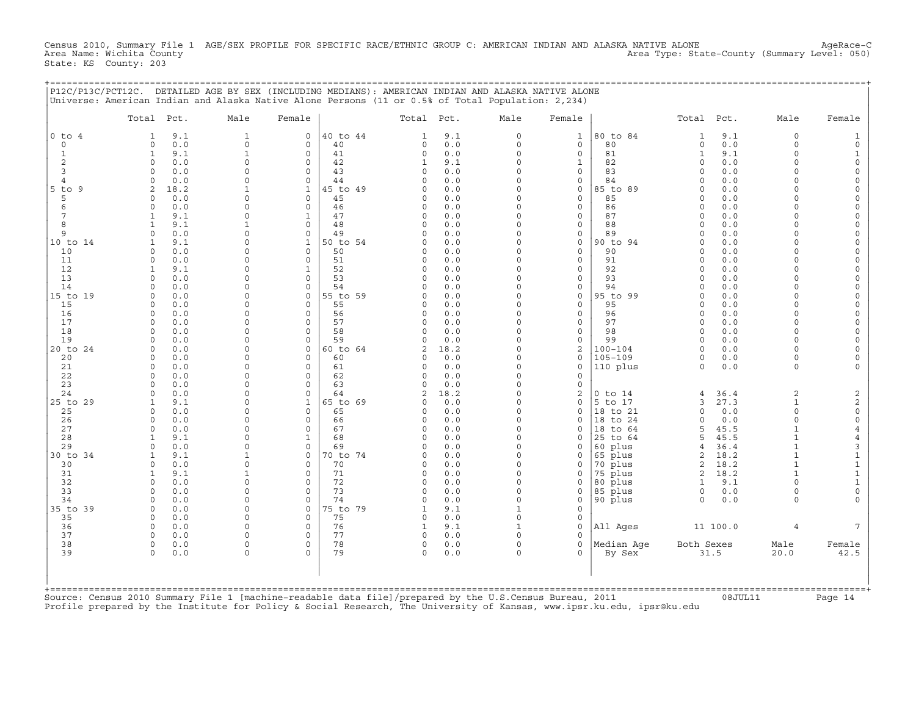Census 2010, Summary File 1 AGE/SEX PROFILE FOR SPECIFIC RACE/ETHNIC GROUP C: AMERICAN INDIAN AND ALASKA NATIVE ALONE AgeRace−C<br>Area Name: Wichita County 1 AgeRace-C Area Type: State-County (Summary Level: 050) State: KS County: 203

|                     | Total Pct.               |            | Male                    | Female                   |          | Total Pct.          |            | Male                | Female               |                      | Total                | Pct.       | Male                 | Female         |
|---------------------|--------------------------|------------|-------------------------|--------------------------|----------|---------------------|------------|---------------------|----------------------|----------------------|----------------------|------------|----------------------|----------------|
| $0$ to $4$          | $\mathbf{1}$             | 9.1        | $\mathbf{1}$            | $\mathbf 0$              | 40 to 44 | $\mathbf{1}$        | 9.1        | $\circ$             | $\mathbf{1}$         | 80 to 84             | $\mathbf{1}$         | 9.1        | $\circ$              |                |
| $\mathbf 0$         | $\Omega$                 | 0.0        | $\mathbf 0$             | $\Omega$                 | 40       | $\Omega$            | 0.0        | $\circ$             | $\mathbf 0$          | 80                   | $\Omega$             | 0.0        | $\circ$              |                |
| $\mathbf{1}$        | $\mathbf{1}$             | 9.1        | $\mathbf{1}$            | $\Omega$                 | 41       | $\circ$             | 0.0        | $\Omega$            | $\circ$              | 81                   | $\mathbf{1}$         | 9.1        | $\Omega$             |                |
| 2                   | $\Omega$                 | 0.0        | $\Omega$                | $\Omega$                 | 42       | $\mathbf{1}$        | 9.1        | $\circ$             | $\mathbf{1}$         | 82                   | $\Omega$             | 0.0        | $\Omega$             |                |
| 3<br>$\overline{4}$ | $\Omega$                 | 0.0        | $\Omega$                | 0                        | 43       | $\mathbf 0$         | 0.0        | $\circ$             | $\Omega$             | 83                   | $\Omega$             | 0.0        | $\Omega$             |                |
|                     | $\Omega$                 | 0.0        | $\Omega$                | 0                        | 44       | $\Omega$            | 0.0        | $\circ$             | $\mathbf 0$          | 84                   | $\Omega$             | 0.0        | $\Omega$             |                |
| $5$ to $9$          | 2                        | 18.2       | $\mathbf{1}$            | $\mathbf{1}$             | 45 to 49 | $\Omega$            | 0.0        | $\Omega$            | $\Omega$             | 85 to 89             | $\Omega$             | 0.0        | $\Omega$             |                |
|                     | $\Omega$                 | 0.0        | $\Omega$                | $\Omega$                 | 45       | $\Omega$            | 0.0        | $\Omega$            | $\mathbf 0$          | 85                   | $\Omega$             | 0.0        | $\Omega$             |                |
|                     | $\Omega$<br>$\mathbf{1}$ | 0.0        | $\Omega$<br>$\Omega$    | $\Omega$<br>$\mathbf{1}$ | 46<br>47 | $\circ$<br>$\Omega$ | 0.0        | $\circ$<br>$\Omega$ | $\circ$<br>$\Omega$  | 86<br>87             | $\Omega$<br>$\Omega$ | 0.0        | $\Omega$<br>$\Omega$ |                |
|                     | $\mathbf{1}$             | 9.1<br>9.1 | $\mathbf{1}$            | $\Omega$                 | 48       | $\Omega$            | 0.0<br>0.0 | $\Omega$            | $\Omega$             | 88                   | $\Omega$             | 0.0<br>0.0 | $\Omega$             |                |
|                     | $\Omega$                 | 0.0        | $\Omega$                | $\mathbf 0$              | 49       | $\circ$             | 0.0        | $\circ$             | $\Omega$             | 89                   | $\Omega$             | 0.0        | $\Omega$             |                |
| 10 to 14            | 1                        | 9.1        | $\Omega$                | $\mathbf{1}$             | 50 to 54 | $\Omega$            | 0.0        | $\Omega$            | $\mathbf 0$          | 90 to 94             | $\Omega$             | 0.0        | $\Omega$             |                |
| 10                  | $\Omega$                 | 0.0        | $\Omega$                | $\Omega$                 | 50       | $\Omega$            | 0.0        | $\Omega$            | $\Omega$             | 90                   | $\Omega$             | 0.0        | $\Omega$             |                |
| 11                  | $\Omega$                 | 0.0        | $\Omega$                | $\Omega$                 | 51       | $\mathbf 0$         | 0.0        | $\circ$             | $\Omega$             | 91                   | $\Omega$             | 0.0        | $\Omega$             |                |
|                     | $\mathbf{1}$             | 9.1        | $\Omega$                | $\mathbf{1}$             | 52       | $\Omega$            | 0.0        | $\circ$             | $\Omega$             | 92                   | $\Omega$             | 0.0        | $\Omega$             |                |
|                     | $\Omega$                 | 0.0        | $\Omega$                | $\Omega$                 | 53       | $\Omega$            | 0.0        | $\Omega$            | $\Omega$             | 93                   | $\Omega$             | 0.0        | $\Omega$             |                |
|                     | $\Omega$                 | 0.0        | $\Omega$                | $\Omega$                 | 54       | $\Omega$            | 0.0        | $\circ$             | $\Omega$             | 94                   | $\Omega$             | 0.0        | $\Omega$             |                |
| 15 to 19            | $\Omega$                 | 0.0        | $\circ$                 | 0                        | 55 to 59 | $\circ$             | 0.0        | $\Omega$            | $\mathbf 0$          | 95 to 99             | $\Omega$             | 0.0        | $\Omega$             |                |
|                     | $\circ$                  | 0.0        | $\circ$                 | 0                        | 55       | $\Omega$            | 0.0        | $\circ$             | $\mathbf 0$          | 95                   | $\Omega$             | 0.0        | $\Omega$             |                |
|                     | $\Omega$                 | 0.0        | $\circ$                 | $\Omega$                 | 56       | $\Omega$            | 0.0        | $\circ$             | $\circ$              | 96                   | $\Omega$             | 0.0        | $\Omega$             |                |
| 16                  | $\circ$                  | 0.0        | $\circ$                 | 0                        | 57       | $\mathbf 0$         | 0.0        | $\circ$             | $\mathbf 0$          | 97                   | $\Omega$             | 0.0        | $\Omega$             |                |
| 17<br>18            | $\Omega$                 | 0.0        | $\Omega$                | $\Omega$                 | 58       | $\Omega$            | 0.0        | $\Omega$            | $\Omega$             | 98                   | $\Omega$             | 0.0        | $\Omega$             |                |
| 19                  | $\Omega$                 | 0.0        | $\Omega$                | $\Omega$                 | 59       | $\Omega$            | 0.0        | $\Omega$            | $\Omega$             | 99                   | $\Omega$             | 0.0        | $\Omega$             |                |
| 20 to 24            | $\Omega$                 | 0.0        | $\Omega$                | $\circ$                  | 60 to 64 | 2                   | 18.2       | $\Omega$            | $\overline{a}$       | $100 - 104$          | $\Omega$             | 0.0        | $\Omega$             |                |
| 20                  | $\Omega$                 | 0.0        | $\mathbf 0$             | $\Omega$                 | 60       | $\Omega$            | 0.0        | $\circ$             | $\mathbf 0$          | $105 - 109$          | $\Omega$             | 0.0        | $\Omega$             |                |
|                     | $\circ$                  | 0.0        | $\mathbf 0$             | 0                        | 61       | $\Omega$            | 0.0        | $\circ$             | $\mathbf 0$          | 110 plus             | $\Omega$             | 0.0        | $\Omega$             |                |
|                     | $\Omega$                 | 0.0        | $\Omega$                | $\Omega$                 | 62       | $\Omega$            | 0.0        | $\circ$             | $\mathbf 0$          |                      |                      |            |                      |                |
|                     | $\circ$                  | 0.0        | $\Omega$                | 0                        | 63       | $\mathbf 0$         | 0.0        | $\circ$             | $\mathbf 0$          |                      |                      |            |                      |                |
|                     | $\Omega$                 | 0.0        | $\Omega$                | $\Omega$                 | 64       | $\overline{c}$      | 18.2       | $\Omega$            | 2                    | $0$ to 14            | 4                    | 36.4       | $\overline{2}$       |                |
| 25 to 29            | $\mathbf{1}$             | 9.1        | $\Omega$                | $\mathbf{1}$             | 65 to 69 | $\Omega$            | 0.0        | $\Omega$            | $\Omega$             | 5 to 17              | 3                    | 27.3       | $\mathbf{1}$         |                |
|                     | $\Omega$                 | 0.0        | $\Omega$                | $\Omega$                 | 65       | $\Omega$            | 0.0        | $\Omega$            | $\Omega$             | 18 to 21             | $\Omega$             | 0.0        | $\Omega$             |                |
|                     | $\Omega$                 | 0.0        | $\Omega$                | $\Omega$                 | 66       | $\circ$             | 0.0        | $\Omega$            | $\Omega$             | 18 to 24             | $\Omega$             | 0.0        | $\Omega$             |                |
|                     | $\Omega$                 | 0.0        | $\Omega$                | 0                        | 67       | $\Omega$            | 0.0        | $\circ$             | $\mathbf 0$          | 18 to 64             | 5                    | 45.5       | $\mathbf{1}$         |                |
|                     | $\mathbf{1}$             | 9.1        | $\mathbf 0$             | $\mathbf{1}$             | 68       | $\Omega$            | 0.0        | $\circ$             | $\Omega$             | 25 to 64             | 5                    | 45.5       | $\mathbf{1}$         |                |
|                     | $\circ$                  | 0.0        | $\mathbf 0$             | $\mathbf 0$              | 69       | $\mathbf 0$         | 0.0        | $\circ$             | $\mathbf 0$          | 60 plus              | $\overline{4}$       | 36.4       | $\mathbf{1}$         |                |
| 30 to 34            | $\mathbf{1}$             | 9.1        | $\mathbf{1}$            | $\Omega$                 | 70 to 74 | $\Omega$            | 0.0        | $\Omega$            | $\Omega$             | 65 plus              | 2                    | 18.2       | $\mathbf{1}$         |                |
|                     | $\Omega$                 | 0.0        | $\Omega$                | $\Omega$                 | 70       | $\Omega$            | 0.0        | $\Omega$            | $\Omega$             | 70 plus              | $\overline{2}$       | 18.2       | $\mathbf{1}$         |                |
|                     | $\mathbf{1}$             | 9.1        | $\mathbf{1}$            | $\Omega$                 | 71       | $\Omega$            | 0.0        | $\circ$             | $\Omega$             | 75 plus              | 2                    | 18.2       | $\mathbf{1}$         |                |
|                     | $\Omega$                 | 0.0        | $\mathbf 0$             | $\Omega$                 | 72       | $\circ$             | 0.0        | $\circ$             | $\mathbf 0$          | 80 plus              | $\mathbf{1}$         | 9.1        | $\Omega$             |                |
|                     | $\Omega$                 | 0.0        | $\Omega$                | 0                        | 73       | $\Omega$            | 0.0        | $\circ$             | $\mathbf 0$          | 85 plus              | $\Omega$             | 0.0        | $\Omega$             |                |
|                     | $\Omega$                 | 0.0        | $\Omega$                | $\circ$                  | 74       | $\Omega$            | 0.0        | $\circ$             | $\mathbf 0$          | 90 plus              | $\Omega$             | 0.0        | $\Omega$             |                |
| 35 to 39            | $\circ$                  | 0.0        | $\mathbf 0$             | $\mathbf 0$              | 75 to 79 | $\mathbf{1}$        | 9.1        | $\mathbf{1}$        | $\mathbf 0$          |                      |                      |            |                      |                |
| 35<br>36            | $\Omega$                 | 0.0        | $\Omega$                | $\Omega$                 | 75       | $\mathbf 0$         | 0.0        | $\circ$             | $\Omega$             |                      |                      |            |                      |                |
|                     | $\Omega$                 | 0.0        | $\Omega$                | $\Omega$                 | 76       | $\mathbf{1}$        | 9.1        | $\mathbf{1}$        | $\Omega$             | All Ages             |                      | 11 100.0   | $\overline{4}$       |                |
|                     | $\Omega$                 | 0.0        | $\mathbf 0$             | 0                        | 77       | $\mathbf 0$         | 0.0        | $\circ$             | $\Omega$             |                      |                      |            |                      |                |
| 38<br>39            | $\circ$<br>$\Omega$      | 0.0<br>0.0 | $\mathbf 0$<br>$\Omega$ | 0<br>$\Omega$            | 78<br>79 | $\circ$<br>$\Omega$ | 0.0<br>0.0 | $\circ$<br>$\Omega$ | $\Omega$<br>$\Omega$ | Median Age<br>By Sex | Both Sexes           | 31.5       | Male<br>20.0         | Female<br>42.5 |

+===================================================================================================================================================+Source: Census 2010 Summary File 1 [machine−readable data file]/prepared by the U.S.Census Bureau, 2011 08JUL11 Page 14

Profile prepared by the Institute for Policy & Social Research, The University of Kansas, www.ipsr.ku.edu, ipsr@ku.edu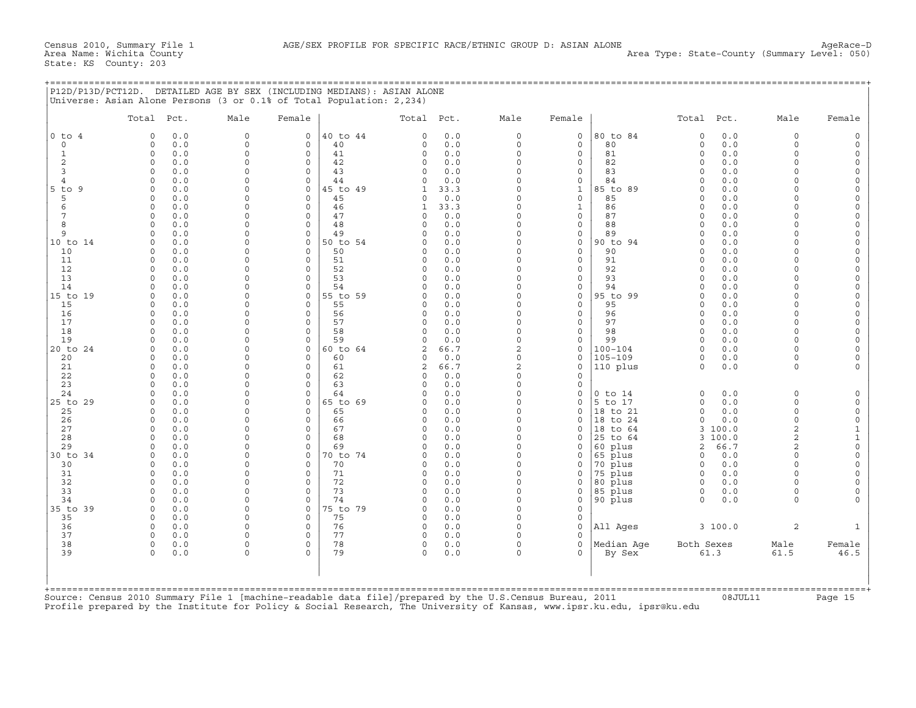#### +===================================================================================================================================================+

|                     | Total Pct.                        | Male                 | Female                  |                | Total Pct.           |             | Male                 | Female                     |                        | Total Pct.           |            | Male                 | Female                     |
|---------------------|-----------------------------------|----------------------|-------------------------|----------------|----------------------|-------------|----------------------|----------------------------|------------------------|----------------------|------------|----------------------|----------------------------|
| $0$ to $4$          | $\Omega$<br>0.0                   | $\mathbf 0$          | $\circ$                 | 40 to 44       | $\Omega$             | 0.0         | $\circ$              | $\mathbf 0$                | 80 to 84               | $\Omega$             | 0.0        | $\Omega$             | $\circ$                    |
| $\Omega$            | $\circ$<br>0.0                    | $\mathbf 0$          | $\Omega$                | 40             | $\Omega$             | 0.0         | $\circ$              | $\Omega$                   | 80                     | $\mathbf 0$          | 0.0        | $\Omega$             | $\circ$                    |
| $\mathbf{1}$        | 0.0<br>$\mathbf 0$                | $\mathbf 0$          | $\circ$                 | 41             | $\circ$              | 0.0         | $\circ$              | $\mathbf 0$                | 81                     | $\circ$              | 0.0        | $\Omega$             | $\mathsf O$                |
| $\mathbf{2}$        | 0.0<br>$\circ$                    | $\circ$              | $\mathbf 0$             | 42             | 0                    | 0.0         | $\Omega$             | $\mathbf 0$                | 82                     | $\Omega$             | 0.0        | $\Omega$             | $\mathsf O$                |
| 3<br>$\overline{4}$ | $\Omega$<br>0.0                   | 0                    | $\Omega$                | 43             | $\Omega$             | 0.0         | $\Omega$             | $\mathbf 0$                | 83                     | $\Omega$             | 0.0        | $\Omega$<br>$\cap$   | $\mathsf O$                |
| -9                  | 0.0<br>$\Omega$<br>$\Omega$       | $\Omega$<br>$\Omega$ | $\mathbf 0$<br>$\Omega$ | 44<br>45 to 49 | $\Omega$<br>1        | 0.0         | $\Omega$<br>$\Omega$ | $\mathbf 0$                | 84                     | $\Omega$<br>$\Omega$ | 0.0<br>0.0 |                      | $\circ$<br>$\Omega$        |
| $5$ to<br>5         | 0.0<br>$\Omega$<br>0.0            | $\Omega$             | $\Omega$                | 45             | $\Omega$             | 33.3<br>0.0 | $\Omega$             | $\mathbf 1$<br>$\mathbf 0$ | 85 to 89<br>85         | $\Omega$             | 0.0        | $\Omega$             | $\Omega$                   |
| 6                   | 0.0<br>$\Omega$                   | $\Omega$             | $\Omega$                | 46             | $\mathbf{1}$         | 33.3        | $\Omega$             | $\mathbf{1}$               | 86                     | $\Omega$             | 0.0        | $\cap$               | $\circ$                    |
| 7                   | $\circ$<br>0.0                    | 0                    | $\circ$                 | 47             | 0                    | 0.0         | $\Omega$             | $\mathsf{O}$               | 87                     | $\Omega$             | 0.0        | $\cap$               | $\mathsf{O}\xspace$        |
| 8                   | 0.0<br>$\Omega$                   | $\Omega$             | $\Omega$                | 48             | $\Omega$             | 0.0         | $\Omega$             | $\mathbf 0$                | 88                     | $\Omega$             | 0.0        | $\cap$               | $\mathbf 0$                |
| 9                   | 0<br>0.0                          | $\Omega$             | $\mathbf 0$             | 49             | $\Omega$             | 0.0         | $\circ$              | $\mathsf{O}$               | 89                     | $\Omega$             | 0.0        | $\cap$               | $\mathbf 0$                |
| 10 to 14            | 0.0<br>$\Omega$                   | $\Omega$             | $\mathbf 0$             | 50 to 54       | O                    | 0.0         | $\Omega$             | $\mathbf 0$                | 90 to 94               | $\Omega$             | 0.0        | $\Omega$             | $\mathsf{O}\xspace$        |
| 10                  | 0.0<br>$\Omega$                   | $\Omega$             | $\Omega$                | 50             | O                    | 0.0         | $\Omega$             | $\mathbf 0$                | 90                     | $\Omega$             | 0.0        | $\Omega$             | $\Omega$                   |
| 11                  | $\Omega$<br>0.0                   | $\Omega$             | $\Omega$                | 51             | $\Omega$             | 0.0         | $\Omega$             | $\mathbf 0$                | 91                     | $\Omega$             | 0.0        |                      | $\Omega$                   |
| 12                  | $\Omega$<br>0.0                   | $\Omega$             | $\Omega$                | 52             | $\Omega$             | 0.0         | $\Omega$             | $\Omega$                   | 92                     | $\Omega$             | 0.0        | $\Omega$             | $\circ$                    |
| 13                  | 0.0<br>$\cap$                     | $\Omega$             | $\Omega$                | 53             | $\cap$               | 0.0         | $\Omega$             | $\Omega$                   | 93                     | $\Omega$             | 0.0        |                      | $\Omega$                   |
| 14                  | $\Omega$<br>0.0                   | $\Omega$             | $\Omega$                | 54             | $\Omega$             | 0.0         | $\Omega$             | $\mathbf 0$                | 94                     | $\Omega$             | 0.0        | $\Omega$             | $\mathbf 0$                |
| 15 to 19<br>15      | 0.0<br>$\circ$<br>0.0<br>$\Omega$ | 0<br>$\Omega$        | $\mathbf 0$<br>$\Omega$ | 55 to 59<br>55 | $\Omega$<br>$\Omega$ | 0.0<br>0.0  | 0<br>$\Omega$        | $\mathsf{O}$<br>$\Omega$   | 95 to 99<br>95         | $\Omega$<br>$\Omega$ | 0.0<br>0.0 | $\cap$<br>$\cap$     | $\mathbf 0$<br>$\mathbf 0$ |
| 16                  | 0.0<br>$\Omega$                   | 0                    | $\circ$                 | 56             | 0                    | 0.0         | $\Omega$             | $\mathbf 0$                | 96                     | $\Omega$             | 0.0        | $\Omega$             | $\mathbf 0$                |
| 17                  | $\Omega$<br>0.0                   | $\Omega$             | $\Omega$                | 57             | $\Omega$             | 0.0         | $\Omega$             | $\mathbf 0$                | 97                     | $\Omega$             | 0.0        | $\cap$               | $\circ$                    |
| 18                  | $\Omega$<br>0.0                   | $\Omega$             | $\Omega$                | 58             | $\Omega$             | 0.0         | $\circ$              | $\mathbf 0$                | 98                     | $\Omega$             | 0.0        | $\Omega$             | $\Omega$                   |
| 19                  | 0.0<br>$\Omega$                   | $\Omega$             | $\Omega$                | 59             | $\Omega$             | 0.0         | $\circ$              | $\mathbf 0$                | 99                     | $\Omega$             | 0.0        | $\cap$               | $\circ$                    |
| 20 to 24            | 0.0<br>$\circ$                    | $\Omega$             | $\circ$                 | 60 to 64       | $\overline{a}$       | 66.7        | $\overline{a}$       | $\mathbf 0$                | $100 - 104$            | $\Omega$             | 0.0        | $\Omega$             | $\mathbf 0$                |
| 20                  | 0.0<br>0                          | $\Omega$             | $\Omega$                | 60             | 0                    | 0.0         | $\Omega$             | $\mathbf 0$                | $105 - 109$            | $\circ$              | 0.0        | $\Omega$             | $\mathbf 0$                |
| 21                  | $\circ$<br>0.0                    | 0                    | $\mathbf 0$             | 61             | 2                    | 66.7        | 2                    | $\mathbf 0$                | 110 plus               | $\Omega$             | 0.0        | $\Omega$             |                            |
| 22                  | 0.0<br>$\Omega$                   | 0                    | $\mathbf 0$             | 62             | $\Omega$             | 0.0         | $\Omega$             | $\mathbf 0$                |                        |                      |            |                      |                            |
| 23                  | 0.0<br>$\Omega$                   | $\Omega$             | $\Omega$                | 63             | $\Omega$             | 0.0         | $\Omega$             | $\mathbf 0$                |                        |                      |            |                      |                            |
| 24                  | $\Omega$<br>0.0<br>$\Omega$       | $\Omega$<br>$\Omega$ | $\Omega$                | 64             | $\Omega$<br>U        | 0.0         | $\Omega$<br>$\Omega$ | $\mathbf 0$<br>$\Omega$    | $0$ to $14$<br>5 to 17 | $\Omega$<br>$\Omega$ | 0.0        | $\Omega$<br>$\Omega$ | $\Omega$                   |
| 25 to 29<br>25      | 0.0<br>0.0<br>$\Omega$            | $\Omega$             | $\Omega$<br>$\Omega$    | 65 to 69<br>65 | $\Omega$             | 0.0<br>0.0  | $\Omega$             | $\mathbf 0$                | 18 to 21               | $\Omega$             | 0.0<br>0.0 | $\Omega$             | $\circ$<br>$\circ$         |
| 26                  | 0.0<br>$\Omega$                   | $\Omega$             | $\Omega$                | 66             | $\Omega$             | 0.0         | $\Omega$             | $\Omega$                   | 18 to 24               | $\Omega$             | 0.0        | $\Omega$             | $\mathsf{O}\xspace$        |
| 27                  | $\circ$<br>0.0                    | $\Omega$             | $\mathbf 0$             | 67             | 0                    | 0.0         | $\circ$              | $\mathbf 0$                | 18 to 64               | 3                    | 100.0      | $\overline{c}$       | $\mathbf{1}$               |
| 28                  | 0.0<br>$\Omega$                   | $\Omega$             | $\Omega$                | 68             | $\Omega$             | 0.0         | $\circ$              | $\mathbf 0$                | 25 to 64               |                      | 3 100.0    | $\overline{c}$       | $\mathbf{1}$               |
| 29                  | 0.0<br>$\Omega$                   | $\Omega$             | $\Omega$                | 69             | $\Omega$             | 0.0         | $\Omega$             | $\mathbf 0$                | 60 plus                | 2                    | 66.7       | $\mathcal{D}$        | $\mathsf{O}\xspace$        |
| 30 to 34            | 0.0<br>$\Omega$                   | $\Omega$             | $\Omega$                | 70 to 74       | $\Omega$             | 0.0         | $\Omega$             | $\mathbf 0$                | 65 plus                | $\circ$              | 0.0        | $\Omega$             | $\mathsf{O}\xspace$        |
| 30                  | $\Omega$<br>0.0                   | $\Omega$             | $\Omega$                | 70             | $\Omega$             | 0.0         | $\Omega$             | $\mathbf 0$                | 70 plus                | $\Omega$             | 0.0        | $\Omega$             | $\mathsf{O}\xspace$        |
| 31                  | 0.0<br>$\Omega$                   | $\Omega$             | $\Omega$                | 71             | $\Omega$             | 0.0         | $\Omega$             | $\mathbf 0$                | 75 plus                | $\Omega$             | 0.0        | $\Omega$             | $\Omega$                   |
| 32                  | 0.0<br>$\Omega$                   | $\Omega$             | $\circ$                 | 72             | $\Omega$             | 0.0         | $\Omega$             | $\Omega$                   | 80 plus                | $\Omega$             | 0.0        |                      | $\Omega$                   |
| 33                  | $\Omega$<br>0.0                   | $\Omega$             | $\mathbf 0$             | 73             | $\Omega$             | 0.0         | $\Omega$             | $\mathsf{O}$               | 85 plus                | 0                    | 0.0        | $\Omega$             | $\Omega$                   |
| 34                  | $\Omega$<br>0.0                   | $\Omega$             | $\Omega$                | 74             | $\Omega$             | 0.0         | $\circ$              | $\mathbf 0$                | 90 plus                | $\Omega$             | 0.0        | $\Omega$             |                            |
| 35 to 39            | 0.0<br>0                          | $\Omega$<br>$\Omega$ | $\mathbf 0$             | 75 to 79       | $\Omega$             | 0.0         | $\Omega$<br>$\Omega$ | $\mathbf 0$                |                        |                      |            |                      |                            |
| 35<br>36            | $\Omega$<br>0.0<br>$\circ$<br>0.0 | 0                    | $\Omega$<br>$\mathbf 0$ | 75<br>76       | $\Omega$<br>0        | 0.0<br>0.0  | $\circ$              | $\mathbf 0$<br>$\mathbf 0$ | All Aqes               |                      | 3100.0     | 2                    |                            |
| 37                  | $\Omega$<br>0.0                   | $\Omega$             | $\Omega$                | 77             | $\Omega$             | 0.0         | $\Omega$             | $\Omega$                   |                        |                      |            |                      |                            |
| 38                  | $\mathbf 0$<br>0.0                | 0                    | $\mathbf 0$             | 78             | 0                    | 0.0         | $\circ$              | $\mathbf 0$                | Median Aqe             | Both Sexes           |            | Male                 | Female                     |
| 39                  | $\Omega$<br>0.0                   | $\Omega$             | $\Omega$                | 79             | $\Omega$             | 0.0         | $\Omega$             | $\Omega$                   | By Sex                 | 61.3                 |            | 61.5                 | 46.5                       |
|                     |                                   |                      |                         |                |                      |             |                      |                            |                        |                      |            |                      |                            |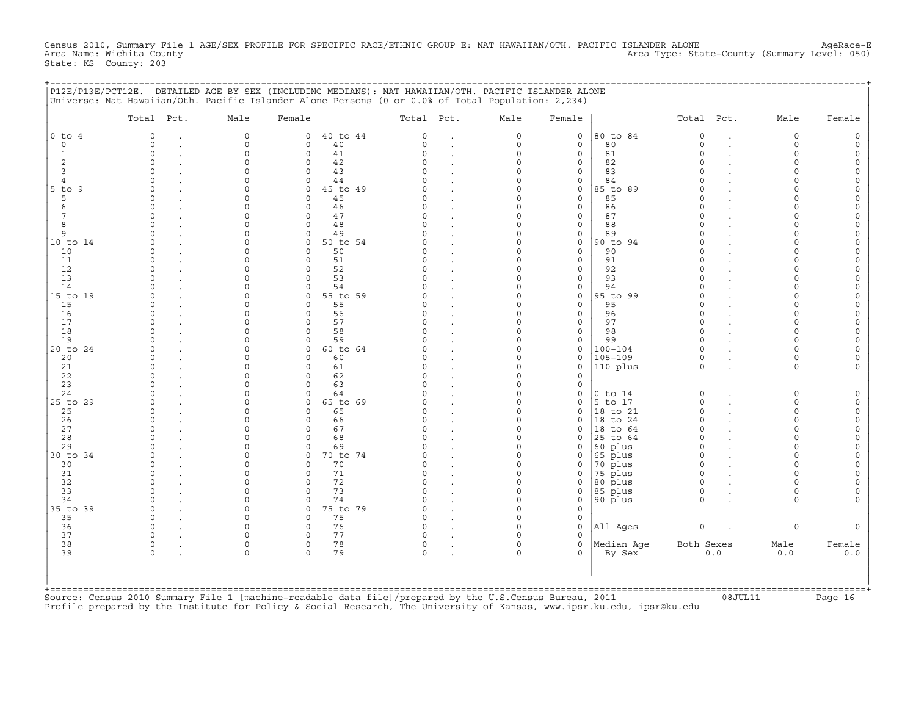Census 2010, Summary File 1 AGE/SEX PROFILE FOR SPECIFIC RACE/ETHNIC GROUP E: NAT HAWAIIAN/OTH. PACIFIC ISLANDER ALONE AgeRace-E<br>Area Name: Wichita County 1 AgeRace-E Area Type: State-County (Summary Level: 050) State: KS County: 203

|  |  |  | P12E/P13E/PCT12E. DETAILED AGE BY SEX (INCLUDING MEDIANS): NAT HAWAIIAN/OTH. PACIFIC ISLANDER ALONE |  |  |
|--|--|--|-----------------------------------------------------------------------------------------------------|--|--|
|  |  |  | Illniverse, Net Hawaiian/Oth, Pasific Islander Alone Persons (0 or 0 0% of Total Population, 2 224) |  |  |

|                | Total Pct. | Male         | Female       |          | Total Pct. |                | Male     | Female       |             | Total Pct.  |     | Male        | Female |
|----------------|------------|--------------|--------------|----------|------------|----------------|----------|--------------|-------------|-------------|-----|-------------|--------|
| $0$ to $4$     | $\Omega$   | $\mathbf 0$  | $\circ$      | 40 to 44 | $\Omega$   |                | $\circ$  | $\mathbf 0$  | 80 to 84    | $\circ$     |     | $\mathbf 0$ |        |
| $\Omega$       | $\Omega$   | $\mathbf{0}$ | $\Omega$     | 40       | $\Omega$   | $\overline{a}$ | $\circ$  | $\mathbf 0$  | 80          | $\mathbf 0$ |     | $\Omega$    |        |
| $\mathbf{1}$   | $\circ$    | $\mathbf 0$  | $\mathbf{0}$ | 41       | $\Omega$   |                | $\circ$  | $\mathbf 0$  | 81          | $\Omega$    |     | $\Omega$    |        |
| 2              | $\Omega$   | 0            | $\circ$      | 42       | $\Omega$   |                | $\Omega$ | $\mathbf 0$  | 82          | $\Omega$    |     |             |        |
| 3              | $\Omega$   | $\Omega$     | $\mathbf{0}$ | 43       |            |                | $\Omega$ | $\mathbf 0$  | 83          | $\Omega$    |     |             |        |
| $\overline{4}$ |            | $\Omega$     | $\mathbf 0$  | 44       |            |                | $\Omega$ | $\mathbf 0$  | 84          |             |     |             |        |
| $5$ to $9$     |            | $\cap$       | $\Omega$     | 45 to 49 |            |                | $\Omega$ | $\Omega$     | 85 to 89    |             |     |             |        |
| 5              | $\Omega$   | $\Omega$     | $\Omega$     | 45       |            |                | $\Omega$ | $\mathbf 0$  | 85          | $\Omega$    |     |             |        |
| 6              | $\cap$     | $\cap$       | $\Omega$     | 46       |            |                | $\Omega$ | $\mathbf 0$  | 86          | $\Omega$    |     |             |        |
| 7              | $\Omega$   | $\Omega$     | $\circ$      | 47       |            |                | $\Omega$ | $\circ$      | 87          | $\Omega$    |     |             |        |
| 8              |            | $\Omega$     | $\mathbf 0$  | 48       |            |                | $\Omega$ | $\mathbf 0$  | 88          | $\Omega$    |     |             |        |
| 9              |            | $\Omega$     | $\mathbf 0$  | 49       |            |                | $\Omega$ | $\mathsf{O}$ | 89          | $\Omega$    |     |             |        |
| 10 to 14       |            | $\Omega$     | $\mathbf{0}$ | 50 to 54 |            |                | $\Omega$ | $\circ$      | 90 to 94    | $\Omega$    |     |             |        |
| 10             |            | $\Omega$     | $\Omega$     | 50       |            |                | $\Omega$ | $\mathbf 0$  | 90          | $\Omega$    |     |             |        |
| 11             | $\Omega$   | $\Omega$     | $\Omega$     | 51       |            |                | $\Omega$ | $\mathbf 0$  | 91          | $\Omega$    |     |             |        |
| 12             |            | $\Omega$     | $\Omega$     | 52       |            |                | $\Omega$ | $\mathbf 0$  | 92          | $\Omega$    |     |             |        |
| 13             |            | $\cap$       | $\Omega$     | 53       |            |                | $\Omega$ | $\Omega$     | 93          |             |     |             |        |
| 14             |            | $\Omega$     | $\circ$      | 54       |            |                | $\Omega$ | $\mathbf 0$  | 94          |             |     |             |        |
| 15 to 19       | $\Omega$   | 0            | $\mathbf 0$  | 55 to 59 |            |                | $\Omega$ | $\circ$      | 95 to 99    | $\Omega$    |     |             |        |
| 15             |            | $\Omega$     | $\Omega$     | 55       |            |                | $\Omega$ | $\mathbf 0$  | 95          | $\Omega$    |     |             |        |
| 16             |            | $\Omega$     | $\circ$      | 56       |            |                | $\Omega$ | $\mathbf 0$  | 96          | $\Omega$    |     |             |        |
| 17             |            | $\Omega$     | $\Omega$     | 57       | U          |                | $\Omega$ | $\mathbf{0}$ | 97          | $\Omega$    |     |             |        |
| 18             |            | $\Omega$     | $\circ$      | 58       |            |                | $\Omega$ | $\mathbf 0$  | 98          | $\Omega$    |     |             |        |
| 19             |            | $\Omega$     | $\Omega$     | 59       |            |                | $\Omega$ | $\mathbf 0$  | 99          | $\Omega$    |     |             |        |
| 20 to 24       |            | $\Omega$     | $\circ$      | 60 to 64 |            |                | $\Omega$ | $\mathbf{0}$ | $100 - 104$ | $\Omega$    |     |             |        |
| 20             |            | $\Omega$     | $\mathbf 0$  | 60       |            |                | $\Omega$ | $\mathbf 0$  | $105 - 109$ | $\Omega$    |     |             |        |
| 21             | $\Omega$   | $\Omega$     | $\circ$      | 61       |            |                | $\circ$  | $\mathbf 0$  | 110 plus    | $\Omega$    |     | $\Omega$    |        |
| 22             |            | $\Omega$     | $\mathbf 0$  | 62       |            |                | $\Omega$ | $\Omega$     |             |             |     |             |        |
| 23             |            | $\Omega$     | $\Omega$     | 63       |            |                | $\Omega$ | $\Omega$     |             |             |     |             |        |
| 24             |            | $\Omega$     | $\Omega$     | 64       |            |                | $\Omega$ | $\mathbf 0$  | $0$ to $14$ | $\circ$     |     | $\Omega$    |        |
| 25 to 29       |            | $\cap$       | $\Omega$     | 65 to 69 |            |                | $\cap$   | $\Omega$     | 5 to 17     | $\Omega$    |     | $\Omega$    |        |
| 25             |            | $\Omega$     | $\Omega$     | 65       |            |                | $\Omega$ | $\mathbf 0$  | 18 to 21    | $\Omega$    |     | $\cap$      |        |
| 26             | $\Omega$   | U            | $\mathbf 0$  | 66       |            |                | $\Omega$ | $\Omega$     | 18 to 24    | $\Omega$    |     | $\cap$      |        |
| 27             | $\Omega$   | 0            | $\mathbf 0$  | 67       |            |                | $\circ$  | $\mathbf 0$  | 18 to 64    | $\Omega$    |     |             |        |
| 28             |            | $\Omega$     | $\mathbf 0$  | 68       |            |                | $\Omega$ | $\mathbf 0$  | 25 to 64    | $\Omega$    |     |             |        |
| 29             |            | $\Omega$     | $\mathbf 0$  | 69       |            |                | $\Omega$ | $\Omega$     | 60 plus     | $\Omega$    |     |             |        |
| 30 to 34       |            | $\Omega$     | $\Omega$     | 70 to 74 |            |                | $\Omega$ | $\mathbf 0$  | 65 plus     | $\Omega$    |     |             |        |
| 30             | $\Omega$   | $\Omega$     | $\Omega$     | 70       |            |                | $\Omega$ | $\mathbf 0$  | 70 plus     | $\Omega$    |     |             |        |
| 31             |            | $\Omega$     | $\Omega$     | 71       |            |                | $\Omega$ | $\mathbf 0$  | 75 plus     | $\Omega$    |     |             |        |
| 32             | $\Omega$   | $\Omega$     | $\circ$      | 72       |            |                | $\Omega$ | $\mathbf 0$  | 80 plus     | $\Omega$    |     |             |        |
| 33             |            | $\Omega$     | $\mathbf 0$  | 73       |            |                | $\Omega$ | $\mathsf{O}$ | 85 plus     | $\Omega$    |     | $\Omega$    |        |
| 34             | $\Omega$   | $\Omega$     | $\Omega$     | 74       |            |                | $\Omega$ | $\mathbf 0$  | 90 plus     | $\Omega$    |     | $\cap$      |        |
| 35 to 39       | $\Omega$   | $\Omega$     | $\mathbf 0$  | 75 to 79 |            |                | $\Omega$ | $\mathbf 0$  |             |             |     |             |        |
| 35             | $\Omega$   | $\cap$       | $\Omega$     | 75       | $\cap$     |                | $\Omega$ | $\mathbf 0$  |             |             |     |             |        |
| 36             | $\Omega$   | $\Omega$     | $\mathbf 0$  | 76       | $\cap$     |                | $\Omega$ | $\circ$      | All Ages    | $\circ$     |     | $\Omega$    |        |
| 37             |            | $\cap$       | $\Omega$     | 77       |            |                |          | $\Omega$     |             |             |     |             |        |
| 38             | $\Omega$   | $\Omega$     | $\mathbf 0$  | 78       | 0          |                | $\Omega$ | $\mathbf 0$  | Median Age  | Both Sexes  |     | Male        | Female |
| 39             |            | $\Omega$     | $\Omega$     | 79       | $\Omega$   |                | $\Omega$ | $\Omega$     | By Sex      |             | 0.0 | 0.0         | 0.0    |
|                |            |              |              |          |            |                |          |              |             |             |     |             |        |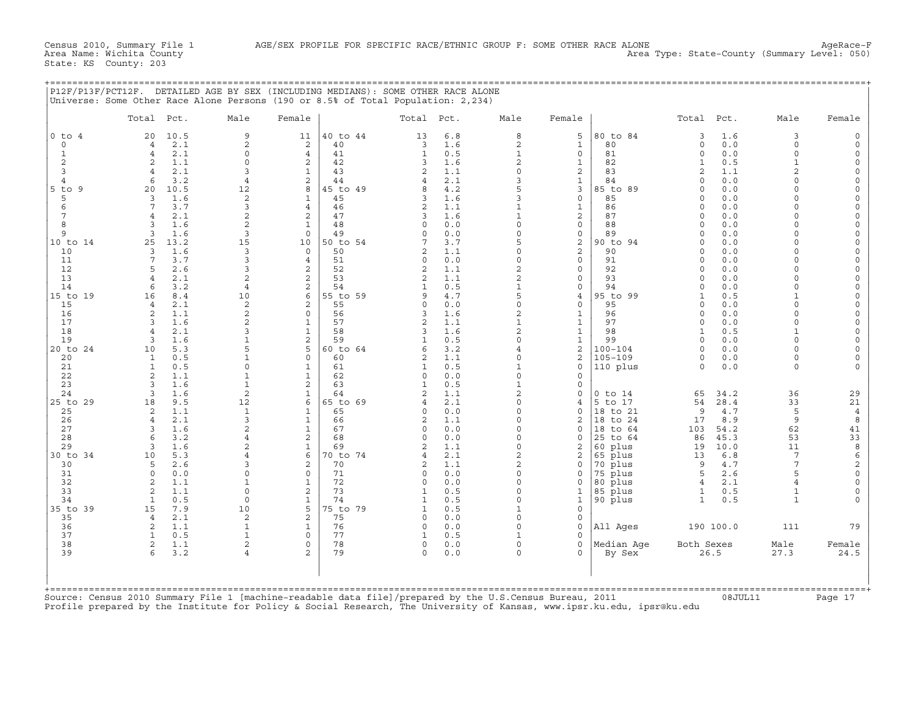| P12F/P13F/PCT12F. DETAILED AGE BY SEX (INCLUDING MEDIANS): SOME OTHER RACE ALONE |  |
|----------------------------------------------------------------------------------|--|
| Universe: Some Other Race Alone Persons (190 or 8.5% of Total Population: 2,234) |  |
|                                                                                  |  |

|                             | Total                            | Pct.       | Male                             | Female                                  |                | Total Pct.          |            | Male                         | Female                       |                     | Total Pct.           |              | Male                 | Female                  |
|-----------------------------|----------------------------------|------------|----------------------------------|-----------------------------------------|----------------|---------------------|------------|------------------------------|------------------------------|---------------------|----------------------|--------------|----------------------|-------------------------|
| $0$ to $4$                  | 20                               | 10.5       | 9                                | 11                                      | 40 to 44       | 13                  | 6.8        | 8                            | 5                            | 80 to 84            | 3                    | 1.6          | 3                    | $\Omega$                |
| $\mathbf 0$<br>$\mathbf{1}$ | $\overline{4}$<br>$\overline{4}$ | 2.1<br>2.1 | $\overline{a}$<br>$\circ$        | 2<br>$\overline{4}$                     | 40<br>41       | 3<br>$\mathbf{1}$   | 1.6<br>0.5 | 2<br>$\mathbf{1}$            | $\mathbf{1}$<br>$\mathbf 0$  | 80<br>81            | $\circ$<br>$\circ$   | 0.0<br>0.0   | $\Omega$<br>$\Omega$ | $\circ$                 |
| $\mathbf{2}$                | 2                                | 1.1        | $\Omega$                         | $\overline{c}$                          | 42             | 3                   | 1.6        | 2                            | $\mathbf{1}$                 | 82                  | $\mathbf{1}$         | 0.5          | $\mathbf{1}$         | $\Omega$                |
| 3                           | $\overline{4}$                   | 2.1        | 3                                | $\mathbf{1}$                            | 43             | $\overline{2}$      | 1.1        | $\Omega$                     | 2                            | 83                  | $\overline{2}$       | 1.1          | $\overline{a}$       | $\Omega$                |
| $\overline{4}$              | 6                                | 3.2        | $\overline{4}$                   | $\overline{c}$                          | 44             | 4                   | 2.1        | 3                            | $\mathbf{1}$                 | 84                  | $\Omega$             | 0.0          | $\Omega$             | $\Omega$                |
| $5$ to<br>9                 | 20                               | 10.5       | 12                               | 8                                       | 45 to 49       | 8                   | 4.2        | 5                            | 3                            | 85 to 89            | $\Omega$             | 0.0          | $\cap$               | $\Omega$                |
| 5                           | 3<br>7                           | 1.6<br>3.7 | 2<br>3                           | $\mathbf{1}$<br>$\overline{4}$          | 45<br>46       | 3<br>$\overline{2}$ | 1.6<br>1.1 | 3<br>$\mathbf{1}$            | $\mathbf 0$                  | 85<br>86            | $\Omega$<br>$\Omega$ | 0.0<br>0.0   | $\Omega$             | $\circ$<br>$\Omega$     |
| 6<br>7                      | $\overline{4}$                   | 2.1        | $\overline{a}$                   | $\mathbf{2}$                            | 47             | 3                   | 1.6        | $\mathbf{1}$                 | $\mathbf{1}$<br>2            | 87                  | $\Omega$             | 0.0          |                      | $\Omega$                |
| 8                           | 3                                | 1.6        | $\overline{2}$                   | $\mathbf{1}$                            | 48             | 0                   | 0.0        | $\circ$                      | $\mathbf 0$                  | 88                  | $\Omega$             | 0.0          | $\cap$               | $\Omega$                |
| 9                           | 3                                | 1.6        | 3                                | $\mathbf 0$                             | 49             | 0                   | 0.0        | $\Omega$                     | $\circ$                      | 89                  | $\Omega$             | 0.0          | $\cap$               | $\Omega$                |
| 10 to 14                    | 25                               | 13.2       | 15                               | 10                                      | 50 to 54       | 7                   | 3.7        | 5                            | 2                            | 90 to 94            | $\Omega$             | 0.0          |                      | $\Omega$                |
| 10                          | 3                                | 1.6        | 3                                | $\Omega$                                | 50             | $\overline{2}$      | 1.1        | $\circ$                      | 2                            | 90                  | $\Omega$             | 0.0          | $\cap$               | $\Omega$                |
| 11<br>12                    | 7<br>5                           | 3.7<br>2.6 | 3<br>3                           | 4<br>$\overline{a}$                     | 51<br>52       | 0<br>$\overline{2}$ | 0.0<br>1.1 | $\circ$<br>2                 | $\mathsf{O}$<br>$\mathbf 0$  | 91<br>92            | $\Omega$<br>$\cap$   | $0.0$<br>0.0 | $\cap$<br>$\cap$     | $\Omega$<br>$\Omega$    |
| 13                          | $\overline{4}$                   | 2.1        | $\overline{2}$                   | $\overline{c}$                          | 53             | $\overline{2}$      | 1.1        | $\overline{a}$               | $\mathbf 0$                  | 93                  | $\Omega$             | 0.0          | $\Omega$             | $\Omega$                |
| 14                          | 6                                | 3.2        | $\overline{4}$                   | $\overline{\mathbf{c}}$                 | 54             | 1                   | 0.5        | $\mathbf{1}$                 | $\mathsf{O}$                 | 94                  | $\Omega$             | 0.0          | $\Omega$             | $\circ$                 |
| 15 to 19                    | 16                               | 8.4        | 10                               | 6                                       | 55 to 59       | 9                   | 4.7        | 5                            | $\overline{4}$               | 95 to 99            | $\mathbf{1}$         | 0.5          | $\mathbf{1}$         | $\Omega$                |
| 15                          | $\overline{4}$                   | 2.1        | 2                                | $\overline{a}$                          | 55             | 0                   | 0.0        | $\mathsf{O}\xspace$          | $\mathbf 0$                  | 95                  | $\Omega$             | 0.0          | $\Omega$             | $\Omega$                |
| 16<br>17                    | 2<br>3                           | 1.1<br>1.6 | $\overline{2}$<br>$\overline{2}$ | $\mathbf{0}$<br>$\mathbf{1}$            | 56<br>57       | 3                   | 1.6<br>1.1 | $\mathbf{2}$<br>$\mathbf{1}$ | $\mathbf{1}$                 | 96<br>97            | $\Omega$<br>$\Omega$ | 0.0<br>0.0   | $\Omega$<br>$\Omega$ | $\mathbf 0$<br>$\Omega$ |
| 18                          | $\overline{4}$                   | 2.1        | 3                                | $\mathbf{1}$                            | 58             | $\overline{a}$<br>3 | 1.6        | $\overline{c}$               | $\mathbf{1}$<br>$\mathbf{1}$ | 98                  | $\mathbf{1}$         | 0.5          | $\mathbf{1}$         | $\Omega$                |
| 19                          | 3                                | 1.6        | 1                                | $\mathbf{2}$                            | 59             | 1                   | 0.5        | $\Omega$                     | $\mathbf{1}$                 | 99                  | $\Omega$             | 0.0          | $\Omega$             | $\Omega$                |
| 20 to 24                    | 10                               | 5.3        | 5                                | 5                                       | 60 to 64       | 6                   | 3.2        | 4                            | 2                            | $100 - 104$         | $\Omega$             | 0.0          | $\Omega$             | $\Omega$                |
| 20                          | $\mathbf{1}$                     | 0.5        | $\mathbf{1}$                     | $\mathbf 0$                             | 60             | $\overline{2}$      | 1.1        | $\circ$                      | 2                            | $105 - 109$         | $\circ$              | 0.0          | $\Omega$             | $\Omega$                |
| 21                          | 1                                | 0.5        | $\Omega$                         | $\mathbf{1}$                            | 61             | 1                   | 0.5        | $\mathbf{1}$                 | $\mathbf 0$                  | 110 plus            | $\Omega$             | 0.0          | $\Omega$             |                         |
| 22<br>23                    | $\overline{2}$<br>3              | 1.1<br>1.6 | $\mathbf{1}$<br>$\mathbf{1}$     | $\mathbf{1}$<br>$\overline{\mathbf{c}}$ | 62<br>63       | $\Omega$<br>1       | 0.0<br>0.5 | $\circ$<br>$\mathbf{1}$      | $\Omega$<br>$\mathbf 0$      |                     |                      |              |                      |                         |
| 24                          | 3                                | 1.6        | 2                                | $\mathbf{1}$                            | 64             | 2                   | 1.1        | $\overline{c}$               | $\mathbf 0$                  | $0$ to $14$         | 65                   | 34.2         | 36                   | 29                      |
| 25 to 29                    | 18                               | 9.5        | 12                               | 6                                       | 65 to 69       | $\overline{4}$      | 2.1        | $\circ$                      | 4                            | 5 to 17             | 54                   | 28.4         | 33                   | 21                      |
| 25                          | 2                                | 1.1        | $\mathbf{1}$                     | $\mathbf{1}$                            | 65             | $\Omega$            | 0.0        | $\Omega$                     | $\mathbf 0$                  | 18 to 21            | 9                    | 4.7          | 5                    | $\overline{4}$          |
| 26                          | $\overline{4}$                   | 2.1        | 3                                | $\mathbf{1}$                            | 66             | 2                   | 1.1        | $\Omega$                     | 2                            | 18<br>to 24         | 17                   | 8.9          | 9                    | 8                       |
| 27                          | 3                                | 1.6        | $\overline{2}$                   | $\mathbf{1}$                            | 67             | 0                   | 0.0        | $\Omega$                     | $\Omega$                     | 18<br>to 64         | 103                  | 54.2         | 62                   | 41<br>33                |
| 28<br>29                    | 6<br>3                           | 3.2<br>1.6 | 4<br>2                           | $\mathbf{2}$<br>$\mathbf{1}$            | 68<br>69       | 0<br>$\mathfrak{D}$ | 0.0<br>1.1 | $\circ$<br>$\Omega$          | $\mathbf 0$<br>2             | 25 to 64<br>60 plus | 86<br>19             | 45.3<br>10.0 | 53<br>11             | $\,8\,$                 |
| 30 to 34                    | 10                               | 5.3        | 4                                | 6                                       | 70 to 74       | $\overline{4}$      | 2.1        | 2                            | $\mathbf{2}$                 | 65 plus             | 13                   | 6.8          | $7\phantom{.0}$      | 6                       |
| 30                          | 5                                | 2.6        | 3                                | 2                                       | 70             | 2                   | 1.1        | 2                            | 0                            | 70 plus             | 9                    | 4.7          | $7\overline{ }$      | $\sqrt{2}$              |
| 31                          | $\Omega$                         | 0.0        | $\Omega$                         | $\Omega$                                | 71             | $\Omega$            | 0.0        | $\Omega$                     | $\Omega$                     | 75 plus             | 5                    | 2.6          | 5                    | $\Omega$                |
| 32                          | 2                                | 1.1        | $\mathbf 1$                      | $\mathbf{1}$                            | 72             | 0                   | $0.0$      | $\circ$                      | $\mathsf{O}$                 | 80 plus             | $\overline{4}$       | 2.1          | $\overline{4}$       | $\Omega$                |
| 33                          | 2                                | 1.1        | 0<br>$\Omega$                    | $\mathbf{2}$                            | 73             | 1                   | 0.5        | 0                            | 1                            | 85 plus             | 1                    | 0.5          | $\mathbf{1}$         | $\mathsf O$             |
| 34<br>35 to 39              | $\mathbf{1}$<br>15               | 0.5<br>7.9 | 10                               | $\mathbf{1}$<br>5                       | 74<br>75 to 79 | $\mathbf{1}$<br>1   | 0.5<br>0.5 | $\Omega$<br>$\mathbf{1}$     | $\mathbf{1}$<br>$\mathbf 0$  | 90 plus             | $\mathbf{1}$         | 0.5          | $\mathbf{1}$         |                         |
| 35                          | $\overline{4}$                   | 2.1        | 2                                | 2                                       | 75             | 0                   | 0.0        | $\circ$                      | $\mathbf 0$                  |                     |                      |              |                      |                         |
| 36                          | 2                                | 1.1        | $\mathbf{1}$                     | $\mathbf{1}$                            | 76             | 0                   | 0.0        | $\Omega$                     | $\mathbf 0$                  | All Ages            |                      | 190 100.0    | 111                  | 79                      |
| 37                          | $\mathbf{1}$                     | 0.5        | $\mathbf{1}$                     | $\circ$                                 | 77             | 1                   | 0.5        | $\mathbf{1}$                 | $\Omega$                     |                     |                      |              |                      |                         |
| 38                          | 2                                | 1.1        | 2                                | $\circ$                                 | 78             | 0                   | 0.0        | 0                            | $\mathbf 0$                  | Median Aqe          | Both Sexes           |              | Male                 | Female                  |
| 39                          | 6                                | 3.2        | $\overline{4}$                   | $\overline{a}$                          | 79             | $\Omega$            | 0.0        | $\Omega$                     | $\Omega$                     | By Sex              |                      | 26.5         | 27.3                 | 24.5                    |
|                             |                                  |            |                                  |                                         |                |                     |            |                              |                              |                     |                      |              |                      |                         |

Source: Census 2010 Summary File 1 [machine−readable data file]/prepared by the U.S.Census Bureau, 2011 08JUL11 Page 17 Profile prepared by the Institute for Policy & Social Research, The University of Kansas, www.ipsr.ku.edu, ipsr@ku.edu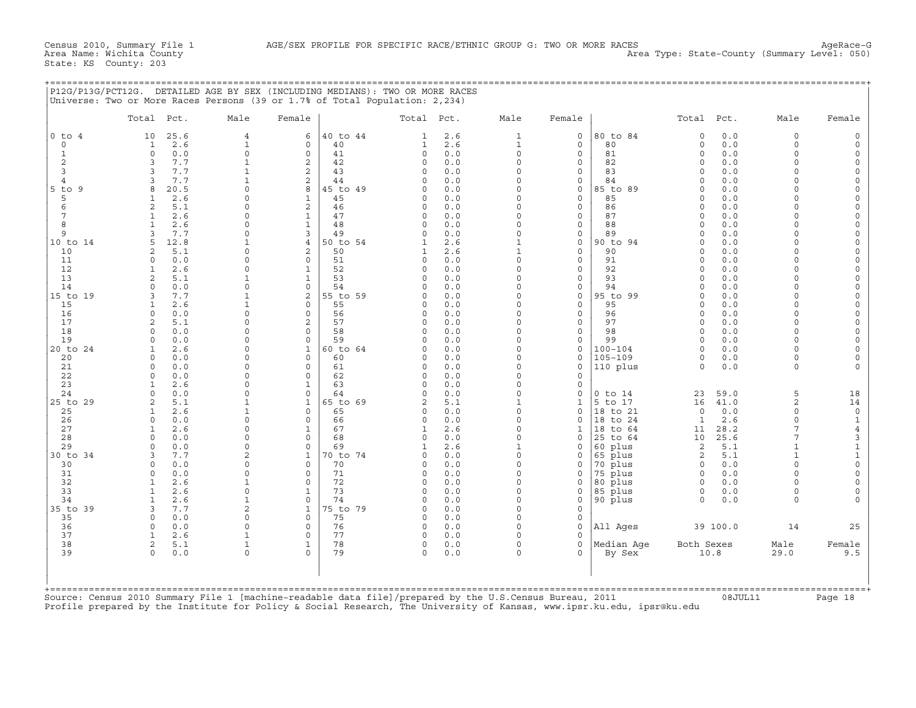+===================================================================================================================================================+

State: KS County: 203

|                              | Total Pct.                                   | Male                       | Female                       |                | Total Pct.               |            | Male                     | Female                             |                         | Total Pct.           |            | Male                         | Female                     |
|------------------------------|----------------------------------------------|----------------------------|------------------------------|----------------|--------------------------|------------|--------------------------|------------------------------------|-------------------------|----------------------|------------|------------------------------|----------------------------|
| $0$ to $4$                   | 25.6<br>10                                   | $\overline{4}$             | 6                            | 40 to 44       | $\mathbf{1}$             | 2.6        | $\mathbf{1}$             | $\mathbf 0$                        | 80 to 84                | $\Omega$             | 0.0        | $\mathbf 0$                  | $\circ$                    |
| $\circ$                      | 2.6<br>1                                     | $\mathbf 1$                | $\Omega$                     | 40             | $\mathbf{1}$             | 2.6        | $\mathbf{1}$             | $\mathbf 0$                        | 80                      | $\mathbf 0$          | 0.0        | $\Omega$                     | $\circ$                    |
| $1\,$                        | 0.0<br>$\circ$                               | $\mathbf 0$                | $\mathbf 0$                  | 41             | $\circ$                  | $0.0$      | $\Omega$                 | $\mathbf 0$                        | 81                      | $\Omega$             | 0.0        | $\Omega$                     | $\mathsf O$                |
| 2                            | 7.7<br>3                                     | $\mathbf 1$                | 2                            | 42             | $\mathbf 0$              | 0.0        | $\Omega$                 | $\mathbf 0$                        | 82                      | $\Omega$             | 0.0        | $\Omega$                     | $\circ$                    |
| 3                            | 7.7<br>3                                     | $\mathbf 1$<br>1           | 2                            | 43             | $\Omega$<br>$\Omega$     | 0.0        | $\Omega$<br>$\Omega$     | $\mathbf 0$                        | 83                      | $\Omega$<br>$\Omega$ | 0.0        | $\Omega$<br>$\Omega$         | $\mathsf O$                |
| $\overline{4}$<br>$5$ to $9$ | 7.7<br>3<br>8<br>20.5                        | $\Omega$                   | 2<br>8                       | 44<br>45 to 49 | $\cap$                   | 0.0<br>0.0 | $\Omega$                 | 0<br>$\mathbf 0$                   | 84<br>85 to 89          |                      | 0.0<br>0.0 | $\cap$                       | $\circ$<br>$\Omega$        |
| 5                            | 2.6<br>1                                     | $\Omega$                   | $\mathbf{1}$                 | 45             | $\mathbf 0$              | 0.0        | $\Omega$                 | $\mathbf 0$                        | 85                      | $\Omega$             | 0.0        | $\cap$                       | $\Omega$                   |
| 6                            | $\overline{a}$<br>5.1                        | $\Omega$                   | 2                            | 46             | $\Omega$                 | 0.0        | $\Omega$                 | $\mathbf 0$                        | 86                      | $\Omega$             | 0.0        | $\cap$                       | $\circ$                    |
| 7                            | 2.6<br>1                                     | $\Omega$                   | $\mathbf{1}$                 | 47             | $\mathbf 0$              | 0.0        | $\Omega$                 | $\mathsf{O}\xspace$                | 87                      | $\Omega$             | 0.0        | $\cap$                       | $\mathbf 0$                |
| 8                            | 2.6<br>$\mathbf{1}$                          | $\Omega$                   | $\mathbf{1}$                 | 48             | $\mathbf 0$              | 0.0        | $\Omega$                 | $\mathbf 0$                        | 88                      | $\Omega$             | 0.0        |                              | $\mathbf 0$                |
| 9                            | 7.7<br>3                                     | 0                          | 3                            | 49             | 0                        | 0.0        | $\Omega$                 | 0                                  | 89                      | $\Omega$             | 0.0        | $\cap$                       | $\mathbf 0$                |
| 10 to 14                     | 12.8<br>5                                    | 1                          | $\overline{4}$               | 50 to 54       | 1                        | 2.6        | $\mathbf{1}$             | $\mathsf{O}\xspace$                | 90 to 94                | $\Omega$             | 0.0        |                              | $\mathsf{O}\xspace$        |
| 10                           | $\overline{a}$<br>5.1                        | $\Omega$                   | 2                            | 50             | $\mathbf{1}$             | 2.6        | $\mathbf{1}$             | $\mathbf 0$                        | 90                      | $\Omega$             | 0.0        | $\Omega$                     | $\mathbf 0$                |
| 11                           | $\Omega$<br>0.0                              | $\Omega$<br>$\Omega$       | $\Omega$                     | 51             | $\Omega$                 | 0.0        | $\Omega$<br>$\Omega$     | $\mathbf 0$                        | 91<br>92                | $\Omega$<br>$\Omega$ | 0.0        |                              | $\circ$<br>$\circ$         |
| 12<br>13                     | 2.6<br>$\mathbf{1}$<br>$\overline{a}$<br>5.1 |                            | $\mathbf{1}$<br>$\mathbf{1}$ | 52<br>53       | $\Omega$<br>$\Omega$     | 0.0<br>0.0 | $\Omega$                 | $\mathbf 0$<br>$\mathsf{O}\xspace$ | 93                      |                      | 0.0<br>0.0 | $\Omega$                     | $\Omega$                   |
| 14                           | 0.0<br>$\Omega$                              | $\Omega$                   | $\Omega$                     | 54             | $\Omega$                 | 0.0        | $\Omega$                 | $\mathbf 0$                        | 94                      |                      | 0.0        |                              | $\Omega$                   |
| 15 to 19                     | 3<br>7.7                                     | $\mathbf{1}$               | 2                            | 55 to 59       | 0                        | 0.0        | $\Omega$                 | $\mathsf{O}\xspace$                | 95 to 99                | $\Omega$             | 0.0        | $\cap$                       | $\mathbf 0$                |
| 15                           | 2.6<br>1                                     | 1                          | $\Omega$                     | 55             | 0                        | 0.0        | $\Omega$                 | $\mathbf 0$                        | 95                      | $\Omega$             | 0.0        | $\cap$                       | $\mathsf O$                |
| 16                           | $\Omega$<br>0.0                              | $\Omega$                   | $\mathbf 0$                  | 56             | $\mathbf 0$              | 0.0        | $\Omega$                 | $\mathbf 0$                        | 96                      | $\Omega$             | 0.0        | $\Omega$                     | $\mathsf{O}\xspace$        |
| 17                           | $\overline{a}$<br>5.1                        | $\Omega$                   | $\overline{a}$               | 57             | $\Omega$                 | 0.0        | $\Omega$                 | $\mathbf 0$                        | 97                      | $\Omega$             | 0.0        | $\cap$                       | $\mathbf 0$                |
| 18                           | 0.0<br>$\Omega$                              | $\Omega$                   | $\Omega$                     | 58             | $\Omega$                 | 0.0        | $\Omega$                 | $\mathbf 0$                        | 98                      | $\Omega$             | 0.0        | $\Omega$                     | $\mathsf{O}\xspace$        |
| 19                           | 0.0<br>$\Omega$                              | $\Omega$                   | $\Omega$                     | 59             | $\Omega$                 | 0.0        | $\Omega$                 | $\mathbf 0$                        | 99                      | $\Omega$             | 0.0        | $\cap$                       | $\circ$                    |
| 20 to 24                     | 2.6<br>$\mathbf{1}$                          | $\Omega$                   | $\mathbf 1$                  | 60 to 64       | $\Omega$                 | 0.0        | $\Omega$                 | $\mathbf 0$                        | $100 - 104$             | $\Omega$             | 0.0        |                              | $\Omega$                   |
| 20<br>21                     | 0.0<br>$\Omega$<br>$\Omega$<br>0.0           | $\Omega$<br>$\Omega$       | $\mathbf 0$<br>$\mathbf 0$   | 60<br>61       | $\Omega$<br>$\mathbf 0$  | 0.0<br>0.0 | $\Omega$<br>$\Omega$     | $\mathbf 0$<br>$\mathbf 0$         | $105 - 109$<br>110 plus | $\Omega$<br>$\Omega$ | 0.0<br>0.0 | $\Omega$<br>$\Omega$         | $\mathbf 0$                |
| 22                           | 0.0<br>$\Omega$                              | $\Omega$                   | $\Omega$                     | 62             | $\Omega$                 | 0.0        | $\Omega$                 | 0                                  |                         |                      |            |                              |                            |
| 23                           | 2.6                                          | $\cap$                     | $\mathbf{1}$                 | 63             | $\Omega$                 | 0.0        | $\Omega$                 | $\mathbf 0$                        |                         |                      |            |                              |                            |
| 24                           | $\Omega$<br>0.0                              | $\Omega$                   | $\Omega$                     | 64             | $\Omega$                 | 0.0        | $\Omega$                 | $\mathsf{O}\xspace$                | $0$ to $14$             | 23                   | 59.0       | 5                            | 18                         |
| 25 to 29                     | 5.1<br>$\overline{a}$                        | $\mathbf 1$                | $\mathbf{1}$                 | 65 to 69       | 2                        | 5.1        | $\mathbf{1}$             | $\mathbf{1}$                       | 5 to 17                 | 16                   | 41.0       | $\overline{c}$               | 14                         |
| 25                           | 2.6<br>$\mathbf{1}$                          | 1                          | $\Omega$                     | 65             | $\Omega$                 | 0.0        | $\Omega$                 | $\mathbf 0$                        | 18 to 21                | $\Omega$             | 0.0        | $\Omega$                     | $\mathsf{O}\xspace$        |
| 26                           | $\Omega$<br>0.0                              | $\Omega$                   | $\Omega$                     | 66             | $\mathbf 0$              | 0.0        | $\Omega$                 | $\Omega$                           | 18 to 24                | $\mathbf{1}$         | 2.6        | $\Omega$                     | $1\,$                      |
| 27                           | $\mathbf{1}$<br>2.6                          | 0                          | $\mathbf{1}$                 | 67             | $\mathbf{1}$             | 2.6        | $\Omega$                 | $\mathbf{1}$                       | 18 to 64                | 11                   | 28.2       | 7                            | $\,4$                      |
| 28                           | $\Omega$<br>0.0                              | $\Omega$                   | $\mathbf 0$                  | 68             | $\mathbf 0$              | 0.0        | $\Omega$                 | $\mathbf 0$                        | 25 to 64                | 10                   | 25.6       | 7                            | 3                          |
| 29<br>30 to 34               | 0.0<br>$\Omega$<br>7.7<br>κ                  | $\Omega$<br>$\overline{a}$ | $\Omega$<br>$\mathbf{1}$     | 69<br>70 to 74 | $\mathbf{1}$<br>$\Omega$ | 2.6<br>0.0 | $\mathbf{1}$<br>$\Omega$ | $\mathbf 0$<br>$\mathbf 0$         | 60 plus                 | 2<br>2               | 5.1<br>5.1 | $\mathbf{1}$<br>$\mathbf{1}$ | $\mathbf 1$<br>$\mathbf 1$ |
| 30                           | 0.0<br>$\Omega$                              | $\Omega$                   | $\Omega$                     | 70             | $\Omega$                 | 0.0        | $\Omega$                 | $\mathbf 0$                        | 65 plus<br>70 plus      | $\Omega$             | 0.0        | $\Omega$                     | $\mathsf{O}\xspace$        |
| 31                           | $\Omega$<br>0.0                              | $\Omega$                   | $\Omega$                     | 71             | $\Omega$                 | 0.0        | $\Omega$                 | $\mathbf 0$                        | 75 plus                 | $\Omega$             | 0.0        | $\Omega$                     | $\mathbf 0$                |
| 32                           | 2.6<br>$\mathbf{1}$                          | $\mathbf{1}$               | $\Omega$                     | 72             | $\Omega$                 | 0.0        | $\Omega$                 | $\mathbf 0$                        | 80 plus                 | $\Omega$             | 0.0        | $\Omega$                     | $\mathsf{O}\xspace$        |
| 33                           | 2.6<br>1                                     | 0                          | $\mathbf{1}$                 | 73             | $\Omega$                 | 0.0        | $\Omega$                 | 0                                  | 85 plus                 | 0                    | 0.0        | $\Omega$                     |                            |
| 34                           | 2.6<br>1                                     | $\mathbf 1$                | $\Omega$                     | 74             | $\Omega$                 | 0.0        | $\Omega$                 | $\mathbf 0$                        | 90 plus                 | $\Omega$             | 0.0        | $\Omega$                     |                            |
| 35 to 39                     | 3<br>7.7                                     | $\overline{a}$             | $\mathbf{1}$                 | 75 to 79       | 0                        | 0.0        | $\Omega$                 | $\mathsf{O}\xspace$                |                         |                      |            |                              |                            |
| 35                           | 0.0<br>$\Omega$                              | $\Omega$                   | $\Omega$                     | 75             | $\Omega$                 | 0.0        | $\Omega$                 | $\mathbf 0$                        |                         |                      |            |                              |                            |
| 36                           | $\Omega$<br>0.0                              | 0                          | $\mathbf 0$                  | 76             | $\mathbf 0$              | 0.0        | $\Omega$                 | $\mathbf 0$                        | All Aqes                |                      | 39 100.0   | 14                           | 25                         |
| 37                           | 2.6<br>$\mathbf{1}$                          | $\mathbf{1}$               | $\Omega$                     | 77             | $\Omega$                 | 0.0        | $\Omega$                 | $\Omega$                           |                         |                      |            |                              |                            |
| 38<br>39                     | $\overline{a}$<br>5.1<br>$\Omega$<br>0.0     | $\mathbf 1$<br>0           | $\mathbf{1}$<br>$\Omega$     | 78<br>79       | $\mathbf 0$<br>$\Omega$  | 0.0<br>0.0 | $\Omega$<br>$\Omega$     | $\mathsf{O}\xspace$<br>$\Omega$    | Median Aqe<br>By Sex    | Both Sexes           | 10.8       | Male<br>29.0                 | Female<br>9.5              |
|                              |                                              |                            |                              |                |                          |            |                          |                                    |                         |                      |            |                              |                            |
| $+$ = = = = = = = = = = =    |                                              |                            |                              |                |                          |            |                          |                                    |                         |                      |            |                              |                            |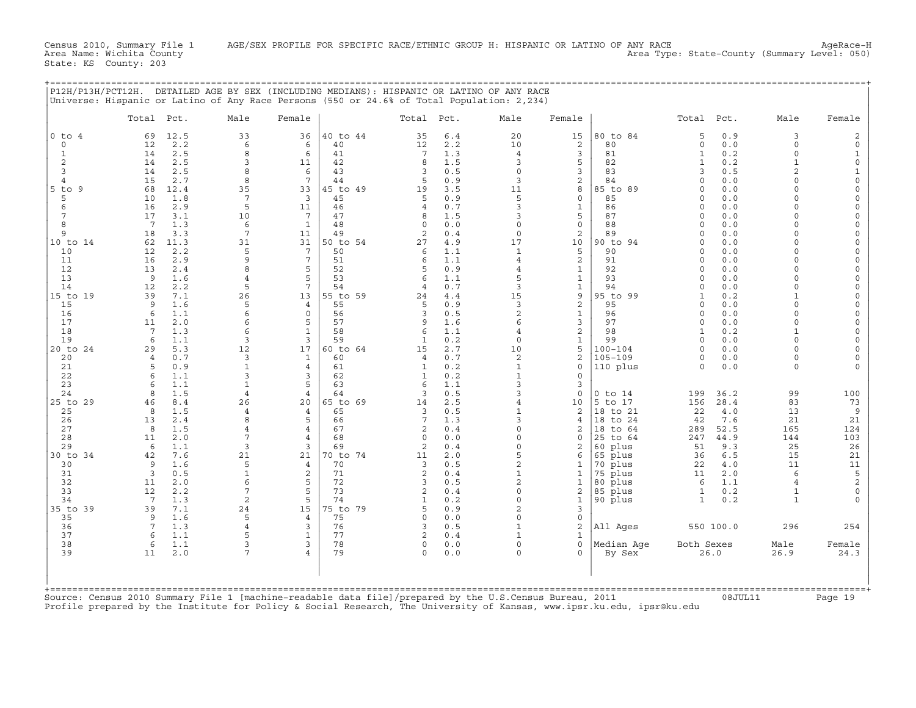Census 2010, Summary File 1 AGE/SEX PROFILE FOR SPECIFIC RACE/ETHNIC GROUP H: HISPANIC OR LATINO OF ANY RACE<br>Area Name: Wichita County (summary Level: 050) Area Type: State-County (Summary Level: 050)

State: KS County: 203

|        |            |      |      |        | P12H/P13H/PCT12H. DETAILED AGE BY SEX (INCLUDING MEDIANS): HISPANIC OR LATINO OF ANY RACE<br>Universe: Hispanic or Latino of Any Race Persons (550 or 24.6% of Total Population: 2,234) |            |     |      |        |          |       |      |      |        |
|--------|------------|------|------|--------|-----------------------------------------------------------------------------------------------------------------------------------------------------------------------------------------|------------|-----|------|--------|----------|-------|------|------|--------|
|        | Total Pct. |      | Male | Female |                                                                                                                                                                                         | Total Pct. |     | Male | Female |          | Total | Pct. | Male | Female |
| 0 to 4 | 69         | 12.5 | 33   | 36     | 40 to 44                                                                                                                                                                                | 35         | 6.4 | 20   | 15     | 80 to 84 |       | 0.9  |      |        |
|        | 12         | 2.2  |      |        | 40                                                                                                                                                                                      | 12         | 2.2 |      |        | 80       |       | 0.0  |      |        |
|        | 14         | 2.5  |      |        | 41                                                                                                                                                                                      |            | 1.3 |      |        | 81       |       | 0.2  |      |        |
|        | 14         | 2.5  |      | ᅩᅩ     | 42                                                                                                                                                                                      |            | 1.5 |      |        | 82       |       | 0.2  |      |        |
|        | 14         | 2.5  |      |        | 43                                                                                                                                                                                      |            | 0.5 |      |        | 83       |       | 0.5  |      |        |
|        |            | 2.7  |      |        | 44                                                                                                                                                                                      |            | 0.9 |      |        | 84       |       | 0.0  |      |        |
| 5 to 9 | 68         | 12.4 |      | 33     | 45 to 49                                                                                                                                                                                |            | 3.5 |      |        | 85 to 89 |       | 0.0  |      |        |
|        | 10         | 1.8  |      |        | 45                                                                                                                                                                                      |            | 0.9 |      |        | 85       |       | 0.0  |      |        |
|        | 16         | 2.9  |      | ᆂᆂ     | 46                                                                                                                                                                                      |            | 0.7 |      |        | 86       |       | 0.0  |      |        |
|        |            | 3.1  |      |        | 47                                                                                                                                                                                      |            | 1.5 |      |        | 87       |       | 0.0  |      |        |
|        |            | 1.3  |      |        | 48                                                                                                                                                                                      |            | 0.0 |      |        | 88       |       | 0.0  |      |        |
|        |            |      |      |        |                                                                                                                                                                                         |            |     |      |        |          |       |      |      |        |
|        |            |      |      |        |                                                                                                                                                                                         |            |     |      |        |          |       |      |      |        |

|                   | Total Pct.      |            | Male                 | Female                           |                | Total Pct.          |            | Male                       | Female            |                        | Total Pct.             |              | Male                   | Female              |
|-------------------|-----------------|------------|----------------------|----------------------------------|----------------|---------------------|------------|----------------------------|-------------------|------------------------|------------------------|--------------|------------------------|---------------------|
| $0$ to $4$        | 69              | 12.5       | 33                   | 36                               | 40 to 44       | 35                  | 6.4        | 20                         | 15                | 80 to 84               | 5                      | 0.9          | 3                      | 2                   |
| $\Omega$          | 12<br>14        | 2.2<br>2.5 | 6<br>8               | 6<br>6                           | 40<br>41       | 12<br>7             | 2.2<br>1.3 | 10<br>$\overline{4}$       | 2<br>3            | 80<br>81               | $\circ$<br>$\mathbf 1$ | 0.0<br>0.2   | $\Omega$<br>$\Omega$   | $\circ$             |
| $\mathbf{1}$<br>2 | 14              | 2.5        | $\overline{3}$       | 11                               | 42             | 8                   | 1.5        | 3                          | 5                 | 82                     | 1                      | 0.2          | $\mathbf{1}$           | $\mathbf 0$         |
| 3                 | 14              | 2.5        | 8                    | 6                                | 43             | 3                   | 0.5        | $\Omega$                   | 3                 | 83                     | 3                      | 0.5          | $\overline{a}$         | 1                   |
| 4                 | 15              | 2.7        | 8                    | $7\phantom{.0}$                  | 44             | 5                   | 0.9        | 3                          | 2                 | 84                     | $\Omega$               | 0.0          | $\Omega$               | $\Omega$            |
| 5<br>to 9         | 68              | 12.4       | 35                   | 33                               | 45 to 49       | 19                  | 3.5        | 11                         | 8                 | 85 to 89               | $\cap$                 | 0.0          | $\Omega$               | $\Omega$            |
| 5                 | 10              | 1.8        | $\overline{7}$       | 3                                | 45             | 5                   | 0.9        | 5                          | $\mathbf 0$       | 85                     | $\Omega$               | 0.0          | $\Omega$               | $\Omega$            |
| 6<br>7            | 16<br>17        | 2.9<br>3.1 | 5<br>10              | 11<br>$7\phantom{.0}$            | 46<br>47       | $\overline{4}$<br>8 | 0.7        | κ                          | $\mathbf{1}$<br>5 | 86<br>87               | $\Omega$<br>$\Omega$   | 0.0<br>0.0   | $\Omega$<br>$\Omega$   | $\Omega$            |
| 8                 | $7\overline{ }$ | 1.3        | 6                    | $\mathbf{1}$                     | 48             | $\Omega$            | 1.5<br>0.0 |                            | $\mathbf 0$       | 88                     | $\Omega$               | 0.0          | $\Omega$               |                     |
| 9                 | 18              | 3.3        | 7                    | 11                               | 49             | 2                   | 0.4        | $\mathbf 0$                | 2                 | 89                     | $\Omega$               | 0.0          | $\Omega$               |                     |
| 10 to 14          | 62              | 11.3       | 31                   | 31                               | 50 to 54       | 27                  | 4.9        | 17                         | 10                | 90 to 94               | $\Omega$               | 0.0          | $\Omega$               |                     |
| 10                | 12              | 2.2        | 5                    | $7\phantom{.0}$                  | 50             | 6                   | 1.1        | $\mathbf{1}$               | 5                 | 90                     | $\Omega$               | 0.0          | $\Omega$               |                     |
| 11                | 16              | 2.9        | 9                    | $7\phantom{.0}$                  | 51             | 6                   | 1.1        |                            | 2                 | 91                     | $\Omega$               | 0.0          |                        |                     |
| 12<br>13          | 13<br>9         | 2.4<br>1.6 | 8<br>$\overline{4}$  | 5<br>5                           | 52<br>53       | 5<br>$\epsilon$     | 0.9<br>1.1 | $\overline{4}$<br>5        | 1<br>$\mathbf{1}$ | 92<br>93               | $\Omega$<br>$\cap$     | 0.0<br>0.0   | $\Omega$               | $\Omega$            |
| 14                | 12              | 2.2        | 5                    | $\overline{7}$                   | 54             | 4                   | 0.7        | 3                          | $\mathbf{1}$      | 94                     | $\Omega$               | 0.0          | $\Omega$               |                     |
| 15 to 19          | 39              | 7.1        | 26                   | 13                               | 55 to 59       | 24                  | 4.4        | 15                         | 9                 | 95 to 99               | 1                      | 0.2          | $\mathbf{1}$           |                     |
| 15                | 9               | 1.6        | 5                    | 4                                | 55             | 5                   | 0.9        | 3                          | $\mathbf{2}$      | 95                     | $\Omega$               | 0.0          | $\Omega$               | $\Omega$            |
| 16                | 6               | 1.1        | 6                    | $\mathbf 0$                      | 56             | 3                   | 0.5        | $\overline{a}$             | $\mathbf{1}$      | 96                     | $\Omega$               | 0.0          | $\Omega$               |                     |
| 17                | 11              | 2.0        | 6                    | 5                                | 57             | $\mathsf{Q}$        | 1.6        | 6                          | 3                 | 97                     | $\Omega$               | 0.0          | $\cap$                 |                     |
| 18<br>19          | 7<br>6          | 1.3<br>1.1 | 6<br>$\overline{3}$  | $\mathbf{1}$<br>$\overline{3}$   | 58<br>59       | 6<br>$\mathbf{1}$   | 1.1<br>0.2 | $\overline{4}$<br>$\Omega$ | 2<br>$\mathbf{1}$ | 98<br>99               | 1<br>$\Omega$          | 0.2<br>0.0   | $\mathbf{1}$<br>$\cap$ |                     |
| 20 to 24          | 29              | 5.3        | 12                   | 17                               | 60 to 64       | 15                  | 2.7        | 10                         | 5                 | $100 - 104$            | $\Omega$               | 0.0          | $\Omega$               |                     |
| 20                | $\overline{4}$  | 0.7        | $\overline{3}$       | $\mathbf{1}$                     | 60             | $\overline{4}$      | 0.7        | 2                          | 2                 | 105-109                | 0                      | 0.0          | $\Omega$               |                     |
| 21                | 5               | 0.9        | $\mathbf{1}$         | $\overline{4}$                   | 61             | $\mathbf{1}$        | 0.2        |                            | $\mathbf 0$       | 110 plus               | $\circ$                | 0.0          | $\Omega$               |                     |
| 22                | 6               | 1.1        | 3                    | 3                                | 62             | 1                   | 0.2        |                            | $\Omega$          |                        |                        |              |                        |                     |
| 23                | $\epsilon$      | 1.1        | $\overline{1}$       | 5                                | 63             | 6                   | 1.1        | κ                          | 3                 |                        |                        |              |                        |                     |
| 24<br>25 to 29    | 8<br>46         | 1.5<br>8.4 | $\overline{4}$<br>26 | $\overline{4}$<br>20             | 64<br>65 to 69 | 3<br>14             | 0.5<br>2.5 | 3                          | $\Omega$<br>10    | $0$ to $14$<br>5 to 17 | 199<br>156             | 36.2<br>28.4 | 99<br>83               | 100<br>73           |
| 25                | 8               | 1.5        | $\overline{4}$       | $\overline{4}$                   | 65             | 3                   | 0.5        |                            | 2                 | 18 to 21               | 22                     | 4.0          | 13                     | $\overline{9}$      |
| 26                | 13              | 2.4        | 8                    | 5                                | 66             | 7                   | 1.3        | κ                          | $\overline{4}$    | 18 to 24               | 42                     | 7.6          | 21                     | 21                  |
| 27                | 8               | 1.5        | $\overline{4}$       | $\overline{4}$                   | 67             | $\mathfrak{D}$      | 0.4        |                            | $\mathfrak{D}$    | 18 to 64               | 289                    | 52.5         | 165                    | 124                 |
| 28                | 11              | 2.0        | $\overline{7}$       | $\overline{4}$                   | 68             | $\Omega$            | 0.0        |                            | $\mathbf 0$       | 25 to 64               | 247                    | 44.9         | 144                    | 103                 |
| 29                | 6               | 1.1        | $\overline{3}$       | $\overline{3}$                   | 69<br>70 to 74 | 2                   | 0.4        |                            | $\overline{a}$    | 60 plus                | 51                     | 9.3          | 25<br>15               | 26                  |
| 30 to 34<br>30    | 42<br>9         | 7.6<br>1.6 | 21<br>5              | 21<br>$\overline{4}$             | 70             | 11<br>3             | 2.0<br>0.5 | $\overline{a}$             | 6<br>-1           | 65 plus<br>70 plus     | 36<br>22               | 6.5<br>4.0   | 11                     | 21<br>11            |
| 31                | $\overline{3}$  | 0.5        | $\mathbf{1}$         | 2                                | 71             | $\overline{2}$      | 0.4        |                            | 1                 | 75 plus                | 11                     | 2.0          | $\epsilon$             | 5                   |
| 32                | 11              | 2.0        | 6                    | 5                                | 72             | 3                   | 0.5        | $\overline{2}$             | $\mathbf 1$       | 80 plus                | 6                      | 1.1          |                        | $\sqrt{2}$          |
| 33                | 12              | 2.2        | $\overline{7}$       | 5                                | 73             |                     | 0.4        | $\Omega$                   | 2                 | 85 plus                | 1                      | 0.2          | $\mathbf{1}$           | $\mathsf{O}\xspace$ |
| 34                | 7               | 1.3        | $\overline{c}$       | 5                                | 74             | $\mathbf{1}$        | 0.2        | $\Omega$                   | 1                 | 90 plus                | 1                      | 0.2          | $\mathbf{1}$           |                     |
| 35 to 39          | 39              | 7.1        | 24<br>5              | 15                               | 75 to 79       | 5<br>$\cap$         | 0.9        | $\overline{a}$<br>$\cap$   | 3                 |                        |                        |              |                        |                     |
| 35<br>36          | 9<br>7          | 1.6<br>1.3 | $\overline{4}$       | $\overline{4}$<br>$\overline{3}$ | 75<br>76       | 3                   | 0.0<br>0.5 |                            | $\mathbf 0$<br>2  | All Ages               |                        | 550 100.0    | 296                    | 254                 |
| 37                | 6               | 1.1        | $\overline{5}$       | $\mathbf{1}$                     | 77             |                     | 0.4        |                            | 1                 |                        |                        |              |                        |                     |
| 38                | 6               | 1.1        | 3                    | 3                                | 78             | $\Omega$            | 0.0        | $\Omega$                   | $\mathbf 0$       | Median Aqe             | Both Sexes             |              | Male                   | Female              |
| 39                | 11              | 2.0        | 7                    | 4                                | 79             |                     | 0.0        |                            | $\Omega$          | By Sex                 |                        | 26.0         | 26.9                   | 24.3                |
|                   |                 |            |                      |                                  |                |                     |            |                            |                   |                        |                        |              |                        |                     |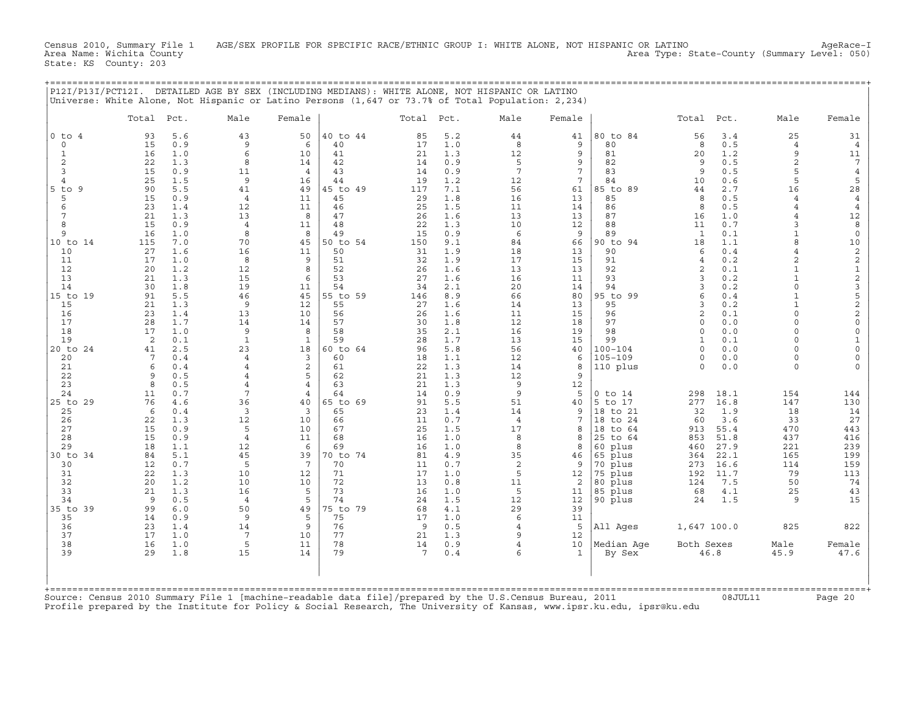Census 2010, Summary File 1 AGE/SEX PROFILE FOR SPECIFIC RACE/ETHNIC GROUP I: WHITE ALONE, NOT HISPANIC OR LATINO AgeRace-I<br>Area Name: Wichita County (summary Level: 050) Area Type: State-County (Summary Level: 050) State: KS County: 203

+===================================================================================================================================================+

|                | Total Pct. |            | Male                 | Female              |          | Total Pct. |            | Male           | Female             |                     | Total                | Pct.         | Male                             | Female                             |
|----------------|------------|------------|----------------------|---------------------|----------|------------|------------|----------------|--------------------|---------------------|----------------------|--------------|----------------------------------|------------------------------------|
| $0$ to $4$     | 93         | 5.6        | 43                   | 50                  | 40 to 44 | 85         | 5.2        | 44             | 41                 | 80 to 84            | 56                   | 3.4          | 25                               | 31                                 |
| $\circ$        | 15         | 0.9        | 9<br>6               | 6                   | 40       | 17         | 1.0        | 8              | 9                  | 80                  | 8                    | 0.5          | $\overline{4}$                   | 4                                  |
| 1<br>2         | 16<br>22   | 1.0<br>1.3 | 8                    | 10<br>14            | 41<br>42 | 21<br>14   | 1.3<br>0.9 | 12<br>5        | 9<br>9             | 81<br>82            | 20<br>9              | 1.2<br>0.5   | 9<br>2                           | 11<br>7                            |
| 3              | 15         | 0.9        | 11                   | 4                   | 43       | 14         | 0.9        | 7              | $\overline{7}$     | 83                  | 9                    | 0.5          | 5                                | $\,4$                              |
| $\overline{4}$ | 25         | 1.5        | 9                    | 16                  | 44       | 19         | 1.2        | 12             | 7                  | 84                  | 10                   | 0.6          | 5                                | 5                                  |
| $5$ to<br>9    | 90         | 5.5        | 41                   | 49                  | 45 to 49 | 117        | 7.1        | 56             | 61                 | 85 to 89            | 44                   | 2.7          | 16                               | 28                                 |
| 5              | 15         | 0.9        | $\overline{4}$       | 11                  | 45       | 29         | 1.8        | 16             | 13                 | 85                  | 8                    | 0.5          | $\overline{4}$                   | 4                                  |
| 6<br>7         | 23<br>21   | 1.4<br>1.3 | 12<br>13             | 11<br>8             | 46<br>47 | 25<br>26   | 1.5<br>1.6 | 11<br>13       | 14<br>13           | 86<br>87            | 8<br>16              | 0.5<br>1.0   | $\overline{4}$<br>$\overline{4}$ | $\overline{4}$                     |
| 8              | 15         | 0.9        | $\overline{4}$       | 11                  | 48       | 22         | 1.3        | 10             | 12                 | 88                  | 11                   | 0.7          | 3                                | 12<br>8                            |
| 9              | 16         | 1.0        | 8                    | 8                   | 49       | 15         | 0.9        | 6              | 9                  | 89                  | 1                    | 0.1          | $\mathbf{1}$                     | $\mathsf{O}\xspace$                |
| 10 to 14       | 115        | 7.0        | 70                   | 45                  | 50 to 54 | 150        | 9.1        | 84             | 66                 | 90 to 94            | 18                   | 1.1          | $\mathsf{R}$                     | 10                                 |
| 10             | 27         | 1.6        | 16                   | 11                  | 50       | 31         | 1.9        | 18             | 13                 | 90                  | 6                    | 0.4          | $\overline{4}$                   | $\sqrt{2}$                         |
| 11             | 17         | 1.0        | 8                    | 9<br>$\mathsf{R}$   | 51       | 32         | 1.9        | 17             | 15                 | 91                  | $\overline{4}$       | 0.2          | 2                                | $\mathbf 2$                        |
| 12<br>13       | 20<br>21   | 1.2<br>1.3 | 12<br>15             | 6                   | 52<br>53 | 26<br>27   | 1.6<br>1.6 | 13<br>16       | 13<br>11           | 92<br>93            | $\mathfrak{D}$<br>3  | 0.1<br>0.2   | $\mathbf{1}$<br>$\mathbf{1}$     | $\mathbf 1$<br>$\overline{c}$      |
| 14             | 30         | 1.8        | 19                   | 11                  | 54       | 34         | 2.1        | 20             | 14                 | 94                  | 3                    | 0.2          | $\Omega$                         |                                    |
| 15 to 19       | 91         | 5.5        | 46                   | 45                  | 55 to 59 | 146        | 8.9        | 66             | 80                 | 95 to 99            | 6                    | $0.4\,$      | $\mathbf{1}$                     | $\frac{3}{5}$                      |
| 15             | 21         | 1.3        | 9                    | 12                  | 55       | 27         | 1.6        | 14             | 13                 | 95                  | 3                    | 0.2          | $\mathbf{1}$                     |                                    |
| 16             | 23         | 1.4        | 13                   | 10                  | 56       | 26         | 1.6        | 11             | 15                 | 96                  | $\overline{2}$       | 0.1          | $\Omega$                         | $\sqrt{2}$                         |
| 17<br>18       | 28<br>17   | 1.7<br>1.0 | 14<br>9              | 14<br>8             | 57<br>58 | 30<br>35   | 1.8<br>2.1 | 12<br>16       | 18<br>19           | 97<br>98            | $\Omega$<br>$\Omega$ | 0.0<br>0.0   | $\Omega$<br>$\Omega$             | $\mathsf{O}\xspace$<br>$\mathsf O$ |
| 19             | 2          | 0.1        | $\mathbf{1}$         | 1                   | 59       | 28         | 1.7        | 13             | 15                 | 99                  | 1                    | 0.1          | $\Omega$                         | 1                                  |
| 20 to 24       | 41         | 2.5        | 23                   | 18                  | 60 to 64 | 96         | 5.8        | 56             | 40                 | $100 - 104$         | $\Omega$             | 0.0          | $\Omega$                         | $\circ$                            |
| 20             | 7          | 0.4        | $\overline{4}$       | 3                   | 60       | 18         | 1.1        | 12             | 6                  | $105 - 109$         | $\Omega$             | 0.0          | $\Omega$                         | $\circ$                            |
| 21             | 6          | 0.4        | 4                    | $\overline{2}$      | 61       | 22         | 1.3        | 14             | 8                  | 110 plus            | $\Omega$             | 0.0          | $\Omega$                         |                                    |
| 22<br>23       | 9<br>8     | 0.5<br>0.5 | 4<br>4               | 5<br>$\overline{4}$ | 62<br>63 | 21<br>21   | 1.3<br>1.3 | 12<br>9        | 9                  |                     |                      |              |                                  |                                    |
| 24             | 11         | 0.7        | 7                    | $\overline{4}$      | 64       | 14         | 0.9        | 9              | 12<br>5            | $0$ to $14$         | 298                  | 18.1         | 154                              | 144                                |
| 25 to 29       | 76         | 4.6        | 36                   | 40                  | 65 to 69 | 91         | 5.5        | 51             | 40                 | 5 to 17             | 277                  | 16.8         | 147                              | 130                                |
| 25             | 6          | 0.4        | 3                    | 3                   | 65       | 23         | 1.4        | 14             | 9                  | 18 to 21            | 32                   | 1.9          | 18                               | 14                                 |
| 26             | 22         | 1.3        | 12                   | 10                  | 66       | 11         | 0.7        | $\overline{4}$ | 7                  | 18 to 24            | 60                   | 3.6          | 33                               | 27                                 |
| 27             | 15         | 0.9        | 5                    | 10                  | 67       | 25         | 1.5        | 17             | 8                  | 18<br>to 64         | 913                  | 55.4         | 470                              | 443                                |
| 28<br>29       | 15<br>18   | 0.9<br>1.1 | $\overline{4}$<br>12 | 11<br>6             | 68<br>69 | 16<br>16   | 1.0<br>1.0 | 8<br>8         | 8<br>8             | 25 to 64<br>60 plus | 853<br>460           | 51.8<br>27.9 | 437<br>221                       | 416<br>239                         |
| 30 to 34       | 84         | 5.1        | 45                   | 39                  | 70 to 74 | 81         | 4.9        | 35             | 46                 | 65 plus             | 364                  | 22.1         | 165                              | 199                                |
| 30             | 12         | 0.7        | 5                    | $7\phantom{.0}$     | 70       | 11         | 0.7        | $\mathbf 2$    | 9                  | 70 plus             | 273                  | 16.6         | 114                              | 159                                |
| 31             | 22         | 1.3        | 10                   | 12                  | 71       | 17         | 1.0        | 5              | 12                 | 75 plus             | 192                  | 11.7         | 79                               | 113                                |
| 32             | 20         | 1.2        | 10                   | 10                  | 72       | 13         | 0.8        | 11             | 2                  | 80 plus             | 124                  | 7.5          | 50                               | 74                                 |
| 33<br>34       | 21<br>9    | 1.3<br>0.5 | 16<br>$\overline{4}$ | 5<br>5              | 73<br>74 | 16<br>24   | 1.0<br>1.5 | 5<br>12        | 11<br>12           | 85 plus             | 68<br>24             | 4.1<br>1.5   | 25<br>9                          | 43<br>15                           |
| 35 to 39       | 99         | 6.0        | 50                   | 49                  | 75 to 79 | 68         | 4.1        | 29             | 39                 | 90 plus             |                      |              |                                  |                                    |
| 35             | 14         | 0.9        | 9                    | 5                   | 75       | 17         | 1.0        | 6              | 11                 |                     |                      |              |                                  |                                    |
| 36             | 23         | 1.4        | 14                   | 9                   | 76       | 9          | 0.5        | 4              | 5                  | All Ages            | 1,647 100.0          |              | 825                              | 822                                |
| 37             | 17         | 1.0        | 7                    | 10                  | 77       | 21         | 1.3        | 9              | 12                 |                     |                      |              |                                  |                                    |
| 38<br>39       | 16<br>29   | 1.0        | 5                    | 11                  | 78<br>79 | 14<br>7    | 0.9        | $\overline{4}$ | 10<br>$\mathbf{1}$ | Median Age          | Both Sexes           |              | Male                             | Female                             |
|                |            | 1.8        | 15                   | 14                  |          |            | 0.4        | 6              |                    | By Sex              |                      | 46.8         | 45.9                             | 47.6                               |
|                |            |            |                      |                     |          |            |            |                |                    |                     |                      |              |                                  |                                    |

Profile prepared by the Institute for Policy & Social Research, The University of Kansas, www.ipsr.ku.edu, ipsr@ku.edu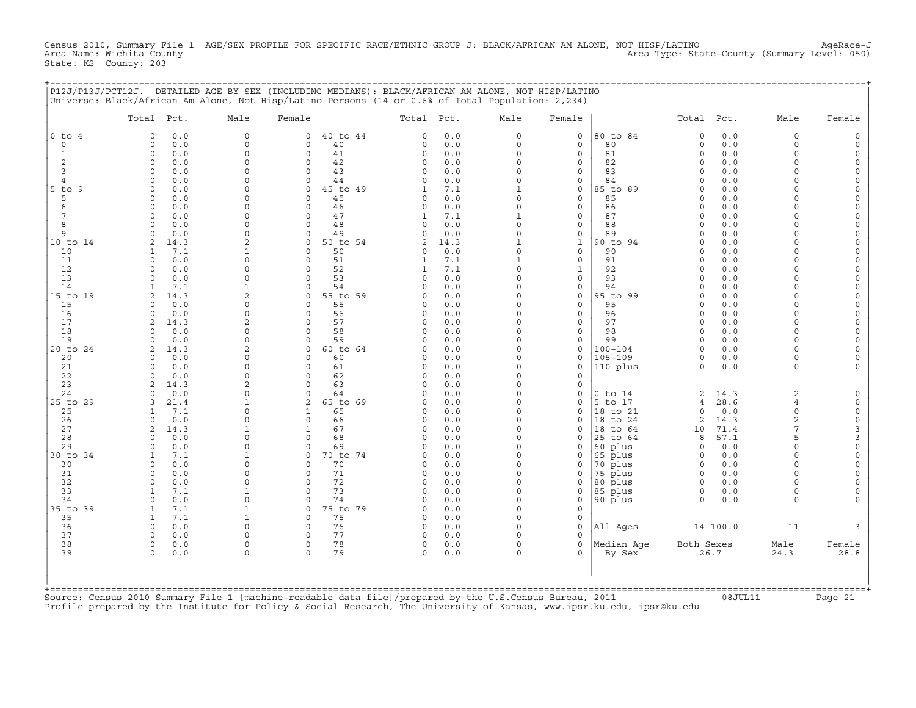Census 2010, Summary File 1 AGE/SEX PROFILE FOR SPECIFIC RACE/ETHNIC GROUP J: BLACK/AFRICAN AM ALONE, NOT HISP/LATINO AgeRace-J<br>Area Name: Wichita County 1 AgeRace-J Area Type: State-County (Summary Level: 050) State: KS County: 203

+===================================================================================================================================================+

|                                                                                                         | Total Pct.                            | Male                      | Female                     |                | Total Pct.           |            | Male                     | Female                      |                            | Total Pct.           |             | Male                 | Female                             |
|---------------------------------------------------------------------------------------------------------|---------------------------------------|---------------------------|----------------------------|----------------|----------------------|------------|--------------------------|-----------------------------|----------------------------|----------------------|-------------|----------------------|------------------------------------|
| $0$ to $4$                                                                                              | 0.0<br>$\Omega$                       | $\mathbf 0$               | $\circ$                    | 40 to 44       | $\Omega$             | 0.0        | $\circ$                  | $\mathbf 0$                 | 80 to 84                   | $\Omega$             | 0.0         | $\mathbf 0$          | $\Omega$                           |
| $\Omega$                                                                                                | 0.0<br>0                              | $\circ$                   | $\mathbf{0}$               | 40             | $\Omega$             | 0.0        | $\circ$                  | $\Omega$                    | 80                         | $\mathbf 0$          | 0.0         | $\Omega$             | $\Omega$                           |
| $\mathbf{1}$                                                                                            | 0.0<br>$\circ$                        | $\circ$                   | $\circ$                    | 41             | $\Omega$             | 0.0        | $\circ$                  | $\mathbf 0$                 | 81                         | $\Omega$             | 0.0         | $\Omega$             | $\Omega$                           |
| 2                                                                                                       | 0.0<br>$\mathbf 0$                    | $\circ$                   | $\mathbf 0$                | 42             | 0                    | 0.0        | $\Omega$<br>$\Omega$     | $\mathbf 0$                 | 82                         | $\Omega$             | 0.0         | $\Omega$             | $\circ$                            |
| 3<br>$\overline{4}$                                                                                     | 0.0<br>$\Omega$<br>0.0<br>$\Omega$    | $\Omega$<br>0             | $\mathbf 0$<br>$\mathbf 0$ | 43<br>44       | $\Omega$<br>$\Omega$ | 0.0<br>0.0 | $\Omega$                 | $\mathbf 0$<br>$\Omega$     | 83<br>84                   | $\Omega$<br>$\Omega$ | 0.0<br>0.0  | $\cap$               | $\Omega$<br>$\Omega$               |
| $5$ to<br>-9                                                                                            | 0.0<br>$\cap$                         | $\Omega$                  | $\Omega$                   | 45 to 49       | 1                    | 7.1        | $\mathbf{1}$             | $\mathbf 0$                 | 85 to 89                   | $\Omega$             | 0.0         |                      | $\Omega$                           |
| 5                                                                                                       | 0.0<br>$\Omega$                       | 0                         | $\Omega$                   | 45             | $\Omega$             | 0.0        | $\circ$                  | $\mathbf 0$                 | 85                         | $\Omega$             | 0.0         | $\cap$               | $\Omega$                           |
| 6                                                                                                       | $\Omega$<br>0.0                       | $\Omega$                  | $\Omega$                   | 46             | $\Omega$             | 0.0        | $\circ$                  | $\mathbf 0$                 | 86                         | $\Omega$             | 0.0         | $\cap$               | $\Omega$                           |
| 7                                                                                                       | 0.0<br>$\Omega$                       | 0                         | $\mathbf 0$                | 47             | 1                    | 7.1        | $\mathbf{1}$             | $\circ$                     | 87                         | $\Omega$             | 0.0         | $\cap$               | $\Omega$                           |
| 8                                                                                                       | 0.0<br>$\Omega$                       | $\Omega$                  | $\Omega$                   | 48             | 0                    | 0.0        | $\Omega$                 | $\mathbf 0$                 | 88                         | $\Omega$             | 0.0         | $\cap$               | $\mathbf 0$                        |
| 9                                                                                                       | $\Omega$<br>0.0                       | $\Omega$                  | $\mathbf 0$                | 49             | 0                    | 0.0        | $\circ$                  | $\mathsf{O}$                | 89                         | $\Omega$             | 0.0         | $\cap$               | $\mathbf 0$                        |
| 10 to 14                                                                                                | 14.3<br>2                             | $\overline{2}$            | $\mathbf 0$                | 50 to 54       | $\overline{2}$       | 14.3       | $\mathbf{1}$             | $1\,$                       | 90 to 94                   | $\Omega$             | 0.0         | $\Omega$             | $\Omega$                           |
| 10                                                                                                      | 7.1<br>-1                             | $\mathbf{1}$              | $\Omega$                   | 50             | $\Omega$             | 0.0        | $\Omega$                 | $\mathbf 0$                 | 90                         | $\Omega$             | 0.0         | $\Omega$             | $\Omega$                           |
| 11<br>12                                                                                                | 0.0<br>$\Omega$<br>$\Omega$<br>0.0    | $\Omega$<br>$\Omega$      | $\Omega$<br>$\Omega$       | 51<br>52       | 1                    | 7.1<br>7.1 | $\mathbf{1}$<br>$\Omega$ | $\mathbf 0$<br>$\mathbf{1}$ | 91<br>92                   | $\Omega$<br>$\Omega$ | 0.0<br>0.0  | $\cap$               | $\Omega$                           |
| 13                                                                                                      | 0.0<br>$\cap$                         | $\Omega$                  | $\Omega$                   | 53             | 1<br>$\Omega$        | 0.0        | $\Omega$                 | $\mathbf 0$                 | 93                         | $\Omega$             | 0.0         |                      | $\Omega$                           |
| 14                                                                                                      | 7.1                                   | $\mathbf{1}$              | $\Omega$                   | 54             | $\Omega$             | 0.0        | $\Omega$                 | $\mathbf 0$                 | 94                         | $\Omega$             | 0.0         |                      | $\Omega$                           |
| 15 to 19                                                                                                | 14.3<br>2                             | 2                         | $\mathbf 0$                | 55 to 59       | $\Omega$             | 0.0        | 0                        | $\mathsf{O}$                | 95 to 99                   | $\Omega$             | 0.0         | $\cap$               | $\Omega$                           |
| 15                                                                                                      | 0.0<br>$\cap$                         | $\Omega$                  | $\Omega$                   | 55             | O                    | 0.0        | $\Omega$                 | $\mathbf 0$                 | 95                         | $\Omega$             | 0.0         | $\cap$               | $\Omega$                           |
| 16                                                                                                      | 0.0<br>$\Omega$                       | $\Omega$                  | $\mathbf 0$                | 56             | $\Omega$             | 0.0        | $\Omega$                 | $\mathbf 0$                 | 96                         | $\Omega$             | 0.0         | $\Omega$             | $\Omega$                           |
| 17                                                                                                      | 14.3<br>2                             | $\overline{a}$            | $\Omega$                   | 57             | $\Omega$             | 0.0        | $\Omega$                 | $\mathbf 0$                 | 97                         | $\Omega$             | 0.0         | $\cap$               | $\Omega$                           |
| 18                                                                                                      | $\Omega$<br>0.0                       | $\Omega$                  | $\Omega$                   | 58             | $\Omega$             | 0.0        | $\circ$                  | $\mathbf 0$                 | 98                         | $\Omega$             | 0.0         | $\Omega$             | $\Omega$                           |
| 19                                                                                                      | 0.0<br>$\Omega$                       | $\Omega$                  | $\Omega$                   | 59             | $\Omega$             | 0.0        | $\Omega$                 | $\mathbf 0$                 | 99                         | $\Omega$             | 0.0         | $\cap$               | $\Omega$                           |
| 20 to 24                                                                                                | 14.3<br>2                             | $\overline{2}$<br>$\circ$ | $\circ$<br>$\Omega$        | 60 to 64<br>60 | $\Omega$             | 0.0<br>0.0 | $\Omega$<br>$\Omega$     | $\mathbf 0$<br>$\mathbf 0$  | $100 - 104$<br>$105 - 109$ | $\Omega$             | 0.0<br>0.0  | $\Omega$<br>$\Omega$ | $\Omega$                           |
| 20<br>21                                                                                                | 0.0<br>$\Omega$<br>0.0<br>$\mathbf 0$ | 0                         | $\mathbf 0$                | 61             | 0<br>$\Omega$        | 0.0        | $\circ$                  | $\mathbf 0$                 | 110 plus                   | 0<br>$\Omega$        | 0.0         | $\mathbf 0$          |                                    |
| 22                                                                                                      | 0.0<br>$\Omega$                       | $\Omega$                  | $\mathbf 0$                | 62             | O                    | 0.0        | $\Omega$                 | $\Omega$                    |                            |                      |             |                      |                                    |
| 23                                                                                                      | 14.3<br>$\mathfrak{D}$                | $\overline{2}$            | $\Omega$                   | 63             | O                    | 0.0        | $\Omega$                 | $\mathbf 0$                 |                            |                      |             |                      |                                    |
| 24                                                                                                      | 0.0<br>$\cap$                         | $\Omega$                  | $\Omega$                   | 64             | O                    | 0.0        | $\Omega$                 | $\mathbf 0$                 | $0$ to $14$                | 2                    | 14.3        | 2                    | $\Omega$                           |
| 25 to 29                                                                                                | 21.4<br>3                             | 1                         | $\mathbf{2}$               | 65 to 69       | U                    | 0.0        | $\Omega$                 | $\Omega$                    | 5 to 17                    | $\overline{4}$       | 28.6        | $\overline{4}$       | $\circ$                            |
| 25                                                                                                      | 7.1<br>-1                             | $\Omega$                  | $\mathbf{1}$               | 65             | O                    | 0.0        | $\Omega$                 | $\mathbf 0$                 | 18 to 21                   | $\Omega$             | 0.0         | $\Omega$             | $\circ$                            |
| 26                                                                                                      | 0.0<br>$\Omega$                       | $\Omega$                  | $\mathbf 0$                | 66             | $\Omega$             | 0.0        | $\Omega$                 | $\Omega$                    | 18 to 24                   | 2                    | 14.3        | $\overline{2}$       | $\mathsf{O}\xspace$                |
| 27                                                                                                      | 14.3<br>2                             | $\mathbf 1$               | $\mathbf{1}$               | 67             | 0                    | 0.0        | $\circ$                  | $\mathbf 0$                 | 18 to 64                   | 10                   | 71.4        | 7                    | 3                                  |
| 28<br>29                                                                                                | 0.0<br>$\Omega$<br>0.0<br>$\Omega$    | $\Omega$<br>$\Omega$      | $\mathbf 0$<br>$\Omega$    | 68<br>69       | $\Omega$<br>O        | 0.0<br>0.0 | $\Omega$<br>$\Omega$     | $\mathbf 0$<br>$\mathbf 0$  | 25 to 64<br>60 plus        | 8<br>$\Omega$        | 57.1<br>0.0 | 5<br>$\Omega$        | $\mathsf 3$<br>$\mathsf{O}\xspace$ |
| 30 to 34                                                                                                | 7.1<br>1                              | $\mathbf{1}$              | $\Omega$                   | 70 to 74       | O                    | 0.0        | $\Omega$                 | $\mathbf 0$                 | 65 plus                    | $\Omega$             | 0.0         | $\Omega$             | $\circ$                            |
| 30                                                                                                      | 0.0<br>$\Omega$                       | $\Omega$                  | $\Omega$                   | 70             | $\Omega$             | 0.0        | $\Omega$                 | $\mathbf 0$                 | 70 plus                    | $\Omega$             | 0.0         | $\Omega$             | $\Omega$                           |
| 31                                                                                                      | 0.0<br>$\Omega$                       | $\Omega$                  | $\Omega$                   | 71             | O                    | 0.0        | $\Omega$                 | $\Omega$                    | 75 plus                    | $\Omega$             | 0.0         | $\Omega$             | $\Omega$                           |
| 32                                                                                                      | 0.0<br>$\Omega$                       | $\Omega$                  | $\circ$                    | 72             | $\Omega$             | 0.0        | $\Omega$                 | $\Omega$                    | 80 plus                    | $\Omega$             | 0.0         | $\Omega$             | $\Omega$                           |
| 33                                                                                                      | 7.1<br>-1                             | $\mathbf{1}$              | $\mathbf 0$                | 73             | $\Omega$             | 0.0        | $\Omega$                 | 0                           | 85 plus                    | 0                    | 0.0         | $\Omega$             | $\Omega$                           |
| 34                                                                                                      | $\Omega$<br>0.0                       | 0                         | $\Omega$                   | 74             | $\Omega$             | 0.0        | $\Omega$                 | $\mathbf 0$                 | 90 plus                    | $\Omega$             | 0.0         | $\Omega$             |                                    |
| 35 to 39                                                                                                | 7.1<br>-1                             | $\mathbf 1$               | $\mathbf 0$                | 75 to 79       | $\Omega$             | 0.0        | $\Omega$                 | $\mathbf 0$                 |                            |                      |             |                      |                                    |
| 35                                                                                                      | $\mathbf{1}$<br>7.1                   | $\mathbf{1}$              | $\Omega$                   | 75             | $\Omega$             | 0.0        | $\Omega$                 | $\mathbf 0$                 |                            |                      |             |                      |                                    |
| 36                                                                                                      | $\circ$<br>0.0                        | $\circ$                   | $\mathbf 0$                | 76             | 0                    | 0.0        | $\circ$                  | $\mathbf 0$                 | All Ages                   |                      | 14 100.0    | 11                   |                                    |
| 37<br>38                                                                                                | 0.0<br>$\Omega$<br>0.0<br>$\circ$     | $\Omega$<br>0             | $\Omega$<br>$\mathbf 0$    | 77<br>78       | $\Omega$<br>0        | 0.0<br>0.0 | $\Omega$<br>$\circ$      | $\Omega$<br>$\mathbf 0$     | Median Aqe                 | Both Sexes           |             | Male                 | Female                             |
| 39                                                                                                      | $\Omega$<br>0.0                       | $\Omega$                  | $\Omega$                   | 79             | $\Omega$             | 0.0        | $\Omega$                 | $\Omega$                    | By Sex                     |                      | 26.7        | 24.3                 | 28.8                               |
|                                                                                                         |                                       |                           |                            |                |                      |            |                          |                             |                            |                      |             |                      |                                    |
| Source: Census 2010 Summary File 1 [machine-readable data file]/prepared by the U.S.Census Bureau, 2011 |                                       |                           |                            |                |                      |            |                          |                             |                            |                      |             |                      |                                    |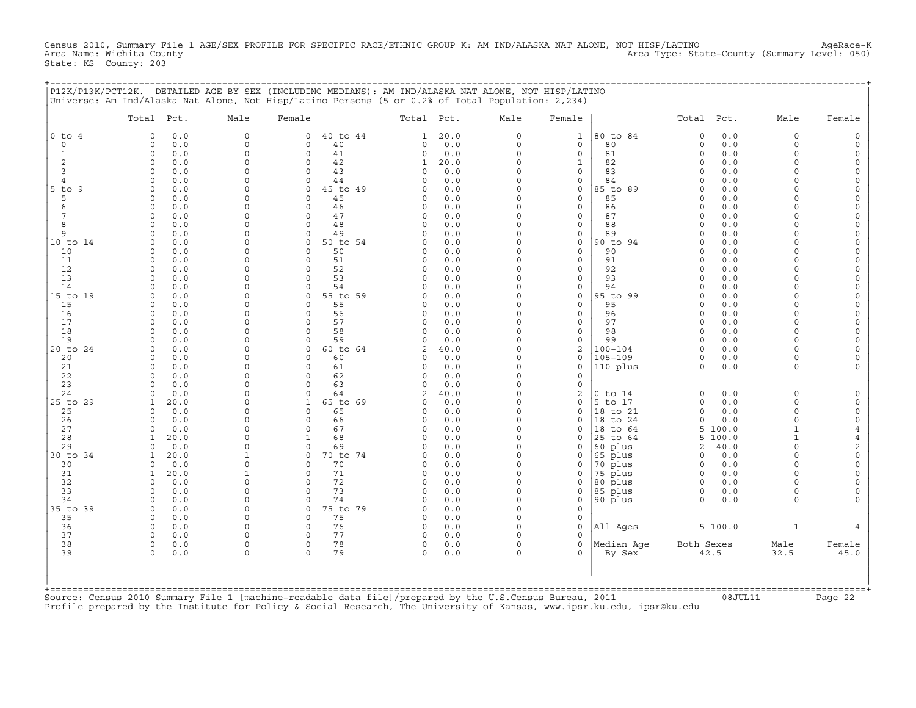Census 2010, Summary File 1 AGE/SEX PROFILE FOR SPECIFIC RACE/ETHNIC GROUP K: AM IND/ALASKA NAT ALONE, NOT HISP/LATINO AgeRace-K<br>Area Name: Wichita County Level: 050) Area Type: State-County (Summary Level: 050) Area Type: State-County (Summary Level: 050) State: KS County: 203

+===================================================================================================================================================+

|                | Total Pct.                             | Male                 | Female                     |                | Total Pct.               |             | Male                 | Female                  |                    | Total Pct.           |            | Male                 | Female                  |
|----------------|----------------------------------------|----------------------|----------------------------|----------------|--------------------------|-------------|----------------------|-------------------------|--------------------|----------------------|------------|----------------------|-------------------------|
| $0$ to $4$     | 0.0<br>$\Omega$                        | $\circ$              | 0                          | 40 to 44       | 1                        | 20.0        | 0                    | $\mathbf{1}$            | 80 to 84           | 0                    | 0.0        | $\mathbf 0$          |                         |
| $\circ$        | $\mathbf 0$<br>0.0                     | $\circ$              | $\mathbf 0$                | 40             | 0                        | 0.0         | $\circ$              | $\mathbf{0}$            | 80                 | $\circ$              | 0.0        | $\Omega$             |                         |
| 1              | $\mathbf 0$<br>0.0                     | $\circ$<br>$\Omega$  | $\mathbf 0$<br>$\mathbf 0$ | 41             | 0                        | 0.0         | $\circ$<br>$\Omega$  | $\mathbf{0}$            | 81                 | $\circ$<br>$\Omega$  | 0.0        | $\Omega$<br>$\Omega$ |                         |
| 2<br>3         | $\mathbf 0$<br>0.0<br>0.0<br>$\Omega$  | $\Omega$             | $\circ$                    | 42<br>43       | 1<br>$\Omega$            | 20.0<br>0.0 | $\Omega$             | $\mathbf{1}$<br>0       | 82<br>83           | $\Omega$             | 0.0<br>0.0 | $\Omega$             | $\Omega$                |
| $\overline{4}$ | 0.0<br>$\Omega$                        | $\Omega$             | $\Omega$                   | 44             | $\Omega$                 | 0.0         | $\Omega$             | $\mathbf{0}$            | 84                 | $\Omega$             | 0.0        | $\cap$               |                         |
| $5$ to<br>- 9  | 0.0<br>$\mathbf 0$                     | $\mathbf 0$          | 0                          | 45 to 49       | $\Omega$                 | 0.0         | $\Omega$             | 0                       | 85 to 89           | $\Omega$             | 0.0        | $\cap$               |                         |
| 5              | 0.0<br>$\Omega$                        | $\Omega$             | 0                          | 45             | $\Omega$                 | 0.0         | $\Omega$             | 0                       | 85                 | $\Omega$             | 0.0        | $\cap$               | $\Omega$                |
| 6              | 0.0<br>$\Omega$                        | $\Omega$             | $\mathbf 0$                | 46             | $\Omega$                 | 0.0         | $\Omega$             | $\mathbf{0}$            | 86                 | $\Omega$             | 0.0        |                      |                         |
| 7              | $\mathbf 0$<br>0.0                     | $\Omega$             | $\mathsf O$                | 47             | 0                        | 0.0         | 0                    | 0                       | 87                 | $\Omega$             | 0.0        | $\Omega$             |                         |
| 8              | 0.0<br>$\Omega$                        | $\Omega$<br>$\Omega$ | $\circ$                    | 48             | $\Omega$                 | 0.0         | $\Omega$<br>$\Omega$ | 0                       | 88                 | $\Omega$<br>$\Omega$ | 0.0        | $\cap$<br>$\cap$     | $\Omega$<br>$\Omega$    |
| 9<br>10 to 14  | 0.0<br><sup>0</sup><br>0.0<br>$\Omega$ | $\Omega$             | $\mathbf 0$<br>$\mathbf 0$ | 49<br>50 to 54 | 0<br>$\Omega$            | 0.0<br>0.0  | $\Omega$             | 0<br>0                  | 89<br>90 to 94     | $\Omega$             | 0.0<br>0.0 |                      |                         |
| 10             | 0.0<br>$\Omega$                        | $\Omega$             | $\Omega$                   | 50             | 0                        | 0.0         | $\Omega$             | $\mathbf{0}$            | 90                 | $\Omega$             | 0.0        | $\Omega$             |                         |
| 11             | 0.0<br>$\Omega$                        | $\Omega$             | $\Omega$                   | 51             | $\Omega$                 | 0.0         | $\Omega$             | 0                       | 91                 | $\Omega$             | $0.0$      | $\cap$               | $\Omega$                |
| 12             | 0.0<br>$\Omega$                        | $\Omega$             | $\Omega$                   | 52             | $\Omega$                 | 0.0         | $\Omega$             | 0                       | 92                 | $\Omega$             | 0.0        | $\cap$               | $\Omega$                |
| 13             | $\Omega$<br>0.0                        | $\Omega$             | $\mathbf 0$                | 53             | $\Omega$                 | 0.0         | $\Omega$             | $\mathbf{0}$            | 93                 | $\Omega$             | 0.0        | $\Omega$             | $\Omega$                |
| 14             | 0.0                                    | $\Omega$             | $\mathbf 0$                | 54             | $\Omega$                 | 0.0         | $\Omega$             | 0                       | 94                 | $\Omega$             | 0.0        | $\Omega$             | $\Omega$                |
| 15 to 19       | 0.0<br>$\Omega$                        | $\Omega$             | $\mathbf 0$                | 55 to 59       | $\Omega$                 | 0.0         | $\Omega$             | 0                       | 95 to 99           | $\Omega$             | 0.0        | $\Omega$<br>$\cap$   | $\Omega$                |
| 15<br>16       | 0.0<br>$\Omega$<br>0.0<br>$\Omega$     | $\Omega$<br>$\Omega$ | $\circ$<br>$\circ$         | 55<br>56       | 0<br>$\Omega$            | 0.0<br>0.0  | $\Omega$<br>$\Omega$ | 0<br>0                  | 95<br>96           | $\Omega$<br>$\Omega$ | 0.0<br>0.0 | $\Omega$             | $\Omega$<br>$\Omega$    |
| 17             | 0.0<br>$\mathbf 0$                     | $\mathbf 0$          | 0                          | 57             | $\Omega$                 | 0.0         | $\Omega$             | 0                       | 97                 | $\Omega$             | 0.0        | $\Omega$             |                         |
| 18             | 0.0<br>$\Omega$                        | $\Omega$             | $\Omega$                   | 58             | <sup>0</sup>             | 0.0         | $\Omega$             | $\mathbf{0}$            | 98                 | $\Omega$             | 0.0        | $\cap$               |                         |
| 19             | 0.0<br>$\Omega$                        | $\Omega$             | $\mathbf 0$                | 59             | $\Omega$                 | 0.0         | $\Omega$             | 0                       | 99                 | $\Omega$             | 0.0        | $\Omega$             |                         |
| 20 to 24       | 0.0<br>$\mathbf 0$                     | $\Omega$             | 0                          | 60 to 64       | 2                        | 40.0        | $\Omega$             | 2                       | $100 - 104$        | $\Omega$             | 0.0        | $\cap$               |                         |
| 20             | 0.0<br>$\Omega$                        | $\Omega$             | $\Omega$                   | 60             | $\Omega$                 | 0.0         | $\Omega$             | $\mathbf{0}$            | 105-109            | 0                    | $0.0$      | $\cap$               |                         |
| 21             | 0.0<br>$\mathbf 0$                     | $\Omega$             | $\circ$                    | 61             | 0                        | 0.0         | $\circ$              | 0                       | 110 plus           | $\Omega$             | 0.0        | $\Omega$             |                         |
| 22<br>23       | 0.0<br>$\Omega$<br><sup>n</sup>        | $\Omega$<br>$\Omega$ | $\Omega$<br>$\Omega$       | 62<br>63       | $\Omega$<br><sup>0</sup> | 0.0<br>0.0  | $\Omega$<br>$\Omega$ | $\mathbf 0$<br>0        |                    |                      |            |                      |                         |
| 24             | 0.0<br>0.0<br>$\Omega$                 | $\Omega$             | $\Omega$                   | 64             | 2                        | 40.0        | $\Omega$             | 2                       | $0$ to $14$        | $\circ$              | 0.0        | $\Omega$             | $\Omega$                |
| 25 to 29       | 20.0                                   | $\Omega$             | 1                          | 65 to 69       | 0                        | 0.0         | $\Omega$             | 0                       | 5 to 17            | $\circ$              | 0.0        | $\Omega$             | $\Omega$                |
| 25             | 0.0<br><sup>0</sup>                    | $\Omega$             | 0                          | 65             | <sup>0</sup>             | 0.0         | $\Omega$             | 0                       | 18 to 21           | $\Omega$             | 0.0        | $\Omega$             | $\Omega$                |
| 26             | 0.0<br>$\Omega$                        | $\Omega$             | $\circ$                    | 66             | $\Omega$                 | 0.0         | $\Omega$             | $\mathbf 0$             | 18 to 24           | $\circ$              | 0.0        | $\Omega$             | $\circ$                 |
| 27             | 0.0<br>$\Omega$                        | $\Omega$             | $\circ$                    | 67             | $\Omega$                 | 0.0         | $\Omega$             | 0                       | 18 to 64           | 5                    | 100.0      | $\mathbf{1}$         | $\overline{4}$          |
| 28             | 20.0                                   | $\Omega$             | 1                          | 68             | 0                        | 0.0         | $\Omega$             | 0                       | 25 to 64           | 5                    | 100.0      | $\mathbf{1}$         | $\overline{4}$          |
| 29             | 0.0<br>$\cap$                          | $\Omega$             | $\circ$                    | 69             | $\Omega$                 | 0.0         | $\Omega$             | 0                       | 60 plus            | $\overline{c}$       | 40.0       | $\cap$<br>$\Omega$   | $\sqrt{2}$              |
| 30 to 34<br>30 | 20.0<br>1<br>0.0                       | -1<br>$\Omega$       | 0<br>$\mathbf 0$           | 70 to 74<br>70 | $\Omega$<br>O            | 0.0<br>0.0  | 0<br>$\Omega$        | 0<br>0                  | 65 plus<br>70 plus | 0<br>$\Omega$        | 0.0<br>0.0 | $\cap$               | $\mathbf 0$<br>$\Omega$ |
| 31             | 20.0<br>1                              | 1                    | $\Omega$                   | 71             | $\Omega$                 | 0.0         | $\Omega$             | 0                       | 75 plus            | $\Omega$             | $0.0$      | $\Omega$             |                         |
| 32             | 0.0<br>$\Omega$                        | $\mathbf 0$          | $\mathsf O$                | 72             | 0                        | 0.0         | 0                    | 0                       | 80 plus            | $\mathbf 0$          | 0.0        | $\cap$               |                         |
| 33             | $\cap$<br>0.0                          | $\Omega$             | $\Omega$                   | 73             | $\Omega$                 | 0.0         | $\Omega$             | 0                       | 85 plus            | 0                    | 0.0        | $\Omega$             | $\Omega$                |
| 34             | 0.0<br>$\Omega$                        | $\Omega$             | $\circ$                    | 74             | $\Omega$                 | 0.0         | $\Omega$             | $\circ$                 | 90 plus            | $\Omega$             | 0.0        | $\Omega$             |                         |
| 35 to 39       | 0.0<br>$\mathbf 0$                     | $\mathbf 0$          | $\mathbf 0$                | 75 to 79       | 0                        | 0.0         | $\Omega$             | $\circ$                 |                    |                      |            |                      |                         |
| 35             | $\Omega$<br>0.0                        | $\Omega$             | $\Omega$                   | 75             | $\Omega$                 | 0.0         | $\Omega$             | 0                       |                    |                      |            |                      |                         |
| 36             | 0.0<br>$\Omega$                        | $\Omega$             | $\mathsf O$                | 76             | 0                        | 0.0         | $\Omega$<br>$\Omega$ | 0                       | All Ages           |                      | 5 100.0    | 1                    |                         |
| 37<br>38       | 0.0<br>$\Omega$<br>$\Omega$<br>0.0     | $\Omega$<br>$\Omega$ | $\circ$<br>$\mathbf 0$     | 77<br>78       | 0<br>0                   | 0.0<br>0.0  | 0                    | $\mathbf 0$<br>$\Omega$ | Median Age         | Both Sexes           |            | Male                 | Female                  |
| 39             | $\Omega$<br>0.0                        | $\Omega$             | $\Omega$                   | 79             | $\Omega$                 | 0.0         | $\Omega$             | $\Omega$                | By Sex             | 42.5                 |            | 32.5                 | 45.0                    |
|                |                                        |                      |                            |                |                          |             |                      |                         |                    |                      |            |                      |                         |
|                |                                        |                      |                            |                |                          |             |                      |                         |                    |                      |            |                      |                         |

Source: Census 2010 Summary File 1 [machine−readable data file]/prepared by the U.S.Census Bureau, 2011 08JUL11 Page 22 Profile prepared by the Institute for Policy & Social Research, The University of Kansas, www.ipsr.ku.edu, ipsr@ku.edu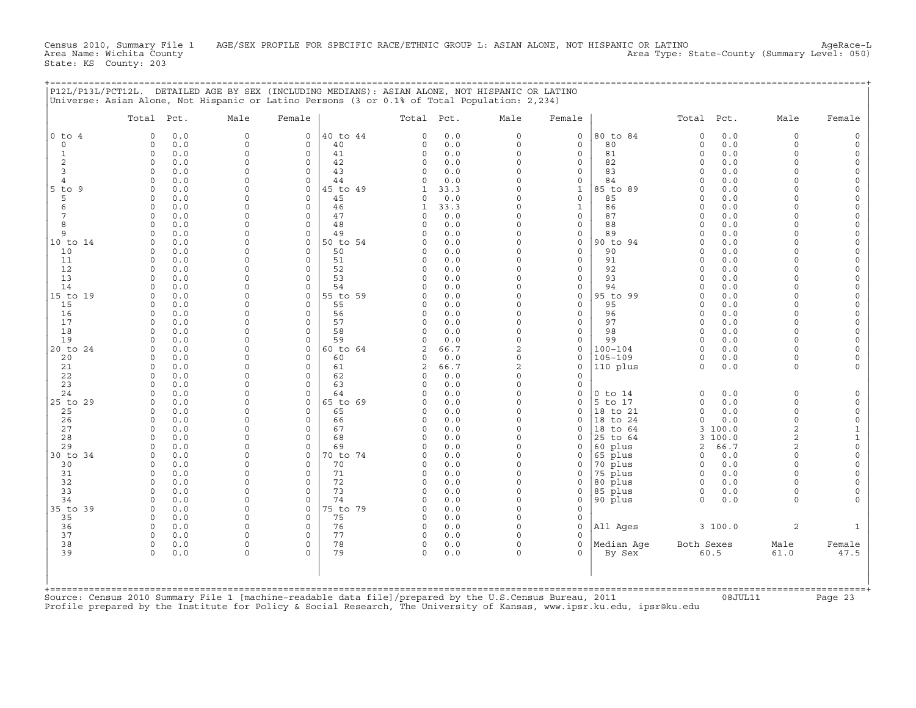Census 2010, Summary File 1 AGE/SEX PROFILE FOR SPECIFIC RACE/ETHNIC GROUP L: ASIAN ALONE, NOT HISPANIC OR LATINO AgeRace-L<br>Area Name: Wichita County (summary Level: 050) Area Name: Wichita County Area Type: State−County (Summary Level: 050) State: KS County: 203

+===================================================================================================================================================+

|                    | Total Pct.                        | Male                 | Female                     |                | Total Pct.     |             | Male                      | Female                             |                | Total Pct.           |            | Male                 | Female              |
|--------------------|-----------------------------------|----------------------|----------------------------|----------------|----------------|-------------|---------------------------|------------------------------------|----------------|----------------------|------------|----------------------|---------------------|
| $0$ to $4$         | $\Omega$<br>0.0                   | $\mathbf 0$          | $\mathbf 0$                | 40 to 44       | $\Omega$       | 0.0         | $\circ$                   | $\mathbf 0$                        | 80 to 84       | $\circ$              | 0.0        | $\Omega$             | $\Omega$            |
| $\circ$            | 0.0<br>0                          | 0                    | 0                          | 40             | 0              | 0.0         | $\circ$                   | $\mathsf{O}$                       | 80             | $\circ$              | $0.0$      | $\Omega$             | $\mathbf 0$         |
| $\mathbf{1}$       | $\circ$<br>0.0                    | $\Omega$             | $\mathbf 0$                | 41             | 0              | 0.0         | $\circ$                   | $\mathbf 0$                        | 81             | $\circ$              | 0.0        | $\Omega$             | $\mathbf 0$         |
| 2                  | 0<br>0.0                          | 0                    | 0                          | 42             | 0              | 0.0         | $\circ$                   | $\mathsf{O}$                       | 82             | $\Omega$             | 0.0        | $\Omega$             | $\mathsf O$         |
| 3                  | 0.0<br>$\Omega$                   | $\Omega$<br>$\Omega$ | $\Omega$<br>$\Omega$       | 43             | O              | 0.0         | $\Omega$<br>$\Omega$      | $\mathbf 0$                        | 83             | $\Omega$<br>$\Omega$ | 0.0        | $\Omega$<br>$\Omega$ | $\Omega$            |
| $\overline{4}$     | 0.0<br>$\Omega$                   | 0                    |                            | 44<br>45 to 49 | $\Omega$       | 0.0         | $\Omega$                  | $\mathbf 0$                        | 84             | $\Omega$             | 0.0        | $\Omega$             | $\circ$<br>$\Omega$ |
| $5$ to<br>- 9<br>5 | $\circ$<br>0.0<br>0.0<br>0        | $\Omega$             | $\mathbf 0$<br>$\mathbf 0$ | 45             | 1<br>0         | 33.3<br>0.0 | $\circ$                   | $\mathbf{1}$<br>$\mathbf 0$        | 85 to 89<br>85 | $\Omega$             | 0.0<br>0.0 | $\cap$               | $\Omega$            |
| 6                  | 0.0<br>0                          | $\Omega$             | $\mathbf 0$                | 46             | 1              | 33.3        | $\Omega$                  | $\mathbf{1}$                       | 86             | $\Omega$             | 0.0        | $\cap$               | $\mathsf O$         |
| 7                  | $\Omega$<br>0.0                   | $\Omega$             | $\Omega$                   | 47             | $\Omega$       | 0.0         | $\Omega$                  | $\mathbf 0$                        | 87             | $\Omega$             | 0.0        | $\cap$               | $\Omega$            |
| 8                  | $\Omega$<br>0.0                   | $\Omega$             | $\circ$                    | 48             | $\Omega$       | 0.0         | $\Omega$                  | $\mathbf 0$                        | 88             | $\Omega$             | 0.0        | $\Omega$             | $\mathsf{O}\xspace$ |
| 9                  | $\Omega$<br>0.0                   | 0                    | $\mathbf 0$                | 49             | O              | 0.0         | $\Omega$                  | $\mathsf{O}$                       | 89             | $\Omega$             | 0.0        | $\cap$               | $\circ$             |
| 10 to 14           | 0.0<br>$\Omega$                   | $\Omega$             | $\mathbf 0$                | 50 to 54       | O              | 0.0         | $\Omega$                  | $\mathbf 0$                        | 90 to 94       | $\Omega$             | 0.0        | $\cap$               | $\Omega$            |
| 10                 | 0<br>0.0                          | 0                    | 0                          | 50             | 0              | 0.0         | 0                         | $\mathsf{O}$                       | 90             | $\Omega$             | 0.0        | $\Omega$             | $\mathbf 0$         |
| 11                 | $\Omega$<br>0.0                   | $\Omega$             | $\Omega$                   | 51             | $\Omega$       | 0.0         | $\Omega$                  | $\mathbf 0$                        | 91             | $\Omega$             | 0.0        | $\cap$               | $\circ$             |
| 12                 | 0.0<br>$\circ$                    | $\Omega$             | $\mathbf 0$                | 52             | $\Omega$       | 0.0         | $\Omega$                  | $\mathbf 0$                        | 92             | $\Omega$             | 0.0        | $\Omega$             | $\circ$             |
| 13                 | 0.0<br>$\Omega$                   | 0                    | $\mathbf 0$                | 53             | $\Omega$       | 0.0         | $\Omega$                  | $\mathbf 0$                        | 93             | $\Omega$             | 0.0        | $\Omega$             | $\mathbf 0$         |
| 14                 | $\Omega$<br>0.0                   | 0                    | $\mathbf 0$                | 54             | $\Omega$       | 0.0         | $\Omega$                  | $\mathsf{O}$                       | 94             | $\Omega$             | 0.0        | $\cap$               | $\circ$             |
| 15 to 19           | 0.0<br>$\Omega$                   | 0                    | 0                          | 55 to 59       | 0              | 0.0         | 0                         | $\mathsf{O}\xspace$                | 95 to 99       | $\Omega$             | 0.0        | $\Omega$             | $\mathsf O$         |
| 15                 | $\Omega$<br>0.0                   | $\Omega$             | $\Omega$                   | 55             | $\Omega$       | 0.0         | $\Omega$                  | $\Omega$                           | 95             | $\Omega$             | 0.0        | $\cap$               | $\Omega$            |
| 16                 | $\circ$<br>0.0                    | $\Omega$             | $\circ$                    | 56             | $\Omega$       | 0.0         | $\circ$                   | $\mathbf 0$                        | 96             | $\Omega$             | 0.0        | $\Omega$             | $\mathsf{O}\xspace$ |
| 17                 | 0.0<br>$\Omega$                   | $\Omega$             | $\mathbf 0$                | 57             | 0              | 0.0         | $\Omega$                  | $\mathbf 0$                        | 97             | $\Omega$             | 0.0        | $\Omega$             | $\circ$             |
| 18                 | 0.0<br>$\Omega$                   | $\Omega$             | $\mathbf 0$                | 58             | $\Omega$       | 0.0         | $\Omega$                  | $\mathbf 0$                        | 98             | $\Omega$             | $0.0$      | $\Omega$             | $\circ$             |
| 19                 | $\Omega$<br>0.0                   | 0                    | 0                          | 59             | 0              | 0.0         | 0                         | $\mathsf{O}$                       | 99             | $\Omega$             | 0.0        | $\Omega$             | $\mathbf 0$         |
| 20 to 24           | $\Omega$<br>0.0                   | $\Omega$             | $\circ$                    | 60 to 64       | $\mathfrak{D}$ | 66.7        | $\overline{c}$            | $\mathbf 0$                        | $100 - 104$    | $\Omega$             | 0.0        | $\cap$               | $\circ$             |
| 20                 | 0.0<br>0                          | 0                    | $\mathbf 0$                | 60             | 0              | 0.0         | $\circ$                   | $\mathbf 0$                        | $105 - 109$    | $\circ$              | 0.0        | $\Omega$             | $\Omega$            |
| 21                 | 0.0<br>0                          | $\Omega$<br>$\Omega$ | $\mathbf 0$                | 61             | 2              | 66.7        | $\overline{c}$<br>$\circ$ | $\mathbf 0$                        | 110 plus       | $\Omega$             | 0.0        | $\Omega$             |                     |
| 22<br>23           | $\circ$<br>0.0<br>0.0<br>$\Omega$ | 0                    | $\mathbf 0$<br>0           | 62<br>63       | 0<br>0         | 0.0<br>0.0  | $\Omega$                  | $\mathbf 0$<br>$\mathsf{O}\xspace$ |                |                      |            |                      |                     |
| 24                 | $\Omega$<br>0.0                   | $\Omega$             | $\Omega$                   | 64             | $\cap$         | 0.0         | $\Omega$                  | $\Omega$                           | $0$ to $14$    | $\Omega$             | 0.0        | $\Omega$             | $\circ$             |
| 25 to 29           | 0.0<br>$\circ$                    | 0                    | $\mathbf 0$                | 65 to 69       | $\Omega$       | 0.0         | $\circ$                   | $\mathbf 0$                        | 5 to 17        | $\circ$              | 0.0        | $\Omega$             | $\circ$             |
| 25                 | 0.0<br>$\Omega$                   | $\Omega$             | $\mathbf 0$                | 65             | $\Omega$       | 0.0         | $\circ$                   | $\mathbf 0$                        | 18 to 21       | $\circ$              | 0.0        | $\Omega$             | $\mathsf O$         |
| 26                 | 0.0<br>$\circ$                    | 0                    | $\mathbf 0$                | 66             | 0              | 0.0         | $\circ$                   | $\mathbf 0$                        | 18 to 24       | $\circ$              | 0.0        | $\mathbf 0$          | $\mathsf{O}\xspace$ |
| 27                 | $\Omega$<br>0.0                   | $\Omega$             | $\Omega$                   | 67             | $\Omega$       | 0.0         | $\Omega$                  | $\Omega$                           | 18 to 64       |                      | 3 100.0    | $\overline{a}$       | $\mathbf{1}$        |
| 28                 | $\Omega$<br>0.0                   | $\Omega$             | $\mathbf 0$                | 68             | $\Omega$       | 0.0         | $\Omega$                  | $\mathbf 0$                        | 25 to 64       | 3                    | 100.0      | $\overline{c}$       | $\mathbf 1$         |
| 29                 | 0.0<br>$\Omega$                   | 0                    | $\Omega$                   | 69             | 0              | 0.0         | $\Omega$                  | $\mathbf 0$                        | 60 plus        | 2                    | 66.7       | $\overline{c}$       | $\mathbf 0$         |
| 30 to 34           | 0.0<br>$\Omega$                   | $\Omega$             | $\mathbf 0$                | 70 to 74       | $\Omega$       | 0.0         | $\Omega$                  | $\mathbf 0$                        | 65 plus        | 0                    | 0.0        | $\Omega$             | $\mathbf 0$         |
| 30                 | 0.0<br>0                          | 0                    | $\mathbf 0$                | 70             | 0              | 0.0         | 0                         | 0                                  | 70 plus        | 0                    | 0.0        | $\Omega$             | $\mathsf O$         |
| 31                 | $\Omega$<br>0.0                   | $\Omega$             | $\Omega$                   | 71             | $\Omega$       | 0.0         | $\circ$                   | $\mathbf 0$                        | 75 plus        | $\mathbf 0$          | 0.0        | $\Omega$             | $\circ$             |
| 32                 | 0.0<br>$\Omega$                   | $\Omega$             | $\Omega$                   | 72             | $\Omega$       | 0.0         | $\Omega$                  | $\Omega$                           | 80 plus        | $\Omega$             | 0.0        | $\Omega$             | $\Omega$            |
| 33                 | 0.0<br>$\Omega$                   | $\Omega$             | $\mathbf 0$                | 73             | $\Omega$       | 0.0         | $\Omega$                  | $\mathsf{O}\xspace$                | 85 plus        | $\Omega$             | 0.0        | $\Omega$             | $\Omega$            |
| 34                 | 0.0<br>$\Omega$                   | $\Omega$             | $\mathbf 0$                | 74             | $\Omega$       | 0.0         | $\circ$                   | $\mathsf{O}\xspace$                | 90 plus        | $\circ$              | 0.0        | $\Omega$             | $\Omega$            |
| 35 to 39           | 0<br>0.0                          | 0                    | 0                          | 75 to 79       | 0              | 0.0         | $\circ$                   | $\mathsf{O}$                       |                |                      |            |                      |                     |
| 35                 | 0.0<br>$\Omega$                   | $\Omega$             | $\Omega$                   | 75             | $\Omega$       | 0.0         | $\Omega$                  | $\mathbf 0$                        |                |                      |            |                      |                     |
| 36                 | $\circ$<br>0.0                    | 0                    | $\mathbf 0$                | 76             | 0              | 0.0         | $\circ$<br>$\Omega$       | $\mathbf 0$                        | All Ages       |                      | 3 100.0    | 2                    | $\mathbf{1}$        |
| 37<br>38           | $\Omega$<br>0.0<br>$\circ$        | 0<br>$\Omega$        | $\mathbf 0$<br>0           | 77<br>78       | 0<br>0         | 0.0<br>0.0  | $\Omega$                  | $\Omega$<br>$\mathbf 0$            | Median Age     | Both Sexes           |            | Male                 |                     |
| 39                 | 0.0<br>$\circ$<br>0.0             | 0                    | $\mathbf 0$                | 79             | 0              | 0.0         | 0                         | 0                                  | By Sex         |                      | 60.5       | 61.0                 | Female<br>47.5      |
|                    |                                   |                      |                            |                |                |             |                           |                                    |                |                      |            |                      |                     |
|                    |                                   |                      |                            |                |                |             |                           |                                    |                |                      |            |                      |                     |

Profile prepared by the Institute for Policy & Social Research, The University of Kansas, www.ipsr.ku.edu, ipsr@ku.edu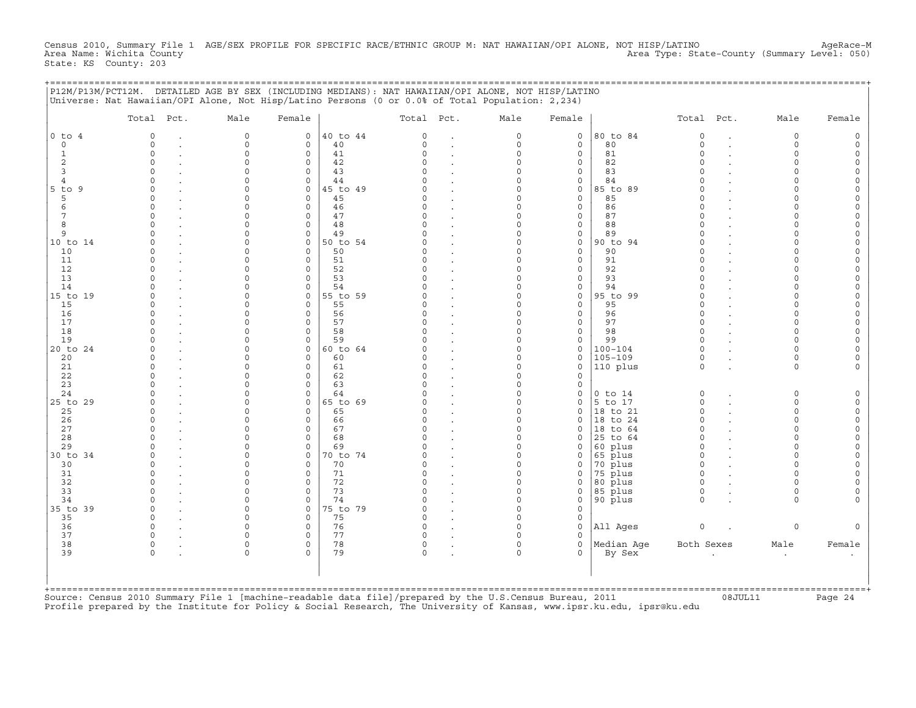Census 2010, Summary File 1 AGE/SEX PROFILE FOR SPECIFIC RACE/ETHNIC GROUP M: NAT HAWAIIAN/OPI ALONE, NOT HISP/LATINO<br>- Area Name: Wichita County Area Name: Wichita County Area Type: State−County (Summary Level: 050) State: KS County: 203

|  | P12M/P13M/PCT12M. DETAILED AGE BY SEX (INCLUDING MEDIANS): NAT HAWAIIAN/OPI ALONE, NOT HISP/LATINO |  |  |
|--|----------------------------------------------------------------------------------------------------|--|--|
|  | Universe: Nat Hawaiian/OPI Alone, Not Hisp/Latino Persons (0 or 0.0% of Total Population: 2,234)   |  |  |

|                | Total Pct.   | Male        | Female       |          | Total Pct.  |              | Male     | Female       |                    | Total Pct.   | Male        | Female |
|----------------|--------------|-------------|--------------|----------|-------------|--------------|----------|--------------|--------------------|--------------|-------------|--------|
| $0$ to $4$     | $\Omega$     | $\circ$     | 0            | 40 to 44 | $\Omega$    | $\bullet$    | 0        | 0            | 80 to 84           | $\mathsf O$  | $\mathbf 0$ |        |
| $\mathbf 0$    | $\Omega$     | $\mathbf 0$ | 0            | 40       | $\Omega$    |              | 0        | 0            | 80                 | $\circ$      | $\Omega$    |        |
|                | $\Omega$     | $\circ$     | $\mathbf 0$  | 41       | $\Omega$    |              | $\circ$  | $\mathbf{0}$ | 81                 | $\circ$      | $\Omega$    |        |
| 2              | $\Omega$     | $\Omega$    | $\mathbf 0$  | 42       | $\Omega$    |              | $\Omega$ | 0            | 82                 | $\Omega$     |             |        |
| 3              | n            | U           | 0            | 43       | U           |              | $\Omega$ | 0            | 83                 | $\cap$       |             |        |
| $\overline{4}$ | $\cap$       | $\cap$      | $\Omega$     | 44       |             |              | $\cap$   | $\mathbf{0}$ | 84                 |              |             |        |
| $5$ to $9$     |              | $\Omega$    | $\mathsf{O}$ | 45 to 49 |             |              | $\Omega$ | $\circ$      | 85 to 89           | $\Omega$     |             |        |
| 5              |              | $\Omega$    | 0            | 45       |             | $\mathbf{r}$ | $\Omega$ | 0            | 85                 | $\Omega$     |             |        |
|                |              | $\Omega$    | $\mathbf 0$  | 46       |             |              | $\Omega$ | $\mathbf{0}$ | 86                 | $\Omega$     |             |        |
|                | $\Omega$     | $\Omega$    | 0            | 47       | $\Omega$    |              | $\Omega$ | 0            | 87                 | $\Omega$     |             |        |
|                |              | O           | $\circ$      | 48       | U           |              | $\Omega$ | 0            | 88                 | $\Omega$     |             |        |
| 9              |              | $\Omega$    | $\mathbf 0$  | 49       |             |              | $\Omega$ | $\mathbf{0}$ | 89                 | $\cap$       |             |        |
| 10 to 14       |              | $\Omega$    | $\mathbf 0$  | 50 to 54 |             |              | $\Omega$ | 0            | 90 to 94           | $\Omega$     |             |        |
| 10             |              | O           | $\mathbf 0$  | 50       |             |              | $\Omega$ | 0            | 90                 | $\Omega$     |             |        |
| 11             | n            | n           | $\circ$      | 51       |             |              | O        | 0            | 91                 | $\Omega$     |             |        |
| 12             | $\cap$       | $\Omega$    | $\Omega$     | 52       | U           |              | $\Omega$ | $\mathbf{0}$ | 92                 | $\Omega$     |             |        |
| 13             | $\Omega$     | $\Omega$    | 0            | 53       |             |              | $\Omega$ | 0            | 93                 | $\Omega$     |             |        |
| 14             |              | O           | 0            | 54       |             |              | $\Omega$ | 0            | 94                 | $\Omega$     |             |        |
| 15 to 19       |              | $\Omega$    | $\mathbf{0}$ | 55 to 59 |             |              | $\Omega$ | $\mathbf{0}$ | 95 to 99           | $\Omega$     |             |        |
| 15             | $\Omega$     | $\Omega$    | 0            | 55       |             |              | $\Omega$ | 0            | 95                 | $\Omega$     |             |        |
| 16             |              | n           | $\mathbf 0$  | 56       |             |              | $\Omega$ | $\mathbf{0}$ | 96                 | $\Omega$     |             |        |
| 17             | $\cap$       | $\Omega$    | $\mathbf 0$  | 57       |             |              | $\Omega$ | $\mathbf{0}$ | 97                 | $\Omega$     | $\cap$      |        |
| 18             |              | $\Omega$    | $\mathbf 0$  | 58       |             |              | $\Omega$ | $\mathbf{0}$ | 98                 | $\Omega$     |             |        |
| 19             |              | $\Omega$    | $\mathbf 0$  | 59       |             |              | $\Omega$ | 0            | 99                 | $\Omega$     |             |        |
| 20 to 24       | ∩            | $\cap$      | $\mathbf 0$  | 60 to 64 |             |              | $\Omega$ | 0            | $100 - 104$        | $\Omega$     |             |        |
| 20             | $\cap$       | $\Omega$    | $\circ$      | 60       |             |              | $\Omega$ | 0            | $105 - 109$        | $\Omega$     | $\cap$      |        |
| 21             | <sup>0</sup> | O           | 0            | 61       | O           |              | 0        | 0            | $ 110\rangle$ plus | $\Omega$     | $\Omega$    |        |
| 22             |              | $\Omega$    | $\mathbf 0$  | 62       |             |              | $\Omega$ | $\mathbf{0}$ |                    |              |             |        |
| 23             |              | $\Omega$    | $\mathbf 0$  | 63       |             |              | $\Omega$ | 0            |                    |              |             |        |
| 24             |              | $\Omega$    | 0            | 64       |             |              | $\Omega$ | 0            | $0$ to $14$        | $\circ$      | $\Omega$    |        |
| 25 to 29       |              | U           | 0            | 65 to 69 |             |              | $\Omega$ | 0            | 5 to 17            | $\Omega$     | $\cap$      |        |
| 25             |              |             | $\mathbf 0$  | 65       |             |              | $\Omega$ | $\mathbf{0}$ | 18 to 21           | $\Omega$     | $\cap$      |        |
| 26             |              |             | $\mathbf 0$  | 66       |             |              | $\Omega$ | $\mathbf{0}$ | 18 to 24           | $\Omega$     |             |        |
| 27             |              |             | $\Omega$     | 67       |             |              | $\Omega$ | $\Omega$     | 18 to 64           | $\Omega$     |             |        |
| 28             |              | $\Omega$    | $\mathbf 0$  | 68       |             |              | $\Omega$ | 0            | 25 to 64           | $\Omega$     |             |        |
| 29             |              | $\cap$      | $\mathbf 0$  | 69       |             |              | $\Omega$ | 0            | 60 plus            | $\Omega$     |             |        |
| 30 to 34       | $\Omega$     | $\Omega$    | $\mathbf{0}$ | 70 to 74 | O           |              | 0        | 0            | 65 plus            | $\Omega$     | ∩           |        |
| 30             |              | $\Omega$    | $\mathbf 0$  | 70       |             | $\sim$       | $\Omega$ | 0            | 70 plus            | $\Omega$     | $\cap$      |        |
| 31             | $\Omega$     | $\Omega$    | $\mathbf 0$  | 71       |             |              | $\Omega$ | 0            | 75 plus            | $\Omega$     | $\cap$      |        |
| 32             | $\Omega$     | $\Omega$    | 0            | 72       | O           |              | $\Omega$ | 0            | 80 plus            | $\mathbf 0$  | $\cap$      |        |
| 33             |              | $\cap$      | $\Omega$     | 73       | $\cap$      |              | $\Omega$ | 0            | 85 plus            | $\Omega$     | $\Omega$    |        |
| 34             |              | $\Omega$    | $\mathbf 0$  | 74       |             |              | $\Omega$ | 0            | 90 plus            | $\Omega$     | $\Omega$    |        |
| 35 to 39       | $\Omega$     | $\Omega$    | $\mathbf{0}$ | 75 to 79 |             |              | $\Omega$ | 0            |                    |              |             |        |
| 35             | $\Omega$     | $\Omega$    | $\mathbf 0$  | 75       | $\cap$      |              | $\Omega$ | $\mathbf 0$  |                    |              |             |        |
| 36             | $\Omega$     | $\Omega$    | 0            | 76       | O           |              | $\Omega$ | 0            | All Ages           | $\mathsf{O}$ | $\Omega$    |        |
| 37             | $\cap$       | $\cap$      | $\circ$      | 77       | U           |              | $\Omega$ | 0            |                    |              |             |        |
| 38             | 0            | $\Omega$    | 0            | 78       | 0           |              | 0        | 0            | Median Aqe         | Both Sexes   | Male        | Female |
| 39             | $\mathbf 0$  | $\mathbf 0$ | $\Omega$     | 79       | $\mathbf 0$ |              | $\circ$  | 0            | By Sex             |              | $\bullet$   |        |
|                |              |             |              |          |             |              |          |              |                    |              |             |        |
|                |              |             |              |          |             |              |          |              |                    |              |             |        |

Source: Census 2010 Summary File 1 [machine−readable data file]/prepared by the U.S.Census Bureau, 2011 08JUL11 Page 24 Profile prepared by the Institute for Policy & Social Research, The University of Kansas, www.ipsr.ku.edu, ipsr@ku.edu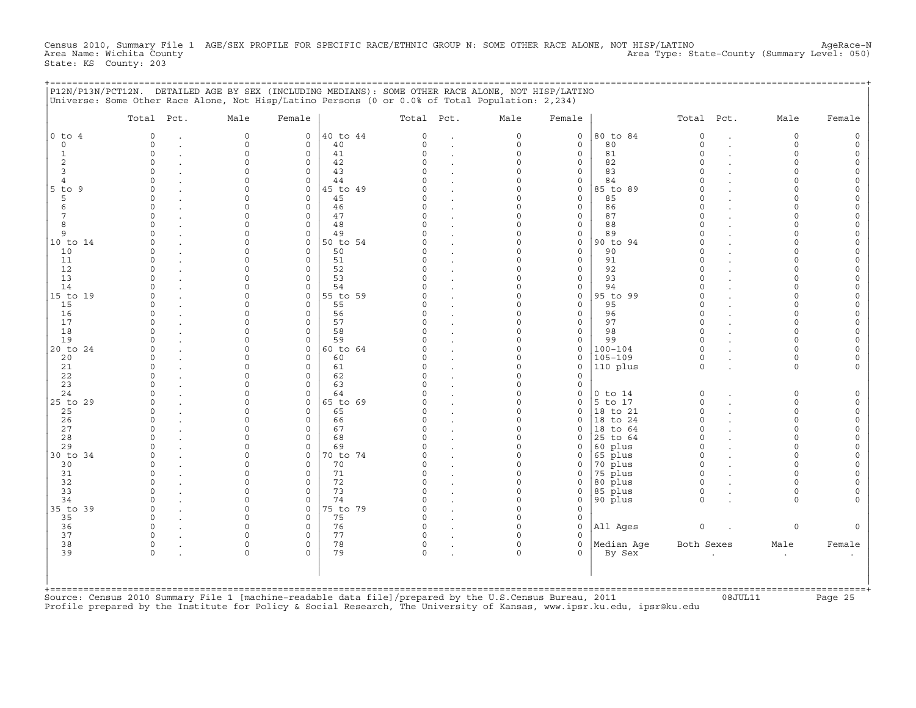Census 2010, Summary File 1 AGE/SEX PROFILE FOR SPECIFIC RACE/ETHNIC GROUP N: SOME OTHER RACE ALONE, NOT HISP/LATINO AgeRace-N<br>Area Name: Wichita County (summary Level: 050) Area Type: State-County (Summary Level: 050) State: KS County: 203

+===================================================================================================================================================+

|                     | P12N/P13N/PCT12N. DETAILED AGE BY SEX (INCLUDING MEDIANS): SOME OTHER RACE ALONE, NOT HISP/LATINO<br>Universe: Some Other Race Alone, Not Hisp/Latino Persons (0 or 0.0% of Total Population: 2,234) |                            |                                |                |                    |                                 |                                 |                                    |                      |                      |                      |                         |              |
|---------------------|------------------------------------------------------------------------------------------------------------------------------------------------------------------------------------------------------|----------------------------|--------------------------------|----------------|--------------------|---------------------------------|---------------------------------|------------------------------------|----------------------|----------------------|----------------------|-------------------------|--------------|
|                     | Total Pct.                                                                                                                                                                                           | Male                       | Female                         |                | Total Pct.         |                                 | Male                            | Female                             |                      | Total Pct.           |                      | Male                    | Female       |
| $0$ to $4$          | $\circ$                                                                                                                                                                                              | $\circ$                    | 0                              | 40 to 44       | 0                  |                                 | 0                               | $\mathsf{O}$                       | 80 to 84             | $\circ$              | $\ddot{\phantom{a}}$ | $\circ$                 | $\circ$      |
| $\mathbf 0$         | $\Omega$<br>$\cdot$                                                                                                                                                                                  | $\mathsf{O}$               | $\mathbf{0}$                   | 40             | $\circ$            | $\ddot{\phantom{a}}$            | $\circ$                         | $\mathbf 0$                        | 80                   | $\circ$              | $\cdot$              | $\mathbf 0$             | 0            |
| $\mathbf{1}$        | $\Omega$                                                                                                                                                                                             | $\mathbf 0$                | $\mathbf 0$                    | 41             | $\Omega$           | $\cdot$                         | $\circ$                         | $\mathbf 0$                        | 81                   | $\circ$              | $\ddot{\phantom{a}}$ | $\Omega$                | 0            |
| 2                   | $\circ$                                                                                                                                                                                              | $\Omega$                   | 0                              | 42             | C)                 | $\bullet$                       | $\mathbf 0$                     | $\mathsf O$                        | 82                   | $\Omega$             |                      | $\Omega$                | 0            |
| 3<br>$\overline{4}$ | $\Omega$<br>$\Omega$                                                                                                                                                                                 | $\mathbf 0$<br>$\mathbf 0$ | $\mathbf 0$<br>$\mathbf 0$     | 43<br>44       | $\cap$<br>$\cap$   | $\sim$                          | $\circ$<br>$\mathbf 0$          | $\mathsf{O}\xspace$<br>$\mathsf O$ | 83<br>84             | $\Omega$<br>$\Omega$ |                      | $\circ$<br>$\Omega$     | 0<br>0       |
| 5 to 9              | $\Omega$                                                                                                                                                                                             | $\Omega$                   | $\mathbf{0}$                   | 45 to 49       | C)                 | $\cdot$                         | $\Omega$                        | $\mathsf O$                        | 85 to 89             | $\Omega$             |                      | $\Omega$                | 0            |
| 5                   | $\Omega$                                                                                                                                                                                             | $\Omega$                   | $\circ$                        | 45             | $\Omega$           | $\cdot$<br>$\cdot$              | $\Omega$                        | $\mathbf 0$                        | 85                   | $\Omega$             |                      | $\Omega$                | $\Omega$     |
| 6                   | $\Omega$                                                                                                                                                                                             | $\Omega$                   | $\mathbf{0}$                   | 46             | 0                  | $\cdot$                         | $\Omega$                        | $\circ$                            | 86                   | $\Omega$             |                      | $\Omega$                | 0            |
| 7                   | $\circ$                                                                                                                                                                                              | $\mathbf 0$                | $\mathbf 0$                    | 47             | 0                  | $\sim$                          | $\mathbf 0$                     | $\mathbf 0$                        | 87                   | $\circ$              | $\ddot{\phantom{a}}$ | 0                       | 0            |
| 8                   | $\Omega$                                                                                                                                                                                             | $\mathbf 0$                | $\circ$                        | 48             | $\Omega$           | $\cdot$                         | $\mathbf 0$                     | $\circ$                            | 88                   | $\circ$              |                      | $\Omega$                | 0            |
| 9                   | $\Omega$                                                                                                                                                                                             | $\mathbf 0$                | $\circ$                        | 49             | $\Omega$           | $\cdot$                         | $\mathsf{O}\xspace$             | $\mathbb O$                        | 89                   | $\circ$              |                      | $\mathbf 0$             | 0            |
| 10 to 14            | $\Omega$                                                                                                                                                                                             | $\mathbf 0$                | $\circ$                        | 50 to 54       | $\Omega$           | $\cdot$                         | $\mathbf 0$                     | $\mathsf O$                        | 90 to 94             | $\circ$              | $\ddot{\phantom{a}}$ | $\Omega$                | 0            |
| 10                  | $\Omega$<br>$\Omega$                                                                                                                                                                                 | $\mathbf 0$<br>$\mathbf 0$ | $\mathbf 0$<br>$\circ$         | 50             | $\Omega$<br>0      | $\bullet$                       | $\Omega$<br>$\Omega$            | $\mathsf{O}$<br>$\mathsf{O}$       | 90<br>91             | $\circ$<br>$\circ$   |                      | $\Omega$<br>$\Omega$    | 0            |
| 11<br>12            | $\circ$                                                                                                                                                                                              | $\mathbf 0$                | 0                              | 51<br>52       | $\Omega$           | $\cdot$                         | $\mathbf 0$                     | $\mathsf{O}$                       | 92                   | $\circ$              |                      | $\Omega$                | 0<br>0       |
| 13                  | $\Omega$                                                                                                                                                                                             | $\Omega$                   | 0                              | 53             | $\Omega$           | $\bullet$<br>$\bullet$          | $\mathbf 0$                     | $\mathsf{O}\xspace$                | 93                   | $\circ$              | $\ddot{\phantom{a}}$ | $\Omega$                | 0            |
| 14                  | $\Omega$                                                                                                                                                                                             | $\Omega$                   | $\mathbf 0$                    | 54             | U                  | $\cdot$                         | $\Omega$                        | $\mathsf O$                        | 94                   | $\Omega$             |                      | $\Omega$                | 0            |
| 15 to 19            | $\Omega$                                                                                                                                                                                             | $\Omega$                   | $\mathbf{0}$                   | 55 to 59       | <sup>o</sup>       | $\cdot$                         | $\Omega$                        | $\mathbf 0$                        | 95 to 99             | $\circ$              | $\ddot{\phantom{a}}$ | $\Omega$                | 0            |
| 15                  | $\Omega$                                                                                                                                                                                             | $\Omega$                   | 0                              | 55             | $\Omega$           |                                 | $\mathbf 0$                     | $\mathsf O$                        | 95                   | $\circ$              |                      | $\Omega$                | 0            |
| 16                  | $\Omega$                                                                                                                                                                                             | $\Omega$                   | $\circ$                        | 56             | 0                  | $\ddot{\phantom{a}}$            | $\circ$                         | $\mathsf O$                        | 96                   | $\circ$              | $\cdot$              | $\Omega$                | 0            |
| 17                  | $\circ$                                                                                                                                                                                              | $\Omega$                   | $\mathbf 0$                    | 57             | $\Omega$           | $\bullet$                       | $\Omega$                        | $\mathsf{O}\xspace$                | 97                   | $\circ$              | $\bullet$            | $\circ$                 | 0            |
| 18                  | $\Omega$                                                                                                                                                                                             | $\Omega$                   | $\mathsf{O}\xspace$            | 58             | $\cap$             | $\cdot$                         | $\Omega$                        | $\mathsf{O}\xspace$                | 98                   | $\Omega$             |                      | $\Omega$                | 0            |
| 19<br>20 to 24      | $\cap$<br>$\Omega$                                                                                                                                                                                   | $\Omega$<br>$\Omega$       | $\mathbf 0$<br>$\circ$         | 59<br>60 to 64 | U                  | $\sim$                          | $\Omega$<br>$\Omega$            | $\mathbf 0$<br>$\mathbf 0$         | 99<br>$100 - 104$    | $\Omega$<br>$\Omega$ |                      | $\Omega$<br>$\Omega$    | 0<br>0       |
| 20                  | $\Omega$                                                                                                                                                                                             | $\Omega$                   | $\mathsf{O}\xspace$            | 60             | $\Omega$           | $\cdot$                         | $\Omega$                        | $\mathbf 0$                        | $105 - 109$          | $\circ$              |                      | $\circ$                 | 0            |
| 21                  | $\Omega$                                                                                                                                                                                             | $\Omega$                   | $\circ$                        | 61             | $\Omega$           | $\sim$                          | $\circ$                         | $\mathbf 0$                        | 110 plus             | $\circ$              | $\cdot$              | $\circ$                 | 0            |
| 22                  | $\Omega$                                                                                                                                                                                             | $\Omega$                   | $\circ$                        | 62             | $\Omega$           | $\cdot$                         | $\mathbf 0$                     | $\mathbf 0$                        |                      |                      |                      |                         |              |
| 23                  | $\Omega$                                                                                                                                                                                             | $\mathbf 0$                | $\mathsf{O}\xspace$            | 63             | $\Omega$           | $\bullet$                       | $\mathbf 0$                     | $\mathsf O$                        |                      |                      |                      |                         |              |
| 24                  | $\Omega$                                                                                                                                                                                             | $\mathbf 0$                | $\circ$                        | 64             | $\Omega$           | $\bullet$                       | $\mathsf{O}\xspace$             | $\mathsf O$                        | $0$ to $14$          | $\circ$              | $\bullet$            | 0                       | $\mathsf{O}$ |
| 25 to 29            | $\Omega$                                                                                                                                                                                             | $\Omega$                   | $\circ$                        | 65 to 69       | $\Omega$           | $\cdot$                         | $\mathbf 0$                     | $\mathsf O$                        | 5 to 17              | $\mathbf 0$          | $\ddot{\phantom{a}}$ | $\circ$                 | $\circ$      |
| 25                  | $\circ$                                                                                                                                                                                              | $\mathbf 0$                | $\mathsf{O}\xspace$            | 65             | 0                  | $\bullet$                       | $\mathbf 0$                     | $\mathsf{O}\xspace$                | 18 to 21             | $\circ$              | $\ddot{\phantom{a}}$ | $\mathbf 0$             | 0            |
| 26<br>27            | $\circ$<br>$\cdot$<br>$\Omega$                                                                                                                                                                       | $\mathbf 0$<br>$\Omega$    | $\circ$<br>$\mathsf{O}\xspace$ | 66<br>67       | 0<br>$\Omega$      | $\cdot$                         | $\mathsf{O}\xspace$<br>$\Omega$ | $\mathsf O$<br>$\circ$             | 18 to 24<br>18 to 64 | $\circ$<br>$\Omega$  | $\cdot$              | $\mathsf O$<br>$\Omega$ | 0<br>0       |
| 28                  | $\circ$                                                                                                                                                                                              | $\mathbf 0$                | 0                              | 68             | $\Omega$           | $\cdot$<br>$\ddot{\phantom{a}}$ | $\mathbf 0$                     | 0                                  | 25 to 64             | $\circ$              |                      | $\mathbf 0$             | 0            |
| 29                  | $\Omega$                                                                                                                                                                                             | $\Omega$                   | $\mathbf{0}$                   | 69             | C)                 | $\ddot{\phantom{a}}$            | 0                               | $\mathbf 0$                        | 60 plus              | $\circ$              | $\cdot$              | $\Omega$                | 0            |
| 30 to 34            | $\circ$                                                                                                                                                                                              | $\Omega$                   | $\mathbf{0}$                   | 70 to 74       | C)                 | $\cdot$                         | $\Omega$                        | $\mathbf 0$                        | 65 plus              | $\Omega$             |                      | $\Omega$                | 0            |
| 30                  | $\circ$                                                                                                                                                                                              | $\mathbf 0$                | 0                              | 70             | 0                  | $\cdot$                         | $\mathsf O$                     | 0                                  | 70 plus              | $\circ$              | $\cdot$              | $\Omega$                | 0            |
| 31                  | $\circ$<br>$\cdot$                                                                                                                                                                                   | $\Omega$                   | 0                              | 71             | $\Omega$           | $\cdot$                         | $\mathbf 0$                     | $\mathsf{O}$                       | 75 plus              | $\circ$              | $\ddot{\phantom{a}}$ | $\Omega$                | 0            |
| 32                  | $\Omega$                                                                                                                                                                                             | $\Omega$                   | $\circ$                        | 72             | $\cap$             | $\cdot$                         | $\Omega$                        | $\mathbf 0$                        | 80 plus              | $\Omega$             |                      | $\Omega$                | 0            |
| 33                  | $\Omega$                                                                                                                                                                                             | $\Omega$                   | $\circ$                        | 73             | $\Omega$           | $\sim$                          | $\Omega$                        | $\mathsf{O}$                       | 85 plus              | $\circ$              | $\bullet$            | $\circ$                 | 0            |
| 34<br>35 to 39      | $\Omega$<br>$\circ$                                                                                                                                                                                  | $\Omega$<br>$\Omega$       | 0<br>$\circ$                   | 74<br>75 to 79 | $\Omega$<br>$\cap$ |                                 | $\mathbf 0$<br>$\Omega$         | $\mathsf O$<br>$\mathbf 0$         | 90 plus              | $\circ$              |                      | $\Omega$                | $\Omega$     |
| 35                  | $\circ$                                                                                                                                                                                              | $\Omega$                   | $\circ$                        | 75             | $\Omega$           | $\ddot{\phantom{a}}$            | $\mathbf 0$                     | $\mathbf 0$                        |                      |                      |                      |                         |              |
| 36                  | $\circ$                                                                                                                                                                                              | $\circ$                    | $\circ$                        | 76             | $\Omega$           | $\sim$                          | $\mathbf 0$                     | $\mathbf 0$                        | All Ages             | $\circ$              | $\cdot$              | $\circ$                 | $\mathbf{0}$ |
| 37                  | $\Omega$                                                                                                                                                                                             | $\Omega$                   | $\circ$                        | 77             | $\Omega$           | $\sim$                          | $\Omega$                        | $\Omega$                           |                      |                      |                      |                         |              |
| 38                  | 0                                                                                                                                                                                                    | $\mathbf 0$                | $\circ$                        | 78             | 0                  | $\cdot$                         | $\mathsf O$                     | $\mathbf 0$                        | Median Aqe           | Both Sexes           |                      | Male                    | Female       |
| 39                  | $\mathsf{O}\xspace$                                                                                                                                                                                  | $\mathsf{O}$               | 0                              | 79             | $\circ$            |                                 | $\mathsf O$                     | $\Omega$                           | By Sex               |                      |                      | $\cdot$                 |              |
|                     |                                                                                                                                                                                                      |                            |                                |                |                    |                                 |                                 |                                    |                      |                      |                      |                         |              |

+===================================================================================================================================================+ Source: Census 2010 Summary File 1 [machine−readable data file]/prepared by the U.S.Census Bureau, 2011 08JUL11 Page 25 Profile prepared by the Institute for Policy & Social Research, The University of Kansas, www.ipsr.ku.edu, ipsr@ku.edu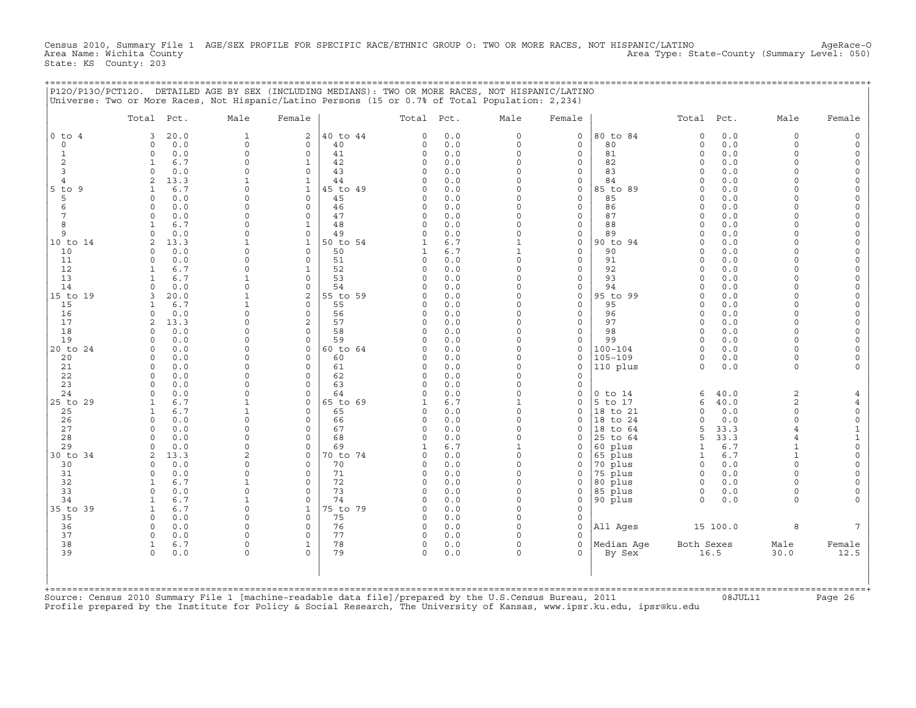Census 2010, Summary File 1 AGE/SEX PROFILE FOR SPECIFIC RACE/ETHNIC GROUP O: TWO OR MORE RACES, NOT HISPANIC/LATINO AgeRace-O<br>Area Name: Wichita County (summary Level: 050) Area Type: State-County (Summary Level: 050) State: KS County: 203

+===================================================================================================================================================+

|                | Total Pct.                         | Male                     | Female                      |                | Total Pct.           |            | Male                     | Female                      |                     | Total Pct.           |             | Male                           | Female                   |
|----------------|------------------------------------|--------------------------|-----------------------------|----------------|----------------------|------------|--------------------------|-----------------------------|---------------------|----------------------|-------------|--------------------------------|--------------------------|
| $0$ to $4$     | 20.0<br>3                          | $\mathbf{1}$             | 2                           | 40 to 44       | $\Omega$             | 0.0        | 0                        | $\mathsf{O}$                | 80 to 84            | 0                    | 0.0         | $\mathbf 0$                    | $\Omega$                 |
| $\circ$        | $\circ$<br>0.0<br>$\circ$          | $\mathbf 0$<br>$\circ$   | $\mathbf{0}$<br>$\circ$     | 40<br>41       | 0<br>0               | 0.0<br>0.0 | $\circ$<br>$\circ$       | $\mathbf 0$<br>$\mathbf 0$  | 80<br>81            | $\circ$<br>$\circ$   | 0.0<br>0.0  | $\Omega$<br>$\Omega$           | $\Omega$                 |
| 1<br>2         | 0.0<br>6.7<br>1                    | 0                        | $\mathbf{1}$                | 42             | 0                    | 0.0        | $\circ$                  | $\mathbf 0$                 | 82                  | $\Omega$             | 0.0         | $\Omega$                       |                          |
| 3              | $\Omega$<br>0.0                    | $\Omega$                 | $\mathbf 0$                 | 43             | $\Omega$             | 0.0        | $\Omega$                 | $\mathbf 0$                 | 83                  | $\Omega$             | 0.0         | $\Omega$                       | $\Omega$                 |
| $\overline{4}$ | 13.3<br>2                          | 1                        | $\mathbf{1}$                | 44             | U                    | 0.0        | $\Omega$                 | $\mathbf 0$                 | 84                  | $\cap$               | 0.0         | $\cap$                         | $\Omega$                 |
| $5$ to<br>9    | 6.7<br>1                           | 0                        | $\mathbf{1}$                | 45 to 49       | $\Omega$             | 0.0        | $\circ$                  | $\mathsf{O}$                | 85 to 89            | $\Omega$             | 0.0         | $\cap$                         |                          |
| 5              | 0.0<br>$\Omega$                    | 0<br>$\Omega$            | $\mathbf{0}$                | 45             | $\Omega$             | 0.0        | $\Omega$<br>$\Omega$     | $\mathbf{0}$                | 85                  | $\Omega$<br>$\Omega$ | 0.0         | $\cap$                         | $\Omega$                 |
| 6<br>7         | 0.0<br>$\Omega$<br>0.0<br>$\Omega$ | 0                        | $\circ$<br>$\mathbf 0$      | 46<br>47       | $\Omega$<br>0        | 0.0<br>0.0 | 0                        | $\mathbf 0$<br>$\mathsf{O}$ | 86<br>87            | $\Omega$             | 0.0<br>0.0  |                                | $\Omega$                 |
| 8              | 6.7                                | $\Omega$                 | 1                           | 48             | $\Omega$             | 0.0        | $\Omega$                 | $\mathbf 0$                 | 88                  | $\Omega$             | 0.0         | $\cap$                         | $\Omega$                 |
| 9              | 0.0<br>$\Omega$                    | $\Omega$                 | $\mathbf 0$                 | 49             | O                    | 0.0        | $\Omega$                 | $\mathbf 0$                 | 89                  | $\Omega$             | $0.0$       | $\cap$                         | $\Omega$                 |
| 10 to 14       | 13.3<br>2                          | $\mathbf{1}$             | $\mathbf{1}$                | 50 to 54       |                      | 6.7        | $\mathbf{1}$             | $\mathbf 0$                 | 90 to 94            | $\Omega$             | 0.0         |                                |                          |
| 10             | 0.0<br>$\Omega$                    | $\Omega$                 | $\Omega$                    | 50             | 1                    | 6.7        | $\mathbf{1}$             | $\Omega$                    | 90                  | <sup>0</sup>         | 0.0         | ∩                              |                          |
| 11<br>12       | 0.0<br>$\Omega$<br>6.7<br>-1       | 0<br>$\Omega$            | $\mathbf 0$<br>$\mathbf{1}$ | 51<br>52       | $\Omega$<br>0        | 0.0<br>0.0 | $\Omega$<br>$\Omega$     | $\mathsf{O}$<br>$\mathbf 0$ | 91<br>92            | $\Omega$<br>$\Omega$ | 0.0<br>0.0  | $\cap$<br>$\cap$               | $\Omega$<br>$\Omega$     |
| 13             | 6.7<br>$\mathbf{1}$                | $\mathbf 1$              | $\mathbf 0$                 | 53             | $\Omega$             | 0.0        | $\circ$                  | $\mathbf 0$                 | 93                  | $\Omega$             | 0.0         | $\cap$                         | $\Omega$                 |
| 14             | 0.0<br>$\Omega$                    | 0                        | $\mathbf 0$                 | 54             | O                    | 0.0        | $\Omega$                 | $\mathbf 0$                 | 94                  | $\Omega$             | 0.0         | $\Omega$                       | $\Omega$                 |
| 15 to 19       | 20.0<br>3                          | 1                        | $\overline{\mathbf{c}}$     | 55 to 59       | O                    | 0.0        | $\Omega$                 | $\mathbf 0$                 | 95 to 99            | $\Omega$             | 0.0         | $\Omega$                       | $\Omega$                 |
| 15             | 6.7<br>-1.                         | 1                        | 0                           | 55             | $\Omega$             | 0.0        | $\Omega$                 | $\mathbf 0$                 | 95                  | $\Omega$             | 0.0         | $\cap$                         | $\Omega$                 |
| 16             | $\Omega$<br>0.0                    | $\Omega$                 | $\circ$                     | 56             | $\Omega$             | 0.0        | $\Omega$                 | $\mathbf 0$                 | 96                  | $\Omega$             | 0.0         | $\cap$<br>$\Omega$             | $\Omega$                 |
| 17<br>18       | 13.3<br>2<br>0.0<br>$\Omega$       | $\Omega$<br>$\Omega$     | $\overline{2}$<br>$\Omega$  | 57<br>58       | $\Omega$<br>$\Omega$ | 0.0<br>0.0 | $\Omega$<br>$\Omega$     | $\mathsf{O}$<br>$\Omega$    | 97<br>98            | $\Omega$<br>$\Omega$ | 0.0<br>0.0  | $\cap$                         | $\Omega$                 |
| 19             | 0.0<br>$\Omega$                    | $\Omega$                 | $\Omega$                    | 59             | $\Omega$             | 0.0        | $\circ$                  | $\mathbf 0$                 | 99                  | $\Omega$             | 0.0         | $\Omega$                       |                          |
| 20 to 24       | 0.0<br>$\Omega$                    | 0                        | 0                           | 60 to 64       | 0                    | 0.0        | $\Omega$                 | $\mathsf{O}$                | 100-104             | $\Omega$             | 0.0         | $\cap$                         | $\Omega$                 |
| 20             | 0.0<br>$\Omega$                    | $\Omega$                 | $\Omega$                    | 60             | $\Omega$             | 0.0        | $\Omega$                 | $\Omega$                    | 105-109             | $\Omega$             | 0.0         | $\cap$                         |                          |
| 21             | $\circ$<br>0.0                     | $\Omega$                 | $\mathbf 0$                 | 61             | 0                    | 0.0        | $\circ$                  | $\mathbf 0$                 | 110 plus            | $\Omega$             | 0.0         | $\Omega$                       |                          |
| 22<br>23       | 0.0<br>$\Omega$<br>0.0<br>$\Omega$ | 0<br>$\Omega$            | $\mathbf 0$<br>$\Omega$     | 62<br>63       | $\Omega$<br>U        | 0.0<br>0.0 | $\Omega$<br>$\Omega$     | $\mathbf 0$<br>$\Omega$     |                     |                      |             |                                |                          |
| 24             | 0.0<br>$\Omega$                    | $\Omega$                 | $\Omega$                    | 64             | $\Omega$             | 0.0        | $\Omega$                 | $\mathsf{O}$                | $0$ to $14$         | 6                    | 40.0        | 2                              |                          |
| 25 to 29       | 6.7<br>-1                          | 1                        | $\mathbf 0$                 | 65 to 69       | 1                    | 6.7        | $\mathbf{1}$             | $\mathbf 0$                 | 5 to 17             | 6                    | 40.0        | 2                              | 4                        |
| 25             | 6.7<br>-1                          | 1                        | $\mathbf 0$                 | 65             | O                    | 0.0        | $\Omega$                 | $\Omega$                    | 18 to 21            | $\Omega$             | 0.0         | $\Omega$                       | $\mathsf O$              |
| 26             | $\Omega$<br>0.0                    | $\circ$                  | $\circ$                     | 66             | 0                    | 0.0        | $\Omega$                 | $\Omega$                    | 18 to 24            | $\Omega$             | 0.0         | $\Omega$                       | $\circ$                  |
| 27             | 0.0<br>$\Omega$                    | $\Omega$                 | $\mathbf 0$                 | 67             | $\Omega$             | 0.0        | $\Omega$                 | $\mathbf 0$                 | 18 to 64            | 5                    | 33.3        | $\overline{4}$                 | $\mathbf{1}$             |
| 28<br>29       | 0.0<br>$\Omega$<br>0.0<br>$\Omega$ | 0<br>$\Omega$            | $\Omega$<br>$\Omega$        | 68<br>69       | $\Omega$             | 0.0<br>6.7 | $\Omega$<br>$\mathbf{1}$ | $\mathbf 0$<br>$\mathbf 0$  | 25 to 64<br>60 plus | 5<br>$\mathbf{1}$    | 33.3<br>6.7 | $\overline{4}$<br>$\mathbf{1}$ | $\mathbf{1}$<br>$\Omega$ |
| 30 to 34       | 2<br>13.3                          | 2                        | 0                           | 70 to 74       | $\Omega$             | 0.0        | 0                        | 0                           | 65 plus             | 1                    | 6.7         | $\mathbf{1}$                   | $\mathbf 0$              |
| 30             | 0.0<br>$\Omega$                    | 0                        | 0                           | 70             | $\Omega$             | 0.0        | $\Omega$                 | $\mathbf 0$                 | 70 plus             | $\Omega$             | 0.0         | $\Omega$                       | $\Omega$                 |
| 31             | 0.0<br>$\Omega$                    | $\Omega$                 | $\mathbf 0$                 | 71             | $\Omega$             | 0.0        | $\Omega$                 | $\mathbf 0$                 | 75 plus             | $\Omega$             | 0.0         | $\Omega$                       |                          |
| 32             | 6.7<br>1                           | 1                        | $\Omega$                    | 72             | 0                    | 0.0        | 0                        | $\mathsf{O}\xspace$         | 80 plus             | $\Omega$             | 0.0         | $\cap$                         |                          |
| 33             | $\Omega$<br>0.0<br>6.7             | $\Omega$<br>$\mathbf{1}$ | $\Omega$                    | 73             | $\Omega$<br>O        | 0.0<br>0.0 | $\circ$<br>$\Omega$      | $\mathbf{0}$<br>$\mathbf 0$ | 85 plus             | 0<br>$\Omega$        | 0.0<br>0.0  | $\Omega$<br>$\Omega$           | $\Omega$                 |
| 34<br>35 to 39 | 6.7<br>1                           | $\circ$                  | $\mathbf 0$<br>1            | 74<br>75 to 79 | 0                    | 0.0        | $\Omega$                 | $\mathbf 0$                 | 90 plus             |                      |             |                                |                          |
| 35             | $\Omega$<br>0.0                    | $\Omega$                 | $\mathbf 0$                 | 75             | $\Omega$             | 0.0        | $\Omega$                 | $\Omega$                    |                     |                      |             |                                |                          |
| 36             | 0.0<br>0                           | 0                        | 0                           | 76             | 0                    | 0.0        | $\Omega$                 | $\mathsf{O}\xspace$         | All Ages            |                      | 15 100.0    | 8                              |                          |
| 37             | 0.0<br>$\Omega$                    | $\Omega$                 | $\mathbf 0$                 | 77             | $\Omega$             | 0.0        | $\Omega$                 | $\mathbf 0$                 |                     |                      |             |                                |                          |
| 38             | 1<br>6.7                           | 0                        | $\mathbf{1}$                | 78             | 0                    | 0.0        | 0                        | $\Omega$                    | Median Age          | Both Sexes           |             | Male                           | Female                   |
| 39             | $\Omega$<br>0.0                    | 0                        | $\Omega$                    | 79             | $\Omega$             | 0.0        | $\Omega$                 | $\Omega$                    | By Sex              |                      | 16.5        | 30.0                           | 12.5                     |
|                |                                    |                          |                             |                |                      |            |                          |                             |                     |                      |             |                                |                          |

Source: Census 2010 Summary File 1 [machine−readable data file]/prepared by the U.S.Census Bureau, 2011 08JUL11 Page 26 Profile prepared by the Institute for Policy & Social Research, The University of Kansas, www.ipsr.ku.edu, ipsr@ku.edu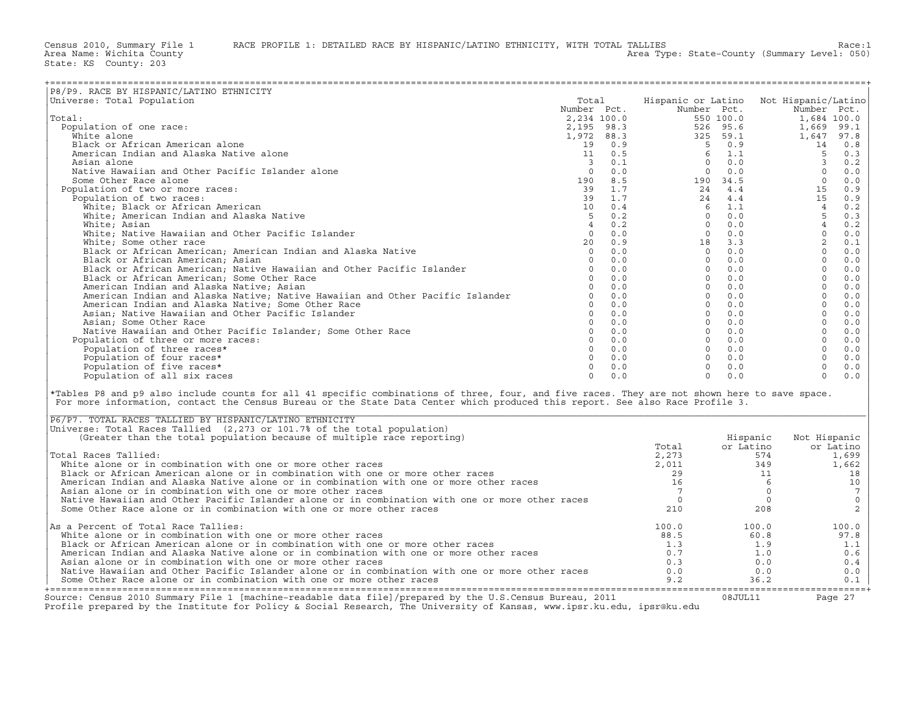Census 2010, Summary File 1 RACE PROFILE 1: DETAILED RACE BY HISPANIC/LATINO ETHNICITY, WITH TOTAL TALLIES Race: 1<br>Area Name: Wichita County (summary Level: 050)

State: KS County: 203

| P8/P9. RACE BY HISPANIC/LATINO ETHNICITY                                                                                                                                                                                                                                                                                                  |                 |               |                                                                                    |                                                                                                                       |                                        |                                                                     |
|-------------------------------------------------------------------------------------------------------------------------------------------------------------------------------------------------------------------------------------------------------------------------------------------------------------------------------------------|-----------------|---------------|------------------------------------------------------------------------------------|-----------------------------------------------------------------------------------------------------------------------|----------------------------------------|---------------------------------------------------------------------|
| Universe: Total Population                                                                                                                                                                                                                                                                                                                | Total           |               |                                                                                    |                                                                                                                       | Hispanic or Latino Not Hispanic/Latino |                                                                     |
|                                                                                                                                                                                                                                                                                                                                           | Number Pct.     |               |                                                                                    | Number Pct.                                                                                                           | Number Pct.                            |                                                                     |
| Total:                                                                                                                                                                                                                                                                                                                                    |                 |               |                                                                                    | 550 100.0                                                                                                             | 1,684 100.0                            |                                                                     |
| Population of one race:                                                                                                                                                                                                                                                                                                                   |                 |               | $2,195$ 98.3<br>$1,972$ 88.3<br>$19$ 0.9<br>$11$ 0.5<br>$3$ 0.1<br>00.0<br>190 0.0 | 526 95.6                                                                                                              | 1,669 99.1                             |                                                                     |
| White alone                                                                                                                                                                                                                                                                                                                               |                 |               |                                                                                    | 325 59.1                                                                                                              | 1,647 97.8                             |                                                                     |
| Black or African American alone                                                                                                                                                                                                                                                                                                           |                 |               |                                                                                    | $5 \t 0.9$                                                                                                            | 14                                     | 0.8                                                                 |
| American Indian and Alaska Native alone                                                                                                                                                                                                                                                                                                   |                 |               |                                                                                    |                                                                                                                       | $-5$                                   | 0.3                                                                 |
| Asian alone                                                                                                                                                                                                                                                                                                                               |                 |               |                                                                                    |                                                                                                                       | $\overline{\phantom{a}}$               | 0.2                                                                 |
| Native Hawaiian and Other Pacific Islander alone                                                                                                                                                                                                                                                                                          |                 |               |                                                                                    |                                                                                                                       | $\overline{0}$                         | 0.0                                                                 |
| Some Other Race alone                                                                                                                                                                                                                                                                                                                     |                 | 190 8.5       |                                                                                    |                                                                                                                       | $\overline{0}$                         | $0.0$                                                               |
| Population of two or more races:                                                                                                                                                                                                                                                                                                          | 39              | 1.7           |                                                                                    | $\begin{array}{cccc} 2 & 5 & 0.9 \\ 6 & 1.1 \\ 0 & 0.0 \\ 190 & 34.5 \\ 24 & 4.4 \\ 24 & 4.4 \\ 24 & 4.4 \end{array}$ | 15                                     | 0.9                                                                 |
| Population of two races:                                                                                                                                                                                                                                                                                                                  | 39              | 1.7           |                                                                                    |                                                                                                                       | 15                                     | 0.9                                                                 |
| White; Black or African American                                                                                                                                                                                                                                                                                                          | 10 <sup>1</sup> | 0.4           | 6                                                                                  |                                                                                                                       | 4                                      | 0.2                                                                 |
| White; American Indian and Alaska Native                                                                                                                                                                                                                                                                                                  | 5 <sup>5</sup>  | 0.2           | $\overline{0}$                                                                     |                                                                                                                       | $5^{\circ}$                            | 0.3                                                                 |
| White: Asian                                                                                                                                                                                                                                                                                                                              | $4\overline{ }$ | 0.2           | $\overline{0}$                                                                     |                                                                                                                       | $\overline{4}$                         | 0.2                                                                 |
| White; Native Hawaiian and Other Pacific Islander                                                                                                                                                                                                                                                                                         | $\circ$         | 0.0           |                                                                                    | $0 \quad 0.0$                                                                                                         | $\circ$                                | 0.0                                                                 |
| White; Some other race                                                                                                                                                                                                                                                                                                                    | 20              | 0.9           |                                                                                    | 18                                                                                                                    | $\overline{a}$                         | $\ensuremath{\text{o}} \xspace$ .<br>$\ensuremath{\text{1}}\xspace$ |
| Black or African American; American Indian and Alaska Native                                                                                                                                                                                                                                                                              |                 | $0 \quad 0.0$ | $\overline{0}$                                                                     |                                                                                                                       | $\Omega$                               | $0.0$                                                               |
| Black or African American; Asian                                                                                                                                                                                                                                                                                                          |                 | $0 \t 0.0$    | $\Omega$                                                                           |                                                                                                                       | $\Omega$                               | 0.0                                                                 |
| Black or African American; Native Hawaiian and Other Pacific Islander                                                                                                                                                                                                                                                                     | $\circ$         | 0.0           |                                                                                    |                                                                                                                       | $\circ$                                | 0.0                                                                 |
| Black or African American; Some Other Race                                                                                                                                                                                                                                                                                                |                 | $0 \t 0.0$    |                                                                                    |                                                                                                                       | $\Omega$                               | 0.0                                                                 |
| American Indian and Alaska Native; Asian                                                                                                                                                                                                                                                                                                  |                 | $0 \t 0.0$    |                                                                                    |                                                                                                                       | $\Omega$                               | 0.0                                                                 |
| American Indian and Alaska Native; Native Hawaiian and Other Pacific Islander                                                                                                                                                                                                                                                             |                 | $0 \t 0.0$    |                                                                                    |                                                                                                                       | $\circ$                                | $0.0$                                                               |
| American Indian and Alaska Native; Some Other Race                                                                                                                                                                                                                                                                                        |                 | $0 \t 0.0$    |                                                                                    |                                                                                                                       | $\Omega$                               | 0.0                                                                 |
| Asian; Native Hawaiian and Other Pacific Islander                                                                                                                                                                                                                                                                                         | $\circ$         | 0.0           |                                                                                    |                                                                                                                       | $\circ$                                | $0.0$                                                               |
| Asian; Some Other Race                                                                                                                                                                                                                                                                                                                    | $\Omega$        | 0.0           |                                                                                    |                                                                                                                       | $\Omega$                               | $0.0$                                                               |
| Native Hawaiian and Other Pacific Islander; Some Other Race                                                                                                                                                                                                                                                                               |                 | $0 \t 0.0$    |                                                                                    |                                                                                                                       | $\Omega$                               | $0.0$                                                               |
| Population of three or more races:                                                                                                                                                                                                                                                                                                        |                 | $0 \t 0.0$    |                                                                                    |                                                                                                                       | $\circ$                                | 0.0                                                                 |
| Population of three races*                                                                                                                                                                                                                                                                                                                |                 | $0 \t 0.0$    |                                                                                    |                                                                                                                       | $\Omega$                               | 0.0                                                                 |
| Population of four races*                                                                                                                                                                                                                                                                                                                 |                 | $0 \t 0.0$    |                                                                                    | $\Omega$<br>0.0                                                                                                       | $\circ$                                | $0.0$                                                               |
| Population of five races*                                                                                                                                                                                                                                                                                                                 | $\Omega$        | 0.0           | $\Omega$                                                                           | 0.0                                                                                                                   | $\Omega$                               | 0.0                                                                 |
| Population of all six races                                                                                                                                                                                                                                                                                                               | $\Omega$        | 0.0           | $\Omega$                                                                           | 0.0                                                                                                                   | $\Omega$                               | $0.0$                                                               |
| *Tables P8 and p9 also include counts for all 41 specific combinations of three, four, and five races. They are not shown here to save space.<br>For more information, contact the Census Bureau or the State Data Center which produced this report. See also Race Profile 3.<br>P6/P7. TOTAL RACES TALLIED BY HISPANIC/LATINO ETHNICITY |                 |               |                                                                                    |                                                                                                                       |                                        |                                                                     |
| Universe: Total Races Tallied (2,273 or 101.7% of the total population)                                                                                                                                                                                                                                                                   |                 |               |                                                                                    |                                                                                                                       |                                        |                                                                     |
| (Greater than the total population because of multiple race reporting)                                                                                                                                                                                                                                                                    |                 |               |                                                                                    | Hispanic                                                                                                              | Not Hispanic                           |                                                                     |
|                                                                                                                                                                                                                                                                                                                                           |                 |               | Total                                                                              | or Latino                                                                                                             | or Latino                              |                                                                     |
| Total Races Tallied:                                                                                                                                                                                                                                                                                                                      |                 |               | 2,273                                                                              |                                                                                                                       | 574<br>1,699                           |                                                                     |
| White alone or in combination with one or more other races                                                                                                                                                                                                                                                                                |                 |               | 2.011                                                                              |                                                                                                                       | 349<br>1,662                           |                                                                     |
| Black or African American alone or in combination with one or more other races                                                                                                                                                                                                                                                            |                 |               | 29                                                                                 |                                                                                                                       | 11                                     | 18                                                                  |
| American Indian and Alaska Native alone or in combination with one or more other races                                                                                                                                                                                                                                                    |                 |               | 16                                                                                 |                                                                                                                       | 6                                      | 10                                                                  |
| Asian alone or in combination with one or more other races                                                                                                                                                                                                                                                                                |                 |               | $7\overline{ }$                                                                    |                                                                                                                       | $\circ$                                | $7\phantom{.0}$                                                     |
| Native Hawaiian and Other Pacific Islander alone or in combination with one or more other races                                                                                                                                                                                                                                           |                 |               | $\circ$                                                                            |                                                                                                                       | $\circ$                                | $\mathsf{O}$                                                        |
| Some Other Race alone or in combination with one or more other races                                                                                                                                                                                                                                                                      |                 |               | 210                                                                                | 208                                                                                                                   |                                        | $\overline{c}$                                                      |
| As a Percent of Total Race Tallies:                                                                                                                                                                                                                                                                                                       |                 |               | 100.0                                                                              | 100.0                                                                                                                 | 100.0                                  |                                                                     |
| White alone or in combination with one or more other races                                                                                                                                                                                                                                                                                |                 |               | 88.5                                                                               | 60.8                                                                                                                  | 97.8                                   |                                                                     |
| Black or African American alone or in combination with one or more other races                                                                                                                                                                                                                                                            |                 |               | 1.3                                                                                | 1.9                                                                                                                   |                                        | 1.1                                                                 |
| American Indian and Alaska Native alone or in combination with one or more other races                                                                                                                                                                                                                                                    |                 |               | 0.7                                                                                | 1.0                                                                                                                   |                                        | 0.6                                                                 |
| Asian alone or in combination with one or more other races                                                                                                                                                                                                                                                                                |                 |               | 0.3                                                                                | 0.0                                                                                                                   |                                        | 0.4                                                                 |
| Native Hawaiian and Other Pacific Islander alone or in combination with one or more other races                                                                                                                                                                                                                                           |                 |               | 0.0                                                                                | 0.0                                                                                                                   |                                        | 0.0                                                                 |
| Some Other Race alone or in combination with one or more other races                                                                                                                                                                                                                                                                      |                 |               | 9.2                                                                                | 36.2                                                                                                                  |                                        | 0.1                                                                 |

| P6/P7. TOTAL RACES TALLIED BY HISPANIC/LATINO ETHNICITY                                                 |       |            |              |
|---------------------------------------------------------------------------------------------------------|-------|------------|--------------|
| Universe: Total Races Tallied (2,273 or 101.7% of the total population)                                 |       |            |              |
| (Greater than the total population because of multiple race reporting)                                  |       | Hispanic   | Not Hispanic |
|                                                                                                         | Total | or Latino  | or Latino    |
| Total Races Tallied:                                                                                    | 2,273 | 574        | 1,699        |
| White alone or in combination with one or more other races                                              | 2,011 | 349        | 1,662        |
| Black or African American alone or in combination with one or more other races                          | 29    |            | 18           |
| American Indian and Alaska Native alone or in combination with one or more other races                  | 16    |            | 10           |
| Asian alone or in combination with one or more other races                                              |       |            |              |
| Native Hawaiian and Other Pacific Islander alone or in combination with one or more other races         |       |            |              |
| Some Other Race alone or in combination with one or more other races                                    | 210   | 208        |              |
| As a Percent of Total Race Tallies:                                                                     | 100.0 | 100.0      | 100.0        |
| White alone or in combination with one or more other races                                              | 88.5  | 60.8       | 97.8         |
| Black or African American alone or in combination with one or more other races                          | 1.3   | 1.9        | 1.1          |
| American Indian and Alaska Native alone or in combination with one or more other races                  | 0.7   | 1.0        | 0.6          |
| Asian alone or in combination with one or more other races                                              | 0.3   | 0.0        | 0.4          |
| Native Hawaiian and Other Pacific Islander alone or in combination with one or more other races         | 0.0   | 0.0        | 0.0          |
| Some Other Race alone or in combination with one or more other races                                    | 9.2   | 36.2       | 0.1          |
| Source: Census 2010 Summary File 1 [machine-readable data file]/prepared by the U.S.Census Bureau, 2011 |       | 0.8.TUT.11 | Page $27$    |

Source: Census 2010 Summary File 1 [machine−readable data file]/prepared by the U.S.Census Bureau, 2011 08JUL11 Page 27 Profile prepared by the Institute for Policy & Social Research, The University of Kansas, www.ipsr.ku.edu, ipsr@ku.edu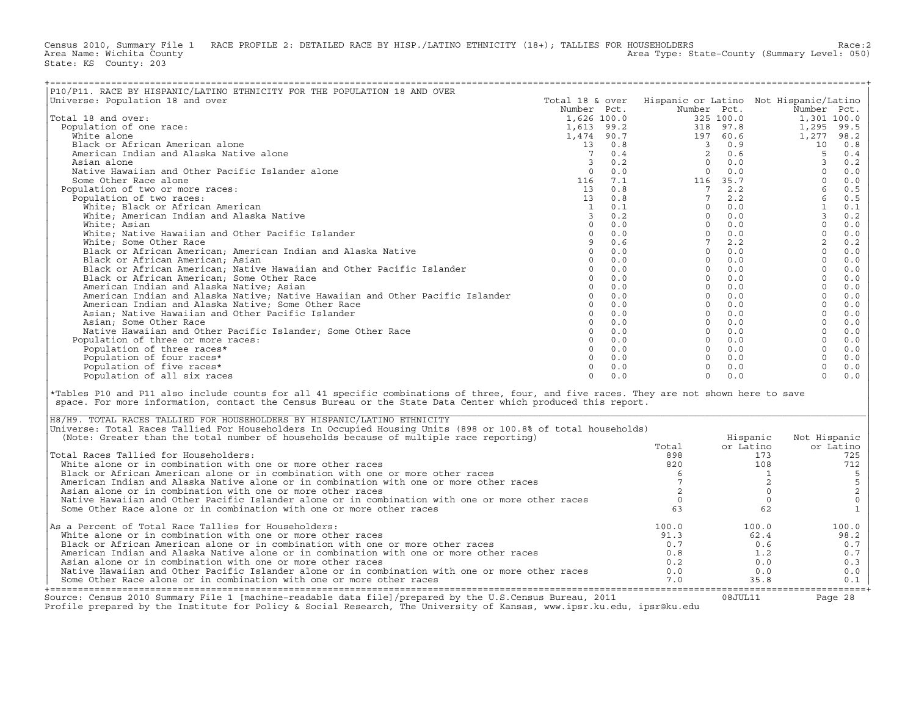Census 2010, Summary File 1 RACE PROFILE 2: DETAILED RACE BY HISP./LATINO ETHNICITY (18+); TALLIES FOR HOUSEHOLDERS<br>Area Name: Wichita County (summary Level: 050) Area Type: State-County (Summary Level: 050) State: KS County: 203

| P10/P11. RACE BY HISPANIC/LATINO ETHNICITY FOR THE POPULATION 18 AND OVER                                                                                                                                                                                                                                                           |                 |            |                 |                                          |                                        |                  |
|-------------------------------------------------------------------------------------------------------------------------------------------------------------------------------------------------------------------------------------------------------------------------------------------------------------------------------------|-----------------|------------|-----------------|------------------------------------------|----------------------------------------|------------------|
| Universe: Population 18 and over                                                                                                                                                                                                                                                                                                    | Total 18 & over |            |                 |                                          | Hispanic or Latino Not Hispanic/Latino |                  |
|                                                                                                                                                                                                                                                                                                                                     | Number Pct.     |            | Number Pct.     |                                          | Number Pct.                            |                  |
| Total 18 and over:                                                                                                                                                                                                                                                                                                                  | 1,626 100.0     |            |                 | 325 100.0                                | 1,301 100.0                            |                  |
| Population of one race:                                                                                                                                                                                                                                                                                                             | 1,613 99.2      |            |                 | 318 97.8                                 | 1,295                                  | 99.5             |
| White alone                                                                                                                                                                                                                                                                                                                         |                 | 1,474 90.7 |                 | 197 60.6                                 | 1,277                                  | 98.2             |
| Black or African American alone                                                                                                                                                                                                                                                                                                     |                 | 13 0.8     |                 | 30.9                                     | 10                                     | 0.8              |
| American Indian and Alaska Native alone                                                                                                                                                                                                                                                                                             | $7\overline{ }$ | 0.4        | 2               | 0.6                                      | 5                                      | 0.4              |
| Asian alone                                                                                                                                                                                                                                                                                                                         | $\overline{3}$  | 0.2        | $\Omega$        | $\begin{array}{c} 0.6 \ 0.0 \end{array}$ | $\overline{3}$                         | 0.2              |
| Native Hawaiian and Other Pacific Islander alone                                                                                                                                                                                                                                                                                    | $\Omega$        | 0.0        | $\Omega$        | 0.0                                      | $\Omega$                               | 0.0              |
| Some Other Race alone                                                                                                                                                                                                                                                                                                               | 116             | 7.1        |                 | 116 35.7                                 | $\Omega$                               | 0.0              |
| Population of two or more races:                                                                                                                                                                                                                                                                                                    | 13              | 0.8        |                 | $7 \quad 2.2$                            | $6\overline{6}$                        | 0.5              |
|                                                                                                                                                                                                                                                                                                                                     | 13              | 0.8        | $7\phantom{.0}$ | 2.2                                      | 6                                      |                  |
| Population of two races:                                                                                                                                                                                                                                                                                                            |                 |            | $\Omega$        | 0.0                                      | $\mathbf{1}$                           | 0.5              |
| White; Black or African American                                                                                                                                                                                                                                                                                                    | $\mathbf{1}$    | 0.1        |                 |                                          |                                        | 0.1              |
| White; American Indian and Alaska Native                                                                                                                                                                                                                                                                                            | $\overline{3}$  | 0.2        | $\overline{0}$  | 0.0                                      | $\mathbf{3}$                           | 0.2              |
| White: Asian                                                                                                                                                                                                                                                                                                                        | $\Omega$        | 0.0        |                 | $0 \t 0.0$                               | $\Omega$                               | 0.0              |
| White; Native Hawaiian and Other Pacific Islander                                                                                                                                                                                                                                                                                   | $\circ$         | 0.0        |                 | $0 \quad 0.0$                            | $\mathbf{0}$                           | $0.0$            |
| White; Some Other Race                                                                                                                                                                                                                                                                                                              | 9               | 0.6        | $7\overline{ }$ | 2.2                                      | $\overline{a}$                         | $0.2\,$          |
| Black or African American; American Indian and Alaska Native                                                                                                                                                                                                                                                                        | $\Omega$        | 0.0        |                 | $0 \t 0.0$                               | $\Omega$                               | 0.0              |
| Black or African American; Asian                                                                                                                                                                                                                                                                                                    | $\Omega$        | 0.0        |                 | $0 \t 0.0$                               | $\mathbf{0}$                           | 0.0              |
| Black or African American; Native Hawaiian and Other Pacific Islander                                                                                                                                                                                                                                                               | $\Omega$        | 0.0        |                 | $0 \t 0.0$                               | $\Omega$                               | 0.0              |
| Black or African American; Some Other Race                                                                                                                                                                                                                                                                                          | $\Omega$        | 0.0        |                 | $0 \t 0.0$                               | $\Omega$                               | $0.0$            |
| American Indian and Alaska Native; Asian                                                                                                                                                                                                                                                                                            | $\Omega$        | 0.0        |                 | $0 \quad 0.0$                            | $\circ$                                | 0.0              |
| American Indian and Alaska Native; Native Hawaiian and Other Pacific Islander                                                                                                                                                                                                                                                       | $\circ$         | 0.0        |                 | $0 \t 0.0$                               | $\circ$                                | $0.0$            |
| American Indian and Alaska Native; Some Other Race                                                                                                                                                                                                                                                                                  | $\Omega$        | 0.0        |                 | $0 \quad 0.0$                            | $\Omega$                               | $0.0$            |
| Asian: Native Hawaiian and Other Pacific Islander                                                                                                                                                                                                                                                                                   | $\Omega$        | 0.0        |                 | $0 \t 0.0$                               | $\Omega$                               | 0.0              |
| Asian; Some Other Race                                                                                                                                                                                                                                                                                                              | $\Omega$        | 0.0        |                 | $0 \t 0.0$                               | $\circ$                                | $0.0$            |
| Native Hawaiian and Other Pacific Islander; Some Other Race                                                                                                                                                                                                                                                                         | $\Omega$        | 0.0        |                 | $0 \t 0.0$                               | $\Omega$                               | 0.0              |
| Population of three or more races:                                                                                                                                                                                                                                                                                                  | $\Omega$        | 0.0        |                 | $0 \quad 0.0$                            | $\circ$                                | 0.0              |
| Population of three races*                                                                                                                                                                                                                                                                                                          | $\Omega$        | 0.0        |                 | $0 \t 0.0$                               | $\Omega$                               | 0.0              |
| Population of four races*                                                                                                                                                                                                                                                                                                           | $\Omega$        | 0.0        |                 | $\Omega$<br>0.0                          | $\mathbf{0}$                           | 0.0              |
| Population of five races*                                                                                                                                                                                                                                                                                                           | $\Omega$        | 0.0        | $\Omega$        | 0.0                                      | $\Omega$                               | 0.0              |
| Population of all six races                                                                                                                                                                                                                                                                                                         | $\Omega$        | 0.0        | $\Omega$        | 0.0                                      | $\Omega$                               | 0.0              |
|                                                                                                                                                                                                                                                                                                                                     |                 |            |                 |                                          |                                        |                  |
| *Tables P10 and P11 also include counts for all 41 specific combinations of three, four, and five races. They are not shown here to save<br>space. For more information, contact the Census Bureau or the State Data Center which produced this report.<br>H8/H9. TOTAL RACES TALLIED FOR HOUSEHOLDERS BY HISPANIC/LATINO ETHNICITY |                 |            |                 |                                          |                                        |                  |
| Universe: Total Races Tallied For Householders In Occupied Housing Units (898 or 100.8% of total households)                                                                                                                                                                                                                        |                 |            |                 |                                          |                                        |                  |
| (Note: Greater than the total number of households because of multiple race reporting)                                                                                                                                                                                                                                              |                 |            |                 | Hispanic                                 | Not Hispanic                           |                  |
|                                                                                                                                                                                                                                                                                                                                     |                 |            | Total           | or Latino                                | or Latino                              |                  |
| Total Races Tallied for Householders:                                                                                                                                                                                                                                                                                               |                 |            | 898             |                                          | 173                                    | 725              |
| White alone or in combination with one or more other races                                                                                                                                                                                                                                                                          |                 |            | 820             |                                          | 108                                    | 712              |
| Black or African American alone or in combination with one or more other races                                                                                                                                                                                                                                                      |                 |            | -6              |                                          | <sup>1</sup>                           |                  |
| American Indian and Alaska Native alone or in combination with one or more other races                                                                                                                                                                                                                                              |                 |            | $7\phantom{.0}$ |                                          | $\overline{a}$                         | 5<br>5<br>2<br>0 |
| Asian alone or in combination with one or more other races                                                                                                                                                                                                                                                                          |                 |            | 2               |                                          | $\circ$                                |                  |
| Native Hawaiian and Other Pacific Islander alone or in combination with one or more other races                                                                                                                                                                                                                                     |                 |            | $\mathbf 0$     |                                          | $\circ$                                |                  |
| Some Other Race alone or in combination with one or more other races                                                                                                                                                                                                                                                                |                 |            | 63              |                                          | 62                                     | $\mathbf{1}$     |
|                                                                                                                                                                                                                                                                                                                                     |                 |            |                 |                                          |                                        |                  |
| As a Percent of Total Race Tallies for Householders:                                                                                                                                                                                                                                                                                |                 |            | 100.0           | 100.0                                    |                                        | 100.0            |
| White alone or in combination with one or more other races                                                                                                                                                                                                                                                                          |                 |            | 91.3            | 62.4                                     |                                        | 98.2             |
| Black or African American alone or in combination with one or more other races                                                                                                                                                                                                                                                      |                 |            | 0.7             |                                          | 0.6                                    | 0.7              |
| American Indian and Alaska Native alone or in combination with one or more other races                                                                                                                                                                                                                                              |                 |            | 0.8             |                                          | 1.2                                    | 0.7              |
| Asian alone or in combination with one or more other races                                                                                                                                                                                                                                                                          |                 |            | 0.2             |                                          | 0.0                                    | 0.3              |
| Native Hawaiian and Other Pacific Islander alone or in combination with one or more other races                                                                                                                                                                                                                                     |                 |            | 0.0             |                                          | 0.0                                    | 0.0              |
|                                                                                                                                                                                                                                                                                                                                     |                 |            |                 |                                          |                                        |                  |
| Some Other Race alone or in combination with one or more other races                                                                                                                                                                                                                                                                |                 |            | 7.0             | 35.8                                     |                                        | 0.1              |

| H8/H9. TOTAL RACES TALLIED FOR HOUSEHOLDERS BY HISPANIC/LATINO ETHNICITY                                                                                                                                                          |       |           |              |
|-----------------------------------------------------------------------------------------------------------------------------------------------------------------------------------------------------------------------------------|-------|-----------|--------------|
| Universe: Total Races Tallied For Householders In Occupied Housing Units (898 or 100.8% of total households)                                                                                                                      |       |           |              |
| (Note: Greater than the total number of households because of multiple race reporting)                                                                                                                                            |       | Hispanic  | Not Hispanic |
|                                                                                                                                                                                                                                   | Total | or Latino | or Latino    |
| Total Races Tallied for Householders:                                                                                                                                                                                             | 898   | 173       | 725          |
| White alone or in combination with one or more other races                                                                                                                                                                        | 820   | 108       | 712          |
| Black or African American alone or in combination with one or more other races                                                                                                                                                    |       |           |              |
| American Indian and Alaska Native alone or in combination with one or more other races                                                                                                                                            |       |           |              |
| Asian alone or in combination with one or more other races                                                                                                                                                                        |       |           |              |
| Native Hawaiian and Other Pacific Islander alone or in combination with one or more other races                                                                                                                                   |       |           |              |
| Some Other Race alone or in combination with one or more other races                                                                                                                                                              |       | 62        |              |
| As a Percent of Total Race Tallies for Householders:                                                                                                                                                                              | 100.0 | 100.0     | 100.0        |
| White alone or in combination with one or more other races                                                                                                                                                                        | 91.3  | 62.4      | 98.2         |
| Black or African American alone or in combination with one or more other races                                                                                                                                                    | 0.7   | 0.6       | 0.7          |
| American Indian and Alaska Native alone or in combination with one or more other races                                                                                                                                            | 0.8   | 1.2       | 0.7          |
| Asian alone or in combination with one or more other races                                                                                                                                                                        | 0.2   | 0.0       | 0.3          |
| Native Hawaiian and Other Pacific Islander alone or in combination with one or more other races                                                                                                                                   | 0.0   | 0.0       | 0.0          |
| Some Other Race alone or in combination with one or more other races                                                                                                                                                              | 7.0   | 35.8      | 0.1          |
| Source: Census 2010 Summary File 1 [machine-readable data file]/prepared by the U.S.Census Bureau, 2011<br>Profile prepared by the Institute for Policy & Social Research, The University of Kansas, www.ipsr.ku.edu, ipsr@ku.edu |       | 08JUL11   | Page 28      |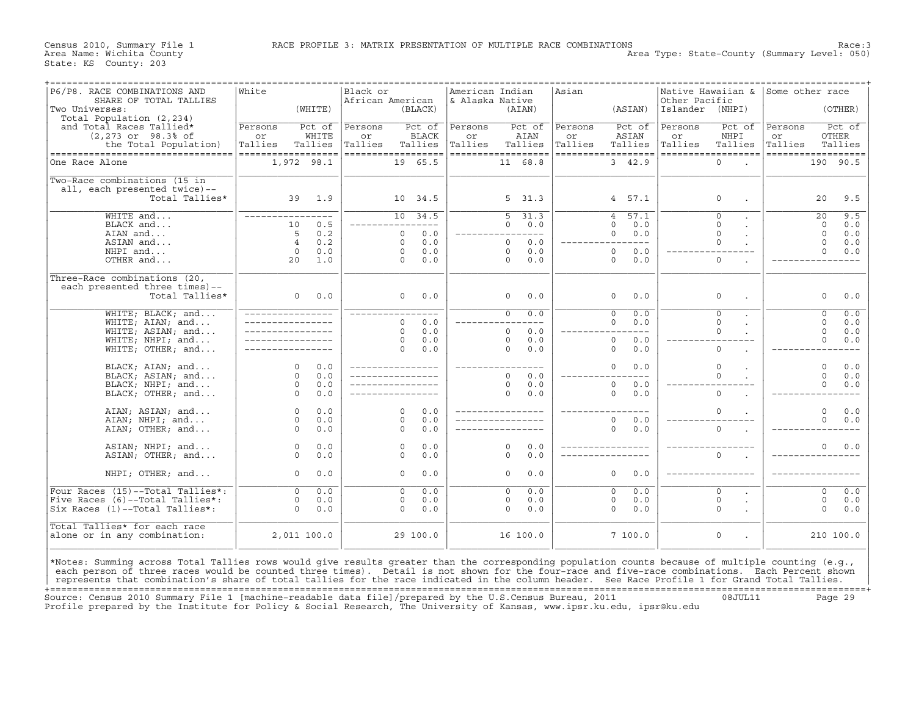Area Type: State-County (Summary Level: 050)

| P6/P8. RACE COMBINATIONS AND<br>SHARE OF TOTAL TALLIES                                                                                                                                                                                                                                          | White                 | Black or<br>African American |                       | American Indian<br>& Alaska Native |                          | Asian   |                        | Other Pacific   | Native Hawaiian &   | Some other race |                                  |
|-------------------------------------------------------------------------------------------------------------------------------------------------------------------------------------------------------------------------------------------------------------------------------------------------|-----------------------|------------------------------|-----------------------|------------------------------------|--------------------------|---------|------------------------|-----------------|---------------------|-----------------|----------------------------------|
| Two Universes:<br>Total Population (2,234)                                                                                                                                                                                                                                                      | (WHITE)               |                              | (BLACK)               |                                    | (AIAN)                   |         | (ASIAN)                | Islander (NHPI) |                     |                 | (OTHER)                          |
| and Total Races Tallied*                                                                                                                                                                                                                                                                        | Persons<br>Pct of     | Persons                      | Pct of                | Persons                            | Pct of                   | Persons | Pct of                 | Persons         | Pct of              | Persons         | Pct of                           |
| $(2,273$ or $98.3$ of                                                                                                                                                                                                                                                                           | WHITE<br>or           | or                           | BLACK                 | or                                 | AIAN                     | or      | ASIAN                  | or              | NHPI                | or              | OTHER                            |
| the Total Population)                                                                                                                                                                                                                                                                           | Tallies<br>Tallies    | Tallies                      | Tallies               | Tallies                            | Tallies                  | Tallies | Tallies                | Tallies         | Tallies             | Tallies         | Tallies                          |
| ===================================                                                                                                                                                                                                                                                             | ==================    | ==================           |                       |                                    | ==================       |         | ==================     |                 | ==================  |                 | ==================               |
| One Race Alone                                                                                                                                                                                                                                                                                  | 1,972 98.1            |                              | 19 65.5               |                                    | 11 68.8                  |         | 3, 42.9                |                 | $\mathbf 0$         |                 | 190 90.5                         |
| Two-Race combinations (15 in                                                                                                                                                                                                                                                                    |                       |                              |                       |                                    |                          |         |                        |                 |                     |                 |                                  |
| all, each presented twice)--                                                                                                                                                                                                                                                                    |                       |                              |                       |                                    |                          |         |                        |                 |                     |                 |                                  |
| Total Tallies*                                                                                                                                                                                                                                                                                  | 1.9<br>39             |                              | 10 34.5               |                                    | 5, 31.3                  |         | 4 57.1                 |                 | $\Omega$            |                 | 20<br>9.5                        |
| $WHITE$ and                                                                                                                                                                                                                                                                                     | $---$                 |                              | $10 \quad 34.5$       |                                    | $\overline{5}^-$<br>31.3 |         | 57.1<br>$\overline{4}$ |                 | $\overline{0}$      |                 | 9.5<br>$\overline{20}$           |
| BLACK and                                                                                                                                                                                                                                                                                       | 0.5<br>10             |                              | $- - - -$             |                                    | 0.0<br>$\Omega$          |         | 0.0<br>$\Omega$        |                 | $\Omega$            |                 | 0.0<br>$\Omega$                  |
| AIAN and                                                                                                                                                                                                                                                                                        | 5<br>0.2              |                              | 0.0<br>$\mathbf{0}$   |                                    | ___________              |         | 0<br>0.0               |                 | $\mathbf 0$         |                 | $\circ$<br>0.0                   |
| ASIAN and                                                                                                                                                                                                                                                                                       | $\overline{4}$<br>0.2 |                              | 0.0<br>$\Omega$       |                                    | $\Omega$<br>0.0          |         | ________________       |                 | $\Omega$            |                 | $\circ$<br>0.0                   |
| NHPI and                                                                                                                                                                                                                                                                                        | $\Omega$<br>0.0       |                              | 0.0<br>$\Omega$       |                                    | 0.0<br>$\Omega$          |         | 0.0<br>$\Omega$        |                 |                     |                 | $\Omega$<br>0.0                  |
| OTHER and                                                                                                                                                                                                                                                                                       | 20<br>1.0             |                              | $\Omega$<br>0.0       |                                    | 0.0<br>$\Omega$          |         | $\Omega$<br>0.0        |                 | $\mathbf 0$         |                 |                                  |
| Three-Race combinations (20,                                                                                                                                                                                                                                                                    |                       |                              |                       |                                    |                          |         |                        |                 |                     |                 |                                  |
| each presented three times)--                                                                                                                                                                                                                                                                   |                       |                              |                       |                                    |                          |         |                        |                 |                     |                 |                                  |
| Total Tallies*                                                                                                                                                                                                                                                                                  | $\circ$<br>0.0        |                              | $\Omega$<br>0.0       |                                    | $\circ$<br>0.0           |         | 0.0<br>0               |                 | $\mathbf 0$         |                 | $\circ$<br>0.0                   |
| WHITE; BLACK; and                                                                                                                                                                                                                                                                               |                       |                              |                       |                                    | $\Omega$<br>0.0          |         | $\Omega$<br>0.0        |                 | $\Omega$            |                 | 0.0<br>$\mathbf 0$               |
| WHITE; AIAN; and                                                                                                                                                                                                                                                                                |                       |                              | 0.0<br>$\Omega$       |                                    | $\frac{1}{2}$            |         | 0.0<br>$\Omega$        |                 | $\Omega$            |                 | 0.0<br>$\Omega$                  |
| WHITE; ASIAN; and                                                                                                                                                                                                                                                                               |                       |                              | 0.0<br>$\Omega$       |                                    | $0.0$<br>$\circ$         |         |                        |                 | $\Omega$            |                 | $\circ$<br>0.0                   |
| WHITE; NHPI; and                                                                                                                                                                                                                                                                                |                       |                              | $\Omega$<br>0.0       |                                    | $\Omega$<br>0.0          |         | $\circ$<br>0.0         |                 |                     |                 | $\circ$<br>0.0                   |
| WHITE; OTHER; and                                                                                                                                                                                                                                                                               |                       |                              | 0.0<br>$\Omega$       |                                    | $\Omega$<br>0.0          |         | $\circ$<br>0.0         |                 | $\Omega$            |                 |                                  |
| BLACK; AIAN; and                                                                                                                                                                                                                                                                                | $\Omega$<br>0.0       |                              |                       |                                    | $- - - -$                |         | $\Omega$<br>0.0        |                 | $\Omega$            |                 | $\mathbf 0$<br>0.0               |
| BLACK; ASIAN; and                                                                                                                                                                                                                                                                               | $\circ$<br>0.0        |                              |                       |                                    | $\Omega$<br>0.0          |         |                        |                 | $\Omega$            |                 | $\Omega$<br>0.0                  |
| BLACK; NHPI; and                                                                                                                                                                                                                                                                                | $\circ$<br>0.0        |                              |                       |                                    | $\Omega$<br>0.0          |         | 0.0<br>$\circ$         |                 |                     |                 | $\Omega$<br>0.0                  |
| BLACK; OTHER; and                                                                                                                                                                                                                                                                               | $\Omega$<br>0.0       |                              |                       |                                    | $\Omega$<br>0.0          |         | $\Omega$<br>0.0        |                 | $\Omega$            |                 |                                  |
| AIAN; ASIAN; and                                                                                                                                                                                                                                                                                | 0.0<br>$\circ$        |                              | $\Omega$<br>0.0       |                                    |                          |         |                        |                 | $\Omega$            |                 | $\Omega$<br>0.0                  |
| AIAN; NHPI; and                                                                                                                                                                                                                                                                                 | $\circ$<br>0.0        |                              | 0.0<br>$\Omega$       |                                    |                          |         | $\circ$<br>0.0         |                 |                     |                 | $\Omega$<br>0.0                  |
| AIAN; OTHER; and                                                                                                                                                                                                                                                                                | $\circ$<br>0.0        |                              | $\Omega$<br>0.0       |                                    |                          |         | $\Omega$<br>0.0        |                 | $\Omega$            |                 |                                  |
| ASIAN; NHPI; and                                                                                                                                                                                                                                                                                | 0.0<br>$\circ$        |                              | 0.0<br>$\mathbf{0}$   |                                    | $\Omega$<br>0.0          |         |                        |                 |                     |                 | 0.0<br>$\Omega$                  |
| ASIAN; OTHER; and                                                                                                                                                                                                                                                                               | $\Omega$<br>0.0       |                              | 0.0<br>$\Omega$       |                                    | $\Omega$<br>0.0          |         |                        |                 | $\Omega$            |                 |                                  |
|                                                                                                                                                                                                                                                                                                 |                       |                              |                       |                                    |                          |         |                        |                 |                     |                 |                                  |
| NHPI; OTHER; and                                                                                                                                                                                                                                                                                | 0.0<br>$\circ$        |                              | $\circ$<br>0.0        |                                    | $\circ$<br>0.0           |         | $\circ$<br>0.0         |                 |                     |                 |                                  |
| Four Races (15)--Total Tallies*:                                                                                                                                                                                                                                                                | $\overline{0}$<br>0.0 |                              | $\overline{0}$<br>0.0 |                                    | 0.0<br>$\overline{0}$    |         | 0.0<br>$\overline{0}$  |                 | $\overline{0}$      |                 | 0.0<br>$\overline{\mathfrak{o}}$ |
| Five Races (6)--Total Tallies*:                                                                                                                                                                                                                                                                 | $\circ$<br>0.0        |                              | 0.0<br>$\circ$        |                                    | $\Omega$<br>0.0          |         | $\circ$<br>0.0         |                 | $\mathbf 0$         |                 | $\mathbf 0$<br>0.0               |
| Six Races (1)--Total Tallies*:                                                                                                                                                                                                                                                                  | $\Omega$<br>0.0       |                              | $\circ$<br>0.0        |                                    | $\Omega$<br>0.0          |         | $\circ$<br>0.0         |                 | $\mathbf 0$         |                 | $\circ$<br>0.0                   |
| Total Tallies* for each race                                                                                                                                                                                                                                                                    |                       |                              |                       |                                    |                          |         |                        |                 |                     |                 |                                  |
| alone or in any combination:                                                                                                                                                                                                                                                                    | 2,011 100.0           |                              | 29 100.0              |                                    | 16 100.0                 |         | 7100.0                 |                 | $\mathsf{O}\xspace$ |                 | 210 100.0                        |
| *Notes: Summing across Total Tallies rows would give results greater than the corresponding population counts because of multiple counting (e.g.,                                                                                                                                               |                       |                              |                       |                                    |                          |         |                        |                 |                     |                 |                                  |
| each person of three races would be counted three times). Detail is not shown for the four-race and five-race combinations. Each Percent shown<br>represents that combination's share of total tallies for the race indicated in the column header. See Race Profile 1 for Grand Total Tallies. |                       |                              |                       |                                    |                          |         |                        |                 |                     |                 |                                  |

+===================================================================================================================================================+Source: Census 2010 Summary File 1 [machine−readable data file]/prepared by the U.S.Census Bureau, 2011 08JUL11 Page 29 Profile prepared by the Institute for Policy & Social Research, The University of Kansas, www.ipsr.ku.edu, ipsr@ku.edu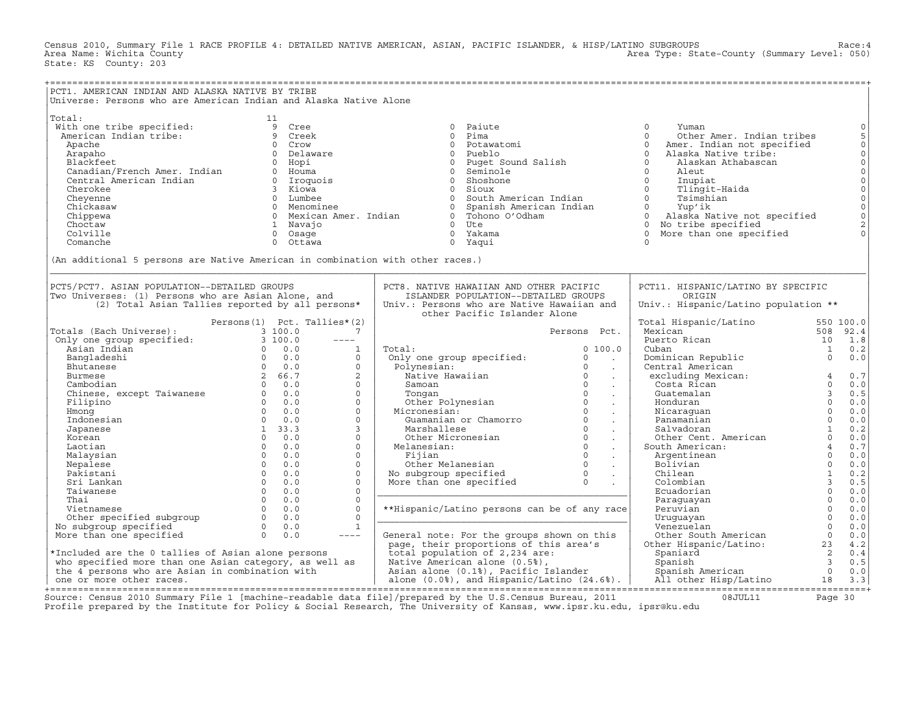Census 2010, Summary File 1 RACE PROFILE 4: DETAILED NATIVE AMERICAN, ASIAN, PACIFIC ISLANDER, & HISP/LATINO SUBGROUPS Race:4 Area Type: State-County (Summary Level: 050) State: KS County: 203

| PCT1. AMERICAN INDIAN AND ALASKA NATIVE BY TRIBE                                                                                                                                                                                   | Universe: Persons who are American Indian and Alaska Native Alone                                                                                                                                                        |                                                                                                                                                                                                                                                                                    |                                                                                                                                                                                                                                                                                                                                                                                                                      |                                                                                                                                                                                        |
|------------------------------------------------------------------------------------------------------------------------------------------------------------------------------------------------------------------------------------|--------------------------------------------------------------------------------------------------------------------------------------------------------------------------------------------------------------------------|------------------------------------------------------------------------------------------------------------------------------------------------------------------------------------------------------------------------------------------------------------------------------------|----------------------------------------------------------------------------------------------------------------------------------------------------------------------------------------------------------------------------------------------------------------------------------------------------------------------------------------------------------------------------------------------------------------------|----------------------------------------------------------------------------------------------------------------------------------------------------------------------------------------|
| Total:<br>With one tribe specified:<br>American Indian tribe:<br>Apache<br>Arapaho<br>Blackfeet<br>Canadian/French Amer. Indian<br>Central American Indian<br>Cherokee<br>Cheyenne<br>Chickasaw<br>Chippewa<br>Choctaw<br>Colville | 11<br>9<br>Cree<br>9 Creek<br>$\circ$<br>Crow<br>Delaware<br>$\circ$<br>$\Omega$<br>Hopi<br>Houma<br>$\overline{0}$<br>0 Iroquois<br>3 Kiowa<br>0 Lumbee<br>0 Menominee<br>0 Mexican Amer. Indian<br>1 Navaio<br>0 Osage | 0 Paiute<br>$\Omega$<br>Pima<br>$\Omega$<br>Potawatomi<br>Pueblo<br>$\Omega$<br>0 Puget Sound Salish<br>0 Seminole<br>$\circ$<br>Shoshone<br>$\circ$<br>Sioux<br>$\circ$<br>South American Indian<br>Spanish American Indian<br>$\circ$<br>0 Tohono O'Odham<br>$0$ Ute<br>0 Yakama | $\Omega$<br>Yuman<br>$\Omega$<br>Other Amer. Indian tribes<br>$\Omega$<br>Amer. Indian not specified<br>$\Omega$<br>Alaska Native tribe:<br>$\Omega$<br>Alaskan Athabascan<br>$\circ$<br>Aleut<br>$\Omega$<br>Inupiat<br>$\Omega$<br>Tlingit-Haida<br>$\Omega$<br>Tsimshian<br>$0 \qquad \qquad$<br>Yup'ik<br>0 Alaska Native not specified<br>$\Omega$<br>No tribe specified<br>$\Omega$<br>More than one specified | $\mathsf O$<br>5<br>$\mathsf{O}\xspace$<br>$_{\rm 0}^{\rm 0}$<br>$\mathsf{O}\xspace$<br>$\mathsf{O}\xspace$<br>$\overline{0}$<br>$\mathbb O$<br>$\mathsf{O}$<br>$\mathbf 2$<br>$\circ$ |
| Comanche                                                                                                                                                                                                                           | 0 Ottawa<br>(An additional 5 persons are Native American in combination with other races.)                                                                                                                               | $\circ$<br>Yaqui                                                                                                                                                                                                                                                                   | $\Omega$                                                                                                                                                                                                                                                                                                                                                                                                             |                                                                                                                                                                                        |
| PCT5/PCT7. ASIAN POPULATION--DETAILED GROUPS<br>Two Universes: (1) Persons who are Asian Alone, and                                                                                                                                | (2) Total Asian Tallies reported by all persons*                                                                                                                                                                         | PCT8. NATIVE HAWAIIAN AND OTHER PACIFIC<br>ISLANDER POPULATION--DETAILED GROUPS<br>Univ.: Persons who are Native Hawaiian and<br>other Pacific Islander Alone                                                                                                                      | PCT11. HISPANIC/LATINO BY SPECIFIC<br>ORIGIN<br>Univ.: Hispanic/Latino population **                                                                                                                                                                                                                                                                                                                                 |                                                                                                                                                                                        |
| Totals (Each Universe):                                                                                                                                                                                                            | Persons $(1)$ Pct. Tallies* $(2)$<br>3 100.0<br>7                                                                                                                                                                        | Persons Pct.                                                                                                                                                                                                                                                                       | Total Hispanic/Latino<br>Mexican                                                                                                                                                                                                                                                                                                                                                                                     | 550 100.0<br>508<br>92.4                                                                                                                                                               |
| Only one group specified:<br>Asian Indian<br>Bangladeshi<br>Bhutanese                                                                                                                                                              | 3100.0<br>$\frac{1}{2}$<br>$0 \t 0.0$<br>1<br>$0 \t 0.0$<br>$\mathbf 0$<br>0.0<br>$\Omega$                                                                                                                               | Total:<br>0, 100.0<br>Only one group specified:<br>0<br>$\sim$<br>$\Omega$<br>Polynesian:                                                                                                                                                                                          | Puerto Rican<br>Cuban<br>Dominican Republic<br>Central American                                                                                                                                                                                                                                                                                                                                                      | 10<br>1.8<br>0.2<br>1<br>$\circ$<br>0.0                                                                                                                                                |
| Burmese<br>Cambodian<br>Chinese, except Taiwanese                                                                                                                                                                                  | 2 66.7<br>$\overline{2}$<br>$0 \t 0.0$<br>$\Omega$<br>$\begin{array}{ccc} & & 0 & 0 & 0 \end{array}$<br>$\mathbf{0}$                                                                                                     | $\ddot{\phantom{a}}$<br>$\Omega$<br>Native Hawaiian<br>$\Omega$<br>Samoan<br>$\ddot{\phantom{a}}$<br>$\Omega$<br>Tongan<br>$\ddot{\phantom{a}}$                                                                                                                                    | excluding Mexican:<br>Costa Rican<br>Guatemalan                                                                                                                                                                                                                                                                                                                                                                      | 0.7<br>$\overline{4}$<br>$\Omega$<br>0.0<br>$\overline{3}$<br>0.5                                                                                                                      |
| Filipino<br>Hmong<br>Indonesian                                                                                                                                                                                                    | $0 \t 0.0$<br>$\Omega$<br>$0 \t 0.0$<br>$\Omega$<br>$\Omega$<br>$0 \t 0.0$                                                                                                                                               | Other Polynesian<br>$\Omega$<br>$\Omega$<br>Micronesian:<br>$\Omega$<br>Guamanian or Chamorro                                                                                                                                                                                      | Honduran<br>Nicaraquan<br>Panamanian                                                                                                                                                                                                                                                                                                                                                                                 | $\Omega$<br>0.0<br>$\Omega$<br>0.0<br>$\Omega$<br>0.0                                                                                                                                  |
| Japanese<br>Korean<br>Laotian                                                                                                                                                                                                      | $\mathbf{3}$<br>1, 33.3<br>$0 \quad 0.0$<br>$\Omega$<br>$\overline{0}$<br>$\Omega$<br>0.0                                                                                                                                | $\Omega$<br>Marshallese<br>$\ddot{\phantom{a}}$<br>$\Omega$<br>Other Micronesian<br>$\sim$<br>$\circ$<br>Melanesian:<br>$\ddot{\phantom{a}}$                                                                                                                                       | Salvadoran<br>Other Cent. American<br>South American:                                                                                                                                                                                                                                                                                                                                                                | $\mathbf{1}$<br>0.2<br>$\Omega$<br>0.0<br>$\overline{4}$<br>0.7                                                                                                                        |
| Malaysian<br>Nepalese<br>Pakistani<br>Sri Lankan<br>Taiwanese                                                                                                                                                                      | $\circ$<br>$\Omega$<br>0.0<br>$\Omega$<br>0.0<br>$\Omega$<br>$\Omega$<br>0.0<br>$\Omega$<br>$\Omega$<br>0.0<br>$\Omega$<br>$\Omega$<br>0.0<br>$\Omega$                                                                   | $\Omega$<br>Fijian<br>$\Omega$<br>Other Melanesian<br>$\ddot{\phantom{a}}$<br>$\Omega$<br>No subgroup specified<br>More than one specified<br>$\Omega$                                                                                                                             | Argentinean<br>Bolivian<br>Chilean<br>Colombian<br>Ecuadorian                                                                                                                                                                                                                                                                                                                                                        | $\mathbf 0$<br>0.0<br>$\Omega$<br>0.0<br>$\mathbf{1}$<br>0.2<br>$\overline{3}$<br>0.5<br>$\mathbf 0$<br>0.0                                                                            |
| Thai<br>Vietnamese<br>Other specified subgroup<br>No subgroup specified                                                                                                                                                            | $\Omega$<br>$\Omega$<br>0.0<br>$\Omega$<br>$\Omega$<br>0.0<br>$\Omega$<br>$\Omega$<br>0.0<br>$\Omega$<br>1<br>0.0                                                                                                        | **Hispanic/Latino persons can be of any race                                                                                                                                                                                                                                       | Paraquayan<br>Peruvian<br>Uruquayan<br>Venezuelan                                                                                                                                                                                                                                                                                                                                                                    | $\Omega$<br>0.0<br>$\mathbf 0$<br>0.0<br>$\Omega$<br>0.0<br>$\Omega$<br>0.0                                                                                                            |
| More than one specified<br>*Included are the 0 tallies of Asian alone persons                                                                                                                                                      | $\cap$<br>0.0<br>$\frac{1}{2}$                                                                                                                                                                                           | General note: For the groups shown on this<br>page, their proportions of this area's<br>total population of 2,234 are:                                                                                                                                                             | Other South American<br>Other Hispanic/Latino:<br>Spaniard                                                                                                                                                                                                                                                                                                                                                           | $\Omega$<br>0.0<br>4.2<br>23<br>2<br>0.4                                                                                                                                               |
| who specified more than one Asian category, as well as<br>the 4 persons who are Asian in combination with<br>one or more other races.                                                                                              |                                                                                                                                                                                                                          | Native American alone (0.5%),<br>Asian alone (0.1%), Pacific Islander<br>alone $(0.0%)$ , and Hispanic/Latino $(24.6%)$ .                                                                                                                                                          | Spanish<br>Spanish American<br>All other Hisp/Latino                                                                                                                                                                                                                                                                                                                                                                 | $\overline{3}$<br>0.5<br>$\Omega$<br>0.0<br>18<br>3.3                                                                                                                                  |
|                                                                                                                                                                                                                                    |                                                                                                                                                                                                                          | Source: Census 2010 Summary File 1 [machine-readable data file]/prepared by the U.S.Census Bureau, 2011                                                                                                                                                                            | 08JUL11                                                                                                                                                                                                                                                                                                                                                                                                              | Page $30$                                                                                                                                                                              |

Profile prepared by the Institute for Policy & Social Research, The University of Kansas, www.ipsr.ku.edu, ipsr@ku.edu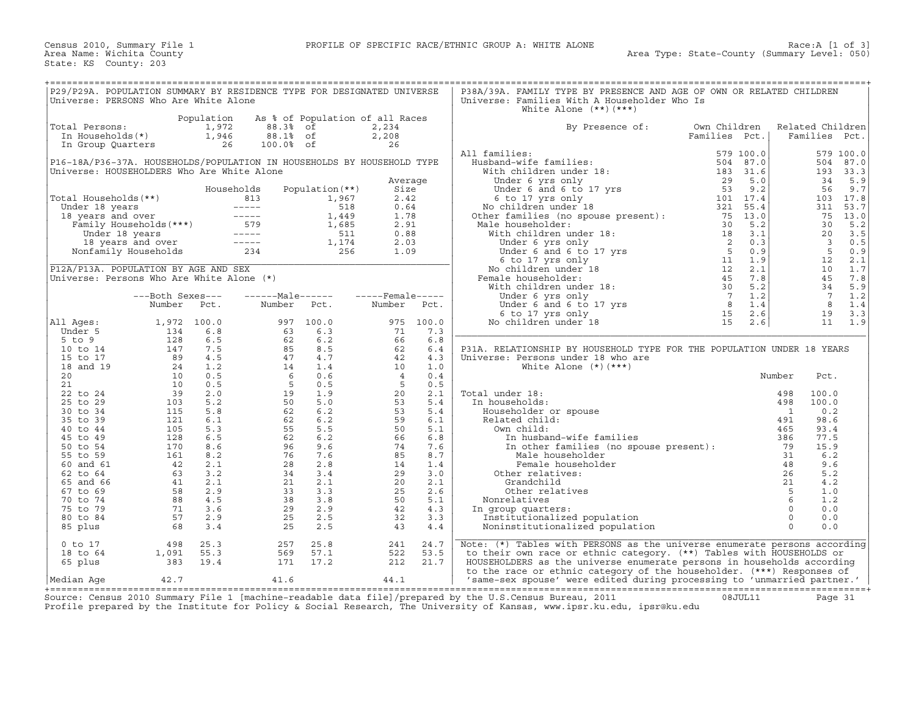| P29/P29A. POPULATION SUMMARY BY RESIDENCE TYPE FOR DESIGNATED UNIVERSE<br>Universe: PERSONS Who Are White Alone                                                                                                                                            |                                                                          |            |                                  |                                                                                                                                                                                                                                                  |                      |      | P38A/39A. FAMILY TYPE BY PRESENCE AND AGE OF OWN OR RELATED CHILDREN<br>Universe: Families With A Householder Who Is<br>White Alone $(**)$ $(***)$                                                                                                                                                                                                                                                                                                                                                  |               |    |                  |  |
|------------------------------------------------------------------------------------------------------------------------------------------------------------------------------------------------------------------------------------------------------------|--------------------------------------------------------------------------|------------|----------------------------------|--------------------------------------------------------------------------------------------------------------------------------------------------------------------------------------------------------------------------------------------------|----------------------|------|-----------------------------------------------------------------------------------------------------------------------------------------------------------------------------------------------------------------------------------------------------------------------------------------------------------------------------------------------------------------------------------------------------------------------------------------------------------------------------------------------------|---------------|----|------------------|--|
|                                                                                                                                                                                                                                                            |                                                                          | Population |                                  | As % of Population of all Races                                                                                                                                                                                                                  |                      |      |                                                                                                                                                                                                                                                                                                                                                                                                                                                                                                     |               |    |                  |  |
| Total Persons:                                                                                                                                                                                                                                             |                                                                          |            |                                  |                                                                                                                                                                                                                                                  | 2,234                |      | By Presence of: Own Children                                                                                                                                                                                                                                                                                                                                                                                                                                                                        |               |    | Related Children |  |
|                                                                                                                                                                                                                                                            |                                                                          |            |                                  |                                                                                                                                                                                                                                                  |                      |      |                                                                                                                                                                                                                                                                                                                                                                                                                                                                                                     | Families Pct. |    | Families Pct.    |  |
| 0tal Persons: $\begin{array}{ccc} 1,972 & 88.3\text{*} & \text{of} \\ \text{In Households} & 1,946 & 88.1\text{*} & \text{of} \\ \text{In Group Quatters} & 26 & 100.0\text{*} & \text{of} \end{array}$                                                    |                                                                          |            |                                  |                                                                                                                                                                                                                                                  | $2,208$<br>26        |      | $\begin{tabular}{l c c c c} \multicolumn{1}{c}{\textbf{All families:}} & \multicolumn{1}{c}{\textbf{Full} } \multicolumn{1}{c}{\textbf{Full} } \multicolumn{1}{c}{\textbf{Full} } \multicolumn{1}{c}{\textbf{Full} } \multicolumn{1}{c}{\textbf{Full} } \multicolumn{1}{c}{\textbf{Full} } \multicolumn{1}{c}{\textbf{Full} } \multicolumn{1}{c}{\textbf{Full} } \multicolumn{1}{c}{\textbf{Full} } \multicolumn{1}{c}{\textbf{Full} } \multicolumn{1}{c}{\textbf{Full} } \multicolumn{1}{c}{\text$ |               |    |                  |  |
|                                                                                                                                                                                                                                                            |                                                                          |            |                                  |                                                                                                                                                                                                                                                  |                      |      | All families:                                                                                                                                                                                                                                                                                                                                                                                                                                                                                       |               |    |                  |  |
|                                                                                                                                                                                                                                                            |                                                                          |            |                                  |                                                                                                                                                                                                                                                  |                      |      |                                                                                                                                                                                                                                                                                                                                                                                                                                                                                                     |               |    |                  |  |
| P16-18A/P36-37A. HOUSEHOLDS/POPULATION IN HOUSEHOLDS BY HOUSEHOLD TYPE                                                                                                                                                                                     |                                                                          |            |                                  |                                                                                                                                                                                                                                                  |                      |      |                                                                                                                                                                                                                                                                                                                                                                                                                                                                                                     |               |    |                  |  |
| Universe: HOUSEHOLDERS Who Are White Alone                                                                                                                                                                                                                 |                                                                          |            |                                  |                                                                                                                                                                                                                                                  |                      |      |                                                                                                                                                                                                                                                                                                                                                                                                                                                                                                     |               |    |                  |  |
|                                                                                                                                                                                                                                                            |                                                                          |            |                                  |                                                                                                                                                                                                                                                  | Average              |      |                                                                                                                                                                                                                                                                                                                                                                                                                                                                                                     |               |    |                  |  |
|                                                                                                                                                                                                                                                            |                                                                          |            |                                  | Households Population (**)                                                                                                                                                                                                                       |                      |      |                                                                                                                                                                                                                                                                                                                                                                                                                                                                                                     |               |    |                  |  |
|                                                                                                                                                                                                                                                            |                                                                          |            |                                  |                                                                                                                                                                                                                                                  |                      |      |                                                                                                                                                                                                                                                                                                                                                                                                                                                                                                     |               |    |                  |  |
| Total Households (**)<br>Under 18 years<br>18 years and over<br>18 years and over<br>18 years and over<br>Family Households (***)<br>Under 18 years<br>18 years and over<br>1.685<br>1.685<br>1.78<br>1.685<br>2.91<br>Under 18 years<br>1.8 years and ove |                                                                          |            |                                  |                                                                                                                                                                                                                                                  |                      |      |                                                                                                                                                                                                                                                                                                                                                                                                                                                                                                     |               |    |                  |  |
|                                                                                                                                                                                                                                                            |                                                                          |            |                                  |                                                                                                                                                                                                                                                  |                      |      |                                                                                                                                                                                                                                                                                                                                                                                                                                                                                                     |               |    |                  |  |
|                                                                                                                                                                                                                                                            |                                                                          |            |                                  |                                                                                                                                                                                                                                                  |                      |      |                                                                                                                                                                                                                                                                                                                                                                                                                                                                                                     |               |    |                  |  |
|                                                                                                                                                                                                                                                            |                                                                          |            |                                  |                                                                                                                                                                                                                                                  |                      |      |                                                                                                                                                                                                                                                                                                                                                                                                                                                                                                     |               |    |                  |  |
|                                                                                                                                                                                                                                                            |                                                                          |            |                                  |                                                                                                                                                                                                                                                  |                      |      |                                                                                                                                                                                                                                                                                                                                                                                                                                                                                                     |               |    |                  |  |
|                                                                                                                                                                                                                                                            |                                                                          |            |                                  |                                                                                                                                                                                                                                                  |                      |      |                                                                                                                                                                                                                                                                                                                                                                                                                                                                                                     |               |    |                  |  |
|                                                                                                                                                                                                                                                            |                                                                          |            |                                  |                                                                                                                                                                                                                                                  |                      |      |                                                                                                                                                                                                                                                                                                                                                                                                                                                                                                     |               |    |                  |  |
|                                                                                                                                                                                                                                                            |                                                                          |            |                                  |                                                                                                                                                                                                                                                  |                      |      |                                                                                                                                                                                                                                                                                                                                                                                                                                                                                                     |               |    |                  |  |
| Universe: Persons Who Are White Alone (*)                                                                                                                                                                                                                  |                                                                          |            |                                  |                                                                                                                                                                                                                                                  |                      |      |                                                                                                                                                                                                                                                                                                                                                                                                                                                                                                     |               |    |                  |  |
|                                                                                                                                                                                                                                                            |                                                                          |            |                                  |                                                                                                                                                                                                                                                  |                      |      |                                                                                                                                                                                                                                                                                                                                                                                                                                                                                                     |               |    |                  |  |
|                                                                                                                                                                                                                                                            | ---Both Sexes---                                                         |            |                                  |                                                                                                                                                                                                                                                  |                      |      |                                                                                                                                                                                                                                                                                                                                                                                                                                                                                                     |               |    |                  |  |
|                                                                                                                                                                                                                                                            |                                                                          |            |                                  |                                                                                                                                                                                                                                                  |                      |      |                                                                                                                                                                                                                                                                                                                                                                                                                                                                                                     |               |    |                  |  |
|                                                                                                                                                                                                                                                            |                                                                          |            |                                  | Number Pct. Number Pct. Number Pct.                                                                                                                                                                                                              |                      |      |                                                                                                                                                                                                                                                                                                                                                                                                                                                                                                     |               |    |                  |  |
|                                                                                                                                                                                                                                                            |                                                                          |            |                                  |                                                                                                                                                                                                                                                  |                      |      |                                                                                                                                                                                                                                                                                                                                                                                                                                                                                                     |               |    |                  |  |
| All Aqes:                                                                                                                                                                                                                                                  |                                                                          |            |                                  |                                                                                                                                                                                                                                                  |                      |      |                                                                                                                                                                                                                                                                                                                                                                                                                                                                                                     |               |    |                  |  |
| Under 5                                                                                                                                                                                                                                                    |                                                                          |            |                                  |                                                                                                                                                                                                                                                  |                      |      |                                                                                                                                                                                                                                                                                                                                                                                                                                                                                                     |               |    |                  |  |
| 5 to 9                                                                                                                                                                                                                                                     |                                                                          |            |                                  |                                                                                                                                                                                                                                                  |                      |      |                                                                                                                                                                                                                                                                                                                                                                                                                                                                                                     |               |    |                  |  |
| 10 to 14                                                                                                                                                                                                                                                   |                                                                          |            |                                  |                                                                                                                                                                                                                                                  |                      |      | P31A. RELATIONSHIP BY HOUSEHOLD TYPE FOR THE POPULATION UNDER 18 YEARS                                                                                                                                                                                                                                                                                                                                                                                                                              |               |    |                  |  |
| 15 to 17                                                                                                                                                                                                                                                   |                                                                          |            |                                  |                                                                                                                                                                                                                                                  |                      |      | Universe: Persons under 18 who are                                                                                                                                                                                                                                                                                                                                                                                                                                                                  |               |    |                  |  |
| 18 and 19                                                                                                                                                                                                                                                  |                                                                          |            |                                  |                                                                                                                                                                                                                                                  |                      |      | White Alone $(*)$ $(***)$                                                                                                                                                                                                                                                                                                                                                                                                                                                                           |               |    |                  |  |
| 20                                                                                                                                                                                                                                                         |                                                                          |            |                                  |                                                                                                                                                                                                                                                  |                      |      |                                                                                                                                                                                                                                                                                                                                                                                                                                                                                                     |               |    | Pct.             |  |
| 21                                                                                                                                                                                                                                                         |                                                                          |            |                                  |                                                                                                                                                                                                                                                  |                      |      |                                                                                                                                                                                                                                                                                                                                                                                                                                                                                                     |               |    |                  |  |
| 22 to 24                                                                                                                                                                                                                                                   |                                                                          |            |                                  |                                                                                                                                                                                                                                                  |                      |      | Total under 18:                                                                                                                                                                                                                                                                                                                                                                                                                                                                                     |               |    | 100.0            |  |
| 25 to 29                                                                                                                                                                                                                                                   |                                                                          |            |                                  |                                                                                                                                                                                                                                                  |                      |      | In households:                                                                                                                                                                                                                                                                                                                                                                                                                                                                                      |               |    | 100.0            |  |
| 30 to 34                                                                                                                                                                                                                                                   |                                                                          |            |                                  |                                                                                                                                                                                                                                                  |                      |      |                                                                                                                                                                                                                                                                                                                                                                                                                                                                                                     |               |    | 0.2              |  |
| 35 to 39                                                                                                                                                                                                                                                   |                                                                          |            |                                  |                                                                                                                                                                                                                                                  |                      |      |                                                                                                                                                                                                                                                                                                                                                                                                                                                                                                     |               |    | 98.6             |  |
| 40 to 44                                                                                                                                                                                                                                                   |                                                                          |            |                                  |                                                                                                                                                                                                                                                  |                      |      |                                                                                                                                                                                                                                                                                                                                                                                                                                                                                                     |               |    | 93.4             |  |
| 45 to 49                                                                                                                                                                                                                                                   |                                                                          |            |                                  |                                                                                                                                                                                                                                                  |                      |      |                                                                                                                                                                                                                                                                                                                                                                                                                                                                                                     |               |    | 77.5             |  |
| 50 to 54                                                                                                                                                                                                                                                   |                                                                          |            |                                  |                                                                                                                                                                                                                                                  |                      |      | Norm child:<br>In husband-wife families<br>In other families (no spot<br>Male householder<br>Female householder<br>Other relatives:<br>Grandchild                                                                                                                                                                                                                                                                                                                                                   |               |    | 15.9             |  |
|                                                                                                                                                                                                                                                            |                                                                          |            |                                  |                                                                                                                                                                                                                                                  |                      |      |                                                                                                                                                                                                                                                                                                                                                                                                                                                                                                     |               |    | 6.2              |  |
| 55 to 59                                                                                                                                                                                                                                                   |                                                                          |            |                                  |                                                                                                                                                                                                                                                  |                      |      |                                                                                                                                                                                                                                                                                                                                                                                                                                                                                                     |               |    |                  |  |
| 60 and 61                                                                                                                                                                                                                                                  |                                                                          |            |                                  |                                                                                                                                                                                                                                                  |                      |      |                                                                                                                                                                                                                                                                                                                                                                                                                                                                                                     |               |    | 9.6              |  |
| 62 to 64                                                                                                                                                                                                                                                   |                                                                          |            |                                  |                                                                                                                                                                                                                                                  |                      |      |                                                                                                                                                                                                                                                                                                                                                                                                                                                                                                     |               | 26 | 5.2              |  |
| 65 and 66                                                                                                                                                                                                                                                  |                                                                          |            |                                  |                                                                                                                                                                                                                                                  |                      |      |                                                                                                                                                                                                                                                                                                                                                                                                                                                                                                     |               |    | 4.2              |  |
| 67 to 69                                                                                                                                                                                                                                                   |                                                                          |            |                                  |                                                                                                                                                                                                                                                  |                      |      |                                                                                                                                                                                                                                                                                                                                                                                                                                                                                                     |               |    | 1.0              |  |
| 70 to 74                                                                                                                                                                                                                                                   |                                                                          |            |                                  |                                                                                                                                                                                                                                                  |                      |      |                                                                                                                                                                                                                                                                                                                                                                                                                                                                                                     |               |    | 1.2              |  |
| 75 to 79                                                                                                                                                                                                                                                   |                                                                          |            |                                  |                                                                                                                                                                                                                                                  |                      |      | In group quarters:                                                                                                                                                                                                                                                                                                                                                                                                                                                                                  |               |    | 0.0              |  |
| 80 to 84                                                                                                                                                                                                                                                   |                                                                          |            |                                  |                                                                                                                                                                                                                                                  |                      |      |                                                                                                                                                                                                                                                                                                                                                                                                                                                                                                     |               |    | 0.0              |  |
| 85 plus                                                                                                                                                                                                                                                    |                                                                          |            |                                  | Number Pct. Number Pct. Number Pct.<br>1,972 100.0<br>134 6.8 63 63 63 71 7.3<br>128 6.5 62 6.3 76 6.8 6.8<br>129 4.5 82 6.5 66 6.8<br>19 4.5 82 6.5 66 6.8<br>10 0.5 6 6 0.6 4 4.3<br>10 0.5 6 6 0.6 4 4.3<br>10 0.5 6 6 6.9 62 6.2<br>19 105 5 |                      |      | Verse: Persons under 18 wind at<br>White Alone (*)(***)<br>and under 18:<br>The mouseholds:<br>Fouseholder or spouse<br>Related child:<br>Own child:<br>Thusband-wife families<br>In other families (no spouse present):<br>The mouseholder<br>The                                                                                                                                                                                                                                                  |               |    | 0.0              |  |
|                                                                                                                                                                                                                                                            |                                                                          |            |                                  |                                                                                                                                                                                                                                                  |                      |      |                                                                                                                                                                                                                                                                                                                                                                                                                                                                                                     |               |    |                  |  |
| $0$ to 17                                                                                                                                                                                                                                                  |                                                                          |            |                                  |                                                                                                                                                                                                                                                  | 241                  | 24.7 | Note: $(*)$ Tables with PERSONS as the universe enumerate persons according                                                                                                                                                                                                                                                                                                                                                                                                                         |               |    |                  |  |
| 18 to 64                                                                                                                                                                                                                                                   | $\begin{array}{rr} 498 & 25.3 \\ 1,091 & 55.3 \\ 383 & 19.4 \end{array}$ |            | 257 25.8<br>569 57.1<br>171 17.2 |                                                                                                                                                                                                                                                  | $\frac{5}{2}$<br>212 | 53.5 | to their own race or ethnic category. (**) Tables with HOUSEHOLDS or                                                                                                                                                                                                                                                                                                                                                                                                                                |               |    |                  |  |
| 65 plus                                                                                                                                                                                                                                                    |                                                                          |            |                                  |                                                                                                                                                                                                                                                  |                      | 21.7 | HOUSEHOLDERS as the universe enumerate persons in households according                                                                                                                                                                                                                                                                                                                                                                                                                              |               |    |                  |  |
|                                                                                                                                                                                                                                                            |                                                                          |            |                                  |                                                                                                                                                                                                                                                  |                      |      | to the race or ethnic category of the householder. (***) Responses of                                                                                                                                                                                                                                                                                                                                                                                                                               |               |    |                  |  |
| Median Aqe                                                                                                                                                                                                                                                 | 42.7                                                                     |            | 41.6                             |                                                                                                                                                                                                                                                  | 44.1                 |      | 'same-sex spouse' were edited during processing to 'unmarried partner.'                                                                                                                                                                                                                                                                                                                                                                                                                             |               |    |                  |  |
|                                                                                                                                                                                                                                                            |                                                                          |            |                                  |                                                                                                                                                                                                                                                  |                      |      |                                                                                                                                                                                                                                                                                                                                                                                                                                                                                                     |               |    |                  |  |

+===================================================================================================================================================+ Source: Census 2010 Summary File 1 [machine−readable data file]/prepared by the U.S.Census Bureau, 2011 08JUL11 Page 31 Profile prepared by the Institute for Policy & Social Research, The University of Kansas, www.ipsr.ku.edu, ipsr@ku.edu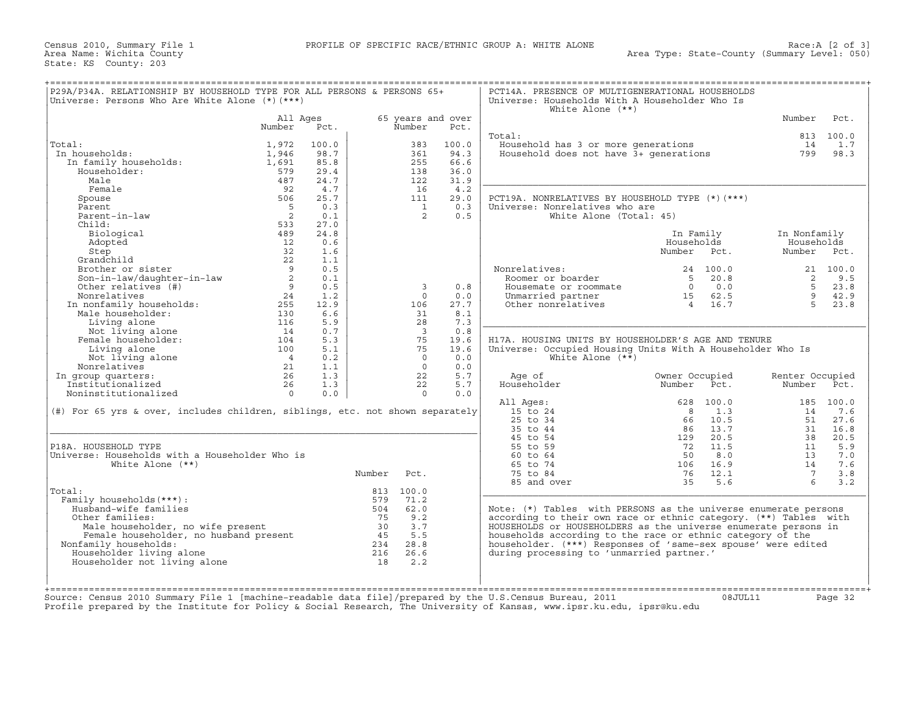Census 2010, Summary File 1<br>Area Name: Wichita County State: KS County: 203

| P29A/P34A. RELATIONSHIP BY HOUSEHOLD TYPE FOR ALL PERSONS & PERSONS 65+<br>Universe: Persons Who Are White Alone $(*)$ $(***)$                                                                                                                                        |               |       |        |                         |       | PCT14A. PRESENCE OF MULTIGENERATIONAL HOUSEHOLDS<br>Universe: Households With A Householder Who Is<br>White Alone $(**)$                                                                                                               |                         |             |                 |           |
|-----------------------------------------------------------------------------------------------------------------------------------------------------------------------------------------------------------------------------------------------------------------------|---------------|-------|--------|-------------------------|-------|----------------------------------------------------------------------------------------------------------------------------------------------------------------------------------------------------------------------------------------|-------------------------|-------------|-----------------|-----------|
|                                                                                                                                                                                                                                                                       | All Ages      |       |        | 65 years and over       |       |                                                                                                                                                                                                                                        |                         |             | Number          | Pct.      |
|                                                                                                                                                                                                                                                                       | Number        | Pct.  |        | Number                  | Pct.  |                                                                                                                                                                                                                                        |                         |             |                 |           |
|                                                                                                                                                                                                                                                                       |               |       |        |                         |       | Total:                                                                                                                                                                                                                                 |                         |             |                 | 813 100.0 |
| Total:                                                                                                                                                                                                                                                                | 1,972         | 100.0 |        | 383                     | 100.0 | Household has 3 or more generations<br>Household does not have 3+ generations                                                                                                                                                          |                         |             |                 | 14 1.7    |
| In households:<br>.a<br>1 households:<br>In family households:                                                                                                                                                                                                        | 1,946         | 98.7  |        | 361                     | 94.3  |                                                                                                                                                                                                                                        |                         |             |                 | 799 98.3  |
|                                                                                                                                                                                                                                                                       | 1,691         | 85.8  |        | 255                     | 66.6  |                                                                                                                                                                                                                                        |                         |             |                 |           |
| Householder:                                                                                                                                                                                                                                                          | 579           | 29.4  |        | 138                     | 36.0  |                                                                                                                                                                                                                                        |                         |             |                 |           |
| Male                                                                                                                                                                                                                                                                  | 487           | 24.7  |        | 122                     | 31.9  |                                                                                                                                                                                                                                        |                         |             |                 |           |
| Female                                                                                                                                                                                                                                                                | 92            | 4.7   |        | 16                      | 4.2   |                                                                                                                                                                                                                                        |                         |             |                 |           |
| Spouse                                                                                                                                                                                                                                                                | 506           | 25.7  |        | 111                     | 29.0  | PCT19A. NONRELATIVES BY HOUSEHOLD TYPE (*) (***)                                                                                                                                                                                       |                         |             |                 |           |
| Parent                                                                                                                                                                                                                                                                | $\frac{5}{2}$ | 0.3   |        | $\overline{1}$          | 0.3   | Universe: Nonrelatives who are                                                                                                                                                                                                         |                         |             |                 |           |
| Parent-in-law                                                                                                                                                                                                                                                         |               | 0.1   |        | 2                       | 0.5   | White Alone (Total: 45)                                                                                                                                                                                                                |                         |             |                 |           |
| Child:                                                                                                                                                                                                                                                                | 533           | 27.0  |        |                         |       |                                                                                                                                                                                                                                        |                         |             |                 |           |
| Biological                                                                                                                                                                                                                                                            | 489           | 24.8  |        |                         |       |                                                                                                                                                                                                                                        |                         | In Family   | In Nonfamily    |           |
|                                                                                                                                                                                                                                                                       |               | 0.6   |        |                         |       |                                                                                                                                                                                                                                        | Households              |             | Households      |           |
|                                                                                                                                                                                                                                                                       |               | 1.6   |        |                         |       |                                                                                                                                                                                                                                        |                         | Number Pct. | Number Pct.     |           |
|                                                                                                                                                                                                                                                                       |               | 1.1   |        |                         |       |                                                                                                                                                                                                                                        |                         |             |                 |           |
|                                                                                                                                                                                                                                                                       |               | 0.5   |        |                         |       | Nonrelatives:                                                                                                                                                                                                                          |                         |             |                 |           |
|                                                                                                                                                                                                                                                                       |               | 0.1   |        |                         |       |                                                                                                                                                                                                                                        |                         |             |                 |           |
|                                                                                                                                                                                                                                                                       |               | 0.5   |        | $\overline{3}$          | 0.8   | 91 noticitives:<br>24 100.0 21 100.0<br>24 100.0 21 100.0<br>26 100.0 21 100.0<br>26 100.0 21 100.0<br>26 20.8 27 9.5<br>23.8<br>23.8<br>23.8<br>23.8<br>23.8<br>23.8<br>23.8<br>23.8<br>23.8<br>23.8<br>23.8<br>23.8<br>23.8<br>242.9 |                         |             |                 |           |
|                                                                                                                                                                                                                                                                       |               | 1.2   |        | $\circ$                 | 0.0   |                                                                                                                                                                                                                                        |                         |             |                 |           |
|                                                                                                                                                                                                                                                                       |               | 12.9  |        | 106                     | 27.7  |                                                                                                                                                                                                                                        |                         |             |                 |           |
|                                                                                                                                                                                                                                                                       |               | 6.6   |        | 31                      | 8.1   |                                                                                                                                                                                                                                        |                         |             |                 |           |
| Adopted<br>Step<br>Step<br>Step<br>22<br>Step<br>22<br>Brother or sister<br>Son-in-law<br>Other relatives (#)<br>Other relatives (#)<br>Monrelatives (#)<br>24<br>Monrelatives (#)<br>24<br>Monrelatives 24<br>Monrelatives 24<br>In nonfamily households:<br>255<br> |               | 5.9   |        | 28                      | 7.3   |                                                                                                                                                                                                                                        |                         |             |                 |           |
|                                                                                                                                                                                                                                                                       |               | 0.7   |        | $\overline{\mathbf{3}}$ | 0.8   |                                                                                                                                                                                                                                        |                         |             |                 |           |
|                                                                                                                                                                                                                                                                       |               | 5.3   |        | 75                      | 19.6  | H17A. HOUSING UNITS BY HOUSEHOLDER'S AGE AND TENURE                                                                                                                                                                                    |                         |             |                 |           |
|                                                                                                                                                                                                                                                                       |               | 5.1   |        | 75                      | 19.6  | Universe: Occupied Housing Units With A Householder Who Is                                                                                                                                                                             |                         |             |                 |           |
|                                                                                                                                                                                                                                                                       |               | 0.2   |        | $\overline{0}$          | 0.0   | White Alone $(**)$                                                                                                                                                                                                                     |                         |             |                 |           |
| Nonrelatives                                                                                                                                                                                                                                                          |               | 1.1   |        | $\Omega$                | 0.0   |                                                                                                                                                                                                                                        |                         |             |                 |           |
| In group quarters:                                                                                                                                                                                                                                                    |               | 1.3   |        | 22                      | 5.7   | Age of                                                                                                                                                                                                                                 | Owner Occupied          |             | Renter Occupied |           |
| Institutionalized                                                                                                                                                                                                                                                     |               | 1.3   |        | 22                      | 5.7   | Householder                                                                                                                                                                                                                            | Number                  | Pct.        | Number          | Pct.      |
| Living alone 100<br>Not living alone 100<br>onrelatives 21<br>oup quarters: 26<br>titutionalized 26<br>institutionalized 0<br>Noninstitutionalized                                                                                                                    |               | 0.0   |        | $\Omega$                | 0.0   |                                                                                                                                                                                                                                        |                         |             |                 |           |
|                                                                                                                                                                                                                                                                       |               |       |        |                         |       | All Ages:                                                                                                                                                                                                                              |                         | 628 100.0   |                 | 185 100.0 |
| (#) For 65 yrs & over, includes children, siblings, etc. not shown separately                                                                                                                                                                                         |               |       |        |                         |       | 15 to 24                                                                                                                                                                                                                               | $\overline{\mathbf{8}}$ | 1.3         | 14              | 7.6       |
|                                                                                                                                                                                                                                                                       |               |       |        |                         |       | 25 to 34                                                                                                                                                                                                                               | 66                      | 10.5        |                 | 51 27.6   |
|                                                                                                                                                                                                                                                                       |               |       |        |                         |       | 35 to 44                                                                                                                                                                                                                               | 86                      | 13.7        | 31              | 16.8      |
|                                                                                                                                                                                                                                                                       |               |       |        |                         |       | 45 to 54                                                                                                                                                                                                                               | 129                     | 20.5        | 38              | 20.5      |
| P18A. HOUSEHOLD TYPE                                                                                                                                                                                                                                                  |               |       |        |                         |       | 55 to 59                                                                                                                                                                                                                               | 72                      | 11.5        | 11              | 5.9       |
| Universe: Households with a Householder Who is                                                                                                                                                                                                                        |               |       |        |                         |       | 60 to 64                                                                                                                                                                                                                               | 50                      | 8.0         | 13              | 7.0       |
| White Alone $(**)$                                                                                                                                                                                                                                                    |               |       |        |                         |       | 65 to 74                                                                                                                                                                                                                               | 106                     | 16.9        | 14              | 7.6       |
|                                                                                                                                                                                                                                                                       |               |       | Number | Pct.                    |       | 75 to 84                                                                                                                                                                                                                               | 76                      | 12.1        | $7\overline{ }$ | 3.8       |
|                                                                                                                                                                                                                                                                       |               |       |        |                         |       | 85 and over                                                                                                                                                                                                                            | 35                      | 5.6         | $6^{\circ}$     | 3.2       |
| Total:                                                                                                                                                                                                                                                                |               |       |        | 813 100.0               |       |                                                                                                                                                                                                                                        |                         |             |                 |           |
| Family households (***) :                                                                                                                                                                                                                                             |               |       | 579    | 71.2                    |       |                                                                                                                                                                                                                                        |                         |             |                 |           |
| Husband-wife families                                                                                                                                                                                                                                                 |               |       |        | 504 62.0                |       | Note: (*) Tables with PERSONS as the universe enumerate persons                                                                                                                                                                        |                         |             |                 |           |
| Other families:                                                                                                                                                                                                                                                       |               |       | 75     | 9.2                     |       | according to their own race or ethnic category. (**) Tables with                                                                                                                                                                       |                         |             |                 |           |
|                                                                                                                                                                                                                                                                       |               |       |        |                         |       | HOUSEHOLDS Or HOUSEHOLDERS as the universe enumerate persons in                                                                                                                                                                        |                         |             |                 |           |
|                                                                                                                                                                                                                                                                       |               |       |        |                         |       | households according to the race or ethnic category of the                                                                                                                                                                             |                         |             |                 |           |
|                                                                                                                                                                                                                                                                       |               |       |        |                         |       | householder. (***) Responses of 'same-sex spouse' were edited                                                                                                                                                                          |                         |             |                 |           |
| Nonfamily households:                                                                                                                                                                                                                                                 |               |       |        |                         |       | during processing to 'unmarried partner.'                                                                                                                                                                                              |                         |             |                 |           |
| Householder living alone                                                                                                                                                                                                                                              |               |       |        |                         |       |                                                                                                                                                                                                                                        |                         |             |                 |           |
| Householder not living alone                                                                                                                                                                                                                                          |               |       |        |                         |       |                                                                                                                                                                                                                                        |                         |             |                 |           |
|                                                                                                                                                                                                                                                                       |               |       |        |                         |       |                                                                                                                                                                                                                                        |                         |             |                 |           |

Source: Census 2010 Summary File 1 [machine−readable data file]/prepared by the U.S.Census Bureau, 2011 08JUL11 Page 32 Profile prepared by the Institute for Policy & Social Research, The University of Kansas, www.ipsr.ku.edu, ipsr@ku.edu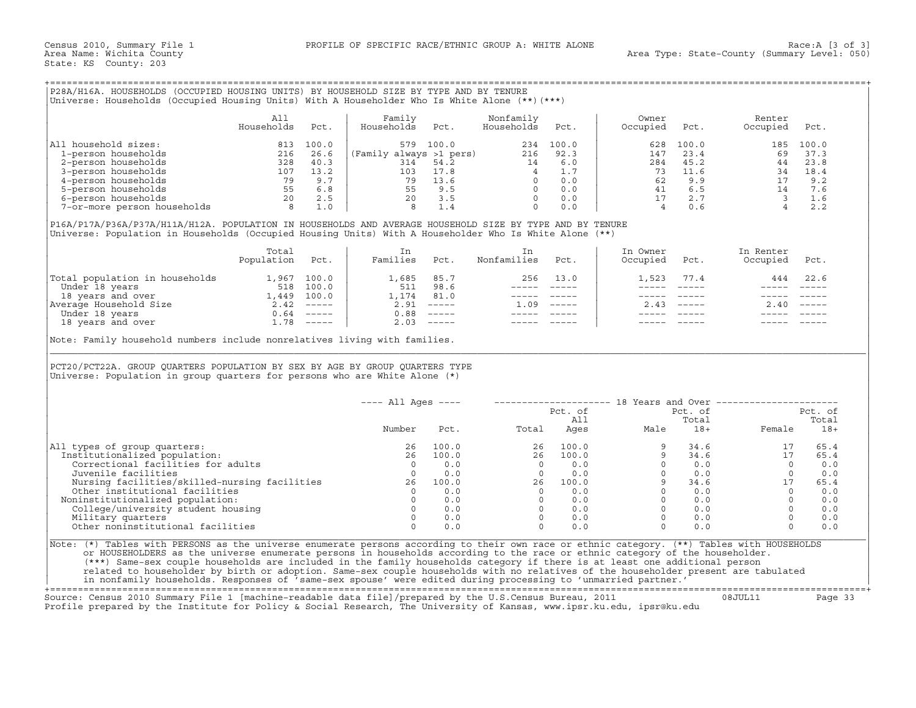# +===================================================================================================================================================+

|                             | Ali<br>Households | Pct.      | Family<br>Households    | Pct.  | Nonfamily<br>Households | Pct.        | Owner<br>Occupied | Pct.  | Renter<br>Occupied | Pct.  |
|-----------------------------|-------------------|-----------|-------------------------|-------|-------------------------|-------------|-------------------|-------|--------------------|-------|
| household sizes:<br> All    | 813               | 100.0     | 579                     | 100.0 | 234                     | 100.0       | 628               | 100.0 | 185                | 100.0 |
| 1-person households         | 216               | 26.6      | (Family always >1 pers) |       | 216                     | 92.3        | 147               | 23.4  | 69                 | 37.3  |
| 2-person households         | 328               | 40.3      | 314                     | 54.2  | 14                      | 6.0         | 284               | 45.2  | 44                 | 23.8  |
| 3-person households         | 107               | 13.2      | 103                     | 17.8  |                         | $\perp$ . 7 | 73                | 11.6  | 34                 | 18.4  |
| 4-person households         | 79                | 9.7       | 79                      | 13.6  |                         | 0.0         | 62                | 9.9   |                    | 9.2   |
| 5-person households         | 55                | 6.8       | 55                      | 9.5   |                         | 0.0         | 41                | 6.5   | 14                 | 7.6   |
| 6-person households         | 20                | 2.5       | 20                      |       |                         | 0.0         |                   | 2.7   |                    |       |
| 7-or-more person households |                   | $\bot$ .0 |                         |       |                         | 0.0         |                   | 0.6   |                    | 2.2   |

|                                | Total<br>Population | Pct.     | Families | Pct.                      | Nonfamilies | Pct.                      | In Owner<br>Occupied | Pct.                      | In Renter<br>Occupied | Pct. |
|--------------------------------|---------------------|----------|----------|---------------------------|-------------|---------------------------|----------------------|---------------------------|-----------------------|------|
| Total population in households | 1,967               | 100.0    | 1,685    | 85.7                      | 256         | 13.0                      | 1,523                | 77.4                      | 444                   | 22.6 |
| Under 18 years                 | 518                 | 100.0    | 511      | 98.6                      |             |                           |                      |                           |                       |      |
| 18 years and over              | 1,449               | 100.0    | 1,174    | 81.0                      |             |                           |                      |                           |                       |      |
| Average Household Size         | 2.42                | $------$ | 2.91     | $\qquad \qquad - - - - -$ | .09         | $\qquad \qquad - - - - -$ | 2.43                 | $\qquad \qquad - - - - -$ | 2.40                  |      |
| Under 18 years                 | 0.64                | $------$ | 0.88     | $\qquad \qquad - - - - -$ |             |                           |                      |                           |                       |      |
| 18 years and over              | . 78                | $------$ | 2.03     | $\qquad \qquad - - - - -$ |             |                           |                      |                           |                       |      |

| P28A/H16A. HOUSEHOLDS (OCCUPIED HOUSING UNITS) BY HOUSEHOLD SIZE BY TYPE AND BY TENURE<br>Universe: Households (Occupied Housing Units) With A Householder Who Is White Alone (**) (***)                                                                                                                                                                                                                                                                             |                   |      |                                                                                                 |                                                          |                                                                                                                                                                                                                                                                                 |                                                                                                              |                   |                           |                                                          |           |
|----------------------------------------------------------------------------------------------------------------------------------------------------------------------------------------------------------------------------------------------------------------------------------------------------------------------------------------------------------------------------------------------------------------------------------------------------------------------|-------------------|------|-------------------------------------------------------------------------------------------------|----------------------------------------------------------|---------------------------------------------------------------------------------------------------------------------------------------------------------------------------------------------------------------------------------------------------------------------------------|--------------------------------------------------------------------------------------------------------------|-------------------|---------------------------|----------------------------------------------------------|-----------|
|                                                                                                                                                                                                                                                                                                                                                                                                                                                                      | All<br>Households | Pct. | Family<br>Households                                                                            | Pct.                                                     | Nonfamily<br>Households                                                                                                                                                                                                                                                         | Pct.                                                                                                         | Owner<br>Occupied | Pct.                      | Renter<br>Occupied                                       | Pct.      |
| All household sizes:                                                                                                                                                                                                                                                                                                                                                                                                                                                 |                   |      |                                                                                                 | 579 100.0                                                |                                                                                                                                                                                                                                                                                 | 234 100.0                                                                                                    | 628               | 100.0                     |                                                          | 185 100.0 |
|                                                                                                                                                                                                                                                                                                                                                                                                                                                                      |                   |      |                                                                                                 |                                                          |                                                                                                                                                                                                                                                                                 |                                                                                                              | 147               | 23.4                      | 69                                                       | 37.3      |
|                                                                                                                                                                                                                                                                                                                                                                                                                                                                      |                   |      |                                                                                                 |                                                          |                                                                                                                                                                                                                                                                                 |                                                                                                              | 284               | 45.2                      | 44                                                       | 23.8      |
|                                                                                                                                                                                                                                                                                                                                                                                                                                                                      |                   |      |                                                                                                 |                                                          |                                                                                                                                                                                                                                                                                 |                                                                                                              | 73                | 11.6                      | 34 18.4                                                  |           |
|                                                                                                                                                                                                                                                                                                                                                                                                                                                                      |                   |      |                                                                                                 |                                                          |                                                                                                                                                                                                                                                                                 |                                                                                                              | 62                | 9.9                       | 17 9.2                                                   |           |
|                                                                                                                                                                                                                                                                                                                                                                                                                                                                      |                   |      |                                                                                                 |                                                          |                                                                                                                                                                                                                                                                                 |                                                                                                              |                   | 41 6.5                    |                                                          | 7.6       |
|                                                                                                                                                                                                                                                                                                                                                                                                                                                                      |                   |      |                                                                                                 |                                                          |                                                                                                                                                                                                                                                                                 |                                                                                                              |                   | 17 2.7                    |                                                          | 1.6       |
| $\begin{tabular}{llllll} 11 \; \textit{household} \; \textit{sizes}: & \; 813 \; \; 100.0 \\ 1\text{-person households} & \; 216 \; \; 26.6 \\ 2\text{-person households} & \; 328 \; \; 40.3 \\ 3\text{-person households} & \; 107 \; \; 13.2 \\ 4\text{-person households} & \; 79 \; \; 7 \\ 5\text{-person households} & \; 55 \; \; 6.8 \\ 6\text{-person households} & \; 20 \; \; 2.5 \\ 7\text{-or}-\text{more person households} & \; 8 \; \; 1.0 \\ \end$ |                   |      | (Family always >1 pers)<br>314 54.2<br>314 54.2<br>4 1.7<br>79 13.6<br>55 9.5<br>8 1.4<br>0 0.0 |                                                          |                                                                                                                                                                                                                                                                                 |                                                                                                              | $4\overline{ }$   | 0.6                       | $\begin{array}{c} 14 \\ 3 \\ 4 \end{array}$              | 2.2       |
| P16A/P17A/P36A/P37A/H11A/H12A. POPULATION IN HOUSEHOLDS AND AVERAGE HOUSEHOLD SIZE BY TYPE AND BY TENURE<br>Universe: Population in Households (Occupied Housing Units) With A Householder Who Is White Alone (**)                                                                                                                                                                                                                                                   |                   |      |                                                                                                 |                                                          |                                                                                                                                                                                                                                                                                 |                                                                                                              |                   |                           |                                                          |           |
|                                                                                                                                                                                                                                                                                                                                                                                                                                                                      | Total             |      | In                                                                                              |                                                          | In                                                                                                                                                                                                                                                                              |                                                                                                              | In Owner          |                           | In Renter                                                |           |
|                                                                                                                                                                                                                                                                                                                                                                                                                                                                      | Population Pct.   |      | Families Pct.                                                                                   |                                                          | Nonfamilies                                                                                                                                                                                                                                                                     | Pct.                                                                                                         | Occupied          | Pct.                      | Occupied                                                 | Pct.      |
| Total population in households 1,967 100.0                                                                                                                                                                                                                                                                                                                                                                                                                           |                   |      | 1,685 85.7                                                                                      |                                                          |                                                                                                                                                                                                                                                                                 | 256 13.0                                                                                                     | 1,523             | 77.4                      | 444                                                      | 22.6      |
|                                                                                                                                                                                                                                                                                                                                                                                                                                                                      |                   |      | 511 98.6                                                                                        |                                                          |                                                                                                                                                                                                                                                                                 | ----- -----                                                                                                  | $- - - - -$       | $\frac{1}{2}$             |                                                          |           |
|                                                                                                                                                                                                                                                                                                                                                                                                                                                                      |                   |      |                                                                                                 | 1,174 81.0                                               |                                                                                                                                                                                                                                                                                 | $\begin{array}{cccccc} - & - & - & - & - & - & - \\ & - & - & - & - & - \\ & & - & - & - & - \\ \end{array}$ | ------            | $\qquad \qquad - - - - -$ | ------                                                   |           |
|                                                                                                                                                                                                                                                                                                                                                                                                                                                                      |                   |      | $2.91$ -----                                                                                    |                                                          | $1.09$ -----                                                                                                                                                                                                                                                                    |                                                                                                              |                   | $2.43$ -----              | 2.40                                                     |           |
|                                                                                                                                                                                                                                                                                                                                                                                                                                                                      |                   |      |                                                                                                 | $0.88$ -----                                             |                                                                                                                                                                                                                                                                                 |                                                                                                              |                   |                           |                                                          |           |
| Under 18 years<br>1,449 100.0<br>Nerage Household Size<br>1,449 100.0<br>Nerage Household Size<br>1,449 100.0<br>2.42 -----<br>Under 18 years<br>18 years<br>1.78 -----<br>1.78 -----                                                                                                                                                                                                                                                                                |                   |      |                                                                                                 | $2.03$ -----                                             | $------$                                                                                                                                                                                                                                                                        |                                                                                                              |                   |                           |                                                          |           |
| PCT20/PCT22A. GROUP QUARTERS POPULATION BY SEX BY AGE BY GROUP QUARTERS TYPE<br>Universe: Population in group quarters for persons who are White Alone $(*)$                                                                                                                                                                                                                                                                                                         |                   |      |                                                                                                 |                                                          |                                                                                                                                                                                                                                                                                 |                                                                                                              |                   |                           |                                                          |           |
|                                                                                                                                                                                                                                                                                                                                                                                                                                                                      |                   |      | $---$ All Ages $---$                                                                            |                                                          |                                                                                                                                                                                                                                                                                 |                                                                                                              |                   |                           | -------------------- 18 Years and Over ----------------- |           |
|                                                                                                                                                                                                                                                                                                                                                                                                                                                                      |                   |      |                                                                                                 |                                                          |                                                                                                                                                                                                                                                                                 | Pct. of                                                                                                      |                   | Pct. of                   |                                                          | Pct. of   |
|                                                                                                                                                                                                                                                                                                                                                                                                                                                                      |                   |      |                                                                                                 |                                                          |                                                                                                                                                                                                                                                                                 | All                                                                                                          |                   | Total                     |                                                          | Total     |
|                                                                                                                                                                                                                                                                                                                                                                                                                                                                      |                   |      | Number                                                                                          | Pct.                                                     | Total                                                                                                                                                                                                                                                                           | Ages                                                                                                         | Male              | $18+$                     | Female                                                   | $18+$     |
| All types of group quarters:                                                                                                                                                                                                                                                                                                                                                                                                                                         |                   |      | 26                                                                                              | 100.0                                                    |                                                                                                                                                                                                                                                                                 |                                                                                                              |                   | 34.6                      | 17                                                       | 65.4      |
| Institutionalized population:                                                                                                                                                                                                                                                                                                                                                                                                                                        |                   |      | 26                                                                                              | 100.0                                                    |                                                                                                                                                                                                                                                                                 |                                                                                                              |                   | 34.6                      | 17                                                       | 65.4      |
| Correctional facilities for adults                                                                                                                                                                                                                                                                                                                                                                                                                                   |                   |      | $\overline{\phantom{0}}$                                                                        | 0.0                                                      |                                                                                                                                                                                                                                                                                 |                                                                                                              | $\Omega$          | 0.0                       | $\overline{0}$                                           | 0.0       |
| Juvenile facilities                                                                                                                                                                                                                                                                                                                                                                                                                                                  |                   |      | $\overline{0}$                                                                                  | 0.0                                                      |                                                                                                                                                                                                                                                                                 |                                                                                                              | $\overline{0}$    | 0.0                       | $\circ$                                                  | 0.0       |
| Nursing facilities/skilled-nursing facilities 26 100.0                                                                                                                                                                                                                                                                                                                                                                                                               |                   |      |                                                                                                 |                                                          |                                                                                                                                                                                                                                                                                 |                                                                                                              | 9                 | 34.6                      | 17                                                       | 65.4      |
| Other institutional facilities                                                                                                                                                                                                                                                                                                                                                                                                                                       |                   |      |                                                                                                 | $\begin{matrix}0&&&0\, .\, 0\ 0&&&0\, .\, 0\end{matrix}$ |                                                                                                                                                                                                                                                                                 |                                                                                                              |                   | $0 \qquad 0.0$            | $\Omega$                                                 | 0.0       |
| Noninstitutionalized population:                                                                                                                                                                                                                                                                                                                                                                                                                                     |                   |      |                                                                                                 |                                                          |                                                                                                                                                                                                                                                                                 |                                                                                                              |                   | $0 \qquad 0.0$            | $\Omega$                                                 | 0.0       |
| College/university student housing                                                                                                                                                                                                                                                                                                                                                                                                                                   |                   |      |                                                                                                 | $0 \qquad 0.0$                                           |                                                                                                                                                                                                                                                                                 |                                                                                                              |                   | $0 \qquad 0.0$            | $\Omega$                                                 | 0.0       |
| Military quarters                                                                                                                                                                                                                                                                                                                                                                                                                                                    |                   |      | $\Omega$                                                                                        | 0.0                                                      |                                                                                                                                                                                                                                                                                 |                                                                                                              | $\overline{0}$    | 0.0                       | $\Omega$                                                 | 0.0       |
| Other noninstitutional facilities                                                                                                                                                                                                                                                                                                                                                                                                                                    |                   |      | $\Omega$                                                                                        | 0.0                                                      |                                                                                                                                                                                                                                                                                 |                                                                                                              | $\Omega$          | 0.0                       | $\Omega$                                                 | 0.0       |
| Note: (*) Tables with PERSONS as the universe enumerate persons according to their own race or ethnic category. (**) Tables with HOUSEHOLDS                                                                                                                                                                                                                                                                                                                          |                   |      |                                                                                                 |                                                          | $\begin{array}{cccc} \text{total} & & & & \\ & 26 & & & \\ & 26 & & 10 \\ & 0 & & 0 \\ 0 & & 0 & & 0 \\ & 0 & & 0.0 \\ & 26 & & 100.0 \\ & 0 & & 0.0 \\ & 0 & & 0.0 \\ & 0 & & 0.0 \\ & 0 & & 0.0 \\ & 0 & & 0.0 \\ & 0 & & 0.0 \\ & 0 & & 0.0 \\ & 0 & & 0.0 \\ & \end{array}$ |                                                                                                              |                   |                           |                                                          |           |
| or HOUSEHOLDERS as the universe enumerate persons in households according to the race or ethnic category of the householder.                                                                                                                                                                                                                                                                                                                                         |                   |      |                                                                                                 |                                                          |                                                                                                                                                                                                                                                                                 |                                                                                                              |                   |                           |                                                          |           |
| (***) Same-sex couple households are included in the family households category if there is at least one additional person                                                                                                                                                                                                                                                                                                                                           |                   |      |                                                                                                 |                                                          |                                                                                                                                                                                                                                                                                 |                                                                                                              |                   |                           |                                                          |           |
| related to householder by birth or adoption. Same-sex couple households with no relatives of the householder present are tabulated                                                                                                                                                                                                                                                                                                                                   |                   |      |                                                                                                 |                                                          |                                                                                                                                                                                                                                                                                 |                                                                                                              |                   |                           |                                                          |           |
| in nonfamily households. Responses of 'same-sex spouse' were edited during processing to 'unmarried partner.'                                                                                                                                                                                                                                                                                                                                                        |                   |      |                                                                                                 |                                                          |                                                                                                                                                                                                                                                                                 |                                                                                                              |                   |                           |                                                          |           |

+===================================================================================================================================================+Source: Census 2010 Summary File 1 [machine−readable data file]/prepared by the U.S.Census Bureau, 2011 08JUL11 Page 33 Profile prepared by the Institute for Policy & Social Research, The University of Kansas, www.ipsr.ku.edu, ipsr@ku.edu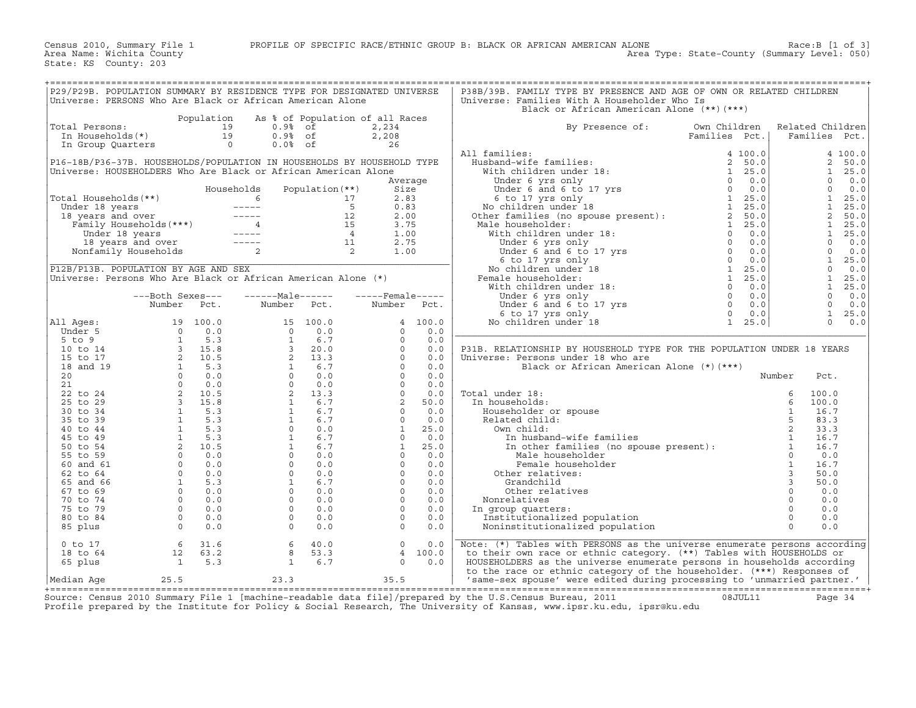| P29/P29B. POPULATION SUMMARY BY RESIDENCE TYPE FOR DESIGNATED UNIVERSE                                                                                                                                                                                |                                                                     |                                                                                                                                                                                                                                                                                          |                |         | P38B/39B. FAMILY TYPE BY PRESENCE AND AGE OF OWN OR RELATED CHILDREN                                                                                                                                                                                                                                                                                                                                                                                                        |               |                  |               |  |
|-------------------------------------------------------------------------------------------------------------------------------------------------------------------------------------------------------------------------------------------------------|---------------------------------------------------------------------|------------------------------------------------------------------------------------------------------------------------------------------------------------------------------------------------------------------------------------------------------------------------------------------|----------------|---------|-----------------------------------------------------------------------------------------------------------------------------------------------------------------------------------------------------------------------------------------------------------------------------------------------------------------------------------------------------------------------------------------------------------------------------------------------------------------------------|---------------|------------------|---------------|--|
| Universe: PERSONS Who Are Black or African American Alone                                                                                                                                                                                             |                                                                     |                                                                                                                                                                                                                                                                                          |                |         | Universe: Families With A Householder Who Is                                                                                                                                                                                                                                                                                                                                                                                                                                |               |                  |               |  |
|                                                                                                                                                                                                                                                       |                                                                     |                                                                                                                                                                                                                                                                                          |                |         | Black or African American Alone (**)(***)                                                                                                                                                                                                                                                                                                                                                                                                                                   |               |                  |               |  |
|                                                                                                                                                                                                                                                       |                                                                     | Population As % of Population of all Races                                                                                                                                                                                                                                               |                |         |                                                                                                                                                                                                                                                                                                                                                                                                                                                                             |               |                  |               |  |
|                                                                                                                                                                                                                                                       |                                                                     | otal Persons:<br>In Households(*)<br>In Group Quarters<br>Contains the Contact of Constant<br>In Group Quarters<br>Constant of Constant<br>Constant of Constant<br>Constant of Constant<br>Constant of Constant<br>Constant of Constant<br>Constan                                       |                |         |                                                                                                                                                                                                                                                                                                                                                                                                                                                                             |               |                  |               |  |
| Total Persons:                                                                                                                                                                                                                                        |                                                                     |                                                                                                                                                                                                                                                                                          | 2,234          |         | By Presence of:                                                                                                                                                                                                                                                                                                                                                                                                                                                             | Own Children  | Related Children |               |  |
|                                                                                                                                                                                                                                                       |                                                                     |                                                                                                                                                                                                                                                                                          | 2,208          |         |                                                                                                                                                                                                                                                                                                                                                                                                                                                                             | Families Pct. |                  | Families Pct. |  |
|                                                                                                                                                                                                                                                       |                                                                     |                                                                                                                                                                                                                                                                                          | $\frac{1}{26}$ |         |                                                                                                                                                                                                                                                                                                                                                                                                                                                                             |               |                  |               |  |
|                                                                                                                                                                                                                                                       |                                                                     |                                                                                                                                                                                                                                                                                          |                |         |                                                                                                                                                                                                                                                                                                                                                                                                                                                                             |               |                  |               |  |
| P16-18B/P36-37B. HOUSEHOLDS/POPULATION IN HOUSEHOLDS BY HOUSEHOLD TYPE                                                                                                                                                                                |                                                                     |                                                                                                                                                                                                                                                                                          |                |         |                                                                                                                                                                                                                                                                                                                                                                                                                                                                             |               |                  |               |  |
| Universe: HOUSEHOLDERS Who Are Black or African American Alone                                                                                                                                                                                        |                                                                     |                                                                                                                                                                                                                                                                                          |                |         |                                                                                                                                                                                                                                                                                                                                                                                                                                                                             |               |                  |               |  |
|                                                                                                                                                                                                                                                       |                                                                     |                                                                                                                                                                                                                                                                                          |                |         |                                                                                                                                                                                                                                                                                                                                                                                                                                                                             |               |                  |               |  |
|                                                                                                                                                                                                                                                       |                                                                     |                                                                                                                                                                                                                                                                                          |                |         |                                                                                                                                                                                                                                                                                                                                                                                                                                                                             |               |                  |               |  |
|                                                                                                                                                                                                                                                       |                                                                     |                                                                                                                                                                                                                                                                                          |                |         |                                                                                                                                                                                                                                                                                                                                                                                                                                                                             |               |                  |               |  |
|                                                                                                                                                                                                                                                       |                                                                     |                                                                                                                                                                                                                                                                                          |                |         |                                                                                                                                                                                                                                                                                                                                                                                                                                                                             |               |                  |               |  |
|                                                                                                                                                                                                                                                       |                                                                     |                                                                                                                                                                                                                                                                                          |                |         |                                                                                                                                                                                                                                                                                                                                                                                                                                                                             |               |                  |               |  |
|                                                                                                                                                                                                                                                       |                                                                     |                                                                                                                                                                                                                                                                                          |                |         |                                                                                                                                                                                                                                                                                                                                                                                                                                                                             |               |                  |               |  |
|                                                                                                                                                                                                                                                       |                                                                     |                                                                                                                                                                                                                                                                                          |                |         |                                                                                                                                                                                                                                                                                                                                                                                                                                                                             |               |                  |               |  |
|                                                                                                                                                                                                                                                       |                                                                     |                                                                                                                                                                                                                                                                                          |                |         |                                                                                                                                                                                                                                                                                                                                                                                                                                                                             |               |                  |               |  |
|                                                                                                                                                                                                                                                       |                                                                     |                                                                                                                                                                                                                                                                                          |                |         |                                                                                                                                                                                                                                                                                                                                                                                                                                                                             |               |                  |               |  |
|                                                                                                                                                                                                                                                       |                                                                     |                                                                                                                                                                                                                                                                                          |                |         |                                                                                                                                                                                                                                                                                                                                                                                                                                                                             |               |                  |               |  |
| Universe: HOUSEHOLDDERN MARK HOUSEHOLDS<br>Total Households (**)<br>Under 18 years<br>18 years and over<br>Family Households (***)<br>16 17 2.83<br>18 years and over<br>Family Households<br>18 years and over<br>16 15 3.75<br>16 16 16 17 2.90<br> |                                                                     |                                                                                                                                                                                                                                                                                          |                |         | $\begin{tabular}{ c c c c c } \hline &\textbf{All families:} &\textbf{ramities } &\textbf{rec.} &\textbf{ramities } &\textbf{rec.} \\ \hline \textbf{HusbAnd-wife families:} & 4& 100.0 \\ \hline \textbf{With children under 18:} & 2& 50.0 \\ \textbf{What children under 18:} & 1& 25.0 \\ \textbf{Under 6 and 6 to 17 yrs} & 0& 0.0 \\ \textbf{No children under 18 & 1& 25.0 \\ \textbf{Note: familiar under 18:} & 1& 25.0 \\ \textbf{Other familiar under 18:} & 1&$ |               |                  |               |  |
|                                                                                                                                                                                                                                                       |                                                                     |                                                                                                                                                                                                                                                                                          |                |         |                                                                                                                                                                                                                                                                                                                                                                                                                                                                             |               |                  |               |  |
| Universe: Persons Who Are Black or African American Alone (*)                                                                                                                                                                                         |                                                                     |                                                                                                                                                                                                                                                                                          |                |         |                                                                                                                                                                                                                                                                                                                                                                                                                                                                             |               |                  |               |  |
|                                                                                                                                                                                                                                                       |                                                                     |                                                                                                                                                                                                                                                                                          |                |         |                                                                                                                                                                                                                                                                                                                                                                                                                                                                             |               |                  |               |  |
|                                                                                                                                                                                                                                                       | ---Both Sexes---                                                    |                                                                                                                                                                                                                                                                                          |                |         |                                                                                                                                                                                                                                                                                                                                                                                                                                                                             |               |                  |               |  |
|                                                                                                                                                                                                                                                       | Number Pct.                                                         | Number                                                                                                                                                                                                                                                                                   |                |         |                                                                                                                                                                                                                                                                                                                                                                                                                                                                             |               |                  |               |  |
|                                                                                                                                                                                                                                                       |                                                                     |                                                                                                                                                                                                                                                                                          |                |         |                                                                                                                                                                                                                                                                                                                                                                                                                                                                             |               |                  |               |  |
| All Ages:                                                                                                                                                                                                                                             |                                                                     |                                                                                                                                                                                                                                                                                          |                |         |                                                                                                                                                                                                                                                                                                                                                                                                                                                                             |               |                  |               |  |
|                                                                                                                                                                                                                                                       |                                                                     |                                                                                                                                                                                                                                                                                          |                |         |                                                                                                                                                                                                                                                                                                                                                                                                                                                                             |               |                  |               |  |
|                                                                                                                                                                                                                                                       |                                                                     |                                                                                                                                                                                                                                                                                          |                |         |                                                                                                                                                                                                                                                                                                                                                                                                                                                                             |               |                  |               |  |
|                                                                                                                                                                                                                                                       |                                                                     |                                                                                                                                                                                                                                                                                          |                |         | P31B. RELATIONSHIP BY HOUSEHOLD TYPE FOR THE POPULATION UNDER 18 YEARS                                                                                                                                                                                                                                                                                                                                                                                                      |               |                  |               |  |
|                                                                                                                                                                                                                                                       |                                                                     |                                                                                                                                                                                                                                                                                          |                |         | Universe: Persons under 18 who are                                                                                                                                                                                                                                                                                                                                                                                                                                          |               |                  |               |  |
|                                                                                                                                                                                                                                                       |                                                                     |                                                                                                                                                                                                                                                                                          |                |         | Black or African American Alone (*) (***)                                                                                                                                                                                                                                                                                                                                                                                                                                   |               |                  |               |  |
|                                                                                                                                                                                                                                                       |                                                                     |                                                                                                                                                                                                                                                                                          |                |         |                                                                                                                                                                                                                                                                                                                                                                                                                                                                             |               | Number           | Pct.          |  |
|                                                                                                                                                                                                                                                       |                                                                     |                                                                                                                                                                                                                                                                                          |                |         |                                                                                                                                                                                                                                                                                                                                                                                                                                                                             |               |                  |               |  |
|                                                                                                                                                                                                                                                       |                                                                     |                                                                                                                                                                                                                                                                                          |                |         |                                                                                                                                                                                                                                                                                                                                                                                                                                                                             |               |                  | 100.0         |  |
|                                                                                                                                                                                                                                                       |                                                                     |                                                                                                                                                                                                                                                                                          |                |         |                                                                                                                                                                                                                                                                                                                                                                                                                                                                             |               |                  | 100.0         |  |
|                                                                                                                                                                                                                                                       |                                                                     |                                                                                                                                                                                                                                                                                          |                |         |                                                                                                                                                                                                                                                                                                                                                                                                                                                                             |               |                  |               |  |
|                                                                                                                                                                                                                                                       |                                                                     |                                                                                                                                                                                                                                                                                          |                |         |                                                                                                                                                                                                                                                                                                                                                                                                                                                                             |               |                  | 16.7          |  |
|                                                                                                                                                                                                                                                       |                                                                     |                                                                                                                                                                                                                                                                                          |                |         |                                                                                                                                                                                                                                                                                                                                                                                                                                                                             |               |                  | 83.3          |  |
|                                                                                                                                                                                                                                                       |                                                                     |                                                                                                                                                                                                                                                                                          |                |         | Total under 18:<br>In households:<br>Householder or spouse<br>Related child:<br>Own child:<br>In husband-wife families<br>In other families (no spouse present):<br>In Male householder<br>Fremale householder<br>Fremale householder<br>Fremale h                                                                                                                                                                                                                          |               |                  | 33.3          |  |
|                                                                                                                                                                                                                                                       |                                                                     |                                                                                                                                                                                                                                                                                          |                |         |                                                                                                                                                                                                                                                                                                                                                                                                                                                                             |               |                  | 16.7          |  |
|                                                                                                                                                                                                                                                       |                                                                     |                                                                                                                                                                                                                                                                                          |                |         |                                                                                                                                                                                                                                                                                                                                                                                                                                                                             |               |                  | 16.7          |  |
|                                                                                                                                                                                                                                                       |                                                                     |                                                                                                                                                                                                                                                                                          |                |         |                                                                                                                                                                                                                                                                                                                                                                                                                                                                             |               |                  | 0.0           |  |
|                                                                                                                                                                                                                                                       |                                                                     |                                                                                                                                                                                                                                                                                          |                |         |                                                                                                                                                                                                                                                                                                                                                                                                                                                                             |               |                  | 16.7          |  |
|                                                                                                                                                                                                                                                       |                                                                     |                                                                                                                                                                                                                                                                                          |                |         |                                                                                                                                                                                                                                                                                                                                                                                                                                                                             |               |                  | 50.0          |  |
|                                                                                                                                                                                                                                                       |                                                                     |                                                                                                                                                                                                                                                                                          |                |         |                                                                                                                                                                                                                                                                                                                                                                                                                                                                             |               |                  | 50.0          |  |
|                                                                                                                                                                                                                                                       |                                                                     |                                                                                                                                                                                                                                                                                          |                |         |                                                                                                                                                                                                                                                                                                                                                                                                                                                                             |               |                  | 0.0           |  |
|                                                                                                                                                                                                                                                       |                                                                     |                                                                                                                                                                                                                                                                                          |                |         |                                                                                                                                                                                                                                                                                                                                                                                                                                                                             |               |                  | 0.0           |  |
|                                                                                                                                                                                                                                                       |                                                                     |                                                                                                                                                                                                                                                                                          |                |         |                                                                                                                                                                                                                                                                                                                                                                                                                                                                             |               |                  | 0.0           |  |
|                                                                                                                                                                                                                                                       |                                                                     |                                                                                                                                                                                                                                                                                          |                |         |                                                                                                                                                                                                                                                                                                                                                                                                                                                                             |               |                  | 0.0           |  |
|                                                                                                                                                                                                                                                       |                                                                     |                                                                                                                                                                                                                                                                                          |                |         |                                                                                                                                                                                                                                                                                                                                                                                                                                                                             |               |                  | 0.0           |  |
|                                                                                                                                                                                                                                                       |                                                                     |                                                                                                                                                                                                                                                                                          |                |         |                                                                                                                                                                                                                                                                                                                                                                                                                                                                             |               |                  |               |  |
| $0$ to $17$                                                                                                                                                                                                                                           |                                                                     | Null Ages:<br>Under 5<br>5 to 9<br>10 100.0<br>5 to 9<br>10 to 14<br>15 to 17<br>15 to 17<br>16 and 19<br>21<br>16 3<br>16 3<br>16 3<br>16 3<br>16 3<br>20 0 0.0<br>22<br>21<br>20 0 0.0<br>22<br>20 0 0.0<br>22<br>20 0 0.0<br>22<br>20 0 0.0<br>22<br>20 0 0.0<br>22<br>20 0 0.0<br>22 | $\circ$        | 0.0     | Note: (*) Tables with PERSONS as the universe enumerate persons according                                                                                                                                                                                                                                                                                                                                                                                                   |               |                  |               |  |
|                                                                                                                                                                                                                                                       | $\begin{array}{ccc} & 6 & 31.6 \\ 12 & 63.2 \\ 1 & 5.3 \end{array}$ | $\begin{array}{ccc} 6 & 40.0 \\ 8 & 53.3 \\ 1 & 6.7 \end{array}$                                                                                                                                                                                                                         |                |         |                                                                                                                                                                                                                                                                                                                                                                                                                                                                             |               |                  |               |  |
| 18 to 64                                                                                                                                                                                                                                              |                                                                     |                                                                                                                                                                                                                                                                                          |                | 4 100.0 | to their own race or ethnic category. (**) Tables with HOUSEHOLDS or                                                                                                                                                                                                                                                                                                                                                                                                        |               |                  |               |  |
| 65 plus                                                                                                                                                                                                                                               |                                                                     |                                                                                                                                                                                                                                                                                          | $\Omega$       | 0.0     | HOUSEHOLDERS as the universe enumerate persons in households according                                                                                                                                                                                                                                                                                                                                                                                                      |               |                  |               |  |
|                                                                                                                                                                                                                                                       |                                                                     |                                                                                                                                                                                                                                                                                          |                |         | to the race or ethnic category of the householder. (***) Responses of                                                                                                                                                                                                                                                                                                                                                                                                       |               |                  |               |  |
| Median Age                                                                                                                                                                                                                                            | 25.5                                                                | 23.3                                                                                                                                                                                                                                                                                     | 35.5           |         | 'same-sex spouse' were edited during processing to 'unmarried partner.'                                                                                                                                                                                                                                                                                                                                                                                                     |               |                  |               |  |

+===================================================================================================================================================+ Source: Census 2010 Summary File 1 [machine−readable data file]/prepared by the U.S.Census Bureau, 2011 08JUL11 Page 34 Profile prepared by the Institute for Policy & Social Research, The University of Kansas, www.ipsr.ku.edu, ipsr@ku.edu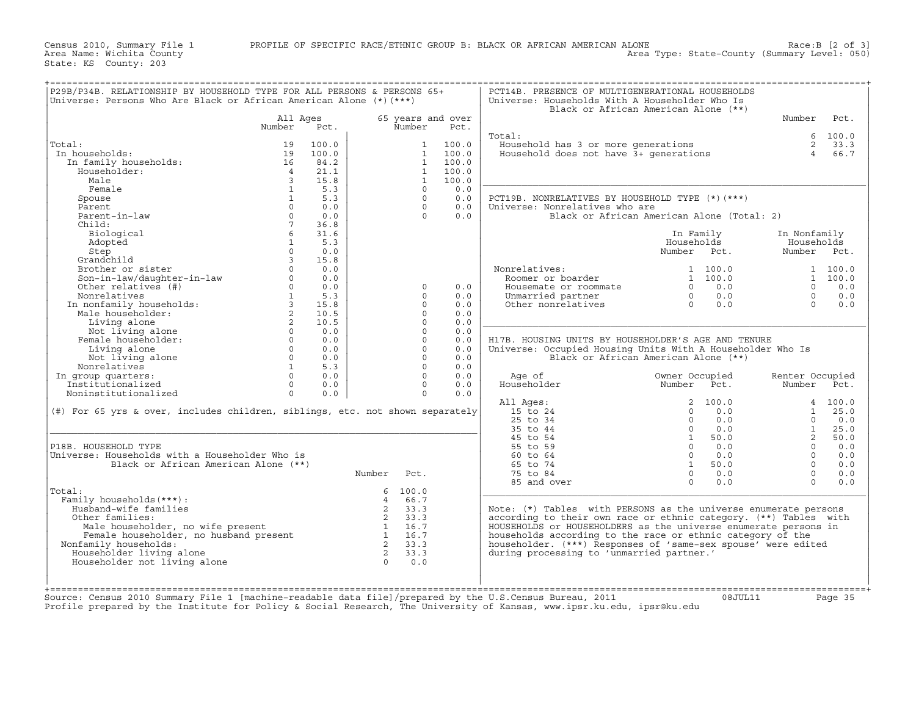Census 2010, Summary File 1 PROFILE OF SPECIFIC RACE/ETHNIC GROUP B: BLACK OR AFRICAN AMERICAN ALONE Race:B [2 of 3] Area Name: Wichita County Area Type: State−County (Summary Level: 050)

State: KS County: 203

| Universe: Persons Who Are Black or African American Alone $(*)$ (***)                                                                                                                                                                                  |                         |       |                                                                              |                                                     |                   | Universe: Households With A Householder Who Is                                | Black or African American Alone (**)       |                     |               |
|--------------------------------------------------------------------------------------------------------------------------------------------------------------------------------------------------------------------------------------------------------|-------------------------|-------|------------------------------------------------------------------------------|-----------------------------------------------------|-------------------|-------------------------------------------------------------------------------|--------------------------------------------|---------------------|---------------|
|                                                                                                                                                                                                                                                        | All Ages                |       |                                                                              |                                                     | 65 years and over |                                                                               |                                            | Number              | Pct.          |
|                                                                                                                                                                                                                                                        | Number                  | Pct.  |                                                                              | Number                                              | Pct.              |                                                                               |                                            |                     |               |
| Total:                                                                                                                                                                                                                                                 | 19                      | 100.0 |                                                                              | $\mathbf{1}$                                        | 100.0             | Total:                                                                        |                                            | 6<br>$\overline{2}$ | 100.0<br>33.3 |
| In households:                                                                                                                                                                                                                                         | 19                      | 100.0 |                                                                              | 1                                                   | 100.0             | Jousehold has 3 or more generations<br>Household does not have 3+ generations |                                            | $\overline{4}$      | 66.7          |
| In family households:                                                                                                                                                                                                                                  |                         | 84.2  |                                                                              | $\mathbf{1}$                                        | 100.0             |                                                                               |                                            |                     |               |
| Householder:                                                                                                                                                                                                                                           | 16<br>$\overline{4}$    | 21.1  |                                                                              | 1                                                   | 100.0             |                                                                               |                                            |                     |               |
| Male                                                                                                                                                                                                                                                   | $\overline{\mathbf{3}}$ | 15.8  |                                                                              | $\overline{1}$                                      | 100.0             |                                                                               |                                            |                     |               |
| Female                                                                                                                                                                                                                                                 | $\overline{1}$          | 5.3   |                                                                              | $\Omega$                                            | 0.0               |                                                                               |                                            |                     |               |
| Spouse                                                                                                                                                                                                                                                 | 1                       | 5.3   |                                                                              | $\Omega$                                            | 0.0               | PCT19B. NONRELATIVES BY HOUSEHOLD TYPE (*) (***)                              |                                            |                     |               |
| Parent                                                                                                                                                                                                                                                 | $\Omega$                | 0.0   |                                                                              | $\Omega$                                            | 0.0               | Universe: Nonrelatives who are                                                |                                            |                     |               |
| Parent-in-law                                                                                                                                                                                                                                          | $\Omega$                | 0.0   |                                                                              | $\Omega$                                            | 0.0               |                                                                               | Black or African American Alone (Total: 2) |                     |               |
| Child:                                                                                                                                                                                                                                                 | $7^{\circ}$             | 36.8  |                                                                              |                                                     |                   |                                                                               |                                            |                     |               |
| Biological                                                                                                                                                                                                                                             | 6 <sup>6</sup>          | 31.6  |                                                                              |                                                     |                   |                                                                               | In Family                                  | In Nonfamily        |               |
| Adopted                                                                                                                                                                                                                                                | $\mathbf{1}$            | 5.3   |                                                                              |                                                     |                   |                                                                               | Households                                 | Households          |               |
| Adopted<br>Step<br>Grandchild<br>Brother or sister<br>Son-in-law/daughter-in-law<br>Other relatives (#)<br>Monrelatives (#)<br>Monrelatives 1 5.3<br>In nonfamily households:<br>Male householder:<br>Living alone<br>Not living alone<br>Not living a |                         |       |                                                                              |                                                     |                   |                                                                               | Number Pct.                                | Number Pct.         |               |
|                                                                                                                                                                                                                                                        |                         |       |                                                                              |                                                     |                   |                                                                               |                                            |                     |               |
|                                                                                                                                                                                                                                                        |                         |       |                                                                              |                                                     |                   | Nonrelatives:                                                                 | 1 100.0                                    |                     | 1 100.0       |
|                                                                                                                                                                                                                                                        |                         |       |                                                                              |                                                     |                   | Roomer or boarder                                                             | 1 100.0                                    |                     | 1 100.0       |
|                                                                                                                                                                                                                                                        |                         |       |                                                                              | $\Omega$                                            | 0.0               | Housemate or roommate                                                         | $0 \t 0.0$                                 | $\Omega$            | 0.0           |
|                                                                                                                                                                                                                                                        |                         |       |                                                                              | $\Omega$                                            | 0.0               | Unmarried partner                                                             | 0.0<br>$\Omega$                            | $\Omega$            | 0.0           |
|                                                                                                                                                                                                                                                        |                         |       |                                                                              | $\Omega$                                            | 0.0               | Other nonrelatives                                                            | $\overline{0}$<br>0.0                      | $\Omega$            | 0.0           |
|                                                                                                                                                                                                                                                        |                         |       |                                                                              | $\Omega$                                            | 0.0               |                                                                               |                                            |                     |               |
|                                                                                                                                                                                                                                                        |                         |       |                                                                              | $\Omega$                                            | 0.0               |                                                                               |                                            |                     |               |
|                                                                                                                                                                                                                                                        |                         |       |                                                                              | $\Omega$                                            | 0.0               |                                                                               |                                            |                     |               |
|                                                                                                                                                                                                                                                        |                         |       |                                                                              | $\Omega$                                            | 0.0               | H17B. HOUSING UNITS BY HOUSEHOLDER'S AGE AND TENURE                           |                                            |                     |               |
|                                                                                                                                                                                                                                                        |                         |       |                                                                              | $\Omega$                                            | 0.0               | Universe: Occupied Housing Units With A Householder Who Is                    |                                            |                     |               |
|                                                                                                                                                                                                                                                        |                         |       |                                                                              | $\Omega$                                            | 0.0               |                                                                               | Black or African American Alone (**)       |                     |               |
| Nonrelatives                                                                                                                                                                                                                                           | 1                       | 5.3   |                                                                              | $\Omega$                                            | 0.0               |                                                                               |                                            |                     |               |
| In group quarters:                                                                                                                                                                                                                                     | $\Omega$                | 0.0   |                                                                              | $\Omega$                                            | 0.0               | Age of                                                                        | Owner Occupied                             | Renter Occupied     |               |
| Institutionalized                                                                                                                                                                                                                                      | $\Omega$                | 0.0   |                                                                              | $\Omega$                                            | 0.0               | Householder                                                                   | Number Pct.                                | Number              | Pct.          |
| Noninstitutionalized                                                                                                                                                                                                                                   | $\Omega$                | 0.0   |                                                                              | $\Omega$                                            | 0.0               |                                                                               |                                            |                     |               |
|                                                                                                                                                                                                                                                        |                         |       |                                                                              |                                                     |                   | All Ages:                                                                     | 2, 100.0                                   |                     | 4 100.0       |
| (#) For 65 yrs & over, includes children, siblings, etc. not shown separately                                                                                                                                                                          |                         |       |                                                                              |                                                     |                   | 15 to 24                                                                      | 0.0<br>$\Omega$                            |                     | $1 \t 25.0$   |
|                                                                                                                                                                                                                                                        |                         |       |                                                                              |                                                     |                   | $25$ to $34$                                                                  | $\Omega$<br>0.0                            | $\Omega$            | 0.0           |
|                                                                                                                                                                                                                                                        |                         |       |                                                                              |                                                     |                   | 35 to 44                                                                      | $\overline{0}$<br>0.0                      | 1                   | 25.0          |
|                                                                                                                                                                                                                                                        |                         |       |                                                                              |                                                     |                   | 45 to 54                                                                      | $\sim$ 1<br>50.0                           | $2^{\circ}$         | 50.0          |
| P18B. HOUSEHOLD TYPE                                                                                                                                                                                                                                   |                         |       |                                                                              |                                                     |                   | 55 to 59                                                                      | $\overline{0}$<br>0.0                      | $\Omega$            | 0.0           |
| Universe: Households with a Householder Who is                                                                                                                                                                                                         |                         |       |                                                                              |                                                     |                   | 60 to 64                                                                      | $\overline{0}$<br>0.0                      | $\Omega$            | 0.0           |
| Black or African American Alone (**)                                                                                                                                                                                                                   |                         |       |                                                                              |                                                     |                   | 65 to 74                                                                      | 50.0<br>$\mathbf{1}$                       | $\Omega$            | 0.0           |
|                                                                                                                                                                                                                                                        |                         |       | Number                                                                       | Pct.                                                |                   | 75 to 84                                                                      | 0.0<br>$\Omega$                            | $\Omega$            | 0.0           |
|                                                                                                                                                                                                                                                        |                         |       |                                                                              |                                                     |                   | 85 and over                                                                   | $\Omega$<br>0.0                            | $\cap$              | 0.0           |
| Total:                                                                                                                                                                                                                                                 |                         |       |                                                                              | 6 100.0                                             |                   |                                                                               |                                            |                     |               |
| Family households (***) :                                                                                                                                                                                                                              |                         |       | $\overline{4}$                                                               | 66.7                                                |                   |                                                                               |                                            |                     |               |
| Husband-wife families                                                                                                                                                                                                                                  |                         |       |                                                                              | 2 33.3                                              |                   | Note: $(*)$ Tables with PERSONS as the universe enumerate persons             |                                            |                     |               |
| Other families:                                                                                                                                                                                                                                        |                         |       | $\frac{2}{2}$ 33.3                                                           |                                                     |                   | according to their own race or ethnic category. (**) Tables with              |                                            |                     |               |
| Male householder, no wife present<br>Female householder, no husband present<br>Family households:<br>Male householder, no wife present                                                                                                                 |                         |       | $\begin{array}{ccc} 1 & 1.6 \\ 1 & 16.7 \\ 2 & 33.3 \\ 2 & 33.3 \end{array}$ |                                                     |                   | HOUSEHOLDS or HOUSEHOLDERS as the universe enumerate persons in               |                                            |                     |               |
|                                                                                                                                                                                                                                                        |                         |       |                                                                              |                                                     |                   | households according to the race or ethnic category of the                    |                                            |                     |               |
| Nonfamily households:                                                                                                                                                                                                                                  |                         |       |                                                                              |                                                     |                   | householder. (***) Responses of 'same-sex spouse' were edited                 |                                            |                     |               |
| Householder living alone                                                                                                                                                                                                                               |                         |       |                                                                              |                                                     |                   | during processing to 'unmarried partner.'                                     |                                            |                     |               |
| Householder not living alone                                                                                                                                                                                                                           |                         |       |                                                                              | $\begin{bmatrix} 2 & 33.3 \\ 0 & 0.0 \end{bmatrix}$ |                   |                                                                               |                                            |                     |               |
|                                                                                                                                                                                                                                                        |                         |       |                                                                              |                                                     |                   |                                                                               |                                            |                     |               |

Source: Census 2010 Summary File 1 [machine−readable data file]/prepared by the U.S.Census Bureau, 2011 08JUL11 Page 35 Profile prepared by the Institute for Policy & Social Research, The University of Kansas, www.ipsr.ku.edu, ipsr@ku.edu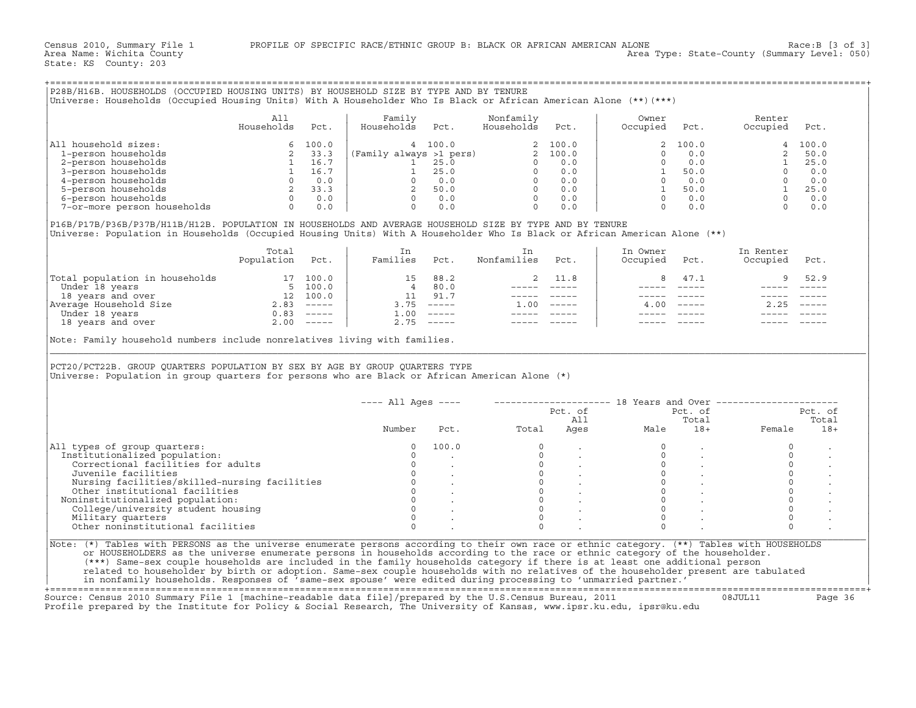|                                                                                                                                                                                                                                                                         | All             |         |                                                                                                                                                                                                                                                                                            |                                                                                                 |                         |              |                                                      |                                                   |                                                                                                    |                |
|-------------------------------------------------------------------------------------------------------------------------------------------------------------------------------------------------------------------------------------------------------------------------|-----------------|---------|--------------------------------------------------------------------------------------------------------------------------------------------------------------------------------------------------------------------------------------------------------------------------------------------|-------------------------------------------------------------------------------------------------|-------------------------|--------------|------------------------------------------------------|---------------------------------------------------|----------------------------------------------------------------------------------------------------|----------------|
|                                                                                                                                                                                                                                                                         | Households      | Pct.    | Family<br>Households                                                                                                                                                                                                                                                                       | Pct.                                                                                            | Nonfamily<br>Households | Pct.         | Owner<br>Occupied                                    | Pct.                                              | Renter<br>Occupied                                                                                 | Pct.           |
| All household sizes:                                                                                                                                                                                                                                                    |                 | 6 100.0 |                                                                                                                                                                                                                                                                                            | 4 100.0                                                                                         |                         | 2 100.0      | 2                                                    | 100.0                                             |                                                                                                    | 4 100.0        |
| 1-person households                                                                                                                                                                                                                                                     |                 |         |                                                                                                                                                                                                                                                                                            |                                                                                                 |                         |              |                                                      | 0.0                                               |                                                                                                    | 2, 50, 0       |
| 2-person households                                                                                                                                                                                                                                                     |                 |         |                                                                                                                                                                                                                                                                                            |                                                                                                 |                         |              | $\Omega$                                             | 0.0                                               | $\overline{\mathbf{1}}$                                                                            | 25.0           |
| 3-person households                                                                                                                                                                                                                                                     |                 |         |                                                                                                                                                                                                                                                                                            |                                                                                                 |                         |              |                                                      |                                                   |                                                                                                    |                |
| 4-person households                                                                                                                                                                                                                                                     |                 |         |                                                                                                                                                                                                                                                                                            |                                                                                                 |                         |              | $\begin{array}{ccc} 1 & 50.0 \\ 0 & 0.0 \end{array}$ |                                                   |                                                                                                    |                |
| 5-person households                                                                                                                                                                                                                                                     |                 |         |                                                                                                                                                                                                                                                                                            |                                                                                                 |                         |              |                                                      |                                                   |                                                                                                    |                |
| 6-person households                                                                                                                                                                                                                                                     |                 |         |                                                                                                                                                                                                                                                                                            |                                                                                                 |                         |              |                                                      | $\begin{matrix} 1 & 50.0 \\ 0 & 0.0 \end{matrix}$ |                                                                                                    |                |
| 7-or-more person households                                                                                                                                                                                                                                             |                 |         | 2 33.3<br>2 33.3<br>2 33.3<br>1 16.7<br>1 25.0<br>0 0.0<br>2 33.3<br>3 0 0.0<br>2 33.3<br>2 50.0<br>0 0.0<br>2 33.3<br>2 50.0<br>0 0.0<br>0 0.0<br>0 0.0<br>0 0.0<br>0 0.0<br>0 0.0<br>0 0.0<br>0 0.0<br>0 0.0<br>0 0.0<br>0 0.0<br>0 0.0<br>0 0.0<br>0 0.0<br>0 0.0<br>0 0.0<br>0 0.0<br> |                                                                                                 |                         |              |                                                      | $\Omega$<br>0.0                                   | $\begin{bmatrix} 0 & 0.0 \\ 0 & 0.0 \\ 1 & 25.0 \\ 0 & 0.0 \\ 0 & 0.0 \\ 0 & 0.0 \\ \end{bmatrix}$ |                |
| P16B/P17B/P36B/P37B/H11B/H12B. POPULATION IN HOUSEHOLDS AND AVERAGE HOUSEHOLD SIZE BY TYPE AND BY TENURE<br>Universe: Population in Households (Occupied Housing Units) With A Householder Who Is Black or African American Alone (**)                                  |                 |         |                                                                                                                                                                                                                                                                                            |                                                                                                 |                         |              |                                                      |                                                   |                                                                                                    |                |
|                                                                                                                                                                                                                                                                         | Total           |         | In                                                                                                                                                                                                                                                                                         |                                                                                                 | In                      |              | In Owner                                             |                                                   | In Renter                                                                                          |                |
|                                                                                                                                                                                                                                                                         | Population Pct. |         | Families Pct.                                                                                                                                                                                                                                                                              |                                                                                                 | Nonfamilies Pct.        |              | Occupied                                             | Pct.                                              | Occupied Pct.                                                                                      |                |
|                                                                                                                                                                                                                                                                         |                 |         |                                                                                                                                                                                                                                                                                            | 15 88.2                                                                                         | 2                       | 11.8         | 8                                                    | 47.1                                              | 9                                                                                                  | 52.9           |
|                                                                                                                                                                                                                                                                         |                 |         |                                                                                                                                                                                                                                                                                            | $\begin{bmatrix} 4 & 80.0 \\ 11 & 91.7 \end{bmatrix}$                                           |                         |              |                                                      | ----- -----                                       |                                                                                                    |                |
|                                                                                                                                                                                                                                                                         |                 |         |                                                                                                                                                                                                                                                                                            |                                                                                                 |                         |              |                                                      |                                                   |                                                                                                    |                |
|                                                                                                                                                                                                                                                                         |                 |         |                                                                                                                                                                                                                                                                                            | $3.75$ -----                                                                                    | ______________          | $1.00$ ----- |                                                      | $4.00$ -----                                      | $2.25$ -----                                                                                       |                |
|                                                                                                                                                                                                                                                                         |                 |         |                                                                                                                                                                                                                                                                                            |                                                                                                 |                         |              |                                                      |                                                   |                                                                                                    |                |
|                                                                                                                                                                                                                                                                         |                 |         | $1.00$ -----                                                                                                                                                                                                                                                                               | $2.75$ -----                                                                                    |                         |              |                                                      |                                                   |                                                                                                    |                |
| Total population in households<br>Under 18 years<br>17 100.0<br>Under 18 years<br>18 years<br>2.83 -----<br>Under 18 years<br>18 years<br>18 years<br>18 years<br>2.00 -----<br>2.00 -----<br>Note: Family household numbers include nonrelatives living with families. |                 |         |                                                                                                                                                                                                                                                                                            |                                                                                                 |                         |              |                                                      |                                                   |                                                                                                    |                |
| PCT20/PCT22B. GROUP QUARTERS POPULATION BY SEX BY AGE BY GROUP QUARTERS TYPE<br>Universe: Population in group quarters for persons who are Black or African American Alone (*)                                                                                          |                 |         |                                                                                                                                                                                                                                                                                            |                                                                                                 |                         |              |                                                      |                                                   |                                                                                                    |                |
|                                                                                                                                                                                                                                                                         |                 |         | $---$ All Ages $---$                                                                                                                                                                                                                                                                       |                                                                                                 |                         |              |                                                      |                                                   | -------------------- 18 Years and Over ----------------------                                      |                |
|                                                                                                                                                                                                                                                                         |                 |         |                                                                                                                                                                                                                                                                                            |                                                                                                 |                         |              |                                                      | Pct. of                                           |                                                                                                    | Pct. of        |
|                                                                                                                                                                                                                                                                         |                 |         | Number                                                                                                                                                                                                                                                                                     |                                                                                                 | Pct. Total              |              | Pct. of<br>All<br>Ages Male                          | Total                                             | 18+ Female                                                                                         | Total<br>$18+$ |
| All types of group quarters:                                                                                                                                                                                                                                            |                 |         | $\circ$                                                                                                                                                                                                                                                                                    | 100.0                                                                                           | $\circ$                 |              | $\circ$                                              |                                                   | $\mathbf 0$                                                                                        |                |
| Institutionalized population:                                                                                                                                                                                                                                           |                 |         | $\circ$                                                                                                                                                                                                                                                                                    |                                                                                                 |                         |              | $\circ$                                              | $\sim$                                            | $\circ$                                                                                            |                |
| Correctional facilities for adults                                                                                                                                                                                                                                      |                 |         | $\overline{0}$                                                                                                                                                                                                                                                                             |                                                                                                 |                         |              |                                                      | $0 \qquad \qquad$                                 | $\circ$                                                                                            |                |
| Juvenile facilities                                                                                                                                                                                                                                                     |                 |         | $\mathbf{0}$                                                                                                                                                                                                                                                                               |                                                                                                 |                         |              |                                                      |                                                   | $\mathsf O$                                                                                        |                |
|                                                                                                                                                                                                                                                                         |                 |         |                                                                                                                                                                                                                                                                                            |                                                                                                 |                         |              |                                                      |                                                   | $\mathbb O$                                                                                        |                |
|                                                                                                                                                                                                                                                                         |                 |         |                                                                                                                                                                                                                                                                                            |                                                                                                 |                         |              |                                                      | $\begin{matrix}0&\ &\ &0\ &0&\ \end{matrix}$ .    | $\circ$                                                                                            |                |
| Noninstitutionalized population:                                                                                                                                                                                                                                        |                 |         |                                                                                                                                                                                                                                                                                            | $\begin{matrix} 0 & & \cdot & \cdot \\ 0 & & \cdot & \cdot \\ 0 & & \cdot & \cdot \end{matrix}$ |                         |              |                                                      | $\begin{matrix} 0 & \cdots & \cdots \end{matrix}$ | $\mathbf 0$                                                                                        |                |
| Nursing facilities/skilled-nursing facilities<br>Other institutional facilities<br>pointing facilities<br>oninstitutionalized population:<br>College/university student housing<br>College/university student housing                                                   |                 |         | $\Omega$                                                                                                                                                                                                                                                                                   |                                                                                                 | $\Omega$                |              | $\Omega$                                             |                                                   | $\circ$                                                                                            |                |
| Military quarters                                                                                                                                                                                                                                                       |                 |         | $\circ$                                                                                                                                                                                                                                                                                    |                                                                                                 | $\Omega$                |              | $\Omega$                                             |                                                   | $\circ$                                                                                            |                |
| Other noninstitutional facilities                                                                                                                                                                                                                                       |                 |         | $\Omega$                                                                                                                                                                                                                                                                                   |                                                                                                 |                         |              | $\Omega$                                             |                                                   |                                                                                                    |                |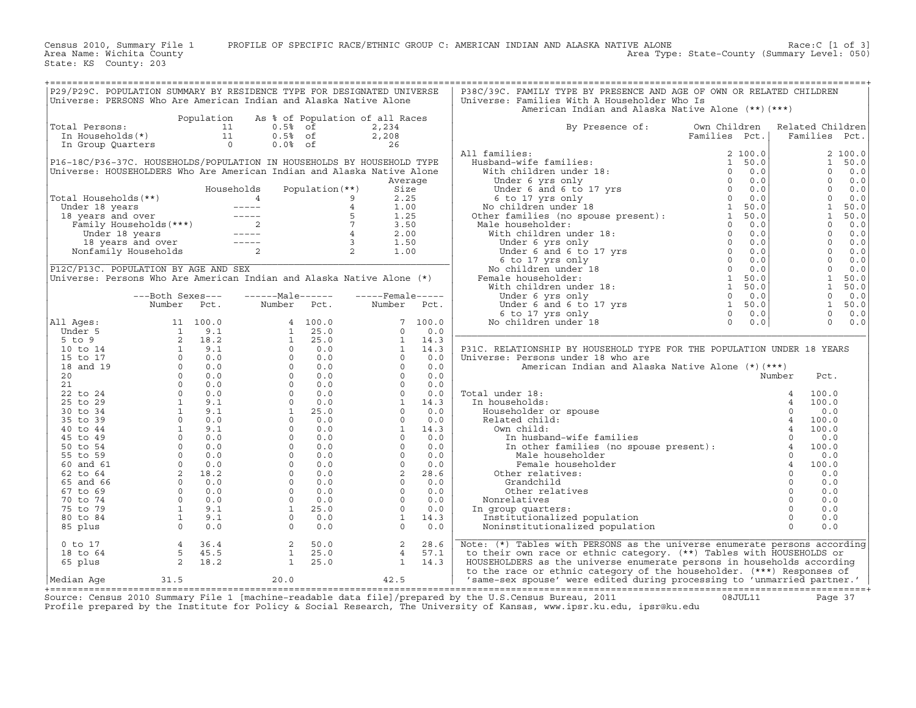Census 2010, Summary File 1 PROFILE OF SPECIFIC RACE/ETHNIC GROUP C: AMERICAN INDIAN AND ALASKA NATIVE ALONE Race:C [1 of 3]<br>Area Name: Wichita County (summary Level: 050) Area Type: State-County (Summary Level: 050)

State: KS County: 203

| P29/P29C. POPULATION SUMMARY BY RESIDENCE TYPE FOR DESIGNATED UNIVERSE<br>P38C/39C. FAMILY TYPE BY PRESENCE AND AGE OF OWN OR RELATED CHILDREN<br>Universe: PERSONS Who Are American Indian and Alaska Native Alone<br>Universe: Families With A Householder Who Is<br>American Indian and Alaska Native Alone (**) (***)<br>Population As % of Population of all Races<br>otal Persons:<br>In Households (*)<br>In Group Quarters<br>2,234<br>In Group Quarters<br>26<br>26<br>Total Persons:<br>By Presence of:<br>Own Children<br>Related Children<br>Families Pct.<br>Families Pct.<br>All families:<br>2, 100.0<br>$\begin{tabular}{ll} \bf 11 families: & \tt 2 100.0 \\ \bf Hubband-wife families: & \tt 1 50.0 \\ \text{With children under 18: & \tt 0 0.0 \\ \text{Under 6 and 6 to 17 yrs} & \tt 0 0.0 \\ \text{Under 6 and 6 to 17 yrs} & \tt 0 0.0 \\ \text{So to 17 yrs only} & \tt 0 0.0 \\ \text{Note: familiar under 18} & \tt 1 50.0 \\ \text{Other families (no spouse present): & \tt 1 50.0 \\ \text{Male householder:} & \tt 0 0.0 \\ \end{tabular}$<br>P16-18C/P36-37C. HOUSEHOLDS/POPULATION IN HOUSEHOLDS BY HOUSEHOLD TYPE<br>1<br>50.0<br>Universe: HOUSEHOLDERS Who Are American Indian and Alaska Native Alone<br>$\Omega$<br>0.0<br>$\begin{bmatrix} 0 \\ 0 \\ 0 \\ 1 \\ 0 \\ 0 \end{bmatrix}$<br>$0 \t 0.0$<br>Average<br>$0 \t 0.0$<br>Total Households (**)<br>Total Households (**)<br>Under 18 years<br>18 years<br>18 years<br>18 years<br>Tamily Households (***)<br>18 years<br>18 years<br>18 years<br>18 years<br>18 years<br>18 years<br>18 years<br>18 years<br>2<br>2<br>2<br>2<br>1.00<br>2<br>1.00<br>0.0<br>50.0<br>50.0<br>Under house<br>Male householder:<br>With children under 18:<br>Under 6 yrs only<br>Under 6 and 6 to 17 yrs<br>6 to 17 yrs<br>Solidren under 18<br>Male householder:<br>With children under 18:<br>The male householder:<br>With children under 18:<br>0.0<br>$\begin{bmatrix} 0 & 0 & 0 \\ 0 & 0 & 0 \\ 0 & 0 & 0 \\ 0 & 0 & 0 \\ 0 & 0 & 0 \\ 0 & 0 & 0 \\ 1 & 50 & 0 \\ 1 & 50 & 0 \\ 0 & 0 & 0 \\ 0 & 0 & 0 \\ 0 & 0 & 0 \\ 0 & 0 & 0 \\ 0 & 0 & 0 \\ 0 & 0 & 0 \\ 0 & 0 & 0 \\ 0 & 0 & 0 \\ 0 & 0 & 0 \\ 0 & 0 & 0 \\ 0 & 0 & 0 \\ 0 & 0 & 0 \\ 0 & 0 & 0 \\ 0 & 0 & 0 \\ 0 & 0 & 0 & 0 \\ 0$<br>P12C/P13C. POPULATION BY AGE AND SEX<br>Universe: Persons Who Are American Indian and Alaska Native Alone (*)<br>1 50.0<br>$\begin{bmatrix} 0 & 0.0 \\ 1 & 50.0 \end{bmatrix}$<br>---Both Sexes---<br>Number Pct. Number Pct. Number Pct.<br>$0 \t 0.0$<br>$0 \t 0.0$<br>P31C. RELATIONSHIP BY HOUSEHOLD TYPE FOR THE POPULATION UNDER 18 YEARS<br>Universe: Persons under 18 who are<br>American Indian and Alaska Native Alone (*) (***)<br>Number<br>Pct.<br>al under 18:<br>n households:<br>Householder or spouse<br>Related child:<br>Own child:<br>In husband-wife families<br>In other families (no spouse present):<br>$\frac{4}{4}$<br>In other families (no spouse present):<br>$\frac{4}{4}$<br>Male household<br>Total under 18:<br>100.0<br>In households:<br>100.0<br>0.0<br>Householder or spou<br>Related child:<br>Own child:<br>In husband-wife<br>In other famili<br>Male househol<br>Female househol<br>Other relatives:<br>Grandchild<br>Other relatives:<br>100.0<br>100.0<br>0.0<br>100.0<br>0.0<br>$\begin{array}{cccc}\n & \text{if} & \text{if} & \text{if} & \text{if} & \text{if} & \text{if} & \text{if} & \text{if} & \text{if} & \text{if} & \text{if} & \text{if} & \text{if} & \text{if} & \text{if} & \text{if} & \text{if} & \text{if} & \text{if} & \text{if} & \text{if} & \text{if} & \text{if} & \text{if} & \text{if} & \text{if} & \text{if} & \text{if} & \text{if} & \text{if} & \text{if} & \text{if} & \text{if} & \text{if} & \text{if} & \$<br>100.0<br>Female householder<br>0.0<br>0.0<br>0.0<br>Other relatives<br>0.0<br>Nonrelatives<br>0.0<br>In group quarters:<br>Institutionalized population<br>0.0<br>0.0<br>Noninstitutionalized population<br>$\begin{array}{cccccc} 4 & 36.4 & & 2 & 50.0 & & 2 & 28.6 \\ 5 & 45.5 & & 1 & 25.0 & & 4 & 57.1 \\ 2 & 18.2 & & 1 & 25.0 & & 1 & 14.3 \end{array}$<br>Note: (*) Tables with PERSONS as the universe enumerate persons according<br>28.6<br>$0$ to $17$<br>to their own race or ethnic category. (**) Tables with HOUSEHOLDS or<br>18 to 64<br>HOUSEHOLDERS as the universe enumerate persons in households according<br>65 plus<br>to the race or ethnic category of the householder. (***) Responses of<br>31.5 20.0<br>42.5<br>'same-sex spouse' were edited during processing to 'unmarried partner.'<br> Median Aqe |  |  |  |  |  |
|-------------------------------------------------------------------------------------------------------------------------------------------------------------------------------------------------------------------------------------------------------------------------------------------------------------------------------------------------------------------------------------------------------------------------------------------------------------------------------------------------------------------------------------------------------------------------------------------------------------------------------------------------------------------------------------------------------------------------------------------------------------------------------------------------------------------------------------------------------------------------------------------------------------------------------------------------------------------------------------------------------------------------------------------------------------------------------------------------------------------------------------------------------------------------------------------------------------------------------------------------------------------------------------------------------------------------------------------------------------------------------------------------------------------------------------------------------------------------------------------------------------------------------------------------------------------------------------------------------------------------------------------------------------------------------------------------------------------------------------------------------------------------------------------------------------------------------------------------------------------------------------------------------------------------------------------------------------------------------------------------------------------------------------------------------------------------------------------------------------------------------------------------------------------------------------------------------------------------------------------------------------------------------------------------------------------------------------------------------------------------------------------------------------------------------------------------------------------------------------------------------------------------------------------------------------------------------------------------------------------------------------------------------------------------------------------------------------------------------------------------------------------------------------------------------------------------------------------------------------------------------------------------------------------------------------------------------------------------------------------------------------------------------------------------------------------------------------------------------------------------------------------------------------------------------------------------------------------------------------------------------------------------------------------------------------------------------------------------------------------------------------------------------------------------------------------------------------------------------------------------------------------------------------------------------------------------------------------------------------------------------------------------------------------------------------------------------------------------------------------------------------------------------------------------------------------------------------------------------------------------------------------------------------------------------------------------------------------------------------------------------------------------------------------------------------------------------------------------------------------------------------------------------------------------------------------------------------------------------------------------------------------------------------------------------------------------------------------------------------------------------------------------------------------------------------------------------------------------------------------------------------------------------------------------------------------------------------------------------------------|--|--|--|--|--|
|                                                                                                                                                                                                                                                                                                                                                                                                                                                                                                                                                                                                                                                                                                                                                                                                                                                                                                                                                                                                                                                                                                                                                                                                                                                                                                                                                                                                                                                                                                                                                                                                                                                                                                                                                                                                                                                                                                                                                                                                                                                                                                                                                                                                                                                                                                                                                                                                                                                                                                                                                                                                                                                                                                                                                                                                                                                                                                                                                                                                                                                                                                                                                                                                                                                                                                                                                                                                                                                                                                                                                                                                                                                                                                                                                                                                                                                                                                                                                                                                                                                                                                                                                                                                                                                                                                                                                                                                                                                                                                                                                                                                                   |  |  |  |  |  |
|                                                                                                                                                                                                                                                                                                                                                                                                                                                                                                                                                                                                                                                                                                                                                                                                                                                                                                                                                                                                                                                                                                                                                                                                                                                                                                                                                                                                                                                                                                                                                                                                                                                                                                                                                                                                                                                                                                                                                                                                                                                                                                                                                                                                                                                                                                                                                                                                                                                                                                                                                                                                                                                                                                                                                                                                                                                                                                                                                                                                                                                                                                                                                                                                                                                                                                                                                                                                                                                                                                                                                                                                                                                                                                                                                                                                                                                                                                                                                                                                                                                                                                                                                                                                                                                                                                                                                                                                                                                                                                                                                                                                                   |  |  |  |  |  |
|                                                                                                                                                                                                                                                                                                                                                                                                                                                                                                                                                                                                                                                                                                                                                                                                                                                                                                                                                                                                                                                                                                                                                                                                                                                                                                                                                                                                                                                                                                                                                                                                                                                                                                                                                                                                                                                                                                                                                                                                                                                                                                                                                                                                                                                                                                                                                                                                                                                                                                                                                                                                                                                                                                                                                                                                                                                                                                                                                                                                                                                                                                                                                                                                                                                                                                                                                                                                                                                                                                                                                                                                                                                                                                                                                                                                                                                                                                                                                                                                                                                                                                                                                                                                                                                                                                                                                                                                                                                                                                                                                                                                                   |  |  |  |  |  |
|                                                                                                                                                                                                                                                                                                                                                                                                                                                                                                                                                                                                                                                                                                                                                                                                                                                                                                                                                                                                                                                                                                                                                                                                                                                                                                                                                                                                                                                                                                                                                                                                                                                                                                                                                                                                                                                                                                                                                                                                                                                                                                                                                                                                                                                                                                                                                                                                                                                                                                                                                                                                                                                                                                                                                                                                                                                                                                                                                                                                                                                                                                                                                                                                                                                                                                                                                                                                                                                                                                                                                                                                                                                                                                                                                                                                                                                                                                                                                                                                                                                                                                                                                                                                                                                                                                                                                                                                                                                                                                                                                                                                                   |  |  |  |  |  |
|                                                                                                                                                                                                                                                                                                                                                                                                                                                                                                                                                                                                                                                                                                                                                                                                                                                                                                                                                                                                                                                                                                                                                                                                                                                                                                                                                                                                                                                                                                                                                                                                                                                                                                                                                                                                                                                                                                                                                                                                                                                                                                                                                                                                                                                                                                                                                                                                                                                                                                                                                                                                                                                                                                                                                                                                                                                                                                                                                                                                                                                                                                                                                                                                                                                                                                                                                                                                                                                                                                                                                                                                                                                                                                                                                                                                                                                                                                                                                                                                                                                                                                                                                                                                                                                                                                                                                                                                                                                                                                                                                                                                                   |  |  |  |  |  |
|                                                                                                                                                                                                                                                                                                                                                                                                                                                                                                                                                                                                                                                                                                                                                                                                                                                                                                                                                                                                                                                                                                                                                                                                                                                                                                                                                                                                                                                                                                                                                                                                                                                                                                                                                                                                                                                                                                                                                                                                                                                                                                                                                                                                                                                                                                                                                                                                                                                                                                                                                                                                                                                                                                                                                                                                                                                                                                                                                                                                                                                                                                                                                                                                                                                                                                                                                                                                                                                                                                                                                                                                                                                                                                                                                                                                                                                                                                                                                                                                                                                                                                                                                                                                                                                                                                                                                                                                                                                                                                                                                                                                                   |  |  |  |  |  |
|                                                                                                                                                                                                                                                                                                                                                                                                                                                                                                                                                                                                                                                                                                                                                                                                                                                                                                                                                                                                                                                                                                                                                                                                                                                                                                                                                                                                                                                                                                                                                                                                                                                                                                                                                                                                                                                                                                                                                                                                                                                                                                                                                                                                                                                                                                                                                                                                                                                                                                                                                                                                                                                                                                                                                                                                                                                                                                                                                                                                                                                                                                                                                                                                                                                                                                                                                                                                                                                                                                                                                                                                                                                                                                                                                                                                                                                                                                                                                                                                                                                                                                                                                                                                                                                                                                                                                                                                                                                                                                                                                                                                                   |  |  |  |  |  |
|                                                                                                                                                                                                                                                                                                                                                                                                                                                                                                                                                                                                                                                                                                                                                                                                                                                                                                                                                                                                                                                                                                                                                                                                                                                                                                                                                                                                                                                                                                                                                                                                                                                                                                                                                                                                                                                                                                                                                                                                                                                                                                                                                                                                                                                                                                                                                                                                                                                                                                                                                                                                                                                                                                                                                                                                                                                                                                                                                                                                                                                                                                                                                                                                                                                                                                                                                                                                                                                                                                                                                                                                                                                                                                                                                                                                                                                                                                                                                                                                                                                                                                                                                                                                                                                                                                                                                                                                                                                                                                                                                                                                                   |  |  |  |  |  |
|                                                                                                                                                                                                                                                                                                                                                                                                                                                                                                                                                                                                                                                                                                                                                                                                                                                                                                                                                                                                                                                                                                                                                                                                                                                                                                                                                                                                                                                                                                                                                                                                                                                                                                                                                                                                                                                                                                                                                                                                                                                                                                                                                                                                                                                                                                                                                                                                                                                                                                                                                                                                                                                                                                                                                                                                                                                                                                                                                                                                                                                                                                                                                                                                                                                                                                                                                                                                                                                                                                                                                                                                                                                                                                                                                                                                                                                                                                                                                                                                                                                                                                                                                                                                                                                                                                                                                                                                                                                                                                                                                                                                                   |  |  |  |  |  |
|                                                                                                                                                                                                                                                                                                                                                                                                                                                                                                                                                                                                                                                                                                                                                                                                                                                                                                                                                                                                                                                                                                                                                                                                                                                                                                                                                                                                                                                                                                                                                                                                                                                                                                                                                                                                                                                                                                                                                                                                                                                                                                                                                                                                                                                                                                                                                                                                                                                                                                                                                                                                                                                                                                                                                                                                                                                                                                                                                                                                                                                                                                                                                                                                                                                                                                                                                                                                                                                                                                                                                                                                                                                                                                                                                                                                                                                                                                                                                                                                                                                                                                                                                                                                                                                                                                                                                                                                                                                                                                                                                                                                                   |  |  |  |  |  |
|                                                                                                                                                                                                                                                                                                                                                                                                                                                                                                                                                                                                                                                                                                                                                                                                                                                                                                                                                                                                                                                                                                                                                                                                                                                                                                                                                                                                                                                                                                                                                                                                                                                                                                                                                                                                                                                                                                                                                                                                                                                                                                                                                                                                                                                                                                                                                                                                                                                                                                                                                                                                                                                                                                                                                                                                                                                                                                                                                                                                                                                                                                                                                                                                                                                                                                                                                                                                                                                                                                                                                                                                                                                                                                                                                                                                                                                                                                                                                                                                                                                                                                                                                                                                                                                                                                                                                                                                                                                                                                                                                                                                                   |  |  |  |  |  |
|                                                                                                                                                                                                                                                                                                                                                                                                                                                                                                                                                                                                                                                                                                                                                                                                                                                                                                                                                                                                                                                                                                                                                                                                                                                                                                                                                                                                                                                                                                                                                                                                                                                                                                                                                                                                                                                                                                                                                                                                                                                                                                                                                                                                                                                                                                                                                                                                                                                                                                                                                                                                                                                                                                                                                                                                                                                                                                                                                                                                                                                                                                                                                                                                                                                                                                                                                                                                                                                                                                                                                                                                                                                                                                                                                                                                                                                                                                                                                                                                                                                                                                                                                                                                                                                                                                                                                                                                                                                                                                                                                                                                                   |  |  |  |  |  |
|                                                                                                                                                                                                                                                                                                                                                                                                                                                                                                                                                                                                                                                                                                                                                                                                                                                                                                                                                                                                                                                                                                                                                                                                                                                                                                                                                                                                                                                                                                                                                                                                                                                                                                                                                                                                                                                                                                                                                                                                                                                                                                                                                                                                                                                                                                                                                                                                                                                                                                                                                                                                                                                                                                                                                                                                                                                                                                                                                                                                                                                                                                                                                                                                                                                                                                                                                                                                                                                                                                                                                                                                                                                                                                                                                                                                                                                                                                                                                                                                                                                                                                                                                                                                                                                                                                                                                                                                                                                                                                                                                                                                                   |  |  |  |  |  |
|                                                                                                                                                                                                                                                                                                                                                                                                                                                                                                                                                                                                                                                                                                                                                                                                                                                                                                                                                                                                                                                                                                                                                                                                                                                                                                                                                                                                                                                                                                                                                                                                                                                                                                                                                                                                                                                                                                                                                                                                                                                                                                                                                                                                                                                                                                                                                                                                                                                                                                                                                                                                                                                                                                                                                                                                                                                                                                                                                                                                                                                                                                                                                                                                                                                                                                                                                                                                                                                                                                                                                                                                                                                                                                                                                                                                                                                                                                                                                                                                                                                                                                                                                                                                                                                                                                                                                                                                                                                                                                                                                                                                                   |  |  |  |  |  |
|                                                                                                                                                                                                                                                                                                                                                                                                                                                                                                                                                                                                                                                                                                                                                                                                                                                                                                                                                                                                                                                                                                                                                                                                                                                                                                                                                                                                                                                                                                                                                                                                                                                                                                                                                                                                                                                                                                                                                                                                                                                                                                                                                                                                                                                                                                                                                                                                                                                                                                                                                                                                                                                                                                                                                                                                                                                                                                                                                                                                                                                                                                                                                                                                                                                                                                                                                                                                                                                                                                                                                                                                                                                                                                                                                                                                                                                                                                                                                                                                                                                                                                                                                                                                                                                                                                                                                                                                                                                                                                                                                                                                                   |  |  |  |  |  |
|                                                                                                                                                                                                                                                                                                                                                                                                                                                                                                                                                                                                                                                                                                                                                                                                                                                                                                                                                                                                                                                                                                                                                                                                                                                                                                                                                                                                                                                                                                                                                                                                                                                                                                                                                                                                                                                                                                                                                                                                                                                                                                                                                                                                                                                                                                                                                                                                                                                                                                                                                                                                                                                                                                                                                                                                                                                                                                                                                                                                                                                                                                                                                                                                                                                                                                                                                                                                                                                                                                                                                                                                                                                                                                                                                                                                                                                                                                                                                                                                                                                                                                                                                                                                                                                                                                                                                                                                                                                                                                                                                                                                                   |  |  |  |  |  |
|                                                                                                                                                                                                                                                                                                                                                                                                                                                                                                                                                                                                                                                                                                                                                                                                                                                                                                                                                                                                                                                                                                                                                                                                                                                                                                                                                                                                                                                                                                                                                                                                                                                                                                                                                                                                                                                                                                                                                                                                                                                                                                                                                                                                                                                                                                                                                                                                                                                                                                                                                                                                                                                                                                                                                                                                                                                                                                                                                                                                                                                                                                                                                                                                                                                                                                                                                                                                                                                                                                                                                                                                                                                                                                                                                                                                                                                                                                                                                                                                                                                                                                                                                                                                                                                                                                                                                                                                                                                                                                                                                                                                                   |  |  |  |  |  |
|                                                                                                                                                                                                                                                                                                                                                                                                                                                                                                                                                                                                                                                                                                                                                                                                                                                                                                                                                                                                                                                                                                                                                                                                                                                                                                                                                                                                                                                                                                                                                                                                                                                                                                                                                                                                                                                                                                                                                                                                                                                                                                                                                                                                                                                                                                                                                                                                                                                                                                                                                                                                                                                                                                                                                                                                                                                                                                                                                                                                                                                                                                                                                                                                                                                                                                                                                                                                                                                                                                                                                                                                                                                                                                                                                                                                                                                                                                                                                                                                                                                                                                                                                                                                                                                                                                                                                                                                                                                                                                                                                                                                                   |  |  |  |  |  |
|                                                                                                                                                                                                                                                                                                                                                                                                                                                                                                                                                                                                                                                                                                                                                                                                                                                                                                                                                                                                                                                                                                                                                                                                                                                                                                                                                                                                                                                                                                                                                                                                                                                                                                                                                                                                                                                                                                                                                                                                                                                                                                                                                                                                                                                                                                                                                                                                                                                                                                                                                                                                                                                                                                                                                                                                                                                                                                                                                                                                                                                                                                                                                                                                                                                                                                                                                                                                                                                                                                                                                                                                                                                                                                                                                                                                                                                                                                                                                                                                                                                                                                                                                                                                                                                                                                                                                                                                                                                                                                                                                                                                                   |  |  |  |  |  |
|                                                                                                                                                                                                                                                                                                                                                                                                                                                                                                                                                                                                                                                                                                                                                                                                                                                                                                                                                                                                                                                                                                                                                                                                                                                                                                                                                                                                                                                                                                                                                                                                                                                                                                                                                                                                                                                                                                                                                                                                                                                                                                                                                                                                                                                                                                                                                                                                                                                                                                                                                                                                                                                                                                                                                                                                                                                                                                                                                                                                                                                                                                                                                                                                                                                                                                                                                                                                                                                                                                                                                                                                                                                                                                                                                                                                                                                                                                                                                                                                                                                                                                                                                                                                                                                                                                                                                                                                                                                                                                                                                                                                                   |  |  |  |  |  |
|                                                                                                                                                                                                                                                                                                                                                                                                                                                                                                                                                                                                                                                                                                                                                                                                                                                                                                                                                                                                                                                                                                                                                                                                                                                                                                                                                                                                                                                                                                                                                                                                                                                                                                                                                                                                                                                                                                                                                                                                                                                                                                                                                                                                                                                                                                                                                                                                                                                                                                                                                                                                                                                                                                                                                                                                                                                                                                                                                                                                                                                                                                                                                                                                                                                                                                                                                                                                                                                                                                                                                                                                                                                                                                                                                                                                                                                                                                                                                                                                                                                                                                                                                                                                                                                                                                                                                                                                                                                                                                                                                                                                                   |  |  |  |  |  |
|                                                                                                                                                                                                                                                                                                                                                                                                                                                                                                                                                                                                                                                                                                                                                                                                                                                                                                                                                                                                                                                                                                                                                                                                                                                                                                                                                                                                                                                                                                                                                                                                                                                                                                                                                                                                                                                                                                                                                                                                                                                                                                                                                                                                                                                                                                                                                                                                                                                                                                                                                                                                                                                                                                                                                                                                                                                                                                                                                                                                                                                                                                                                                                                                                                                                                                                                                                                                                                                                                                                                                                                                                                                                                                                                                                                                                                                                                                                                                                                                                                                                                                                                                                                                                                                                                                                                                                                                                                                                                                                                                                                                                   |  |  |  |  |  |
|                                                                                                                                                                                                                                                                                                                                                                                                                                                                                                                                                                                                                                                                                                                                                                                                                                                                                                                                                                                                                                                                                                                                                                                                                                                                                                                                                                                                                                                                                                                                                                                                                                                                                                                                                                                                                                                                                                                                                                                                                                                                                                                                                                                                                                                                                                                                                                                                                                                                                                                                                                                                                                                                                                                                                                                                                                                                                                                                                                                                                                                                                                                                                                                                                                                                                                                                                                                                                                                                                                                                                                                                                                                                                                                                                                                                                                                                                                                                                                                                                                                                                                                                                                                                                                                                                                                                                                                                                                                                                                                                                                                                                   |  |  |  |  |  |
|                                                                                                                                                                                                                                                                                                                                                                                                                                                                                                                                                                                                                                                                                                                                                                                                                                                                                                                                                                                                                                                                                                                                                                                                                                                                                                                                                                                                                                                                                                                                                                                                                                                                                                                                                                                                                                                                                                                                                                                                                                                                                                                                                                                                                                                                                                                                                                                                                                                                                                                                                                                                                                                                                                                                                                                                                                                                                                                                                                                                                                                                                                                                                                                                                                                                                                                                                                                                                                                                                                                                                                                                                                                                                                                                                                                                                                                                                                                                                                                                                                                                                                                                                                                                                                                                                                                                                                                                                                                                                                                                                                                                                   |  |  |  |  |  |
|                                                                                                                                                                                                                                                                                                                                                                                                                                                                                                                                                                                                                                                                                                                                                                                                                                                                                                                                                                                                                                                                                                                                                                                                                                                                                                                                                                                                                                                                                                                                                                                                                                                                                                                                                                                                                                                                                                                                                                                                                                                                                                                                                                                                                                                                                                                                                                                                                                                                                                                                                                                                                                                                                                                                                                                                                                                                                                                                                                                                                                                                                                                                                                                                                                                                                                                                                                                                                                                                                                                                                                                                                                                                                                                                                                                                                                                                                                                                                                                                                                                                                                                                                                                                                                                                                                                                                                                                                                                                                                                                                                                                                   |  |  |  |  |  |
|                                                                                                                                                                                                                                                                                                                                                                                                                                                                                                                                                                                                                                                                                                                                                                                                                                                                                                                                                                                                                                                                                                                                                                                                                                                                                                                                                                                                                                                                                                                                                                                                                                                                                                                                                                                                                                                                                                                                                                                                                                                                                                                                                                                                                                                                                                                                                                                                                                                                                                                                                                                                                                                                                                                                                                                                                                                                                                                                                                                                                                                                                                                                                                                                                                                                                                                                                                                                                                                                                                                                                                                                                                                                                                                                                                                                                                                                                                                                                                                                                                                                                                                                                                                                                                                                                                                                                                                                                                                                                                                                                                                                                   |  |  |  |  |  |
|                                                                                                                                                                                                                                                                                                                                                                                                                                                                                                                                                                                                                                                                                                                                                                                                                                                                                                                                                                                                                                                                                                                                                                                                                                                                                                                                                                                                                                                                                                                                                                                                                                                                                                                                                                                                                                                                                                                                                                                                                                                                                                                                                                                                                                                                                                                                                                                                                                                                                                                                                                                                                                                                                                                                                                                                                                                                                                                                                                                                                                                                                                                                                                                                                                                                                                                                                                                                                                                                                                                                                                                                                                                                                                                                                                                                                                                                                                                                                                                                                                                                                                                                                                                                                                                                                                                                                                                                                                                                                                                                                                                                                   |  |  |  |  |  |
|                                                                                                                                                                                                                                                                                                                                                                                                                                                                                                                                                                                                                                                                                                                                                                                                                                                                                                                                                                                                                                                                                                                                                                                                                                                                                                                                                                                                                                                                                                                                                                                                                                                                                                                                                                                                                                                                                                                                                                                                                                                                                                                                                                                                                                                                                                                                                                                                                                                                                                                                                                                                                                                                                                                                                                                                                                                                                                                                                                                                                                                                                                                                                                                                                                                                                                                                                                                                                                                                                                                                                                                                                                                                                                                                                                                                                                                                                                                                                                                                                                                                                                                                                                                                                                                                                                                                                                                                                                                                                                                                                                                                                   |  |  |  |  |  |
|                                                                                                                                                                                                                                                                                                                                                                                                                                                                                                                                                                                                                                                                                                                                                                                                                                                                                                                                                                                                                                                                                                                                                                                                                                                                                                                                                                                                                                                                                                                                                                                                                                                                                                                                                                                                                                                                                                                                                                                                                                                                                                                                                                                                                                                                                                                                                                                                                                                                                                                                                                                                                                                                                                                                                                                                                                                                                                                                                                                                                                                                                                                                                                                                                                                                                                                                                                                                                                                                                                                                                                                                                                                                                                                                                                                                                                                                                                                                                                                                                                                                                                                                                                                                                                                                                                                                                                                                                                                                                                                                                                                                                   |  |  |  |  |  |
|                                                                                                                                                                                                                                                                                                                                                                                                                                                                                                                                                                                                                                                                                                                                                                                                                                                                                                                                                                                                                                                                                                                                                                                                                                                                                                                                                                                                                                                                                                                                                                                                                                                                                                                                                                                                                                                                                                                                                                                                                                                                                                                                                                                                                                                                                                                                                                                                                                                                                                                                                                                                                                                                                                                                                                                                                                                                                                                                                                                                                                                                                                                                                                                                                                                                                                                                                                                                                                                                                                                                                                                                                                                                                                                                                                                                                                                                                                                                                                                                                                                                                                                                                                                                                                                                                                                                                                                                                                                                                                                                                                                                                   |  |  |  |  |  |
|                                                                                                                                                                                                                                                                                                                                                                                                                                                                                                                                                                                                                                                                                                                                                                                                                                                                                                                                                                                                                                                                                                                                                                                                                                                                                                                                                                                                                                                                                                                                                                                                                                                                                                                                                                                                                                                                                                                                                                                                                                                                                                                                                                                                                                                                                                                                                                                                                                                                                                                                                                                                                                                                                                                                                                                                                                                                                                                                                                                                                                                                                                                                                                                                                                                                                                                                                                                                                                                                                                                                                                                                                                                                                                                                                                                                                                                                                                                                                                                                                                                                                                                                                                                                                                                                                                                                                                                                                                                                                                                                                                                                                   |  |  |  |  |  |
|                                                                                                                                                                                                                                                                                                                                                                                                                                                                                                                                                                                                                                                                                                                                                                                                                                                                                                                                                                                                                                                                                                                                                                                                                                                                                                                                                                                                                                                                                                                                                                                                                                                                                                                                                                                                                                                                                                                                                                                                                                                                                                                                                                                                                                                                                                                                                                                                                                                                                                                                                                                                                                                                                                                                                                                                                                                                                                                                                                                                                                                                                                                                                                                                                                                                                                                                                                                                                                                                                                                                                                                                                                                                                                                                                                                                                                                                                                                                                                                                                                                                                                                                                                                                                                                                                                                                                                                                                                                                                                                                                                                                                   |  |  |  |  |  |
|                                                                                                                                                                                                                                                                                                                                                                                                                                                                                                                                                                                                                                                                                                                                                                                                                                                                                                                                                                                                                                                                                                                                                                                                                                                                                                                                                                                                                                                                                                                                                                                                                                                                                                                                                                                                                                                                                                                                                                                                                                                                                                                                                                                                                                                                                                                                                                                                                                                                                                                                                                                                                                                                                                                                                                                                                                                                                                                                                                                                                                                                                                                                                                                                                                                                                                                                                                                                                                                                                                                                                                                                                                                                                                                                                                                                                                                                                                                                                                                                                                                                                                                                                                                                                                                                                                                                                                                                                                                                                                                                                                                                                   |  |  |  |  |  |
|                                                                                                                                                                                                                                                                                                                                                                                                                                                                                                                                                                                                                                                                                                                                                                                                                                                                                                                                                                                                                                                                                                                                                                                                                                                                                                                                                                                                                                                                                                                                                                                                                                                                                                                                                                                                                                                                                                                                                                                                                                                                                                                                                                                                                                                                                                                                                                                                                                                                                                                                                                                                                                                                                                                                                                                                                                                                                                                                                                                                                                                                                                                                                                                                                                                                                                                                                                                                                                                                                                                                                                                                                                                                                                                                                                                                                                                                                                                                                                                                                                                                                                                                                                                                                                                                                                                                                                                                                                                                                                                                                                                                                   |  |  |  |  |  |
|                                                                                                                                                                                                                                                                                                                                                                                                                                                                                                                                                                                                                                                                                                                                                                                                                                                                                                                                                                                                                                                                                                                                                                                                                                                                                                                                                                                                                                                                                                                                                                                                                                                                                                                                                                                                                                                                                                                                                                                                                                                                                                                                                                                                                                                                                                                                                                                                                                                                                                                                                                                                                                                                                                                                                                                                                                                                                                                                                                                                                                                                                                                                                                                                                                                                                                                                                                                                                                                                                                                                                                                                                                                                                                                                                                                                                                                                                                                                                                                                                                                                                                                                                                                                                                                                                                                                                                                                                                                                                                                                                                                                                   |  |  |  |  |  |
|                                                                                                                                                                                                                                                                                                                                                                                                                                                                                                                                                                                                                                                                                                                                                                                                                                                                                                                                                                                                                                                                                                                                                                                                                                                                                                                                                                                                                                                                                                                                                                                                                                                                                                                                                                                                                                                                                                                                                                                                                                                                                                                                                                                                                                                                                                                                                                                                                                                                                                                                                                                                                                                                                                                                                                                                                                                                                                                                                                                                                                                                                                                                                                                                                                                                                                                                                                                                                                                                                                                                                                                                                                                                                                                                                                                                                                                                                                                                                                                                                                                                                                                                                                                                                                                                                                                                                                                                                                                                                                                                                                                                                   |  |  |  |  |  |
|                                                                                                                                                                                                                                                                                                                                                                                                                                                                                                                                                                                                                                                                                                                                                                                                                                                                                                                                                                                                                                                                                                                                                                                                                                                                                                                                                                                                                                                                                                                                                                                                                                                                                                                                                                                                                                                                                                                                                                                                                                                                                                                                                                                                                                                                                                                                                                                                                                                                                                                                                                                                                                                                                                                                                                                                                                                                                                                                                                                                                                                                                                                                                                                                                                                                                                                                                                                                                                                                                                                                                                                                                                                                                                                                                                                                                                                                                                                                                                                                                                                                                                                                                                                                                                                                                                                                                                                                                                                                                                                                                                                                                   |  |  |  |  |  |
|                                                                                                                                                                                                                                                                                                                                                                                                                                                                                                                                                                                                                                                                                                                                                                                                                                                                                                                                                                                                                                                                                                                                                                                                                                                                                                                                                                                                                                                                                                                                                                                                                                                                                                                                                                                                                                                                                                                                                                                                                                                                                                                                                                                                                                                                                                                                                                                                                                                                                                                                                                                                                                                                                                                                                                                                                                                                                                                                                                                                                                                                                                                                                                                                                                                                                                                                                                                                                                                                                                                                                                                                                                                                                                                                                                                                                                                                                                                                                                                                                                                                                                                                                                                                                                                                                                                                                                                                                                                                                                                                                                                                                   |  |  |  |  |  |
|                                                                                                                                                                                                                                                                                                                                                                                                                                                                                                                                                                                                                                                                                                                                                                                                                                                                                                                                                                                                                                                                                                                                                                                                                                                                                                                                                                                                                                                                                                                                                                                                                                                                                                                                                                                                                                                                                                                                                                                                                                                                                                                                                                                                                                                                                                                                                                                                                                                                                                                                                                                                                                                                                                                                                                                                                                                                                                                                                                                                                                                                                                                                                                                                                                                                                                                                                                                                                                                                                                                                                                                                                                                                                                                                                                                                                                                                                                                                                                                                                                                                                                                                                                                                                                                                                                                                                                                                                                                                                                                                                                                                                   |  |  |  |  |  |
|                                                                                                                                                                                                                                                                                                                                                                                                                                                                                                                                                                                                                                                                                                                                                                                                                                                                                                                                                                                                                                                                                                                                                                                                                                                                                                                                                                                                                                                                                                                                                                                                                                                                                                                                                                                                                                                                                                                                                                                                                                                                                                                                                                                                                                                                                                                                                                                                                                                                                                                                                                                                                                                                                                                                                                                                                                                                                                                                                                                                                                                                                                                                                                                                                                                                                                                                                                                                                                                                                                                                                                                                                                                                                                                                                                                                                                                                                                                                                                                                                                                                                                                                                                                                                                                                                                                                                                                                                                                                                                                                                                                                                   |  |  |  |  |  |
|                                                                                                                                                                                                                                                                                                                                                                                                                                                                                                                                                                                                                                                                                                                                                                                                                                                                                                                                                                                                                                                                                                                                                                                                                                                                                                                                                                                                                                                                                                                                                                                                                                                                                                                                                                                                                                                                                                                                                                                                                                                                                                                                                                                                                                                                                                                                                                                                                                                                                                                                                                                                                                                                                                                                                                                                                                                                                                                                                                                                                                                                                                                                                                                                                                                                                                                                                                                                                                                                                                                                                                                                                                                                                                                                                                                                                                                                                                                                                                                                                                                                                                                                                                                                                                                                                                                                                                                                                                                                                                                                                                                                                   |  |  |  |  |  |
|                                                                                                                                                                                                                                                                                                                                                                                                                                                                                                                                                                                                                                                                                                                                                                                                                                                                                                                                                                                                                                                                                                                                                                                                                                                                                                                                                                                                                                                                                                                                                                                                                                                                                                                                                                                                                                                                                                                                                                                                                                                                                                                                                                                                                                                                                                                                                                                                                                                                                                                                                                                                                                                                                                                                                                                                                                                                                                                                                                                                                                                                                                                                                                                                                                                                                                                                                                                                                                                                                                                                                                                                                                                                                                                                                                                                                                                                                                                                                                                                                                                                                                                                                                                                                                                                                                                                                                                                                                                                                                                                                                                                                   |  |  |  |  |  |
|                                                                                                                                                                                                                                                                                                                                                                                                                                                                                                                                                                                                                                                                                                                                                                                                                                                                                                                                                                                                                                                                                                                                                                                                                                                                                                                                                                                                                                                                                                                                                                                                                                                                                                                                                                                                                                                                                                                                                                                                                                                                                                                                                                                                                                                                                                                                                                                                                                                                                                                                                                                                                                                                                                                                                                                                                                                                                                                                                                                                                                                                                                                                                                                                                                                                                                                                                                                                                                                                                                                                                                                                                                                                                                                                                                                                                                                                                                                                                                                                                                                                                                                                                                                                                                                                                                                                                                                                                                                                                                                                                                                                                   |  |  |  |  |  |
|                                                                                                                                                                                                                                                                                                                                                                                                                                                                                                                                                                                                                                                                                                                                                                                                                                                                                                                                                                                                                                                                                                                                                                                                                                                                                                                                                                                                                                                                                                                                                                                                                                                                                                                                                                                                                                                                                                                                                                                                                                                                                                                                                                                                                                                                                                                                                                                                                                                                                                                                                                                                                                                                                                                                                                                                                                                                                                                                                                                                                                                                                                                                                                                                                                                                                                                                                                                                                                                                                                                                                                                                                                                                                                                                                                                                                                                                                                                                                                                                                                                                                                                                                                                                                                                                                                                                                                                                                                                                                                                                                                                                                   |  |  |  |  |  |
|                                                                                                                                                                                                                                                                                                                                                                                                                                                                                                                                                                                                                                                                                                                                                                                                                                                                                                                                                                                                                                                                                                                                                                                                                                                                                                                                                                                                                                                                                                                                                                                                                                                                                                                                                                                                                                                                                                                                                                                                                                                                                                                                                                                                                                                                                                                                                                                                                                                                                                                                                                                                                                                                                                                                                                                                                                                                                                                                                                                                                                                                                                                                                                                                                                                                                                                                                                                                                                                                                                                                                                                                                                                                                                                                                                                                                                                                                                                                                                                                                                                                                                                                                                                                                                                                                                                                                                                                                                                                                                                                                                                                                   |  |  |  |  |  |
|                                                                                                                                                                                                                                                                                                                                                                                                                                                                                                                                                                                                                                                                                                                                                                                                                                                                                                                                                                                                                                                                                                                                                                                                                                                                                                                                                                                                                                                                                                                                                                                                                                                                                                                                                                                                                                                                                                                                                                                                                                                                                                                                                                                                                                                                                                                                                                                                                                                                                                                                                                                                                                                                                                                                                                                                                                                                                                                                                                                                                                                                                                                                                                                                                                                                                                                                                                                                                                                                                                                                                                                                                                                                                                                                                                                                                                                                                                                                                                                                                                                                                                                                                                                                                                                                                                                                                                                                                                                                                                                                                                                                                   |  |  |  |  |  |
|                                                                                                                                                                                                                                                                                                                                                                                                                                                                                                                                                                                                                                                                                                                                                                                                                                                                                                                                                                                                                                                                                                                                                                                                                                                                                                                                                                                                                                                                                                                                                                                                                                                                                                                                                                                                                                                                                                                                                                                                                                                                                                                                                                                                                                                                                                                                                                                                                                                                                                                                                                                                                                                                                                                                                                                                                                                                                                                                                                                                                                                                                                                                                                                                                                                                                                                                                                                                                                                                                                                                                                                                                                                                                                                                                                                                                                                                                                                                                                                                                                                                                                                                                                                                                                                                                                                                                                                                                                                                                                                                                                                                                   |  |  |  |  |  |
|                                                                                                                                                                                                                                                                                                                                                                                                                                                                                                                                                                                                                                                                                                                                                                                                                                                                                                                                                                                                                                                                                                                                                                                                                                                                                                                                                                                                                                                                                                                                                                                                                                                                                                                                                                                                                                                                                                                                                                                                                                                                                                                                                                                                                                                                                                                                                                                                                                                                                                                                                                                                                                                                                                                                                                                                                                                                                                                                                                                                                                                                                                                                                                                                                                                                                                                                                                                                                                                                                                                                                                                                                                                                                                                                                                                                                                                                                                                                                                                                                                                                                                                                                                                                                                                                                                                                                                                                                                                                                                                                                                                                                   |  |  |  |  |  |
|                                                                                                                                                                                                                                                                                                                                                                                                                                                                                                                                                                                                                                                                                                                                                                                                                                                                                                                                                                                                                                                                                                                                                                                                                                                                                                                                                                                                                                                                                                                                                                                                                                                                                                                                                                                                                                                                                                                                                                                                                                                                                                                                                                                                                                                                                                                                                                                                                                                                                                                                                                                                                                                                                                                                                                                                                                                                                                                                                                                                                                                                                                                                                                                                                                                                                                                                                                                                                                                                                                                                                                                                                                                                                                                                                                                                                                                                                                                                                                                                                                                                                                                                                                                                                                                                                                                                                                                                                                                                                                                                                                                                                   |  |  |  |  |  |
|                                                                                                                                                                                                                                                                                                                                                                                                                                                                                                                                                                                                                                                                                                                                                                                                                                                                                                                                                                                                                                                                                                                                                                                                                                                                                                                                                                                                                                                                                                                                                                                                                                                                                                                                                                                                                                                                                                                                                                                                                                                                                                                                                                                                                                                                                                                                                                                                                                                                                                                                                                                                                                                                                                                                                                                                                                                                                                                                                                                                                                                                                                                                                                                                                                                                                                                                                                                                                                                                                                                                                                                                                                                                                                                                                                                                                                                                                                                                                                                                                                                                                                                                                                                                                                                                                                                                                                                                                                                                                                                                                                                                                   |  |  |  |  |  |
|                                                                                                                                                                                                                                                                                                                                                                                                                                                                                                                                                                                                                                                                                                                                                                                                                                                                                                                                                                                                                                                                                                                                                                                                                                                                                                                                                                                                                                                                                                                                                                                                                                                                                                                                                                                                                                                                                                                                                                                                                                                                                                                                                                                                                                                                                                                                                                                                                                                                                                                                                                                                                                                                                                                                                                                                                                                                                                                                                                                                                                                                                                                                                                                                                                                                                                                                                                                                                                                                                                                                                                                                                                                                                                                                                                                                                                                                                                                                                                                                                                                                                                                                                                                                                                                                                                                                                                                                                                                                                                                                                                                                                   |  |  |  |  |  |
|                                                                                                                                                                                                                                                                                                                                                                                                                                                                                                                                                                                                                                                                                                                                                                                                                                                                                                                                                                                                                                                                                                                                                                                                                                                                                                                                                                                                                                                                                                                                                                                                                                                                                                                                                                                                                                                                                                                                                                                                                                                                                                                                                                                                                                                                                                                                                                                                                                                                                                                                                                                                                                                                                                                                                                                                                                                                                                                                                                                                                                                                                                                                                                                                                                                                                                                                                                                                                                                                                                                                                                                                                                                                                                                                                                                                                                                                                                                                                                                                                                                                                                                                                                                                                                                                                                                                                                                                                                                                                                                                                                                                                   |  |  |  |  |  |
|                                                                                                                                                                                                                                                                                                                                                                                                                                                                                                                                                                                                                                                                                                                                                                                                                                                                                                                                                                                                                                                                                                                                                                                                                                                                                                                                                                                                                                                                                                                                                                                                                                                                                                                                                                                                                                                                                                                                                                                                                                                                                                                                                                                                                                                                                                                                                                                                                                                                                                                                                                                                                                                                                                                                                                                                                                                                                                                                                                                                                                                                                                                                                                                                                                                                                                                                                                                                                                                                                                                                                                                                                                                                                                                                                                                                                                                                                                                                                                                                                                                                                                                                                                                                                                                                                                                                                                                                                                                                                                                                                                                                                   |  |  |  |  |  |
|                                                                                                                                                                                                                                                                                                                                                                                                                                                                                                                                                                                                                                                                                                                                                                                                                                                                                                                                                                                                                                                                                                                                                                                                                                                                                                                                                                                                                                                                                                                                                                                                                                                                                                                                                                                                                                                                                                                                                                                                                                                                                                                                                                                                                                                                                                                                                                                                                                                                                                                                                                                                                                                                                                                                                                                                                                                                                                                                                                                                                                                                                                                                                                                                                                                                                                                                                                                                                                                                                                                                                                                                                                                                                                                                                                                                                                                                                                                                                                                                                                                                                                                                                                                                                                                                                                                                                                                                                                                                                                                                                                                                                   |  |  |  |  |  |
|                                                                                                                                                                                                                                                                                                                                                                                                                                                                                                                                                                                                                                                                                                                                                                                                                                                                                                                                                                                                                                                                                                                                                                                                                                                                                                                                                                                                                                                                                                                                                                                                                                                                                                                                                                                                                                                                                                                                                                                                                                                                                                                                                                                                                                                                                                                                                                                                                                                                                                                                                                                                                                                                                                                                                                                                                                                                                                                                                                                                                                                                                                                                                                                                                                                                                                                                                                                                                                                                                                                                                                                                                                                                                                                                                                                                                                                                                                                                                                                                                                                                                                                                                                                                                                                                                                                                                                                                                                                                                                                                                                                                                   |  |  |  |  |  |
|                                                                                                                                                                                                                                                                                                                                                                                                                                                                                                                                                                                                                                                                                                                                                                                                                                                                                                                                                                                                                                                                                                                                                                                                                                                                                                                                                                                                                                                                                                                                                                                                                                                                                                                                                                                                                                                                                                                                                                                                                                                                                                                                                                                                                                                                                                                                                                                                                                                                                                                                                                                                                                                                                                                                                                                                                                                                                                                                                                                                                                                                                                                                                                                                                                                                                                                                                                                                                                                                                                                                                                                                                                                                                                                                                                                                                                                                                                                                                                                                                                                                                                                                                                                                                                                                                                                                                                                                                                                                                                                                                                                                                   |  |  |  |  |  |
|                                                                                                                                                                                                                                                                                                                                                                                                                                                                                                                                                                                                                                                                                                                                                                                                                                                                                                                                                                                                                                                                                                                                                                                                                                                                                                                                                                                                                                                                                                                                                                                                                                                                                                                                                                                                                                                                                                                                                                                                                                                                                                                                                                                                                                                                                                                                                                                                                                                                                                                                                                                                                                                                                                                                                                                                                                                                                                                                                                                                                                                                                                                                                                                                                                                                                                                                                                                                                                                                                                                                                                                                                                                                                                                                                                                                                                                                                                                                                                                                                                                                                                                                                                                                                                                                                                                                                                                                                                                                                                                                                                                                                   |  |  |  |  |  |

+===================================================================================================================================================+Source: Census 2010 Summary File 1 [machine−readable data file]/prepared by the U.S.Census Bureau, 2011 08JUL11 Page 37 Profile prepared by the Institute for Policy & Social Research, The University of Kansas, www.ipsr.ku.edu, ipsr@ku.edu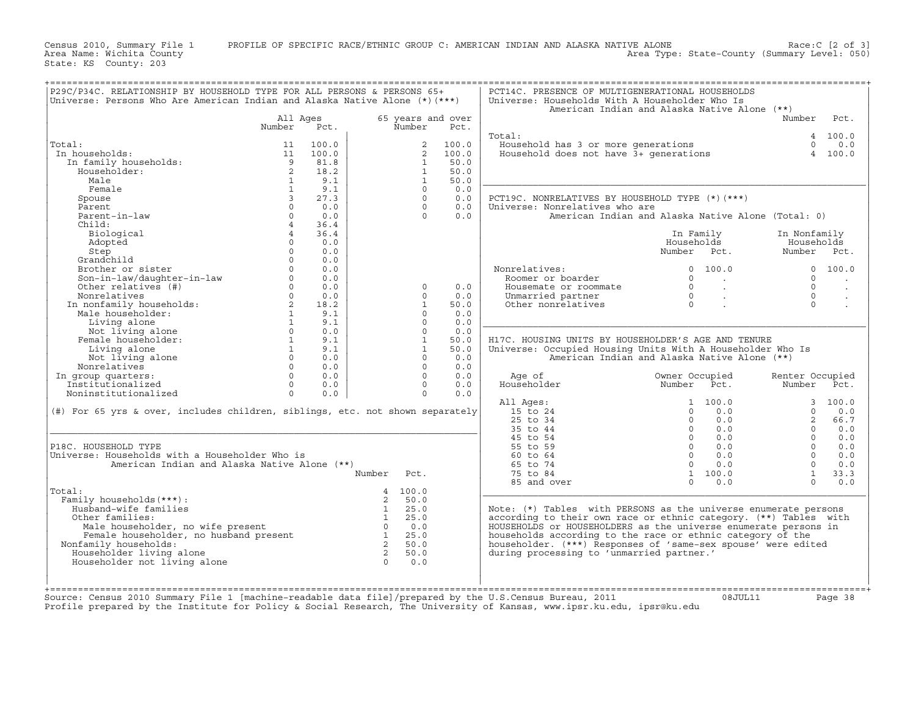Census 2010, Summary File 1 PROFILE OF SPECIFIC RACE/ETHNIC GROUP C: AMERICAN INDIAN AND ALASKA NATIVE ALONE Race:C [2 of 3]<br>Area Name: Wichita County Level: 050) Area Type: State-County (Summary Level: 050)

+===================================================================================================================================================+

State: KS County: 203

| Universe: Persons Who Are American Indian and Alaska Native Alone (*) (***)                                                                                                                                                                                                                                |                         | P29C/P34C. RELATIONSHIP BY HOUSEHOLD TYPE FOR ALL PERSONS & PERSONS 65+ |                             |                         | PCT14C. PRESENCE OF MULTIGENERATIONAL HOUSEHOLDS<br>Universe: Households With A Householder Who Is | American Indian and Alaska Native Alone (**)                 |                 |          |
|------------------------------------------------------------------------------------------------------------------------------------------------------------------------------------------------------------------------------------------------------------------------------------------------------------|-------------------------|-------------------------------------------------------------------------|-----------------------------|-------------------------|----------------------------------------------------------------------------------------------------|--------------------------------------------------------------|-----------------|----------|
|                                                                                                                                                                                                                                                                                                            | All Ages<br>Number Pct. |                                                                         | 65 years and over<br>Number | Pct.                    | Total:                                                                                             |                                                              | Number          | 4 100.0  |
| Total:                                                                                                                                                                                                                                                                                                     |                         | 100.0                                                                   |                             | $\overline{2}$<br>100.0 | Household has 3 or more generations<br>Household does not have 3+ generations                      |                                                              | $\cap$          |          |
| In households:                                                                                                                                                                                                                                                                                             |                         | 100.0                                                                   |                             | $\overline{2}$<br>100.0 |                                                                                                    |                                                              |                 | 4 100.0  |
|                                                                                                                                                                                                                                                                                                            |                         | 81.8                                                                    | $\mathbf{1}$                | 50.0                    |                                                                                                    |                                                              |                 |          |
|                                                                                                                                                                                                                                                                                                            |                         | 18.2                                                                    | $\mathbf{1}$                | 50.0                    |                                                                                                    |                                                              |                 |          |
|                                                                                                                                                                                                                                                                                                            |                         | 9.1                                                                     | $\mathbf{1}$                | 50.0                    |                                                                                                    |                                                              |                 |          |
|                                                                                                                                                                                                                                                                                                            |                         | 9.1                                                                     | $\Omega$                    | 0.0                     |                                                                                                    |                                                              |                 |          |
|                                                                                                                                                                                                                                                                                                            |                         | 27.3                                                                    | $\Omega$                    | 0.0                     |                                                                                                    |                                                              |                 |          |
|                                                                                                                                                                                                                                                                                                            |                         |                                                                         |                             |                         | PCT19C. NONRELATIVES BY HOUSEHOLD TYPE (*) (***)                                                   |                                                              |                 |          |
|                                                                                                                                                                                                                                                                                                            |                         | 0.0                                                                     | $\Omega$                    | 0.0                     | Universe: Nonrelatives who are                                                                     |                                                              |                 |          |
|                                                                                                                                                                                                                                                                                                            |                         | 0.0                                                                     | $\Omega$                    | 0.0                     |                                                                                                    | American Indian and Alaska Native Alone (Total: 0)           |                 |          |
|                                                                                                                                                                                                                                                                                                            |                         | 36.4                                                                    |                             |                         |                                                                                                    |                                                              |                 |          |
|                                                                                                                                                                                                                                                                                                            |                         | 36.4                                                                    |                             |                         |                                                                                                    | In Family                                                    | In Nonfamily    |          |
| Adopted                                                                                                                                                                                                                                                                                                    | $\Omega$                | 0.0                                                                     |                             |                         |                                                                                                    | Households                                                   | Households      |          |
| Step                                                                                                                                                                                                                                                                                                       | $\Omega$                | 0.0                                                                     |                             |                         |                                                                                                    | Number Pct.                                                  | Number Pct.     |          |
|                                                                                                                                                                                                                                                                                                            |                         | 0.0                                                                     |                             |                         |                                                                                                    |                                                              |                 |          |
|                                                                                                                                                                                                                                                                                                            |                         | 0.0                                                                     |                             |                         | Nonrelatives:                                                                                      | 0 100.0                                                      | $\Omega$        | 100.0    |
|                                                                                                                                                                                                                                                                                                            |                         | 0.0                                                                     |                             |                         | nrelatives:<br>Roomer or boarder                                                                   | $\Omega$<br><b>Contractor</b>                                | $\Omega$        |          |
|                                                                                                                                                                                                                                                                                                            |                         | 0.0                                                                     | $\Omega$                    | 0.0                     | Housemate or roommate                                                                              | $\Omega$<br>$\sim$                                           | $\Omega$        |          |
|                                                                                                                                                                                                                                                                                                            |                         | 0.0                                                                     | $\Omega$                    | 0.0                     | Unmarried partner                                                                                  | $\Omega$<br>$\sim 100$ km s $^{-1}$                          | $\Omega$        |          |
|                                                                                                                                                                                                                                                                                                            |                         | 18.2                                                                    | $\mathbf{1}$                | 50.0                    | Other nonrelatives                                                                                 | $\Omega$                                                     | $\Omega$        |          |
|                                                                                                                                                                                                                                                                                                            |                         | 9.1                                                                     | $\Omega$                    | 0.0                     |                                                                                                    |                                                              |                 |          |
|                                                                                                                                                                                                                                                                                                            |                         | 9.1                                                                     | $\Omega$                    | 0.0                     |                                                                                                    |                                                              |                 |          |
|                                                                                                                                                                                                                                                                                                            |                         |                                                                         |                             |                         |                                                                                                    |                                                              |                 |          |
| Step<br>0<br>Grandchild<br>Brother or sister<br>0<br>Son-in-law/daughter-in-law<br>0<br>Other relatives (#)<br>0<br>Other relatives (#)<br>0<br>Monrelatives 0<br>In nonfamily households:<br>2<br>Male householder:<br>1<br>Living alone<br>Female householder:                                           |                         | 0.0                                                                     | $\Omega$                    | 0.0                     |                                                                                                    |                                                              |                 |          |
|                                                                                                                                                                                                                                                                                                            |                         | 9.1                                                                     | $\mathbf{1}$                | 50.0                    | H17C. HOUSING UNITS BY HOUSEHOLDER'S AGE AND TENURE                                                |                                                              |                 |          |
|                                                                                                                                                                                                                                                                                                            |                         | 9.1                                                                     | $\mathbf{1}$                | 50.0                    | Universe: Occupied Housing Units With A Householder Who Is                                         |                                                              |                 |          |
|                                                                                                                                                                                                                                                                                                            |                         | 0.0                                                                     | $\Omega$                    | 0.0                     |                                                                                                    | American Indian and Alaska Native Alone (**)                 |                 |          |
|                                                                                                                                                                                                                                                                                                            |                         | 0.0                                                                     | $\Omega$                    | 0.0                     |                                                                                                    |                                                              |                 |          |
| In group quarters:                                                                                                                                                                                                                                                                                         |                         | 0.0                                                                     | $\Omega$                    | 0.0                     | Age of                                                                                             | Owner Occupied                                               | Renter Occupied |          |
| Institutionalized                                                                                                                                                                                                                                                                                          | $\overline{0}$          | 0.0                                                                     | $\Omega$                    | 0.0                     | Age of<br>Householder                                                                              | Number Pct.                                                  | Number          |          |
|                                                                                                                                                                                                                                                                                                            | $\Omega$                | 0.0                                                                     | $\Omega$                    | 0.0                     |                                                                                                    |                                                              |                 |          |
| Noninstitutionalized                                                                                                                                                                                                                                                                                       |                         |                                                                         |                             |                         |                                                                                                    |                                                              |                 |          |
|                                                                                                                                                                                                                                                                                                            |                         |                                                                         |                             |                         |                                                                                                    | 1 100.0                                                      |                 |          |
|                                                                                                                                                                                                                                                                                                            |                         |                                                                         |                             |                         | All Ages:                                                                                          | $\Omega$                                                     | $\Omega$        |          |
| (#) For 65 yrs & over, includes children, siblings, etc. not shown separately                                                                                                                                                                                                                              |                         |                                                                         |                             |                         | 15 to 24                                                                                           | 0.0                                                          |                 |          |
|                                                                                                                                                                                                                                                                                                            |                         |                                                                         |                             |                         | 25 to 34                                                                                           | 0.0                                                          | $\overline{2}$  |          |
|                                                                                                                                                                                                                                                                                                            |                         |                                                                         |                             |                         | 35 to 44                                                                                           | 0.0                                                          | $\Omega$        |          |
|                                                                                                                                                                                                                                                                                                            |                         |                                                                         |                             |                         | 45 to 54                                                                                           | 0.0                                                          | $\Omega$        |          |
| P18C. HOUSEHOLD TYPE                                                                                                                                                                                                                                                                                       |                         |                                                                         |                             |                         | 55 to 59                                                                                           | $\begin{bmatrix} 0 \\ 0 \\ 0 \\ 0 \\ 0 \end{bmatrix}$<br>0.0 | $\cap$          |          |
| Universe: Households with a Householder Who is                                                                                                                                                                                                                                                             |                         |                                                                         |                             |                         | 60 to 64                                                                                           | $\overline{0}$<br>0.0                                        | $\Omega$        |          |
| American Indian and Alaska Native Alone (**)                                                                                                                                                                                                                                                               |                         |                                                                         |                             |                         | 65 to 74                                                                                           | $\Omega$<br>0.0                                              | $\Omega$        |          |
|                                                                                                                                                                                                                                                                                                            |                         |                                                                         | Number Pct.                 |                         | 75 to 84                                                                                           | 1 100.0                                                      | $\overline{1}$  |          |
|                                                                                                                                                                                                                                                                                                            |                         |                                                                         |                             |                         | 85 and over                                                                                        | $\Omega$<br>0.0                                              | $\cap$          |          |
| Total:                                                                                                                                                                                                                                                                                                     |                         |                                                                         | 4 100.0                     |                         |                                                                                                    |                                                              |                 |          |
| Family households (***) :                                                                                                                                                                                                                                                                                  |                         |                                                                         |                             |                         |                                                                                                    |                                                              |                 |          |
| Husband-wife families                                                                                                                                                                                                                                                                                      |                         |                                                                         |                             |                         | Note: (*) Tables with PERSONS as the universe enumerate persons                                    |                                                              |                 |          |
| Other families:                                                                                                                                                                                                                                                                                            |                         |                                                                         |                             |                         | according to their own race or ethnic category. (**) Tables with                                   |                                                              |                 |          |
|                                                                                                                                                                                                                                                                                                            |                         |                                                                         |                             |                         | HOUSEHOLDS or HOUSEHOLDERS as the universe enumerate persons in                                    |                                                              |                 |          |
|                                                                                                                                                                                                                                                                                                            |                         |                                                                         |                             |                         |                                                                                                    |                                                              |                 |          |
|                                                                                                                                                                                                                                                                                                            |                         |                                                                         |                             |                         | households according to the race or ethnic category of the                                         |                                                              |                 |          |
| Nonfamily households:                                                                                                                                                                                                                                                                                      |                         |                                                                         |                             |                         | householder. (***) Responses of 'same-sex spouse' were edited                                      |                                                              |                 |          |
| ily households (***):<br>usband-wife families<br>ther families:<br>Male householder, no wife present<br>Family householder, no husband present<br>Family households:<br>Ouseholder living alone<br>ouseholder not living alone<br>ouseholder n<br>Householder living alone<br>Householder not living alone |                         |                                                                         |                             |                         | during processing to 'unmarried partner.'                                                          |                                                              |                 | 3, 100.0 |

+===================================================================================================================================================+Source: Census 2010 Summary File 1 [machine−readable data file]/prepared by the U.S.Census Bureau, 2011 08JUL11 Page 38

Profile prepared by the Institute for Policy & Social Research, The University of Kansas, www.ipsr.ku.edu, ipsr@ku.edu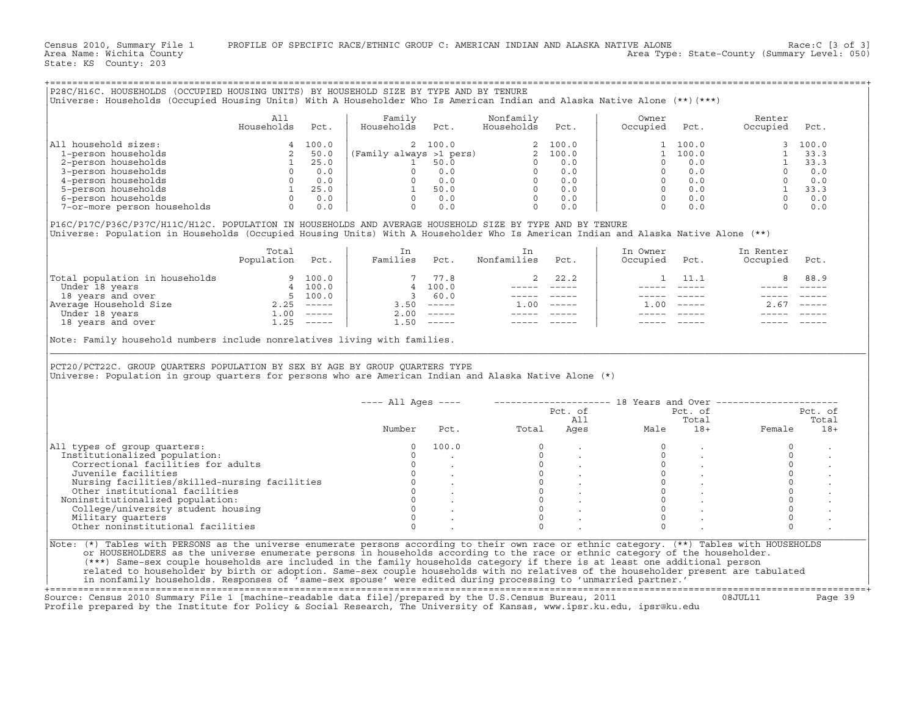Census 2010, Summary File 1 PROFILE OF SPECIFIC RACE/ETHNIC GROUP C: AMERICAN INDIAN AND ALASKA NATIVE ALONE Race:C [3 of 3]<br>Area Name: Wichita County Level: 050) Area Type: State-County (Summary Level: 050)

State: KS County: 203

+===================================================================================================================================================+

| 220C/HIOC. HOUSEHOLDS (OCCUPIED HOUSING UNIIS) BI HOUSEHOLD SIZE BI IIPE AND BI IENUKE<br>(***) Universe: Households (Occupied Housing Units) With A Householder Who Is American Indian and Alaska Native Alone (**) |                   |       |                         |         |                         |         |                   |       |                    |         |
|----------------------------------------------------------------------------------------------------------------------------------------------------------------------------------------------------------------------|-------------------|-------|-------------------------|---------|-------------------------|---------|-------------------|-------|--------------------|---------|
|                                                                                                                                                                                                                      | All<br>Households | Pct.  | Family<br>Households    | Pct.    | Nonfamily<br>Households | Pct.    | Owner<br>Occupied | Pct.  | Renter<br>Occupied | Pct.    |
| All household sizes:                                                                                                                                                                                                 |                   | 100.0 |                         | 2 100.0 |                         | 2 100.0 |                   | 100.0 |                    | 3 100.0 |
| 1-person households                                                                                                                                                                                                  |                   | 50.0  | (Family always >1 pers) |         |                         | 2 100.0 |                   | 100.0 |                    | 33.3    |
| 2-person households                                                                                                                                                                                                  |                   | 25.0  |                         | 50.0    |                         | 0.0     |                   | 0.0   |                    | 33.3    |
| 3-person households                                                                                                                                                                                                  |                   | 0.0   |                         | 0.0     |                         | 0.0     |                   | 0.0   |                    | 0.0     |
| 4-person households                                                                                                                                                                                                  |                   | 0.0   |                         | 0.0     |                         | 0.0     |                   | 0.0   |                    | 0.0     |
| 5-person households                                                                                                                                                                                                  |                   | 25.0  |                         | 50.0    |                         | 0.0     |                   | 0.0   |                    | 33.3    |
| 6-person households                                                                                                                                                                                                  |                   | 0.0   |                         | 0.0     |                         | 0.0     |                   | 0.0   |                    | 0.0     |
| 7-or-more person households                                                                                                                                                                                          |                   | 0.0   |                         | 0.0     |                         | 0.0     |                   | 0.0   |                    | 0.0     |

|                                | Total<br>Population | Pct.          | Families | Pct.          | Nonfamilies | Pct.                      | In Owner<br>Occupied | Pct.          | In Renter<br>Occupied | Pct.                      |
|--------------------------------|---------------------|---------------|----------|---------------|-------------|---------------------------|----------------------|---------------|-----------------------|---------------------------|
| Total population in households | 9                   | 100.0         |          | 77.8          |             | 22.2                      |                      | 11.1          |                       | 8 88.9                    |
| Under 18 years                 | 4                   | 100.0         |          | 4 100.0       |             |                           |                      |               |                       |                           |
| 18 years and over              | 5.                  | 100.0         |          | 60.0          |             |                           |                      |               |                       |                           |
| Average Household Size         | 2.25                | $- - - - - -$ | 3.50     | $\frac{1}{2}$ | 00          | $\qquad \qquad - - - - -$ | 1.00                 | $- - - - - -$ | 2.67                  | $\qquad \qquad - - - - -$ |
| Under 18 years                 | $\overline{1}$ .00  | $------$      | 2.00     |               |             |                           |                      |               |                       |                           |
| 18 years and over              | $\overline{1}$ .25  | ------        | ⊥.50     |               |             |                           |                      |               |                       |                           |

| Universe: Households (Occupied Housing Units) With A Householder Who Is American Indian and Alaska Native Alone (**)(***)                                                                                                                                                                                                                                     |                   |         | P28C/H16C. HOUSEHOLDS (OCCUPIED HOUSING UNITS) BY HOUSEHOLD SIZE BY TYPE AND BY TENURE                 |                                                          |                                                                                                                                                                                                                                                                                                                                                                                              |                |                     |                                                                                                                                                                                                                                                                                                                                                                                              |                                                              |                  |
|---------------------------------------------------------------------------------------------------------------------------------------------------------------------------------------------------------------------------------------------------------------------------------------------------------------------------------------------------------------|-------------------|---------|--------------------------------------------------------------------------------------------------------|----------------------------------------------------------|----------------------------------------------------------------------------------------------------------------------------------------------------------------------------------------------------------------------------------------------------------------------------------------------------------------------------------------------------------------------------------------------|----------------|---------------------|----------------------------------------------------------------------------------------------------------------------------------------------------------------------------------------------------------------------------------------------------------------------------------------------------------------------------------------------------------------------------------------------|--------------------------------------------------------------|------------------|
|                                                                                                                                                                                                                                                                                                                                                               | All<br>Households | Pct.    | Family<br>Households                                                                                   | Pct.                                                     | Nonfamily<br>Households                                                                                                                                                                                                                                                                                                                                                                      | Pct.           | Owner<br>Occupied   | Pct.                                                                                                                                                                                                                                                                                                                                                                                         | Renter<br>Occupied                                           | Pct.             |
| All household sizes:                                                                                                                                                                                                                                                                                                                                          |                   | 4 100.0 |                                                                                                        | 2 100.0                                                  |                                                                                                                                                                                                                                                                                                                                                                                              | 2 100.0        |                     | 1 100.0                                                                                                                                                                                                                                                                                                                                                                                      | $\mathbf{3}$                                                 | 100.0            |
| 1-person households                                                                                                                                                                                                                                                                                                                                           |                   | 2 50.0  |                                                                                                        |                                                          |                                                                                                                                                                                                                                                                                                                                                                                              |                |                     | 1 100.0                                                                                                                                                                                                                                                                                                                                                                                      | $\mathbf{1}$                                                 | 33.3             |
| 2-person households                                                                                                                                                                                                                                                                                                                                           | 1                 | 25.0    |                                                                                                        |                                                          |                                                                                                                                                                                                                                                                                                                                                                                              |                | $\Omega$            | 0.0                                                                                                                                                                                                                                                                                                                                                                                          | 1                                                            | 33.3             |
| 3-person households                                                                                                                                                                                                                                                                                                                                           |                   |         |                                                                                                        |                                                          |                                                                                                                                                                                                                                                                                                                                                                                              |                | $\Omega$            | 0.0                                                                                                                                                                                                                                                                                                                                                                                          | $\Omega$                                                     | 0.0              |
| 4-person households                                                                                                                                                                                                                                                                                                                                           |                   |         |                                                                                                        |                                                          |                                                                                                                                                                                                                                                                                                                                                                                              |                | $\overline{0}$      | 0.0                                                                                                                                                                                                                                                                                                                                                                                          | $\overline{0}$                                               | 0.0              |
| 5-person households                                                                                                                                                                                                                                                                                                                                           |                   |         |                                                                                                        |                                                          |                                                                                                                                                                                                                                                                                                                                                                                              |                |                     | $0 \qquad 0.0$                                                                                                                                                                                                                                                                                                                                                                               |                                                              | 33.3             |
| 6-person households                                                                                                                                                                                                                                                                                                                                           |                   |         |                                                                                                        |                                                          |                                                                                                                                                                                                                                                                                                                                                                                              |                | $\bigcap$           | 0.0                                                                                                                                                                                                                                                                                                                                                                                          | $\frac{1}{0}$                                                | 0.0              |
| 7-or-more person households                                                                                                                                                                                                                                                                                                                                   |                   |         | $\begin{bmatrix} 0 & 0 & 0 \ 0 & 0 & 0 \ 1 & 25 & 0 \ 0 & 0 & 0 \ 0 & 0 & 0 \end{bmatrix}$<br>$\Omega$ | 0.0                                                      | $\Omega$                                                                                                                                                                                                                                                                                                                                                                                     | 0.0            | $\Omega$            | 0.0                                                                                                                                                                                                                                                                                                                                                                                          | $\Omega$                                                     | 0.0              |
| P16C/P17C/P36C/P37C/H11C/H12C. POPULATION IN HOUSEHOLDS AND AVERAGE HOUSEHOLD SIZE BY TYPE AND BY TENURE<br>Universe: Population in Households (Occupied Housing Units) With A Householder Who Is American Indian and Alaska Native Alone (**)                                                                                                                |                   |         |                                                                                                        |                                                          |                                                                                                                                                                                                                                                                                                                                                                                              |                |                     |                                                                                                                                                                                                                                                                                                                                                                                              |                                                              |                  |
|                                                                                                                                                                                                                                                                                                                                                               | Total             |         | In                                                                                                     |                                                          | In                                                                                                                                                                                                                                                                                                                                                                                           |                | In Owner            |                                                                                                                                                                                                                                                                                                                                                                                              | In Renter                                                    |                  |
|                                                                                                                                                                                                                                                                                                                                                               | Population Pct.   |         | Families Pct.                                                                                          |                                                          | Nonfamilies                                                                                                                                                                                                                                                                                                                                                                                  | Pct.           | Occupied            | Pct.                                                                                                                                                                                                                                                                                                                                                                                         | Occupied                                                     | Pct.             |
| $\begin{tabular}{ l l } \hline \texttt{Total population in households} & & 9 & 100.0 \\ \hline \texttt{Under 18 years} & & 4 & 100.0 \\ \texttt{18 years and over} & 5 & 100.0 \\ \texttt{Average Household Size} & & 5 & 100.0 \\ \hline \texttt{Under 18 years} & 2.25 & ------\\ \hline \texttt{18 years and over} & 1.25 & ------\\ \hline \end{tabular}$ |                   |         |                                                                                                        | 7 77.8                                                   | 2                                                                                                                                                                                                                                                                                                                                                                                            | 22.2           | $\mathbf{1}$        | 11.1                                                                                                                                                                                                                                                                                                                                                                                         | 8                                                            | 88.9             |
|                                                                                                                                                                                                                                                                                                                                                               |                   |         |                                                                                                        | 4 100.0                                                  |                                                                                                                                                                                                                                                                                                                                                                                              | ----- -----    |                     | $\frac{1}{2} \frac{1}{2} \frac{1}{2} \frac{1}{2} \frac{1}{2} \frac{1}{2} \frac{1}{2} \frac{1}{2} \frac{1}{2} \frac{1}{2} \frac{1}{2} \frac{1}{2} \frac{1}{2} \frac{1}{2} \frac{1}{2} \frac{1}{2} \frac{1}{2} \frac{1}{2} \frac{1}{2} \frac{1}{2} \frac{1}{2} \frac{1}{2} \frac{1}{2} \frac{1}{2} \frac{1}{2} \frac{1}{2} \frac{1}{2} \frac{1}{2} \frac{1}{2} \frac{1}{2} \frac{1}{2} \frac{$ |                                                              |                  |
|                                                                                                                                                                                                                                                                                                                                                               |                   |         | 3 60.0                                                                                                 |                                                          |                                                                                                                                                                                                                                                                                                                                                                                              | ----- -----    |                     | $\qquad \qquad - - - - -$                                                                                                                                                                                                                                                                                                                                                                    |                                                              |                  |
|                                                                                                                                                                                                                                                                                                                                                               |                   |         |                                                                                                        | $3.50$ $---$                                             | $1.00$ -----                                                                                                                                                                                                                                                                                                                                                                                 |                |                     | $1.00$ -----                                                                                                                                                                                                                                                                                                                                                                                 | $2.67$ -----                                                 |                  |
|                                                                                                                                                                                                                                                                                                                                                               |                   |         |                                                                                                        | $2.00$ -----                                             | $\frac{1}{2} \frac{1}{2} \frac{1}{2} \frac{1}{2} \frac{1}{2} \frac{1}{2} \frac{1}{2} \frac{1}{2} \frac{1}{2} \frac{1}{2} \frac{1}{2} \frac{1}{2} \frac{1}{2} \frac{1}{2} \frac{1}{2} \frac{1}{2} \frac{1}{2} \frac{1}{2} \frac{1}{2} \frac{1}{2} \frac{1}{2} \frac{1}{2} \frac{1}{2} \frac{1}{2} \frac{1}{2} \frac{1}{2} \frac{1}{2} \frac{1}{2} \frac{1}{2} \frac{1}{2} \frac{1}{2} \frac{$ |                |                     |                                                                                                                                                                                                                                                                                                                                                                                              |                                                              |                  |
|                                                                                                                                                                                                                                                                                                                                                               |                   |         |                                                                                                        | $1.50$ -----                                             |                                                                                                                                                                                                                                                                                                                                                                                              |                |                     |                                                                                                                                                                                                                                                                                                                                                                                              |                                                              |                  |
| PCT20/PCT22C. GROUP QUARTERS POPULATION BY SEX BY AGE BY GROUP QUARTERS TYPE<br>Universe: Population in group quarters for persons who are American Indian and Alaska Native Alone (*)                                                                                                                                                                        |                   |         |                                                                                                        |                                                          |                                                                                                                                                                                                                                                                                                                                                                                              |                |                     |                                                                                                                                                                                                                                                                                                                                                                                              |                                                              |                  |
|                                                                                                                                                                                                                                                                                                                                                               |                   |         | $--- All Aqes ---$                                                                                     |                                                          |                                                                                                                                                                                                                                                                                                                                                                                              |                |                     |                                                                                                                                                                                                                                                                                                                                                                                              | -------------------- 18 Years and Over --------------------- |                  |
|                                                                                                                                                                                                                                                                                                                                                               |                   |         |                                                                                                        |                                                          |                                                                                                                                                                                                                                                                                                                                                                                              | Pct. of<br>All |                     | Pct. of<br>Total                                                                                                                                                                                                                                                                                                                                                                             |                                                              | Pct. of<br>Total |
|                                                                                                                                                                                                                                                                                                                                                               |                   |         | Number                                                                                                 | Pct.                                                     | Total                                                                                                                                                                                                                                                                                                                                                                                        |                | AII<br>Ages<br>Male | $18+$                                                                                                                                                                                                                                                                                                                                                                                        | Female                                                       | $18+$            |
| All types of group quarters:                                                                                                                                                                                                                                                                                                                                  |                   |         | $\Omega$                                                                                               | 100.0                                                    | $\Omega$                                                                                                                                                                                                                                                                                                                                                                                     |                | $\Omega$            | $\ddot{\phantom{a}}$                                                                                                                                                                                                                                                                                                                                                                         | $\Omega$                                                     |                  |
| Institutionalized population:                                                                                                                                                                                                                                                                                                                                 |                   |         | $\Omega$                                                                                               |                                                          | $\Omega$                                                                                                                                                                                                                                                                                                                                                                                     |                | $\Omega$            |                                                                                                                                                                                                                                                                                                                                                                                              | $\Omega$                                                     |                  |
|                                                                                                                                                                                                                                                                                                                                                               |                   |         | $\circ$                                                                                                |                                                          | $\circ$                                                                                                                                                                                                                                                                                                                                                                                      |                | $\circ$             |                                                                                                                                                                                                                                                                                                                                                                                              | $\circ$                                                      |                  |
| Correctional facilities for adults                                                                                                                                                                                                                                                                                                                            |                   |         | $\overline{0}$                                                                                         |                                                          | $\circ$                                                                                                                                                                                                                                                                                                                                                                                      |                | $\Omega$            | $\ddot{\phantom{0}}$                                                                                                                                                                                                                                                                                                                                                                         | $\circ$                                                      |                  |
| Juvenile facilities                                                                                                                                                                                                                                                                                                                                           |                   |         |                                                                                                        |                                                          |                                                                                                                                                                                                                                                                                                                                                                                              |                |                     |                                                                                                                                                                                                                                                                                                                                                                                              |                                                              |                  |
|                                                                                                                                                                                                                                                                                                                                                               |                   |         | $\circ$                                                                                                |                                                          | $\Omega$                                                                                                                                                                                                                                                                                                                                                                                     |                | $\Omega$            |                                                                                                                                                                                                                                                                                                                                                                                              | $\Omega$                                                     |                  |
| Nursing facilities/skilled-nursing facilities<br>Other institutional facilities                                                                                                                                                                                                                                                                               |                   |         |                                                                                                        |                                                          | $\circ$                                                                                                                                                                                                                                                                                                                                                                                      |                | $\Omega$            |                                                                                                                                                                                                                                                                                                                                                                                              | $\circ$                                                      |                  |
| Noninstitutionalized population:                                                                                                                                                                                                                                                                                                                              |                   |         |                                                                                                        |                                                          | $\Omega$                                                                                                                                                                                                                                                                                                                                                                                     |                | $\Omega$            | $\ddot{\phantom{a}}$                                                                                                                                                                                                                                                                                                                                                                         | $\circ$                                                      |                  |
| College/university student housing                                                                                                                                                                                                                                                                                                                            |                   |         | $\Omega$                                                                                               | $\begin{matrix}0&\cdot&\cdot\\0&\cdot&\cdot\end{matrix}$ | $\Omega$                                                                                                                                                                                                                                                                                                                                                                                     |                | $\Omega$            |                                                                                                                                                                                                                                                                                                                                                                                              | $\Omega$                                                     |                  |
|                                                                                                                                                                                                                                                                                                                                                               |                   |         | $\Omega$                                                                                               |                                                          | $\Omega$                                                                                                                                                                                                                                                                                                                                                                                     |                | $\Omega$            |                                                                                                                                                                                                                                                                                                                                                                                              | $\circ$                                                      |                  |
| Military quarters<br>Other noninstitutional facilities                                                                                                                                                                                                                                                                                                        |                   |         | $\Omega$                                                                                               |                                                          | $\Omega$                                                                                                                                                                                                                                                                                                                                                                                     |                | $\Omega$            |                                                                                                                                                                                                                                                                                                                                                                                              | $\Omega$                                                     |                  |

+===================================================================================================================================================+Source: Census 2010 Summary File 1 [machine−readable data file]/prepared by the U.S.Census Bureau, 2011 08JUL11 Page 39 Profile prepared by the Institute for Policy & Social Research, The University of Kansas, www.ipsr.ku.edu, ipsr@ku.edu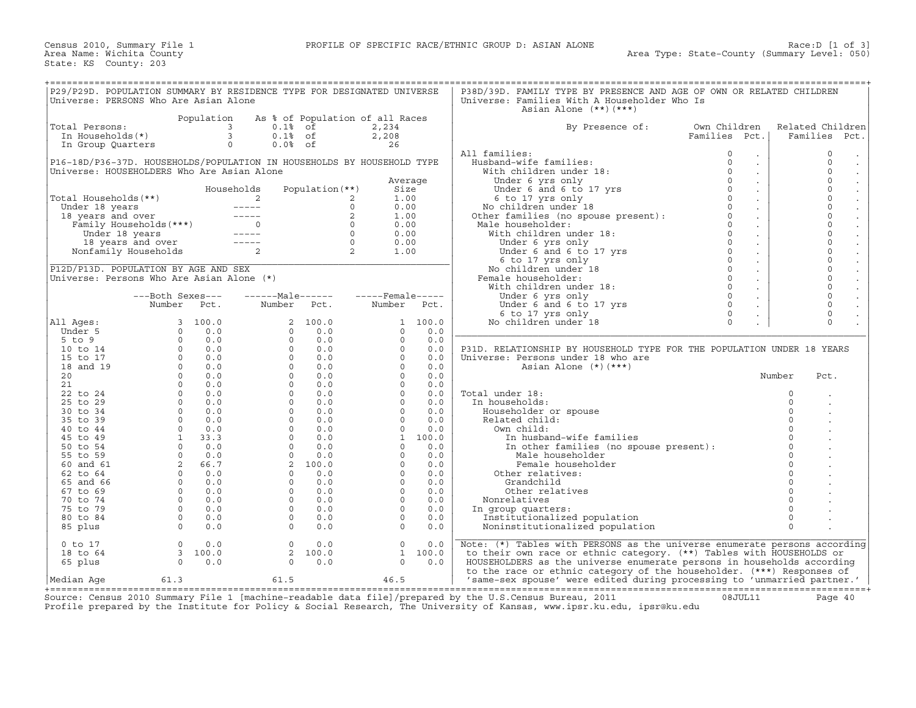| P29/P29D. POPULATION SUMMARY BY RESIDENCE TYPE FOR DESIGNATED UNIVERSE         |                  |            |                  |                                 |                                                                                                                                                                                                                                                                                                                       |         | P38D/39D. FAMILY TYPE BY PRESENCE AND AGE OF OWN OR RELATED CHILDREN                                                                                                                                                                                                                                                                                                                                                                     |               |                             |                     |                                |
|--------------------------------------------------------------------------------|------------------|------------|------------------|---------------------------------|-----------------------------------------------------------------------------------------------------------------------------------------------------------------------------------------------------------------------------------------------------------------------------------------------------------------------|---------|------------------------------------------------------------------------------------------------------------------------------------------------------------------------------------------------------------------------------------------------------------------------------------------------------------------------------------------------------------------------------------------------------------------------------------------|---------------|-----------------------------|---------------------|--------------------------------|
| Universe: PERSONS Who Are Asian Alone                                          |                  |            |                  |                                 |                                                                                                                                                                                                                                                                                                                       |         | Universe: Families With A Householder Who Is                                                                                                                                                                                                                                                                                                                                                                                             |               |                             |                     |                                |
|                                                                                |                  |            |                  |                                 |                                                                                                                                                                                                                                                                                                                       |         | Asian Alone $(**)$ $(***)$                                                                                                                                                                                                                                                                                                                                                                                                               |               |                             |                     |                                |
|                                                                                |                  | Population |                  | As % of Population of all Races |                                                                                                                                                                                                                                                                                                                       |         |                                                                                                                                                                                                                                                                                                                                                                                                                                          |               |                             |                     |                                |
| otal Persons: 3<br>In Households(*) 3<br>In Group Quarters 0<br>Total Persons: |                  |            | $0.1%$ of        |                                 | 2,234                                                                                                                                                                                                                                                                                                                 |         | By Presence of:                                                                                                                                                                                                                                                                                                                                                                                                                          | Own Children  |                             |                     | Related Children               |
|                                                                                |                  |            | $0.1%$ of        |                                 | 2,208                                                                                                                                                                                                                                                                                                                 |         |                                                                                                                                                                                                                                                                                                                                                                                                                                          | Families Pct. |                             |                     | Families<br>Pct.               |
|                                                                                |                  |            | $0.0%$ of        |                                 | 26                                                                                                                                                                                                                                                                                                                    |         |                                                                                                                                                                                                                                                                                                                                                                                                                                          |               |                             |                     |                                |
|                                                                                |                  |            |                  |                                 |                                                                                                                                                                                                                                                                                                                       |         | All families:                                                                                                                                                                                                                                                                                                                                                                                                                            | $\Omega$      |                             |                     | $\Omega$                       |
| P16-18D/P36-37D. HOUSEHOLDS/POPULATION IN HOUSEHOLDS BY HOUSEHOLD TYPE         |                  |            |                  |                                 |                                                                                                                                                                                                                                                                                                                       |         | Husband-wife families:                                                                                                                                                                                                                                                                                                                                                                                                                   | $\circ$       | $\sim$                      |                     | $\mathbf 0$                    |
| Universe: HOUSEHOLDERS Who Are Asian Alone                                     |                  |            |                  |                                 |                                                                                                                                                                                                                                                                                                                       |         |                                                                                                                                                                                                                                                                                                                                                                                                                                          | $\Omega$      | $\mathcal{L}^{\mathcal{L}}$ |                     | $\Omega$                       |
|                                                                                |                  |            |                  |                                 |                                                                                                                                                                                                                                                                                                                       | Average |                                                                                                                                                                                                                                                                                                                                                                                                                                          | $\circ$       | $\sim$                      |                     | $\mathbf 0$                    |
|                                                                                |                  |            | Households       | Population (**)                 | Size                                                                                                                                                                                                                                                                                                                  |         |                                                                                                                                                                                                                                                                                                                                                                                                                                          | $\circ$       | $\sim$                      |                     | $\circ$                        |
| Total Households(**)                                                           |                  |            | $\overline{2}$   | 2                               | 1.00                                                                                                                                                                                                                                                                                                                  |         |                                                                                                                                                                                                                                                                                                                                                                                                                                          | $\Omega$      | $\sim$                      |                     | $\Omega$                       |
|                                                                                |                  |            |                  |                                 | 0.00                                                                                                                                                                                                                                                                                                                  |         | Husband-wife families:<br>With children under 18:<br>Under 6 and 6 to 17 yrs<br>6 to 17 yrs only<br>6 to 17 yrs only<br>No children under 18<br>Other families (no spouse present):<br>Male householder:<br>Analdren under 10<br>families (no spouse present):<br>householder:<br>th children under 18:<br>Under 6 yrs only<br>Under 6 and 6 to 17 yrs<br>6 to 17 yrs only<br>No children under 18<br>'a householder:<br>'a householder: | $\Omega$      | $\mathcal{L}^{\pm}$         |                     | $\mathbf 0$                    |
|                                                                                |                  |            |                  |                                 | 1.00                                                                                                                                                                                                                                                                                                                  |         |                                                                                                                                                                                                                                                                                                                                                                                                                                          | $\Omega$      | $\sim$                      |                     | $\mathsf{O}\xspace$            |
|                                                                                |                  |            |                  |                                 | 0.00                                                                                                                                                                                                                                                                                                                  |         | Male householder:                                                                                                                                                                                                                                                                                                                                                                                                                        |               | $\sim$                      |                     | $\circ$<br>$\mathbf 0$         |
|                                                                                |                  |            |                  |                                 | 0.00                                                                                                                                                                                                                                                                                                                  |         | With children under 18:                                                                                                                                                                                                                                                                                                                                                                                                                  | $\Omega$      | $\sim$                      |                     |                                |
|                                                                                |                  |            |                  |                                 | 0.00                                                                                                                                                                                                                                                                                                                  |         |                                                                                                                                                                                                                                                                                                                                                                                                                                          | $\Omega$      | $\sim$                      |                     | $\mathsf{O}\xspace$<br>$\circ$ |
|                                                                                |                  |            |                  |                                 | 1.00                                                                                                                                                                                                                                                                                                                  |         |                                                                                                                                                                                                                                                                                                                                                                                                                                          |               | $\sim$                      |                     | $\circ$                        |
| P12D/P13D. POPULATION BY AGE AND SEX                                           |                  |            |                  |                                 |                                                                                                                                                                                                                                                                                                                       |         | No children under 18                                                                                                                                                                                                                                                                                                                                                                                                                     | $\Omega$      | $\sim$                      |                     | $\mathsf{O}\xspace$            |
| Universe: Persons Who Are Asian Alone (*)                                      |                  |            |                  |                                 |                                                                                                                                                                                                                                                                                                                       |         | Female householder:                                                                                                                                                                                                                                                                                                                                                                                                                      |               | $\sim$                      |                     | $\mathbf 0$                    |
|                                                                                |                  |            |                  |                                 |                                                                                                                                                                                                                                                                                                                       |         | With children under 18:                                                                                                                                                                                                                                                                                                                                                                                                                  |               | $\sim$                      |                     | $\circ$                        |
|                                                                                | ---Both Sexes--- |            | ------Male------ |                                 | $---$ Female-----                                                                                                                                                                                                                                                                                                     |         | Under 6 yrs only                                                                                                                                                                                                                                                                                                                                                                                                                         | $\Omega$      |                             |                     | $\mathsf{O}\xspace$            |
|                                                                                | Number Pct.      |            | Number           | Pct.                            | Number                                                                                                                                                                                                                                                                                                                | Pct.    | Under 6 yrs only<br>Under 6 and 6 to 17 yrs                                                                                                                                                                                                                                                                                                                                                                                              | $\Omega$      | $\bullet$<br>$\sim$         |                     | $\overline{0}$                 |
|                                                                                |                  |            |                  |                                 |                                                                                                                                                                                                                                                                                                                       |         | 6 to 17 yrs only                                                                                                                                                                                                                                                                                                                                                                                                                         | $\circ$       |                             |                     | $\mathbf 0$                    |
| All Ages:                                                                      |                  |            |                  |                                 |                                                                                                                                                                                                                                                                                                                       | 1 100.0 | No children under 18                                                                                                                                                                                                                                                                                                                                                                                                                     | $\Omega$      |                             |                     | $\Omega$                       |
| Under 5                                                                        |                  |            |                  |                                 | $\Omega$                                                                                                                                                                                                                                                                                                              | 0.0     |                                                                                                                                                                                                                                                                                                                                                                                                                                          |               |                             |                     |                                |
| $5$ to $9$                                                                     |                  |            |                  |                                 | $\Omega$                                                                                                                                                                                                                                                                                                              | 0.0     |                                                                                                                                                                                                                                                                                                                                                                                                                                          |               |                             |                     |                                |
| 10 to 14                                                                       |                  |            |                  |                                 |                                                                                                                                                                                                                                                                                                                       |         | P31D. RELATIONSHIP BY HOUSEHOLD TYPE FOR THE POPULATION UNDER 18 YEARS                                                                                                                                                                                                                                                                                                                                                                   |               |                             |                     |                                |
| 15 to 17                                                                       |                  |            |                  |                                 |                                                                                                                                                                                                                                                                                                                       |         | Universe: Persons under 18 who are                                                                                                                                                                                                                                                                                                                                                                                                       |               |                             |                     |                                |
| 18 and 19                                                                      |                  |            |                  |                                 |                                                                                                                                                                                                                                                                                                                       |         | Asian Alone $(*)$ $(***)$                                                                                                                                                                                                                                                                                                                                                                                                                |               |                             |                     |                                |
| 20                                                                             |                  |            |                  |                                 |                                                                                                                                                                                                                                                                                                                       |         |                                                                                                                                                                                                                                                                                                                                                                                                                                          |               |                             | Number              | Pct.                           |
| 21                                                                             |                  |            |                  |                                 |                                                                                                                                                                                                                                                                                                                       |         |                                                                                                                                                                                                                                                                                                                                                                                                                                          |               |                             |                     |                                |
| 22 to 24                                                                       |                  |            |                  |                                 |                                                                                                                                                                                                                                                                                                                       |         | Total under 18:                                                                                                                                                                                                                                                                                                                                                                                                                          |               |                             | $\circ$             |                                |
| 25 to 29                                                                       |                  |            |                  |                                 |                                                                                                                                                                                                                                                                                                                       |         | In households:                                                                                                                                                                                                                                                                                                                                                                                                                           |               |                             | $\circ$             |                                |
| 30 to 34                                                                       |                  |            |                  |                                 |                                                                                                                                                                                                                                                                                                                       |         | Householder or spouse                                                                                                                                                                                                                                                                                                                                                                                                                    |               |                             | $\circ$             |                                |
| 35 to 39                                                                       |                  |            |                  |                                 |                                                                                                                                                                                                                                                                                                                       |         | Related child:                                                                                                                                                                                                                                                                                                                                                                                                                           |               |                             | $\Omega$            |                                |
| 40 to 44                                                                       |                  |            |                  |                                 |                                                                                                                                                                                                                                                                                                                       |         | Own child:                                                                                                                                                                                                                                                                                                                                                                                                                               |               |                             | $\Omega$            |                                |
| 45 to 49                                                                       |                  |            |                  |                                 |                                                                                                                                                                                                                                                                                                                       |         | In husband-wife families                                                                                                                                                                                                                                                                                                                                                                                                                 |               |                             | $\mathsf{O}\xspace$ |                                |
| 50 to 54                                                                       |                  |            |                  |                                 |                                                                                                                                                                                                                                                                                                                       |         | In other families (no spouse present):                                                                                                                                                                                                                                                                                                                                                                                                   |               |                             | $\circ$             |                                |
| 55 to 59                                                                       |                  |            |                  |                                 |                                                                                                                                                                                                                                                                                                                       |         | Male householder                                                                                                                                                                                                                                                                                                                                                                                                                         |               |                             |                     |                                |
| 60 and 61                                                                      |                  |            |                  |                                 |                                                                                                                                                                                                                                                                                                                       |         | Female householder                                                                                                                                                                                                                                                                                                                                                                                                                       |               |                             | $\mathsf{O}\xspace$ |                                |
| 62 to 64                                                                       |                  |            |                  |                                 |                                                                                                                                                                                                                                                                                                                       |         | Other relatives:                                                                                                                                                                                                                                                                                                                                                                                                                         |               |                             | $\Omega$            |                                |
| 65 and 66                                                                      |                  |            |                  |                                 |                                                                                                                                                                                                                                                                                                                       |         | Grandchild                                                                                                                                                                                                                                                                                                                                                                                                                               |               |                             |                     |                                |
| 67 to 69                                                                       |                  |            |                  |                                 |                                                                                                                                                                                                                                                                                                                       |         | Other relatives                                                                                                                                                                                                                                                                                                                                                                                                                          |               |                             | $\Omega$            |                                |
| 70 to 74                                                                       |                  |            |                  |                                 |                                                                                                                                                                                                                                                                                                                       |         | Nonrelatives                                                                                                                                                                                                                                                                                                                                                                                                                             |               |                             |                     |                                |
| 75 to 79                                                                       |                  |            |                  |                                 |                                                                                                                                                                                                                                                                                                                       |         | In group quarters:                                                                                                                                                                                                                                                                                                                                                                                                                       |               |                             | $\circ$             |                                |
| 80 to 84                                                                       | $\overline{0}$   | 0.0        |                  |                                 |                                                                                                                                                                                                                                                                                                                       |         | Institutionalized population                                                                                                                                                                                                                                                                                                                                                                                                             |               |                             | $\Omega$            |                                |
| 85 plus                                                                        | $\Omega$         | 0.0        |                  |                                 | $\left[\begin{smallmatrix} 0 & 0 & 0 & 0 \ 0 & 0 & 0 & 0 \ 0 & 0 & 0 & 0 \ 0 & 0 & 0 & 0 \ 0 & 0 & 0 & 0 \ 0 & 0 & 0 & 0 \ 0 & 0 & 0 & 0 \ 0 & 0 & 0 & 0 \ 0 & 0 & 0 & 0 \ 0 & 0 & 0 & 0 \ 0 & 0 & 0 & 0 \ 0 & 0 & 0 & 0 \ 0 & 0 & 0 & 0 \ 0 & 0 & 0 & 0 \ 0 & 0 & 0 & 0 \ 0 & 0 & 0 & 0 \ 0 & 0 & 0 & 0 \ 0 & 0 & 0$ |         | Noninstitutionalized population                                                                                                                                                                                                                                                                                                                                                                                                          |               |                             | $\Omega$            |                                |
|                                                                                |                  |            |                  |                                 |                                                                                                                                                                                                                                                                                                                       |         |                                                                                                                                                                                                                                                                                                                                                                                                                                          |               |                             |                     |                                |
| $0$ to $17$                                                                    | $\Omega$         | 0.0        | $\circ$          | 0.0                             | $\circ$                                                                                                                                                                                                                                                                                                               | 0.0     | Note: (*) Tables with PERSONS as the universe enumerate persons according                                                                                                                                                                                                                                                                                                                                                                |               |                             |                     |                                |
| 18 to 64                                                                       |                  | 3, 100.0   |                  | 2 100.0                         |                                                                                                                                                                                                                                                                                                                       | 1 100.0 | to their own race or ethnic category. (**) Tables with HOUSEHOLDS or                                                                                                                                                                                                                                                                                                                                                                     |               |                             |                     |                                |
| 65 plus                                                                        | $\Omega$         | 0.0        | $\Omega$         | 0.0                             | $\Omega$                                                                                                                                                                                                                                                                                                              | 0.0     | HOUSEHOLDERS as the universe enumerate persons in households according                                                                                                                                                                                                                                                                                                                                                                   |               |                             |                     |                                |
|                                                                                |                  |            |                  |                                 |                                                                                                                                                                                                                                                                                                                       |         | to the race or ethnic category of the householder. (***) Responses of                                                                                                                                                                                                                                                                                                                                                                    |               |                             |                     |                                |
| Median Aqe                                                                     | 61.3             |            | 61.5             |                                 | 46.5                                                                                                                                                                                                                                                                                                                  |         | 'same-sex spouse' were edited during processing to 'unmarried partner.'                                                                                                                                                                                                                                                                                                                                                                  |               |                             |                     |                                |

+===================================================================================================================================================+ Source: Census 2010 Summary File 1 [machine−readable data file]/prepared by the U.S.Census Bureau, 2011 08JUL11 Page 40 Profile prepared by the Institute for Policy & Social Research, The University of Kansas, www.ipsr.ku.edu, ipsr@ku.edu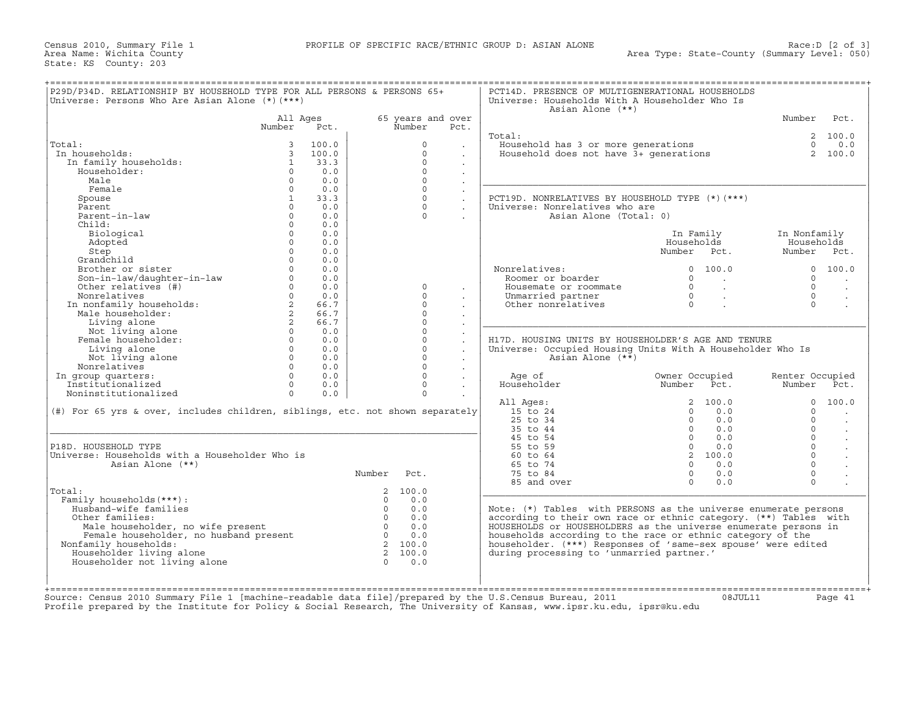Census 2010, Summary File 1 PROFILE OF SPECIFIC RACE/ETHNIC GROUP D: ASIAN ALONE Race:D [2 of 3] State: KS County: 203

| P29D/P34D. RELATIONSHIP BY HOUSEHOLD TYPE FOR ALL PERSONS & PERSONS 65+<br>Universe: Persons Who Are Asian Alone (*) (***) |                         |       |                |                   |                      | PCT14D. PRESENCE OF MULTIGENERATIONAL HOUSEHOLDS<br>Universe: Households With A Householder Who Is<br>Asian Alone (**) |                                  |                           |                      |
|----------------------------------------------------------------------------------------------------------------------------|-------------------------|-------|----------------|-------------------|----------------------|------------------------------------------------------------------------------------------------------------------------|----------------------------------|---------------------------|----------------------|
|                                                                                                                            | All Ages                |       |                | 65 years and over |                      |                                                                                                                        |                                  | Number Pct.               |                      |
|                                                                                                                            | Number                  | Pct.  |                | Number            | Pct.                 |                                                                                                                        |                                  |                           |                      |
|                                                                                                                            |                         |       |                |                   |                      | Total:                                                                                                                 |                                  |                           | 2, 100.0             |
| Total:                                                                                                                     | $\mathbf{3}$            | 100.0 |                | $\Omega$          | $\sim$               | Household has 3 or more generations                                                                                    |                                  |                           | $0 \t 0.0$           |
| In households:                                                                                                             | $\overline{\mathbf{3}}$ | 100.0 |                | $\Omega$          |                      | Household does not have $3+$ generations                                                                               |                                  |                           | 2, 100.0             |
| In family households:                                                                                                      | $\mathbf{1}$            | 33.3  |                | $\Omega$          | $\sim$               |                                                                                                                        |                                  |                           |                      |
| Householder:                                                                                                               | $\Omega$                | 0.0   |                | $\Omega$          |                      |                                                                                                                        |                                  |                           |                      |
| Male                                                                                                                       | $\Omega$                | 0.0   |                | $\Omega$          |                      |                                                                                                                        |                                  |                           |                      |
| Female                                                                                                                     | $\Omega$                | 0.0   |                | $\Omega$          | $\cdot$              |                                                                                                                        |                                  |                           |                      |
| Spouse                                                                                                                     | $\mathbf{1}$            | 33.3  |                | $\Omega$          |                      | PCT19D. NONRELATIVES BY HOUSEHOLD TYPE (*)(***)                                                                        |                                  |                           |                      |
| Parent                                                                                                                     | $\Omega$                | 0.0   |                | $\Omega$          | $\ddot{\phantom{0}}$ | Universe: Nonrelatives who are                                                                                         |                                  |                           |                      |
| Parent-in-law                                                                                                              | $\Omega$                | 0.0   |                | $\Omega$          |                      | Asian Alone (Total: 0)                                                                                                 |                                  |                           |                      |
| Child:                                                                                                                     | $\Omega$                | 0.0   |                |                   |                      |                                                                                                                        |                                  |                           |                      |
| Biological                                                                                                                 | $\Omega$                | 0.0   |                |                   |                      |                                                                                                                        | In Family                        | In Nonfamily              |                      |
| Adopted                                                                                                                    | $\Omega$                | 0.0   |                |                   |                      |                                                                                                                        | Households                       | Households                |                      |
| Step                                                                                                                       | $\Omega$                | 0.0   |                |                   |                      |                                                                                                                        | Number Pct.                      | Number Pct.               |                      |
| Grandchild                                                                                                                 | $\Omega$                | 0.0   |                |                   |                      |                                                                                                                        |                                  |                           |                      |
| Brother or sister                                                                                                          | $\Omega$                | 0.0   |                |                   |                      | Nonrelatives:                                                                                                          | 0, 100, 0                        |                           | 0 100.0              |
| Son-in-law/daughter-in-law<br>Other relatives (#)                                                                          | $\Omega$                | 0.0   |                |                   |                      | Roomer or boarder                                                                                                      | $\Omega$<br><b>Contract</b>      | $\Omega$                  | $\sim$               |
| Other relatives \\ther \text{\mu}}}<br>In nonfamily households:<br>, householder:                                          | $\Omega$                | 0.0   |                | $\Omega$          | $\ddot{\phantom{0}}$ | Housemate or roommate                                                                                                  | $0 \qquad \qquad .$              | $\Omega$                  |                      |
|                                                                                                                            | $\Omega$                | 0.0   |                | $\circ$           | $\sim$               | Unmarried partner                                                                                                      | $0 \qquad \qquad .$              | $\Omega$                  | $\ddot{\phantom{a}}$ |
|                                                                                                                            | 2                       | 66.7  |                | $\Omega$          |                      | Other nonrelatives                                                                                                     | $\overline{0}$                   | $\cap$                    | $\sim$               |
|                                                                                                                            | $2^{\circ}$             | 66.7  |                | $\Omega$          | $\mathbf{r}$         |                                                                                                                        |                                  |                           |                      |
| Living alone                                                                                                               | $2^{\circ}$             | 66.7  |                | $\Omega$          | $\blacksquare$       |                                                                                                                        |                                  |                           |                      |
| Not living alone                                                                                                           | $\Omega$                | 0.0   |                | $\Omega$          |                      |                                                                                                                        |                                  |                           |                      |
| Female householder:                                                                                                        | $\Omega$                | 0.0   |                | $\Omega$          |                      | H17D. HOUSING UNITS BY HOUSEHOLDER'S AGE AND TENURE                                                                    |                                  |                           |                      |
| Living alone                                                                                                               | $\Omega$                | 0.0   |                | $\Omega$          |                      |                                                                                                                        |                                  |                           |                      |
|                                                                                                                            | $\Omega$                | 0.0   |                | $\Omega$          |                      | Universe: Occupied Housing Units With A Householder Who Is<br>Asian Alone $(*\overline{*})$                            |                                  |                           |                      |
| Not living alone<br>Nonrelatives                                                                                           | $\Omega$                | 0.0   |                | $\Omega$          |                      |                                                                                                                        |                                  |                           |                      |
|                                                                                                                            | $\Omega$                | 0.0   |                | $\Omega$          |                      |                                                                                                                        |                                  |                           |                      |
| In group quarters:<br>Institutionalized                                                                                    | $\Omega$                |       |                | $\Omega$          |                      | Age of<br>Householder                                                                                                  | Owner Occupied<br>Number<br>Pct. | Renter Occupied<br>Number |                      |
|                                                                                                                            |                         | 0.0   |                | $\Omega$          |                      |                                                                                                                        |                                  |                           | Pct.                 |
| Noninstitutionalized                                                                                                       | $\Omega$                | 0.0   |                |                   |                      |                                                                                                                        |                                  |                           |                      |
|                                                                                                                            |                         |       |                |                   |                      | All Ages:                                                                                                              | 2 100.0                          | $\Omega$                  | 100.0                |
| (#) For 65 yrs & over, includes children, siblings, etc. not shown separately                                              |                         |       |                |                   |                      | 15 to 24                                                                                                               | 0.0<br>$\Omega$                  | $\Omega$                  | $\mathbf{r}$         |
|                                                                                                                            |                         |       |                |                   |                      | 25 to 34                                                                                                               | $\Omega$<br>0.0                  | $\Omega$                  | $\cdot$              |
|                                                                                                                            |                         |       |                |                   |                      | 35 to 44                                                                                                               | $\Omega$<br>0.0                  | $\Omega$                  |                      |
|                                                                                                                            |                         |       |                |                   |                      | 45 to 54                                                                                                               | $\Omega$<br>0.0                  | $\Omega$                  |                      |
| P18D. HOUSEHOLD TYPE                                                                                                       |                         |       |                |                   |                      | 55 to 59                                                                                                               | 0.0<br>$\Omega$                  | $\Omega$                  |                      |
| Universe: Households with a Householder Who is                                                                             |                         |       |                |                   |                      | 60 to 64                                                                                                               | 2 100.0                          | $\Omega$                  |                      |
| Asian Alone (**)                                                                                                           |                         |       |                |                   |                      | 65 to 74                                                                                                               | $\Omega$<br>0.0                  | $\Omega$                  |                      |
|                                                                                                                            |                         |       | Number Pct.    |                   |                      | 75 to 84                                                                                                               | $\Omega$<br>0.0                  | $\Omega$                  |                      |
|                                                                                                                            |                         |       |                |                   |                      | 85 and over                                                                                                            | $\Omega$<br>0.0                  | $\Omega$                  |                      |
| Total:                                                                                                                     |                         |       |                | 2, 100.0          |                      |                                                                                                                        |                                  |                           |                      |
| Family households (***) :                                                                                                  |                         |       | $\Omega$       | 0.0               |                      |                                                                                                                        |                                  |                           |                      |
| Husband-wife families                                                                                                      |                         |       | $\Omega$       | 0.0               |                      | Note: (*) Tables with PERSONS as the universe enumerate persons                                                        |                                  |                           |                      |
| Other families:                                                                                                            |                         |       | $\overline{0}$ | 0.0               |                      | according to their own race or ethnic category. (**) Tables with                                                       |                                  |                           |                      |
| Male householder, no wife present                                                                                          |                         |       | $\overline{0}$ | 0.0               |                      | HOUSEHOLDS or HOUSEHOLDERS as the universe enumerate persons in                                                        |                                  |                           |                      |
|                                                                                                                            |                         |       | $\overline{0}$ | 0.0               |                      | households according to the race or ethnic category of the                                                             |                                  |                           |                      |
|                                                                                                                            |                         |       | 2 100.0        |                   |                      | householder. (***) Responses of 'same-sex spouse' were edited                                                          |                                  |                           |                      |
| Female householder, no husband present                                                                                     |                         |       |                |                   |                      | during processing to 'unmarried partner.'                                                                              |                                  |                           |                      |
| Nonfamily households:                                                                                                      |                         |       |                |                   |                      |                                                                                                                        |                                  |                           |                      |
| Householder living alone                                                                                                   |                         |       | 2 100.0        |                   |                      |                                                                                                                        |                                  |                           |                      |
| Householder not living alone                                                                                               |                         |       | $\cap$         | 0.0               |                      |                                                                                                                        |                                  |                           |                      |

Source: Census 2010 Summary File 1 [machine−readable data file]/prepared by the U.S.Census Bureau, 2011 08JUL11 Page 41 Profile prepared by the Institute for Policy & Social Research, The University of Kansas, www.ipsr.ku.edu, ipsr@ku.edu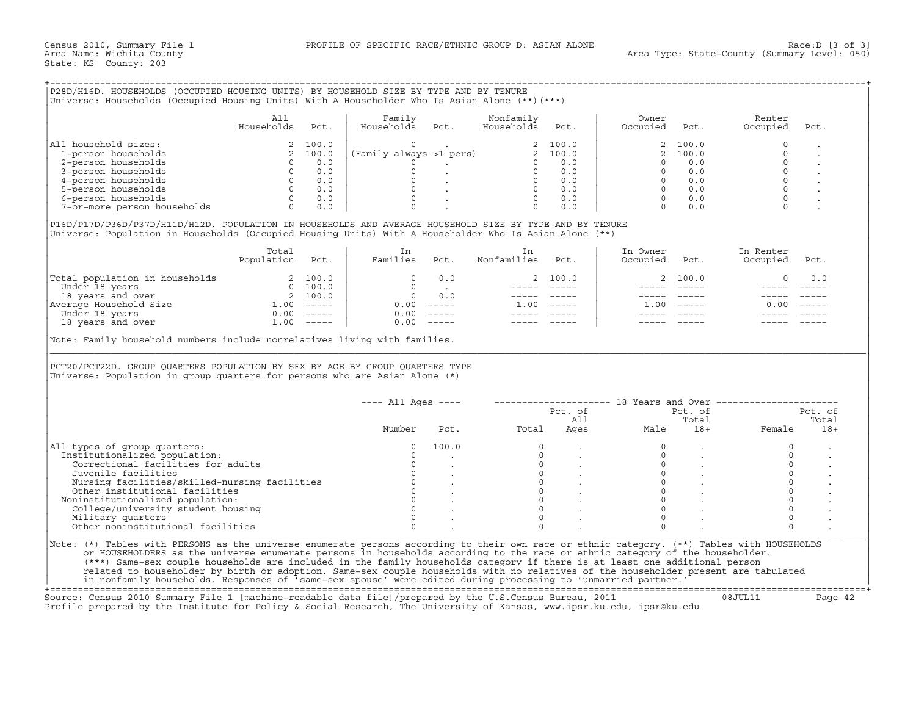### +===================================================================================================================================================+

|                             | All<br>Households | Pct.  | Family<br>Households    | Pct. | Nonfamily<br>Households | Pct.    | Owner<br>Occupied        | Pct.  | Renter<br>Occupied | Pct. |
|-----------------------------|-------------------|-------|-------------------------|------|-------------------------|---------|--------------------------|-------|--------------------|------|
| household sizes:<br>All I   |                   | 100.0 |                         |      |                         | 2 100.0 |                          | 100.0 |                    |      |
| 1-person households         |                   | 100.0 | (Family always >1 pers) |      |                         | 2 100.0 | $\overline{\phantom{a}}$ | 100.0 |                    |      |
| 2-person households         |                   | 0.0   |                         |      |                         | 0.0     |                          | 0.0   |                    |      |
| 3-person households         |                   | 0.0   |                         |      |                         | 0.0     |                          | 0.0   |                    |      |
| 4-person households         |                   | 0.0   |                         |      |                         | 0.0     |                          | 0.0   |                    |      |
| 5-person households         |                   | 0.0   |                         |      |                         | 0.0     |                          | 0.0   |                    |      |
| 6-person households         |                   | 0.0   |                         |      |                         | 0.0     |                          | 0.0   |                    |      |
| 7-or-more person households |                   | 0.0   |                         |      |                         | 0.0     |                          | 0.0   |                    |      |

|                                | Total<br>Population | Pct.                      | Families | Pct.                      | Nonfamilies | Pct.                      | In Owner<br>Occupied | Pct.    | In Renter<br>Occupied | Pct.          |
|--------------------------------|---------------------|---------------------------|----------|---------------------------|-------------|---------------------------|----------------------|---------|-----------------------|---------------|
| Total population in households |                     | 2 100.0                   |          | 0.0                       |             | 2 100.0                   |                      | 2 100.0 |                       | 0.0           |
| Under 18 years                 |                     | 100.0                     |          |                           |             |                           |                      |         |                       |               |
| 18 years and over              |                     | 100.0                     |          | 0.0                       |             |                           |                      |         |                       |               |
| Average Household Size         | .00                 | $\qquad \qquad - - - - -$ | 0.00     | $\frac{1}{2}$             | 00          | $\qquad \qquad - - - - -$ | 1.00                 | ______  | 0.00                  | $\frac{1}{2}$ |
| Under 18 years                 | 0.00                | $\qquad \qquad - - - - -$ | 0.00     | $\qquad \qquad - - - - -$ |             |                           |                      |         |                       |               |
| 18 years and over              | .00                 | $------$                  | 0.00     | $\qquad \qquad - - - - -$ |             |                           |                      |         |                       |               |

| All household sizes:<br>2, 100.0<br>(Family always >1 pers)<br>0<br>2 100.0<br>100.0<br>$\mathbf{2}$<br>$\mathbf 0$<br>1-person households<br>2, 100.0<br>2, 100.0<br>2 100.0<br>$\Omega$<br>$\Omega$<br>2-person households<br>$\overline{0}$<br>0.0<br>0.0<br>$\Omega$<br>0.0<br>$\overline{0}$<br>$0$ 0.0<br>0 0.0<br>$\mathbf{L}^{\text{max}}$ and $\mathbf{L}^{\text{max}}$<br>$\Omega$<br>3-person households<br>$0 \qquad 0.0$<br>$\Omega$<br>$\Omega$<br>0.0<br>$\begin{matrix} 0 & 0.0 \\ 0 & 0.0 \end{matrix}$<br>$\Omega$<br>$\overline{0}$<br>0.0<br>4-person households<br>$\begin{matrix} 0 & & \cdot \\ & & \cdot \\ 0 & & \cdot \end{matrix}$<br>$\Omega$<br>$0 \t 0.0$<br>$0 \t 0.0$<br>5-person households<br>$\Omega$<br>$\begin{array}{c} 0 \\ 0 \end{array}$<br>$0 \qquad 0.0$<br>$\Omega$<br><b>Contract Contract</b><br>$\Omega$<br>$0 \t 0.0$<br>6-person households<br>0.0<br>$\Omega$<br>$\Omega$<br>$\Omega$<br>7-or-more person households<br>0.0<br>$\Omega$<br>0.0<br>0.0<br>P16D/P17D/P36D/P37D/H11D/H12D. POPULATION IN HOUSEHOLDS AND AVERAGE HOUSEHOLD SIZE BY TYPE AND BY TENURE<br>Universe: Population in Households (Occupied Housing Units) With A Householder Who Is Asian Alone (**)<br>Total<br>In Owner<br>In Renter<br>In<br>In<br>Population Pct.<br>Families Pct.<br>Nonfamilies<br>Pct.<br>Occupied Pct.<br>Occupied<br>Pct.<br>$\begin{tabular}{ l l } \hline \texttt{Total population in households} & 2 100.0 \\ \hline \texttt{Under 18 years} & 0 100.0 \\ 18 years and over \\ \hline \texttt{Average House} & 2 100.0 \\ 2 100.0 \\ \hline \texttt{Average House} & 1.00 ----- \\ \hline \texttt{Under 18 years} & 0.00 ----- \\ 18 years and over \\ \hline \end{tabular}$<br>$0 \qquad 0.0$<br>2 100.0<br>2 100.0<br>$\Omega$<br>0.0<br>$\Omega$<br><b>Contract Contract Contract</b><br>$\qquad \qquad - - - - -$<br>$\overline{0}$<br>0.0<br>----- -----<br>$\frac{1}{2}$<br>$0.00$ -----<br>$1.00$ -----<br>$1.00 - - - - -$<br>0.00<br>$0.00$ -----<br>$\frac{1}{2} \frac{1}{2} \frac{1}{2} \frac{1}{2} \frac{1}{2} \frac{1}{2} \frac{1}{2} \frac{1}{2} \frac{1}{2} \frac{1}{2} \frac{1}{2} \frac{1}{2} \frac{1}{2} \frac{1}{2} \frac{1}{2} \frac{1}{2} \frac{1}{2} \frac{1}{2} \frac{1}{2} \frac{1}{2} \frac{1}{2} \frac{1}{2} \frac{1}{2} \frac{1}{2} \frac{1}{2} \frac{1}{2} \frac{1}{2} \frac{1}{2} \frac{1}{2} \frac{1}{2} \frac{1}{2} \frac{$<br>$0.00$ -----<br>Note: Family household numbers include nonrelatives living with families.<br>PCT20/PCT22D. GROUP QUARTERS POPULATION BY SEX BY AGE BY GROUP QUARTERS TYPE<br>Universe: Population in group quarters for persons who are Asian Alone (*)<br>$--- All Ages ---$<br>-------------------- 18 Years and Over ---------------------<br>Pct. of<br>Pct. of<br>All<br>Total<br>Total<br>Number<br>Ages<br>Pct.<br>Male<br>$18+$<br>Female<br>All types of group quarters:<br>100.0<br>$\Omega$<br>$\Omega$<br>$\Omega$<br>$\Omega$<br>Institutionalized population:<br>$\Omega$<br>$\Omega$<br>$\Omega$<br>$\Omega$<br>$\circ$<br>$\begin{bmatrix} 0 \\ 0 \\ 0 \end{bmatrix}$<br>$\circ$<br>$\circ$<br>Correctional facilities for adults<br>$0 \qquad \qquad$<br>$\Omega$<br>$\circ$<br>Juvenile facilities<br>$\Omega$<br>$\Omega$<br>$\begin{matrix} 0 & & \cdot \\ & 0 & & \cdot \\ & & \cdot & \cdot \\ & & & \cdot & \end{matrix}$<br>Nursing facilities/skilled-nursing facilities<br>$\circ$<br>$\circ$<br>$\overline{0}$<br>Other institutional facilities<br>$\Omega$<br>$\Omega$<br>$\circ$<br>Noninstitutionalized population:<br>$\Omega$<br>$\Omega$<br>$\Omega$<br>$\Omega$<br>College/university student housing<br>$\Omega$<br>$\Omega$<br>$\Omega$<br>$\Omega$<br>Military quarters<br>Other noninstitutional facilities<br>$\Omega$<br>$\Omega$<br>$\Omega$<br>$\Omega$<br>Note: (*) Tables with PERSONS as the universe enumerate persons according to their own race or ethnic category. (**) Tables with HOUSEHOLDS | All<br>Households | Pct. | Family<br>Households | Pct. | Nonfamily<br>Households | Pct. | Owner<br>Occupied | Pct. | Renter<br>Occupied | Pct.    |
|----------------------------------------------------------------------------------------------------------------------------------------------------------------------------------------------------------------------------------------------------------------------------------------------------------------------------------------------------------------------------------------------------------------------------------------------------------------------------------------------------------------------------------------------------------------------------------------------------------------------------------------------------------------------------------------------------------------------------------------------------------------------------------------------------------------------------------------------------------------------------------------------------------------------------------------------------------------------------------------------------------------------------------------------------------------------------------------------------------------------------------------------------------------------------------------------------------------------------------------------------------------------------------------------------------------------------------------------------------------------------------------------------------------------------------------------------------------------------------------------------------------------------------------------------------------------------------------------------------------------------------------------------------------------------------------------------------------------------------------------------------------------------------------------------------------------------------------------------------------------------------------------------------------------------------------------------------------------------------------------------------------------------------------------------------------------------------------------------------------------------------------------------------------------------------------------------------------------------------------------------------------------------------------------------------------------------------------------------------------------------------------------------------------------------------------------------------------------------------------------------------------------------------------------------------------------------------------------------------------------------------------------------------------------------------------------------------------------------------------------------------------------------------------------------------------------------------------------------------------------------------------------------------------------------------------------------------------------------------------------------------------------------------------------------------------------------------------------------------------------------------------------------------------------------------------------------------------------------------------------------------------------------------------------------------------------------------------------------------------------------------------------------------------------------------------------------------------------------------------------------------------------------------------------------------------------------------------------------------------------------------------------------------------------------------------------------------------------------------------------------------------------------------------------------------------------------------------------------------------------------------------------------------------------------------------------------------------------|-------------------|------|----------------------|------|-------------------------|------|-------------------|------|--------------------|---------|
|                                                                                                                                                                                                                                                                                                                                                                                                                                                                                                                                                                                                                                                                                                                                                                                                                                                                                                                                                                                                                                                                                                                                                                                                                                                                                                                                                                                                                                                                                                                                                                                                                                                                                                                                                                                                                                                                                                                                                                                                                                                                                                                                                                                                                                                                                                                                                                                                                                                                                                                                                                                                                                                                                                                                                                                                                                                                                                                                                                                                                                                                                                                                                                                                                                                                                                                                                                                                                                                                                                                                                                                                                                                                                                                                                                                                                                                                                                                                                                      |                   |      |                      |      |                         |      |                   |      |                    |         |
|                                                                                                                                                                                                                                                                                                                                                                                                                                                                                                                                                                                                                                                                                                                                                                                                                                                                                                                                                                                                                                                                                                                                                                                                                                                                                                                                                                                                                                                                                                                                                                                                                                                                                                                                                                                                                                                                                                                                                                                                                                                                                                                                                                                                                                                                                                                                                                                                                                                                                                                                                                                                                                                                                                                                                                                                                                                                                                                                                                                                                                                                                                                                                                                                                                                                                                                                                                                                                                                                                                                                                                                                                                                                                                                                                                                                                                                                                                                                                                      |                   |      |                      |      |                         |      |                   |      |                    |         |
|                                                                                                                                                                                                                                                                                                                                                                                                                                                                                                                                                                                                                                                                                                                                                                                                                                                                                                                                                                                                                                                                                                                                                                                                                                                                                                                                                                                                                                                                                                                                                                                                                                                                                                                                                                                                                                                                                                                                                                                                                                                                                                                                                                                                                                                                                                                                                                                                                                                                                                                                                                                                                                                                                                                                                                                                                                                                                                                                                                                                                                                                                                                                                                                                                                                                                                                                                                                                                                                                                                                                                                                                                                                                                                                                                                                                                                                                                                                                                                      |                   |      |                      |      |                         |      |                   |      |                    |         |
|                                                                                                                                                                                                                                                                                                                                                                                                                                                                                                                                                                                                                                                                                                                                                                                                                                                                                                                                                                                                                                                                                                                                                                                                                                                                                                                                                                                                                                                                                                                                                                                                                                                                                                                                                                                                                                                                                                                                                                                                                                                                                                                                                                                                                                                                                                                                                                                                                                                                                                                                                                                                                                                                                                                                                                                                                                                                                                                                                                                                                                                                                                                                                                                                                                                                                                                                                                                                                                                                                                                                                                                                                                                                                                                                                                                                                                                                                                                                                                      |                   |      |                      |      |                         |      |                   |      |                    |         |
|                                                                                                                                                                                                                                                                                                                                                                                                                                                                                                                                                                                                                                                                                                                                                                                                                                                                                                                                                                                                                                                                                                                                                                                                                                                                                                                                                                                                                                                                                                                                                                                                                                                                                                                                                                                                                                                                                                                                                                                                                                                                                                                                                                                                                                                                                                                                                                                                                                                                                                                                                                                                                                                                                                                                                                                                                                                                                                                                                                                                                                                                                                                                                                                                                                                                                                                                                                                                                                                                                                                                                                                                                                                                                                                                                                                                                                                                                                                                                                      |                   |      |                      |      |                         |      |                   |      |                    |         |
|                                                                                                                                                                                                                                                                                                                                                                                                                                                                                                                                                                                                                                                                                                                                                                                                                                                                                                                                                                                                                                                                                                                                                                                                                                                                                                                                                                                                                                                                                                                                                                                                                                                                                                                                                                                                                                                                                                                                                                                                                                                                                                                                                                                                                                                                                                                                                                                                                                                                                                                                                                                                                                                                                                                                                                                                                                                                                                                                                                                                                                                                                                                                                                                                                                                                                                                                                                                                                                                                                                                                                                                                                                                                                                                                                                                                                                                                                                                                                                      |                   |      |                      |      |                         |      |                   |      |                    |         |
|                                                                                                                                                                                                                                                                                                                                                                                                                                                                                                                                                                                                                                                                                                                                                                                                                                                                                                                                                                                                                                                                                                                                                                                                                                                                                                                                                                                                                                                                                                                                                                                                                                                                                                                                                                                                                                                                                                                                                                                                                                                                                                                                                                                                                                                                                                                                                                                                                                                                                                                                                                                                                                                                                                                                                                                                                                                                                                                                                                                                                                                                                                                                                                                                                                                                                                                                                                                                                                                                                                                                                                                                                                                                                                                                                                                                                                                                                                                                                                      |                   |      |                      |      |                         |      |                   |      |                    |         |
|                                                                                                                                                                                                                                                                                                                                                                                                                                                                                                                                                                                                                                                                                                                                                                                                                                                                                                                                                                                                                                                                                                                                                                                                                                                                                                                                                                                                                                                                                                                                                                                                                                                                                                                                                                                                                                                                                                                                                                                                                                                                                                                                                                                                                                                                                                                                                                                                                                                                                                                                                                                                                                                                                                                                                                                                                                                                                                                                                                                                                                                                                                                                                                                                                                                                                                                                                                                                                                                                                                                                                                                                                                                                                                                                                                                                                                                                                                                                                                      |                   |      |                      |      |                         |      |                   |      |                    |         |
|                                                                                                                                                                                                                                                                                                                                                                                                                                                                                                                                                                                                                                                                                                                                                                                                                                                                                                                                                                                                                                                                                                                                                                                                                                                                                                                                                                                                                                                                                                                                                                                                                                                                                                                                                                                                                                                                                                                                                                                                                                                                                                                                                                                                                                                                                                                                                                                                                                                                                                                                                                                                                                                                                                                                                                                                                                                                                                                                                                                                                                                                                                                                                                                                                                                                                                                                                                                                                                                                                                                                                                                                                                                                                                                                                                                                                                                                                                                                                                      |                   |      |                      |      |                         |      |                   |      |                    |         |
|                                                                                                                                                                                                                                                                                                                                                                                                                                                                                                                                                                                                                                                                                                                                                                                                                                                                                                                                                                                                                                                                                                                                                                                                                                                                                                                                                                                                                                                                                                                                                                                                                                                                                                                                                                                                                                                                                                                                                                                                                                                                                                                                                                                                                                                                                                                                                                                                                                                                                                                                                                                                                                                                                                                                                                                                                                                                                                                                                                                                                                                                                                                                                                                                                                                                                                                                                                                                                                                                                                                                                                                                                                                                                                                                                                                                                                                                                                                                                                      |                   |      |                      |      |                         |      |                   |      |                    |         |
|                                                                                                                                                                                                                                                                                                                                                                                                                                                                                                                                                                                                                                                                                                                                                                                                                                                                                                                                                                                                                                                                                                                                                                                                                                                                                                                                                                                                                                                                                                                                                                                                                                                                                                                                                                                                                                                                                                                                                                                                                                                                                                                                                                                                                                                                                                                                                                                                                                                                                                                                                                                                                                                                                                                                                                                                                                                                                                                                                                                                                                                                                                                                                                                                                                                                                                                                                                                                                                                                                                                                                                                                                                                                                                                                                                                                                                                                                                                                                                      |                   |      |                      |      |                         |      |                   |      |                    |         |
|                                                                                                                                                                                                                                                                                                                                                                                                                                                                                                                                                                                                                                                                                                                                                                                                                                                                                                                                                                                                                                                                                                                                                                                                                                                                                                                                                                                                                                                                                                                                                                                                                                                                                                                                                                                                                                                                                                                                                                                                                                                                                                                                                                                                                                                                                                                                                                                                                                                                                                                                                                                                                                                                                                                                                                                                                                                                                                                                                                                                                                                                                                                                                                                                                                                                                                                                                                                                                                                                                                                                                                                                                                                                                                                                                                                                                                                                                                                                                                      |                   |      |                      |      |                         |      |                   |      |                    |         |
|                                                                                                                                                                                                                                                                                                                                                                                                                                                                                                                                                                                                                                                                                                                                                                                                                                                                                                                                                                                                                                                                                                                                                                                                                                                                                                                                                                                                                                                                                                                                                                                                                                                                                                                                                                                                                                                                                                                                                                                                                                                                                                                                                                                                                                                                                                                                                                                                                                                                                                                                                                                                                                                                                                                                                                                                                                                                                                                                                                                                                                                                                                                                                                                                                                                                                                                                                                                                                                                                                                                                                                                                                                                                                                                                                                                                                                                                                                                                                                      |                   |      |                      |      |                         |      |                   |      |                    |         |
|                                                                                                                                                                                                                                                                                                                                                                                                                                                                                                                                                                                                                                                                                                                                                                                                                                                                                                                                                                                                                                                                                                                                                                                                                                                                                                                                                                                                                                                                                                                                                                                                                                                                                                                                                                                                                                                                                                                                                                                                                                                                                                                                                                                                                                                                                                                                                                                                                                                                                                                                                                                                                                                                                                                                                                                                                                                                                                                                                                                                                                                                                                                                                                                                                                                                                                                                                                                                                                                                                                                                                                                                                                                                                                                                                                                                                                                                                                                                                                      |                   |      |                      |      |                         |      |                   |      |                    |         |
|                                                                                                                                                                                                                                                                                                                                                                                                                                                                                                                                                                                                                                                                                                                                                                                                                                                                                                                                                                                                                                                                                                                                                                                                                                                                                                                                                                                                                                                                                                                                                                                                                                                                                                                                                                                                                                                                                                                                                                                                                                                                                                                                                                                                                                                                                                                                                                                                                                                                                                                                                                                                                                                                                                                                                                                                                                                                                                                                                                                                                                                                                                                                                                                                                                                                                                                                                                                                                                                                                                                                                                                                                                                                                                                                                                                                                                                                                                                                                                      |                   |      |                      |      |                         |      |                   |      |                    |         |
|                                                                                                                                                                                                                                                                                                                                                                                                                                                                                                                                                                                                                                                                                                                                                                                                                                                                                                                                                                                                                                                                                                                                                                                                                                                                                                                                                                                                                                                                                                                                                                                                                                                                                                                                                                                                                                                                                                                                                                                                                                                                                                                                                                                                                                                                                                                                                                                                                                                                                                                                                                                                                                                                                                                                                                                                                                                                                                                                                                                                                                                                                                                                                                                                                                                                                                                                                                                                                                                                                                                                                                                                                                                                                                                                                                                                                                                                                                                                                                      |                   |      |                      |      |                         |      |                   |      |                    |         |
|                                                                                                                                                                                                                                                                                                                                                                                                                                                                                                                                                                                                                                                                                                                                                                                                                                                                                                                                                                                                                                                                                                                                                                                                                                                                                                                                                                                                                                                                                                                                                                                                                                                                                                                                                                                                                                                                                                                                                                                                                                                                                                                                                                                                                                                                                                                                                                                                                                                                                                                                                                                                                                                                                                                                                                                                                                                                                                                                                                                                                                                                                                                                                                                                                                                                                                                                                                                                                                                                                                                                                                                                                                                                                                                                                                                                                                                                                                                                                                      |                   |      |                      |      |                         |      |                   |      |                    |         |
|                                                                                                                                                                                                                                                                                                                                                                                                                                                                                                                                                                                                                                                                                                                                                                                                                                                                                                                                                                                                                                                                                                                                                                                                                                                                                                                                                                                                                                                                                                                                                                                                                                                                                                                                                                                                                                                                                                                                                                                                                                                                                                                                                                                                                                                                                                                                                                                                                                                                                                                                                                                                                                                                                                                                                                                                                                                                                                                                                                                                                                                                                                                                                                                                                                                                                                                                                                                                                                                                                                                                                                                                                                                                                                                                                                                                                                                                                                                                                                      |                   |      |                      |      |                         |      |                   |      |                    |         |
|                                                                                                                                                                                                                                                                                                                                                                                                                                                                                                                                                                                                                                                                                                                                                                                                                                                                                                                                                                                                                                                                                                                                                                                                                                                                                                                                                                                                                                                                                                                                                                                                                                                                                                                                                                                                                                                                                                                                                                                                                                                                                                                                                                                                                                                                                                                                                                                                                                                                                                                                                                                                                                                                                                                                                                                                                                                                                                                                                                                                                                                                                                                                                                                                                                                                                                                                                                                                                                                                                                                                                                                                                                                                                                                                                                                                                                                                                                                                                                      |                   |      |                      |      |                         |      |                   |      |                    |         |
|                                                                                                                                                                                                                                                                                                                                                                                                                                                                                                                                                                                                                                                                                                                                                                                                                                                                                                                                                                                                                                                                                                                                                                                                                                                                                                                                                                                                                                                                                                                                                                                                                                                                                                                                                                                                                                                                                                                                                                                                                                                                                                                                                                                                                                                                                                                                                                                                                                                                                                                                                                                                                                                                                                                                                                                                                                                                                                                                                                                                                                                                                                                                                                                                                                                                                                                                                                                                                                                                                                                                                                                                                                                                                                                                                                                                                                                                                                                                                                      |                   |      |                      |      |                         |      |                   |      |                    | Pct. of |
|                                                                                                                                                                                                                                                                                                                                                                                                                                                                                                                                                                                                                                                                                                                                                                                                                                                                                                                                                                                                                                                                                                                                                                                                                                                                                                                                                                                                                                                                                                                                                                                                                                                                                                                                                                                                                                                                                                                                                                                                                                                                                                                                                                                                                                                                                                                                                                                                                                                                                                                                                                                                                                                                                                                                                                                                                                                                                                                                                                                                                                                                                                                                                                                                                                                                                                                                                                                                                                                                                                                                                                                                                                                                                                                                                                                                                                                                                                                                                                      |                   |      |                      |      |                         |      |                   |      |                    | Total   |
|                                                                                                                                                                                                                                                                                                                                                                                                                                                                                                                                                                                                                                                                                                                                                                                                                                                                                                                                                                                                                                                                                                                                                                                                                                                                                                                                                                                                                                                                                                                                                                                                                                                                                                                                                                                                                                                                                                                                                                                                                                                                                                                                                                                                                                                                                                                                                                                                                                                                                                                                                                                                                                                                                                                                                                                                                                                                                                                                                                                                                                                                                                                                                                                                                                                                                                                                                                                                                                                                                                                                                                                                                                                                                                                                                                                                                                                                                                                                                                      |                   |      |                      |      |                         |      |                   |      |                    | $18+$   |
|                                                                                                                                                                                                                                                                                                                                                                                                                                                                                                                                                                                                                                                                                                                                                                                                                                                                                                                                                                                                                                                                                                                                                                                                                                                                                                                                                                                                                                                                                                                                                                                                                                                                                                                                                                                                                                                                                                                                                                                                                                                                                                                                                                                                                                                                                                                                                                                                                                                                                                                                                                                                                                                                                                                                                                                                                                                                                                                                                                                                                                                                                                                                                                                                                                                                                                                                                                                                                                                                                                                                                                                                                                                                                                                                                                                                                                                                                                                                                                      |                   |      |                      |      |                         |      |                   |      |                    |         |
|                                                                                                                                                                                                                                                                                                                                                                                                                                                                                                                                                                                                                                                                                                                                                                                                                                                                                                                                                                                                                                                                                                                                                                                                                                                                                                                                                                                                                                                                                                                                                                                                                                                                                                                                                                                                                                                                                                                                                                                                                                                                                                                                                                                                                                                                                                                                                                                                                                                                                                                                                                                                                                                                                                                                                                                                                                                                                                                                                                                                                                                                                                                                                                                                                                                                                                                                                                                                                                                                                                                                                                                                                                                                                                                                                                                                                                                                                                                                                                      |                   |      |                      |      |                         |      |                   |      |                    |         |
|                                                                                                                                                                                                                                                                                                                                                                                                                                                                                                                                                                                                                                                                                                                                                                                                                                                                                                                                                                                                                                                                                                                                                                                                                                                                                                                                                                                                                                                                                                                                                                                                                                                                                                                                                                                                                                                                                                                                                                                                                                                                                                                                                                                                                                                                                                                                                                                                                                                                                                                                                                                                                                                                                                                                                                                                                                                                                                                                                                                                                                                                                                                                                                                                                                                                                                                                                                                                                                                                                                                                                                                                                                                                                                                                                                                                                                                                                                                                                                      |                   |      |                      |      |                         |      |                   |      |                    |         |
|                                                                                                                                                                                                                                                                                                                                                                                                                                                                                                                                                                                                                                                                                                                                                                                                                                                                                                                                                                                                                                                                                                                                                                                                                                                                                                                                                                                                                                                                                                                                                                                                                                                                                                                                                                                                                                                                                                                                                                                                                                                                                                                                                                                                                                                                                                                                                                                                                                                                                                                                                                                                                                                                                                                                                                                                                                                                                                                                                                                                                                                                                                                                                                                                                                                                                                                                                                                                                                                                                                                                                                                                                                                                                                                                                                                                                                                                                                                                                                      |                   |      |                      |      |                         |      |                   |      |                    |         |
|                                                                                                                                                                                                                                                                                                                                                                                                                                                                                                                                                                                                                                                                                                                                                                                                                                                                                                                                                                                                                                                                                                                                                                                                                                                                                                                                                                                                                                                                                                                                                                                                                                                                                                                                                                                                                                                                                                                                                                                                                                                                                                                                                                                                                                                                                                                                                                                                                                                                                                                                                                                                                                                                                                                                                                                                                                                                                                                                                                                                                                                                                                                                                                                                                                                                                                                                                                                                                                                                                                                                                                                                                                                                                                                                                                                                                                                                                                                                                                      |                   |      |                      |      |                         |      |                   |      |                    |         |
|                                                                                                                                                                                                                                                                                                                                                                                                                                                                                                                                                                                                                                                                                                                                                                                                                                                                                                                                                                                                                                                                                                                                                                                                                                                                                                                                                                                                                                                                                                                                                                                                                                                                                                                                                                                                                                                                                                                                                                                                                                                                                                                                                                                                                                                                                                                                                                                                                                                                                                                                                                                                                                                                                                                                                                                                                                                                                                                                                                                                                                                                                                                                                                                                                                                                                                                                                                                                                                                                                                                                                                                                                                                                                                                                                                                                                                                                                                                                                                      |                   |      |                      |      |                         |      |                   |      |                    |         |
|                                                                                                                                                                                                                                                                                                                                                                                                                                                                                                                                                                                                                                                                                                                                                                                                                                                                                                                                                                                                                                                                                                                                                                                                                                                                                                                                                                                                                                                                                                                                                                                                                                                                                                                                                                                                                                                                                                                                                                                                                                                                                                                                                                                                                                                                                                                                                                                                                                                                                                                                                                                                                                                                                                                                                                                                                                                                                                                                                                                                                                                                                                                                                                                                                                                                                                                                                                                                                                                                                                                                                                                                                                                                                                                                                                                                                                                                                                                                                                      |                   |      |                      |      |                         |      |                   |      |                    |         |
|                                                                                                                                                                                                                                                                                                                                                                                                                                                                                                                                                                                                                                                                                                                                                                                                                                                                                                                                                                                                                                                                                                                                                                                                                                                                                                                                                                                                                                                                                                                                                                                                                                                                                                                                                                                                                                                                                                                                                                                                                                                                                                                                                                                                                                                                                                                                                                                                                                                                                                                                                                                                                                                                                                                                                                                                                                                                                                                                                                                                                                                                                                                                                                                                                                                                                                                                                                                                                                                                                                                                                                                                                                                                                                                                                                                                                                                                                                                                                                      |                   |      |                      |      |                         |      |                   |      |                    |         |
|                                                                                                                                                                                                                                                                                                                                                                                                                                                                                                                                                                                                                                                                                                                                                                                                                                                                                                                                                                                                                                                                                                                                                                                                                                                                                                                                                                                                                                                                                                                                                                                                                                                                                                                                                                                                                                                                                                                                                                                                                                                                                                                                                                                                                                                                                                                                                                                                                                                                                                                                                                                                                                                                                                                                                                                                                                                                                                                                                                                                                                                                                                                                                                                                                                                                                                                                                                                                                                                                                                                                                                                                                                                                                                                                                                                                                                                                                                                                                                      |                   |      |                      |      |                         |      |                   |      |                    |         |
|                                                                                                                                                                                                                                                                                                                                                                                                                                                                                                                                                                                                                                                                                                                                                                                                                                                                                                                                                                                                                                                                                                                                                                                                                                                                                                                                                                                                                                                                                                                                                                                                                                                                                                                                                                                                                                                                                                                                                                                                                                                                                                                                                                                                                                                                                                                                                                                                                                                                                                                                                                                                                                                                                                                                                                                                                                                                                                                                                                                                                                                                                                                                                                                                                                                                                                                                                                                                                                                                                                                                                                                                                                                                                                                                                                                                                                                                                                                                                                      |                   |      |                      |      |                         |      |                   |      |                    |         |
|                                                                                                                                                                                                                                                                                                                                                                                                                                                                                                                                                                                                                                                                                                                                                                                                                                                                                                                                                                                                                                                                                                                                                                                                                                                                                                                                                                                                                                                                                                                                                                                                                                                                                                                                                                                                                                                                                                                                                                                                                                                                                                                                                                                                                                                                                                                                                                                                                                                                                                                                                                                                                                                                                                                                                                                                                                                                                                                                                                                                                                                                                                                                                                                                                                                                                                                                                                                                                                                                                                                                                                                                                                                                                                                                                                                                                                                                                                                                                                      |                   |      |                      |      |                         |      |                   |      |                    |         |
| or HOUSEHOLDERS as the universe enumerate persons in households according to the race or ethnic category of the householder.                                                                                                                                                                                                                                                                                                                                                                                                                                                                                                                                                                                                                                                                                                                                                                                                                                                                                                                                                                                                                                                                                                                                                                                                                                                                                                                                                                                                                                                                                                                                                                                                                                                                                                                                                                                                                                                                                                                                                                                                                                                                                                                                                                                                                                                                                                                                                                                                                                                                                                                                                                                                                                                                                                                                                                                                                                                                                                                                                                                                                                                                                                                                                                                                                                                                                                                                                                                                                                                                                                                                                                                                                                                                                                                                                                                                                                         |                   |      |                      |      |                         |      |                   |      |                    |         |

+===================================================================================================================================================+Source: Census 2010 Summary File 1 [machine−readable data file]/prepared by the U.S.Census Bureau, 2011 08JUL11 Page 42 Profile prepared by the Institute for Policy & Social Research, The University of Kansas, www.ipsr.ku.edu, ipsr@ku.edu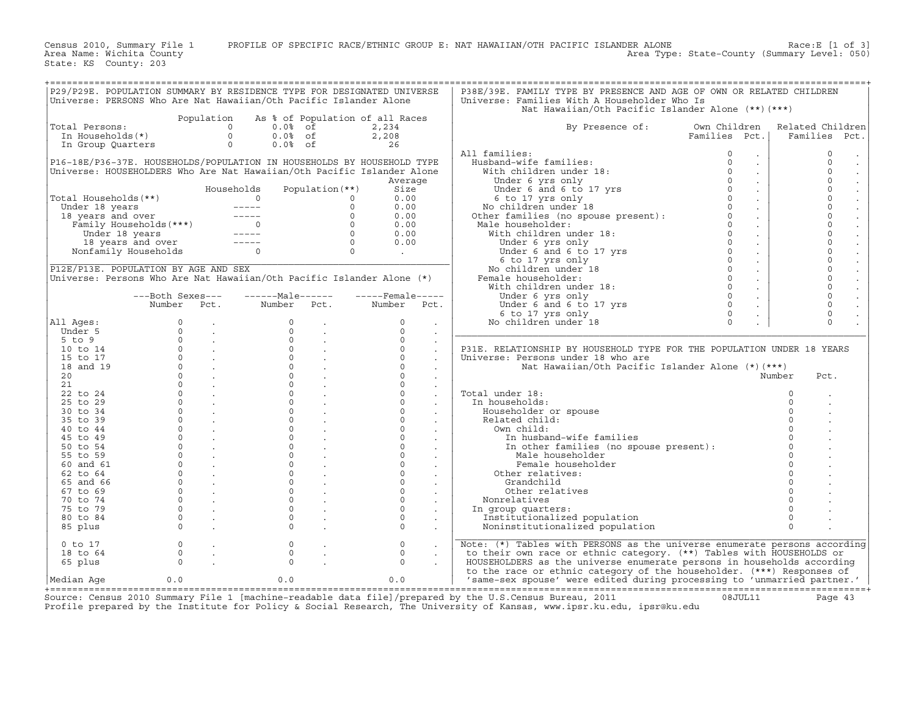State: KS County: 203 +===================================================================================================================================================+|P29/P29E. POPULATION SUMMARY BY RESIDENCE TYPE FOR DESIGNATED UNIVERSE | P38E/39E. FAMILY TYPE BY PRESENCE AND AGE OF OWN OR RELATED CHILDREN | |Universe: PERSONS Who Are Nat Hawaiian/Oth Pacific Islander Alone | Universe: Families With A Householder Who Is | | | Nat Hawaiian/Oth Pacific Islander Alone (\*\*)(\*\*\*) | | Population As % of Population of all Races | | |Total Persons: 0 0.0% of 2,234 | By Presence of: Own Children Related Children| | In Households(\*) 0 0.0% of 2,208 | Families Pct.| Families Pct.| | In Group Quarters 0 0.0% of 26 | | | | | All families: 0 . | 0 . | |P16−18E/P36−37E. HOUSEHOLDS/POPULATION IN HOUSEHOLDS BY HOUSEHOLD TYPE | Husband−wife families: 0 . | 0 . | |Universe: HOUSEHOLDERS Who Are Nat Hawaiian/Oth Pacific Islander Alone | With children under 18: 0 . | 0 . | | Average | Under 6 yrs only 0 . | 0 . | | Households Population(\*\*) Size | Under 6 and 6 to 17 yrs 0 . | 0 . | |Total Households(\*\*) 0 0 0.00 | 6 to 17 yrs only 0 . | 0 . | | Under 18 years −−−−− 0 0.00 | No children under 18 0 . | 0 . | | 18 years and over −−−−− 0 0.00 | Other families (no spouse present): 0 . | 0 . | | Family Households(\*\*\*) 0 0 0.00 | Male householder: 0 . | 0 . | | Under 18 years −−−−− 0 0.00 | With children under 18: 0 . | 0 . | | 18 years and over −−−−− 0 0.00 | Under 6 yrs only 0 . | 0 . | | Nonfamily Households 0 0 . | Under 6 and 6 to 17 yrs 0 . | 0 . | |\_\_\_\_\_\_\_\_\_\_\_\_\_\_\_\_\_\_\_\_\_\_\_\_\_\_\_\_\_\_\_\_\_\_\_\_\_\_\_\_\_\_\_\_\_\_\_\_\_\_\_\_\_\_\_\_\_\_\_\_\_\_\_\_\_\_\_\_\_\_\_\_| 6 to 17 yrs only 0 . | 0 . | |P12E/P13E. POPULATION BY AGE AND SEX | No children under 18 0 . | 0 . | |Universe: Persons Who Are Nat Hawaiian/Oth Pacific Islander Alone (\*) | Female householder: 0 . | 0 . | | | With children under 18: 0 . | 0 . | | −−−Both Sexes−−− −−−−−−Male−−−−−− −−−−−Female−−−−− | Under 6 yrs only 0 . | 0 . | | Number Pct. Number Pct. Number Pct. | Under 6 and 6 to 17 yrs 0 . | 0 . | | | 6 to 17 yrs only 0 . | 0 . | |All Ages: 0 . 0 . 0 . | No children under 18 0 . | 0 . | | Under 5 0 . 0 . 0 . |\_\_\_\_\_\_\_\_\_\_\_\_\_\_\_\_\_\_\_\_\_\_\_\_\_\_\_\_\_\_\_\_\_\_\_\_\_\_\_\_\_\_\_\_\_\_\_\_\_\_\_\_\_\_\_\_\_\_\_\_\_\_\_\_\_\_\_\_\_\_\_\_\_\_| | 5 to 9 0 . 0 . 0 . | | | 10 to 14 0 . 0 . 0 . | P31E. RELATIONSHIP BY HOUSEHOLD TYPE FOR THE POPULATION UNDER 18 YEARS | | 15 to 17 0 . 0 . 0 . | Universe: Persons under 18 who are | | 18 and 19 0 . 0 . 0 . | Nat Hawaiian/Oth Pacific Islander Alone (\*)(\*\*\*) | | 20 0 . 0 . 0 . | Number Pct. | | 21 0 . 0 . 0 . | | | 22 to 24 0 . 0 . 0 . | Total under 18: 0 . | | 25 to 29 0 . 0 . 0 . | In households: 0 . | | 30 to 34 0 . 0 . 0 . | Householder or spouse 0 . | | 35 to 39 0 . 0 . 0 . | Related child: 0 . | | 40 to 44 0 . 0 . 0 . | Own child: 0 . | | 45 to 49 0 . 0 . 0 . | In husband−wife families 0 . | | 50 to 54 0 . 0 . 0 . | In other families (no spouse present): 0 . | | 55 to 59 0 . 0 . 0 . | Male householder 0 . | | 60 and 61 0 . 0 . 0 . | Female householder 0 . | | 62 to 64 0 . 0 . 0 . | Other relatives: 0 . | | 65 and 66 0 . 0 . 0 . | Grandchild 0 . | | 67 to 69 0 . 0 . 0 . | Other relatives 0 . | | 70 to 74 0 . 0 . 0 . | Nonrelatives 0 . | | 75 to 79 0 . 0 . 0 . | In group quarters: 0 . | | 80 to 84 0 . 0 . 0 . | Institutionalized population 0 . | | 85 plus 0 . 0 . 0 . | Noninstitutionalized population 0 . | | |\_\_\_\_\_\_\_\_\_\_\_\_\_\_\_\_\_\_\_\_\_\_\_\_\_\_\_\_\_\_\_\_\_\_\_\_\_\_\_\_\_\_\_\_\_\_\_\_\_\_\_\_\_\_\_\_\_\_\_\_\_\_\_\_\_\_\_\_\_\_\_\_\_\_| | 0 to 17 0 . 0 . 0 . | Note: (\*) Tables with PERSONS as the universe enumerate persons according| | 18 to 64 0 . 0 . 0 . | to their own race or ethnic category. (\*\*) Tables with HOUSEHOLDS or | | 65 plus 0 . 0 . 0 . | HOUSEHOLDERS as the universe enumerate persons in households according | | | to the race or ethnic category of the householder. (\*\*\*) Responses of | |Median Age 0.0 0.0 0.0 | 'same−sex spouse' were edited during processing to 'unmarried partner.' | +===================================================================================================================================================+

Source: Census 2010 Summary File 1 [machine−readable data file]/prepared by the U.S.Census Bureau, 2011 08JUL11 Page 43 Profile prepared by the Institute for Policy & Social Research, The University of Kansas, www.ipsr.ku.edu, ipsr@ku.edu

Census 2010, Summary File 1 PROFILE OF SPECIFIC RACE/ETHNIC GROUP E: NAT HAWAIIAN/OTH PACIFIC ISLANDER ALONE Race:E [1 of 3]<br>Area Name: Wichita County Level: 050) Area Type: State−County (Summary Level: 050)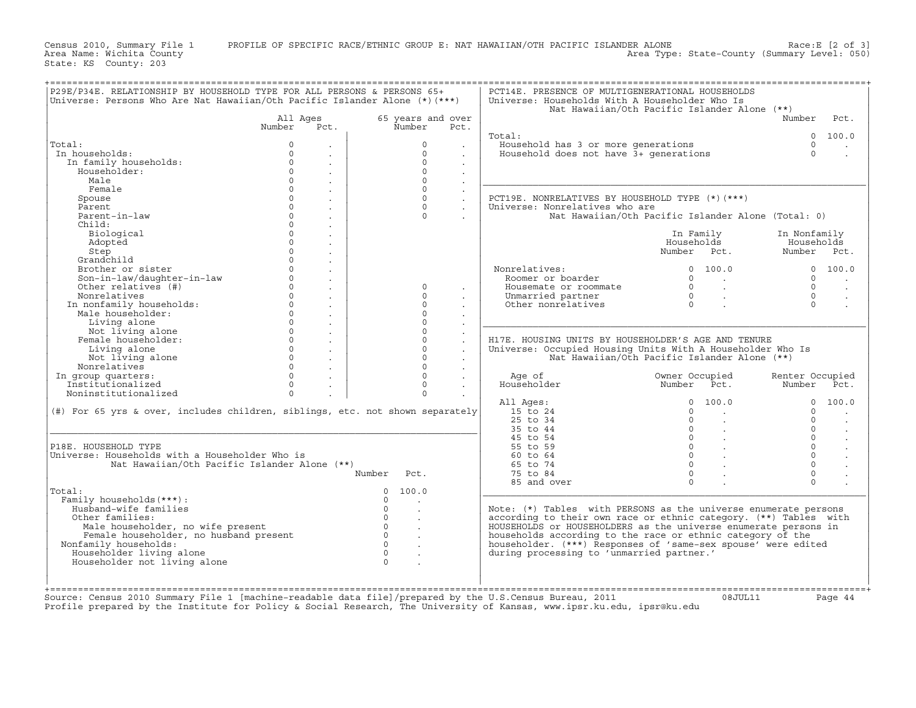Census 2010, Summary File 1 PROFILE OF SPECIFIC RACE/ETHNIC GROUP E: NAT HAWAIIAN/OTH PACIFIC ISLANDER ALONE Race:E [2 of 3]<br>Area Name: Wichita County Level: 050) Area Type: State−County (Summary Level: 050)

+===================================================================================================================================================+|P29E/P34E. RELATIONSHIP BY HOUSEHOLD TYPE FOR ALL PERSONS & PERSONS 65+ | PCT14E. PRESENCE OF MULTIGENERATIONAL HOUSEHOLDS | |Universe: Persons Who Are Nat Hawaiian/Oth Pacific Islander Alone (\*)(\*\*\*) | Universe: Households With A Householder Who Is | | | Nat Hawaiian/Oth Pacific Islander Alone (\*\*) | | All Ages 65 years and over | Number Pct. | | Number Pct. Number Pct. | | | | | Total: 0 100.0 | |Total: 0 . | 0 . | Household has 3 or more generations 0 . | | In households: 0 . | 0 . | Household does not have 3+ generations 0 . | | In family households: 0 . | 0 . | | | Householder: 0 . | 0 . | | | Male 0 . | 0 . |\_\_\_\_\_\_\_\_\_\_\_\_\_\_\_\_\_\_\_\_\_\_\_\_\_\_\_\_\_\_\_\_\_\_\_\_\_\_\_\_\_\_\_\_\_\_\_\_\_\_\_\_\_\_\_\_\_\_\_\_\_\_\_\_\_\_\_\_\_| | Female 0 . | 0 . | | | Spouse 0 . | 0 . | PCT19E. NONRELATIVES BY HOUSEHOLD TYPE (\*)(\*\*\*) | | Parent 0 . | 0 . | Universe: Nonrelatives who are | | Parent−in−law 0 . | 0 . | Nat Hawaiian/Oth Pacific Islander Alone (Total: 0) | | Child: 0 . | | | | Biological 0 . | | In Family In Nonfamily | | Adopted 0 . | | Households Households | | Step 0 . | | Number Pct. Number Pct. | | Grandchild 0 . | | | | Brother or sister 0 . | | Nonrelatives: 0 100.0 0 100.0 | | Son−in−law/daughter−in−law 0 . | | Roomer or boarder 0 . 0 . | | Other relatives (#) 0 . | 0 . | Housemate or roommate 0 . 0 . | | Nonrelatives 0 . | 0 . | Unmarried partner 0 . 0 . | | In nonfamily households: 0 . | 0 . | Other nonrelatives 0 . 0 . | | Male householder: 0 . | 0 . | | | Living alone 0 . | 0 . |\_\_\_\_\_\_\_\_\_\_\_\_\_\_\_\_\_\_\_\_\_\_\_\_\_\_\_\_\_\_\_\_\_\_\_\_\_\_\_\_\_\_\_\_\_\_\_\_\_\_\_\_\_\_\_\_\_\_\_\_\_\_\_\_\_\_\_\_\_| | Not living alone 0 . | 0 . | | | Female householder: 0 . | 0 . | H17E. HOUSING UNITS BY HOUSEHOLDER'S AGE AND TENURE | | Living alone 0 . | 0 . | Universe: Occupied Housing Units With A Householder Who Is | | Not living alone 0 . | 0 . | Nat Hawaiian/Oth Pacific Islander Alone (\*\*) | | Nonrelatives 0 . | 0 . | | | In group quarters: 0 . | 0 . | Age of Owner Occupied Renter Occupied | | Institutionalized 0 . | 0 . | Householder Number Pct. Number Pct. | | Noninstitutionalized 0 . | 0 . | | | | All Ages: 0 100.0 0 100.0 | |(#) For 65 yrs & over, includes children, siblings, etc. not shown separately| 15 to 24 0 . 0 . | | | 25 to 34 0 . 0 . | |\_\_\_\_\_\_\_\_\_\_\_\_\_\_\_\_\_\_\_\_\_\_\_\_\_\_\_\_\_\_\_\_\_\_\_\_\_\_\_\_\_\_\_\_\_\_\_\_\_\_\_\_\_\_\_\_\_\_\_\_\_\_\_\_\_\_\_\_\_\_\_\_\_\_\_\_\_| 35 to 44 0 . 0 . | | | 45 to 54 0 . 0 . | |P18E. HOUSEHOLD TYPE | 55 to 59 0 . 0 . | |Universe: Households with a Householder Who is | 60 to 64 0 . 0 . | | Nat Hawaiian/Oth Pacific Islander Alone (\*\*) | 65 to 74 0 . 0 . | | Number Pct. | 75 to 84 0 . 0 . | | | 85 and over 0 . 0 . | |Total: 0 100.0 |\_\_\_\_\_\_\_\_\_\_\_\_\_\_\_\_\_\_\_\_\_\_\_\_\_\_\_\_\_\_\_\_\_\_\_\_\_\_\_\_\_\_\_\_\_\_\_\_\_\_\_\_\_\_\_\_\_\_\_\_\_\_\_\_\_\_\_\_\_| | Family households(\*\*\*): 0 . | | | Husband−wife families 0 . | Note: (\*) Tables with PERSONS as the universe enumerate persons | | Other families: 0 . | according to their own race or ethnic category. (\*\*) Tables with | | Male householder, no wife present 0 . | HOUSEHOLDS or HOUSEHOLDERS as the universe enumerate persons in | | Female householder, no husband present 0 . | households according to the race or ethnic category of the | | Nonfamily households: 0 . | householder. (\*\*\*) Responses of 'same−sex spouse' were edited | | Householder living alone 0 . | during processing to 'unmarried partner.' | | Householder not living alone 0 . | | | | | | | |

State: KS County: 203

+===================================================================================================================================================+Source: Census 2010 Summary File 1 [machine−readable data file]/prepared by the U.S.Census Bureau, 2011 08JUL11 Page 44 Profile prepared by the Institute for Policy & Social Research, The University of Kansas, www.ipsr.ku.edu, ipsr@ku.edu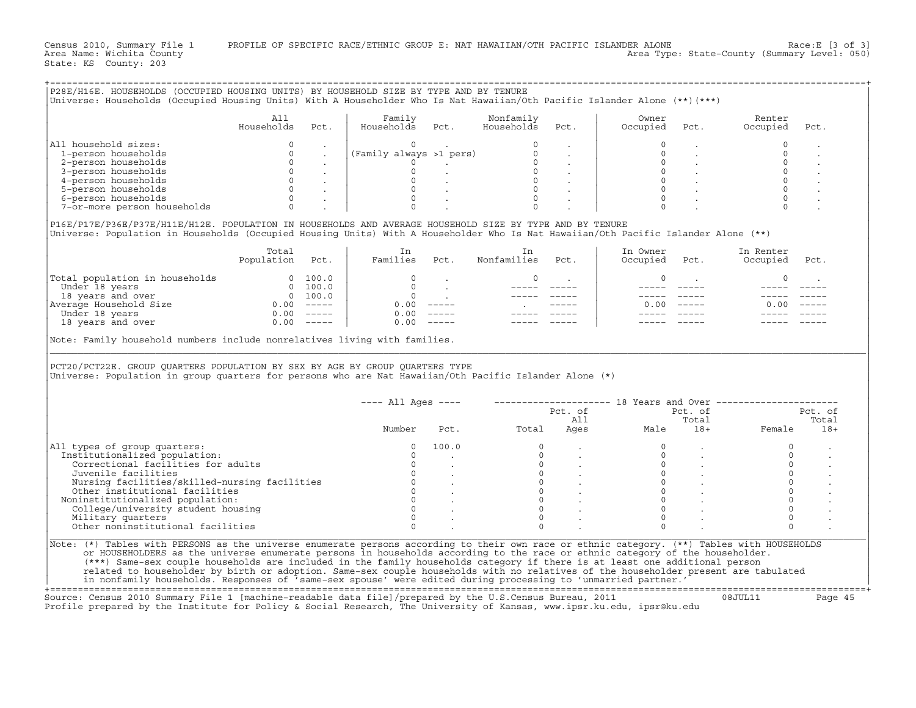Census 2010, Summary File 1 PROFILE OF SPECIFIC RACE/ETHNIC GROUP E: NAT HAWAIIAN/OTH PACIFIC ISLANDER ALONE Race:E [3 of 3]<br>Area Name: Wichita County Level: 050) Area Type: State-County (Summary Level: 050)

State: KS County: 203

|                                                                                                                                                                                                                                                                     | A11          |      | Family                                                                                                                                                                                                                                                                                                                                                                 |                                                             | Nonfamily   |                                                                                   | Owner                                                                                                                                                                                                                                                                                                                       |                                                       | Renter                                                              |         |
|---------------------------------------------------------------------------------------------------------------------------------------------------------------------------------------------------------------------------------------------------------------------|--------------|------|------------------------------------------------------------------------------------------------------------------------------------------------------------------------------------------------------------------------------------------------------------------------------------------------------------------------------------------------------------------------|-------------------------------------------------------------|-------------|-----------------------------------------------------------------------------------|-----------------------------------------------------------------------------------------------------------------------------------------------------------------------------------------------------------------------------------------------------------------------------------------------------------------------------|-------------------------------------------------------|---------------------------------------------------------------------|---------|
|                                                                                                                                                                                                                                                                     | Households   | Pct. | Households Pct.                                                                                                                                                                                                                                                                                                                                                        |                                                             | Households  | Pct.                                                                              | Occupied                                                                                                                                                                                                                                                                                                                    | Pct.                                                  | Occupied                                                            | Pct.    |
| All household sizes:                                                                                                                                                                                                                                                | $\Omega$     |      | $\begin{array}{ l } \hbox{({\tt Family\ always\ >1\ \hbox{pers})}} & \begin{array}{ccccc} & & & & & 0 & & \cdot & \\ \hbox{0} & & & & & & 0 & \cdot & \cdot \\ & & 0 & \cdot & & & 0 & \cdot \\ & & 0 & \cdot & & & 0 & \cdot \\ & & & 0 & \cdot & & & 0 & \cdot \\ & & & 0 & \cdot & & & 0 & \cdot \\ & & & 0 & \cdot & & & 0 & \cdot \\ \hline \end{array} \hbox{.}$ |                                                             |             |                                                                                   | $\Omega$                                                                                                                                                                                                                                                                                                                    |                                                       | $\Omega$                                                            |         |
|                                                                                                                                                                                                                                                                     |              |      |                                                                                                                                                                                                                                                                                                                                                                        |                                                             |             |                                                                                   | $\mathbf 0$                                                                                                                                                                                                                                                                                                                 |                                                       | $\circ$                                                             |         |
|                                                                                                                                                                                                                                                                     |              |      |                                                                                                                                                                                                                                                                                                                                                                        |                                                             |             |                                                                                   | $\Omega$                                                                                                                                                                                                                                                                                                                    |                                                       | $\Omega$<br>$\circ$                                                 |         |
|                                                                                                                                                                                                                                                                     |              |      |                                                                                                                                                                                                                                                                                                                                                                        |                                                             |             |                                                                                   |                                                                                                                                                                                                                                                                                                                             | $\begin{matrix} 0 & 0 \\ 0 & 0 \\ 0 & 0 \end{matrix}$ | $\Omega$                                                            |         |
|                                                                                                                                                                                                                                                                     |              |      |                                                                                                                                                                                                                                                                                                                                                                        |                                                             |             |                                                                                   |                                                                                                                                                                                                                                                                                                                             |                                                       |                                                                     |         |
|                                                                                                                                                                                                                                                                     |              |      |                                                                                                                                                                                                                                                                                                                                                                        |                                                             |             |                                                                                   |                                                                                                                                                                                                                                                                                                                             | $\begin{matrix} 0 & & \\ & & \end{matrix}$            | $\Omega$                                                            |         |
| 1 nouvember and states:<br>1-person households<br>3-person households<br>3-person households<br>4-person households<br>5-person households<br>6-person households<br>7-or-more person households<br>0 .                                                             |              |      |                                                                                                                                                                                                                                                                                                                                                                        |                                                             |             |                                                                                   |                                                                                                                                                                                                                                                                                                                             |                                                       |                                                                     |         |
| P16E/P17E/P36E/P37E/H11E/H12E. POPULATION IN HOUSEHOLDS AND AVERAGE HOUSEHOLD SIZE BY TYPE AND BY TENURE<br>Universe: Population in Households (Occupied Housing Units) With A Householder Who Is Nat Hawaiian/Oth Pacific Islander Alone (**)                      |              |      |                                                                                                                                                                                                                                                                                                                                                                        |                                                             |             |                                                                                   |                                                                                                                                                                                                                                                                                                                             |                                                       |                                                                     |         |
|                                                                                                                                                                                                                                                                     | Total        |      | In                                                                                                                                                                                                                                                                                                                                                                     |                                                             | In          |                                                                                   | In Owner                                                                                                                                                                                                                                                                                                                    |                                                       | In Renter                                                           |         |
|                                                                                                                                                                                                                                                                     | Population   | Pct. | Families Pct.                                                                                                                                                                                                                                                                                                                                                          |                                                             | Nonfamilies | Pct.                                                                              | Occupied                                                                                                                                                                                                                                                                                                                    | Pct.                                                  | Occupied                                                            | Pct.    |
| Total population in households<br>Under 18 years 0 100.0<br>18 years and over 0 100.0<br>Average Household Size 0.00 -----<br>Under 18 years 0 0.00 ------                                                                                                          |              |      | $\circ$<br>$\overline{0}$                                                                                                                                                                                                                                                                                                                                              |                                                             | $\circ$     | $\mathcal{L}^{\mathcal{L}}(\mathcal{L}^{\mathcal{L}}(\mathcal{L}^{\mathcal{L}}))$ | $\circ$                                                                                                                                                                                                                                                                                                                     | <b>Contractor</b>                                     | $\circ$                                                             |         |
|                                                                                                                                                                                                                                                                     |              |      |                                                                                                                                                                                                                                                                                                                                                                        | $\mathcal{L}(\mathcal{L})$ and $\mathcal{L}(\mathcal{L})$ . |             |                                                                                   |                                                                                                                                                                                                                                                                                                                             |                                                       |                                                                     |         |
|                                                                                                                                                                                                                                                                     |              |      |                                                                                                                                                                                                                                                                                                                                                                        | $0.00$                                                      |             |                                                                                   |                                                                                                                                                                                                                                                                                                                             | $0.00$ -----                                          | $0.00 - - - -$                                                      |         |
|                                                                                                                                                                                                                                                                     |              |      |                                                                                                                                                                                                                                                                                                                                                                        | $0.00$ -----                                                |             |                                                                                   |                                                                                                                                                                                                                                                                                                                             |                                                       |                                                                     |         |
|                                                                                                                                                                                                                                                                     |              |      |                                                                                                                                                                                                                                                                                                                                                                        |                                                             |             |                                                                                   |                                                                                                                                                                                                                                                                                                                             |                                                       |                                                                     |         |
|                                                                                                                                                                                                                                                                     | $0.00$ ----- |      |                                                                                                                                                                                                                                                                                                                                                                        | $0.00 - - - - -$                                            |             |                                                                                   |                                                                                                                                                                                                                                                                                                                             |                                                       |                                                                     |         |
| 18 years and over                                                                                                                                                                                                                                                   |              |      |                                                                                                                                                                                                                                                                                                                                                                        |                                                             |             |                                                                                   |                                                                                                                                                                                                                                                                                                                             |                                                       |                                                                     |         |
| Note: Family household numbers include nonrelatives living with families.<br>PCT20/PCT22E. GROUP QUARTERS POPULATION BY SEX BY AGE BY GROUP QUARTERS TYPE<br>Universe: Population in group quarters for persons who are Nat Hawaiian/Oth Pacific Islander Alone (*) |              |      | ---- All Ages ----                                                                                                                                                                                                                                                                                                                                                     |                                                             |             |                                                                                   |                                                                                                                                                                                                                                                                                                                             |                                                       | -------------------- 18 Years and Over -----------------<br>Pct. of | Pct. of |
|                                                                                                                                                                                                                                                                     |              |      |                                                                                                                                                                                                                                                                                                                                                                        |                                                             |             | Pct. of<br>All                                                                    |                                                                                                                                                                                                                                                                                                                             | Total                                                 |                                                                     | Total   |
|                                                                                                                                                                                                                                                                     |              |      |                                                                                                                                                                                                                                                                                                                                                                        |                                                             | Pct. Total  |                                                                                   | Ages                                                                                                                                                                                                                                                                                                                        |                                                       | Male 18+ Female                                                     | $18+$   |
|                                                                                                                                                                                                                                                                     |              |      |                                                                                                                                                                                                                                                                                                                                                                        |                                                             |             |                                                                                   |                                                                                                                                                                                                                                                                                                                             |                                                       |                                                                     |         |
|                                                                                                                                                                                                                                                                     |              |      |                                                                                                                                                                                                                                                                                                                                                                        |                                                             |             |                                                                                   |                                                                                                                                                                                                                                                                                                                             |                                                       | $\Omega$                                                            |         |
|                                                                                                                                                                                                                                                                     |              |      |                                                                                                                                                                                                                                                                                                                                                                        |                                                             |             |                                                                                   |                                                                                                                                                                                                                                                                                                                             |                                                       | $\circ$<br>$\circ$                                                  |         |
|                                                                                                                                                                                                                                                                     |              |      |                                                                                                                                                                                                                                                                                                                                                                        |                                                             |             |                                                                                   |                                                                                                                                                                                                                                                                                                                             |                                                       | $\circ$                                                             |         |
| All types of group quarters:<br>Institutionalized population:                                                                                                                                                                                                       |              |      |                                                                                                                                                                                                                                                                                                                                                                        |                                                             |             |                                                                                   |                                                                                                                                                                                                                                                                                                                             |                                                       | $\Omega$                                                            |         |
| Noninstitutionalized population:                                                                                                                                                                                                                                    |              |      |                                                                                                                                                                                                                                                                                                                                                                        |                                                             |             |                                                                                   |                                                                                                                                                                                                                                                                                                                             |                                                       | $\Omega$                                                            |         |
|                                                                                                                                                                                                                                                                     |              |      |                                                                                                                                                                                                                                                                                                                                                                        |                                                             |             |                                                                                   |                                                                                                                                                                                                                                                                                                                             |                                                       | $\circ$                                                             |         |
|                                                                                                                                                                                                                                                                     |              |      |                                                                                                                                                                                                                                                                                                                                                                        |                                                             | $\Omega$    |                                                                                   | $\begin{array}{cccccc} 0 & & \cdot & & & 0 & & \cdot \\ 0 & & \cdot & & & 0 & & \cdot \\ 0 & & \cdot & & & 0 & & \cdot \\ 0 & & \cdot & & & 0 & & \cdot \\ 0 & & \cdot & & & 0 & & \cdot \\ 0 & & \cdot & & & 0 & & \cdot \\ 0 & & \cdot & & & & 0 & & \cdot \\ 0 & & \cdot & & & & 0 & & \cdot \\ \end{array}$<br>$\Omega$ |                                                       | $\circ$                                                             |         |

+===================================================================================================================================================+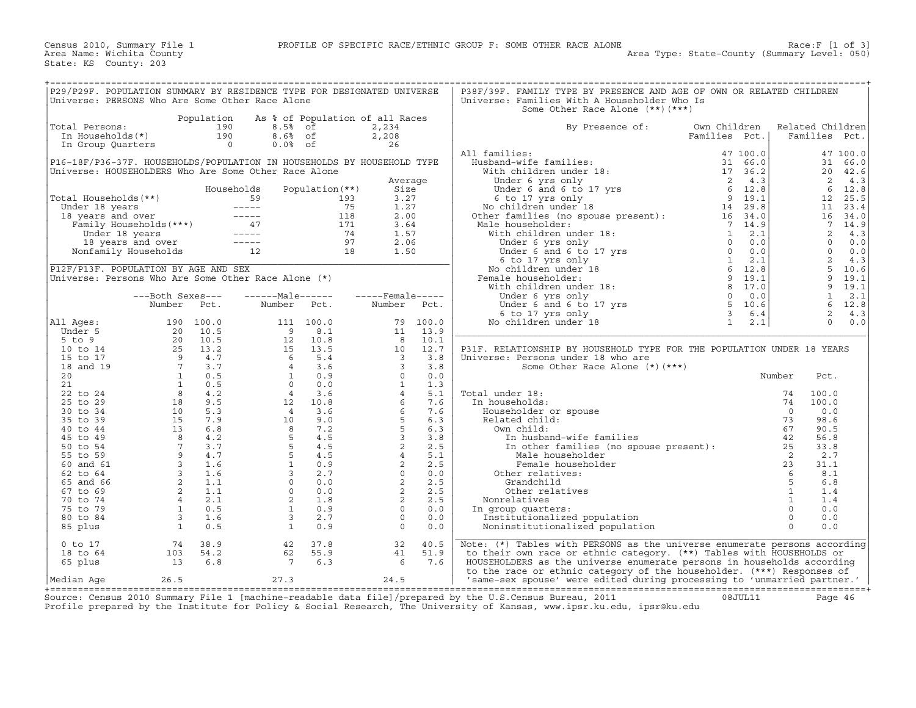| P29/P29F. POPULATION SUMMARY BY RESIDENCE TYPE FOR DESIGNATED UNIVERSE |                                                                      |                                                                                                                                                                                                                                                      |                 |      | P38F/39F. FAMILY TYPE BY PRESENCE AND AGE OF OWN OR RELATED CHILDREN                                                                                                                                                                                                                                                                                                                                                                                                                                           |               |        |                  |  |
|------------------------------------------------------------------------|----------------------------------------------------------------------|------------------------------------------------------------------------------------------------------------------------------------------------------------------------------------------------------------------------------------------------------|-----------------|------|----------------------------------------------------------------------------------------------------------------------------------------------------------------------------------------------------------------------------------------------------------------------------------------------------------------------------------------------------------------------------------------------------------------------------------------------------------------------------------------------------------------|---------------|--------|------------------|--|
|                                                                        |                                                                      |                                                                                                                                                                                                                                                      |                 |      |                                                                                                                                                                                                                                                                                                                                                                                                                                                                                                                |               |        |                  |  |
| Universe: PERSONS Who Are Some Other Race Alone                        |                                                                      |                                                                                                                                                                                                                                                      |                 |      | Universe: Families With A Householder Who Is                                                                                                                                                                                                                                                                                                                                                                                                                                                                   |               |        |                  |  |
|                                                                        |                                                                      |                                                                                                                                                                                                                                                      |                 |      | Some Other Race Alone (**) (***)                                                                                                                                                                                                                                                                                                                                                                                                                                                                               |               |        |                  |  |
|                                                                        |                                                                      | Population As % of Population of all Races                                                                                                                                                                                                           |                 |      |                                                                                                                                                                                                                                                                                                                                                                                                                                                                                                                |               |        |                  |  |
| Total Persons:                                                         |                                                                      | otal Persons:<br>In Households(*)<br>In Group Quarters<br>190 8.6% of<br>190 8.6% of<br>190 8.6% of                                                                                                                                                  | 2,234           |      | By Presence of:                                                                                                                                                                                                                                                                                                                                                                                                                                                                                                | Own Children  |        | Related Children |  |
|                                                                        |                                                                      |                                                                                                                                                                                                                                                      | 2,208           |      |                                                                                                                                                                                                                                                                                                                                                                                                                                                                                                                | Families Pct. |        | Families Pct.    |  |
|                                                                        |                                                                      |                                                                                                                                                                                                                                                      | 26              |      |                                                                                                                                                                                                                                                                                                                                                                                                                                                                                                                |               |        |                  |  |
|                                                                        |                                                                      |                                                                                                                                                                                                                                                      |                 |      |                                                                                                                                                                                                                                                                                                                                                                                                                                                                                                                |               |        |                  |  |
|                                                                        |                                                                      |                                                                                                                                                                                                                                                      |                 |      | All families:                                                                                                                                                                                                                                                                                                                                                                                                                                                                                                  |               |        |                  |  |
| P16-18F/P36-37F. HOUSEHOLDS/POPULATION IN HOUSEHOLDS BY HOUSEHOLD TYPE |                                                                      |                                                                                                                                                                                                                                                      |                 |      |                                                                                                                                                                                                                                                                                                                                                                                                                                                                                                                |               |        |                  |  |
| Universe: HOUSEHOLDERS Who Are Some Other Race Alone                   |                                                                      |                                                                                                                                                                                                                                                      |                 |      |                                                                                                                                                                                                                                                                                                                                                                                                                                                                                                                |               |        |                  |  |
|                                                                        |                                                                      |                                                                                                                                                                                                                                                      | Average         |      |                                                                                                                                                                                                                                                                                                                                                                                                                                                                                                                |               |        |                  |  |
|                                                                        |                                                                      |                                                                                                                                                                                                                                                      |                 |      |                                                                                                                                                                                                                                                                                                                                                                                                                                                                                                                |               |        |                  |  |
|                                                                        |                                                                      |                                                                                                                                                                                                                                                      | Size            |      |                                                                                                                                                                                                                                                                                                                                                                                                                                                                                                                |               |        |                  |  |
|                                                                        |                                                                      |                                                                                                                                                                                                                                                      | 3.27            |      |                                                                                                                                                                                                                                                                                                                                                                                                                                                                                                                |               |        |                  |  |
|                                                                        |                                                                      |                                                                                                                                                                                                                                                      | 1.27            |      |                                                                                                                                                                                                                                                                                                                                                                                                                                                                                                                |               |        |                  |  |
|                                                                        |                                                                      |                                                                                                                                                                                                                                                      | 2.00            |      |                                                                                                                                                                                                                                                                                                                                                                                                                                                                                                                |               |        |                  |  |
|                                                                        |                                                                      |                                                                                                                                                                                                                                                      | 3.64            |      |                                                                                                                                                                                                                                                                                                                                                                                                                                                                                                                |               |        |                  |  |
|                                                                        |                                                                      |                                                                                                                                                                                                                                                      |                 |      |                                                                                                                                                                                                                                                                                                                                                                                                                                                                                                                |               |        |                  |  |
|                                                                        |                                                                      |                                                                                                                                                                                                                                                      | 1.57            |      |                                                                                                                                                                                                                                                                                                                                                                                                                                                                                                                |               |        |                  |  |
|                                                                        |                                                                      |                                                                                                                                                                                                                                                      | 2.06            |      |                                                                                                                                                                                                                                                                                                                                                                                                                                                                                                                |               |        |                  |  |
|                                                                        |                                                                      |                                                                                                                                                                                                                                                      |                 | 1.50 |                                                                                                                                                                                                                                                                                                                                                                                                                                                                                                                |               |        |                  |  |
|                                                                        |                                                                      |                                                                                                                                                                                                                                                      |                 |      |                                                                                                                                                                                                                                                                                                                                                                                                                                                                                                                |               |        |                  |  |
|                                                                        |                                                                      |                                                                                                                                                                                                                                                      |                 |      |                                                                                                                                                                                                                                                                                                                                                                                                                                                                                                                |               |        |                  |  |
| P12F/P13F. POPULATION BY AGE AND SEX                                   |                                                                      |                                                                                                                                                                                                                                                      |                 |      |                                                                                                                                                                                                                                                                                                                                                                                                                                                                                                                |               |        |                  |  |
| Universe: Persons Who Are Some Other Race Alone $(*)$                  |                                                                      |                                                                                                                                                                                                                                                      |                 |      |                                                                                                                                                                                                                                                                                                                                                                                                                                                                                                                |               |        |                  |  |
|                                                                        |                                                                      |                                                                                                                                                                                                                                                      |                 |      |                                                                                                                                                                                                                                                                                                                                                                                                                                                                                                                |               |        |                  |  |
|                                                                        | ---Both Sexes---                                                     | ------Male------ -----Female-----                                                                                                                                                                                                                    |                 |      |                                                                                                                                                                                                                                                                                                                                                                                                                                                                                                                |               |        |                  |  |
|                                                                        | Number Pct.                                                          | Number Pct.                                                                                                                                                                                                                                          | Number Pct.     |      |                                                                                                                                                                                                                                                                                                                                                                                                                                                                                                                |               |        |                  |  |
|                                                                        |                                                                      |                                                                                                                                                                                                                                                      |                 |      |                                                                                                                                                                                                                                                                                                                                                                                                                                                                                                                |               |        |                  |  |
|                                                                        |                                                                      |                                                                                                                                                                                                                                                      |                 |      |                                                                                                                                                                                                                                                                                                                                                                                                                                                                                                                |               |        |                  |  |
| All Ages:                                                              |                                                                      |                                                                                                                                                                                                                                                      |                 |      |                                                                                                                                                                                                                                                                                                                                                                                                                                                                                                                |               |        |                  |  |
| Under 5                                                                |                                                                      |                                                                                                                                                                                                                                                      |                 |      |                                                                                                                                                                                                                                                                                                                                                                                                                                                                                                                |               |        |                  |  |
| $5$ to $9$                                                             |                                                                      |                                                                                                                                                                                                                                                      |                 |      |                                                                                                                                                                                                                                                                                                                                                                                                                                                                                                                |               |        |                  |  |
| 10 to 14                                                               |                                                                      |                                                                                                                                                                                                                                                      |                 |      | P31F. RELATIONSHIP BY HOUSEHOLD TYPE FOR THE POPULATION UNDER 18 YEARS                                                                                                                                                                                                                                                                                                                                                                                                                                         |               |        |                  |  |
| 15 to 17                                                               |                                                                      |                                                                                                                                                                                                                                                      |                 |      | Universe: Persons under 18 who are                                                                                                                                                                                                                                                                                                                                                                                                                                                                             |               |        |                  |  |
|                                                                        |                                                                      |                                                                                                                                                                                                                                                      |                 |      |                                                                                                                                                                                                                                                                                                                                                                                                                                                                                                                |               |        |                  |  |
| 18 and 19                                                              |                                                                      |                                                                                                                                                                                                                                                      |                 |      | Some Other Race Alone (*) (***)                                                                                                                                                                                                                                                                                                                                                                                                                                                                                |               |        |                  |  |
| 20                                                                     |                                                                      |                                                                                                                                                                                                                                                      |                 |      |                                                                                                                                                                                                                                                                                                                                                                                                                                                                                                                |               | Number | Pct.             |  |
| 21                                                                     |                                                                      |                                                                                                                                                                                                                                                      |                 |      |                                                                                                                                                                                                                                                                                                                                                                                                                                                                                                                |               |        |                  |  |
| 22 to 24                                                               |                                                                      |                                                                                                                                                                                                                                                      |                 |      |                                                                                                                                                                                                                                                                                                                                                                                                                                                                                                                |               |        | 100.0            |  |
| 25 to 29                                                               |                                                                      |                                                                                                                                                                                                                                                      |                 |      |                                                                                                                                                                                                                                                                                                                                                                                                                                                                                                                |               |        | 100.0            |  |
|                                                                        |                                                                      |                                                                                                                                                                                                                                                      |                 |      |                                                                                                                                                                                                                                                                                                                                                                                                                                                                                                                |               |        |                  |  |
| 30 to 34                                                               |                                                                      |                                                                                                                                                                                                                                                      |                 |      |                                                                                                                                                                                                                                                                                                                                                                                                                                                                                                                |               |        | 0.0              |  |
| 35 to 39                                                               |                                                                      |                                                                                                                                                                                                                                                      |                 |      |                                                                                                                                                                                                                                                                                                                                                                                                                                                                                                                |               |        | 98.6             |  |
| 40 to 44                                                               |                                                                      |                                                                                                                                                                                                                                                      |                 |      |                                                                                                                                                                                                                                                                                                                                                                                                                                                                                                                |               |        | 90.5             |  |
| 45 to 49                                                               |                                                                      |                                                                                                                                                                                                                                                      |                 |      |                                                                                                                                                                                                                                                                                                                                                                                                                                                                                                                |               |        | 56.8             |  |
| 50 to 54                                                               |                                                                      |                                                                                                                                                                                                                                                      |                 |      |                                                                                                                                                                                                                                                                                                                                                                                                                                                                                                                |               |        | 33.8             |  |
|                                                                        |                                                                      |                                                                                                                                                                                                                                                      |                 |      |                                                                                                                                                                                                                                                                                                                                                                                                                                                                                                                |               |        |                  |  |
| 55 to 59                                                               |                                                                      |                                                                                                                                                                                                                                                      |                 |      |                                                                                                                                                                                                                                                                                                                                                                                                                                                                                                                |               |        | 2.7              |  |
| 60 and 61                                                              |                                                                      |                                                                                                                                                                                                                                                      |                 |      |                                                                                                                                                                                                                                                                                                                                                                                                                                                                                                                |               |        | 31.1             |  |
| 62 to 64                                                               |                                                                      |                                                                                                                                                                                                                                                      |                 |      |                                                                                                                                                                                                                                                                                                                                                                                                                                                                                                                |               |        | 8.1              |  |
| 65 and 66                                                              |                                                                      |                                                                                                                                                                                                                                                      |                 |      |                                                                                                                                                                                                                                                                                                                                                                                                                                                                                                                |               |        | 6.8              |  |
| 67 to 69                                                               |                                                                      |                                                                                                                                                                                                                                                      |                 |      |                                                                                                                                                                                                                                                                                                                                                                                                                                                                                                                |               |        | 1.4              |  |
|                                                                        |                                                                      |                                                                                                                                                                                                                                                      |                 |      |                                                                                                                                                                                                                                                                                                                                                                                                                                                                                                                |               |        |                  |  |
| 70 to 74                                                               |                                                                      |                                                                                                                                                                                                                                                      |                 |      |                                                                                                                                                                                                                                                                                                                                                                                                                                                                                                                |               |        | 1.4              |  |
| 75 to 79                                                               |                                                                      |                                                                                                                                                                                                                                                      |                 |      |                                                                                                                                                                                                                                                                                                                                                                                                                                                                                                                |               |        | 0.0              |  |
| 80 to 84                                                               |                                                                      |                                                                                                                                                                                                                                                      |                 |      |                                                                                                                                                                                                                                                                                                                                                                                                                                                                                                                |               |        | 0.0              |  |
| 85 plus                                                                |                                                                      |                                                                                                                                                                                                                                                      |                 |      |                                                                                                                                                                                                                                                                                                                                                                                                                                                                                                                |               |        | 0.0              |  |
|                                                                        |                                                                      |                                                                                                                                                                                                                                                      |                 |      | $\begin{tabular}{ c c } \hline \texttt{Total under 18:} & \texttt{74} & \texttt{1} \\ \hline \texttt{In households:} & \texttt{18} & \texttt{19} & \texttt{10} \\ \hline \texttt{Rouseholder or spouse} & 0 & 0 \\ \hline \texttt{Related child:} & 73 & 67 \\ \hline \texttt{Im unband-wide families} & 67 & 67 \\ \hline \texttt{Im other families (no spouse present):} & 25 & 62 \\ \hline \texttt{Male householder} & 2 & 2 \\ \texttt{Pemale householder} & 2 & 2 \\ \texttt{Other relatively} & 23 & 6$ |               |        |                  |  |
| $0$ to 17                                                              |                                                                      | Number Pct. Number Pct. Number Pct.<br>5 190 10.0.0 111 100.0<br>20 10.5 19 8.1 11 11.3.9<br>20 10.5 9 8.1 11 11.3.9<br>14 25 13.2<br>7 3.7 6 5.4 3 3.8<br>7 3.7 6 5.4 3 3.8<br>7 3.7<br>10.5 1 0.9 0 0.0<br>10.5 12 10.8 6 7.6<br>44 15 7.9<br>8 4. | 32              | 40.5 | Note: (*) Tables with PERSONS as the universe enumerate persons according                                                                                                                                                                                                                                                                                                                                                                                                                                      |               |        |                  |  |
|                                                                        |                                                                      |                                                                                                                                                                                                                                                      |                 |      |                                                                                                                                                                                                                                                                                                                                                                                                                                                                                                                |               |        |                  |  |
| 18 to 64                                                               |                                                                      |                                                                                                                                                                                                                                                      | 41              | 51.9 | to their own race or ethnic category. (**) Tables with HOUSEHOLDS or                                                                                                                                                                                                                                                                                                                                                                                                                                           |               |        |                  |  |
| 65 plus                                                                | $\begin{array}{ccc} 74 & 38.9 \\ 103 & 54.2 \\ 13 & 6.8 \end{array}$ |                                                                                                                                                                                                                                                      | $6\overline{6}$ | 7.6  | HOUSEHOLDERS as the universe enumerate persons in households according                                                                                                                                                                                                                                                                                                                                                                                                                                         |               |        |                  |  |
|                                                                        |                                                                      |                                                                                                                                                                                                                                                      |                 |      | to the race or ethnic category of the householder. (***) Responses of                                                                                                                                                                                                                                                                                                                                                                                                                                          |               |        |                  |  |
| Median Aqe                                                             | 26.5                                                                 | 27.3                                                                                                                                                                                                                                                 | 24.5            |      | 'same-sex spouse' were edited during processing to 'unmarried partner.'                                                                                                                                                                                                                                                                                                                                                                                                                                        |               |        |                  |  |

+===================================================================================================================================================+ Source: Census 2010 Summary File 1 [machine−readable data file]/prepared by the U.S.Census Bureau, 2011 08JUL11 Page 46 Profile prepared by the Institute for Policy & Social Research, The University of Kansas, www.ipsr.ku.edu, ipsr@ku.edu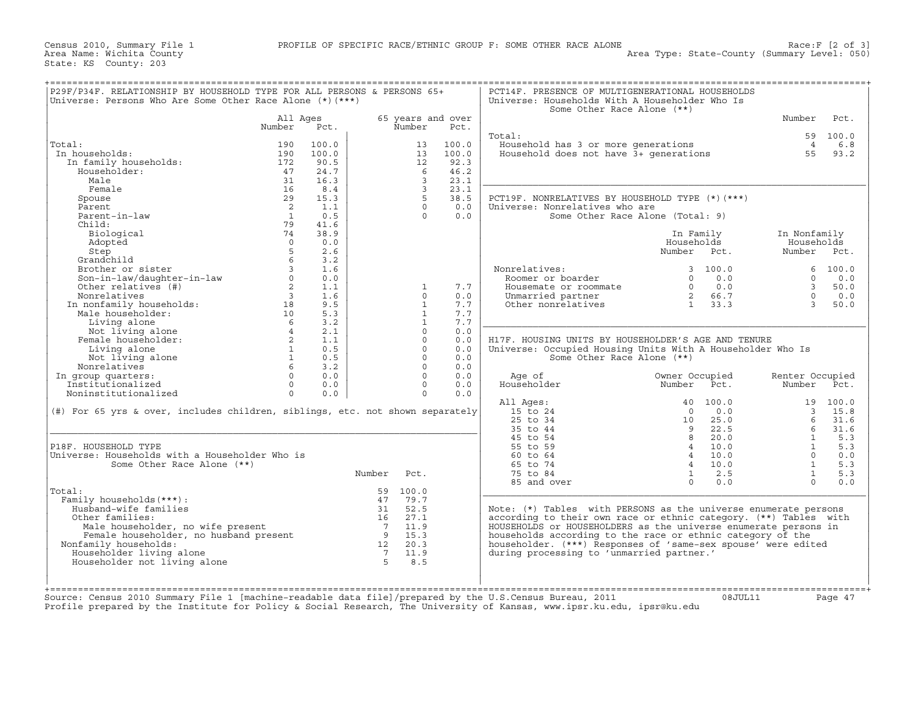| Universe: Persons Who Are Some Other Race Alone $(*)$ $(***)$                                                              |                         |       |                |                   |       | Universe: Households With A Householder Who Is<br>Some Other Race Alone (**)                                         |                                                           |                         |          |
|----------------------------------------------------------------------------------------------------------------------------|-------------------------|-------|----------------|-------------------|-------|----------------------------------------------------------------------------------------------------------------------|-----------------------------------------------------------|-------------------------|----------|
|                                                                                                                            | All Ages                |       |                | 65 years and over |       |                                                                                                                      |                                                           | Number                  | Pct.     |
|                                                                                                                            | Number                  | Pct.  |                | Number            | Pct.  |                                                                                                                      |                                                           |                         |          |
|                                                                                                                            |                         |       |                |                   |       | Total:                                                                                                               |                                                           |                         | 59 100.0 |
| Total:                                                                                                                     | 190                     | 100.0 |                | 13                | 100.0 | Household has 3 or more generations<br>Household has 3 or more generations<br>Household does not have 3+ generations |                                                           | $\overline{4}$          | 6.8      |
| In households:                                                                                                             | 190                     | 100.0 |                | 13                | 100.0 |                                                                                                                      |                                                           | 55                      | 93.2     |
| In family households:                                                                                                      | 172                     | 90.5  |                | 12                | 92.3  |                                                                                                                      |                                                           |                         |          |
| Householder:                                                                                                               | 47                      | 24.7  |                | - 6               | 46.2  |                                                                                                                      |                                                           |                         |          |
| Male                                                                                                                       | 31                      | 16.3  |                | $\mathbf{3}$      | 23.1  |                                                                                                                      |                                                           |                         |          |
| Female                                                                                                                     | 16                      | 8.4   |                | $\overline{3}$    | 23.1  |                                                                                                                      |                                                           |                         |          |
| Spouse                                                                                                                     | 29                      | 15.3  |                | $5 -$             | 38.5  | PCT19F. NONRELATIVES BY HOUSEHOLD TYPE (*) (***)                                                                     |                                                           |                         |          |
| Parent                                                                                                                     | $\overline{2}$          | 1.1   |                | $\Omega$          | 0.0   | Universe: Nonrelatives who are                                                                                       |                                                           |                         |          |
| Parent-in-law                                                                                                              | $\overline{1}$          | 0.5   |                | $\Omega$          | 0.0   | Some Other Race Alone (Total: 9)                                                                                     |                                                           |                         |          |
| Child:                                                                                                                     | 79                      | 41.6  |                |                   |       |                                                                                                                      |                                                           |                         |          |
| Biological                                                                                                                 | 74                      | 38.9  |                |                   |       |                                                                                                                      | In Family                                                 | In Nonfamily            |          |
| Adopted                                                                                                                    | $\Omega$                | 0.0   |                |                   |       |                                                                                                                      | Households                                                | Households              |          |
| Step                                                                                                                       | 5                       | 2.6   |                |                   |       |                                                                                                                      | Number Pct.                                               | Number Pct.             |          |
| Grandchild                                                                                                                 | 6                       | 3.2   |                |                   |       |                                                                                                                      |                                                           |                         |          |
| Brother or sister<br>Brother or sister<br>Son-in-law/daughter-in-law<br>Other relatives (#)<br>Nonrelatives                | $\overline{3}$          | 1.6   |                |                   |       | Nonrelatives:                                                                                                        | 3, 100.0                                                  |                         | 6, 100.0 |
|                                                                                                                            | $\circ$                 | 0.0   |                |                   |       | Roomer or boarder                                                                                                    | $\Omega$<br>0.0                                           | $\Omega$                | 0.0      |
| Son-1n-1aw,<br>Other relatives (#)<br>Nonrelatives (#)<br>In nonfamily households:<br>"a householder:                      | $\overline{2}$          | 1.1   |                | $\mathbf{1}$      | 7.7   | Housemate or roommate                                                                                                | $\begin{matrix}0&0&0\\0&0&0\end{matrix}$                  | $\overline{\mathbf{3}}$ | 50.0     |
|                                                                                                                            | $\overline{\mathbf{3}}$ | 1.6   |                | $\circ$           | 0.0   | Unmarried partner<br>Other nonrelatives                                                                              | 2 66.7                                                    | $\Omega$                | 0.0      |
|                                                                                                                            | 18                      | 9.5   |                | $\mathbf{1}$      | 7.7   |                                                                                                                      | $1 \t33.3$                                                | $\mathcal{R}$           | 50.0     |
|                                                                                                                            | 10                      | 5.3   |                | $\mathbf{1}$      | 7.7   |                                                                                                                      |                                                           |                         |          |
|                                                                                                                            | 6 <sup>6</sup>          | 3.2   |                | $\mathbf{1}$      | 7.7   |                                                                                                                      |                                                           |                         |          |
| Not living alone                                                                                                           | $4\degree$              | 2.1   |                | $\Omega$          | 0.0   |                                                                                                                      |                                                           |                         |          |
| Female householder:                                                                                                        | $\overline{2}$          | 1.1   |                | $\Omega$          | 0.0   | H17F. HOUSING UNITS BY HOUSEHOLDER'S AGE AND TENURE                                                                  |                                                           |                         |          |
| Living alone                                                                                                               | $\sim$ 1                | 0.5   |                | $\Omega$          | 0.0   | Universe: Occupied Housing Units With A Householder Who Is                                                           |                                                           |                         |          |
| Not living alone                                                                                                           | 1                       | 0.5   |                | $\Omega$          | 0.0   | Some Other Race Alone (**)                                                                                           |                                                           |                         |          |
| Nonrelatives                                                                                                               | 6 <sup>6</sup>          | 3.2   |                | $\Omega$          | 0.0   |                                                                                                                      |                                                           |                         |          |
| In group quarters:                                                                                                         | $\Omega$                | 0.0   |                | $\Omega$          | 0.0   | Age of                                                                                                               | Owner Occupied                                            | Renter Occupied         |          |
| Institutionalized                                                                                                          | $\Omega$                | 0.0   |                | $\Omega$          | 0.0   | Householder                                                                                                          | Number Pct.                                               | Number                  | Pct.     |
| Noninstitutionalized                                                                                                       | $\Omega$                | 0.0   |                | $\Omega$          | 0.0   |                                                                                                                      |                                                           |                         |          |
|                                                                                                                            |                         |       |                |                   |       | All Ages:                                                                                                            | 40 100.0                                                  |                         | 19 100.0 |
| (#) For 65 yrs & over, includes children, siblings, etc. not shown separately                                              |                         |       |                |                   |       | 15 to 24                                                                                                             | 0.0<br>$\Omega$<br>$\begin{array}{c} 0 \\ 10 \end{array}$ |                         | 3, 15.8  |
|                                                                                                                            |                         |       |                |                   |       | 25 to 34                                                                                                             | 25.0                                                      | $6^{\circ}$             | 31.6     |
|                                                                                                                            |                         |       |                |                   |       | 35 to 44                                                                                                             | 22.5<br>9                                                 | 6                       | 31.6     |
|                                                                                                                            |                         |       |                |                   |       | 45 to 54                                                                                                             | $\overline{8}$<br>20.0                                    | $\mathbf{1}$            | 5.3      |
| P18F. HOUSEHOLD TYPE                                                                                                       |                         |       |                |                   |       | 55 to 59                                                                                                             | 10.0<br>$\overline{4}$                                    | $\overline{1}$          | 5.3      |
| Universe: Households with a Householder Who is                                                                             |                         |       |                |                   |       | 60 to 64                                                                                                             | $4\overline{4}$<br>10.0                                   | $\Omega$                | 0.0      |
| Some Other Race Alone (**)                                                                                                 |                         |       |                |                   |       | 65 to 74                                                                                                             | $4 \quad 10.0$                                            | $\mathbf{1}$            | 5.3      |
|                                                                                                                            |                         |       | Number Pct.    |                   |       | 75 to 84                                                                                                             | 2.5<br>$\mathbf{1}$                                       | $\sim$ 1                | 5.3      |
|                                                                                                                            |                         |       |                |                   |       | 85 and over                                                                                                          | $\Omega$<br>0.0                                           | $\Omega$                | 0.0      |
| Total:                                                                                                                     |                         |       |                | 59 100.0          |       |                                                                                                                      |                                                           |                         |          |
| Family households (***) :                                                                                                  |                         |       |                | 47 79.7           |       |                                                                                                                      |                                                           |                         |          |
| Husband-wife families                                                                                                      |                         |       |                | 31 52.5           |       | Note: (*) Tables with PERSONS as the universe enumerate persons                                                      |                                                           |                         |          |
| Other families:                                                                                                            |                         |       |                | 16 27.1           |       | according to their own race or ethnic category. (**) Tables with                                                     |                                                           |                         |          |
| Male householder, no wife present                                                                                          |                         |       |                | 711.9             |       | HOUSEHOLDS or HOUSEHOLDERS as the universe enumerate persons in                                                      |                                                           |                         |          |
|                                                                                                                            |                         |       |                | $9 \t 15.3$       |       | households according to the race or ethnic category of the                                                           |                                                           |                         |          |
|                                                                                                                            |                         |       |                | 12 20.3           |       | householder. (***) Responses of 'same-sex spouse' were edited                                                        |                                                           |                         |          |
| Male householder, no wife present<br>Female householder, no husband present<br>Family households:<br>Nonfamily households: |                         |       | $\overline{7}$ | 11.9              |       | during processing to 'unmarried partner.'                                                                            |                                                           |                         |          |
| Householder living alone                                                                                                   |                         |       |                |                   |       |                                                                                                                      |                                                           |                         |          |
| Householder not living alone                                                                                               |                         |       | 5 <sup>1</sup> | 8.5               |       |                                                                                                                      |                                                           |                         |          |

Source: Census 2010 Summary File 1 [machine−readable data file]/prepared by the U.S.Census Bureau, 2011 08JUL11 Page 47 Profile prepared by the Institute for Policy & Social Research, The University of Kansas, www.ipsr.ku.edu, ipsr@ku.edu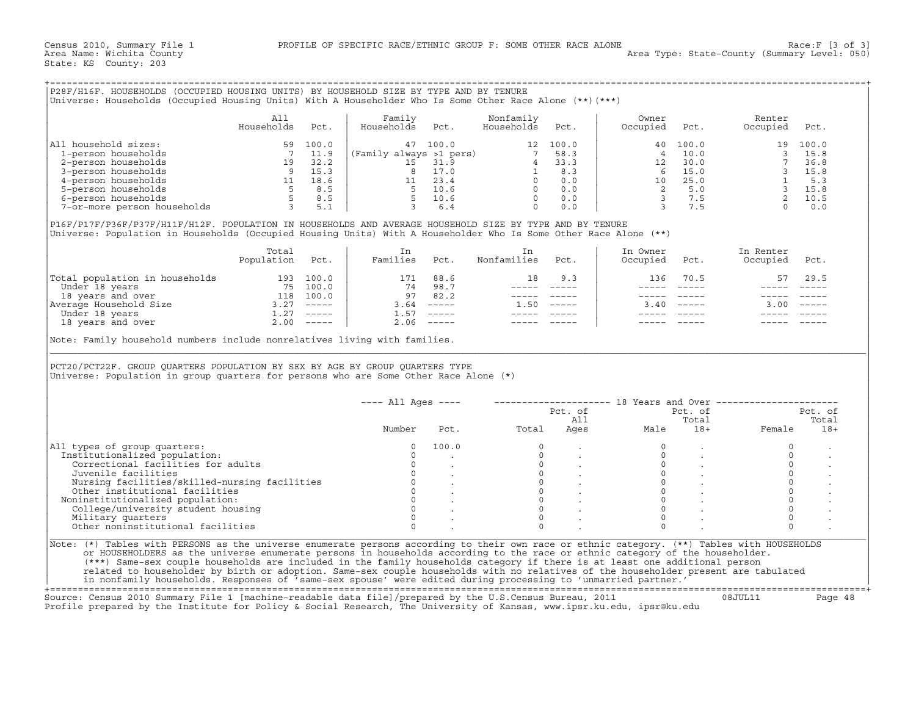## +===================================================================================================================================================+

|                             | Alì        |       | Family                  |       | Nonfamily  |       | Owner    |       | Renter   |          |
|-----------------------------|------------|-------|-------------------------|-------|------------|-------|----------|-------|----------|----------|
|                             | Households | Pct.  | Households              | Pct.  | Households | Pct.  | Occupied | Pct.  | Occupied | Pct.     |
| All household sizes:        | 59         | 100.0 | 47                      | 100.0 | 12         | 100.0 | 40       | 100.0 |          | 19 100.0 |
| 1-person households         |            | 11.9  | (Family always >1 pers) |       |            | 58.3  |          | 10.0  |          | 15.8     |
| 2-person households         | 19         | 32.2  |                         | 31.9  |            | 33.3  | 12       | 30.0  |          | 36.8     |
| 3-person households         |            | 15.3  |                         | 17.0  |            | 8.3   |          | 15.0  |          | 15.8     |
| 4-person households         |            | 18.6  |                         | 23.4  |            | 0.0   | 10       | 25.0  |          | 5.3      |
| 5-person households         |            | 8.5   |                         | 10.6  |            | 0.0   |          | 5.0   |          | 15.8     |
| 6-person households         |            | 8.5   |                         | 10.6  |            | 0.0   |          | 7.5   |          | 10.5     |
| 7-or-more person households |            | 5.1   |                         | 6.    |            | 0.0   |          |       |          | 0.0      |

|                                | Total<br>Population | Pct.                      | Families | Pct.                      | Nonfamilies | Pct.     | In Owner<br>Occupied | Pct.     | In Renter<br>Occupied | Pct.                      |
|--------------------------------|---------------------|---------------------------|----------|---------------------------|-------------|----------|----------------------|----------|-----------------------|---------------------------|
| Total population in households | 193                 | 100.0                     | 171      | 88.6                      | ⊥8          | 9.3      | 136                  | 70.5     | 57                    | 29.5                      |
| Under 18 years                 | 75                  | 100.0                     | 74       | 98.7                      |             |          |                      |          |                       |                           |
| 18 years and over              | 118                 | 100.0                     | 97       | 82.2                      |             |          |                      |          |                       |                           |
| Average Household Size         |                     | $------$                  | 3.64     | $\qquad \qquad - - - - -$ | 50          | $------$ | 3.40                 | $------$ | 3.00                  | $\qquad \qquad - - - - -$ |
| Under 18 years                 | 1.27                | $\qquad \qquad - - - - -$ | 1.57     | $\frac{1}{2}$             |             |          |                      |          |                       |                           |
| 18 years and over              | 2.00                | $------$                  | 2.06     | $\qquad \qquad - - - - -$ |             |          |                      |          |                       |                           |

|                                                                                                                                                                                                                                                                          | All             |      | Family                                                                   |                                              | Nonfamily                                                                                        |                 | Owner                                                                                                 |                                         | Renter                                                                                                           |            |
|--------------------------------------------------------------------------------------------------------------------------------------------------------------------------------------------------------------------------------------------------------------------------|-----------------|------|--------------------------------------------------------------------------|----------------------------------------------|--------------------------------------------------------------------------------------------------|-----------------|-------------------------------------------------------------------------------------------------------|-----------------------------------------|------------------------------------------------------------------------------------------------------------------|------------|
|                                                                                                                                                                                                                                                                          | Households      | Pct. | Households                                                               | Pct.                                         | Households                                                                                       | Pct.            | Occupied                                                                                              | Pct.                                    | Occupied                                                                                                         | Pct.       |
| All household sizes:<br>100.0 1-person households<br>2-person households<br>3-person households<br>3-person households<br>5 100.0 47 100.0 12 100.0 12 100.0 1<br>2-person households<br>4 33.3<br>3-person households<br>5 8.5 5 10.6 0 0.0<br>7-or-more person househo |                 |      |                                                                          |                                              |                                                                                                  |                 | 40                                                                                                    | 100.0                                   |                                                                                                                  | 19 100.0   |
|                                                                                                                                                                                                                                                                          |                 |      |                                                                          |                                              |                                                                                                  |                 | $\overline{4}$                                                                                        | 10.0                                    |                                                                                                                  | $3 \t15.8$ |
|                                                                                                                                                                                                                                                                          |                 |      |                                                                          |                                              |                                                                                                  |                 |                                                                                                       |                                         |                                                                                                                  |            |
|                                                                                                                                                                                                                                                                          |                 |      |                                                                          |                                              |                                                                                                  |                 |                                                                                                       |                                         |                                                                                                                  |            |
|                                                                                                                                                                                                                                                                          |                 |      |                                                                          |                                              |                                                                                                  |                 |                                                                                                       |                                         |                                                                                                                  |            |
|                                                                                                                                                                                                                                                                          |                 |      |                                                                          |                                              |                                                                                                  |                 |                                                                                                       |                                         |                                                                                                                  |            |
|                                                                                                                                                                                                                                                                          |                 |      |                                                                          |                                              |                                                                                                  |                 |                                                                                                       |                                         |                                                                                                                  |            |
|                                                                                                                                                                                                                                                                          |                 |      |                                                                          |                                              |                                                                                                  |                 | $\begin{array}{cccc} 12 & 30.0 \\ 4 & 15.0 \\ 10 & 25.0 \\ 2 & 5.0 \\ 3 & 7.5 \\ 3 & 7.5 \end{array}$ |                                         | $\begin{array}{rrrr} 3 & 13.8 \\ 7 & 36.8 \\ 3 & 15.8 \\ 1 & 5.3 \\ 3 & 15.8 \\ 2 & 10.5 \\ 0 & 0.0 \end{array}$ |            |
| P16F/P17F/P36F/P37F/H11F/H12F. POPULATION IN HOUSEHOLDS AND AVERAGE HOUSEHOLD SIZE BY TYPE AND BY TENURE                                                                                                                                                                 |                 |      |                                                                          |                                              |                                                                                                  |                 |                                                                                                       |                                         |                                                                                                                  |            |
| Universe: Population in Households (Occupied Housing Units) With A Householder Who Is Some Other Race Alone (**)                                                                                                                                                         |                 |      |                                                                          |                                              |                                                                                                  |                 |                                                                                                       |                                         |                                                                                                                  |            |
|                                                                                                                                                                                                                                                                          | Total           |      | In                                                                       |                                              | In                                                                                               |                 | In Owner                                                                                              |                                         | In Renter                                                                                                        |            |
|                                                                                                                                                                                                                                                                          | Population Pct. |      | Families Pct.                                                            |                                              | Nonfamilies Pct.                                                                                 |                 | Occupied                                                                                              | Pct.                                    | Occupied Pct.                                                                                                    |            |
|                                                                                                                                                                                                                                                                          |                 |      |                                                                          | 171 88.6                                     | 18                                                                                               | 9.3             | 136                                                                                                   | 70.5                                    | 57                                                                                                               | 29.5       |
|                                                                                                                                                                                                                                                                          |                 |      | $\begin{array}{cccc} 74 & 98.7 \\ 97 & 82.2 \\ 3.64 & \dots \end{array}$ | 74 98.7                                      |                                                                                                  | ______    _____ |                                                                                                       |                                         |                                                                                                                  |            |
|                                                                                                                                                                                                                                                                          |                 |      |                                                                          |                                              |                                                                                                  | ______________  |                                                                                                       |                                         |                                                                                                                  |            |
|                                                                                                                                                                                                                                                                          |                 |      |                                                                          | $3.64$ -----                                 |                                                                                                  | $1.50$ -----    |                                                                                                       | $3.40$ -----                            | $3.00$ -----                                                                                                     |            |
|                                                                                                                                                                                                                                                                          |                 |      |                                                                          | $1.57$ -----                                 | $\begin{array}{cccccc} - & - & - & - & - & - \\ & - & - & - & - \\ & & - & - & - \\ \end{array}$ |                 |                                                                                                       |                                         |                                                                                                                  |            |
|                                                                                                                                                                                                                                                                          |                 |      |                                                                          |                                              |                                                                                                  |                 |                                                                                                       |                                         |                                                                                                                  |            |
| Total population in households 193 100.0<br>Under 18 years 75 100.0<br>18 years and over 18 years 118 100.0<br>Nuerage Household Size 3.27 -----<br>Under 18 years and over 2.00 -----<br>Note: Family household numbers include nonrelatives living with families.      |                 |      |                                                                          | $2.06$ -----                                 |                                                                                                  |                 |                                                                                                       |                                         |                                                                                                                  |            |
| PCT20/PCT22F. GROUP QUARTERS POPULATION BY SEX BY AGE BY GROUP QUARTERS TYPE<br>Universe: Population in group quarters for persons who are Some Other Race Alone (*)                                                                                                     |                 |      |                                                                          |                                              |                                                                                                  |                 |                                                                                                       |                                         |                                                                                                                  |            |
|                                                                                                                                                                                                                                                                          |                 |      | $--- All Ages ---$                                                       |                                              |                                                                                                  |                 |                                                                                                       |                                         | --------------------    18 Years and Over ------------------                                                     |            |
|                                                                                                                                                                                                                                                                          |                 |      |                                                                          |                                              |                                                                                                  |                 |                                                                                                       | Pct. of                                 |                                                                                                                  | Pct. of    |
|                                                                                                                                                                                                                                                                          |                 |      |                                                                          |                                              |                                                                                                  | Pct. of<br>All  |                                                                                                       | Total                                   |                                                                                                                  | Total      |
|                                                                                                                                                                                                                                                                          |                 |      | Number                                                                   | Pct.                                         | Total                                                                                            |                 | AII<br>Ages<br>Male                                                                                   | $18+$                                   | Female                                                                                                           | $18+$      |
|                                                                                                                                                                                                                                                                          |                 |      | $\Omega$                                                                 | 100.0                                        | $\Omega$                                                                                         |                 |                                                                                                       |                                         | $\circ$                                                                                                          |            |
|                                                                                                                                                                                                                                                                          |                 |      | $\Omega$                                                                 |                                              |                                                                                                  |                 | $\Omega$                                                                                              |                                         | $\circ$                                                                                                          |            |
| Correctional facilities for adults                                                                                                                                                                                                                                       |                 |      | $\mathbf{0}$                                                             |                                              |                                                                                                  |                 | $\circ$                                                                                               |                                         | $\circ$                                                                                                          |            |
| Juvenile facilities                                                                                                                                                                                                                                                      |                 |      |                                                                          | $\begin{array}{ccc} 0 & & \cdot \end{array}$ |                                                                                                  |                 | $\circ$                                                                                               |                                         | $\mathbb O$                                                                                                      |            |
| Nursing facilities/skilled-nursing facilities                                                                                                                                                                                                                            |                 |      |                                                                          |                                              |                                                                                                  |                 | $\Omega$                                                                                              | $\mathcal{L}^{\text{max}}_{\text{max}}$ | $\circ$                                                                                                          |            |
| Other institutional facilities                                                                                                                                                                                                                                           |                 |      |                                                                          |                                              |                                                                                                  |                 | $\circ$                                                                                               |                                         | $\circ$                                                                                                          |            |
|                                                                                                                                                                                                                                                                          |                 |      |                                                                          |                                              |                                                                                                  |                 | $\Omega$                                                                                              | <b>Contractor</b>                       | $\circ$                                                                                                          |            |
| College/university student housing                                                                                                                                                                                                                                       |                 |      |                                                                          |                                              | $0$<br>$0$<br>$0$<br>$0$<br>$0$<br>$\overline{0}$                                                |                 | $\Omega$                                                                                              |                                         | $\Omega$                                                                                                         |            |
| Noninstitutionalized population:<br>Military quarters                                                                                                                                                                                                                    |                 |      | $\Omega$                                                                 |                                              | $\overline{0}$                                                                                   |                 | $\Omega$                                                                                              |                                         | $\Omega$                                                                                                         |            |
| All types of group quarters:<br>Institutionalized population:<br>Other noninstitutional facilities                                                                                                                                                                       |                 |      | $\Omega$                                                                 |                                              | $\Omega$                                                                                         |                 | $\Omega$                                                                                              |                                         | $\Omega$                                                                                                         |            |
|                                                                                                                                                                                                                                                                          |                 |      |                                                                          |                                              |                                                                                                  |                 |                                                                                                       |                                         |                                                                                                                  |            |
| Note: (*) Tables with PERSONS as the universe enumerate persons according to their own race or ethnic category. (**) Tables with HOUSEHOLDS                                                                                                                              |                 |      |                                                                          |                                              |                                                                                                  |                 |                                                                                                       |                                         |                                                                                                                  |            |
| or HOUSEHOLDERS as the universe enumerate persons in households according to the race or ethnic category of the householder.<br>(***) Same-sex couple households are included in the family households category if there is at least one additional person               |                 |      |                                                                          |                                              |                                                                                                  |                 |                                                                                                       |                                         |                                                                                                                  |            |

+===================================================================================================================================================+Source: Census 2010 Summary File 1 [machine−readable data file]/prepared by the U.S.Census Bureau, 2011 08JUL11 Page 48 Profile prepared by the Institute for Policy & Social Research, The University of Kansas, www.ipsr.ku.edu, ipsr@ku.edu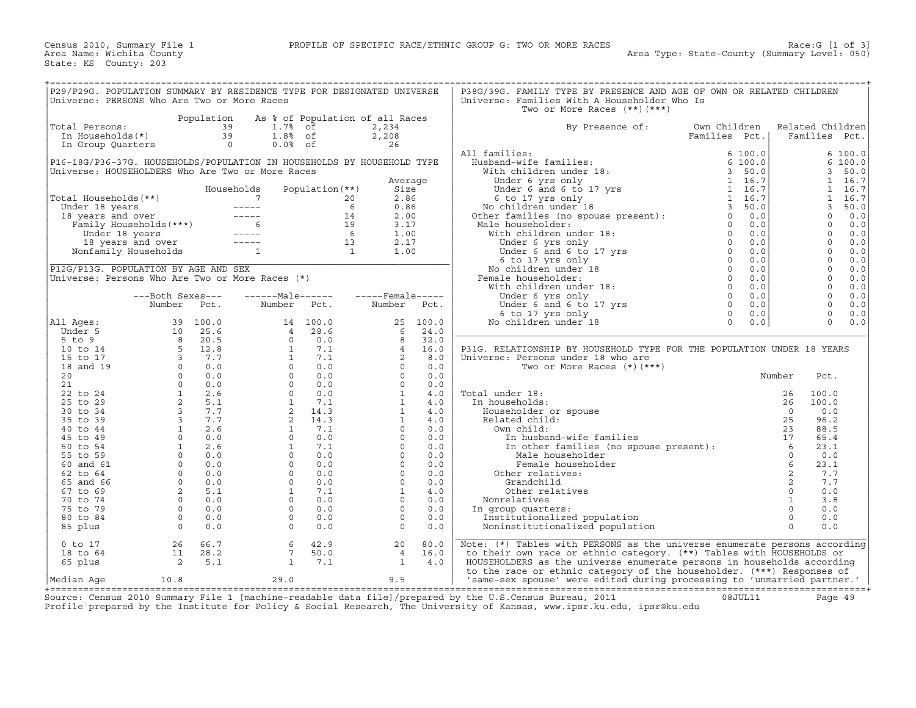| P29/P29G. POPULATION SUMMARY BY RESIDENCE TYPE FOR DESIGNATED UNIVERSE<br>Universe: PERSONS Who Are Two or More Races |                                                 |                |                                                                                                                                                                                                                                                                                                                                                                                              |                         |                                 |            | P38G/39G. FAMILY TYPE BY PRESENCE AND AGE OF OWN OR RELATED CHILDREN<br>Universe: Families With A Householder Who Is |                               |                |                                   |              |
|-----------------------------------------------------------------------------------------------------------------------|-------------------------------------------------|----------------|----------------------------------------------------------------------------------------------------------------------------------------------------------------------------------------------------------------------------------------------------------------------------------------------------------------------------------------------------------------------------------------------|-------------------------|---------------------------------|------------|----------------------------------------------------------------------------------------------------------------------|-------------------------------|----------------|-----------------------------------|--------------|
|                                                                                                                       |                                                 | Population     |                                                                                                                                                                                                                                                                                                                                                                                              |                         | As % of Population of all Races |            | Two or More Races $(**)$ $(***)$                                                                                     |                               |                |                                   |              |
| Total Persons:<br>In Households(*)                                                                                    |                                                 | 39<br>39       | 1.7%<br>$1.88$ of                                                                                                                                                                                                                                                                                                                                                                            | of                      | 2,234<br>2,208                  |            | By Presence of:                                                                                                      | Own Children<br>Families Pct. |                | Related Children<br>Families Pct. |              |
| In Group Quarters                                                                                                     |                                                 | $\overline{0}$ | $0.0%$ of                                                                                                                                                                                                                                                                                                                                                                                    |                         | 26                              |            |                                                                                                                      |                               |                |                                   |              |
|                                                                                                                       |                                                 |                |                                                                                                                                                                                                                                                                                                                                                                                              |                         |                                 |            | All families:                                                                                                        | 6100.0                        |                |                                   | 6 100.0      |
| P16-18G/P36-37G. HOUSEHOLDS/POPULATION IN HOUSEHOLDS BY HOUSEHOLD TYPE                                                |                                                 |                |                                                                                                                                                                                                                                                                                                                                                                                              |                         |                                 |            | Husband-wife families:                                                                                               | 6 100.0                       |                | 3                                 | 6 100.0      |
| Universe: HOUSEHOLDERS Who Are Two or More Races                                                                      |                                                 |                |                                                                                                                                                                                                                                                                                                                                                                                              |                         |                                 | Average    | With children under 18:<br>Under 6 yrs only                                                                          | 3, 50.0<br>1 16.7             |                | $\mathbf{1}$                      | 50.0<br>16.7 |
|                                                                                                                       |                                                 |                | Households                                                                                                                                                                                                                                                                                                                                                                                   | Population $(**)$       | Size                            |            | Under 6 and 6 to 17 yrs                                                                                              | 1 16.7                        |                | $\mathbf{1}$                      | 16.7         |
| Total Households(**)                                                                                                  |                                                 |                | $7\overline{ }$                                                                                                                                                                                                                                                                                                                                                                              |                         | 2.86<br>20                      |            | 6 to 17 yrs only                                                                                                     | 1 16.7                        |                | $\mathbf{1}$                      | 16.7         |
| Under 18 years                                                                                                        |                                                 |                | $------$                                                                                                                                                                                                                                                                                                                                                                                     |                         | 6<br>0.86                       |            |                                                                                                                      | 3, 50.0                       |                | 3                                 | 50.0         |
| 18 years and over                                                                                                     |                                                 |                | $\frac{1}{2} \frac{1}{2} \frac{1}{2} \frac{1}{2} \frac{1}{2} \frac{1}{2} \frac{1}{2} \frac{1}{2} \frac{1}{2} \frac{1}{2} \frac{1}{2} \frac{1}{2} \frac{1}{2} \frac{1}{2} \frac{1}{2} \frac{1}{2} \frac{1}{2} \frac{1}{2} \frac{1}{2} \frac{1}{2} \frac{1}{2} \frac{1}{2} \frac{1}{2} \frac{1}{2} \frac{1}{2} \frac{1}{2} \frac{1}{2} \frac{1}{2} \frac{1}{2} \frac{1}{2} \frac{1}{2} \frac{$ |                         | 2.00<br>14                      |            | 6 to 17 yrs only<br>No children under 18<br>Other families (no spouse present):                                      | $\Omega$<br>0.0               |                | $\Omega$                          | 0.0          |
| Family Households (***)                                                                                               |                                                 |                | $6 \quad$                                                                                                                                                                                                                                                                                                                                                                                    |                         | 19<br>3.17                      |            | Male householder:<br>$\begin{array}{c} 0 \\ 0 \\ 0 \\ 0 \end{array}$                                                 | 0.0                           |                | $\Omega$                          | 0.0          |
| Under 18 years                                                                                                        |                                                 |                | $------$                                                                                                                                                                                                                                                                                                                                                                                     |                         | $6\overline{6}$<br>1.00         |            | With children under 18:                                                                                              | 0.0                           |                | $\mathbf 0$                       | 0.0          |
|                                                                                                                       | 18 years and over                               |                | $\qquad \qquad - - - - -$                                                                                                                                                                                                                                                                                                                                                                    |                         | 2.17<br>13                      |            | Under 6 yrs only                                                                                                     | 0.0                           |                | $\mathbf 0$                       | 0.0          |
| Nonfamily Households                                                                                                  |                                                 |                | $\mathbf{1}$                                                                                                                                                                                                                                                                                                                                                                                 | $\overline{\mathbf{1}}$ | 1.00                            |            | Under 6 and 6 to 17 yrs                                                                                              | 0.0                           |                | $\Omega$                          | 0.0          |
|                                                                                                                       |                                                 |                |                                                                                                                                                                                                                                                                                                                                                                                              |                         |                                 |            | 6 to 17 yrs only<br>$\begin{array}{c} 0 \\ 0 \\ 0 \\ 0 \end{array}$                                                  | $\overline{0}$<br>0.0         |                | $\mathbf 0$                       | $0.0$        |
| P12G/P13G. POPULATION BY AGE AND SEX                                                                                  |                                                 |                |                                                                                                                                                                                                                                                                                                                                                                                              |                         |                                 |            | No children under 18                                                                                                 | 0.0                           |                | $\mathbf 0$                       | 0.0          |
| Universe: Persons Who Are Two or More Races (*)                                                                       |                                                 |                |                                                                                                                                                                                                                                                                                                                                                                                              |                         |                                 |            | Female householder:                                                                                                  | 0.0<br>0.0                    |                | $\mathbf 0$<br>$\mathbf 0$        | 0.0          |
|                                                                                                                       | ---Both Sexes---                                |                | $---Male----$                                                                                                                                                                                                                                                                                                                                                                                |                         | $---$ Female -----              |            | With children under 18:                                                                                              | $\overline{0}$<br>0.0         |                | $\mathbf 0$                       | 0.0<br>0.0   |
|                                                                                                                       | Number                                          | Pct.           | Number                                                                                                                                                                                                                                                                                                                                                                                       | Pct.                    | Number                          | Pct.       | Under 6 yrs only<br>$\overline{0}$<br>Under 6 and 6 to 17 yrs                                                        | 0.0                           |                | $\mathbf 0$                       | 0.0          |
|                                                                                                                       |                                                 |                |                                                                                                                                                                                                                                                                                                                                                                                              |                         |                                 |            | 6 to 17 yrs only                                                                                                     | $\Omega$<br>0.0               |                | $\Omega$                          | 0.0          |
| All Ages:                                                                                                             | 39                                              | 100.0          | 14                                                                                                                                                                                                                                                                                                                                                                                           | 100.0                   | 25                              | 100.0      | No children under 18                                                                                                 | $\Omega$<br>0.0               |                | $\Omega$                          | 0.0          |
| Under 5                                                                                                               | 10                                              | 25.6           | $\overline{4}$                                                                                                                                                                                                                                                                                                                                                                               | 28.6                    | 6                               | 24.0       |                                                                                                                      |                               |                |                                   |              |
| $5$ to $9$                                                                                                            | 8                                               | 20.5           | $\Omega$                                                                                                                                                                                                                                                                                                                                                                                     | 0.0                     | 8                               | 32.0       |                                                                                                                      |                               |                |                                   |              |
| 10 to 14                                                                                                              | $\begin{array}{c} 5 \\ 5 \\ 3 \\ 0 \end{array}$ | 12.8           | 1                                                                                                                                                                                                                                                                                                                                                                                            | 7.1                     | $\overline{4}$                  | 16.0       | P31G. RELATIONSHIP BY HOUSEHOLD TYPE FOR THE POPULATION UNDER 18 YEARS                                               |                               |                |                                   |              |
| 15 to 17                                                                                                              |                                                 | 7.7            | 1                                                                                                                                                                                                                                                                                                                                                                                            | 7.1                     | 2                               | 8.0        | Universe: Persons under 18 who are                                                                                   |                               |                |                                   |              |
| 18 and 19                                                                                                             |                                                 | 0.0            | $\Omega$                                                                                                                                                                                                                                                                                                                                                                                     | 0.0                     | $\Omega$                        | 0.0        | Two or More Races $(*)$ $(***)$                                                                                      |                               |                |                                   |              |
| 20                                                                                                                    | $\circ$                                         | 0.0            | $\circ$                                                                                                                                                                                                                                                                                                                                                                                      | 0.0                     | $\circ$                         | 0.0        |                                                                                                                      |                               | Number         | Pct.                              |              |
| 21                                                                                                                    | $\circ$                                         | 0.0            | $\Omega$                                                                                                                                                                                                                                                                                                                                                                                     | 0.0                     | $\Omega$                        | 0.0        |                                                                                                                      |                               |                |                                   |              |
| 22 to 24                                                                                                              | $\mathbf{1}$<br>2                               | 2.6            | $\Omega$                                                                                                                                                                                                                                                                                                                                                                                     | 0.0                     | $\mathbf{1}$                    | $4.0$      | Total under 18:                                                                                                      |                               | 26             | 100.0                             |              |
| 25 to 29                                                                                                              | $\overline{\mathbf{3}}$                         | 5.1<br>7.7     | $\mathbf{1}$<br>$\overline{2}$                                                                                                                                                                                                                                                                                                                                                               | 7.1<br>14.3             | $\mathbf{1}$<br>$\mathbf{1}$    | 4.0        | In households:                                                                                                       |                               | 26<br>$\circ$  | 100.0<br>0.0                      |              |
| 30 to 34<br>35 to 39                                                                                                  | $\overline{3}$                                  | 7.7            | 2                                                                                                                                                                                                                                                                                                                                                                                            | 14.3                    | $\mathbf{1}$                    | 4.0<br>4.0 | Householder or spouse<br>Related child:                                                                              |                               | 25             | 96.2                              |              |
| 40 to 44                                                                                                              | $\mathbf{1}$                                    | 2.6            | $\mathbf{1}$                                                                                                                                                                                                                                                                                                                                                                                 | 7.1                     | $\circ$                         | 0.0        | Own child:                                                                                                           |                               | 23             | 88.5                              |              |
| 45 to 49                                                                                                              | $\Omega$                                        | 0.0            | $\Omega$                                                                                                                                                                                                                                                                                                                                                                                     | 0.0                     | $\circ$                         | 0.0        | In husband-wife families                                                                                             |                               | 17             | 65.4                              |              |
| 50 to 54                                                                                                              | $\overline{1}$                                  | 2.6            | 1                                                                                                                                                                                                                                                                                                                                                                                            | 7.1                     | $\circ$                         | 0.0        | In other families (no spouse present):                                                                               |                               | 6              | 23.1                              |              |
| 55 to 59                                                                                                              | $\circ$                                         | 0.0            | $\Omega$                                                                                                                                                                                                                                                                                                                                                                                     | 0.0                     | $\circ$                         | 0.0        | Male householder                                                                                                     |                               | $\Omega$       | 0.0                               |              |
| 60 and 61                                                                                                             | $\circ$                                         | 0.0            | $\circ$                                                                                                                                                                                                                                                                                                                                                                                      | 0.0                     | $\circ$                         | 0.0        | Female householder                                                                                                   |                               | 6              | 23.1                              |              |
| 62 to 64                                                                                                              | $\circ$                                         | 0.0            | $\Omega$                                                                                                                                                                                                                                                                                                                                                                                     | 0.0                     | $\circ$                         | 0.0        | Other relatives:                                                                                                     |                               | $\overline{c}$ | 7.7                               |              |
| 65 and 66                                                                                                             | $\Omega$                                        | 0.0            | $\Omega$                                                                                                                                                                                                                                                                                                                                                                                     | 0.0                     | $\Omega$                        | 0.0        | Grandchild                                                                                                           |                               | $\overline{c}$ | 7.7                               |              |
| 67 to 69                                                                                                              | 2                                               | 5.1            | $\mathbf{1}$                                                                                                                                                                                                                                                                                                                                                                                 | 7.1                     | $\mathbf{1}$                    | 4.0        | Other relatives                                                                                                      |                               | $\circ$        | 0.0                               |              |
| 70 to 74                                                                                                              | $\Omega$                                        | 0.0            | $\Omega$                                                                                                                                                                                                                                                                                                                                                                                     | 0.0                     | $\Omega$                        | 0.0        | Nonrelatives                                                                                                         |                               | $\mathbf{1}$   | 3.8                               |              |
| 75 to 79                                                                                                              | $\Omega$                                        | 0.0            | $\Omega$                                                                                                                                                                                                                                                                                                                                                                                     | 0.0                     | $\Omega$                        | 0.0        | In group quarters:                                                                                                   |                               | $\Omega$       | 0.0                               |              |
| 80 to 84                                                                                                              | $\Omega$                                        | 0.0            | $\Omega$                                                                                                                                                                                                                                                                                                                                                                                     | 0.0                     | $\Omega$                        | 0.0        | Institutionalized population                                                                                         |                               | $\Omega$       | 0.0                               |              |
| 85 plus                                                                                                               | $\circ$                                         | 0.0            | $\circ$                                                                                                                                                                                                                                                                                                                                                                                      | 0.0                     | $\Omega$                        | 0.0        | Noninstitutionalized population                                                                                      |                               | $\Omega$       | 0.0                               |              |
| $0$ to $17$                                                                                                           | 26                                              | 66.7           | 6                                                                                                                                                                                                                                                                                                                                                                                            | 42.9                    | 20                              | 80.0       | Note: $(*)$ Tables with PERSONS as the universe enumerate persons according                                          |                               |                |                                   |              |
| 18 to 64                                                                                                              | 11                                              | 28.2           | $7\overline{ }$                                                                                                                                                                                                                                                                                                                                                                              | 50.0                    | $\overline{4}$                  | 16.0       | to their own race or ethnic category. (**) Tables with HOUSEHOLDS or                                                 |                               |                |                                   |              |
| 65 plus                                                                                                               | $\overline{\phantom{a}}$                        | 5.1            | $\mathbf{1}$                                                                                                                                                                                                                                                                                                                                                                                 | 7.1                     | $\mathbf{1}$                    | 4.0        | HOUSEHOLDERS as the universe enumerate persons in households according                                               |                               |                |                                   |              |
|                                                                                                                       |                                                 |                |                                                                                                                                                                                                                                                                                                                                                                                              |                         |                                 |            | to the race or ethnic category of the householder. (***) Responses of                                                |                               |                |                                   |              |
| Median Aqe                                                                                                            | 10.8                                            |                | 29.0                                                                                                                                                                                                                                                                                                                                                                                         |                         | 9.5                             |            | 'same-sex spouse' were edited during processing to 'unmarried partner.'                                              |                               |                |                                   |              |

+===================================================================================================================================================+ Source: Census 2010 Summary File 1 [machine−readable data file]/prepared by the U.S.Census Bureau, 2011 08JUL11 Page 49 Profile prepared by the Institute for Policy & Social Research, The University of Kansas, www.ipsr.ku.edu, ipsr@ku.edu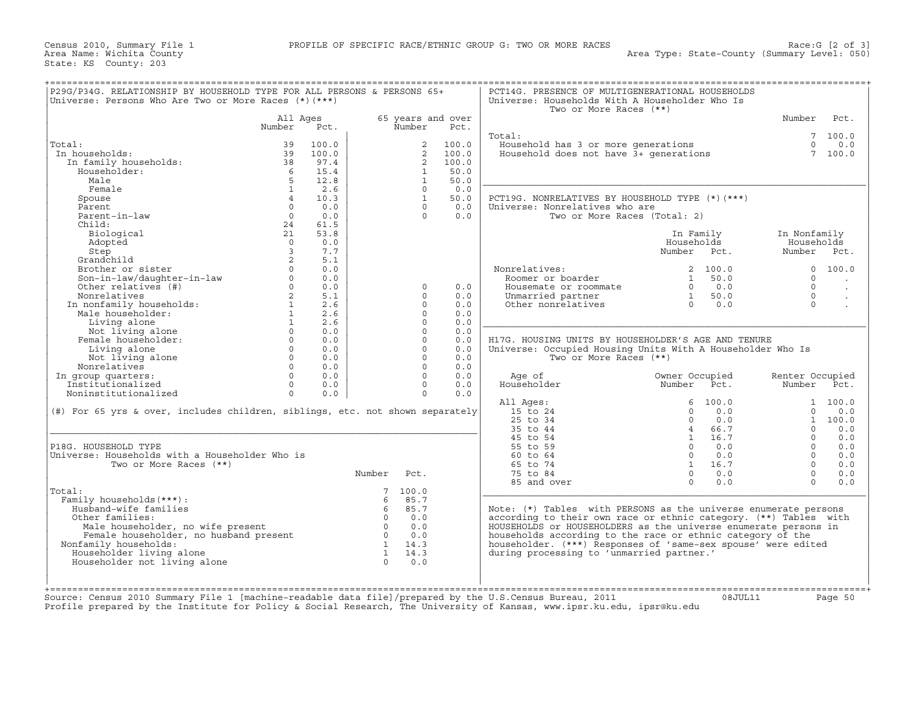Census 2010, Summary File 1 PROFILE OF SPECIFIC RACE/ETHNIC GROUP G: TWO OR MORE RACES Race:G [2 of 3] State: KS County: 203

| P29G/P34G. RELATIONSHIP BY HOUSEHOLD TYPE FOR ALL PERSONS & PERSONS 65+<br>Universe: Persons Who Are Two or More Races $(*)$ $(***)$                      |                |       |                 |                |                   | PCT14G. PRESENCE OF MULTIGENERATIONAL HOUSEHOLDS<br>Universe: Households With A Householder Who Is<br>Two or More Races (**) |                |      |                 |                      |
|-----------------------------------------------------------------------------------------------------------------------------------------------------------|----------------|-------|-----------------|----------------|-------------------|------------------------------------------------------------------------------------------------------------------------------|----------------|------|-----------------|----------------------|
|                                                                                                                                                           | All Ages       |       |                 |                | 65 years and over |                                                                                                                              |                |      | Number          | Pct.                 |
|                                                                                                                                                           | Number         | Pct.  |                 | Number         | Pct.              |                                                                                                                              |                |      |                 |                      |
|                                                                                                                                                           |                |       |                 |                |                   | Total:                                                                                                                       |                |      | $7\overline{ }$ | 100.0                |
| Total:                                                                                                                                                    | 39             | 100.0 |                 | $\overline{2}$ | 100.0             | Fousehold has 3 or more generations<br>Household does not have 3+ generations                                                |                |      | $\Omega$        | 0.0                  |
| In households:                                                                                                                                            | 39             | 100.0 |                 | 2              | 100.0             |                                                                                                                              |                |      |                 | 7 100.0              |
| In family households:                                                                                                                                     | 38             | 97.4  |                 | 2              | 100.0             |                                                                                                                              |                |      |                 |                      |
| Householder:                                                                                                                                              | - 6            | 15.4  |                 | 1              | 50.0              |                                                                                                                              |                |      |                 |                      |
| Male                                                                                                                                                      | 5 <sup>5</sup> | 12.8  |                 | $\mathbf{1}$   | 50.0              |                                                                                                                              |                |      |                 |                      |
| Female                                                                                                                                                    | $\overline{1}$ | 2.6   |                 | $\Omega$       | 0.0               |                                                                                                                              |                |      |                 |                      |
| Spouse                                                                                                                                                    | $\overline{4}$ | 10.3  |                 | $\mathbf{1}$   | 50.0              | PCT19G. NONRELATIVES BY HOUSEHOLD TYPE (*)(***)                                                                              |                |      |                 |                      |
| Parent                                                                                                                                                    | $\circ$        | 0.0   |                 | $\Omega$       | 0.0               | Universe: Nonrelatives who are                                                                                               |                |      |                 |                      |
| Parent-in-law                                                                                                                                             | $\Omega$       | 0.0   |                 | $\Omega$       | 0.0               |                                                                                                                              |                |      |                 |                      |
|                                                                                                                                                           |                |       |                 |                |                   | Two or More Races (Total: 2)                                                                                                 |                |      |                 |                      |
| Child:                                                                                                                                                    | 24             | 61.5  |                 |                |                   |                                                                                                                              |                |      |                 |                      |
| Biological                                                                                                                                                | 21             | 53.8  |                 |                |                   |                                                                                                                              | In Family      |      | In Nonfamily    |                      |
| Adopted                                                                                                                                                   | $\Omega$       | 0.0   |                 |                |                   |                                                                                                                              | Households     |      | Households      |                      |
| Step                                                                                                                                                      | $\overline{3}$ | 7.7   |                 |                |                   |                                                                                                                              | Number Pct.    |      | Number          | Pct.                 |
| Grandchild                                                                                                                                                | 2              | 5.1   |                 |                |                   |                                                                                                                              |                |      |                 |                      |
| Brother or sister                                                                                                                                         |                | 0.0   |                 |                |                   | Nonrelatives:                                                                                                                | 2 100.0        |      |                 | 0, 100.0             |
| Son-in-law/daughter-in-law<br>Other relatives (#)                                                                                                         | $\circ$        | 0.0   |                 |                |                   | Roomer or boarder                                                                                                            | $\overline{1}$ | 50.0 | $\Omega$        |                      |
|                                                                                                                                                           | $\Omega$       | 0.0   |                 | $\Omega$       | 0.0               | Housemate or roommate                                                                                                        | $0 \t 0.0$     |      | $\Omega$        | $\ddot{\phantom{a}}$ |
| Nonrelatives                                                                                                                                              | 2              | 5.1   |                 | $\cap$         | 0.0               | Unmarried partner                                                                                                            | $\overline{1}$ | 50.0 | $\cap$          |                      |
| nonfamily households:<br>In nonfamily households:<br>Male householder:                                                                                    | $\mathbf{1}$   | 2.6   |                 | $\Omega$       | 0.0               | Other nonrelatives                                                                                                           | $0 \t 0.0$     |      | $\Omega$        | $\sim$               |
|                                                                                                                                                           |                |       |                 |                |                   |                                                                                                                              |                |      |                 |                      |
| Male householder:                                                                                                                                         | $\mathbf{1}$   | 2.6   |                 | $\Omega$       | 0.0               |                                                                                                                              |                |      |                 |                      |
| Living alone                                                                                                                                              | 1              | 2.6   |                 | $\Omega$       | 0.0               |                                                                                                                              |                |      |                 |                      |
| Not living alone                                                                                                                                          | $\Omega$       | 0.0   |                 | $\cap$         | 0.0               |                                                                                                                              |                |      |                 |                      |
| Female householder:                                                                                                                                       | $\overline{0}$ | 0.0   |                 | $\circ$        | 0.0               | H17G. HOUSING UNITS BY HOUSEHOLDER'S AGE AND TENURE                                                                          |                |      |                 |                      |
| Living alone                                                                                                                                              | $\Omega$       | 0.0   |                 | $\Omega$       | 0.0               | Universe: Occupied Housing Units With A Householder Who Is                                                                   |                |      |                 |                      |
| Not living alone                                                                                                                                          | $\Omega$       | 0.0   |                 | $\Omega$       | 0.0               | Two or More Races (**)                                                                                                       |                |      |                 |                      |
| Nonrelatives                                                                                                                                              | $\Omega$       | 0.0   |                 | $\Omega$       | 0.0               |                                                                                                                              |                |      |                 |                      |
| In group quarters:                                                                                                                                        | $\Omega$       | 0.0   |                 | $\Omega$       | 0.0               | Age of                                                                                                                       | Owner Occupied |      | Renter Occupied |                      |
| Institutionalized                                                                                                                                         | $\Omega$       | 0.0   |                 | $\Omega$       | 0.0               | Householder                                                                                                                  | Number         | Pct. | Number          | Pct.                 |
| Noninstitutionalized                                                                                                                                      | $\Omega$       | 0.0   |                 | $\Omega$       | 0.0               |                                                                                                                              |                |      |                 |                      |
|                                                                                                                                                           |                |       |                 |                |                   | All Ages:                                                                                                                    | 6, 100.0       |      |                 | 1 100.0              |
| (#) For 65 yrs & over, includes children, siblings, etc. not shown separately                                                                             |                |       |                 |                |                   | 15 to 24                                                                                                                     | $\Omega$       | 0.0  | $\Omega$        | 0.0                  |
|                                                                                                                                                           |                |       |                 |                |                   | $25$ to $34$                                                                                                                 |                |      |                 |                      |
|                                                                                                                                                           |                |       |                 |                |                   |                                                                                                                              | $\Omega$       | 0.0  |                 | 1 100.0              |
|                                                                                                                                                           |                |       |                 |                |                   | 35 to 44                                                                                                                     | 4 66.7         |      | $\Omega$        | 0.0                  |
|                                                                                                                                                           |                |       |                 |                |                   | 45 to 54                                                                                                                     | 1 16.7         |      | $\Omega$        | 0.0                  |
| P18G. HOUSEHOLD TYPE                                                                                                                                      |                |       |                 |                |                   | 55 to 59                                                                                                                     | $0 \t 0.0$     |      | $\Omega$        | 0.0                  |
| Universe: Households with a Householder Who is                                                                                                            |                |       |                 |                |                   | 60 to 64                                                                                                                     | $\Omega$       | 0.0  | $\Omega$        | 0.0                  |
| Two or More Races (**)                                                                                                                                    |                |       |                 |                |                   | 65 to 74                                                                                                                     | 1 16.7         |      | $\Omega$        | 0.0                  |
|                                                                                                                                                           |                |       | Number          | Pct.           |                   | 75 to 84                                                                                                                     | $\Omega$       | 0.0  | $\Omega$        | 0.0                  |
|                                                                                                                                                           |                |       |                 |                |                   | 85 and over                                                                                                                  | $\Omega$       | 0.0  | $\Omega$        | 0.0                  |
| Total:                                                                                                                                                    |                |       | $7\phantom{.0}$ | 100.0          |                   |                                                                                                                              |                |      |                 |                      |
| Family households (***) :                                                                                                                                 |                |       | 6               | 85.7           |                   |                                                                                                                              |                |      |                 |                      |
| Husband-wife families                                                                                                                                     |                |       | - 6             | 85.7           |                   |                                                                                                                              |                |      |                 |                      |
|                                                                                                                                                           |                |       |                 |                |                   | Note: $(*)$ Tables with PERSONS as the universe enumerate persons                                                            |                |      |                 |                      |
| Other families:                                                                                                                                           |                |       | $\overline{0}$  | 0.0            |                   | according to their own race or ethnic category. (**) Tables with                                                             |                |      |                 |                      |
| Male householder, no wife present<br>Female householder, no husband present<br>imily householder, no husband present<br>Male householder, no wife present |                |       | $\overline{0}$  | 0.0            |                   | HOUSEHOLDS or HOUSEHOLDERS as the universe enumerate persons in                                                              |                |      |                 |                      |
|                                                                                                                                                           |                |       | $\overline{0}$  | 0.0            |                   | households according to the race or ethnic category of the                                                                   |                |      |                 |                      |
| Nonfamily households:                                                                                                                                     |                |       |                 | 1 14.3         |                   | householder. (***) Responses of 'same-sex spouse' were edited                                                                |                |      |                 |                      |
| Householder living alone                                                                                                                                  |                |       |                 | $1 \t 14.3$    |                   | during processing to 'unmarried partner.'                                                                                    |                |      |                 |                      |
| Householder not living alone                                                                                                                              |                |       | $\Omega$        | 0.0            |                   |                                                                                                                              |                |      |                 |                      |
|                                                                                                                                                           |                |       |                 |                |                   |                                                                                                                              |                |      |                 |                      |
|                                                                                                                                                           |                |       |                 |                |                   |                                                                                                                              |                |      |                 |                      |
|                                                                                                                                                           |                |       |                 |                |                   |                                                                                                                              |                |      |                 |                      |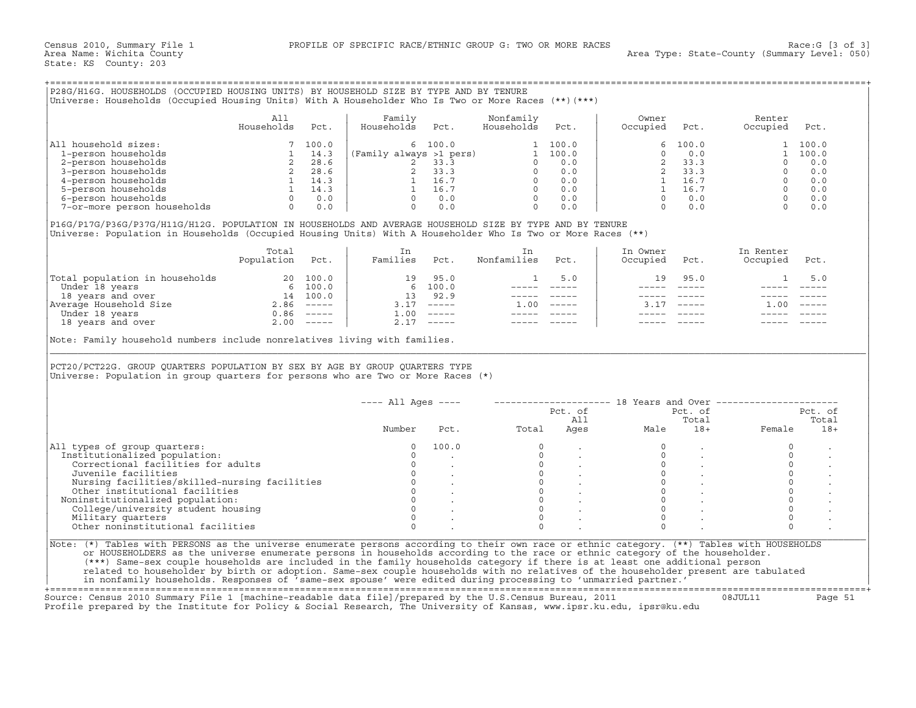# +===================================================================================================================================================+

|                             | All<br>Households | Pct.  | Family<br>Households<br>Pct. | Nonfamily<br>Households | Pct.  | Owner<br>Occupied | Pct.     | Renter<br>Occupied | Pct.  |
|-----------------------------|-------------------|-------|------------------------------|-------------------------|-------|-------------------|----------|--------------------|-------|
| household sizes:<br>All     |                   | 100.0 | 6 100.0                      |                         | 100.0 |                   | 6, 100.0 |                    | 100.0 |
| 1-person households         |                   | 14.3  | (Family always >1 pers)      |                         | 100.0 |                   | 0.0      |                    | 100.0 |
| 2-person households         |                   | 28.6  | 33.3                         |                         | 0.0   |                   | 33.3     |                    | 0.0   |
| 3-person households         |                   | 28.6  | 33.3                         |                         | 0.0   |                   | 33.3     |                    | 0.0   |
| 4-person households         |                   | 14.3  | 16.7                         |                         | 0.0   |                   | 16.7     |                    | 0.0   |
| 5-person households         |                   | 14.3  | 16.7                         |                         | 0.0   |                   | 16.7     |                    | 0.0   |
| 6-person households         |                   | 0.0   | 0.0                          |                         | 0.0   |                   | 0.0      |                    | 0.0   |
| 7-or-more person households |                   | 0.0   |                              |                         | 0.0   |                   | 0.0      |                    |       |

|                                | Total<br>Population | Pct.          | Families           | Pct.          | Nonfamilies | Pct.          | In Owner<br>Occupied | Pct.          | In Renter<br>Occupied | Pct.                      |
|--------------------------------|---------------------|---------------|--------------------|---------------|-------------|---------------|----------------------|---------------|-----------------------|---------------------------|
| Total population in households |                     | 20 100.0      | 19                 | 95.0          |             | 5.0           | 19.                  | 95.0          |                       |                           |
| Under 18 years                 | 6                   | 100.0         |                    | 6 100.0       |             |               |                      |               |                       |                           |
| 18 years and over              | 14                  | 100.0         | 13                 | 92.9          |             |               |                      |               |                       |                           |
| Average Household Size         | 2.86                | $- - - - - -$ | 3.17               | $\frac{1}{2}$ | .00         | $- - - - - -$ |                      | $- - - - - -$ | 00                    | $\qquad \qquad - - - - -$ |
| Under 18 years                 | 0.86                | $------$      | $\overline{1}$ .00 |               |             |               |                      |               |                       |                           |
| 18 years and over              | 2.00                | $------$      | 2.17               |               |             |               |                      |               |                       |                           |

|                                                                                                                                                                                                                                                                                                                                                                                                                               | All                                                                                                                                |      | Family                                                                                                               |                                                                                                                                                     | Nonfamily                                                                                                                                                                                                                                                                                                                                                                                                                                                                  |                | Owner    |                                                                                                                                                                                                                                                                                                                                                                                              | Renter                                                                                                                                                                                                                                                                                                                                  |         |
|-------------------------------------------------------------------------------------------------------------------------------------------------------------------------------------------------------------------------------------------------------------------------------------------------------------------------------------------------------------------------------------------------------------------------------|------------------------------------------------------------------------------------------------------------------------------------|------|----------------------------------------------------------------------------------------------------------------------|-----------------------------------------------------------------------------------------------------------------------------------------------------|----------------------------------------------------------------------------------------------------------------------------------------------------------------------------------------------------------------------------------------------------------------------------------------------------------------------------------------------------------------------------------------------------------------------------------------------------------------------------|----------------|----------|----------------------------------------------------------------------------------------------------------------------------------------------------------------------------------------------------------------------------------------------------------------------------------------------------------------------------------------------------------------------------------------------|-----------------------------------------------------------------------------------------------------------------------------------------------------------------------------------------------------------------------------------------------------------------------------------------------------------------------------------------|---------|
|                                                                                                                                                                                                                                                                                                                                                                                                                               | Households                                                                                                                         | Pct. | Households                                                                                                           | Pct.                                                                                                                                                | Households                                                                                                                                                                                                                                                                                                                                                                                                                                                                 | Pct.           | Occupied | Pct.                                                                                                                                                                                                                                                                                                                                                                                         | Occupied                                                                                                                                                                                                                                                                                                                                | Pct.    |
| All household sizes:                                                                                                                                                                                                                                                                                                                                                                                                          | $\left[\begin{array}{ccc} 7 & 100.0 \ 1 & 14.3 \ 2 & 28.6 \ 2 & 28.6 \ 1 & 14.3 \ 1 & 14.3 \ 0 & 0.0 \ 0 & 0.0 \end{array}\right]$ |      |                                                                                                                      | 6 100.0                                                                                                                                             |                                                                                                                                                                                                                                                                                                                                                                                                                                                                            | 1 100.0        | 6        | 100.0                                                                                                                                                                                                                                                                                                                                                                                        | $\mathbf{1}$                                                                                                                                                                                                                                                                                                                            | 100.0   |
| 1-person households                                                                                                                                                                                                                                                                                                                                                                                                           |                                                                                                                                    |      | (Family always 51 pers)<br>2 33.3<br>2 33.3<br>0 0.0<br>1 16.7<br>0 0.0<br>0 0.0<br>0 0.0<br>0 0.0<br>0 0.0<br>0 0.0 |                                                                                                                                                     |                                                                                                                                                                                                                                                                                                                                                                                                                                                                            |                | $\Omega$ | 0.0                                                                                                                                                                                                                                                                                                                                                                                          |                                                                                                                                                                                                                                                                                                                                         | 1 100.0 |
| 2-person households                                                                                                                                                                                                                                                                                                                                                                                                           |                                                                                                                                    |      |                                                                                                                      |                                                                                                                                                     |                                                                                                                                                                                                                                                                                                                                                                                                                                                                            |                |          |                                                                                                                                                                                                                                                                                                                                                                                              |                                                                                                                                                                                                                                                                                                                                         | 0.0     |
| 3-person households                                                                                                                                                                                                                                                                                                                                                                                                           |                                                                                                                                    |      |                                                                                                                      |                                                                                                                                                     |                                                                                                                                                                                                                                                                                                                                                                                                                                                                            |                |          |                                                                                                                                                                                                                                                                                                                                                                                              |                                                                                                                                                                                                                                                                                                                                         | 0.0     |
| 4-person households                                                                                                                                                                                                                                                                                                                                                                                                           |                                                                                                                                    |      |                                                                                                                      |                                                                                                                                                     |                                                                                                                                                                                                                                                                                                                                                                                                                                                                            |                |          |                                                                                                                                                                                                                                                                                                                                                                                              |                                                                                                                                                                                                                                                                                                                                         | 0.0     |
| 5-person households                                                                                                                                                                                                                                                                                                                                                                                                           |                                                                                                                                    |      |                                                                                                                      |                                                                                                                                                     |                                                                                                                                                                                                                                                                                                                                                                                                                                                                            |                |          |                                                                                                                                                                                                                                                                                                                                                                                              |                                                                                                                                                                                                                                                                                                                                         | 0.0     |
| 6-person households                                                                                                                                                                                                                                                                                                                                                                                                           |                                                                                                                                    |      |                                                                                                                      |                                                                                                                                                     |                                                                                                                                                                                                                                                                                                                                                                                                                                                                            |                |          |                                                                                                                                                                                                                                                                                                                                                                                              |                                                                                                                                                                                                                                                                                                                                         | 0.0     |
| 7-or-more person households                                                                                                                                                                                                                                                                                                                                                                                                   |                                                                                                                                    |      | $\Omega$                                                                                                             | 0.0                                                                                                                                                 | $\Omega$                                                                                                                                                                                                                                                                                                                                                                                                                                                                   | 0.0            |          |                                                                                                                                                                                                                                                                                                                                                                                              | $\begin{array}{cccccc} 0 & 0 & 0 \\ 2 & 33 & 3 \\ 2 & 33 & 3 \\ 1 & 16 & 7 \\ 1 & 16 & 7 \\ 0 & 0 & 0 \\ 0 & 0 & 0 \\ 0 & 0 & 0 \\ 0 & 0 & 0 \\ 0 & 0 & 0 \\ 0 & 0 & 0 \\ 0 & 0 & 0 \\ 0 & 0 & 0 \\ 0 & 0 & 0 \\ 0 & 0 & 0 \\ 0 & 0 & 0 \\ 0 & 0 & 0 \\ 0 & 0 & 0 \\ 0 & 0 & 0 \\ 0 & 0 & 0 \\ 0 & 0 & 0 \\ 0 & 0 & 0 \\ 0 & 0 & 0 \\ $ | 0.0     |
| P16G/P17G/P36G/P37G/H11G/H12G. POPULATION IN HOUSEHOLDS AND AVERAGE HOUSEHOLD SIZE BY TYPE AND BY TENURE<br>Universe: Population in Households (Occupied Housing Units) With A Householder Who Is Two or More Races (**)                                                                                                                                                                                                      |                                                                                                                                    |      |                                                                                                                      |                                                                                                                                                     |                                                                                                                                                                                                                                                                                                                                                                                                                                                                            |                |          |                                                                                                                                                                                                                                                                                                                                                                                              |                                                                                                                                                                                                                                                                                                                                         |         |
|                                                                                                                                                                                                                                                                                                                                                                                                                               | Total                                                                                                                              |      | In                                                                                                                   |                                                                                                                                                     | In                                                                                                                                                                                                                                                                                                                                                                                                                                                                         |                | In Owner |                                                                                                                                                                                                                                                                                                                                                                                              | In Renter                                                                                                                                                                                                                                                                                                                               |         |
|                                                                                                                                                                                                                                                                                                                                                                                                                               | Population Pct.                                                                                                                    |      | Families Pct.                                                                                                        |                                                                                                                                                     | Nonfamilies                                                                                                                                                                                                                                                                                                                                                                                                                                                                | Pct.           | Occupied | Pct.                                                                                                                                                                                                                                                                                                                                                                                         | Occupied                                                                                                                                                                                                                                                                                                                                | Pct.    |
|                                                                                                                                                                                                                                                                                                                                                                                                                               |                                                                                                                                    |      |                                                                                                                      | 19 95.0                                                                                                                                             | $\mathbf{1}$                                                                                                                                                                                                                                                                                                                                                                                                                                                               | 5.0            | 19       | 95.0                                                                                                                                                                                                                                                                                                                                                                                         | $\mathbf{1}$                                                                                                                                                                                                                                                                                                                            | 5.0     |
|                                                                                                                                                                                                                                                                                                                                                                                                                               |                                                                                                                                    |      |                                                                                                                      | 6 100.0                                                                                                                                             |                                                                                                                                                                                                                                                                                                                                                                                                                                                                            |                |          | $\frac{1}{2} \frac{1}{2} \frac{1}{2} \frac{1}{2} \frac{1}{2} \frac{1}{2} \frac{1}{2} \frac{1}{2} \frac{1}{2} \frac{1}{2} \frac{1}{2} \frac{1}{2} \frac{1}{2} \frac{1}{2} \frac{1}{2} \frac{1}{2} \frac{1}{2} \frac{1}{2} \frac{1}{2} \frac{1}{2} \frac{1}{2} \frac{1}{2} \frac{1}{2} \frac{1}{2} \frac{1}{2} \frac{1}{2} \frac{1}{2} \frac{1}{2} \frac{1}{2} \frac{1}{2} \frac{1}{2} \frac{$ |                                                                                                                                                                                                                                                                                                                                         |         |
|                                                                                                                                                                                                                                                                                                                                                                                                                               |                                                                                                                                    |      | 13 92.9                                                                                                              |                                                                                                                                                     |                                                                                                                                                                                                                                                                                                                                                                                                                                                                            | ______________ |          |                                                                                                                                                                                                                                                                                                                                                                                              |                                                                                                                                                                                                                                                                                                                                         |         |
|                                                                                                                                                                                                                                                                                                                                                                                                                               |                                                                                                                                    |      |                                                                                                                      | $3.17$ -----                                                                                                                                        | $1.00$ -----                                                                                                                                                                                                                                                                                                                                                                                                                                                               |                |          | $3.17$ -----                                                                                                                                                                                                                                                                                                                                                                                 | $1.00 - - - - -$                                                                                                                                                                                                                                                                                                                        |         |
|                                                                                                                                                                                                                                                                                                                                                                                                                               |                                                                                                                                    |      |                                                                                                                      | $1.00$ -----                                                                                                                                        | $\frac{1}{2} \left( \frac{1}{2} \right) \left( \frac{1}{2} \right) \left( \frac{1}{2} \right) \left( \frac{1}{2} \right) \left( \frac{1}{2} \right) \left( \frac{1}{2} \right) \left( \frac{1}{2} \right) \left( \frac{1}{2} \right) \left( \frac{1}{2} \right) \left( \frac{1}{2} \right) \left( \frac{1}{2} \right) \left( \frac{1}{2} \right) \left( \frac{1}{2} \right) \left( \frac{1}{2} \right) \left( \frac{1}{2} \right) \left( \frac{1}{2} \right) \left( \frac$ |                |          |                                                                                                                                                                                                                                                                                                                                                                                              |                                                                                                                                                                                                                                                                                                                                         |         |
|                                                                                                                                                                                                                                                                                                                                                                                                                               |                                                                                                                                    |      |                                                                                                                      |                                                                                                                                                     |                                                                                                                                                                                                                                                                                                                                                                                                                                                                            |                |          |                                                                                                                                                                                                                                                                                                                                                                                              |                                                                                                                                                                                                                                                                                                                                         |         |
| $\begin{tabular}{ l l } \hline \texttt{Total population in households} & 20 100.0 \\ \hline \texttt{Under 18 years} & 6 100.0 \\ \texttt{18 years and over} & 14 100.0 \\ \texttt{Average Household Size} & 2.86 ----- \\ \hline \texttt{Under 18 years} & 0.86 ----- \\ \hline \texttt{18 years and over} & 2.00 ----- \\ \hline \end{tabular}$<br>Note: Family household numbers include nonrelatives living with families. |                                                                                                                                    |      |                                                                                                                      | $2.17$ -----                                                                                                                                        |                                                                                                                                                                                                                                                                                                                                                                                                                                                                            |                |          |                                                                                                                                                                                                                                                                                                                                                                                              |                                                                                                                                                                                                                                                                                                                                         |         |
| PCT20/PCT22G. GROUP QUARTERS POPULATION BY SEX BY AGE BY GROUP QUARTERS TYPE<br>Universe: Population in group quarters for persons who are Two or More Races (*)                                                                                                                                                                                                                                                              |                                                                                                                                    |      |                                                                                                                      |                                                                                                                                                     |                                                                                                                                                                                                                                                                                                                                                                                                                                                                            |                |          |                                                                                                                                                                                                                                                                                                                                                                                              |                                                                                                                                                                                                                                                                                                                                         |         |
|                                                                                                                                                                                                                                                                                                                                                                                                                               |                                                                                                                                    |      | ---- All Ages ----                                                                                                   |                                                                                                                                                     |                                                                                                                                                                                                                                                                                                                                                                                                                                                                            |                |          |                                                                                                                                                                                                                                                                                                                                                                                              | --------------------    18 Years and Over ------------------                                                                                                                                                                                                                                                                            |         |
|                                                                                                                                                                                                                                                                                                                                                                                                                               |                                                                                                                                    |      |                                                                                                                      |                                                                                                                                                     |                                                                                                                                                                                                                                                                                                                                                                                                                                                                            | Pct. of        |          | Pct. of                                                                                                                                                                                                                                                                                                                                                                                      |                                                                                                                                                                                                                                                                                                                                         | Pct. of |
|                                                                                                                                                                                                                                                                                                                                                                                                                               |                                                                                                                                    |      |                                                                                                                      |                                                                                                                                                     |                                                                                                                                                                                                                                                                                                                                                                                                                                                                            | All            |          | Total                                                                                                                                                                                                                                                                                                                                                                                        |                                                                                                                                                                                                                                                                                                                                         | Total   |
|                                                                                                                                                                                                                                                                                                                                                                                                                               |                                                                                                                                    |      | Number                                                                                                               | Pct.                                                                                                                                                | Total                                                                                                                                                                                                                                                                                                                                                                                                                                                                      | Ages           | Male     | $18 +$                                                                                                                                                                                                                                                                                                                                                                                       | Female                                                                                                                                                                                                                                                                                                                                  | $18+$   |
|                                                                                                                                                                                                                                                                                                                                                                                                                               |                                                                                                                                    |      | $\Omega$                                                                                                             | 100.0                                                                                                                                               | $\Omega$                                                                                                                                                                                                                                                                                                                                                                                                                                                                   |                |          |                                                                                                                                                                                                                                                                                                                                                                                              | $\circ$                                                                                                                                                                                                                                                                                                                                 |         |
|                                                                                                                                                                                                                                                                                                                                                                                                                               |                                                                                                                                    |      | $\Omega$                                                                                                             |                                                                                                                                                     | $\Omega$                                                                                                                                                                                                                                                                                                                                                                                                                                                                   |                | $\Omega$ |                                                                                                                                                                                                                                                                                                                                                                                              | $\circ$                                                                                                                                                                                                                                                                                                                                 |         |
| Correctional facilities for adults                                                                                                                                                                                                                                                                                                                                                                                            |                                                                                                                                    |      | $\circ$                                                                                                              |                                                                                                                                                     |                                                                                                                                                                                                                                                                                                                                                                                                                                                                            |                | $\circ$  |                                                                                                                                                                                                                                                                                                                                                                                              | $\circ$                                                                                                                                                                                                                                                                                                                                 |         |
| Juvenile facilities                                                                                                                                                                                                                                                                                                                                                                                                           |                                                                                                                                    |      |                                                                                                                      | $0 \qquad \qquad$                                                                                                                                   |                                                                                                                                                                                                                                                                                                                                                                                                                                                                            |                | $\circ$  | $\sim$                                                                                                                                                                                                                                                                                                                                                                                       | $\circ$                                                                                                                                                                                                                                                                                                                                 |         |
| Nursing facilities/skilled-nursing facilities                                                                                                                                                                                                                                                                                                                                                                                 |                                                                                                                                    |      |                                                                                                                      |                                                                                                                                                     |                                                                                                                                                                                                                                                                                                                                                                                                                                                                            |                | $\Omega$ |                                                                                                                                                                                                                                                                                                                                                                                              | $\circ$                                                                                                                                                                                                                                                                                                                                 |         |
| Other institutional facilities                                                                                                                                                                                                                                                                                                                                                                                                |                                                                                                                                    |      |                                                                                                                      |                                                                                                                                                     | $\begin{bmatrix} 0 \\ 0 \\ 0 \\ 0 \end{bmatrix}$                                                                                                                                                                                                                                                                                                                                                                                                                           |                | $\circ$  |                                                                                                                                                                                                                                                                                                                                                                                              | $\circ$                                                                                                                                                                                                                                                                                                                                 |         |
|                                                                                                                                                                                                                                                                                                                                                                                                                               |                                                                                                                                    |      |                                                                                                                      |                                                                                                                                                     | $\Omega$                                                                                                                                                                                                                                                                                                                                                                                                                                                                   |                | $\Omega$ | $\sim$                                                                                                                                                                                                                                                                                                                                                                                       | $\circ$                                                                                                                                                                                                                                                                                                                                 |         |
| Noninstitutionalized population:<br>College/university student housing                                                                                                                                                                                                                                                                                                                                                        |                                                                                                                                    |      |                                                                                                                      |                                                                                                                                                     | $\overline{0}$                                                                                                                                                                                                                                                                                                                                                                                                                                                             |                | $\Omega$ |                                                                                                                                                                                                                                                                                                                                                                                              | $\Omega$                                                                                                                                                                                                                                                                                                                                |         |
| Institutionalized population:<br>Military quarters                                                                                                                                                                                                                                                                                                                                                                            |                                                                                                                                    |      | $\Omega$                                                                                                             | $\begin{matrix} 0 & & \cdot & & \cdot & \ 0 & & \cdot & & \cdot & \cdot \ 0 & & & \cdot & & \cdot & \cdot \ 0 & & & & \cdot & & \cdot \end{matrix}$ | $\Omega$                                                                                                                                                                                                                                                                                                                                                                                                                                                                   |                | $\Omega$ |                                                                                                                                                                                                                                                                                                                                                                                              | $\Omega$                                                                                                                                                                                                                                                                                                                                |         |
| All types of group quarters:<br>Other noninstitutional facilities                                                                                                                                                                                                                                                                                                                                                             |                                                                                                                                    |      | $\Omega$                                                                                                             |                                                                                                                                                     | $\Omega$                                                                                                                                                                                                                                                                                                                                                                                                                                                                   |                | $\Omega$ |                                                                                                                                                                                                                                                                                                                                                                                              | $\Omega$                                                                                                                                                                                                                                                                                                                                |         |
|                                                                                                                                                                                                                                                                                                                                                                                                                               |                                                                                                                                    |      |                                                                                                                      |                                                                                                                                                     |                                                                                                                                                                                                                                                                                                                                                                                                                                                                            |                |          |                                                                                                                                                                                                                                                                                                                                                                                              |                                                                                                                                                                                                                                                                                                                                         |         |
| Note: (*) Tables with PERSONS as the universe enumerate persons according to their own race or ethnic category. (**) Tables with HOUSEHOLDS                                                                                                                                                                                                                                                                                   |                                                                                                                                    |      |                                                                                                                      |                                                                                                                                                     |                                                                                                                                                                                                                                                                                                                                                                                                                                                                            |                |          |                                                                                                                                                                                                                                                                                                                                                                                              |                                                                                                                                                                                                                                                                                                                                         |         |
| or HOUSEHOLDERS as the universe enumerate persons in households according to the race or ethnic category of the householder.<br>(***) Same-sex couple households are included in the family households category if there is at least one additional person                                                                                                                                                                    |                                                                                                                                    |      |                                                                                                                      |                                                                                                                                                     |                                                                                                                                                                                                                                                                                                                                                                                                                                                                            |                |          |                                                                                                                                                                                                                                                                                                                                                                                              |                                                                                                                                                                                                                                                                                                                                         |         |

+===================================================================================================================================================+

Source: Census 2010 Summary File 1 [machine−readable data file]/prepared by the U.S.Census Bureau, 2011 08JUL11 Page 51 Profile prepared by the Institute for Policy & Social Research, The University of Kansas, www.ipsr.ku.edu, ipsr@ku.edu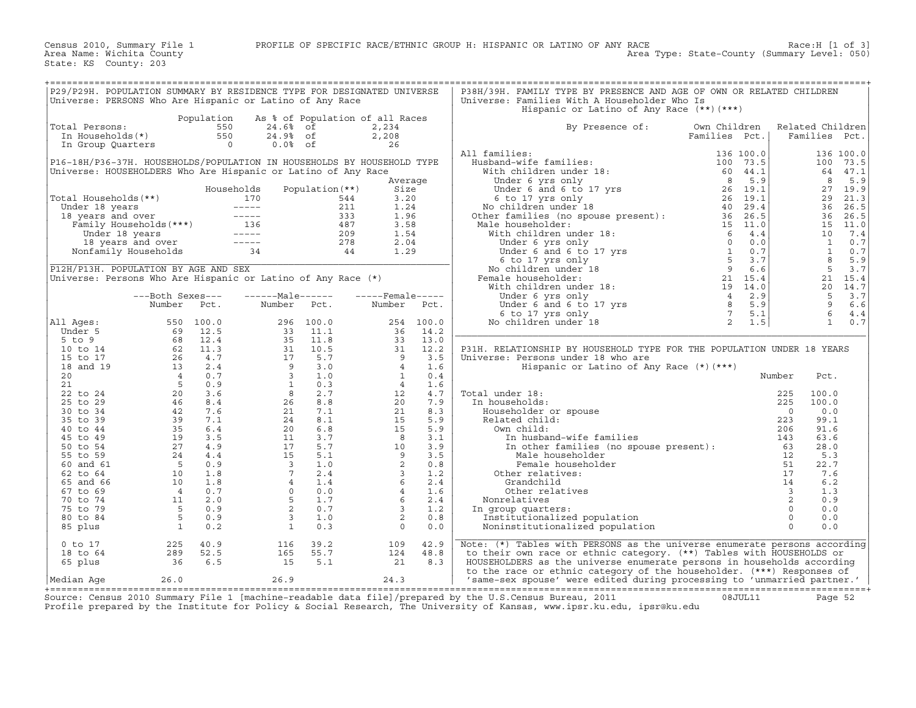| P29/P29H. POPULATION SUMMARY BY RESIDENCE TYPE FOR DESIGNATED UNIVERSE<br>Universe: PERSONS Who Are Hispanic or Latino of Any Race |                                                                                                                                                                                                                                                                                        |                |                                                                                                                                                                                                                                                                                                                   |                                 |                                                                                                                |           | P38H/39H. FAMILY TYPE BY PRESENCE AND AGE OF OWN OR RELATED CHILDREN<br>Universe: Families With A Householder Who Is                                                                                                                           |               |                         |                  |           |
|------------------------------------------------------------------------------------------------------------------------------------|----------------------------------------------------------------------------------------------------------------------------------------------------------------------------------------------------------------------------------------------------------------------------------------|----------------|-------------------------------------------------------------------------------------------------------------------------------------------------------------------------------------------------------------------------------------------------------------------------------------------------------------------|---------------------------------|----------------------------------------------------------------------------------------------------------------|-----------|------------------------------------------------------------------------------------------------------------------------------------------------------------------------------------------------------------------------------------------------|---------------|-------------------------|------------------|-----------|
|                                                                                                                                    |                                                                                                                                                                                                                                                                                        |                |                                                                                                                                                                                                                                                                                                                   |                                 |                                                                                                                |           | Hispanic or Latino of Any Race $(**)$ $(***)$                                                                                                                                                                                                  |               |                         |                  |           |
|                                                                                                                                    |                                                                                                                                                                                                                                                                                        | Population     |                                                                                                                                                                                                                                                                                                                   | As % of Population of all Races |                                                                                                                |           |                                                                                                                                                                                                                                                |               |                         |                  |           |
| Total Persons:                                                                                                                     |                                                                                                                                                                                                                                                                                        | 550            | 24.6% of                                                                                                                                                                                                                                                                                                          |                                 | 2,234                                                                                                          |           | By Presence of:                                                                                                                                                                                                                                | Own Children  |                         | Related Children |           |
| In Households(*)                                                                                                                   |                                                                                                                                                                                                                                                                                        | 550            | 24.9% of                                                                                                                                                                                                                                                                                                          |                                 | 2,208                                                                                                          |           |                                                                                                                                                                                                                                                | Families Pct. |                         | Families Pct.    |           |
| In Group Quarters                                                                                                                  |                                                                                                                                                                                                                                                                                        | $\overline{0}$ | $0.0%$ of                                                                                                                                                                                                                                                                                                         |                                 | 26                                                                                                             |           |                                                                                                                                                                                                                                                |               |                         |                  |           |
|                                                                                                                                    |                                                                                                                                                                                                                                                                                        |                |                                                                                                                                                                                                                                                                                                                   |                                 |                                                                                                                |           | All families:                                                                                                                                                                                                                                  |               |                         |                  | 136 100.0 |
| P16-18H/P36-37H. HOUSEHOLDS/POPULATION IN HOUSEHOLDS BY HOUSEHOLD TYPE                                                             |                                                                                                                                                                                                                                                                                        |                |                                                                                                                                                                                                                                                                                                                   |                                 |                                                                                                                |           |                                                                                                                                                                                                                                                |               |                         |                  | 100 73.5  |
| Universe: HOUSEHOLDERS Who Are Hispanic or Latino of Any Race                                                                      |                                                                                                                                                                                                                                                                                        |                |                                                                                                                                                                                                                                                                                                                   |                                 |                                                                                                                |           |                                                                                                                                                                                                                                                |               |                         |                  | 64 47.1   |
|                                                                                                                                    |                                                                                                                                                                                                                                                                                        |                |                                                                                                                                                                                                                                                                                                                   |                                 | Average                                                                                                        |           |                                                                                                                                                                                                                                                |               |                         | 8                | 5.9       |
|                                                                                                                                    |                                                                                                                                                                                                                                                                                        |                | Households                                                                                                                                                                                                                                                                                                        | Population (**)                 | Size                                                                                                           |           |                                                                                                                                                                                                                                                |               |                         |                  | 27 19.9   |
| Total Households (**)                                                                                                              |                                                                                                                                                                                                                                                                                        |                | 170                                                                                                                                                                                                                                                                                                               | 544                             | 3.20                                                                                                           |           |                                                                                                                                                                                                                                                |               |                         |                  | 29 21.3   |
|                                                                                                                                    |                                                                                                                                                                                                                                                                                        |                |                                                                                                                                                                                                                                                                                                                   |                                 | 1.24                                                                                                           |           |                                                                                                                                                                                                                                                |               |                         |                  | 36 26.5   |
|                                                                                                                                    |                                                                                                                                                                                                                                                                                        |                |                                                                                                                                                                                                                                                                                                                   |                                 | 1.96                                                                                                           |           |                                                                                                                                                                                                                                                |               |                         |                  | 36 26.5   |
|                                                                                                                                    |                                                                                                                                                                                                                                                                                        |                | Under 18 years<br>18 years and over<br>Tamily Households (***)<br>136 18 years and over<br>136 487<br>136 487<br>136 487<br>136 487<br>136 487<br>136 487<br>136 487<br>279<br>18 years and over<br>Nonfamily Households<br>34 44                                                                                 |                                 | 3.58                                                                                                           |           |                                                                                                                                                                                                                                                |               |                         |                  | 15 11.0   |
|                                                                                                                                    |                                                                                                                                                                                                                                                                                        |                |                                                                                                                                                                                                                                                                                                                   |                                 | 1.54                                                                                                           |           |                                                                                                                                                                                                                                                |               |                         | 10               | 7.4       |
|                                                                                                                                    |                                                                                                                                                                                                                                                                                        |                |                                                                                                                                                                                                                                                                                                                   |                                 | 2.04                                                                                                           |           |                                                                                                                                                                                                                                                |               |                         | $\mathbf{1}$     | 0.7       |
|                                                                                                                                    |                                                                                                                                                                                                                                                                                        |                |                                                                                                                                                                                                                                                                                                                   |                                 | 1.29                                                                                                           |           |                                                                                                                                                                                                                                                |               |                         | 1                | 0.7       |
|                                                                                                                                    |                                                                                                                                                                                                                                                                                        |                |                                                                                                                                                                                                                                                                                                                   |                                 |                                                                                                                |           |                                                                                                                                                                                                                                                |               |                         | 8 <sup>1</sup>   | 5.9       |
|                                                                                                                                    |                                                                                                                                                                                                                                                                                        |                |                                                                                                                                                                                                                                                                                                                   |                                 |                                                                                                                |           |                                                                                                                                                                                                                                                |               |                         | 5                |           |
| P12H/P13H. POPULATION BY AGE AND SEX                                                                                               |                                                                                                                                                                                                                                                                                        |                |                                                                                                                                                                                                                                                                                                                   |                                 |                                                                                                                |           |                                                                                                                                                                                                                                                |               |                         |                  | 3.7       |
| Universe: Persons Who Are Hispanic or Latino of Any Race (*)                                                                       |                                                                                                                                                                                                                                                                                        |                |                                                                                                                                                                                                                                                                                                                   |                                 |                                                                                                                |           |                                                                                                                                                                                                                                                |               |                         |                  | 21 15.4   |
|                                                                                                                                    |                                                                                                                                                                                                                                                                                        |                |                                                                                                                                                                                                                                                                                                                   |                                 |                                                                                                                |           |                                                                                                                                                                                                                                                |               |                         |                  | 20 14.7   |
|                                                                                                                                    | ---Both Sexes---                                                                                                                                                                                                                                                                       |                | ------Male------                                                                                                                                                                                                                                                                                                  |                                 | $---$ Female-----                                                                                              |           |                                                                                                                                                                                                                                                |               |                         | 5                | 3.7       |
|                                                                                                                                    | Number                                                                                                                                                                                                                                                                                 | Pct.           | Number                                                                                                                                                                                                                                                                                                            | Pct.                            | Number Pct.                                                                                                    |           |                                                                                                                                                                                                                                                |               |                         | 9                | 6.6       |
|                                                                                                                                    |                                                                                                                                                                                                                                                                                        |                |                                                                                                                                                                                                                                                                                                                   |                                 |                                                                                                                |           |                                                                                                                                                                                                                                                |               |                         | 6                | 4.4       |
| All Ages:                                                                                                                          |                                                                                                                                                                                                                                                                                        | 550 100.0      |                                                                                                                                                                                                                                                                                                                   | 296 100.0                       |                                                                                                                | 254 100.0 |                                                                                                                                                                                                                                                |               |                         | $\mathbf{1}$     | 0.7       |
| Under 5                                                                                                                            |                                                                                                                                                                                                                                                                                        |                |                                                                                                                                                                                                                                                                                                                   |                                 | 36                                                                                                             | 14.2      | All families:<br>Husband-wife families:<br>With children under 18:<br>Under 6 yrs only<br>Under 6 and 6 to 17 yrs<br>Such that is the state of the state of the state of the state of the<br>Mochindren under 18<br>No children under 18<br>No |               |                         |                  |           |
| $5$ to $9$                                                                                                                         | $\begin{array}{cccc} 550 & 100.0 \\ 69 & 12.5 \\ 68 & 12.4 \\ 26 & 4.7 \\ 13 & 2.4 \\ 4 & 0.7 \\ 13 & 2.4 \\ 5 & 0.9 \\ 20 & 3.6 \\ 46 & 8.4 \\ 42 & 7.6 \\ 39 & 35 \\ 5.4 \end{array}$                                                                                                |                |                                                                                                                                                                                                                                                                                                                   |                                 | 33                                                                                                             | 13.0      |                                                                                                                                                                                                                                                |               |                         |                  |           |
| 10 to 14                                                                                                                           |                                                                                                                                                                                                                                                                                        |                |                                                                                                                                                                                                                                                                                                                   |                                 | $\begin{array}{c} 31 \\ 9 \\ 4 \end{array}$                                                                    | 12.2      | P31H. RELATIONSHIP BY HOUSEHOLD TYPE FOR THE POPULATION UNDER 18 YEARS                                                                                                                                                                         |               |                         |                  |           |
| 15 to 17                                                                                                                           |                                                                                                                                                                                                                                                                                        |                |                                                                                                                                                                                                                                                                                                                   |                                 |                                                                                                                | 3.5       | Universe: Persons under 18 who are                                                                                                                                                                                                             |               |                         |                  |           |
| 18 and 19                                                                                                                          |                                                                                                                                                                                                                                                                                        |                |                                                                                                                                                                                                                                                                                                                   |                                 |                                                                                                                | 1.6       | Hispanic or Latino of Any Race (*) (***)                                                                                                                                                                                                       |               |                         |                  |           |
| 20                                                                                                                                 |                                                                                                                                                                                                                                                                                        |                |                                                                                                                                                                                                                                                                                                                   |                                 | $\overline{1}$                                                                                                 | 0.4       |                                                                                                                                                                                                                                                |               | Number                  | Pct.             |           |
| 21                                                                                                                                 |                                                                                                                                                                                                                                                                                        |                |                                                                                                                                                                                                                                                                                                                   |                                 | $4\overline{ }$                                                                                                | 1.6       |                                                                                                                                                                                                                                                |               |                         |                  |           |
| 22 to 24                                                                                                                           |                                                                                                                                                                                                                                                                                        |                |                                                                                                                                                                                                                                                                                                                   |                                 | 12                                                                                                             | 4.7       | Total under 18:                                                                                                                                                                                                                                |               |                         | 100.0            |           |
| 25 to 29                                                                                                                           |                                                                                                                                                                                                                                                                                        |                |                                                                                                                                                                                                                                                                                                                   |                                 |                                                                                                                | 7.9       | In households:                                                                                                                                                                                                                                 |               |                         | 100.0            |           |
| 30 to 34                                                                                                                           |                                                                                                                                                                                                                                                                                        |                |                                                                                                                                                                                                                                                                                                                   |                                 |                                                                                                                | 8.3       | Householder or spouse                                                                                                                                                                                                                          |               |                         | 0.0              |           |
| 35 to 39                                                                                                                           |                                                                                                                                                                                                                                                                                        |                |                                                                                                                                                                                                                                                                                                                   |                                 |                                                                                                                | 5.9       | Related child:                                                                                                                                                                                                                                 |               |                         | 99.1             |           |
| 40 to 44                                                                                                                           |                                                                                                                                                                                                                                                                                        |                |                                                                                                                                                                                                                                                                                                                   |                                 |                                                                                                                | 5.9       | Own child:                                                                                                                                                                                                                                     |               |                         | 91.6             |           |
| 45 to 49                                                                                                                           |                                                                                                                                                                                                                                                                                        |                |                                                                                                                                                                                                                                                                                                                   |                                 |                                                                                                                | 3.1       |                                                                                                                                                                                                                                                |               |                         | 63.6             |           |
| 50 to 54                                                                                                                           | $\begin{array}{rrrr} & 7.1 & . & . & . & . & . \\ & 35 & 6 & .4 & . & . & . & . \\ & 19 & 3 & .5 & . & . & . & . \\ & 27 & 4 & .9 & . & . & . & . \\ & 5 & 0 & .9 & . & . & . & . \\ & 5 & 0 & .1 & . & . & . \\ & 10 & 1 & .8 & . & . & . \\ & 4 & 0 & .7 & . & . & . \\ \end{array}$ |                |                                                                                                                                                                                                                                                                                                                   |                                 | $\begin{array}{r} 12 \\ 20 \\ 15 \\ 15 \\ 8 \\ 10 \\ 9 \\ 2 \\ 3 \\ 6 \\ 4 \\ 6 \\ 3 \\ 2 \\ 0 \\ \end{array}$ | 3.9       | nder 18:<br>useholds:<br>225<br>seholder or spouse<br>ated child:<br>223<br>wn child:<br>In husband-wife families<br>In other families (no spouse present):<br>63<br>Mala bousebolder<br>12                                                    |               |                         | 28.0             |           |
| 55 to 59                                                                                                                           |                                                                                                                                                                                                                                                                                        |                |                                                                                                                                                                                                                                                                                                                   |                                 |                                                                                                                | 3.5       | Male householder                                                                                                                                                                                                                               |               | 12                      | 5.3              |           |
| 60 and 61                                                                                                                          |                                                                                                                                                                                                                                                                                        |                |                                                                                                                                                                                                                                                                                                                   |                                 |                                                                                                                | 0.8       | Female householder                                                                                                                                                                                                                             |               | 51                      | 22.7             |           |
| 62 to 64                                                                                                                           |                                                                                                                                                                                                                                                                                        |                |                                                                                                                                                                                                                                                                                                                   |                                 |                                                                                                                | 1.2       | Other relatives:                                                                                                                                                                                                                               |               | 17                      | 7.6              |           |
| 65 and 66                                                                                                                          |                                                                                                                                                                                                                                                                                        |                |                                                                                                                                                                                                                                                                                                                   |                                 |                                                                                                                | 2.4       | Grandchild                                                                                                                                                                                                                                     |               | 14                      | 6.2              |           |
| 67 to 69                                                                                                                           |                                                                                                                                                                                                                                                                                        |                |                                                                                                                                                                                                                                                                                                                   |                                 |                                                                                                                | 1.6       | Other relatives                                                                                                                                                                                                                                |               | $\overline{\mathbf{3}}$ | 1.3              |           |
| 70 to 74                                                                                                                           | $\overline{11}$                                                                                                                                                                                                                                                                        | 2.0            |                                                                                                                                                                                                                                                                                                                   |                                 |                                                                                                                | 2.4       | Nonrelatives                                                                                                                                                                                                                                   |               | $\overline{2}$          | 0.9              |           |
| 75 to 79                                                                                                                           | $5^{\circ}$                                                                                                                                                                                                                                                                            | 0.9            |                                                                                                                                                                                                                                                                                                                   |                                 |                                                                                                                | 1.2       | In group quarters:                                                                                                                                                                                                                             |               | $\Omega$                | 0.0              |           |
| 80 to 84                                                                                                                           | $5^{\circ}$                                                                                                                                                                                                                                                                            | 0.9            |                                                                                                                                                                                                                                                                                                                   |                                 |                                                                                                                | 0.8       | Institutionalized population                                                                                                                                                                                                                   |               | $\overline{0}$          | 0.0              |           |
| 85 plus                                                                                                                            | $\overline{\phantom{a}}$                                                                                                                                                                                                                                                               | 0.2            |                                                                                                                                                                                                                                                                                                                   |                                 | $\overline{0}$                                                                                                 | 0.0       | Noninstitutionalized population                                                                                                                                                                                                                |               | $\Omega$                | 0.0              |           |
|                                                                                                                                    |                                                                                                                                                                                                                                                                                        |                | $\begin{array}{cccc} 296 & 100.0 \\ 33 & 11.1 \\ 35 & 11.8 \\ 31 & 10.5 \\ 17 & 5.7 \\ 9 & 3.0 \\ 3 & 1.0 \\ 3 & 1.0 \\ 3 & 2.7 \\ 26 & 8.8 \\ 21 & 7.1 \\ 24 & 8.1 \\ 24 & 8.1 \\ 24 & 8.1 \\ 25 & 7.7 \\ 26 & 6.8 \\ 11 & 3.7 \\ 17 & 5.7 \\ 15 & 5.1 \\ 3 & 1.0 \\ 7 & 2.4 \\ 4 & 0 & 0.0 \\ 5 & 1.7 \\ 2 & 0$ |                                 |                                                                                                                |           |                                                                                                                                                                                                                                                |               |                         |                  |           |
| $0$ to $17$                                                                                                                        | 225                                                                                                                                                                                                                                                                                    | 40.9           | 116                                                                                                                                                                                                                                                                                                               | 39.2                            | 109                                                                                                            | 42.9      | Note: (*) Tables with PERSONS as the universe enumerate persons according                                                                                                                                                                      |               |                         |                  |           |
| 18 to 64                                                                                                                           | 289                                                                                                                                                                                                                                                                                    | 52.5           | 165                                                                                                                                                                                                                                                                                                               | 55.7                            | 124                                                                                                            | 48.8      | to their own race or ethnic category. (**) Tables with HOUSEHOLDS or                                                                                                                                                                           |               |                         |                  |           |
| 65 plus                                                                                                                            | 36                                                                                                                                                                                                                                                                                     | 6.5            | 15                                                                                                                                                                                                                                                                                                                | 5.1                             | 21                                                                                                             | 8.3       | HOUSEHOLDERS as the universe enumerate persons in households according                                                                                                                                                                         |               |                         |                  |           |
|                                                                                                                                    |                                                                                                                                                                                                                                                                                        |                |                                                                                                                                                                                                                                                                                                                   |                                 |                                                                                                                |           | to the race or ethnic category of the householder. (***) Responses of                                                                                                                                                                          |               |                         |                  |           |
| Median Aqe                                                                                                                         | 26.0                                                                                                                                                                                                                                                                                   |                | 26.9                                                                                                                                                                                                                                                                                                              |                                 | 24.3                                                                                                           |           | 'same-sex spouse' were edited during processing to 'unmarried partner.'                                                                                                                                                                        |               |                         |                  |           |

+===================================================================================================================================================+ Source: Census 2010 Summary File 1 [machine−readable data file]/prepared by the U.S.Census Bureau, 2011 08JUL11 Page 52 Profile prepared by the Institute for Policy & Social Research, The University of Kansas, www.ipsr.ku.edu, ipsr@ku.edu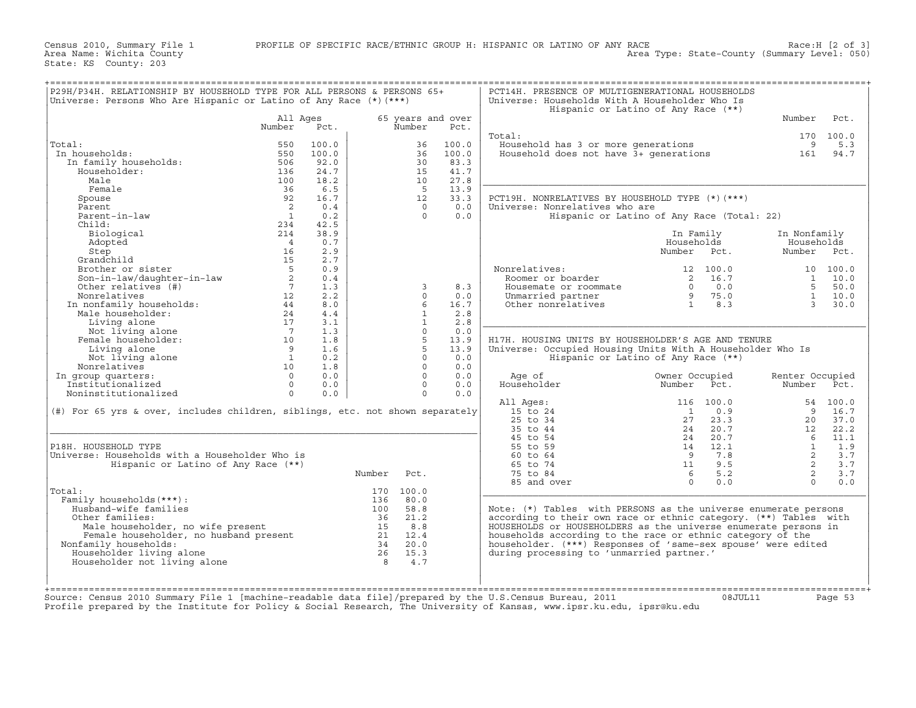Census 2010, Summary File 1 PROFILE OF SPECIFIC RACE/ETHNIC GROUP H: HISPANIC OR LATINO OF ANY RACE Race:H [2 of 3] Area Name: Wichita County Area Type: State−County (Summary Level: 050)

State: KS County: 203

| P29H/P34H. RELATIONSHIP BY HOUSEHOLD TYPE FOR ALL PERSONS & PERSONS 65+<br>Universe: Persons Who Are Hispanic or Latino of Any Race $(*)$ $(***)$ |                        |             |              |                   |              | PCT14H. PRESENCE OF MULTIGENERATIONAL HOUSEHOLDS<br>Universe: Households With A Householder Who Is                   | Hispanic or Latino of Any Race (**)        |                    |                |
|---------------------------------------------------------------------------------------------------------------------------------------------------|------------------------|-------------|--------------|-------------------|--------------|----------------------------------------------------------------------------------------------------------------------|--------------------------------------------|--------------------|----------------|
|                                                                                                                                                   | All Ages               |             |              | 65 years and over |              |                                                                                                                      |                                            | Number             | Pct.           |
|                                                                                                                                                   | Number                 | Pct.        |              | Number            | Pct.         |                                                                                                                      |                                            |                    |                |
|                                                                                                                                                   |                        |             |              |                   |              | Total:                                                                                                               |                                            |                    | 170 100.0      |
| Total:                                                                                                                                            | 550                    | 100.0       |              | 36                | 100.0        | Household has 3 or more generations<br>Household has 3 or more generations<br>Household does not have 3+ generations |                                            | 9                  | 5.3            |
| In households:                                                                                                                                    | 550                    | 100.0       |              | 36                | 100.0        |                                                                                                                      |                                            | 161                | 94.7           |
| In family households:                                                                                                                             | 506                    | 92.0        |              | 30                | 83.3         |                                                                                                                      |                                            |                    |                |
| Householder:                                                                                                                                      | 136                    | 24.7        |              | 15                | 41.7         |                                                                                                                      |                                            |                    |                |
| Male<br>Female                                                                                                                                    | 100                    | 18.2<br>6.5 |              | 10<br>$5^{\circ}$ | 27.8<br>13.9 |                                                                                                                      |                                            |                    |                |
| Spouse                                                                                                                                            | 36<br>92               | 16.7        |              | 12                | 33.3         | PCT19H. NONRELATIVES BY HOUSEHOLD TYPE (*) (***)                                                                     |                                            |                    |                |
| Parent                                                                                                                                            | $\overline{2}$         | 0.4         |              | $\Omega$          | 0.0          | Universe: Nonrelatives who are                                                                                       |                                            |                    |                |
| Parent-in-law                                                                                                                                     | $\overline{1}$         | 0.2         |              | $\Omega$          | 0.0          |                                                                                                                      | Hispanic or Latino of Any Race (Total: 22) |                    |                |
| Child:                                                                                                                                            | 234                    | 42.5        |              |                   |              |                                                                                                                      |                                            |                    |                |
| Biological                                                                                                                                        | 214                    | 38.9        |              |                   |              |                                                                                                                      | In Family                                  | In Nonfamily       |                |
| Adopted                                                                                                                                           | $\overline{4}$         | 0.7         |              |                   |              |                                                                                                                      | Households                                 | Households         |                |
| Step                                                                                                                                              | 16                     | 2.9         |              |                   |              |                                                                                                                      | Number Pct.                                |                    | Number Pct.    |
| Grandchild                                                                                                                                        | 15                     | 2.7         |              |                   |              |                                                                                                                      |                                            |                    |                |
| Brother or sister                                                                                                                                 | $5^{\circ}$            | 0.9         |              |                   |              | Nonrelatives:                                                                                                        | 12 100.0                                   |                    | 10 100.0       |
|                                                                                                                                                   | $\overline{a}$         | 0.4         |              |                   |              | Roomer or boarder                                                                                                    | 2 16.7                                     |                    | $1 \quad 10.0$ |
| Son-in-law/daughter-in-law<br>Other relatives (#)                                                                                                 | $7^{\circ}$            | 1.3         |              | 3                 | 8.3          | Housemate or roommate                                                                                                | 0.0<br>$\Omega$                            |                    | 5 50.0         |
|                                                                                                                                                   | 12                     | 2.2         |              | $\Omega$          | 0.0          | Unmarried partner                                                                                                    | 975.0                                      |                    | $1 \t 10.0$    |
|                                                                                                                                                   | 44                     | 8.0         |              | 6                 | 16.7         | Other nonrelatives                                                                                                   | 1 8.3                                      |                    | 3, 30.0        |
| SON-10 1.<br>Other relatives (#)<br>Nonrelatives<br>In nonfamily households:<br>''' Anuseholder:                                                  | 24                     | 4.4         |              | $\mathbf{1}$      | 2.8          |                                                                                                                      |                                            |                    |                |
| Living alone                                                                                                                                      | 17                     | 3.1         |              | $\mathbf{1}$      | 2.8          |                                                                                                                      |                                            |                    |                |
| Not living alone                                                                                                                                  | $\overline{7}$         | 1.3         |              | $\Omega$          | 0.0          |                                                                                                                      |                                            |                    |                |
| Female householder:                                                                                                                               | 10                     | 1.8         |              | $\overline{5}$    | 13.9         | H17H. HOUSING UNITS BY HOUSEHOLDER'S AGE AND TENURE                                                                  |                                            |                    |                |
| Living alone                                                                                                                                      | $\overline{9}$         | 1.6         |              | 5                 | 13.9         | Universe: Occupied Housing Units With A Householder Who Is                                                           |                                            |                    |                |
| Not living alone                                                                                                                                  | $\overline{1}$         | 0.2         |              | $\Omega$          | 0.0          |                                                                                                                      | Hispanic or Latino of Any Race (**)        |                    |                |
| Nonrelatives                                                                                                                                      | 10                     | 1.8         |              | $\Omega$          | 0.0          |                                                                                                                      |                                            |                    |                |
| In group quarters:                                                                                                                                | $\Omega$               | 0.0         |              | $\Omega$          | 0.0          | Age of                                                                                                               | Owner Occupied                             | Renter Occupied    |                |
| Institutionalized                                                                                                                                 | $\Omega$               | 0.0         |              | $\Omega$          | 0.0          | Householder                                                                                                          | Number<br>Pct.                             | Number             | Pct.           |
| Noninstitutionalized                                                                                                                              | $\Omega$               | 0.0         |              | $\Omega$          | 0.0          |                                                                                                                      |                                            |                    |                |
|                                                                                                                                                   |                        |             |              |                   |              | All Ages:                                                                                                            | 116 100.0                                  |                    | 54 100.0       |
| (#) For 65 yrs & over, includes children, siblings, etc. not shown separately                                                                     |                        |             |              |                   |              | 15 to 24                                                                                                             | 0.9<br>$\overline{1}$                      | 9                  | 16.7           |
|                                                                                                                                                   |                        |             |              |                   |              | 25 to 34                                                                                                             | 2.7<br>23.3                                | 20                 | 37.0           |
|                                                                                                                                                   |                        |             |              |                   |              | 35 to 44                                                                                                             | 20.7<br>24                                 | 12                 | 22.2           |
|                                                                                                                                                   |                        |             |              |                   |              | 45 to 54                                                                                                             | 20.7<br>24                                 | 6                  | 11.1           |
| P18H. HOUSEHOLD TYPE<br>Universe: Households with a Householder Who is                                                                            |                        |             |              |                   |              | 55 to 59<br>60 to 64                                                                                                 | 12.1<br>14<br>9<br>7.8                     | $\mathbf{1}$<br>2  | 1.9<br>3.7     |
| Hispanic or Latino of Any Race (**)                                                                                                               |                        |             |              |                   |              | 65 to 74                                                                                                             | 9.5<br>11                                  | 2                  | 3.7            |
|                                                                                                                                                   |                        |             | Number       | Pct.              |              | 75 to 84                                                                                                             | 5.2<br>6                                   | 2                  | 3.7            |
|                                                                                                                                                   |                        |             |              |                   |              | 85 and over                                                                                                          | $\cap$<br>0.0                              | $\Omega$           | 0.0            |
| Total:                                                                                                                                            |                        |             |              | 170 100.0         |              |                                                                                                                      |                                            |                    |                |
| Family households (***) :                                                                                                                         |                        |             | 136          | 80.0              |              |                                                                                                                      |                                            |                    |                |
| Husband-wife families                                                                                                                             |                        |             | 100          | 58.8              |              | Note: $(*)$ Tables with PERSONS as the universe enumerate persons                                                    |                                            |                    |                |
| Other families:                                                                                                                                   |                        |             | 36           | 21.2              |              | according to their own race or ethnic category. (**) Tables with                                                     |                                            |                    |                |
|                                                                                                                                                   |                        |             | 15           | 8.8               |              | HOUSEHOLDS or HOUSEHOLDERS as the universe enumerate persons in                                                      |                                            |                    |                |
|                                                                                                                                                   |                        |             |              | 21 12.4           |              | households according to the race or ethnic category of the                                                           |                                            |                    |                |
| Male householder, no wife present<br>Female householder, no husband present<br>Family households:<br>Nonfamily households:                        |                        |             |              | 34 20.0           |              | householder. (***) Responses of 'same-sex spouse' were edited                                                        |                                            |                    |                |
| Householder living alone                                                                                                                          |                        |             |              | 26 15.3           |              | during processing to 'unmarried partner.'                                                                            |                                            |                    |                |
| Householder not living alone                                                                                                                      |                        |             | $\mathsf{R}$ | 4.7               |              |                                                                                                                      |                                            |                    |                |
|                                                                                                                                                   |                        |             |              |                   |              |                                                                                                                      |                                            |                    |                |
|                                                                                                                                                   |                        |             |              |                   |              |                                                                                                                      |                                            |                    |                |
|                                                                                                                                                   |                        |             |              |                   |              |                                                                                                                      |                                            |                    |                |
|                                                                                                                                                   | Imachine-readable data |             |              | filel/prepared    |              | $2011$<br><b>Burgau</b>                                                                                              |                                            | $0.9.$ TTTT. $1.1$ |                |

Source: Census 2010 Summary File 1 [machine−readable data file]/prepared by the U.S.Census Bureau, 2011 08JUL11 Page 53 Profile prepared by the Institute for Policy & Social Research, The University of Kansas, www.ipsr.ku.edu, ipsr@ku.edu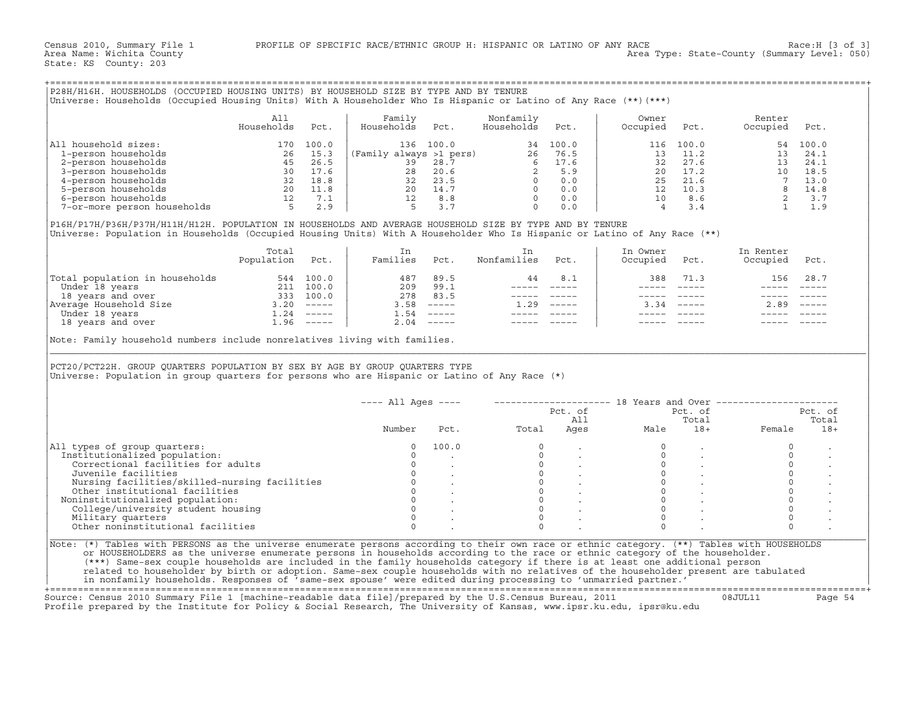|                                                                                                                                                                                                                                                                                              | All             |           | Family                                                                                                                                                                                                                                                                 |                              | Nonfamily                                             |         | Owner          |                                         | Renter                                                                           |              |
|----------------------------------------------------------------------------------------------------------------------------------------------------------------------------------------------------------------------------------------------------------------------------------------------|-----------------|-----------|------------------------------------------------------------------------------------------------------------------------------------------------------------------------------------------------------------------------------------------------------------------------|------------------------------|-------------------------------------------------------|---------|----------------|-----------------------------------------|----------------------------------------------------------------------------------|--------------|
|                                                                                                                                                                                                                                                                                              | Households      | Pct.      | Households                                                                                                                                                                                                                                                             | Pct.                         | Households                                            | Pct.    | Occupied       | Pct.                                    | Occupied                                                                         | Pct.         |
| All household sizes:                                                                                                                                                                                                                                                                         |                 | 170 100.0 |                                                                                                                                                                                                                                                                        |                              |                                                       |         |                | 116 100.0                               |                                                                                  | 54 100.0     |
|                                                                                                                                                                                                                                                                                              |                 |           |                                                                                                                                                                                                                                                                        |                              |                                                       |         | 13             | 11.2                                    |                                                                                  | 13 24.1      |
|                                                                                                                                                                                                                                                                                              |                 |           |                                                                                                                                                                                                                                                                        |                              |                                                       |         |                |                                         |                                                                                  |              |
|                                                                                                                                                                                                                                                                                              |                 |           |                                                                                                                                                                                                                                                                        |                              |                                                       |         |                |                                         |                                                                                  |              |
|                                                                                                                                                                                                                                                                                              |                 |           |                                                                                                                                                                                                                                                                        |                              |                                                       |         |                |                                         |                                                                                  |              |
|                                                                                                                                                                                                                                                                                              |                 |           |                                                                                                                                                                                                                                                                        |                              |                                                       |         |                |                                         |                                                                                  |              |
|                                                                                                                                                                                                                                                                                              |                 |           |                                                                                                                                                                                                                                                                        |                              |                                                       |         |                |                                         |                                                                                  |              |
| 1-person households<br>2-person households<br>3-person households<br>45 26.5<br>3-person households<br>5-person households<br>6-person households<br>7-or-more person households<br>5 2.9<br>7-or-more person households<br>5 2.9                                                            |                 |           | $\begin{array}{ l l } \hline &136&100.0& \\ \hline \text{120} &100&10&10&10\\ \hline \text{139} &28.7&6&17.6\\ \text{140} &28&20.6&2&5.9\\ \text{152} &223.5&0&0.0\\ \text{162} &20&14.7&0&0.0\\ \text{172} &8.8&0&0.0\\ \text{183} &5&3.7&0&0.0\\ \hline \end{array}$ |                              |                                                       |         |                |                                         |                                                                                  |              |
| P16H/P17H/P36H/P37H/H11H/H12H. POPULATION IN HOUSEHOLDS AND AVERAGE HOUSEHOLD SIZE BY TYPE AND BY TENURE<br>Universe: Population in Households (Occupied Housing Units) With A Householder Who Is Hispanic or Latino of Any Race (**)                                                        | Total           |           | In                                                                                                                                                                                                                                                                     |                              | In                                                    |         | In Owner       |                                         | In Renter                                                                        |              |
|                                                                                                                                                                                                                                                                                              | Population Pct. |           | Families Pct.                                                                                                                                                                                                                                                          |                              | Nonfamilies                                           | Pct.    | Occupied       | Pct.                                    | Occupied Pct.                                                                    |              |
|                                                                                                                                                                                                                                                                                              |                 |           | 487                                                                                                                                                                                                                                                                    | 89.5<br>209 99.1             | 44                                                    | 8.1     | 388            | 71.3                                    | 156                                                                              | 28.7         |
|                                                                                                                                                                                                                                                                                              |                 |           |                                                                                                                                                                                                                                                                        | 278 83.5                     | $\qquad \qquad - - - - -$<br>----- -----              |         | $\frac{1}{2}$  |                                         | $\frac{1}{2}$                                                                    |              |
|                                                                                                                                                                                                                                                                                              |                 |           |                                                                                                                                                                                                                                                                        |                              | $1.29$ -----                                          |         |                |                                         |                                                                                  | $2.89$ ----- |
|                                                                                                                                                                                                                                                                                              |                 |           |                                                                                                                                                                                                                                                                        |                              |                                                       |         |                |                                         |                                                                                  |              |
|                                                                                                                                                                                                                                                                                              |                 |           |                                                                                                                                                                                                                                                                        | $3.58$ -----                 |                                                       |         | 3.34           |                                         |                                                                                  |              |
| Total population in households 544 100.0<br>Under 18 years 211 100.0<br>18 years and over 333 100.0<br>Average Household Size 3.20 ------<br>Under 18 years and over 1.96 -----<br>18 years and over 1.96 -----<br>Note: Family household numbers include nonrelatives living with families. |                 |           |                                                                                                                                                                                                                                                                        | $1.54$ -----<br>$2.04$ ----- | $\qquad \qquad - - - - -$<br>$------$                 |         |                |                                         |                                                                                  |              |
|                                                                                                                                                                                                                                                                                              |                 |           |                                                                                                                                                                                                                                                                        |                              |                                                       |         |                |                                         |                                                                                  |              |
| PCT20/PCT22H. GROUP QUARTERS POPULATION BY SEX BY AGE BY GROUP QUARTERS TYPE<br>Universe: Population in group quarters for persons who are Hispanic or Latino of Any Race (*)                                                                                                                |                 |           |                                                                                                                                                                                                                                                                        |                              |                                                       |         |                |                                         | ---- All Ages ----    --------------------    18 Years and Over ---------------- |              |
|                                                                                                                                                                                                                                                                                              |                 |           |                                                                                                                                                                                                                                                                        |                              |                                                       | Pct. of |                | Pct. of                                 |                                                                                  | Pct. of      |
|                                                                                                                                                                                                                                                                                              |                 |           |                                                                                                                                                                                                                                                                        |                              |                                                       | All     |                | Total                                   |                                                                                  | Total        |
|                                                                                                                                                                                                                                                                                              |                 |           | Number                                                                                                                                                                                                                                                                 |                              | Pct. Total                                            |         | Ages Male      |                                         | 18+ Female                                                                       | $18+$        |
|                                                                                                                                                                                                                                                                                              |                 |           |                                                                                                                                                                                                                                                                        | 100.0                        | $\Omega$                                              |         |                |                                         | $\Omega$                                                                         |              |
|                                                                                                                                                                                                                                                                                              |                 |           | $\circ$                                                                                                                                                                                                                                                                |                              | $\circ$                                               |         | $\circ$        |                                         | $\circ$                                                                          |              |
| Correctional facilities for adults                                                                                                                                                                                                                                                           |                 |           | $\circ$                                                                                                                                                                                                                                                                |                              |                                                       |         | $\mathbf{0}$   |                                         | $\circ$                                                                          |              |
| Juvenile facilities                                                                                                                                                                                                                                                                          |                 |           | $\circ$                                                                                                                                                                                                                                                                |                              |                                                       |         | $\overline{0}$ |                                         | $\circ$                                                                          |              |
|                                                                                                                                                                                                                                                                                              |                 |           | $\mathsf{O}$                                                                                                                                                                                                                                                           |                              |                                                       |         |                |                                         | $\mathsf{O}\xspace$                                                              |              |
|                                                                                                                                                                                                                                                                                              |                 |           | $\circ$                                                                                                                                                                                                                                                                |                              | $\begin{bmatrix} 0 \\ 0 \\ 0 \\ 0 \\ 0 \end{bmatrix}$ |         |                | $\overline{0}$                          | $\circ$                                                                          |              |
|                                                                                                                                                                                                                                                                                              |                 |           | $\overline{0}$                                                                                                                                                                                                                                                         |                              | $\circ$                                               |         |                | $\begin{matrix} 0 & \cdot \end{matrix}$ | $\circ$                                                                          |              |
| Juvenile Tacilities<br>Nursing facilities/skilled-nursing facilities<br>Other institutional facilities<br>ninstitutionalized population:<br>College/university student housing<br>College/university student housing                                                                         |                 |           | $\circ$                                                                                                                                                                                                                                                                |                              | $\circ$                                               |         |                | $\overline{0}$                          | $\mathsf{O}\xspace$                                                              |              |
| All types of group quarters:<br>Institutionalized population:<br>Noninstitutionalized population:<br>Military quarters                                                                                                                                                                       |                 |           | $\Omega$                                                                                                                                                                                                                                                               |                              | $\Omega$                                              |         | $\Omega$       |                                         | $\circ$                                                                          |              |
| Other noninstitutional facilities                                                                                                                                                                                                                                                            |                 |           | $\Omega$                                                                                                                                                                                                                                                               |                              |                                                       |         |                |                                         | $\Omega$                                                                         |              |
| Note: (*) Tables with PERSONS as the universe enumerate persons according to their own race or ethnic category. (**) Tables with HOUSEHOLDS                                                                                                                                                  |                 |           |                                                                                                                                                                                                                                                                        |                              |                                                       |         |                |                                         |                                                                                  |              |

+===================================================================================================================================================+ Source: Census 2010 Summary File 1 [machine−readable data file]/prepared by the U.S.Census Bureau, 2011 08JUL11 Page 54 Profile prepared by the Institute for Policy & Social Research, The University of Kansas, www.ipsr.ku.edu, ipsr@ku.edu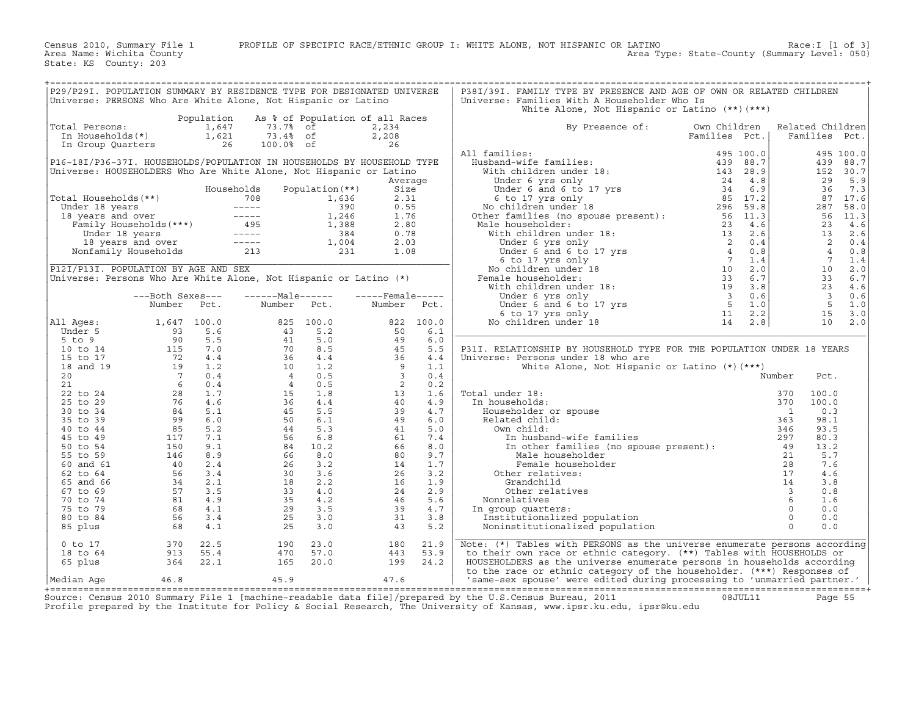| P29/P29I. POPULATION SUMMARY BY RESIDENCE TYPE FOR DESIGNATED UNIVERSE<br>Universe: PERSONS Who Are White Alone, Not Hispanic or Latino |                        |                |                                                                 |                                 |                     |                | P38I/39I. FAMILY TYPE BY PRESENCE AND AGE OF OWN OR RELATED CHILDREN<br>Universe: Families With A Householder Who Is |                                                                      |                         |                                   |            |
|-----------------------------------------------------------------------------------------------------------------------------------------|------------------------|----------------|-----------------------------------------------------------------|---------------------------------|---------------------|----------------|----------------------------------------------------------------------------------------------------------------------|----------------------------------------------------------------------|-------------------------|-----------------------------------|------------|
|                                                                                                                                         |                        | Population     |                                                                 | As % of Population of all Races |                     |                | White Alone, Not Hispanic or Latino (**) (***)                                                                       |                                                                      |                         |                                   |            |
| Total Persons:<br>In Households(*)                                                                                                      |                        | 1,647<br>1,621 | 73.7%<br>73.4% of                                               | of                              | 2,234<br>2,208      |                | By Presence of:                                                                                                      | Own Children<br>Families Pct.                                        |                         | Related Children<br>Families Pct. |            |
| In Group Quarters                                                                                                                       |                        | 26             | 100.0% of                                                       |                                 | 26                  |                | All families:                                                                                                        | 495 100.0                                                            |                         |                                   | 495 100.0  |
| P16-18I/P36-37I. HOUSEHOLDS/POPULATION IN HOUSEHOLDS BY HOUSEHOLD TYPE                                                                  |                        |                |                                                                 |                                 |                     |                | Husband-wife families:                                                                                               | 88.7<br>439                                                          |                         | 439                               | 88.7       |
| Universe: HOUSEHOLDERS Who Are White Alone, Not Hispanic or Latino                                                                      |                        |                |                                                                 |                                 |                     |                | With children under 18:                                                                                              | 143<br>28.9                                                          |                         |                                   | 152 30.7   |
|                                                                                                                                         |                        |                |                                                                 |                                 | Average             |                | Under 6 yrs only                                                                                                     | 24<br>4.8                                                            |                         | 29                                | 5.9        |
|                                                                                                                                         |                        |                | Households                                                      | Population (**)                 | Size                |                | Under 6 and 6 to 17 yrs                                                                                              | 6.9<br>34                                                            |                         | 36                                | 7.3        |
| Total Households (**)                                                                                                                   |                        |                | 708                                                             | 1,636                           | 2.31                |                | 6 to 17 yrs only                                                                                                     | 85 17.2                                                              |                         |                                   | 87 17.6    |
| Under 18 years                                                                                                                          |                        |                | $------$                                                        | 390                             | 0.55                |                | No children under 18                                                                                                 | 296 59.8                                                             |                         | 287                               | 58.0       |
| 18 years and over                                                                                                                       |                        |                | $\begin{tabular}{cccccc} - & - & - & - \\ \hline \end{tabular}$ | 1,246                           | 1.76                |                | Other families (no spouse present):                                                                                  | 56 11.3                                                              |                         | 56                                | 11.3       |
|                                                                                                                                         | Family Households(***) |                | 495                                                             | 1,388                           | 2.80                |                | Male householder:                                                                                                    | 23<br>4.6                                                            |                         | 23                                | 4.6        |
| Under 18 years                                                                                                                          |                        |                | $------$                                                        | 384                             | 0.78                |                | With children under 18:                                                                                              | 13<br>2.6                                                            |                         | 13                                | 2.6        |
|                                                                                                                                         | 18 years and over      |                | $------$                                                        | 1,004                           | 2.03                |                | Under 6 yrs only                                                                                                     | 0.4<br>$\begin{bmatrix} 2 \\ 4 \\ 7 \\ 10 \\ 33 \\ 19 \end{bmatrix}$ |                         | 2                                 | 0.4        |
|                                                                                                                                         | Nonfamily Households   |                | 213                                                             | 231                             | 1.08                |                | Under 6 and 6 to 17 yrs                                                                                              | 0.8<br>1.4                                                           |                         | $\overline{4}$<br>$7^{\circ}$     | 0.8        |
| P12I/P13I. POPULATION BY AGE AND SEX                                                                                                    |                        |                |                                                                 |                                 |                     |                | 6 to 17 yrs only<br>No children under 18                                                                             | 2.0                                                                  |                         | 10                                | 1.4<br>2.0 |
| Universe: Persons Who Are White Alone, Not Hispanic or Latino (*)                                                                       |                        |                |                                                                 |                                 |                     |                | Female householder:                                                                                                  | 6.7                                                                  |                         | 33                                | 6.7        |
|                                                                                                                                         |                        |                |                                                                 |                                 |                     |                | With children under 18:                                                                                              | 3.8                                                                  |                         | 23                                | 4.6        |
|                                                                                                                                         | ---Both Sexes---       |                | $---Male----$                                                   |                                 | $---$ Female $---$  |                | Under 6 yrs only                                                                                                     | $\overline{\mathbf{3}}$<br>0.6                                       |                         | $\overline{\mathbf{3}}$           | 0.6        |
|                                                                                                                                         | Number                 | Pct.           | Number                                                          | Pct.                            | Number              | Pct.           | Under 6 and 6 to 17 yrs                                                                                              | $5^{\circ}$<br>1.0                                                   |                         | 5                                 | 1.0        |
|                                                                                                                                         |                        |                |                                                                 |                                 |                     |                | 6 to 17 yrs only                                                                                                     | 2.2<br>11                                                            |                         | 15                                | 3.0        |
| All Ages:                                                                                                                               | 1,647                  | 100.0          | 825                                                             | 100.0                           | 822                 | 100.0          | No children under 18                                                                                                 | 14<br>2.8                                                            |                         | 10                                | 2.0        |
| Under 5                                                                                                                                 | 93                     | 5.6            | 43                                                              | 5.2                             | 50                  | 6.1            |                                                                                                                      |                                                                      |                         |                                   |            |
| 5 to 9                                                                                                                                  | 90                     | 5.5            | 41                                                              | 5.0                             | 49                  | 6.0            |                                                                                                                      |                                                                      |                         |                                   |            |
| 10 to 14                                                                                                                                | 115                    | 7.0            | 70                                                              | 8.5                             | 45                  | 5.5            | P31I. RELATIONSHIP BY HOUSEHOLD TYPE FOR THE POPULATION UNDER 18 YEARS                                               |                                                                      |                         |                                   |            |
| 15 to 17                                                                                                                                | 72                     | 4.4            | 36                                                              | 4.4                             | 36                  | 4.4            | Universe: Persons under 18 who are                                                                                   |                                                                      |                         |                                   |            |
| 18 and 19                                                                                                                               | 19                     | 1.2            | 10                                                              | 1.2                             | 9                   | 1.1            | White Alone, Not Hispanic or Latino $(*)$ (***)                                                                      |                                                                      |                         |                                   |            |
| 20<br>21                                                                                                                                | $\overline{7}$<br>6    | 0.4<br>0.4     | $\overline{4}$<br>$\overline{4}$                                | 0.5<br>0.5                      | $\overline{3}$<br>2 | 0.4<br>0.2     |                                                                                                                      |                                                                      | Number                  | Pct.                              |            |
| 22 to 24                                                                                                                                | 28                     | 1.7            | 15                                                              | 1.8                             | 13                  | 1.6            | Total under 18:                                                                                                      |                                                                      | 370                     | 100.0                             |            |
| 25 to 29                                                                                                                                | 76                     | 4.6            | 36                                                              | 4.4                             | 40                  | 4.9            | In households:                                                                                                       |                                                                      | 370                     | 100.0                             |            |
| 30 to 34                                                                                                                                | 84                     | 5.1            | 45                                                              | 5.5                             | 39                  | 4.7            | Householder or spouse                                                                                                |                                                                      | $\mathbf{1}$            | 0.3                               |            |
| 35 to 39                                                                                                                                | 99                     | 6.0            | 50                                                              | 6.1                             | 49                  | 6.0            | Related child:                                                                                                       |                                                                      | 363                     | 98.1                              |            |
| 40 to 44                                                                                                                                | 85                     | 5.2            | 44                                                              | 5.3                             | 41                  | 5.0            | Own child:                                                                                                           |                                                                      | 346                     | 93.5                              |            |
| 45 to 49                                                                                                                                | 117                    | 7.1            | 56                                                              | 6.8                             | 61                  | 7.4            | In husband-wife families                                                                                             |                                                                      | 297                     | 80.3                              |            |
| 50 to 54                                                                                                                                | 150                    | 9.1            | 84                                                              | 10.2                            | 66                  | 8.0            | In other families (no spouse present):                                                                               |                                                                      | - 49                    | 13.2                              |            |
| 55 to 59                                                                                                                                | 146                    | 8.9            | 66                                                              | 8.0                             | 80                  | 9.7            | Male householder                                                                                                     |                                                                      | 21                      | 5.7                               |            |
| 60 and 61                                                                                                                               | 40                     | 2.4            | 26                                                              | 3.2                             | 14                  | 1.7            | Female householder                                                                                                   |                                                                      | 28                      | 7.6                               |            |
| 62 to 64                                                                                                                                | 56                     | 3.4            | 30                                                              | 3.6                             | 26                  | 3.2            | Other relatives:                                                                                                     |                                                                      | 17                      | 4.6                               |            |
| 65 and 66                                                                                                                               | 34                     | 2.1            | 18                                                              | 2.2                             | 16                  | 1.9            | Grandchild                                                                                                           |                                                                      | 14                      | 3.8                               |            |
| 67 to 69                                                                                                                                | 57                     | 3.5            | 33                                                              | 4.0                             | 24                  | 2.9            | Other relatives                                                                                                      |                                                                      | $\overline{\mathbf{3}}$ | 0.8                               |            |
| 70 to 74<br>75 to 79                                                                                                                    | 81<br>68               | 4.9<br>4.1     | 35<br>29                                                        | 4.2<br>3.5                      | 46<br>39            | 5.6<br>$4.7\,$ | Nonrelatives<br>In group quarters:                                                                                   |                                                                      | 6<br>$\Omega$           | 1.6<br>0.0                        |            |
| 80 to 84                                                                                                                                | 56                     | 3.4            | 25                                                              | 3.0                             | 31                  | 3.8            | Institutionalized population                                                                                         |                                                                      | $\Omega$                | 0.0                               |            |
| 85 plus                                                                                                                                 | 68                     | 4.1            | 25                                                              | 3.0                             | 43                  | 5.2            | Noninstitutionalized population                                                                                      |                                                                      | $\Omega$                | 0.0                               |            |
|                                                                                                                                         |                        |                |                                                                 |                                 |                     |                |                                                                                                                      |                                                                      |                         |                                   |            |
| $0$ to $17$                                                                                                                             | 370                    | 22.5           | 190                                                             | 23.0                            | 180                 | 21.9           | Note: (*) Tables with PERSONS as the universe enumerate persons according                                            |                                                                      |                         |                                   |            |
| 18 to 64                                                                                                                                | 913                    | 55.4           | 470                                                             | 57.0                            | 443                 | 53.9           | to their own race or ethnic category. (**) Tables with HOUSEHOLDS or                                                 |                                                                      |                         |                                   |            |
| 65 plus                                                                                                                                 | 364                    | 22.1           | 165                                                             | 20.0                            | 199                 | 24.2           | HOUSEHOLDERS as the universe enumerate persons in households according                                               |                                                                      |                         |                                   |            |
|                                                                                                                                         |                        |                |                                                                 |                                 |                     |                | to the race or ethnic category of the householder. (***) Responses of                                                |                                                                      |                         |                                   |            |
| Median Aqe                                                                                                                              | 46.8                   |                | 45.9                                                            |                                 | 47.6                |                | 'same-sex spouse' were edited during processing to 'unmarried partner.'                                              |                                                                      |                         |                                   |            |

+===================================================================================================================================================+ Source: Census 2010 Summary File 1 [machine−readable data file]/prepared by the U.S.Census Bureau, 2011 08JUL11 Page 55 Profile prepared by the Institute for Policy & Social Research, The University of Kansas, www.ipsr.ku.edu, ipsr@ku.edu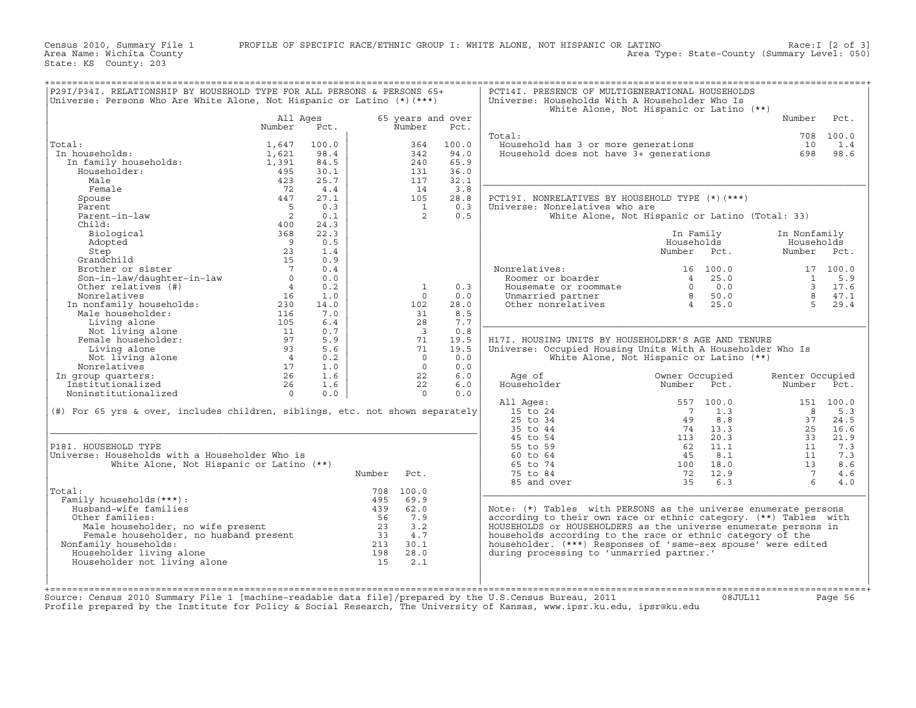Census 2010, Summary File 1 PROFILE OF SPECIFIC RACE/ETHNIC GROUP I: WHITE ALONE, NOT HISPANIC OR LATINO Race:I [2 of 3]<br>Area Name: Wichita County (summary Level: 050) Area Name: Wichita County Area Type: State−County (Summary Level: 050)

State: KS County: 203

| P29I/P34I. RELATIONSHIP BY HOUSEHOLD TYPE FOR ALL PERSONS & PERSONS 65+<br>Universe: Persons Who Are White Alone, Not Hispanic or Latino (*)(***)                                                                                                          |                 |       |        |                          |                   | PCT14I. PRESENCE OF MULTIGENERATIONAL HOUSEHOLDS<br>Universe: Households With A Householder Who Is<br>White Alone, Not Hispanic or Latino (**) |                     |         |                 |           |
|------------------------------------------------------------------------------------------------------------------------------------------------------------------------------------------------------------------------------------------------------------|-----------------|-------|--------|--------------------------|-------------------|------------------------------------------------------------------------------------------------------------------------------------------------|---------------------|---------|-----------------|-----------|
|                                                                                                                                                                                                                                                            | All Ages        |       |        |                          | 65 years and over |                                                                                                                                                |                     |         | Number          | Pct.      |
|                                                                                                                                                                                                                                                            | Number          | Pct.  |        | Number                   | Pct.              |                                                                                                                                                |                     |         |                 |           |
|                                                                                                                                                                                                                                                            |                 |       |        |                          |                   | Total:                                                                                                                                         |                     |         |                 | 708 100.0 |
| Total:                                                                                                                                                                                                                                                     | 1,647           | 100.0 |        | 364                      | 100.0             | )<br>Household has 3 or more generations<br>Household does not have 3+ generations                                                             |                     |         | 10              | 1.4       |
| al:<br>1,621<br>In family_households: 1,391<br>1,391<br>195<br>In households:                                                                                                                                                                              |                 | 98.4  |        | 342                      | 94.0              |                                                                                                                                                |                     |         |                 | 698 98.6  |
|                                                                                                                                                                                                                                                            |                 | 84.5  |        | 240                      | 65.9              |                                                                                                                                                |                     |         |                 |           |
| Householder:                                                                                                                                                                                                                                               | 495             | 30.1  |        | 131                      | 36.0              |                                                                                                                                                |                     |         |                 |           |
| Male                                                                                                                                                                                                                                                       | 423             | 25.7  |        | 117                      | 32.1              |                                                                                                                                                |                     |         |                 |           |
| Female                                                                                                                                                                                                                                                     | 72              | 4.4   |        | 14                       | 3.8               |                                                                                                                                                |                     |         |                 |           |
| Spouse                                                                                                                                                                                                                                                     | 447             | 27.1  |        | 105                      | 28.8              | PCT19I. NONRELATIVES BY HOUSEHOLD TYPE (*) (***)                                                                                               |                     |         |                 |           |
|                                                                                                                                                                                                                                                            |                 | 0.3   |        | $\overline{1}$           | 0.3               |                                                                                                                                                |                     |         |                 |           |
| Parent<br>Parent-in-law<br>Child                                                                                                                                                                                                                           | $\frac{5}{2}$   | 0.1   |        | 2                        | 0.5               | Universe: Nonrelatives who are                                                                                                                 |                     |         |                 |           |
|                                                                                                                                                                                                                                                            |                 |       |        |                          |                   | White Alone, Not Hispanic or Latino (Total: 33)                                                                                                |                     |         |                 |           |
| Child:                                                                                                                                                                                                                                                     | 400             | 24.3  |        |                          |                   |                                                                                                                                                |                     |         |                 |           |
| Biological                                                                                                                                                                                                                                                 | 368             | 22.3  |        |                          |                   |                                                                                                                                                | In Family           |         | In Nonfamily    |           |
|                                                                                                                                                                                                                                                            | $\frac{9}{23}$  | 0.5   |        |                          |                   |                                                                                                                                                | Households          |         | Households      |           |
|                                                                                                                                                                                                                                                            |                 | 1.4   |        |                          |                   |                                                                                                                                                | Number Pct.         |         | Number Pct.     |           |
| Adopted<br>Step<br>Grandchild<br>Brother or sister<br>Son-in-law/daughter-in-law<br>Other relatives (#)                                                                                                                                                    | 15              | 0.9   |        |                          |                   |                                                                                                                                                |                     |         |                 |           |
|                                                                                                                                                                                                                                                            | $7\overline{ }$ | 0.4   |        |                          |                   |                                                                                                                                                |                     |         |                 |           |
|                                                                                                                                                                                                                                                            | $\overline{0}$  | 0.0   |        |                          |                   |                                                                                                                                                |                     |         |                 |           |
|                                                                                                                                                                                                                                                            |                 |       |        | $\overline{\phantom{a}}$ | 0.3               |                                                                                                                                                |                     |         |                 |           |
|                                                                                                                                                                                                                                                            |                 |       |        | $\circ$                  | 0.0               |                                                                                                                                                |                     |         |                 |           |
|                                                                                                                                                                                                                                                            |                 |       |        | 102                      | 28.0              |                                                                                                                                                |                     |         |                 |           |
|                                                                                                                                                                                                                                                            |                 |       |        | 31                       | 8.5               |                                                                                                                                                |                     |         |                 |           |
|                                                                                                                                                                                                                                                            |                 |       |        | 28                       | 7.7               |                                                                                                                                                |                     |         |                 |           |
|                                                                                                                                                                                                                                                            |                 |       |        | $\overline{\mathbf{3}}$  | 0.8               |                                                                                                                                                |                     |         |                 |           |
|                                                                                                                                                                                                                                                            |                 |       |        | 71                       | 19.5              | H17I. HOUSING UNITS BY HOUSEHOLDER'S AGE AND TENURE                                                                                            |                     |         |                 |           |
|                                                                                                                                                                                                                                                            |                 |       |        | 71                       | 19.5              | Universe: Occupied Housing Units With A Householder Who Is                                                                                     |                     |         |                 |           |
|                                                                                                                                                                                                                                                            |                 |       |        | $\overline{0}$           | 0.0               | White Alone, Not Hispanic or Latino (**)                                                                                                       |                     |         |                 |           |
|                                                                                                                                                                                                                                                            |                 |       |        | $\overline{0}$           | 0.0               |                                                                                                                                                |                     |         |                 |           |
| In group quarters:                                                                                                                                                                                                                                         |                 |       |        | 22                       | 6.0               | Age of                                                                                                                                         | Owner Occupied      |         | Renter Occupied |           |
|                                                                                                                                                                                                                                                            |                 |       |        | 22                       | 6.0               | Householder                                                                                                                                    | Number Pct.         |         | Number          | Pct.      |
|                                                                                                                                                                                                                                                            |                 |       |        | $\overline{0}$           | 0.0               |                                                                                                                                                |                     |         |                 |           |
| Son-in-law/daughter-in-law<br>0 0.0<br>Other relatives (#)<br>Morrelatives (#)<br>16 0.2<br>Nonrelatives (#)<br>16 0.2<br>16 1.0<br>In nonfamily households:<br>230 14.0<br>16 7.0<br>Living alone<br>Not living alone<br>Not living alone<br>Pemale house |                 |       |        |                          |                   | All Ages:                                                                                                                                      |                     |         |                 | 151 100.0 |
| $(\#)$ For 65 yrs & over, includes children, siblings, etc. not shown separately                                                                                                                                                                           |                 |       |        |                          |                   |                                                                                                                                                |                     |         |                 | 5.3       |
|                                                                                                                                                                                                                                                            |                 |       |        |                          |                   |                                                                                                                                                |                     |         |                 | 24.5      |
|                                                                                                                                                                                                                                                            |                 |       |        |                          |                   |                                                                                                                                                |                     |         |                 | 25 16.6   |
|                                                                                                                                                                                                                                                            |                 |       |        |                          |                   |                                                                                                                                                |                     |         |                 | 21.9      |
| P18I. HOUSEHOLD TYPE                                                                                                                                                                                                                                       |                 |       |        |                          |                   |                                                                                                                                                |                     |         |                 | 7.3       |
|                                                                                                                                                                                                                                                            |                 |       |        |                          |                   |                                                                                                                                                |                     |         |                 |           |
| Universe: Households with a Householder Who is                                                                                                                                                                                                             |                 |       |        |                          |                   |                                                                                                                                                |                     |         |                 | 7.3       |
| White Alone, Not Hispanic or Latino (**)                                                                                                                                                                                                                   |                 |       |        |                          |                   |                                                                                                                                                |                     |         |                 | 8.6       |
|                                                                                                                                                                                                                                                            |                 |       | Number | Pct.                     |                   |                                                                                                                                                | $72$ 12.9<br>35 6.3 |         |                 | 4.6       |
|                                                                                                                                                                                                                                                            |                 |       |        |                          |                   | 85 and over                                                                                                                                    |                     |         | 6               | 4.0       |
| Total:                                                                                                                                                                                                                                                     |                 |       |        | 708 100.0                |                   |                                                                                                                                                |                     |         |                 |           |
| Family households (***) :                                                                                                                                                                                                                                  |                 |       |        |                          |                   |                                                                                                                                                |                     |         |                 |           |
|                                                                                                                                                                                                                                                            |                 |       |        |                          |                   | Note: (*) Tables with PERSONS as the universe enumerate persons                                                                                |                     |         |                 |           |
|                                                                                                                                                                                                                                                            |                 |       |        |                          |                   | according to their own race or ethnic category. (**) Tables with                                                                               |                     |         |                 |           |
|                                                                                                                                                                                                                                                            |                 |       |        |                          |                   | HOUSEHOLDS or HOUSEHOLDERS as the universe enumerate persons in                                                                                |                     |         |                 |           |
|                                                                                                                                                                                                                                                            |                 |       |        |                          |                   | households according to the race or ethnic category of the                                                                                     |                     |         |                 |           |
| Nonfamily households:                                                                                                                                                                                                                                      |                 |       |        |                          |                   | householder. (***) Responses of 'same-sex spouse' were edited                                                                                  |                     |         |                 |           |
|                                                                                                                                                                                                                                                            |                 |       |        |                          |                   | during processing to 'unmarried partner.'                                                                                                      |                     |         |                 |           |
| al:<br>Musholds (***):<br>Husband-wife families<br>Other families:<br>Male householder, no wife present<br>Male householder, no husband present<br>Penale households:<br>Section of the sum of the company households:<br>Householder living a             |                 |       |        |                          |                   |                                                                                                                                                |                     |         |                 |           |
|                                                                                                                                                                                                                                                            |                 |       |        |                          |                   |                                                                                                                                                |                     |         |                 |           |
|                                                                                                                                                                                                                                                            |                 |       |        |                          |                   |                                                                                                                                                |                     |         |                 |           |
|                                                                                                                                                                                                                                                            |                 |       |        |                          |                   |                                                                                                                                                |                     |         |                 |           |
| Source: Census 2010 Summary File 1 [machine-readable data file]/prepared by the U.S.Census Bureau, 2011                                                                                                                                                    |                 |       |        |                          |                   |                                                                                                                                                |                     | 08JUL11 |                 | Page 56   |
| Profile prepared by the Institute for Policy & Social Research, The University of Kansas, www.ipsr.ku.edu, ipsr@ku.edu                                                                                                                                     |                 |       |        |                          |                   |                                                                                                                                                |                     |         |                 |           |